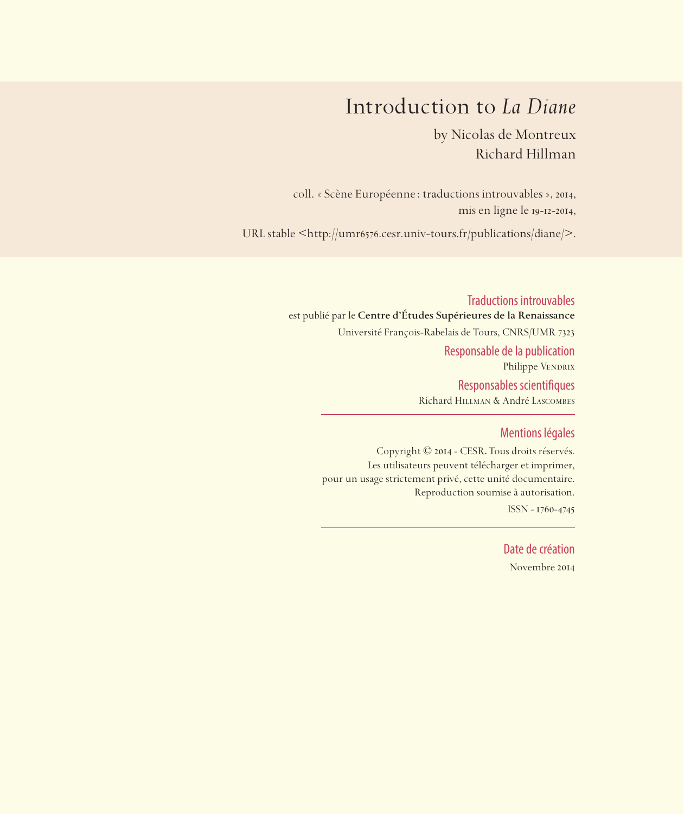## Introduction to *La Diane*

by Nicolas de Montreux Richard Hillman

coll. « Scène Européenne: traductions introuvables », 2014, mis en ligne le 19-12-2014,

URL stable <https://sceneeuropeenne.univ-tours.fr/traductions/diane>

Traductions introuvables est publié par le **Centre d'Études Supérieures de la Renaissance**  Université François-Rabelais de Tours, CNRS/UMR 7323 Responsable de la publication Philippe VENDRIX Responsables scientifiques Richard Hillman & André Lascombes

## Mentions légales

Copyright © 2014 - CESR. Tous droits réservés. Les utilisateurs peuvent télécharger et imprimer, pour un usage strictement privé, cette unité documentaire. Reproduction soumise à autorisation. ISSN - 1760-4745

> Date de création Novembre 2014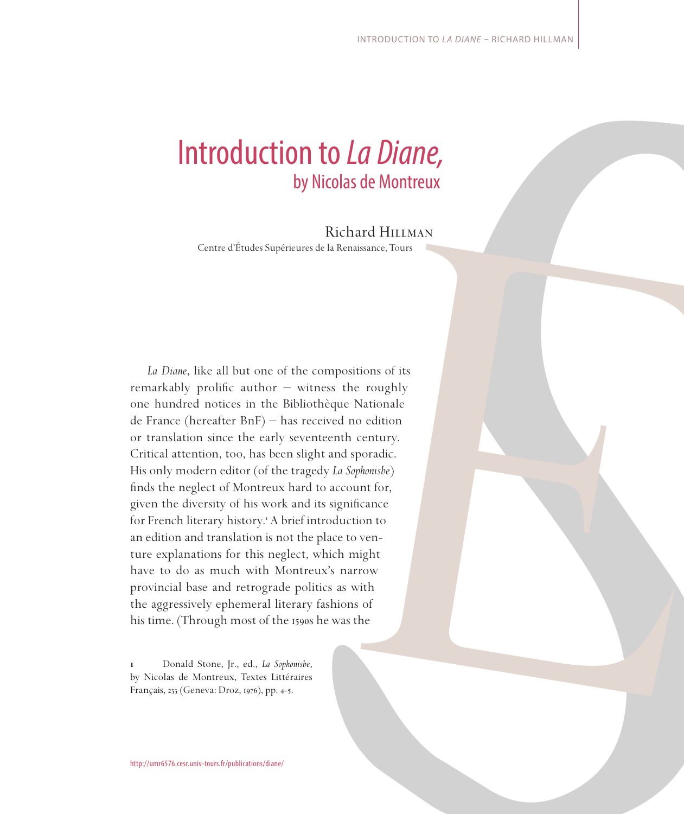# Introduction to *La Diane,*  by Nicolas de Montreux

## Richard Hillman

Centre d'Études Supérieures de la Renaissance, Tours

*La Diane*, like all but one of the compositions of its remarkably prolific author  $-$  witness the roughly one hundred notices in the Bibliothèque Nationale de France (hereafter BnF) – has received no edition or translation since the early seventeenth century. Critical attention, too, has been slight and sporadic. His only modern editor (of the tragedy *La Sophonisbe*) finds the neglect of Montreux hard to account for, given the diversity of his work and its significance for French literary history. A brief introduction to an edition and translation is not the place to venture explanations for this neglect, which might have to do as much with Montreux's narrow provincial base and retrograde politics as with the aggressively ephemeral literary fashions of his time. (Through most of the 1590s he was the

 Donald Stone, Jr., ed., *La Sophonisbe*, by Nicolas de Montreux, Textes Littéraires Français, 233 (Geneva: Droz, 1976), pp. 4-5.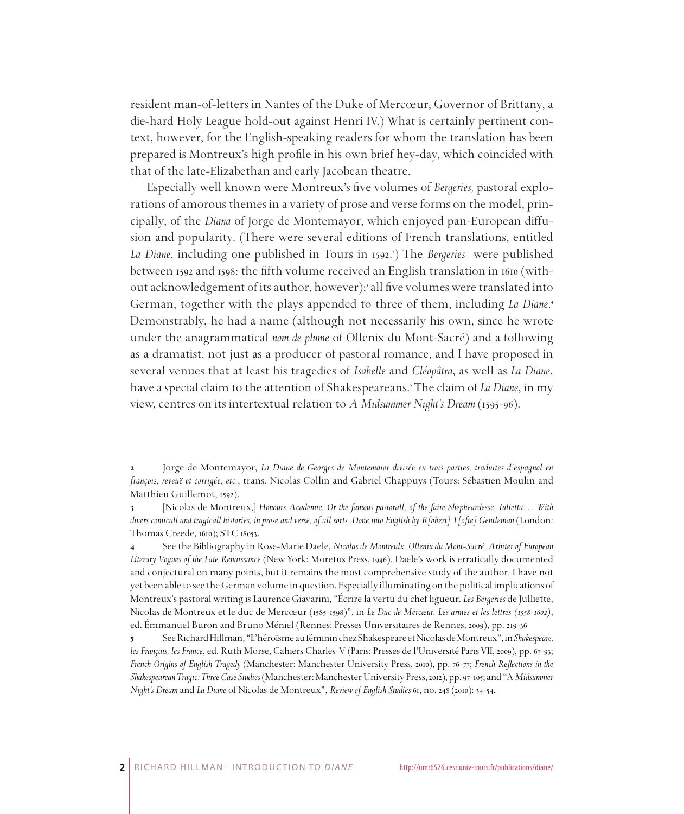resident man-of-letters in Nantes of the Duke of Mercœur, Governor of Brittany, a die-hard Holy League hold-out against Henri IV.) What is certainly pertinent context, however, for the English-speaking readers for whom the translation has been prepared is Montreux's high profile in his own brief hey-day, which coincided with that of the late-Elizabethan and early Jacobean theatre.

Especially well known were Montreux's five volumes of *Bergeries,* pastoral explorations of amorous themes in a variety of prose and verse forms on the model, principally, of the *Diana* of Jorge de Montemayor, which enjoyed pan-European diffusion and popularity. (There were several editions of French translations, entitled *La Diane*, including one published in Tours in 1592. ) The *Bergeries* were published between 1592 and 1598: the fifth volume received an English translation in 1610 (without acknowledgement of its author, however); all five volumes were translated into German, together with the plays appended to three of them, including *La Diane*. Demonstrably, he had a name (although not necessarily his own, since he wrote under the anagrammatical *nom de plume* of Ollenix du Mont-Sacré) and a following as a dramatist, not just as a producer of pastoral romance, and I have proposed in several venues that at least his tragedies of *Isabelle* and *Cléopâtra*, as well as *La Diane*, have a special claim to the attention of Shakespeareans. The claim of *La Diane*, in my view, centres on its intertextual relation to *A Midsummer Night's Dream* (1595-96).

 Jorge de Montemayor, *La Diane de Georges de Montemaior divisée en trois parties, traduites d'espagnol en françois, reveuë et corrigée, etc.*, trans. Nicolas Collin and Gabriel Chappuys (Tours: Sébastien Moulin and Matthieu Guillemot, 1592).

 [Nicolas de Montreux,] *Honours Academie. Or the famous pastorall, of the faire Shepheardesse, Iulietta*… *With divers comicall and tragicall histories, in prose and verse, of all sorts. Done into English by R[obert] T[ofte] Gentleman* (London: Thomas Creede, 1610); STC 18053.

 See the Bibliography in Rose-Marie Daele, *Nicolas de Montreulx, Ollenix du Mont-Sacré, Arbiter of European Literary Vogues of the Late Renaissance* (New York: Moretus Press, 1946). Daele's work is erratically documented and conjectural on many points, but it remains the most comprehensive study of the author. I have not yet been able to see the German volume in question. Especially illuminating on the political implications of Montreux's pastoral writing is Laurence Giavarini, "Écrire la vertu du chef ligueur. *Les Bergeries* de Julliette, Nicolas de Montreux et le duc de Mercœur (1585-1598)", in *Le Duc de Mercœur. Les armes et les lettres (1558-1602)*, ed. Émmanuel Buron and Bruno Méniel (Rennes: Presses Universitaires de Rennes, 2009), pp. 219-36

 See Richard Hillman, "L'héroïsme au féminin chez Shakespeare et Nicolas de Montreux", in *Shakespeare, les Français, les France*, ed. Ruth Morse, Cahiers Charles-V (Paris: Presses de l'Université Paris VII, 2009), pp. 67-93; *French Origins of English Tragedy* (Manchester: Manchester University Press, 2010), pp. 76-77; *French Reflections in the Shakespearean Tragic: Three Case Studies* (Manchester: Manchester University Press, 2012), pp. 97-105; and "A *Midsummer Night's Dream* and *La Diane* of Nicolas de Montreux", *Review of English Studies* 61, no. 248 (2010): 34-54.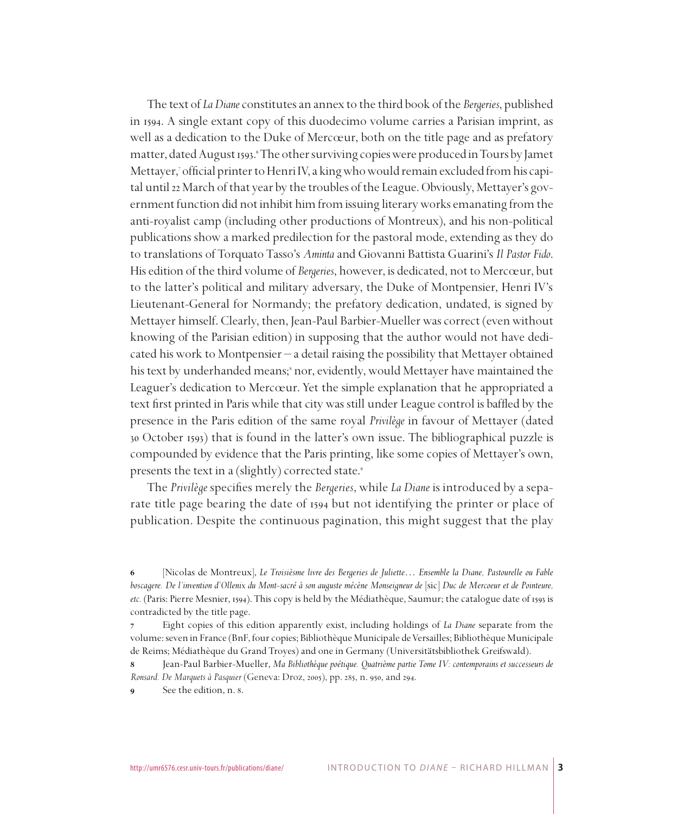The text of *La Diane* constitutes an annex to the third book of the *Bergeries*, published in 1594. A single extant copy of this duodecimo volume carries a Parisian imprint, as well as a dedication to the Duke of Mercœur, both on the title page and as prefatory matter, dated August 1593. 'The other surviving copies were produced in Tours by Jamet Mettayer, official printer to Henri IV, a king who would remain excluded from his capital until 22 March of that year by the troubles of the League. Obviously, Mettayer's government function did not inhibit him from issuing literary works emanating from the anti-royalist camp (including other productions of Montreux), and his non-political publications show a marked predilection for the pastoral mode, extending as they do to translations of Torquato Tasso's *Aminta* and Giovanni Battista Guarini's *Il Pastor Fido*. His edition of the third volume of *Bergeries*, however, is dedicated, not to Mercœur, but to the latter's political and military adversary, the Duke of Montpensier, Henri IV's Lieutenant-General for Normandy; the prefatory dedication, undated, is signed by Mettayer himself. Clearly, then, Jean-Paul Barbier-Mueller was correct (even without knowing of the Parisian edition) in supposing that the author would not have dedicated his work to Montpensier – a detail raising the possibility that Mettayer obtained his text by underhanded means;<sup>8</sup> nor, evidently, would Mettayer have maintained the Leaguer's dedication to Mercœur. Yet the simple explanation that he appropriated a text first printed in Paris while that city was still under League control is baffled by the presence in the Paris edition of the same royal *Privilège* in favour of Mettayer (dated 30 October 1593) that is found in the latter's own issue. The bibliographical puzzle is compounded by evidence that the Paris printing, like some copies of Mettayer's own, presents the text in a (slightly) corrected state.

The *Privilège* specifies merely the *Bergeries*, while *La Diane* is introduced by a separate title page bearing the date of 1594 but not identifying the printer or place of publication. Despite the continuous pagination, this might suggest that the play

 [Nicolas de Montreux], *Le Troisièsme livre des Bergeries de Juliette*… *Ensemble la Diane, Pastourelle ou Fable boscagere. De l'invention d'Ollenix du Mont-sacré à son auguste mécène Monseigneur de* [sic] *Duc de Mercoeur et de Pointeure, etc.* (Paris: Pierre Mesnier, 1594). This copy is held by the Médiathèque, Saumur; the catalogue date of 1593 is contradicted by the title page.

 Eight copies of this edition apparently exist, including holdings of *La Diane* separate from the volume: seven in France (BnF, four copies; Bibliothèque Municipale de Versailles; Bibliothèque Municipale de Reims; Médiathèque du Grand Troyes) and one in Germany (Universitätsbibliothek Greifswald).

 Jean-Paul Barbier-Mueller, *Ma Bibliothèque poétique. Quatrième partie Tome IV: contemporains et successeurs de Ronsard. De Marquets à Pasquier* (Geneva: Droz, 2005), pp. 285, n. 950, and 294.

**<sup>8</sup>** See the edition, n. 8.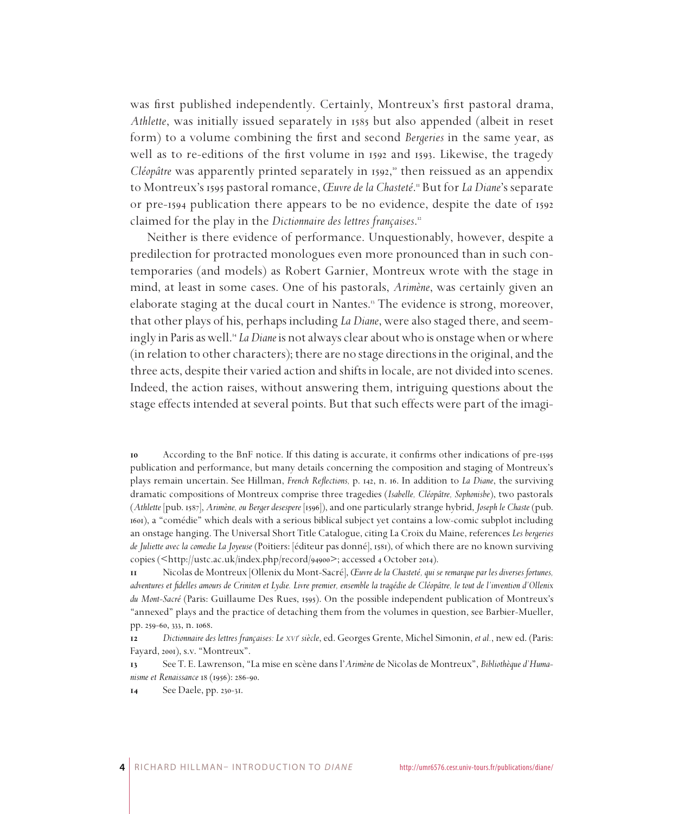was first published independently. Certainly, Montreux's first pastoral drama, *Athlette*, was initially issued separately in 1585 but also appended (albeit in reset form) to a volume combining the first and second *Bergeries* in the same year, as well as to re-editions of the first volume in 1592 and 1593. Likewise, the tragedy *Cléopâtre* was apparently printed separately in 1592, then reissued as an appendix to Montreux's 1595 pastoral romance, *Œuvre de la Chasteté*. But for *La Diane*'s separate or pre-1594 publication there appears to be no evidence, despite the date of 1592 claimed for the play in the *Dictionnaire des lettres françaises*.

Neither is there evidence of performance. Unquestionably, however, despite a predilection for protracted monologues even more pronounced than in such contemporaries (and models) as Robert Garnier, Montreux wrote with the stage in mind, at least in some cases. One of his pastorals, *Arimène*, was certainly given an elaborate staging at the ducal court in Nantes. The evidence is strong, moreover, that other plays of his, perhaps including *La Diane*, were also staged there, and seemingly in Paris as well. *La Diane* is not always clear about who is onstage when or where (in relation to other characters); there are no stage directions in the original, and the three acts, despite their varied action and shifts in locale, are not divided into scenes. Indeed, the action raises, without answering them, intriguing questions about the stage effects intended at several points. But that such effects were part of the imagi-

 According to the BnF notice. If this dating is accurate, it confirms other indications of pre-1595 publication and performance, but many details concerning the composition and staging of Montreux's plays remain uncertain. See Hillman, *French Reflections,* p. 142, n. 16. In addition to *La Diane*, the surviving dramatic compositions of Montreux comprise three tragedies (*Isabelle, Cléopâtre, Sophonisbe*), two pastorals (*Athlette* [pub. 1587], *Arimène, ou Berger desespere* [1596]), and one particularly strange hybrid, *Joseph le Chaste* (pub. 1601), a "comédie" which deals with a serious biblical subject yet contains a low-comic subplot including an onstage hanging. The Universal Short Title Catalogue, citing La Croix du Maine, references *Les bergeries de Juliette avec la comedie La Joyeuse* (Poitiers: [éditeur pas donné], 1581), of which there are no known surviving copies (<http://ustc.ac.uk/index.php/record/94900>; accessed 4 October 2014).

 Nicolas de Montreux [Ollenix du Mont-Sacré], *Œuvre de la Chasteté, qui se remarque par les diverses fortunes, adventures et fidelles amours de Criniton et Lydie. Livre premier, ensemble la tragédie de Cléopâtre, le tout de l'invention d'Ollenix du Mont-Sacré* (Paris: Guillaume Des Rues, 1595). On the possible independent publication of Montreux's "annexed" plays and the practice of detaching them from the volumes in question, see Barbier-Mueller, pp. 259-60, 333, n. 1068.

 *Dictionnaire des lettres françaises: Le xvi<sup>e</sup> siècle*, ed. Georges Grente, Michel Simonin, *et al.*, new ed. (Paris: Fayard, 2001), s.v. "Montreux".

 See T. E. Lawrenson, "La mise en scène dans l'*Arimène* de Nicolas de Montreux", *Bibliothèque d'Humanisme et Renaissance* 18 (1956): 286-90.

See Daele, pp. 230-31.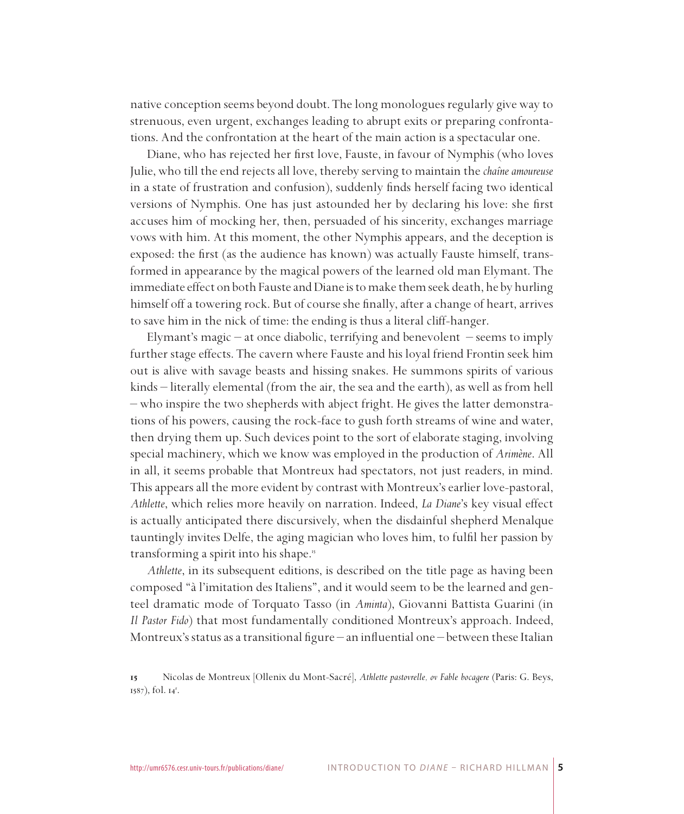native conception seems beyond doubt. The long monologues regularly give way to strenuous, even urgent, exchanges leading to abrupt exits or preparing confrontations. And the confrontation at the heart of the main action is a spectacular one.

Diane, who has rejected her first love, Fauste, in favour of Nymphis (who loves Julie, who till the end rejects all love, thereby serving to maintain the *chaîne amoureuse* in a state of frustration and confusion), suddenly finds herself facing two identical versions of Nymphis. One has just astounded her by declaring his love: she first accuses him of mocking her, then, persuaded of his sincerity, exchanges marriage vows with him. At this moment, the other Nymphis appears, and the deception is exposed: the first (as the audience has known) was actually Fauste himself, transformed in appearance by the magical powers of the learned old man Elymant. The immediate effect on both Fauste and Diane is to make them seek death, he by hurling himself off a towering rock. But of course she finally, after a change of heart, arrives to save him in the nick of time: the ending is thus a literal cliff-hanger.

Elymant's magic – at once diabolic, terrifying and benevolent – seems to imply further stage effects. The cavern where Fauste and his loyal friend Frontin seek him out is alive with savage beasts and hissing snakes. He summons spirits of various kinds – literally elemental (from the air, the sea and the earth), as well as from hell – who inspire the two shepherds with abject fright. He gives the latter demonstrations of his powers, causing the rock-face to gush forth streams of wine and water, then drying them up. Such devices point to the sort of elaborate staging, involving special machinery, which we know was employed in the production of *Arimène*. All in all, it seems probable that Montreux had spectators, not just readers, in mind. This appears all the more evident by contrast with Montreux's earlier love-pastoral, *Athlette*, which relies more heavily on narration. Indeed, *La Diane*'s key visual effect is actually anticipated there discursively, when the disdainful shepherd Menalque tauntingly invites Delfe, the aging magician who loves him, to fulfil her passion by transforming a spirit into his shape.

*Athlette*, in its subsequent editions, is described on the title page as having been composed "à l'imitation des Italiens", and it would seem to be the learned and genteel dramatic mode of Torquato Tasso (in *Aminta*), Giovanni Battista Guarini (in *Il Pastor Fido*) that most fundamentally conditioned Montreux's approach. Indeed, Montreux's status as a transitional figure – an influential one – between these Italian

Nicolas de Montreux [Ollenix du Mont-Sacré], *Athlette pastovrelle, ov Fable bocagere* (Paris: G. Beys, 1587), fol. 14<sup>r</sup>.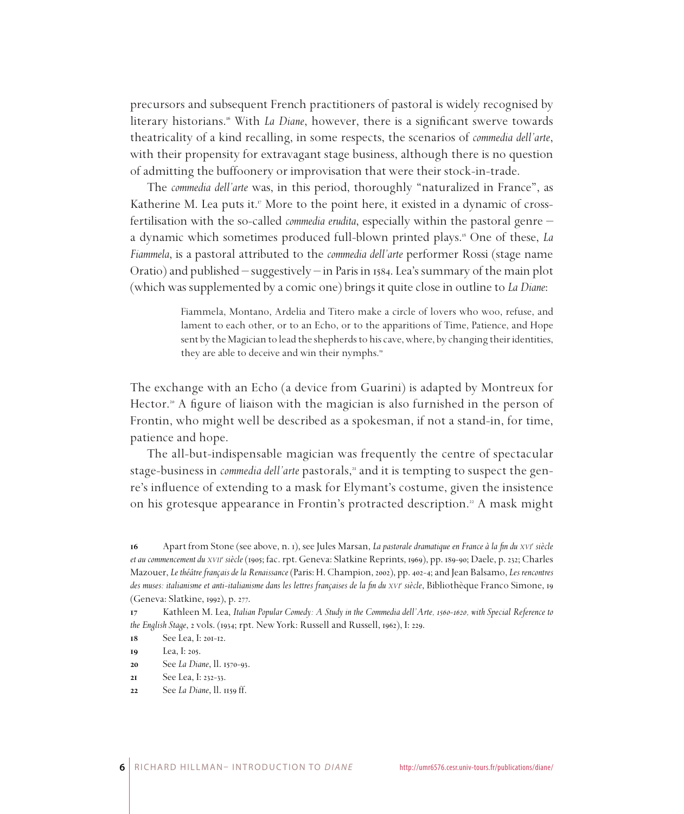precursors and subsequent French practitioners of pastoral is widely recognised by literary historians.<sup>16</sup> With *La Diane*, however, there is a significant swerve towards theatricality of a kind recalling, in some respects, the scenarios of *commedia dell'arte*, with their propensity for extravagant stage business, although there is no question of admitting the buffoonery or improvisation that were their stock-in-trade.

The *commedia dell'arte* was, in this period, thoroughly "naturalized in France", as Katherine M. Lea puts it.<sup>"</sup> More to the point here, it existed in a dynamic of crossfertilisation with the so-called *commedia erudita*, especially within the pastoral genre – a dynamic which sometimes produced full-blown printed plays. One of these, *La Fiammela*, is a pastoral attributed to the *commedia dell'arte* performer Rossi (stage name Oratio) and published – suggestively – in Paris in 1584. Lea's summary of the main plot (which was supplemented by a comic one) brings it quite close in outline to *La Diane*:

> Fiammela, Montano, Ardelia and Titero make a circle of lovers who woo, refuse, and lament to each other, or to an Echo, or to the apparitions of Time, Patience, and Hope sent by the Magician to lead the shepherds to his cave, where, by changing their identities, they are able to deceive and win their nymphs.

The exchange with an Echo (a device from Guarini) is adapted by Montreux for Hector.<sup>20</sup> A figure of liaison with the magician is also furnished in the person of Frontin, who might well be described as a spokesman, if not a stand-in, for time, patience and hope.

The all-but-indispensable magician was frequently the centre of spectacular stage-business in *commedia dell'arte* pastorals," and it is tempting to suspect the genre's influence of extending to a mask for Elymant's costume, given the insistence on his grotesque appearance in Frontin's protracted description.<sup>22</sup> A mask might

See *La Diane*, ll. 1570-93.

Apart from Stone (see above, n. 1), see Jules Marsan, *La pastorale dramatique en France à la fin du xvi<sup>e</sup> siècle et au commencement du xvii<sup>e</sup> siècle* (1905; fac. rpt. Geneva: Slatkine Reprints, 1969), pp. 189-90; Daele, p. 232; Charles Mazouer, *Le théâtre français de la Renaissance* (Paris: H. Champion, 2002), pp. 402-4; and Jean Balsamo, *Les rencontres*  des muses: italianisme et anti-italianisme dans les lettres françaises de la fin du *xvi*<sup>e</sup> siècle, Bibliothèque Franco Simone, 19 (Geneva: Slatkine, 1992), p. 277.

Kathleen M. Lea, *Italian Popular Comedy: A Study in the Commedia dell'Arte, 1560-1620*, with Special Reference to *the English Stage*, 2 vols. (1934; rpt. New York: Russell and Russell, 1962), I: 229.

 $See$  Lea,  $I: 20I-12$ .

Lea, I: 205.

See Lea, I: 232-33.

See *La Diane*, ll. 1159 ff.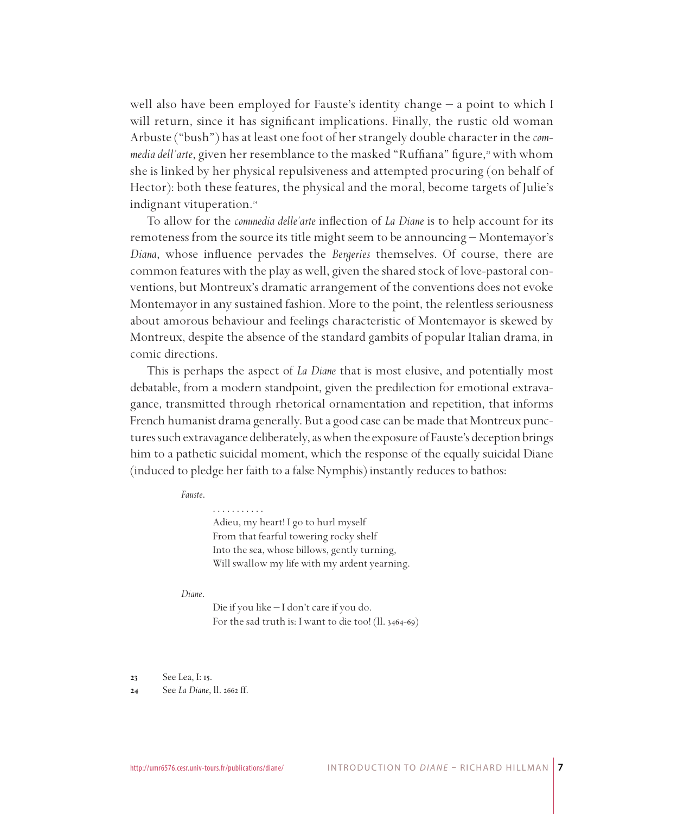well also have been employed for Fauste's identity change – a point to which I will return, since it has significant implications. Finally, the rustic old woman Arbuste ("bush") has at least one foot of her strangely double character in the *com*media dell'arte, given her resemblance to the masked "Ruffiana" figure,<sup>3</sup> with whom she is linked by her physical repulsiveness and attempted procuring (on behalf of Hector): both these features, the physical and the moral, become targets of Julie's indignant vituperation.

To allow for the *commedia delle'arte* inflection of *La Diane* is to help account for its remoteness from the source its title might seem to be announcing – Montemayor's *Diana*, whose influence pervades the *Bergeries* themselves. Of course, there are common features with the play as well, given the shared stock of love-pastoral conventions, but Montreux's dramatic arrangement of the conventions does not evoke Montemayor in any sustained fashion. More to the point, the relentless seriousness about amorous behaviour and feelings characteristic of Montemayor is skewed by Montreux, despite the absence of the standard gambits of popular Italian drama, in comic directions.

This is perhaps the aspect of *La Diane* that is most elusive, and potentially most debatable, from a modern standpoint, given the predilection for emotional extravagance, transmitted through rhetorical ornamentation and repetition, that informs French humanist drama generally. But a good case can be made that Montreux punctures such extravagance deliberately, as when the exposure of Fauste's deception brings him to a pathetic suicidal moment, which the response of the equally suicidal Diane (induced to pledge her faith to a false Nymphis) instantly reduces to bathos:

#### *Fauste*.

. . . . . . . . . . . Adieu, my heart! I go to hurl myself From that fearful towering rocky shelf Into the sea, whose billows, gently turning, Will swallow my life with my ardent yearning.

#### *Diane*.

Die if you like – I don't care if you do. For the sad truth is: I want to die too! (ll. 3464-69)

 See Lea, I: 15.

 See *La Diane*, ll. 2662 ff.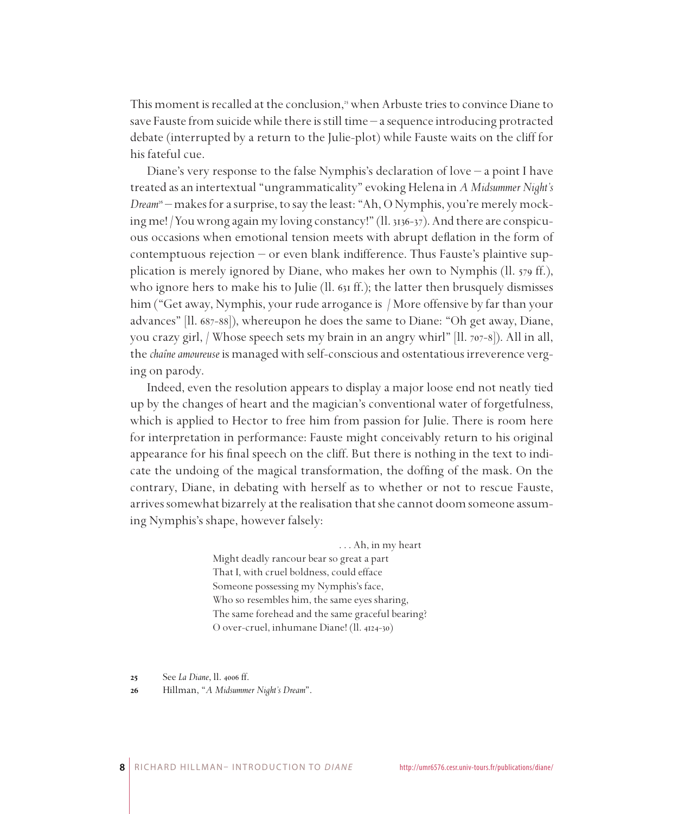This moment is recalled at the conclusion,<sup>35</sup> when Arbuste tries to convince Diane to save Fauste from suicide while there is still time – a sequence introducing protracted debate (interrupted by a return to the Julie-plot) while Fauste waits on the cliff for his fateful cue.

Diane's very response to the false Nymphis's declaration of love – a point I have treated as an intertextual "ungrammaticality" evoking Helena in *A Midsummer Night's Dream* – makes for a surprise, to say the least: "Ah, O Nymphis, you're merely mocking me! /You wrong again my loving constancy!" (ll. 3136-37). And there are conspicuous occasions when emotional tension meets with abrupt deflation in the form of contemptuous rejection – or even blank indifference. Thus Fauste's plaintive supplication is merely ignored by Diane, who makes her own to Nymphis (ll. 579 ff.), who ignore hers to make his to Julie (II.  $631$  ff.); the latter then brusquely dismisses him ("Get away, Nymphis, your rude arrogance is / More offensive by far than your advances" [ll. 687-88]), whereupon he does the same to Diane: "Oh get away, Diane, you crazy girl, / Whose speech sets my brain in an angry whirl" [ll. 707-8]). All in all, the *chaîne amoureuse* is managed with self-conscious and ostentatious irreverence verging on parody.

Indeed, even the resolution appears to display a major loose end not neatly tied up by the changes of heart and the magician's conventional water of forgetfulness, which is applied to Hector to free him from passion for Julie. There is room here for interpretation in performance: Fauste might conceivably return to his original appearance for his final speech on the cliff. But there is nothing in the text to indicate the undoing of the magical transformation, the doffing of the mask. On the contrary, Diane, in debating with herself as to whether or not to rescue Fauste, arrives somewhat bizarrely at the realisation that she cannot doom someone assuming Nymphis's shape, however falsely:

#### . . . Ah, in my heart

Might deadly rancour bear so great a part That I, with cruel boldness, could efface Someone possessing my Nymphis's face, Who so resembles him, the same eyes sharing, The same forehead and the same graceful bearing? O over-cruel, inhumane Diane! (ll. 4124-30)

 See *La Diane*, ll. 4006 ff.

 Hillman, "*A Midsummer Night's Dream*".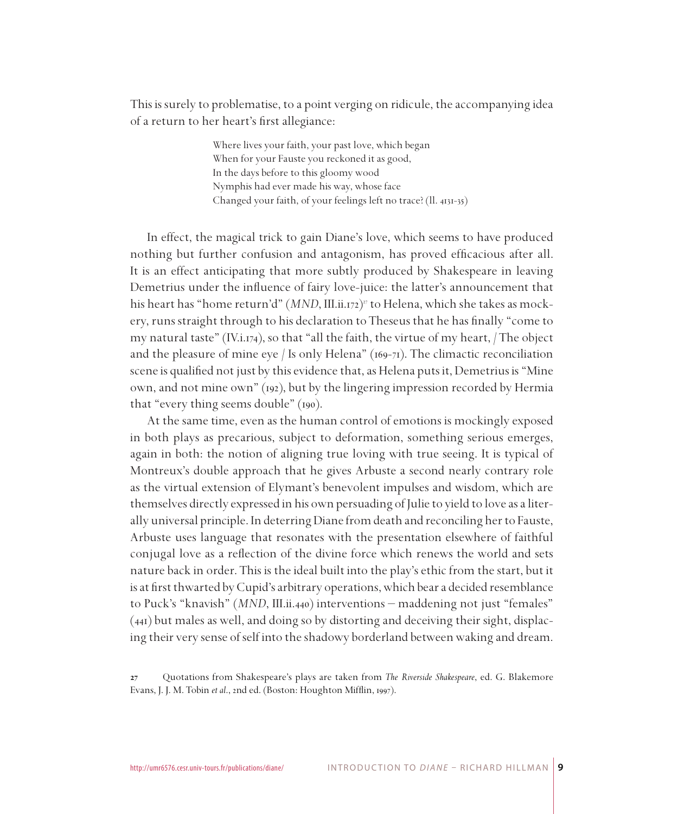This is surely to problematise, to a point verging on ridicule, the accompanying idea of a return to her heart's first allegiance:

> Where lives your faith, your past love, which began When for your Fauste you reckoned it as good, In the days before to this gloomy wood Nymphis had ever made his way, whose face Changed your faith, of your feelings left no trace? (ll. 4131-35)

In effect, the magical trick to gain Diane's love, which seems to have produced nothing but further confusion and antagonism, has proved efficacious after all. It is an effect anticipating that more subtly produced by Shakespeare in leaving Demetrius under the influence of fairy love-juice: the latter's announcement that his heart has "home return'd" (*MND*, III.ii.172) to Helena, which she takes as mockery, runs straight through to his declaration to Theseus that he has finally "come to my natural taste" (IV.i.174), so that "all the faith, the virtue of my heart,  $/$  The object and the pleasure of mine eye / Is only Helena"  $(169-71)$ . The climactic reconciliation scene is qualified not just by this evidence that, as Helena puts it, Demetrius is "Mine own, and not mine own" (192), but by the lingering impression recorded by Hermia that "every thing seems double" (190).

At the same time, even as the human control of emotions is mockingly exposed in both plays as precarious, subject to deformation, something serious emerges, again in both: the notion of aligning true loving with true seeing. It is typical of Montreux's double approach that he gives Arbuste a second nearly contrary role as the virtual extension of Elymant's benevolent impulses and wisdom, which are themselves directly expressed in his own persuading of Julie to yield to love as a literally universal principle. In deterring Diane from death and reconciling her to Fauste, Arbuste uses language that resonates with the presentation elsewhere of faithful conjugal love as a reflection of the divine force which renews the world and sets nature back in order. This is the ideal built into the play's ethic from the start, but it is at first thwarted by Cupid's arbitrary operations, which bear a decided resemblance to Puck's "knavish" (*MND*, III.ii.440) interventions – maddening not just "females" (441) but males as well, and doing so by distorting and deceiving their sight, displacing their very sense of self into the shadowy borderland between waking and dream.

 Quotations from Shakespeare's plays are taken from *The Riverside Shakespeare*, ed. G. Blakemore Evans, J. J. M. Tobin *et al*., 2nd ed. (Boston: Houghton Mifflin, 1997).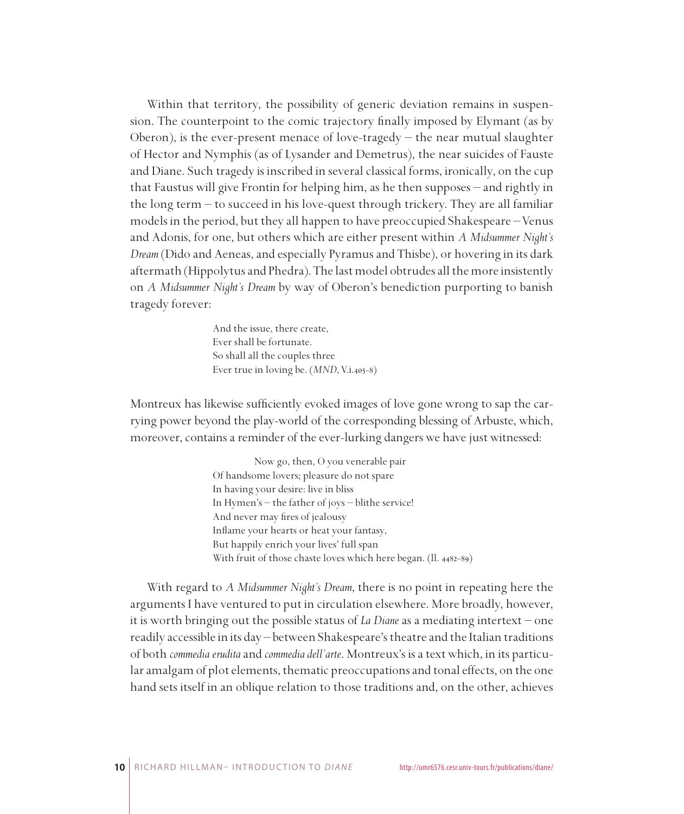Within that territory, the possibility of generic deviation remains in suspension. The counterpoint to the comic trajectory finally imposed by Elymant (as by Oberon), is the ever-present menace of love-tragedy  $-$  the near mutual slaughter of Hector and Nymphis (as of Lysander and Demetrus), the near suicides of Fauste and Diane. Such tragedy is inscribed in several classical forms, ironically, on the cup that Faustus will give Frontin for helping him, as he then supposes – and rightly in the long term – to succeed in his love-quest through trickery. They are all familiar models in the period, but they all happen to have preoccupied Shakespeare – Venus and Adonis, for one, but others which are either present within *A Midsummer Night's Dream* (Dido and Aeneas, and especially Pyramus and Thisbe), or hovering in its dark aftermath (Hippolytus and Phedra). The last model obtrudes all the more insistently on *A Midsummer Night's Dream* by way of Oberon's benediction purporting to banish tragedy forever:

> And the issue, there create, Ever shall be fortunate. So shall all the couples three Ever true in loving be. (*MND*, V.i.405-8)

Montreux has likewise sufficiently evoked images of love gone wrong to sap the carrying power beyond the play-world of the corresponding blessing of Arbuste, which, moreover, contains a reminder of the ever-lurking dangers we have just witnessed:

> Now go, then, O you venerable pair Of handsome lovers; pleasure do not spare In having your desire: live in bliss In Hymen's – the father of joys – blithe service! And never may fires of jealousy Inflame your hearts or heat your fantasy, But happily enrich your lives' full span With fruit of those chaste loves which here began. (ll. 4482-89)

With regard to *A Midsummer Night's Dream*, there is no point in repeating here the arguments I have ventured to put in circulation elsewhere. More broadly, however, it is worth bringing out the possible status of *La Diane* as a mediating intertext – one readily accessible in its day – between Shakespeare's theatre and the Italian traditions of both *commedia erudita* and *commedia dell'arte*. Montreux's is a text which, in its particular amalgam of plot elements, thematic preoccupations and tonal effects, on the one hand sets itself in an oblique relation to those traditions and, on the other, achieves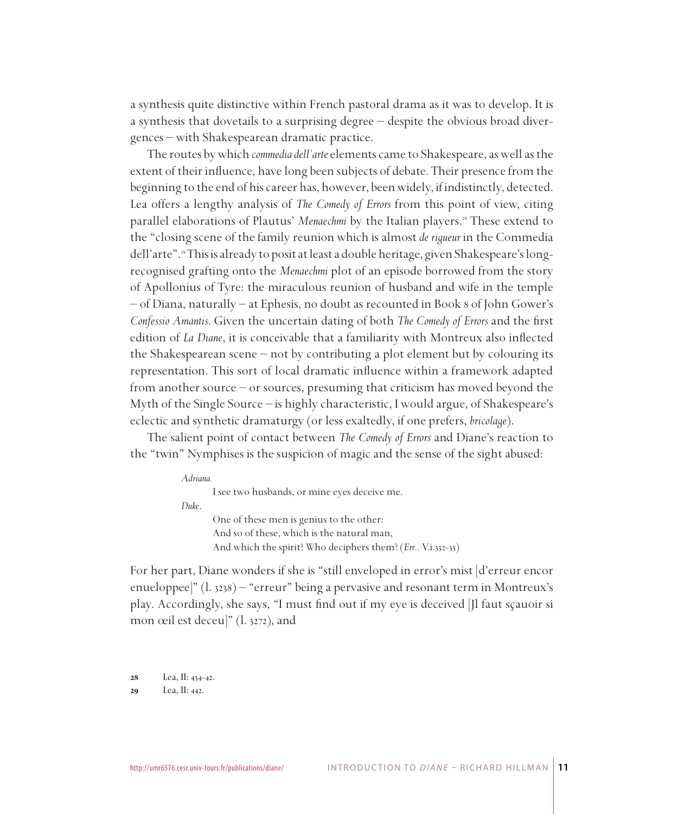a synthesis quite distinctive within French pastoral drama as it was to develop. It is a synthesis that dovetails to a surprising degree – despite the obvious broad divergences – with Shakespearean dramatic practice.

The routes by which *commedia dell'arte* elements came to Shakespeare, as well as the extent of their influence, have long been subjects of debate. Their presence from the beginning to the end of his career has, however, been widely, if indistinctly, detected. Lea offers a lengthy analysis of *The Comedy of Errors* from this point of view, citing parallel elaborations of Plautus' Menaechmi by the Italian players.<sup>28</sup> These extend to the "closing scene of the family reunion which is almost *de rigueur* in the Commedia dell'arte". This is already to posit at least a double heritage, given Shakespeare's longrecognised grafting onto the *Menaechmi* plot of an episode borrowed from the story of Apollonius of Tyre: the miraculous reunion of husband and wife in the temple – of Diana, naturally – at Ephesis, no doubt as recounted in Book 8 of John Gower's *Confessio Amantis*. Given the uncertain dating of both *The Comedy of Errors* and the first edition of *La Diane*, it is conceivable that a familiarity with Montreux also inflected the Shakespearean scene – not by contributing a plot element but by colouring its representation. This sort of local dramatic influence within a framework adapted from another source – or sources, presuming that criticism has moved beyond the Myth of the Single Source – is highly characteristic, I would argue, of Shakespeare's eclectic and synthetic dramaturgy (or less exaltedly, if one prefers, *bricolage*).

The salient point of contact between *The Comedy of Errors* and Diane's reaction to the "twin" Nymphises is the suspicion of magic and the sense of the sight abused:

| Adriana. |                                                              |
|----------|--------------------------------------------------------------|
|          | I see two husbands, or mine eyes deceive me.                 |
| Duke.    |                                                              |
|          | One of these men is genius to the other:                     |
|          | And so of these, which is the natural man,                   |
|          | And which the spirit? Who deciphers them? (Err., V.i.332-35) |

For her part, Diane wonders if she is "still enveloped in error's mist [d'erreur encor enueloppee]" (l. 3238) – "erreur" being a pervasive and resonant term in Montreux's play. Accordingly, she says, "I must find out if my eye is deceived [Jl faut sçauoir si mon œil est deceu]" (l. 3272), and

 Lea, II: 442.

 Lea, II: 434-42.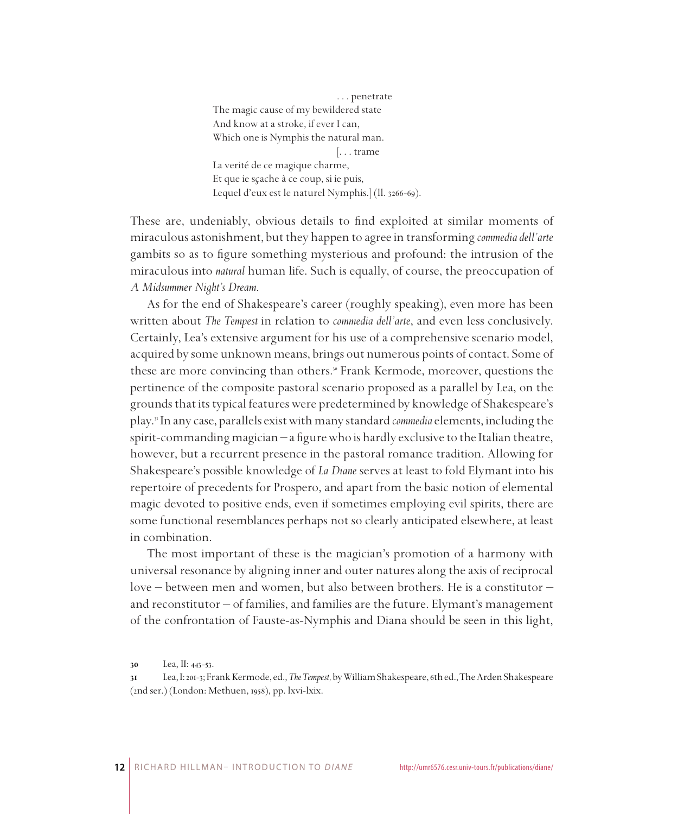. . . penetrate The magic cause of my bewildered state And know at a stroke, if ever I can, Which one is Nymphis the natural man. [. . . trame La verité de ce magique charme, Et que ie sçache à ce coup, si ie puis, Lequel d'eux est le naturel Nymphis.] (ll. 3266-69).

These are, undeniably, obvious details to find exploited at similar moments of miraculous astonishment, but they happen to agree in transforming *commedia dell'arte* gambits so as to figure something mysterious and profound: the intrusion of the miraculous into *natural* human life. Such is equally, of course, the preoccupation of *A Midsummer Night's Dream*.

As for the end of Shakespeare's career (roughly speaking), even more has been written about *The Tempest* in relation to *commedia dell'arte*, and even less conclusively. Certainly, Lea's extensive argument for his use of a comprehensive scenario model, acquired by some unknown means, brings out numerous points of contact. Some of these are more convincing than others.<sup>8</sup> Frank Kermode, moreover, questions the pertinence of the composite pastoral scenario proposed as a parallel by Lea, on the grounds that its typical features were predetermined by knowledge of Shakespeare's play. In any case, parallels exist with many standard *commedia* elements, including the spirit-commanding magician – a figure who is hardly exclusive to the Italian theatre, however, but a recurrent presence in the pastoral romance tradition. Allowing for Shakespeare's possible knowledge of *La Diane* serves at least to fold Elymant into his repertoire of precedents for Prospero, and apart from the basic notion of elemental magic devoted to positive ends, even if sometimes employing evil spirits, there are some functional resemblances perhaps not so clearly anticipated elsewhere, at least in combination.

The most important of these is the magician's promotion of a harmony with universal resonance by aligning inner and outer natures along the axis of reciprocal love – between men and women, but also between brothers. He is a constitutor – and reconstitutor – of families, and families are the future. Elymant's management of the confrontation of Fauste-as-Nymphis and Diana should be seen in this light,

Lea, II: 443-53.

Lea, I: 201-3; Frank Kermode, ed., *The Tempest,* by William Shakespeare, 6th ed., The Arden Shakespeare (2nd ser.) (London: Methuen, 1958), pp. lxvi-lxix.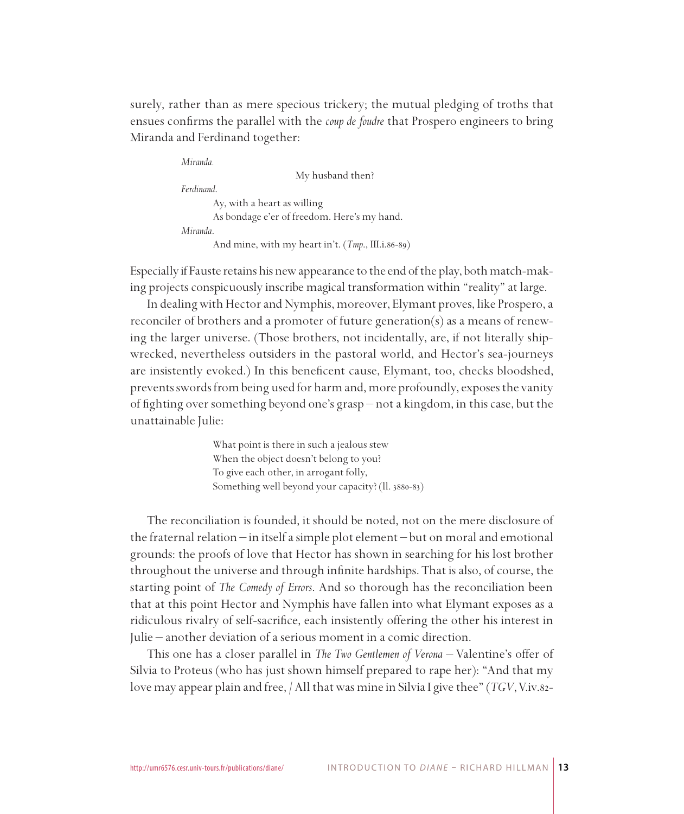surely, rather than as mere specious trickery; the mutual pledging of troths that ensues confirms the parallel with the *coup de foudre* that Prospero engineers to bring Miranda and Ferdinand together:

*Miranda.* My husband then? *Ferdinand*. Ay, with a heart as willing As bondage e'er of freedom. Here's my hand. *Miranda*. And mine, with my heart in't. (*Tmp*., III.i.86-89)

Especially if Fauste retains his new appearance to the end of the play, both match-making projects conspicuously inscribe magical transformation within "reality" at large.

In dealing with Hector and Nymphis, moreover, Elymant proves, like Prospero, a reconciler of brothers and a promoter of future generation(s) as a means of renewing the larger universe. (Those brothers, not incidentally, are, if not literally shipwrecked, nevertheless outsiders in the pastoral world, and Hector's sea-journeys are insistently evoked.) In this beneficent cause, Elymant, too, checks bloodshed, prevents swords from being used for harm and, more profoundly, exposes the vanity of fighting over something beyond one's grasp – not a kingdom, in this case, but the unattainable Julie:

> What point is there in such a jealous stew When the object doesn't belong to you? To give each other, in arrogant folly, Something well beyond your capacity? (ll. 3880-83)

The reconciliation is founded, it should be noted, not on the mere disclosure of the fraternal relation – in itself a simple plot element – but on moral and emotional grounds: the proofs of love that Hector has shown in searching for his lost brother throughout the universe and through infinite hardships. That is also, of course, the starting point of *The Comedy of Errors*. And so thorough has the reconciliation been that at this point Hector and Nymphis have fallen into what Elymant exposes as a ridiculous rivalry of self-sacrifice, each insistently offering the other his interest in Julie – another deviation of a serious moment in a comic direction.

This one has a closer parallel in *The Two Gentlemen of Verona* – Valentine's offer of Silvia to Proteus (who has just shown himself prepared to rape her): "And that my love may appear plain and free, / All that was mine in Silvia I give thee" (*TGV*, V.iv.82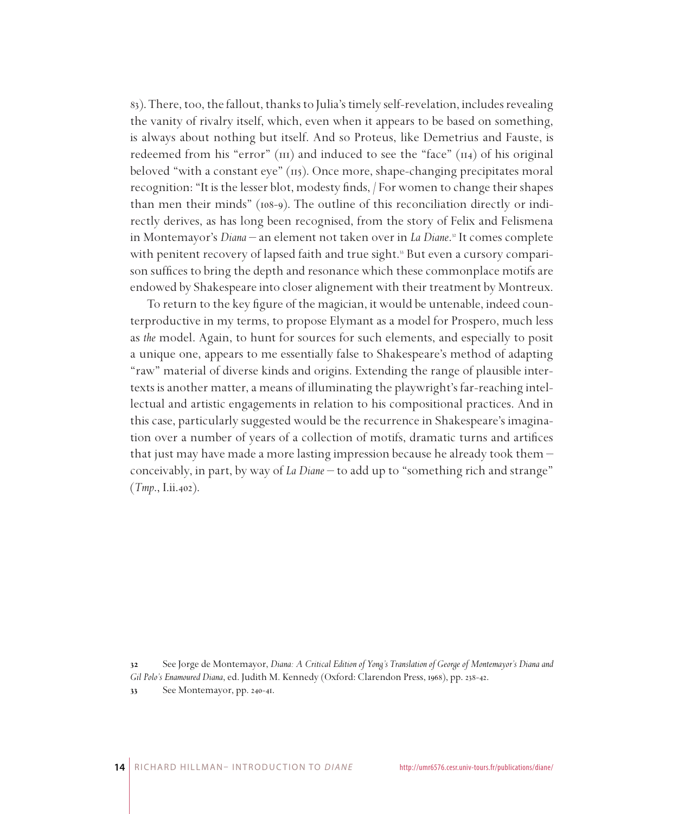83). There, too, the fallout, thanks to Julia's timely self-revelation, includes revealing the vanity of rivalry itself, which, even when it appears to be based on something, is always about nothing but itself. And so Proteus, like Demetrius and Fauste, is redeemed from his "error" ( $\overline{111}$ ) and induced to see the "face" ( $\overline{114}$ ) of his original beloved "with a constant eye" (115). Once more, shape-changing precipitates moral recognition: "It is the lesser blot, modesty finds, / For women to change their shapes than men their minds" (108-9). The outline of this reconciliation directly or indirectly derives, as has long been recognised, from the story of Felix and Felismena in Montemayor's *Diana* – an element not taken over in *La Diane*.<sup>32</sup> It comes complete with penitent recovery of lapsed faith and true sight.<sup>38</sup> But even a cursory comparison suffices to bring the depth and resonance which these commonplace motifs are endowed by Shakespeare into closer alignement with their treatment by Montreux.

To return to the key figure of the magician, it would be untenable, indeed counterproductive in my terms, to propose Elymant as a model for Prospero, much less as *the* model. Again, to hunt for sources for such elements, and especially to posit a unique one, appears to me essentially false to Shakespeare's method of adapting "raw" material of diverse kinds and origins. Extending the range of plausible intertexts is another matter, a means of illuminating the playwright's far-reaching intellectual and artistic engagements in relation to his compositional practices. And in this case, particularly suggested would be the recurrence in Shakespeare's imagination over a number of years of a collection of motifs, dramatic turns and artifices that just may have made a more lasting impression because he already took them – conceivably, in part, by way of *La Diane* – to add up to "something rich and strange" (*Tmp*., I.ii.402).

See Jorge de Montemayor, *Diana: A Critical Edition of Yong's Translation of George of Montemayor's Diana and* 

*Gil Polo's Enamoured Diana*, ed. Judith M. Kennedy (Oxford: Clarendon Press, 1968), pp. 238-42.

<sup>33</sup> See Montemayor, pp. 240-41.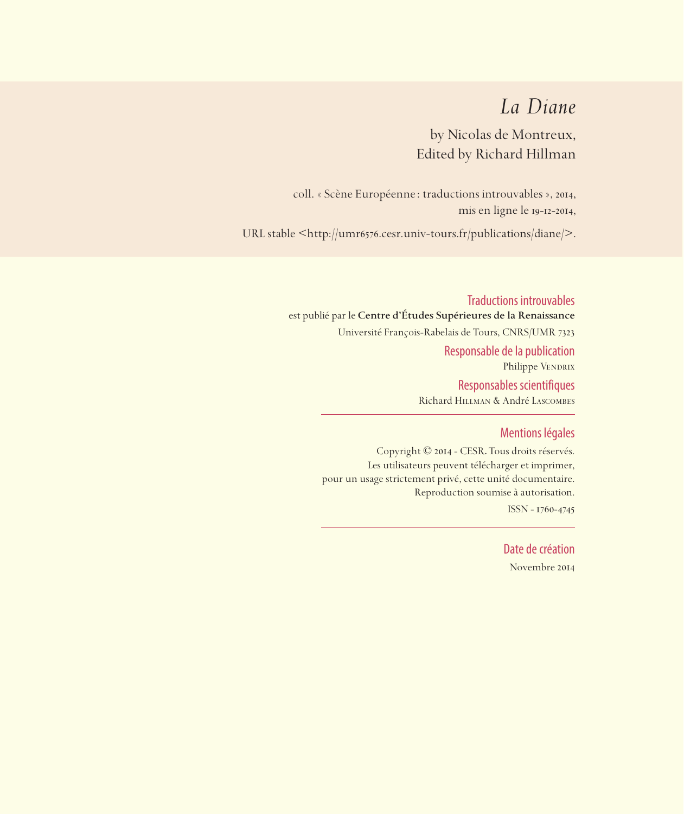## *La Diane*

by Nicolas de Montreux, Edited by Richard Hillman

coll. « Scène Européenne: traductions introuvables », 2014, mis en ligne le 19-12-2014,

URL stable <https://sceneeuropeenne.univ-tours.fr/traductions/diane>

Traductions introuvables est publié par le **Centre d'Études Supérieures de la Renaissance**  Université François-Rabelais de Tours, CNRS/UMR 7323 Responsable de la publication Philippe VENDRIX Responsables scientifiques Richard Hillman & André Lascombes

#### Mentions légales

Copyright © 2014 - CESR. Tous droits réservés. Les utilisateurs peuvent télécharger et imprimer, pour un usage strictement privé, cette unité documentaire. Reproduction soumise à autorisation. ISSN - 1760-4745

> Date de création Novembre 2014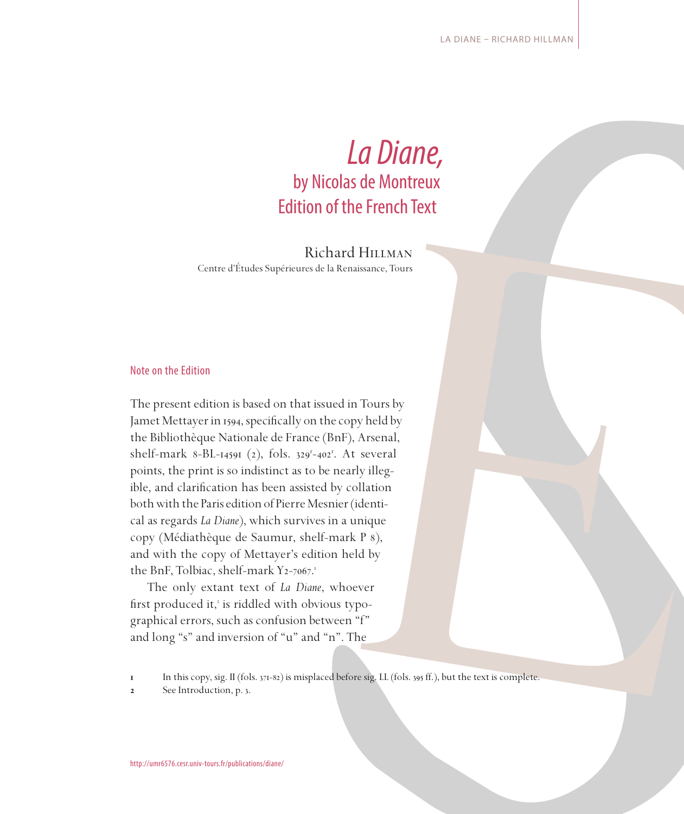# *La Diane,*  by Nicolas de Montreux Edition of the French Text

Richard Hillman Centre d'Études Supérieures de la Renaissance, Tours

#### Note on the Edition

The present edition is based on that issued in Tours by Jamet Mettayer in 1594, specifically on the copy held by the Bibliothèque Nationale de France (BnF), Arsenal, shelf-mark 8-BL-14591 (2), fols. 329<sup>r</sup>-402<sup>r</sup>. At several points, the print is so indistinct as to be nearly illegible, and clarification has been assisted by collation both with the Paris edition of Pierre Mesnier (identical as regards *La Diane*), which survives in a unique copy (Médiathèque de Saumur, shelf-mark P 8), and with the copy of Mettayer's edition held by the BnF, Tolbiac, shelf-mark Y2-7067.

The only extant text of *La Diane*, whoever first produced it,<sup>2</sup> is riddled with obvious typographical errors, such as confusion between "f" and long "s" and inversion of "u" and "n". The

**In this copy, sig. II (fols. 371-82) is misplaced before sig. LL (fols. 395 ff.), but the text is complete.** 

**2** See Introduction, p. 3.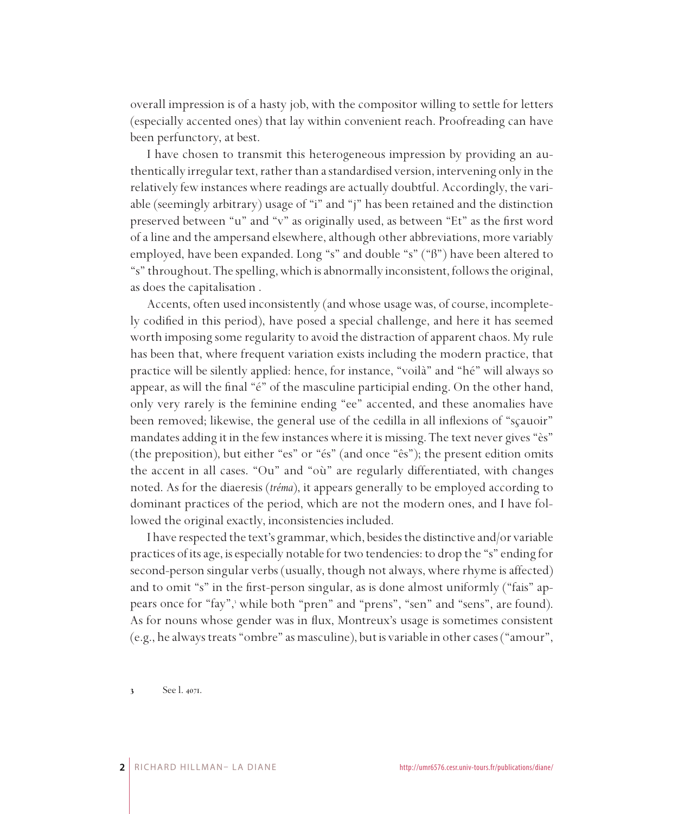overall impression is of a hasty job, with the compositor willing to settle for letters (especially accented ones) that lay within convenient reach. Proofreading can have been perfunctory, at best.

I have chosen to transmit this heterogeneous impression by providing an authentically irregular text, rather than a standardised version, intervening only in the relatively few instances where readings are actually doubtful. Accordingly, the variable (seemingly arbitrary) usage of "i" and "j" has been retained and the distinction preserved between "u" and "v" as originally used, as between "Et" as the first word of a line and the ampersand elsewhere, although other abbreviations, more variably employed, have been expanded. Long "s" and double "s" ("ß") have been altered to "s" throughout. The spelling, which is abnormally inconsistent, follows the original, as does the capitalisation .

Accents, often used inconsistently (and whose usage was, of course, incompletely codified in this period), have posed a special challenge, and here it has seemed worth imposing some regularity to avoid the distraction of apparent chaos. My rule has been that, where frequent variation exists including the modern practice, that practice will be silently applied: hence, for instance, "voilà" and "hé" will always so appear, as will the final "é" of the masculine participial ending. On the other hand, only very rarely is the feminine ending "ee" accented, and these anomalies have been removed; likewise, the general use of the cedilla in all inflexions of "sçauoir" mandates adding it in the few instances where it is missing. The text never gives "ès" (the preposition), but either "es" or "és" (and once "ês"); the present edition omits the accent in all cases. "Ou" and "où" are regularly differentiated, with changes noted. As for the diaeresis (*tréma*), it appears generally to be employed according to dominant practices of the period, which are not the modern ones, and I have followed the original exactly, inconsistencies included.

I have respected the text's grammar, which, besides the distinctive and/or variable practices of its age, is especially notable for two tendencies: to drop the "s" ending for second-person singular verbs (usually, though not always, where rhyme is affected) and to omit "s" in the first-person singular, as is done almost uniformly ("fais" appears once for "fay", while both "pren" and "prens", "sen" and "sens", are found). As for nouns whose gender was in flux, Montreux's usage is sometimes consistent (e.g., he always treats "ombre" as masculine), but is variable in other cases ("amour",

 See l. 4071.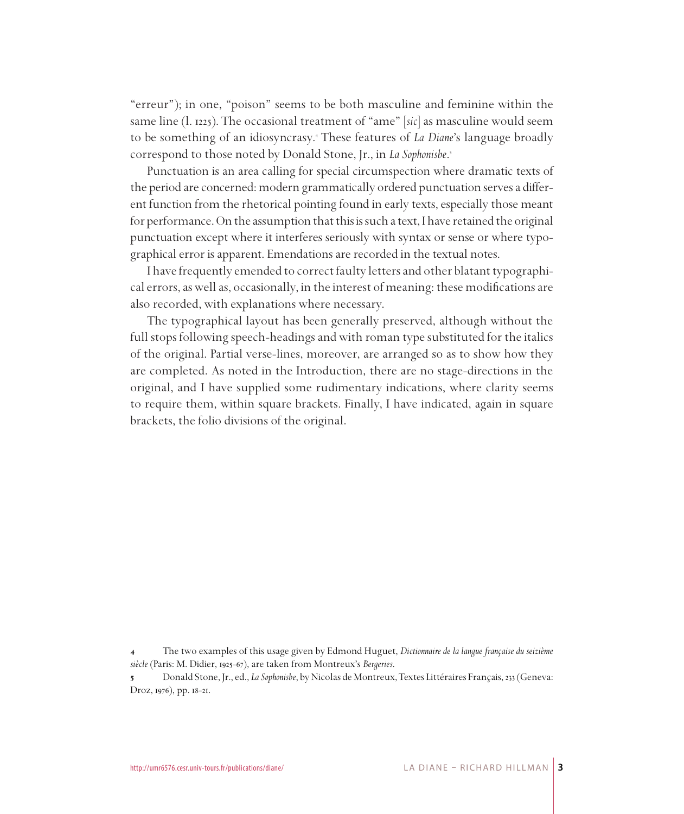"erreur"); in one, "poison" seems to be both masculine and feminine within the same line (l. 1225). The occasional treatment of "ame" [*sic*] as masculine would seem to be something of an idiosyncrasy. These features of *La Diane*'s language broadly correspond to those noted by Donald Stone, Jr., in *La Sophonisbe*.

Punctuation is an area calling for special circumspection where dramatic texts of the period are concerned: modern grammatically ordered punctuation serves a different function from the rhetorical pointing found in early texts, especially those meant for performance. On the assumption that this is such a text, I have retained the original punctuation except where it interferes seriously with syntax or sense or where typographical error is apparent. Emendations are recorded in the textual notes.

I have frequently emended to correct faulty letters and other blatant typographical errors, as well as, occasionally, in the interest of meaning: these modifications are also recorded, with explanations where necessary.

The typographical layout has been generally preserved, although without the full stops following speech-headings and with roman type substituted for the italics of the original. Partial verse-lines, moreover, are arranged so as to show how they are completed. As noted in the Introduction, there are no stage-directions in the original, and I have supplied some rudimentary indications, where clarity seems to require them, within square brackets. Finally, I have indicated, again in square brackets, the folio divisions of the original.

 The two examples of this usage given by Edmond Huguet, *Dictionnaire de la langue française du seizième siècle* (Paris: M. Didier, 1925-67), are taken from Montreux's *Bergeries*.

 Donald Stone, Jr., ed., *La Sophonisbe*, by Nicolas de Montreux, Textes Littéraires Français, 233 (Geneva: Droz, 1976), pp. 18-21.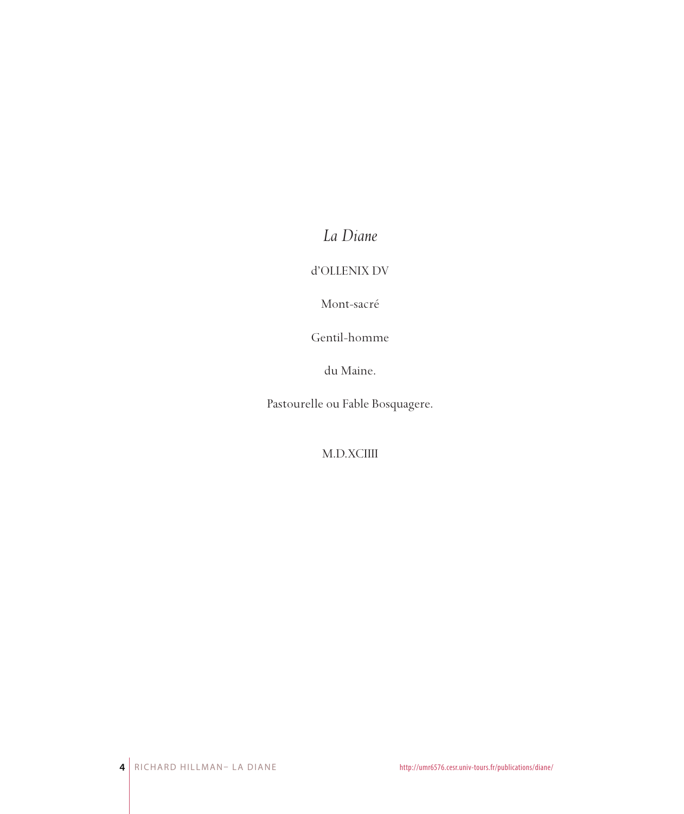*La Diane*

d'OLLENIX DV

Mont-sacré

Gentil-homme

du Maine.

Pastourelle ou Fable Bosquagere.

M.D.XCIIII

**4** RICHARD HILLMAN– LA DIANE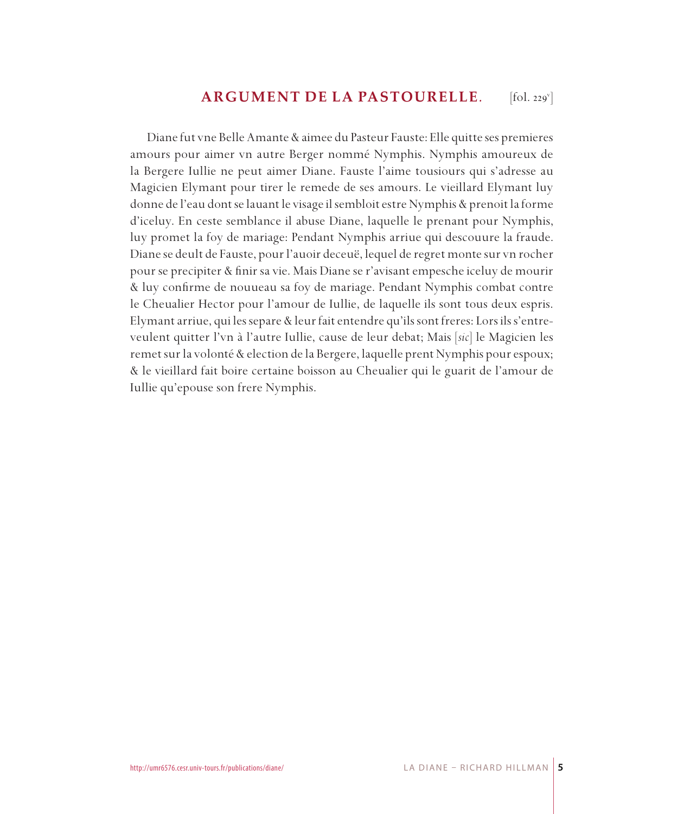#### **ARGUMENT DE LA PASTOURELLE***.*  $[$ fol. 229 $^{\mathrm{v}}$

Diane fut vne Belle Amante & aimee du Pasteur Fauste: Elle quitte ses premieres amours pour aimer vn autre Berger nommé Nymphis. Nymphis amoureux de la Bergere Iullie ne peut aimer Diane. Fauste l'aime tousiours qui s'adresse au Magicien Elymant pour tirer le remede de ses amours. Le vieillard Elymant luy donne de l'eau dont se lauant le visage il sembloit estre Nymphis & prenoit la forme d'iceluy. En ceste semblance il abuse Diane, laquelle le prenant pour Nymphis, luy promet la foy de mariage: Pendant Nymphis arriue qui descouure la fraude. Diane se deult de Fauste, pour l'auoir deceuë, lequel de regret monte sur vn rocher pour se precipiter & finir sa vie. Mais Diane se r'avisant empesche iceluy de mourir & luy confirme de nouueau sa foy de mariage. Pendant Nymphis combat contre le Cheualier Hector pour l'amour de Iullie, de laquelle ils sont tous deux espris. Elymant arriue, qui les separe & leur fait entendre qu'ils sont freres: Lors ils s'entreveulent quitter l'vn à l'autre Iullie, cause de leur debat; Mais [*sic*] le Magicien les remet sur la volonté & election de la Bergere, laquelle prent Nymphis pour espoux; & le vieillard fait boire certaine boisson au Cheualier qui le guarit de l'amour de Iullie qu'epouse son frere Nymphis.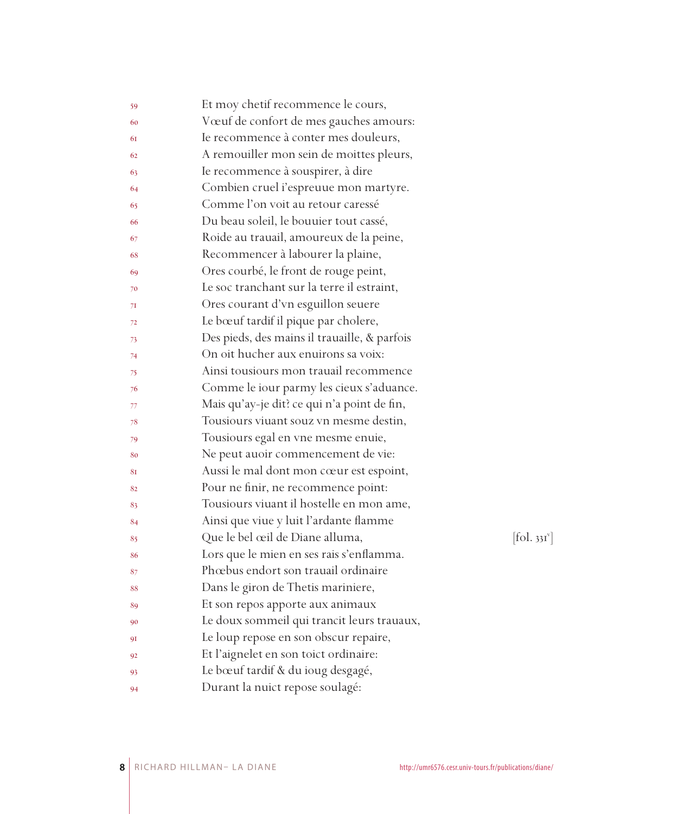| 59 | Et moy chetif recommence le cours,           |                        |
|----|----------------------------------------------|------------------------|
| 60 | Vœuf de confort de mes gauches amours:       |                        |
| 61 | Ie recommence à conter mes douleurs,         |                        |
| 62 | A remouiller mon sein de moittes pleurs,     |                        |
| 63 | Ie recommence à souspirer, à dire            |                        |
| 64 | Combien cruel i'espreuue mon martyre.        |                        |
| 65 | Comme l'on voit au retour caressé            |                        |
| 66 | Du beau soleil, le bouuier tout cassé,       |                        |
| 67 | Roide au trauail, amoureux de la peine,      |                        |
| 68 | Recommencer à labourer la plaine,            |                        |
| 69 | Ores courbé, le front de rouge peint,        |                        |
| 70 | Le soc tranchant sur la terre il estraint,   |                        |
| 71 | Ores courant d'vn esguillon seuere           |                        |
| 72 | Le bœuf tardif il pique par cholere,         |                        |
| 73 | Des pieds, des mains il trauaille, & parfois |                        |
| 74 | On oit hucher aux enuirons sa voix:          |                        |
| 75 | Ainsi tousiours mon trauail recommence       |                        |
| 76 | Comme le iour parmy les cieux s'aduance.     |                        |
| 77 | Mais qu'ay-je dit? ce qui n'a point de fin,  |                        |
| 78 | Tousiours viuant souz vn mesme destin,       |                        |
| 79 | Tousiours egal en vne mesme enuie,           |                        |
| 80 | Ne peut auoir commencement de vie:           |                        |
| 81 | Aussi le mal dont mon cœur est espoint,      |                        |
| 82 | Pour ne finir, ne recommence point:          |                        |
| 83 | Tousiours viuant il hostelle en mon ame,     |                        |
| 84 | Ainsi que viue y luit l'ardante flamme       |                        |
| 85 | Que le bel œil de Diane alluma,              | $[\text{fol. } 33I^v]$ |
| 86 | Lors que le mien en ses rais s'enflamma.     |                        |
| 87 | Phœbus endort son trauail ordinaire          |                        |
| 88 | Dans le giron de Thetis mariniere,           |                        |
| 89 | Et son repos apporte aux animaux             |                        |
| 90 | Le doux sommeil qui trancit leurs trauaux,   |                        |
| 91 | Le loup repose en son obscur repaire,        |                        |
| 92 | Et l'aignelet en son toict ordinaire:        |                        |
| 93 | Le bœuf tardif & du ioug desgagé,            |                        |
| 94 | Durant la nuict repose soulagé:              |                        |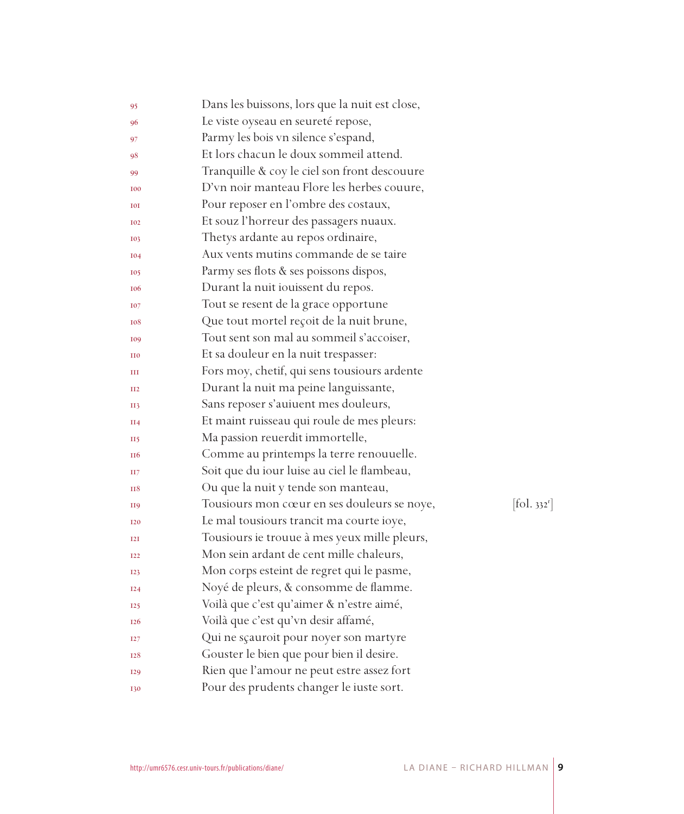| 95              | Dans les buissons, lors que la nuit est close, |                        |
|-----------------|------------------------------------------------|------------------------|
| 96              | Le viste oyseau en seureté repose,             |                        |
| 97              | Parmy les bois vn silence s'espand,            |                        |
| 98              | Et lors chacun le doux sommeil attend.         |                        |
| 99              | Tranquille & coy le ciel son front descouure   |                        |
| <b>I00</b>      | D'vn noir manteau Flore les herbes couure,     |                        |
| IOI             | Pour reposer en l'ombre des costaux,           |                        |
| <b>I02</b>      | Et souz l'horreur des passagers nuaux.         |                        |
| <b>I03</b>      | Thetys ardante au repos ordinaire,             |                        |
| <b>I04</b>      | Aux vents mutins commande de se taire          |                        |
| <b>I05</b>      | Parmy ses flots & ses poissons dispos,         |                        |
| <b>106</b>      | Durant la nuit iouissent du repos.             |                        |
| <b>TO7</b>      | Tout se resent de la grace opportune           |                        |
| 108             | Que tout mortel reçoit de la nuit brune,       |                        |
| <b>109</b>      | Tout sent son mal au sommeil s'accoiser,       |                        |
| II <sub>0</sub> | Et sa douleur en la nuit trespasser:           |                        |
| Ш               | Fors moy, chetif, qui sens tousiours ardente   |                        |
| II2             | Durant la nuit ma peine languissante,          |                        |
| <b>II3</b>      | Sans reposer s'auiuent mes douleurs,           |                        |
| H <sub>4</sub>  | Et maint ruisseau qui roule de mes pleurs:     |                        |
| $_{\rm II5}$    | Ma passion reuerdit immortelle,                |                        |
| <b>TI6</b>      | Comme au printemps la terre renouuelle.        |                        |
| H 7             | Soit que du iour luise au ciel le flambeau,    |                        |
| <b>H8</b>       | Ou que la nuit y tende son manteau,            |                        |
| <b>H9</b>       | Tousiours mon cœur en ses douleurs se noye,    | $[\text{fol. } 332^r]$ |
| <b>I20</b>      | Le mal tousiours trancit ma courte ioye,       |                        |
| T2T             | Tousiours ie trouue à mes yeux mille pleurs,   |                        |
| I22             | Mon sein ardant de cent mille chaleurs,        |                        |
| I23             | Mon corps esteint de regret qui le pasme,      |                        |
| I24             | Noyé de pleurs, & consomme de flamme.          |                        |
| 125             | Voilà que c'est qu'aimer & n'estre aimé,       |                        |
| I <sub>26</sub> | Voilà que c'est qu'vn desir affamé,            |                        |
| <b>I27</b>      | Qui ne sçauroit pour noyer son martyre         |                        |
| 128             | Gouster le bien que pour bien il desire.       |                        |
| <b>I29</b>      | Rien que l'amour ne peut estre assez fort      |                        |
| <b>I30</b>      | Pour des prudents changer le iuste sort.       |                        |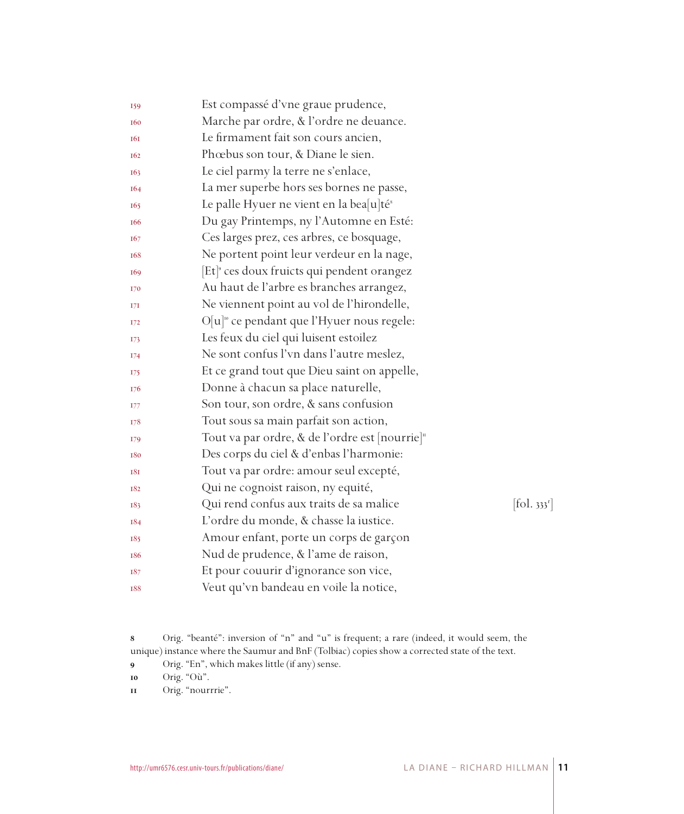| 159             | Est compassé d'vne graue prudence,                         |                      |
|-----------------|------------------------------------------------------------|----------------------|
| <b>160</b>      | Marche par ordre, & l'ordre ne deuance.                    |                      |
| <b>161</b>      | Le firmament fait son cours ancien,                        |                      |
| 162             | Phœbus son tour, & Diane le sien.                          |                      |
| 163             | Le ciel parmy la terre ne s'enlace,                        |                      |
| 164             | La mer superbe hors ses bornes ne passe,                   |                      |
| I <sub>65</sub> | Le palle Hyuer ne vient en la bea[u]té <sup>s</sup>        |                      |
| I <sub>66</sub> | Du gay Printemps, ny l'Automne en Esté:                    |                      |
| 167             | Ces larges prez, ces arbres, ce bosquage,                  |                      |
| 168             | Ne portent point leur verdeur en la nage,                  |                      |
| 169             | Et <sup>®</sup> ces doux fruicts qui pendent orangez       |                      |
| 170             | Au haut de l'arbre es branches arrangez,                   |                      |
| 17I             | Ne viennent point au vol de l'hirondelle,                  |                      |
| <b>I72</b>      | O[u] <sup>10</sup> ce pendant que l'Hyuer nous regele:     |                      |
| 173             | Les feux du ciel qui luisent estoilez                      |                      |
| 174             | Ne sont confus l'vn dans l'autre meslez,                   |                      |
| 175             | Et ce grand tout que Dieu saint on appelle,                |                      |
| 176             | Donne à chacun sa place naturelle,                         |                      |
| 177             | Son tour, son ordre, & sans confusion                      |                      |
| 178             | Tout sous sa main parfait son action,                      |                      |
| 179             | Tout va par ordre, & de l'ordre est [nourrie] <sup>"</sup> |                      |
| 180             | Des corps du ciel & d'enbas l'harmonie:                    |                      |
| <b>181</b>      | Tout va par ordre: amour seul excepté,                     |                      |
| 182             | Qui ne cognoist raison, ny equité,                         |                      |
| 183             | Qui rend confus aux traits de sa malice                    | $[\text{fol. } 333]$ |
| 184             | L'ordre du monde, & chasse la iustice.                     |                      |
| 185             | Amour enfant, porte un corps de garçon                     |                      |
| 186             | Nud de prudence, & l'ame de raison,                        |                      |
| 187             | Et pour couurir d'ignorance son vice,                      |                      |
| 188             | Veut qu'vn bandeau en voile la notice,                     |                      |

 Orig. "beanté": inversion of "n" and "u" is frequent; a rare (indeed, it would seem, the unique) instance where the Saumur and BnF (Tolbiac) copies show a corrected state of the text.

Orig. "En", which makes little (if any) sense.

Orig. "nourrrie".

Orig. "Où".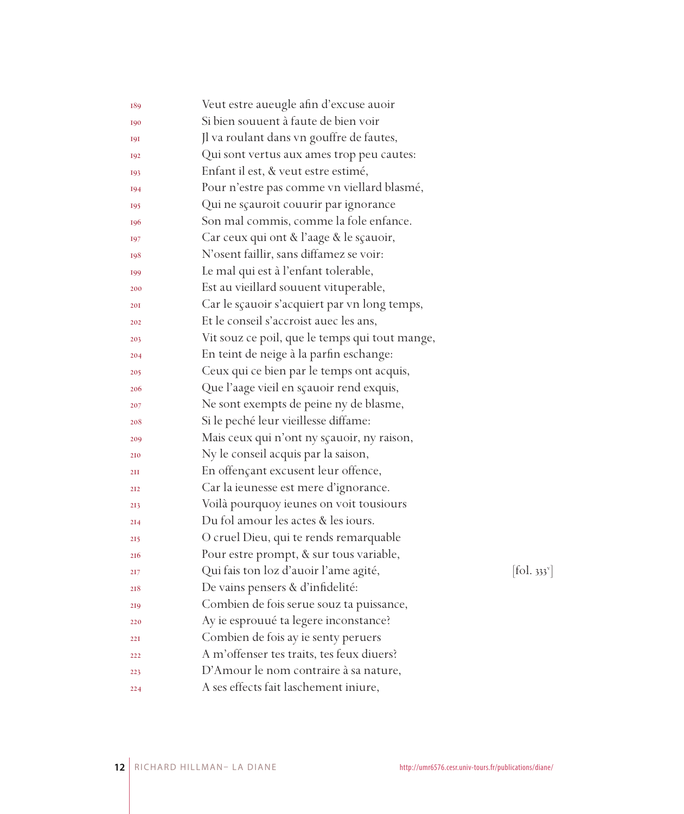| 189             | Veut estre aueugle afin d'excuse auoir         |            |
|-----------------|------------------------------------------------|------------|
| 190             | Si bien souuent à faute de bien voir           |            |
| <b>191</b>      | Jl va roulant dans vn gouffre de fautes,       |            |
| 192             | Qui sont vertus aux ames trop peu cautes:      |            |
| 193             | Enfant il est, & veut estre estimé,            |            |
| 194             | Pour n'estre pas comme vn viellard blasmé,     |            |
| 195             | Qui ne sçauroit couurir par ignorance          |            |
| 196             | Son mal commis, comme la fole enfance.         |            |
| 197             | Car ceux qui ont & l'aage & le sçauoir,        |            |
| 198             | N'osent faillir, sans diffamez se voir:        |            |
| 199             | Le mal qui est à l'enfant tolerable,           |            |
| 200             | Est au vieillard souuent vituperable,          |            |
| 201             | Car le sçauoir s'acquiert par vn long temps,   |            |
| 202             | Et le conseil s'accroist auec les ans,         |            |
| 203             | Vit souz ce poil, que le temps qui tout mange, |            |
| 204             | En teint de neige à la parfin eschange:        |            |
| 205             | Ceux qui ce bien par le temps ont acquis,      |            |
| 206             | Que l'aage vieil en sçauoir rend exquis,       |            |
| 207             | Ne sont exempts de peine ny de blasme,         |            |
| 208             | Si le peché leur vieillesse diffame:           |            |
| 209             | Mais ceux qui n'ont ny sçauoir, ny raison,     |            |
| 210             | Ny le conseil acquis par la saison,            |            |
| 2II             | En offençant excusent leur offence,            |            |
| 212             | Car la ieunesse est mere d'ignorance.          |            |
| 213             | Voilà pourquoy ieunes on voit tousiours        |            |
| 2I <sub>4</sub> | Du fol amour les actes & les iours.            |            |
| 215             | O cruel Dieu, qui te rends remarquable         |            |
| 216             | Pour estre prompt, & sur tous variable,        |            |
| 217             | Qui fais ton loz d'auoir l'ame agité,          | [fol. 333] |
| 218             | De vains pensers & d'infidelité:               |            |
| 219             | Combien de fois serue souz ta puissance,       |            |
| 220             | Ay ie esprouué ta legere inconstance?          |            |
| 221             | Combien de fois ay ie senty peruers            |            |
| 222             | A m'offenser tes traits, tes feux diuers?      |            |
| 223             | D'Amour le nom contraire à sa nature,          |            |
| 224             | A ses effects fait laschement iniure,          |            |

 $[\text{fol. } 333^{\circ}]$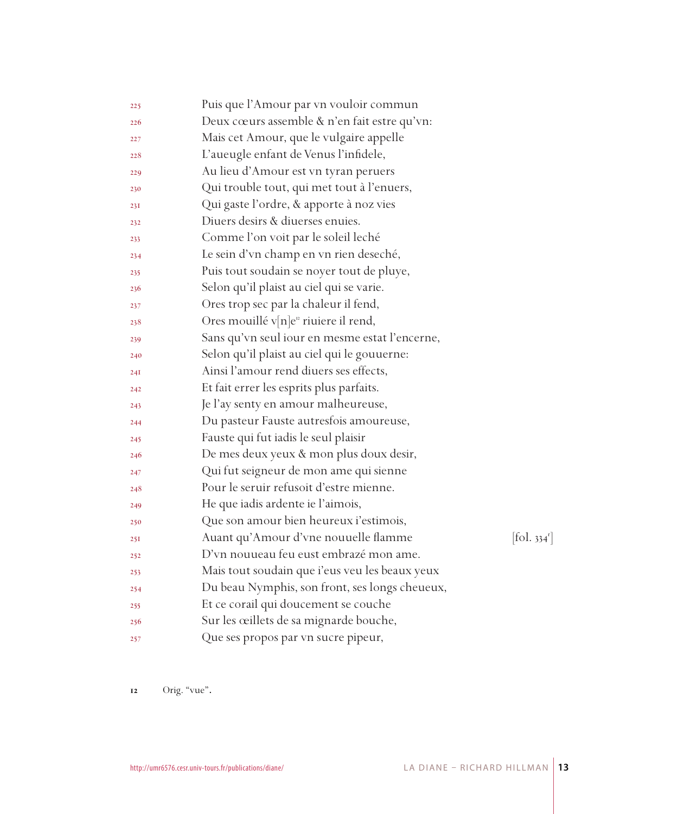| 225 | Puis que l'Amour par vn vouloir commun                         |  |
|-----|----------------------------------------------------------------|--|
| 226 | Deux cœurs assemble & n'en fait estre qu'vn:                   |  |
| 227 | Mais cet Amour, que le vulgaire appelle                        |  |
| 228 | L'aueugle enfant de Venus l'infidele,                          |  |
| 229 | Au lieu d'Amour est vn tyran peruers                           |  |
| 230 | Qui trouble tout, qui met tout à l'enuers,                     |  |
| 23I | Qui gaste l'ordre, & apporte à noz vies                        |  |
| 232 | Diuers desirs & diuerses enuies.                               |  |
| 233 | Comme l'on voit par le soleil leché                            |  |
| 234 | Le sein d'vn champ en vn rien deseché,                         |  |
| 235 | Puis tout soudain se noyer tout de pluye,                      |  |
| 236 | Selon qu'il plaist au ciel qui se varie.                       |  |
| 237 | Ores trop sec par la chaleur il fend,                          |  |
| 238 | Ores mouillé v $[n]e^n$ riuiere il rend,                       |  |
| 239 | Sans qu'vn seul iour en mesme estat l'encerne,                 |  |
| 240 | Selon qu'il plaist au ciel qui le gouuerne:                    |  |
| 24I | Ainsi l'amour rend diuers ses effects,                         |  |
| 242 | Et fait errer les esprits plus parfaits.                       |  |
| 243 | Je l'ay senty en amour malheureuse,                            |  |
| 244 | Du pasteur Fauste autresfois amoureuse,                        |  |
| 245 | Fauste qui fut iadis le seul plaisir                           |  |
| 246 | De mes deux yeux & mon plus doux desir,                        |  |
| 247 | Qui fut seigneur de mon ame qui sienne                         |  |
| 248 | Pour le seruir refusoit d'estre mienne.                        |  |
| 249 | He que iadis ardente ie l'aimois,                              |  |
| 250 | Que son amour bien heureux i'estimois,                         |  |
| 25I | Auant qu'Amour d'vne nouuelle flamme<br>$[\text{fol. } 334^r]$ |  |
| 252 | D'vn nouueau feu eust embrazé mon ame.                         |  |
| 253 | Mais tout soudain que i'eus veu les beaux yeux                 |  |
| 254 | Du beau Nymphis, son front, ses longs cheueux,                 |  |
| 255 | Et ce corail qui doucement se couche                           |  |
| 256 | Sur les œillets de sa mignarde bouche,                         |  |
| 257 | Que ses propos par vn sucre pipeur,                            |  |

Orig. "vue"**.**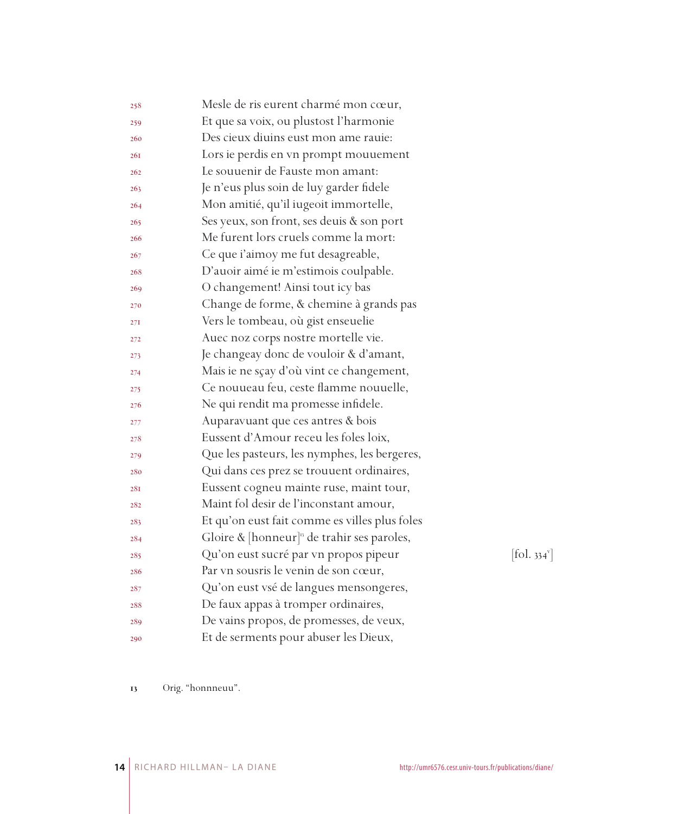| 258 | Mesle de ris eurent charmé mon cœur,                   |                                           |
|-----|--------------------------------------------------------|-------------------------------------------|
| 259 | Et que sa voix, ou plustost l'harmonie                 |                                           |
| 260 | Des cieux diuins eust mon ame rauie:                   |                                           |
| 26I | Lors ie perdis en vn prompt mouuement                  |                                           |
| 262 | Le souuenir de Fauste mon amant:                       |                                           |
| 263 | Je n'eus plus soin de luy garder fidele                |                                           |
| 264 | Mon amitié, qu'il iugeoit immortelle,                  |                                           |
| 265 | Ses yeux, son front, ses deuis & son port              |                                           |
| 266 | Me furent lors cruels comme la mort:                   |                                           |
| 267 | Ce que i'aimoy me fut desagreable,                     |                                           |
| 268 | D'auoir aimé ie m'estimois coulpable.                  |                                           |
| 269 | O changement! Ainsi tout icy bas                       |                                           |
| 270 | Change de forme, & chemine à grands pas                |                                           |
| 27I | Vers le tombeau, où gist enseuelie                     |                                           |
| 272 | Auec noz corps nostre mortelle vie.                    |                                           |
| 273 | Je changeay donc de vouloir & d'amant,                 |                                           |
| 274 | Mais ie ne sçay d'où vint ce changement,               |                                           |
| 275 | Ce nouueau feu, ceste flamme nouuelle,                 |                                           |
| 276 | Ne qui rendit ma promesse infidele.                    |                                           |
| 277 | Auparavuant que ces antres & bois                      |                                           |
| 278 | Eussent d'Amour receu les foles loix,                  |                                           |
| 279 | Que les pasteurs, les nymphes, les bergeres,           |                                           |
| 280 | Qui dans ces prez se trouuent ordinaires,              |                                           |
| 28I | Eussent cogneu mainte ruse, maint tour,                |                                           |
| 282 | Maint fol desir de l'inconstant amour,                 |                                           |
| 283 | Et qu'on eust fait comme es villes plus foles          |                                           |
| 284 | Gloire & $[{\text{honneur}}]^n$ de trahir ses paroles, |                                           |
| 285 | Qu'on eust sucré par vn propos pipeur                  | $\left[ \text{fol. } 334^{\circ} \right]$ |
| 286 | Par vn sousris le venin de son cœur,                   |                                           |
| 287 | Qu'on eust vsé de langues mensongeres,                 |                                           |
| 288 | De faux appas à tromper ordinaires,                    |                                           |
| 289 | De vains propos, de promesses, de veux,                |                                           |
| 290 | Et de serments pour abuser les Dieux,                  |                                           |

Orig. "honnneuu".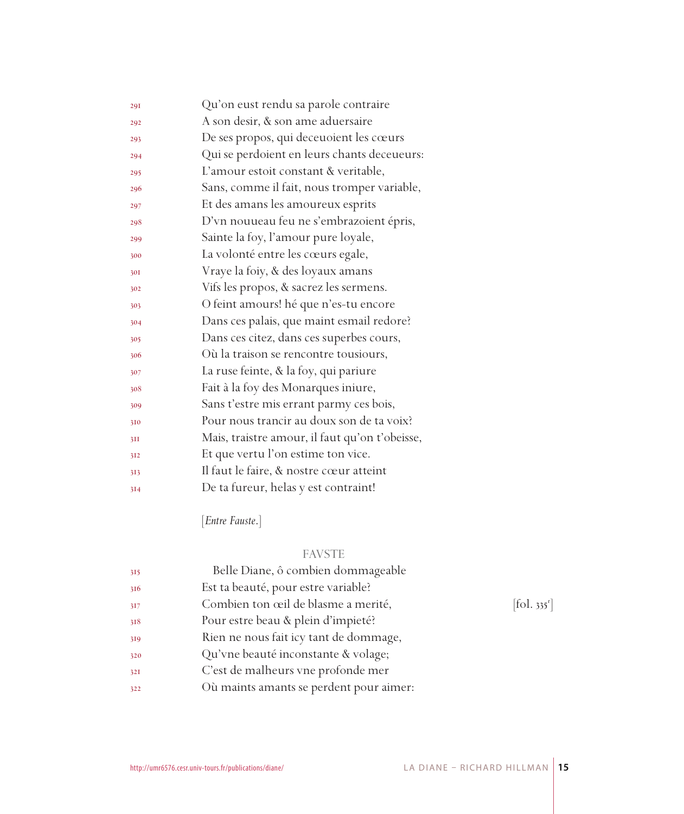| 29I | Qu'on eust rendu sa parole contraire           |
|-----|------------------------------------------------|
| 292 | A son desir, & son ame aduersaire              |
| 293 | De ses propos, qui deceuoient les cœurs        |
| 294 | Qui se perdoient en leurs chants deceueurs:    |
| 295 | L'amour estoit constant & veritable,           |
| 296 | Sans, comme il fait, nous tromper variable,    |
| 297 | Et des amans les amoureux esprits              |
| 298 | D'vn nouueau feu ne s'embrazoient épris,       |
| 299 | Sainte la foy, l'amour pure loyale,            |
| 300 | La volonté entre les cœurs egale,              |
| 301 | Vraye la foiy, & des loyaux amans              |
| 302 | Vifs les propos, & sacrez les sermens.         |
| 303 | O feint amours! hé que n'es-tu encore          |
| 304 | Dans ces palais, que maint esmail redore?      |
| 305 | Dans ces citez, dans ces superbes cours,       |
| 306 | Où la traison se rencontre tousiours,          |
| 307 | La ruse feinte, & la foy, qui pariure          |
| 308 | Fait à la foy des Monarques iniure,            |
| 309 | Sans t'estre mis errant parmy ces bois,        |
| 310 | Pour nous trancir au doux son de ta voix?      |
| 3II | Mais, traistre amour, il faut qu'on t'obeisse, |
| 312 | Et que vertu l'on estime ton vice.             |
| 313 | Il faut le faire, & nostre cœur atteint        |
| 314 | De ta fureur, helas y est contraint!           |

[*Entre Fauste*.]

## FAVSTE

| 315 | Belle Diane, ô combien dommageable      |                                   |
|-----|-----------------------------------------|-----------------------------------|
| 316 | Est ta beauté, pour estre variable?     |                                   |
| 317 | Combien ton œil de blasme a merité,     | $\left[ \text{fol. } 335 \right]$ |
| 318 | Pour estre beau & plein d'impieté?      |                                   |
| 319 | Rien ne nous fait icy tant de dommage,  |                                   |
| 320 | Qu'vne beauté inconstante & volage;     |                                   |
| 32I | C'est de malheurs vne profonde mer      |                                   |
| 322 | Où maints amants se perdent pour aimer: |                                   |
|     |                                         |                                   |

 $[$ fol. 335 $^{\mathrm{r}}$ ]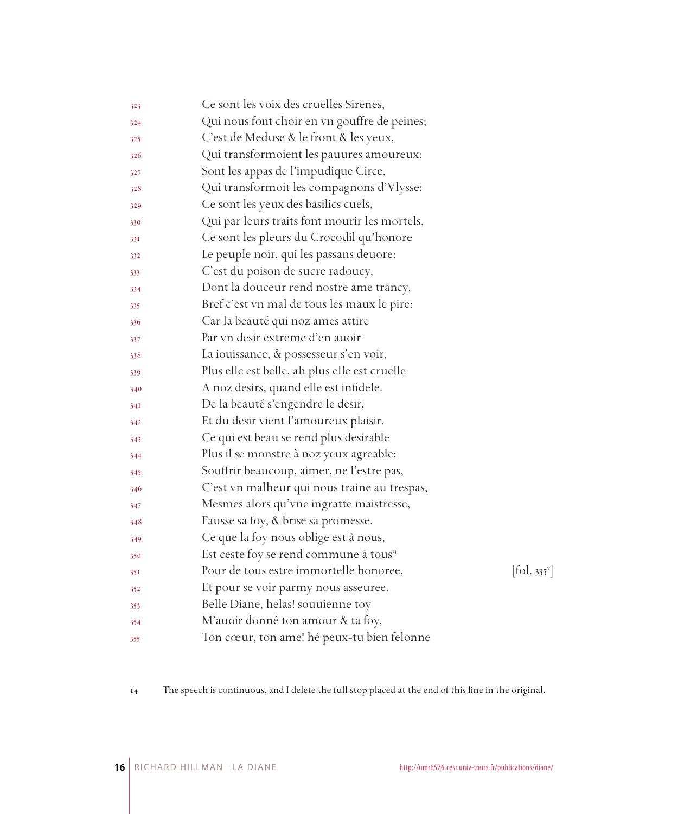| 323 | Ce sont les voix des cruelles Sirenes,                                    |  |
|-----|---------------------------------------------------------------------------|--|
| 324 | Qui nous font choir en vn gouffre de peines;                              |  |
| 325 | C'est de Meduse & le front & les yeux,                                    |  |
| 326 | Qui transformoient les pauures amoureux:                                  |  |
| 327 | Sont les appas de l'impudique Circe,                                      |  |
| 328 | Qui transformoit les compagnons d'Vlysse:                                 |  |
| 329 | Ce sont les yeux des basilics cuels,                                      |  |
| 330 | Qui par leurs traits font mourir les mortels,                             |  |
| 33I | Ce sont les pleurs du Crocodil qu'honore                                  |  |
| 332 | Le peuple noir, qui les passans deuore:                                   |  |
| 333 | C'est du poison de sucre radoucy,                                         |  |
| 334 | Dont la douceur rend nostre ame trancy,                                   |  |
| 335 | Bref c'est vn mal de tous les maux le pire:                               |  |
| 336 | Car la beauté qui noz ames attire                                         |  |
| 337 | Par vn desir extreme d'en auoir                                           |  |
| 338 | La iouissance, & possesseur s'en voir,                                    |  |
| 339 | Plus elle est belle, ah plus elle est cruelle                             |  |
| 340 | A noz desirs, quand elle est infidele.                                    |  |
| 34I | De la beauté s'engendre le desir,                                         |  |
| 342 | Et du desir vient l'amoureux plaisir.                                     |  |
| 343 | Ce qui est beau se rend plus desirable                                    |  |
| 344 | Plus il se monstre à noz yeux agreable:                                   |  |
| 345 | Souffrir beaucoup, aimer, ne l'estre pas,                                 |  |
| 346 | C'est vn malheur qui nous traine au trespas,                              |  |
| 347 | Mesmes alors qu'vne ingratte maistresse,                                  |  |
| 348 | Fausse sa foy, & brise sa promesse.                                       |  |
| 349 | Ce que la foy nous oblige est à nous,                                     |  |
| 350 | Est ceste foy se rend commune à tous <sup>14</sup>                        |  |
| 35I | Pour de tous estre immortelle honoree,<br>$[\text{fol. } 335^{\text{v}}]$ |  |
| 352 | Et pour se voir parmy nous asseuree.                                      |  |
| 353 | Belle Diane, helas! souuienne toy                                         |  |
| 354 | M'auoir donné ton amour & ta foy,                                         |  |
| 355 | Ton cœur, ton ame! hé peux-tu bien felonne                                |  |

The speech is continuous, and I delete the full stop placed at the end of this line in the original.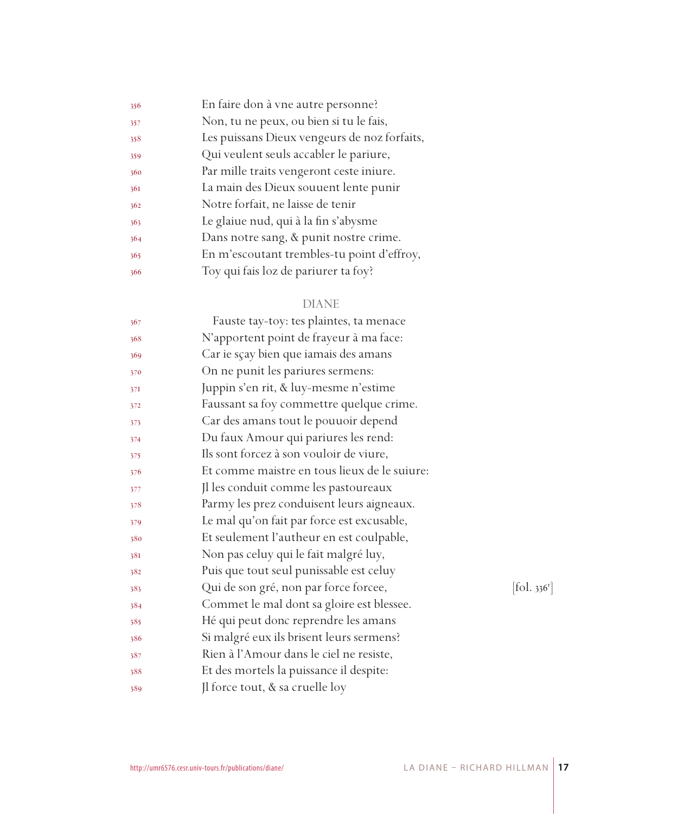| Non, tu ne peux, ou bien si tu le fais,<br>357<br>Les puissans Dieux vengeurs de noz forfaits,<br>358<br>Qui veulent seuls accabler le pariure,<br>359<br>Par mille traits vengeront ceste iniure.<br>360<br>La main des Dieux souuent lente punir<br>36I<br>Notre forfait, ne laisse de tenir<br>362<br>Le glaiue nud, qui à la fin s'abysme<br>363<br>Dans notre sang, & punit nostre crime.<br>364<br>En m'escoutant trembles-tu point d'effroy,<br>365<br>Toy qui fais loz de pariurer ta foy?<br>366 | 356 | En faire don à vne autre personne? |
|-----------------------------------------------------------------------------------------------------------------------------------------------------------------------------------------------------------------------------------------------------------------------------------------------------------------------------------------------------------------------------------------------------------------------------------------------------------------------------------------------------------|-----|------------------------------------|
|                                                                                                                                                                                                                                                                                                                                                                                                                                                                                                           |     |                                    |
|                                                                                                                                                                                                                                                                                                                                                                                                                                                                                                           |     |                                    |
|                                                                                                                                                                                                                                                                                                                                                                                                                                                                                                           |     |                                    |
|                                                                                                                                                                                                                                                                                                                                                                                                                                                                                                           |     |                                    |
|                                                                                                                                                                                                                                                                                                                                                                                                                                                                                                           |     |                                    |
|                                                                                                                                                                                                                                                                                                                                                                                                                                                                                                           |     |                                    |
|                                                                                                                                                                                                                                                                                                                                                                                                                                                                                                           |     |                                    |
|                                                                                                                                                                                                                                                                                                                                                                                                                                                                                                           |     |                                    |
|                                                                                                                                                                                                                                                                                                                                                                                                                                                                                                           |     |                                    |
|                                                                                                                                                                                                                                                                                                                                                                                                                                                                                                           |     |                                    |

## DIANE

| 367 | Fauste tay-toy: tes plaintes, ta menace      |           |
|-----|----------------------------------------------|-----------|
| 368 | N'apportent point de frayeur à ma face:      |           |
| 369 | Car ie sçay bien que iamais des amans        |           |
| 370 | On ne punit les pariures sermens:            |           |
| 37I | Juppin s'en rit, & luy-mesme n'estime        |           |
| 372 | Faussant sa foy commettre quelque crime.     |           |
| 373 | Car des amans tout le pouuoir depend         |           |
| 374 | Du faux Amour qui pariures les rend:         |           |
| 375 | Ils sont forcez à son vouloir de viure,      |           |
| 376 | Et comme maistre en tous lieux de le suiure: |           |
| 377 | Jl les conduit comme les pastoureaux         |           |
| 378 | Parmy les prez conduisent leurs aigneaux.    |           |
| 379 | Le mal qu'on fait par force est excusable,   |           |
| 380 | Et seulement l'autheur en est coulpable,     |           |
| 381 | Non pas celuy qui le fait malgré luy,        |           |
| 382 | Puis que tout seul punissable est celuy      |           |
| 383 | Qui de son gré, non par force forcee,        | [fol. 336 |
| 384 | Commet le mal dont sa gloire est blessee.    |           |
| 385 | Hé qui peut donc reprendre les amans         |           |
| 386 | Si malgré eux ils brisent leurs sermens?     |           |
| 387 | Rien à l'Amour dans le ciel ne resiste,      |           |
| 388 | Et des mortels la puissance il despite:      |           |
| 389 | Jl force tout, & sa cruelle loy              |           |
|     |                                              |           |

r ]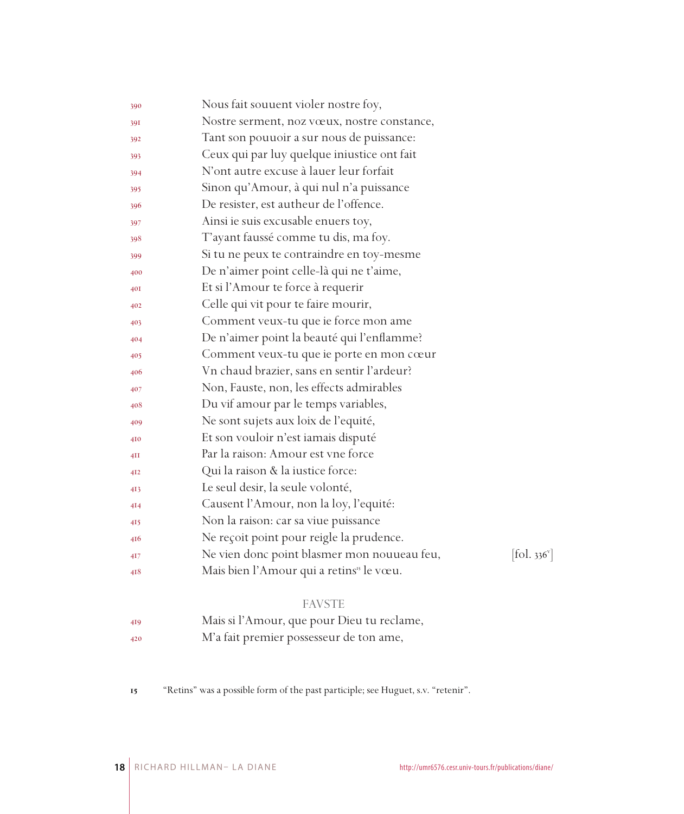| 390             | Nous fait souuent violer nostre foy,                                                     |
|-----------------|------------------------------------------------------------------------------------------|
| 391             | Nostre serment, noz vœux, nostre constance,                                              |
| 392             | Tant son pouuoir a sur nous de puissance:                                                |
| 393             | Ceux qui par luy quelque iniustice ont fait                                              |
| 394             | N'ont autre excuse à lauer leur forfait                                                  |
| 395             | Sinon qu'Amour, à qui nul n'a puissance                                                  |
| 396             | De resister, est autheur de l'offence.                                                   |
| 397             | Ainsi ie suis excusable enuers toy,                                                      |
| 398             | T'ayant faussé comme tu dis, ma foy.                                                     |
| 399             | Si tu ne peux te contraindre en toy-mesme                                                |
| 400             | De n'aimer point celle-là qui ne t'aime,                                                 |
| 40I             | Et si l'Amour te force à requerir                                                        |
| 402             | Celle qui vit pour te faire mourir,                                                      |
| 403             | Comment veux-tu que ie force mon ame                                                     |
| 404             | De n'aimer point la beauté qui l'enflamme?                                               |
| 405             | Comment veux-tu que ie porte en mon cœur                                                 |
| 406             | Vn chaud brazier, sans en sentir l'ardeur?                                               |
| 407             | Non, Fauste, non, les effects admirables                                                 |
| 408             | Du vif amour par le temps variables,                                                     |
| 409             | Ne sont sujets aux loix de l'equité,                                                     |
| 410             | Et son vouloir n'est iamais disputé                                                      |
| 4H              | Par la raison: Amour est vne force                                                       |
| 4I <sub>2</sub> | Qui la raison & la iustice force:                                                        |
| 4I3             | Le seul desir, la seule volonté,                                                         |
| 414             | Causent l'Amour, non la loy, l'equité:                                                   |
| 415             | Non la raison: car sa viue puissance                                                     |
| 416             | Ne reçoit point pour reigle la prudence.                                                 |
| 4I7             | Ne vien donc point blasmer mon nouueau feu,<br>$\left[ \text{fol. } 336^{\circ} \right]$ |
| 418             | Mais bien l'Amour qui a retins <sup>15</sup> le vœu.                                     |
|                 |                                                                                          |

#### FAVSTE

- Mais si l'Amour, que pour Dieu tu reclame,
- M'a fait premier possesseur de ton ame,
- "Retins" was a possible form of the past participle; see Huguet, s.v. "retenir".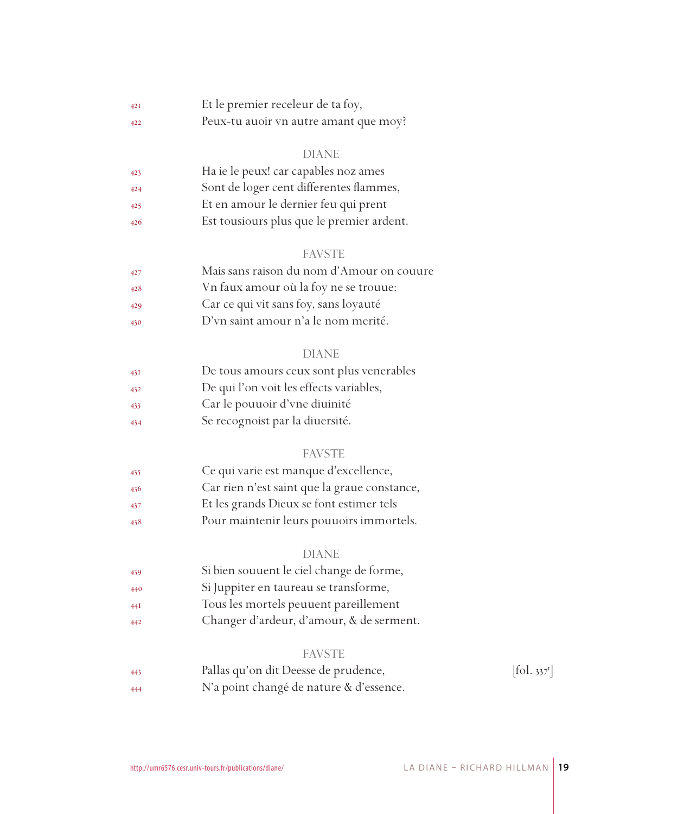| 42I | Et le premier receleur de ta foy,     |
|-----|---------------------------------------|
| 422 | Peux-tu auoir vn autre amant que moy? |

#### DIANE

| 423 | Ha ie le peux! car capables noz ames      |
|-----|-------------------------------------------|
| 424 | Sont de loger cent differentes flammes,   |
| 425 | Et en amour le dernier feu qui prent      |
| 426 | Est tousiours plus que le premier ardent. |

#### FAVSTE

| 427 | Mais sans raison du nom d'Amour on couure |
|-----|-------------------------------------------|
| 428 | Vn faux amour où la foy ne se trouue:     |
| 429 | Car ce qui vit sans foy, sans loyauté     |
| 430 | D'vn saint amour n'a le nom merité.       |

#### DIANE

| De tous amours ceux sont plus venerables<br>431 |  |
|-------------------------------------------------|--|
|-------------------------------------------------|--|

- De qui l'on voit les effects variables,
- Car le pouuoir d'vne diuinité
- Se recognoist par la diuersité.

#### FAVSTE

- Ce qui varie est manque d'excellence, Car rien n'est saint que la graue constance, Et les grands Dieux se font estimer tels
- Pour maintenir leurs pouuoirs immortels.

#### DIANE

| 439 | Si bien souuent le ciel change de forme, |
|-----|------------------------------------------|
| 440 | Si Juppiter en taureau se transforme,    |
| 44I | Tous les mortels peuuent pareillement    |
| 442 | Changer d'ardeur, d'amour, & de serment. |

#### FAVSTE

| 443 | Pallas qu'on dit Deesse de prudence,    | $\left[ \text{fol. } 337^{\circ} \right]$ |
|-----|-----------------------------------------|-------------------------------------------|
| 444 | N'a point changé de nature & d'essence. |                                           |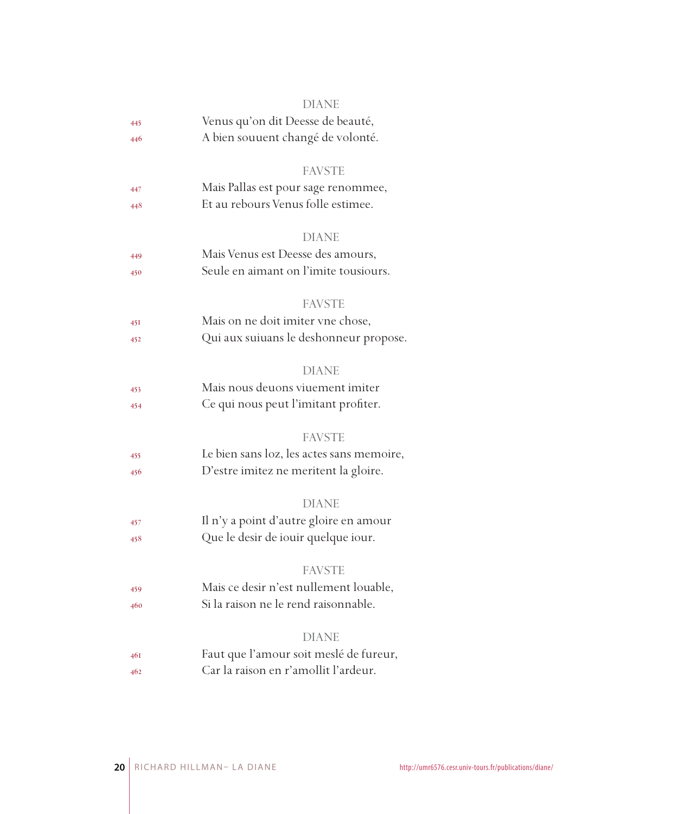|     | DIANE                                     |
|-----|-------------------------------------------|
| 445 | Venus qu'on dit Deesse de beauté,         |
| 446 | A bien souuent changé de volonté.         |
|     | <b>FAVSTE</b>                             |
| 447 | Mais Pallas est pour sage renommee,       |
| 448 | Et au rebours Venus folle estimee.        |
|     | <b>DIANE</b>                              |
| 449 | Mais Venus est Deesse des amours,         |
| 450 | Seule en aimant on l'imite tousiours.     |
|     | <b>FAVSTE</b>                             |
| 45I | Mais on ne doit imiter vne chose,         |
| 452 | Qui aux suiuans le deshonneur propose.    |
|     | <b>DIANE</b>                              |
| 453 | Mais nous deuons viuement imiter          |
| 454 | Ce qui nous peut l'imitant profiter.      |
|     | <b>FAVSTE</b>                             |
| 455 | Le bien sans loz, les actes sans memoire, |
| 456 | D'estre imitez ne meritent la gloire.     |
|     | DIANE                                     |
| 457 | Il n'y a point d'autre gloire en amour    |
| 458 | Que le desir de iouir quelque iour.       |
|     | <b>FAVSTE</b>                             |
| 459 | Mais ce desir n'est nullement louable,    |
| 460 | Si la raison ne le rend raisonnable.      |
|     | <b>DIANE</b>                              |
| 461 | Faut que l'amour soit meslé de fureur,    |
| 462 | Car la raison en r'amollit l'ardeur.      |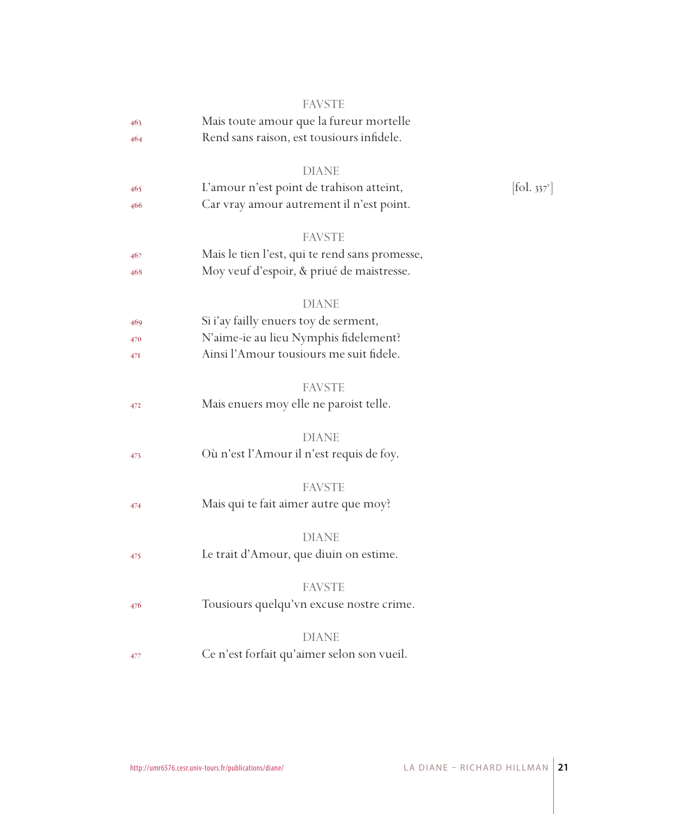|     | <b>FAVSTE</b>                                  |                              |
|-----|------------------------------------------------|------------------------------|
| 463 | Mais toute amour que la fureur mortelle        |                              |
| 464 | Rend sans raison, est tousiours infidele.      |                              |
|     | <b>DIANE</b>                                   |                              |
| 465 | L'amour n'est point de trahison atteint,       | $[\text{fol. } 337^{\circ}]$ |
| 466 | Car vray amour autrement il n'est point.       |                              |
|     | <b>FAVSTE</b>                                  |                              |
| 467 | Mais le tien l'est, qui te rend sans promesse, |                              |
| 468 | Moy veuf d'espoir, & priué de maistresse.      |                              |
|     | DIANE                                          |                              |
| 469 | Si i'ay failly enuers toy de serment,          |                              |
| 470 | N'aime-ie au lieu Nymphis fidelement?          |                              |
| 47I | Ainsi l'Amour tousiours me suit fidele.        |                              |
|     | <b>FAVSTE</b>                                  |                              |
| 472 | Mais enuers moy elle ne paroist telle.         |                              |
|     | <b>DIANE</b>                                   |                              |
| 473 | Où n'est l'Amour il n'est requis de foy.       |                              |
|     | <b>FAVSTE</b>                                  |                              |
| 474 | Mais qui te fait aimer autre que moy?          |                              |
|     | <b>DIANE</b>                                   |                              |
| 475 | Le trait d'Amour, que diuin on estime.         |                              |
|     | <b>FAVSTE</b>                                  |                              |
| 476 | Tousiours quelqu'vn excuse nostre crime.       |                              |
|     | <b>DIANE</b>                                   |                              |
| 477 | Ce n'est forfait qu'aimer selon son vueil.     |                              |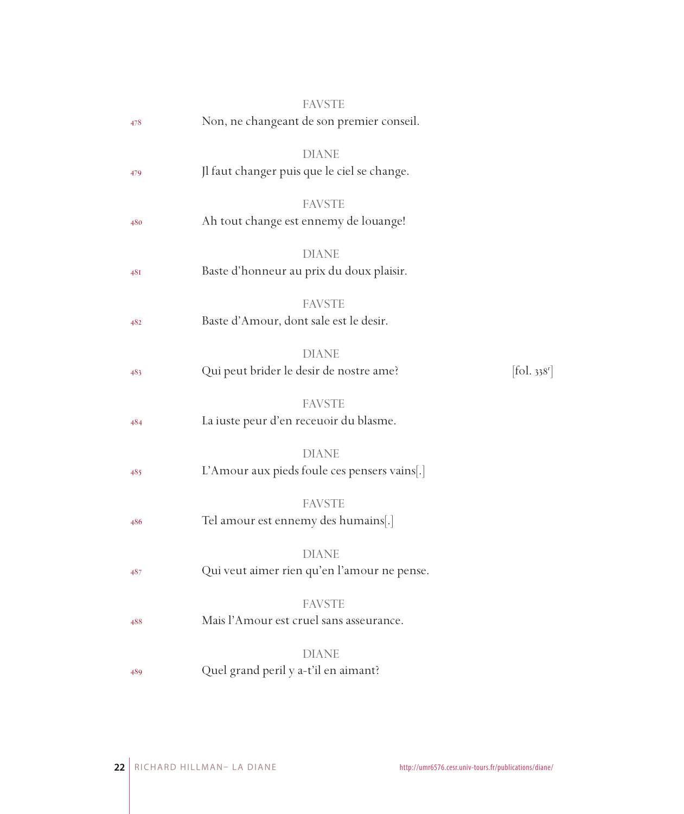|     | <b>FAVSTE</b>                                                |                        |
|-----|--------------------------------------------------------------|------------------------|
| 478 | Non, ne changeant de son premier conseil.                    |                        |
| 479 | <b>DIANE</b><br>Jl faut changer puis que le ciel se change.  |                        |
| 480 | <b>FAVSTE</b><br>Ah tout change est ennemy de louange!       |                        |
| 48I | <b>DIANE</b><br>Baste d'honneur au prix du doux plaisir.     |                        |
| 482 | <b>FAVSTE</b><br>Baste d'Amour, dont sale est le desir.      |                        |
| 483 | <b>DIANE</b><br>Qui peut brider le desir de nostre ame?      | $[$ fol. $338^{\circ}$ |
| 484 | <b>FAVSTE</b><br>La iuste peur d'en receuoir du blasme.      |                        |
| 485 | <b>DIANE</b><br>L'Amour aux pieds foule ces pensers vains[.] |                        |
| 486 | <b>FAVSTE</b><br>Tel amour est ennemy des humains[.]         |                        |
| 487 | <b>DIANE</b><br>Qui veut aimer rien qu'en l'amour ne pense.  |                        |
| 488 | <b>FAVSTE</b><br>Mais l'Amour est cruel sans asseurance.     |                        |
| 489 | <b>DIANE</b><br>Quel grand peril y a-t'il en aimant?         |                        |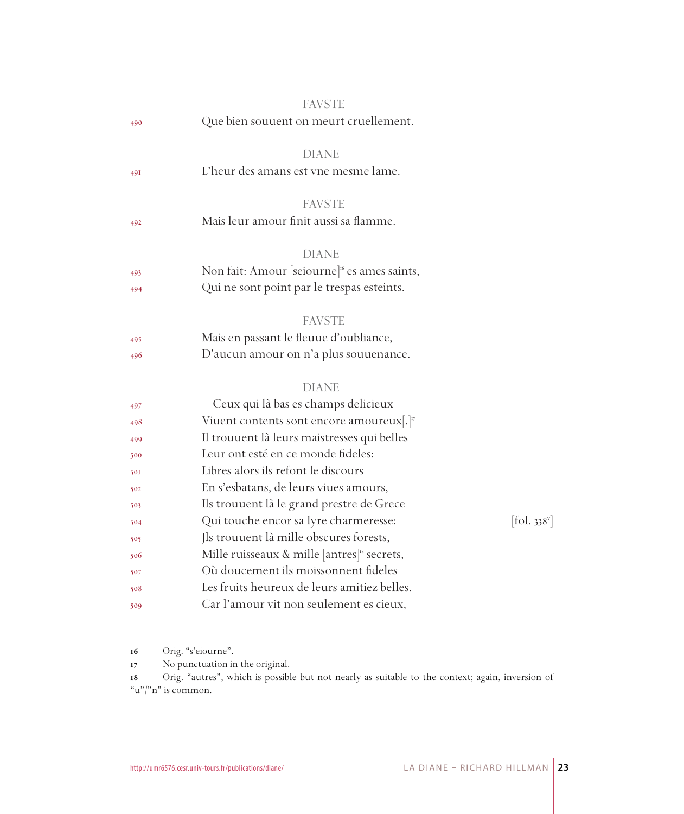|            | <b>FAVSTE</b>                                            |            |
|------------|----------------------------------------------------------|------------|
| 490        | Que bien souuent on meurt cruellement.                   |            |
|            | <b>DIANE</b>                                             |            |
| 491        | L'heur des amans est vne mesme lame.                     |            |
|            | <b>FAVSTE</b>                                            |            |
| 492        | Mais leur amour finit aussi sa flamme.                   |            |
|            | <b>DIANE</b>                                             |            |
| 493        | Non fait: Amour [seiourne] <sup>16</sup> es ames saints, |            |
| 494        | Qui ne sont point par le trespas esteints.               |            |
|            | <b>FAVSTE</b>                                            |            |
| 495        | Mais en passant le fleuue d'oubliance,                   |            |
| 496        | D'aucun amour on n'a plus souuenance.                    |            |
|            | <b>DIANE</b>                                             |            |
| 497        | Ceux qui là bas es champs delicieux                      |            |
| 498        | Viuent contents sont encore amoureux[.] <sup>v</sup>     |            |
| 499        | Il trouuent là leurs maistresses qui belles              |            |
| 500        | Leur ont esté en ce monde fideles:                       |            |
| <b>50I</b> | Libres alors ils refont le discours                      |            |
| 502        | En s'esbatans, de leurs viues amours,                    |            |
| 503        | Ils trouuent là le grand prestre de Grece                |            |
| 504        | Qui touche encor sa lyre charmeresse:                    | [fol. 338] |
| 505        | Jls trouuent là mille obscures forests,                  |            |
| 506        | Mille ruisseaux & mille [antres] <sup>18</sup> secrets,  |            |
| 507        | Où doucement ils moissonnent fideles                     |            |
| 508        | Les fruits heureux de leurs amitiez belles.              |            |
| 509        | Car l'amour vit non seulement es cieux,                  |            |
|            |                                                          |            |

Orig. "s'eiourne".

No punctuation in the original.

 Orig. "autres", which is possible but not nearly as suitable to the context; again, inversion of "u"/"n" is common.

 $[$ fol. 338 $^{\mathrm{v}}$ ]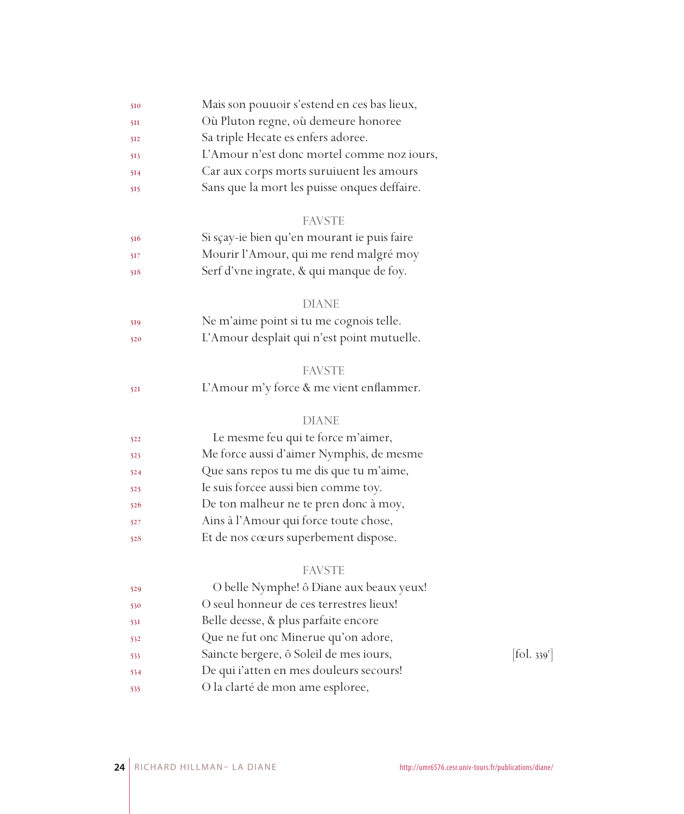| 510 | Mais son pouuoir s'estend en ces bas lieux,  |            |
|-----|----------------------------------------------|------------|
| 511 | Où Pluton regne, où demeure honoree          |            |
| 512 | Sa triple Hecate es enfers adoree.           |            |
| 513 | L'Amour n'est donc mortel comme noz iours,   |            |
| 514 | Car aux corps morts suruiuent les amours     |            |
| 515 | Sans que la mort les puisse onques deffaire. |            |
|     | <b>FAVSTE</b>                                |            |
| 516 | Si sçay-ie bien qu'en mourant ie puis faire  |            |
| 517 | Mourir l'Amour, qui me rend malgré moy       |            |
| 518 | Serf d'vne ingrate, & qui manque de foy.     |            |
|     | <b>DIANE</b>                                 |            |
| 519 | Ne m'aime point si tu me cognois telle.      |            |
| 520 | L'Amour desplait qui n'est point mutuelle.   |            |
|     | <b>FAVSTE</b>                                |            |
| 521 | L'Amour m'y force & me vient enflammer.      |            |
|     | <b>DIANE</b>                                 |            |
| 522 | Le mesme feu qui te force m'aimer,           |            |
| 523 | Me force aussi d'aimer Nymphis, de mesme     |            |
| 524 | Que sans repos tu me dis que tu m'aime,      |            |
| 525 | Ie suis forcee aussi bien comme toy.         |            |
| 526 | De ton malheur ne te pren donc à moy,        |            |
| 527 | Ains à l'Amour qui force toute chose,        |            |
| 528 | Et de nos cœurs superbement dispose.         |            |
|     | <b>FAVSTE</b>                                |            |
| 529 | O belle Nymphe! ô Diane aux beaux yeux!      |            |
| 530 | O seul honneur de ces terrestres lieux!      |            |
| 53I | Belle deesse, & plus parfaite encore         |            |
| 532 | Que ne fut onc Minerue qu'on adore,          |            |
| 533 | Saincte bergere, ô Soleil de mes iours,      | [fol. 339] |
| 534 | De qui i'atten en mes douleurs secours!      |            |
| 535 | O la clarté de mon ame esploree,             |            |

 $[$ fol. 339<sup>r</sup> $]$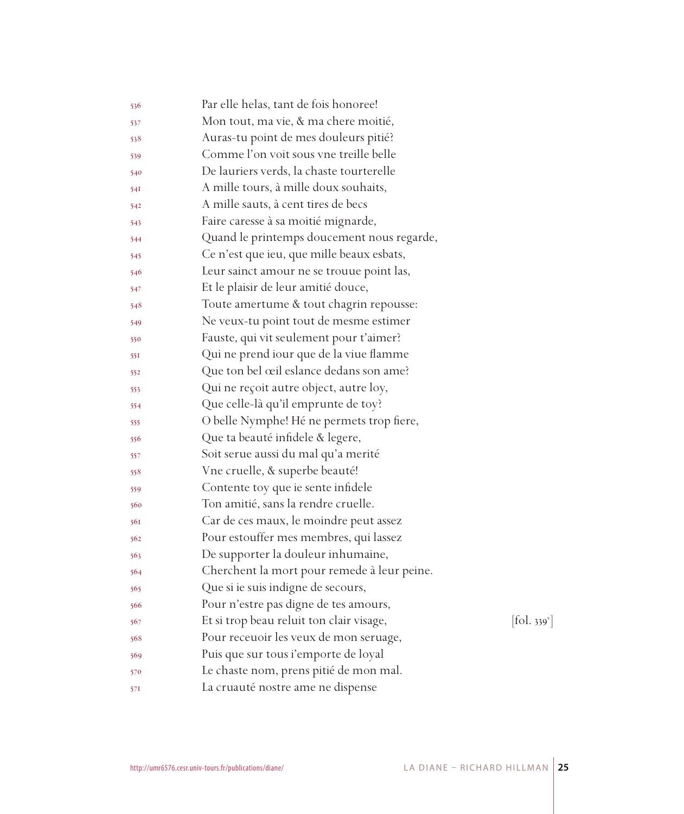| 536 | Par elle helas, tant de fois honoree!       |                              |
|-----|---------------------------------------------|------------------------------|
| 537 | Mon tout, ma vie, & ma chere moitié,        |                              |
| 538 | Auras-tu point de mes douleurs pitié?       |                              |
| 539 | Comme l'on voit sous vne treille belle      |                              |
| 540 | De lauriers verds, la chaste tourterelle    |                              |
| 541 | A mille tours, à mille doux souhaits,       |                              |
| 542 | A mille sauts, à cent tires de becs         |                              |
| 543 | Faire caresse à sa moitié mignarde,         |                              |
| 544 | Quand le printemps doucement nous regarde,  |                              |
| 545 | Ce n'est que ieu, que mille beaux esbats,   |                              |
| 546 | Leur sainct amour ne se trouue point las,   |                              |
| 547 | Et le plaisir de leur amitié douce,         |                              |
| 548 | Toute amertume & tout chagrin repousse:     |                              |
| 549 | Ne veux-tu point tout de mesme estimer      |                              |
| 550 | Fauste, qui vit seulement pour t'aimer?     |                              |
| 551 | Qui ne prend iour que de la viue flamme     |                              |
| 552 | Que ton bel œil eslance dedans son ame?     |                              |
| 553 | Qui ne reçoit autre object, autre loy,      |                              |
| 554 | Que celle-là qu'il emprunte de toy?         |                              |
| 555 | O belle Nymphe! Hé ne permets trop fiere,   |                              |
| 556 | Que ta beauté infidele & legere,            |                              |
| 557 | Soit serue aussi du mal qu'a merité         |                              |
| 558 | Vne cruelle, & superbe beauté!              |                              |
| 559 | Contente toy que ie sente infidele          |                              |
| 560 | Ton amitié, sans la rendre cruelle.         |                              |
| 561 | Car de ces maux, le moindre peut assez      |                              |
| 562 | Pour estouffer mes membres, qui lassez      |                              |
| 563 | De supporter la douleur inhumaine,          |                              |
| 564 | Cherchent la mort pour remede à leur peine. |                              |
| 565 | Que si ie suis indigne de secours,          |                              |
| 566 | Pour n'estre pas digne de tes amours,       |                              |
| 567 | Et si trop beau reluit ton clair visage,    | $[\text{fol. } 339^{\circ}]$ |
| 568 | Pour receuoir les veux de mon seruage,      |                              |
| 569 | Puis que sur tous i'emporte de loyal        |                              |
| 570 | Le chaste nom, prens pitié de mon mal.      |                              |
| 571 | La cruauté nostre ame ne dispense           |                              |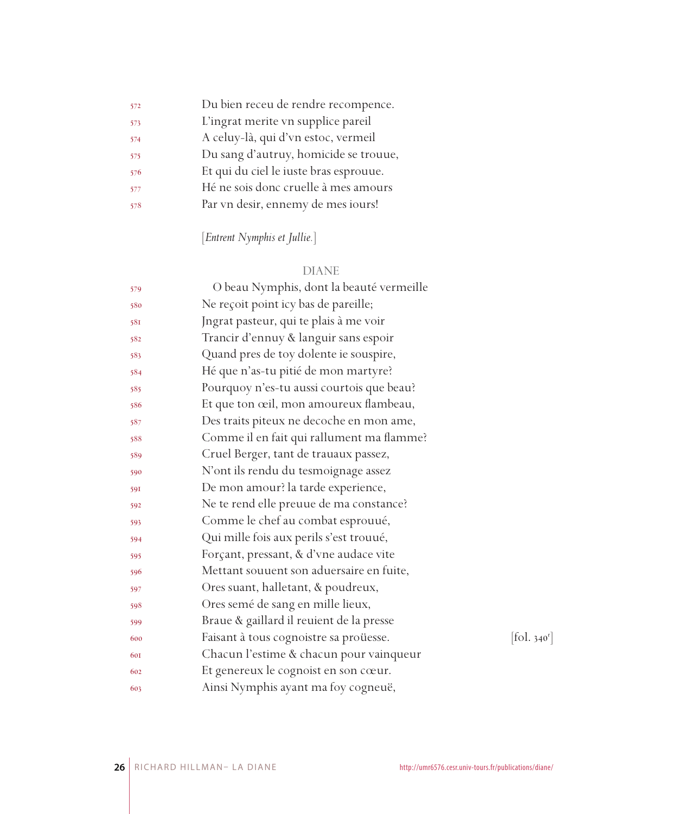| 572 | Du bien receu de rendre recompence.    |
|-----|----------------------------------------|
| 573 | L'ingrat merite vn supplice pareil     |
| 574 | A celuy-là, qui d'vn estoc, vermeil    |
| 575 | Du sang d'autruy, homicide se trouue,  |
| 576 | Et qui du ciel le iuste bras esprouue. |
| 577 | Hé ne sois donc cruelle à mes amours   |
| 578 | Par vn desir, ennemy de mes iours!     |
|     |                                        |

## [*Entrent Nymphis et Jullie.*]

## DIANE

| 579 | O beau Nymphis, dont la beauté vermeille  |            |
|-----|-------------------------------------------|------------|
| 580 | Ne reçoit point icy bas de pareille;      |            |
| 581 | Jngrat pasteur, qui te plais à me voir    |            |
| 582 | Trancir d'ennuy & languir sans espoir     |            |
| 583 | Quand pres de toy dolente ie souspire,    |            |
| 584 | Hé que n'as-tu pitié de mon martyre?      |            |
| 585 | Pourquoy n'es-tu aussi courtois que beau? |            |
| 586 | Et que ton œil, mon amoureux flambeau,    |            |
| 587 | Des traits piteux ne decoche en mon ame,  |            |
| 588 | Comme il en fait qui rallument ma flamme? |            |
| 589 | Cruel Berger, tant de trauaux passez,     |            |
| 590 | N'ont ils rendu du tesmoignage assez      |            |
| 591 | De mon amour? la tarde experience,        |            |
| 592 | Ne te rend elle preuue de ma constance?   |            |
| 593 | Comme le chef au combat esprouué,         |            |
| 594 | Qui mille fois aux perils s'est trouué,   |            |
| 595 | Forçant, pressant, & d'vne audace vite    |            |
| 596 | Mettant souuent son aduersaire en fuite,  |            |
| 597 | Ores suant, halletant, & poudreux,        |            |
| 598 | Ores semé de sang en mille lieux,         |            |
| 599 | Braue & gaillard il reuient de la presse  |            |
| 600 | Faisant à tous cognoistre sa proüesse.    | [fol. 340] |
| 601 | Chacun l'estime & chacun pour vainqueur   |            |
| 602 | Et genereux le cognoist en son cœur.      |            |
| 603 | Ainsi Nymphis ayant ma foy cogneuë,       |            |

 $[fol. 340<sup>r</sup>]$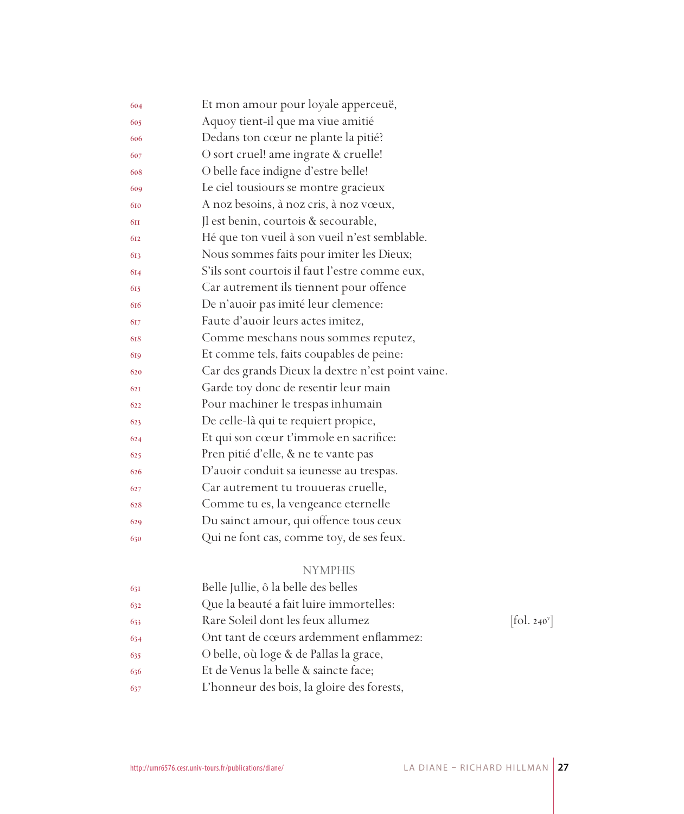| 604 | Et mon amour pour loyale apperceuë,               |
|-----|---------------------------------------------------|
| 605 | Aquoy tient-il que ma viue amitié                 |
| 606 | Dedans ton cœur ne plante la pitié?               |
| 607 | O sort cruel! ame ingrate & cruelle!              |
| 608 | O belle face indigne d'estre belle!               |
| 609 | Le ciel tousiours se montre gracieux              |
| 610 | A noz besoins, à noz cris, à noz vœux,            |
| 6II | Il est benin, courtois & secourable,              |
| 612 | Hé que ton vueil à son vueil n'est semblable.     |
| 613 | Nous sommes faits pour imiter les Dieux;          |
| 614 | S'ils sont courtois il faut l'estre comme eux,    |
| 615 | Car autrement ils tiennent pour offence           |
| 616 | De n'auoir pas imité leur clemence:               |
| 617 | Faute d'auoir leurs actes imitez,                 |
| 618 | Comme meschans nous sommes reputez,               |
| 619 | Et comme tels, faits coupables de peine:          |
| 620 | Car des grands Dieux la dextre n'est point vaine. |
| 621 | Garde toy donc de resentir leur main              |
| 622 | Pour machiner le trespas inhumain                 |
| 623 | De celle-là qui te requiert propice,              |
| 624 | Et qui son cœur t'immole en sacrifice:            |
| 625 | Pren pitié d'elle, & ne te vante pas              |
| 626 | D'auoir conduit sa ieunesse au trespas.           |
| 627 | Car autrement tu trouueras cruelle,               |
| 628 | Comme tu es, la vengeance eternelle               |
| 629 | Du sainct amour, qui offence tous ceux            |
| 630 | Qui ne font cas, comme toy, de ses feux.          |
|     |                                                   |

## NYMPHIS

| Belle Jullie, ô la belle des belles<br>631        |                          |
|---------------------------------------------------|--------------------------|
| Que la beauté a fait luire immortelles:<br>632    |                          |
| Rare Soleil dont les feux allumez<br>633          | [fol. 240 <sup>v</sup> ] |
| Ont tant de cœurs ardemment enflammez:<br>634     |                          |
| O belle, où loge & de Pallas la grace,<br>635     |                          |
| Et de Venus la belle & saincte face;<br>636       |                          |
| L'honneur des bois, la gloire des forests,<br>637 |                          |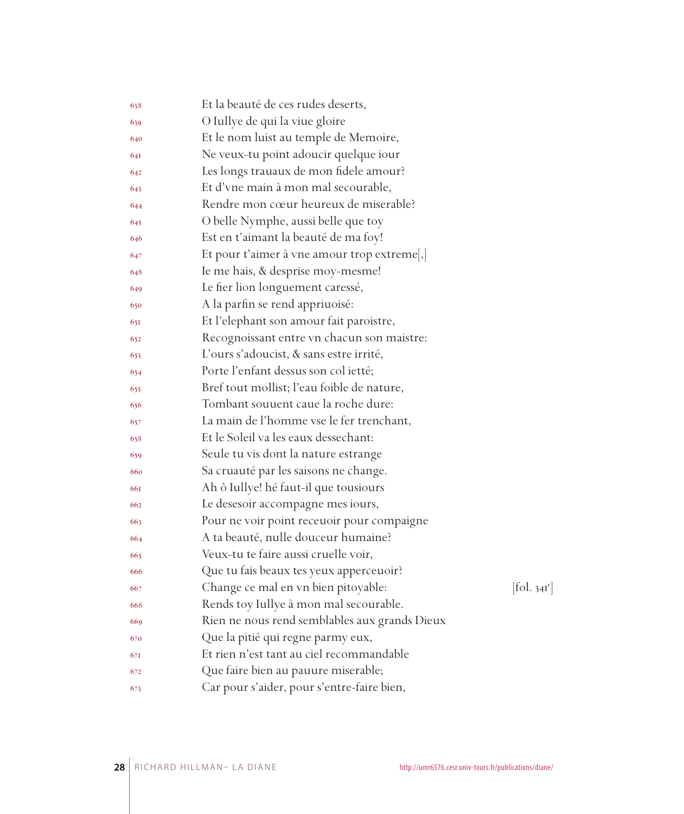| 638 | Et la beauté de ces rudes deserts,            |                          |
|-----|-----------------------------------------------|--------------------------|
| 639 | O Iullye de qui la viue gloire                |                          |
| 640 | Et le nom luist au temple de Memoire,         |                          |
| 641 | Ne veux-tu point adoucir quelque iour         |                          |
| 642 | Les longs trauaux de mon fidele amour?        |                          |
| 643 | Et d'vne main à mon mal secourable,           |                          |
| 644 | Rendre mon cœur heureux de miserable?         |                          |
| 645 | O belle Nymphe, aussi belle que toy           |                          |
| 646 | Est en t'aimant la beauté de ma foy!          |                          |
| 647 | Et pour t'aimer à vne amour trop extreme,     |                          |
| 648 | Ie me hais, & desprise moy-mesme!             |                          |
| 649 | Le fier lion longuement caressé,              |                          |
| 650 | A la parfin se rend appriuoisé:               |                          |
| 651 | Et l'elephant son amour fait paroistre,       |                          |
| 652 | Recognoissant entre vn chacun son maistre:    |                          |
| 653 | L'ours s'adoucist, & sans estre irrité,       |                          |
| 654 | Porte l'enfant dessus son col ietté;          |                          |
| 655 | Bref tout mollist; l'eau foible de nature,    |                          |
| 656 | Tombant souuent caue la roche dure:           |                          |
| 657 | La main de l'homme vse le fer trenchant,      |                          |
| 658 | Et le Soleil va les eaux dessechant:          |                          |
| 659 | Seule tu vis dont la nature estrange          |                          |
| 660 | Sa cruauté par les saisons ne change.         |                          |
| 661 | Ah ô Iullye! hé faut-il que tousiours         |                          |
| 662 | Le desesoir accompagne mes iours,             |                          |
| 663 | Pour ne voir point receuoir pour compaigne    |                          |
| 664 | A ta beauté, nulle douceur humaine?           |                          |
| 665 | Veux-tu te faire aussi cruelle voir,          |                          |
| 666 | Que tu fais beaux tes yeux apperceuoir?       |                          |
| 667 | Change ce mal en vn bien pitoyable:           | [fol. 34I <sup>r</sup> ] |
| 668 | Rends toy Iullye à mon mal secourable.        |                          |
| 669 | Rien ne nous rend semblables aux grands Dieux |                          |
| 670 | Que la pitié qui regne parmy eux,             |                          |
| 671 | Et rien n'est tant au ciel recommandable      |                          |
| 672 | Que faire bien au pauure miserable;           |                          |
| 673 | Car pour s'aider, pour s'entre-faire bien,    |                          |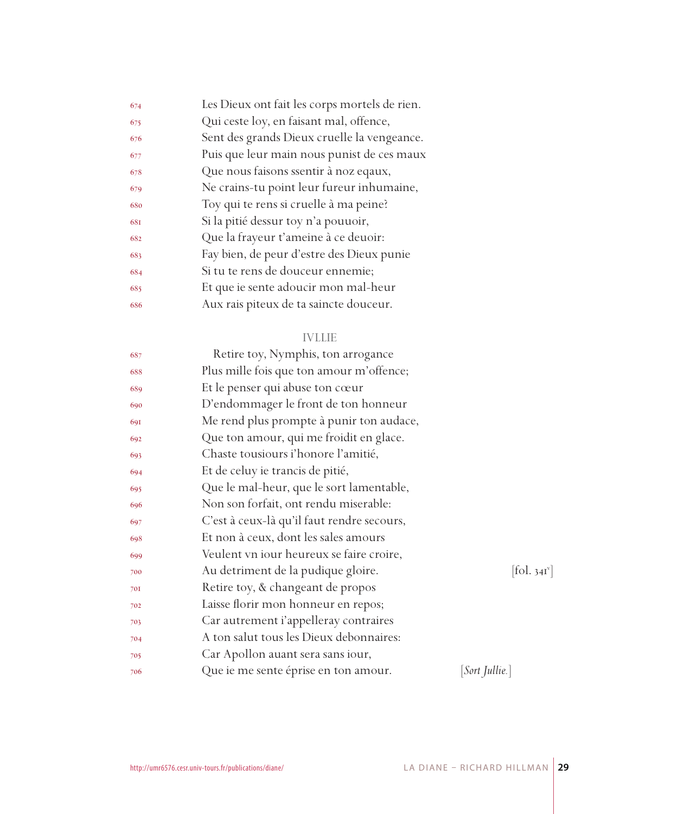| 674 | Les Dieux ont fait les corps mortels de rien. |
|-----|-----------------------------------------------|
| 675 | Qui ceste loy, en faisant mal, offence,       |
| 676 | Sent des grands Dieux cruelle la vengeance.   |
| 677 | Puis que leur main nous punist de ces maux    |
| 678 | Que nous faisons ssentir à noz eqaux,         |
| 679 | Ne crains-tu point leur fureur inhumaine,     |
| 680 | Toy qui te rens si cruelle à ma peine?        |
| 681 | Si la pitié dessur toy n'a pouuoir,           |
| 682 | Que la frayeur t'ameine à ce deuoir:          |
| 683 | Fay bien, de peur d'estre des Dieux punie     |
| 684 | Si tu te rens de douceur ennemie;             |
| 685 | Et que ie sente adoucir mon mal-heur          |
| 686 | Aux rais piteux de ta saincte douceur.        |
|     |                                               |

## IVLLIE

| 687 | Retire toy, Nymphis, ton arrogance         |                        |
|-----|--------------------------------------------|------------------------|
| 688 | Plus mille fois que ton amour m'offence;   |                        |
| 689 | Et le penser qui abuse ton cœur            |                        |
| 690 | D'endommager le front de ton honneur       |                        |
| 691 | Me rend plus prompte à punir ton audace,   |                        |
| 692 | Que ton amour, qui me froidit en glace.    |                        |
| 693 | Chaste tousiours i'honore l'amitié,        |                        |
| 694 | Et de celuy ie trancis de pitié,           |                        |
| 695 | Que le mal-heur, que le sort lamentable,   |                        |
| 696 | Non son forfait, ont rendu miserable:      |                        |
| 697 | C'est à ceux-là qu'il faut rendre secours, |                        |
| 698 | Et non à ceux, dont les sales amours       |                        |
| 699 | Veulent vn iour heureux se faire croire,   |                        |
| 700 | Au detriment de la pudique gloire.         | $[\text{fol. } 34I^v]$ |
| 701 | Retire toy, & changeant de propos          |                        |
| 702 | Laisse florir mon honneur en repos;        |                        |
| 703 | Car autrement i'appelleray contraires      |                        |
| 704 | A ton salut tous les Dieux debonnaires:    |                        |
| 705 | Car Apollon auant sera sans iour,          |                        |
| 706 | Que ie me sente éprise en ton amour.       | [Sort Jullie.]         |
|     |                                            |                        |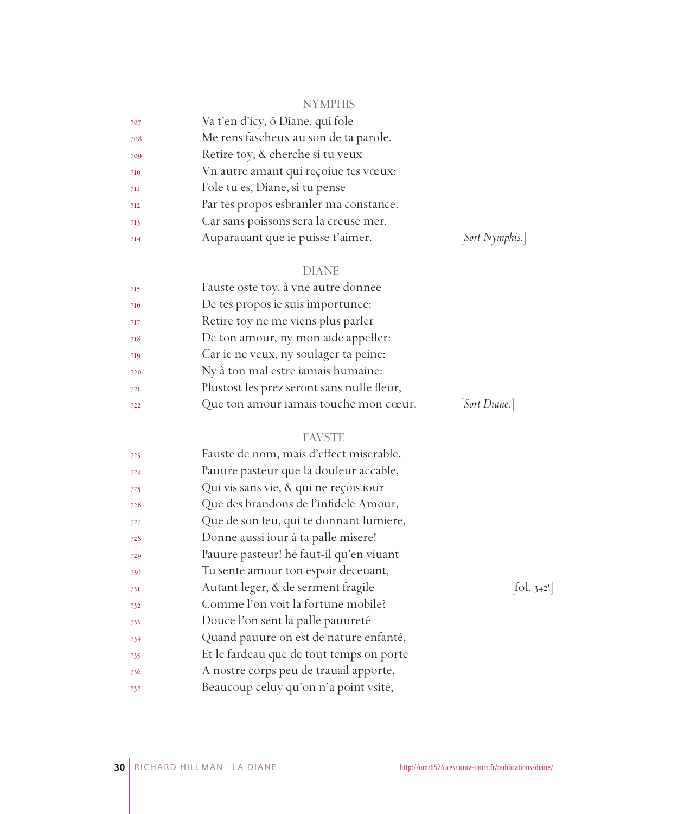## NYMPHIS

| 707 | Va t'en d'icy, ô Diane, qui fole       |
|-----|----------------------------------------|
| 708 | Me rens fascheux au son de ta parole.  |
| 709 | Retire toy, & cherche si tu veux       |
| 710 | Vn autre amant qui reçoiue tes vœux:   |
| 7II | Fole tu es, Diane, si tu pense         |
| 712 | Par tes propos esbranler ma constance. |
| 713 | Car sans poissons sera la creuse mer,  |
| 7I4 | Auparauant que ie puisse t'aimer.      |

## $[Sort \ Nymphis.]$

## DIANE

| 715 | Fauste oste toy, à vne autre donnee        |               |
|-----|--------------------------------------------|---------------|
| 716 | De tes propos ie suis importunee:          |               |
| 717 | Retire toy ne me viens plus parler         |               |
| 718 | De ton amour, ny mon aide appeller:        |               |
| 719 | Car ie ne veux, ny soulager ta peine:      |               |
| 720 | Ny à ton mal estre iamais humaine:         |               |
| 72I | Plustost les prez seront sans nulle fleur, |               |
| 722 | Que ton amour iamais touche mon cœur.      | [Sort Diane.] |
|     |                                            |               |

## FAVSTE

| 723 | Fauste de nom, mais d'effect miserable,  |                       |
|-----|------------------------------------------|-----------------------|
| 724 | Pauure pasteur que la douleur accable,   |                       |
| 725 | Qui vis sans vie, & qui ne reçois iour   |                       |
| 726 | Que des brandons de l'infidele Amour,    |                       |
| 727 | Que de son feu, qui te donnant lumiere,  |                       |
| 728 | Donne aussi iour à ta palle misere!      |                       |
| 729 | Pauure pasteur! hé faut-il qu'en viuant  |                       |
| 730 | Tu sente amour ton espoir deceuant,      |                       |
| 73I | Autant leger, & de serment fragile       | fol. 342 <sup>r</sup> |
| 732 | Comme l'on voit la fortune mobile?       |                       |
| 733 | Douce l'on sent la palle pauureté        |                       |
| 734 | Quand pauure on est de nature enfanté,   |                       |
| 735 | Et le fardeau que de tout temps on porte |                       |
| 736 | A nostre corps peu de trauail apporte,   |                       |
| 737 | Beaucoup celuy qu'on n'a point vsité,    |                       |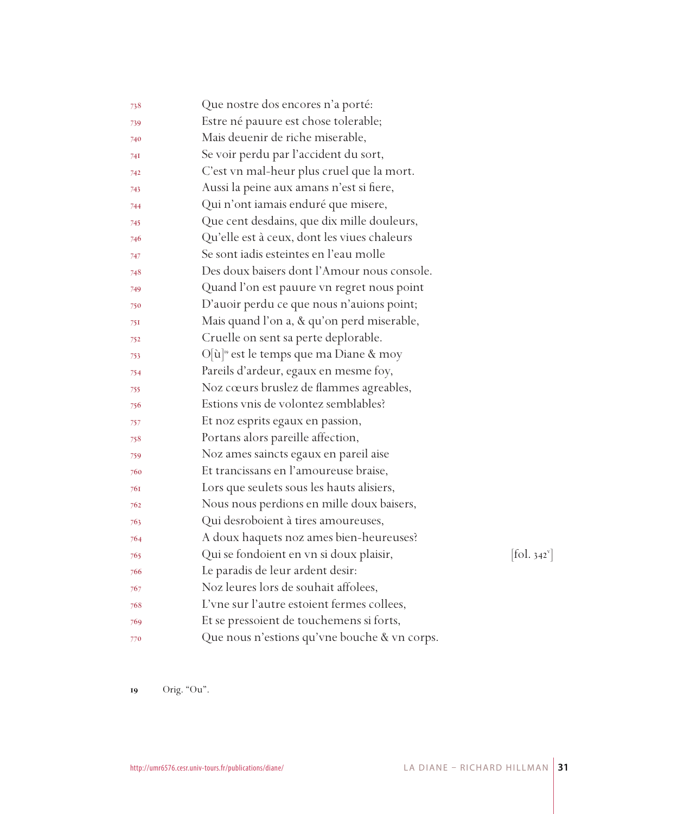| 738 | Que nostre dos encores n'a porté:                  |                              |
|-----|----------------------------------------------------|------------------------------|
| 739 | Estre né pauure est chose tolerable;               |                              |
| 740 | Mais deuenir de riche miserable,                   |                              |
| 74I | Se voir perdu par l'accident du sort,              |                              |
| 742 | C'est vn mal-heur plus cruel que la mort.          |                              |
| 743 | Aussi la peine aux amans n'est si fiere,           |                              |
| 744 | Qui n'ont iamais enduré que misere,                |                              |
| 745 | Que cent desdains, que dix mille douleurs,         |                              |
| 746 | Qu'elle est à ceux, dont les viues chaleurs        |                              |
| 747 | Se sont jadis esteintes en l'eau molle             |                              |
| 748 | Des doux baisers dont l'Amour nous console.        |                              |
| 749 | Quand l'on est pauure vn regret nous point         |                              |
| 750 | D'auoir perdu ce que nous n'auions point;          |                              |
| 751 | Mais quand l'on a, & qu'on perd miserable,         |                              |
| 752 | Cruelle on sent sa perte deplorable.               |                              |
| 753 | O[ù] <sup>19</sup> est le temps que ma Diane & moy |                              |
| 754 | Pareils d'ardeur, egaux en mesme foy,              |                              |
| 755 | Noz cœurs bruslez de flammes agreables,            |                              |
| 756 | Estions vnis de volontez semblables?               |                              |
| 757 | Et noz esprits egaux en passion,                   |                              |
| 758 | Portans alors pareille affection,                  |                              |
| 759 | Noz ames saincts egaux en pareil aise              |                              |
| 760 | Et trancissans en l'amoureuse braise,              |                              |
| 761 | Lors que seulets sous les hauts alisiers,          |                              |
| 762 | Nous nous perdions en mille doux baisers,          |                              |
| 763 | Qui desroboient à tires amoureuses,                |                              |
| 764 | A doux haquets noz ames bien-heureuses?            |                              |
| 765 | Qui se fondoient en vn si doux plaisir,            | $[\text{fol. } 342^{\circ}]$ |
| 766 | Le paradis de leur ardent desir:                   |                              |
| 767 | Noz leures lors de souhait affolees,               |                              |
| 768 | L'vne sur l'autre estoient fermes collees,         |                              |
| 769 | Et se pressoient de touchemens si forts,           |                              |
| 770 | Que nous n'estions qu'vne bouche & vn corps.       |                              |

Orig. "Ou".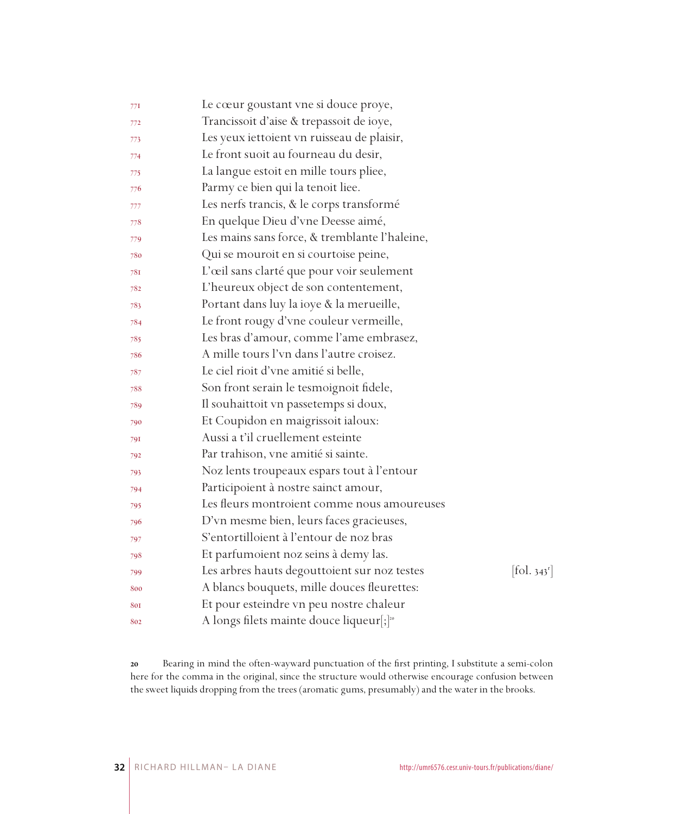| 77I | Le cœur goustant vne si douce proye,                 |                                 |
|-----|------------------------------------------------------|---------------------------------|
| 772 | Trancissoit d'aise & trepassoit de ioye,             |                                 |
| 773 | Les yeux iettoient vn ruisseau de plaisir,           |                                 |
| 774 | Le front suoit au fourneau du desir,                 |                                 |
| 775 | La langue estoit en mille tours pliee,               |                                 |
| 776 | Parmy ce bien qui la tenoit liee.                    |                                 |
| 777 | Les nerfs trancis, & le corps transformé             |                                 |
| 778 | En quelque Dieu d'vne Deesse aimé,                   |                                 |
| 779 | Les mains sans force, & tremblante l'haleine,        |                                 |
| 780 | Qui se mouroit en si courtoise peine,                |                                 |
| 78I | L'œil sans clarté que pour voir seulement            |                                 |
| 782 | L'heureux object de son contentement,                |                                 |
| 783 | Portant dans luy la ioye & la merueille,             |                                 |
| 784 | Le front rougy d'vne couleur vermeille,              |                                 |
| 785 | Les bras d'amour, comme l'ame embrasez,              |                                 |
| 786 | A mille tours l'vn dans l'autre croisez.             |                                 |
| 787 | Le ciel rioit d'vne amitié si belle,                 |                                 |
| 788 | Son front serain le tesmoignoit fidele,              |                                 |
| 789 | Il souhaittoit vn passetemps si doux,                |                                 |
| 790 | Et Coupidon en maigrissoit ialoux:                   |                                 |
| 791 | Aussi a t'il cruellement esteinte                    |                                 |
| 792 | Par trahison, vne amitié si sainte.                  |                                 |
| 793 | Noz lents troupeaux espars tout à l'entour           |                                 |
| 794 | Participoient à nostre sainct amour,                 |                                 |
| 795 | Les fleurs montroient comme nous amoureuses          |                                 |
| 796 | D'vn mesme bien, leurs faces gracieuses,             |                                 |
| 797 | S'entortilloient à l'entour de noz bras              |                                 |
| 798 | Et parfumoient noz seins à demy las.                 |                                 |
| 799 | Les arbres hauts degouttoient sur noz testes         | $[\text{fol. } 343^{\text{r}}]$ |
| 800 | A blancs bouquets, mille douces fleurettes:          |                                 |
| 801 | Et pour esteindre vn peu nostre chaleur              |                                 |
| 802 | A longs filets mainte douce liqueur[;] <sup>20</sup> |                                 |

 Bearing in mind the often-wayward punctuation of the first printing, I substitute a semi-colon here for the comma in the original, since the structure would otherwise encourage confusion between the sweet liquids dropping from the trees (aromatic gums, presumably) and the water in the brooks.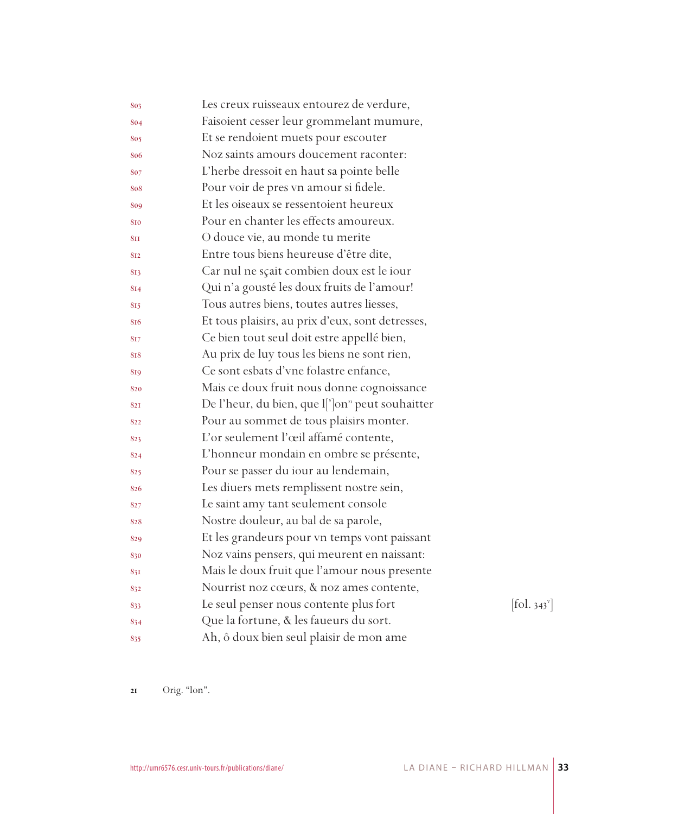| 803 | Les creux ruisseaux entourez de verdure,                           |                              |
|-----|--------------------------------------------------------------------|------------------------------|
| 804 | Faisoient cesser leur grommelant mumure,                           |                              |
| 805 | Et se rendoient muets pour escouter                                |                              |
| 806 | Noz saints amours doucement raconter:                              |                              |
| 807 | L'herbe dressoit en haut sa pointe belle                           |                              |
| 808 | Pour voir de pres vn amour si fidele.                              |                              |
| 809 | Et les oiseaux se ressentoient heureux                             |                              |
| 810 | Pour en chanter les effects amoureux.                              |                              |
| 811 | O douce vie, au monde tu merite                                    |                              |
| 812 | Entre tous biens heureuse d'être dite,                             |                              |
| 813 | Car nul ne sçait combien doux est le iour                          |                              |
| 814 | Qui n'a gousté les doux fruits de l'amour!                         |                              |
| 815 | Tous autres biens, toutes autres liesses,                          |                              |
| 816 | Et tous plaisirs, au prix d'eux, sont detresses,                   |                              |
| 817 | Ce bien tout seul doit estre appellé bien,                         |                              |
| 818 | Au prix de luy tous les biens ne sont rien,                        |                              |
| 819 | Ce sont esbats d'vne folastre enfance,                             |                              |
| 820 | Mais ce doux fruit nous donne cognoissance                         |                              |
| 821 | De l'heur, du bien, que l[']on <sup><i>n</i></sup> peut souhaitter |                              |
| 822 | Pour au sommet de tous plaisirs monter.                            |                              |
| 823 | L'or seulement l'œil affamé contente,                              |                              |
| 824 | L'honneur mondain en ombre se présente,                            |                              |
| 825 | Pour se passer du iour au lendemain,                               |                              |
| 826 | Les diuers mets remplissent nostre sein,                           |                              |
| 827 | Le saint amy tant seulement console                                |                              |
| 828 | Nostre douleur, au bal de sa parole,                               |                              |
| 829 | Et les grandeurs pour vn temps vont paissant                       |                              |
| 830 | Noz vains pensers, qui meurent en naissant:                        |                              |
| 831 | Mais le doux fruit que l'amour nous presente                       |                              |
| 832 | Nourrist noz cœurs, & noz ames contente,                           |                              |
| 833 | Le seul penser nous contente plus fort                             | $[\text{fol. } 343^{\circ}]$ |
| 834 | Que la fortune, & les faueurs du sort.                             |                              |
| 835 | Ah, ô doux bien seul plaisir de mon ame                            |                              |

Orig. "lon".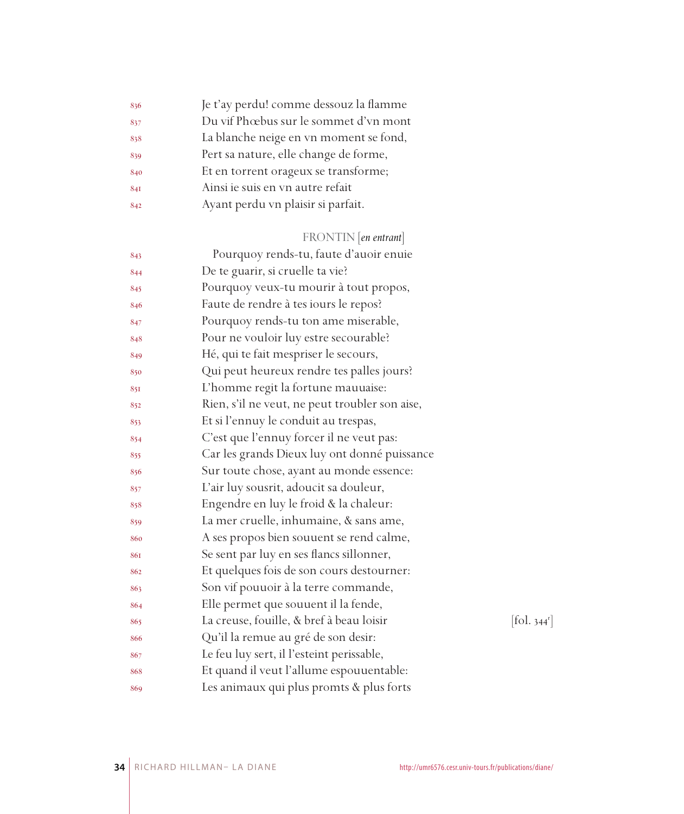| 836 | Je t'ay perdu! comme dessouz la flamme |
|-----|----------------------------------------|
| 837 | Du vif Phœbus sur le sommet d'vn mont  |
| 838 | La blanche neige en vn moment se fond, |
| 839 | Pert sa nature, elle change de forme,  |
| 840 | Et en torrent orageux se transforme;   |
| 841 | Ainsi ie suis en vn autre refait       |
| 842 | Ayant perdu vn plaisir si parfait.     |
|     |                                        |

## FRONTIN [*en entrant*]

| 843 | Pourquoy rends-tu, faute d'auoir enuie         |                          |
|-----|------------------------------------------------|--------------------------|
| 844 | De te guarir, si cruelle ta vie?               |                          |
| 845 | Pourquoy veux-tu mourir à tout propos,         |                          |
| 846 | Faute de rendre à tes iours le repos?          |                          |
| 847 | Pourquoy rends-tu ton ame miserable,           |                          |
| 848 | Pour ne vouloir luy estre secourable?          |                          |
| 849 | Hé, qui te fait mespriser le secours,          |                          |
| 850 | Qui peut heureux rendre tes palles jours?      |                          |
| 851 | L'homme regit la fortune mauuaise:             |                          |
| 852 | Rien, s'il ne veut, ne peut troubler son aise, |                          |
| 853 | Et si l'ennuy le conduit au trespas,           |                          |
| 854 | C'est que l'ennuy forcer il ne veut pas:       |                          |
| 855 | Car les grands Dieux luy ont donné puissance   |                          |
| 856 | Sur toute chose, ayant au monde essence:       |                          |
| 857 | L'air luy sousrit, adoucit sa douleur,         |                          |
| 858 | Engendre en luy le froid & la chaleur:         |                          |
| 859 | La mer cruelle, inhumaine, & sans ame,         |                          |
| 860 | A ses propos bien souuent se rend calme,       |                          |
| 861 | Se sent par luy en ses flancs sillonner,       |                          |
| 862 | Et quelques fois de son cours destourner:      |                          |
| 863 | Son vif pouuoir à la terre commande,           |                          |
| 864 | Elle permet que souuent il la fende,           |                          |
| 865 | La creuse, fouille, & bref à beau loisir       | [fol. 344 <sup>r</sup> ] |
| 866 | Qu'il la remue au gré de son desir:            |                          |
| 867 | Le feu luy sert, il l'esteint perissable,      |                          |
| 868 | Et quand il veut l'allume espouuentable:       |                          |
| 869 | Les animaux qui plus promts & plus forts       |                          |
|     |                                                |                          |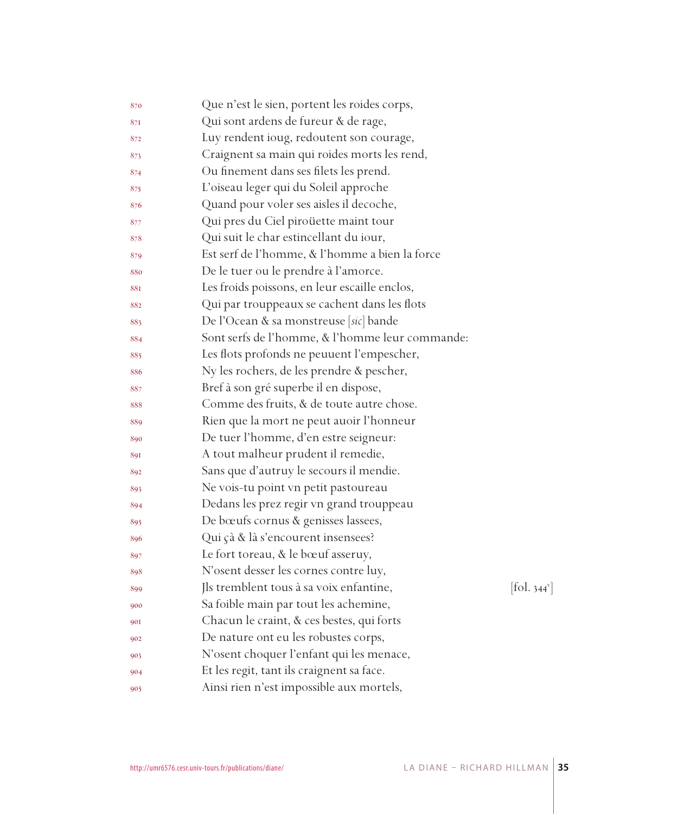| 870 | Que n'est le sien, portent les roides corps,    |                          |
|-----|-------------------------------------------------|--------------------------|
| 871 | Qui sont ardens de fureur & de rage,            |                          |
| 872 | Luy rendent ioug, redoutent son courage,        |                          |
| 873 | Craignent sa main qui roides morts les rend,    |                          |
| 874 | Ou finement dans ses filets les prend.          |                          |
| 875 | L'oiseau leger qui du Soleil approche           |                          |
| 876 | Quand pour voler ses aisles il decoche,         |                          |
| 877 | Qui pres du Ciel piroüette maint tour           |                          |
| 878 | Qui suit le char estincellant du iour,          |                          |
| 879 | Est serf de l'homme, & l'homme a bien la force  |                          |
| 880 | De le tuer ou le prendre à l'amorce.            |                          |
| 881 | Les froids poissons, en leur escaille enclos,   |                          |
| 882 | Qui par trouppeaux se cachent dans les flots    |                          |
| 883 | De l'Ocean & sa monstreuse [sic] bande          |                          |
| 884 | Sont serfs de l'homme, & l'homme leur commande: |                          |
| 885 | Les flots profonds ne peuuent l'empescher,      |                          |
| 886 | Ny les rochers, de les prendre & pescher,       |                          |
| 887 | Bref à son gré superbe il en dispose,           |                          |
| 888 | Comme des fruits, & de toute autre chose.       |                          |
| 889 | Rien que la mort ne peut auoir l'honneur        |                          |
| 890 | De tuer l'homme, d'en estre seigneur:           |                          |
| 891 | A tout malheur prudent il remedie,              |                          |
| 892 | Sans que d'autruy le secours il mendie.         |                          |
| 893 | Ne vois-tu point vn petit pastoureau            |                          |
| 894 | Dedans les prez regir vn grand trouppeau        |                          |
| 895 | De bœufs cornus & genisses lassees,             |                          |
| 896 | Qui çà & là s'encourent insensees?              |                          |
| 897 | Le fort toreau, & le bœuf asseruy,              |                          |
| 898 | N'osent desser les cornes contre luy,           |                          |
| 899 | Jls tremblent tous à sa voix enfantine,         | [fol. 344 <sup>v</sup> ] |
| 900 | Sa foible main par tout les achemine,           |                          |
| 901 | Chacun le craint, & ces bestes, qui forts       |                          |
| 902 | De nature ont eu les robustes corps,            |                          |
| 903 | N'osent choquer l'enfant qui les menace,        |                          |
| 904 | Et les regit, tant ils craignent sa face.       |                          |
| 905 | Ainsi rien n'est impossible aux mortels,        |                          |
|     |                                                 |                          |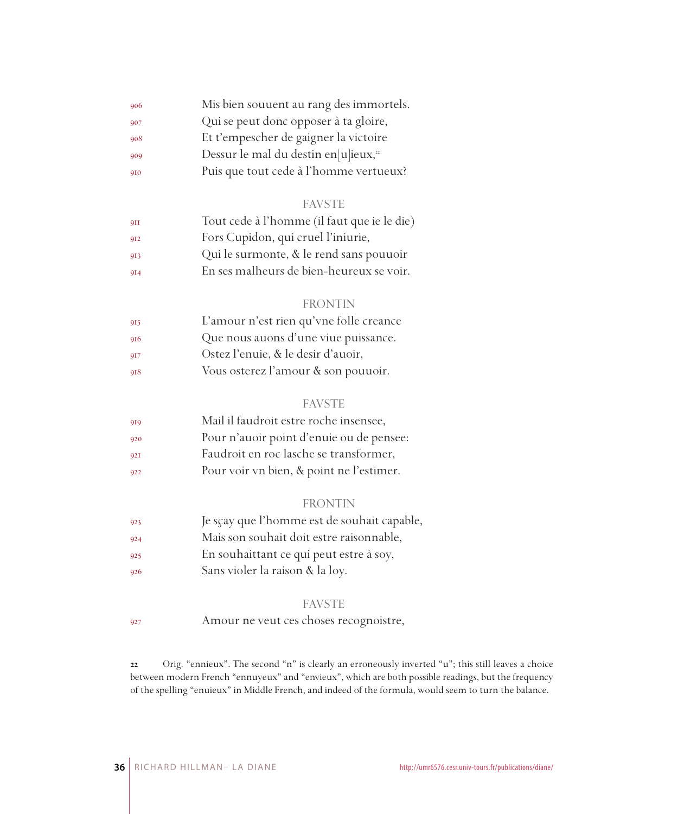| 906 | Mis bien souuent au rang des immortels.          |
|-----|--------------------------------------------------|
| 907 | Qui se peut donc opposer à ta gloire,            |
| 908 | Et t'empescher de gaigner la victoire            |
| 909 | Dessur le mal du destin en[u]ieux, <sup>22</sup> |
| 910 | Puis que tout cede à l'homme vertueux?           |

#### FAVSTE

| 9II | Tout cede à l'homme (il faut que ie le die) |
|-----|---------------------------------------------|
| 912 | Fors Cupidon, qui cruel l'iniurie,          |
| 913 | Qui le surmonte, & le rend sans pouuoir     |
| 914 | En ses malheurs de bien-heureux se voir.    |

#### FRONTIN

| 915 | L'amour n'est rien qu'vne folle creance |
|-----|-----------------------------------------|
| 916 | Que nous auons d'une viue puissance.    |
| 917 | Ostez l'enuie, & le desir d'auoir,      |
| 918 | Vous osterez l'amour & son pouuoir.     |

#### FAVSTE

| 919 | Mail il faudroit estre roche insensee,   |
|-----|------------------------------------------|
| 920 | Pour n'auoir point d'enuie ou de pensee: |
| 921 | Faudroit en roc lasche se transformer,   |
| 922 | Pour voir vn bien, & point ne l'estimer. |

#### FRONTIN

- Je sçay que l'homme est de souhait capable,
- Mais son souhait doit estre raisonnable,
- En souhaittant ce qui peut estre à soy,
- Sans violer la raison & la loy.

#### FAVSTE

Amour ne veut ces choses recognoistre,

 Orig. "ennieux". The second "n" is clearly an erroneously inverted "u"; this still leaves a choice between modern French "ennuyeux" and "envieux", which are both possible readings, but the frequency of the spelling "enuieux" in Middle French, and indeed of the formula, would seem to turn the balance.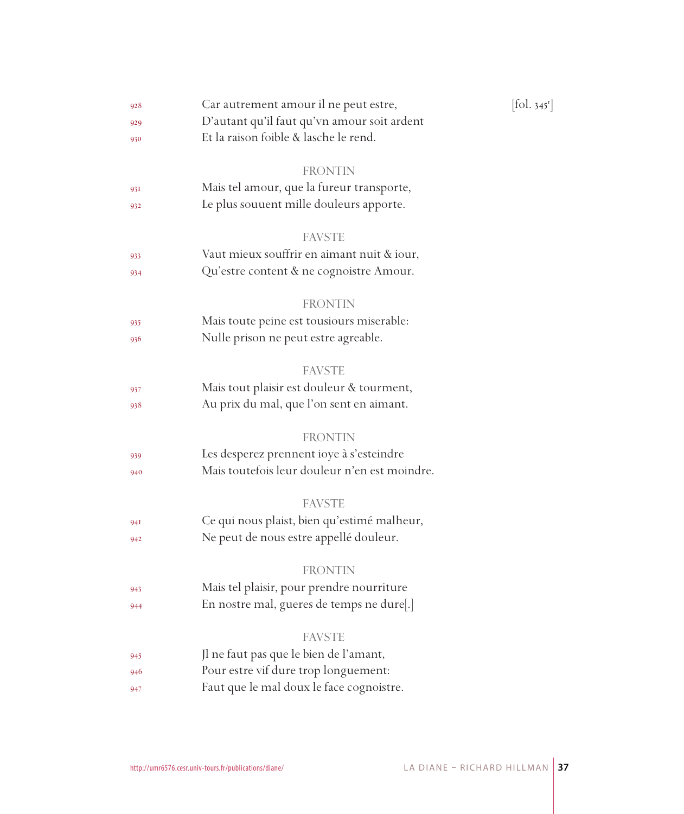| 928 | Car autrement amour il ne peut estre,         | $[\text{fol. } 345^{\text{r}}]$ |
|-----|-----------------------------------------------|---------------------------------|
| 929 | D'autant qu'il faut qu'vn amour soit ardent   |                                 |
| 930 | Et la raison foible & lasche le rend.         |                                 |
|     | FRONTIN                                       |                                 |
| 931 | Mais tel amour, que la fureur transporte,     |                                 |
| 932 | Le plus souuent mille douleurs apporte.       |                                 |
|     |                                               |                                 |
|     | <b>FAVSTE</b>                                 |                                 |
| 933 | Vaut mieux souffrir en aimant nuit & iour,    |                                 |
| 934 | Qu'estre content & ne cognoistre Amour.       |                                 |
|     | <b>FRONTIN</b>                                |                                 |
| 935 | Mais toute peine est tousiours miserable:     |                                 |
| 936 | Nulle prison ne peut estre agreable.          |                                 |
|     |                                               |                                 |
|     | FAVSTE                                        |                                 |
| 937 | Mais tout plaisir est douleur & tourment,     |                                 |
| 938 | Au prix du mal, que l'on sent en aimant.      |                                 |
|     | <b>FRONTIN</b>                                |                                 |
| 939 | Les desperez prennent ioye à s'esteindre      |                                 |
| 940 | Mais toutefois leur douleur n'en est moindre. |                                 |
|     |                                               |                                 |
|     | <b>FAVSTE</b>                                 |                                 |
| 94I | Ce qui nous plaist, bien qu'estimé malheur,   |                                 |
| 942 | Ne peut de nous estre appellé douleur.        |                                 |
|     | FRONTIN                                       |                                 |
| 943 | Mais tel plaisir, pour prendre nourriture     |                                 |
| 944 | En nostre mal, gueres de temps ne dure[.]     |                                 |
|     |                                               |                                 |
|     | FAVSTE                                        |                                 |
| 945 | Jl ne faut pas que le bien de l'amant,        |                                 |
| 946 | Pour estre vif dure trop longuement:          |                                 |
| 947 | Faut que le mal doux le face cognoistre.      |                                 |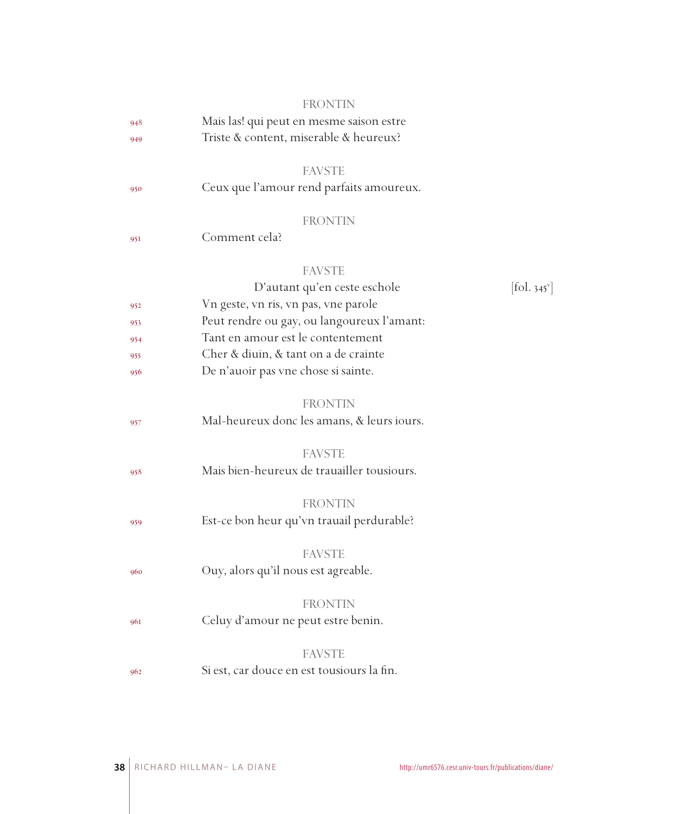|     | <b>FRONTIN</b>                             |                               |
|-----|--------------------------------------------|-------------------------------|
| 948 | Mais las! qui peut en mesme saison estre   |                               |
| 949 | Triste & content, miserable & heureux?     |                               |
|     |                                            |                               |
|     | <b>FAVSTE</b>                              |                               |
| 950 | Ceux que l'amour rend parfaits amoureux.   |                               |
|     | <b>FRONTIN</b>                             |                               |
| 951 | Comment cela?                              |                               |
|     |                                            |                               |
|     | <b>FAVSTE</b>                              |                               |
|     | D'autant qu'en ceste eschole               | $[\text{fol. } 345^\text{v}]$ |
| 952 | Vn geste, vn ris, vn pas, vne parole       |                               |
| 953 | Peut rendre ou gay, ou langoureux l'amant: |                               |
| 954 | Tant en amour est le contentement          |                               |
| 955 | Cher & diuin, & tant on a de crainte       |                               |
| 956 | De n'auoir pas vne chose si sainte.        |                               |
|     |                                            |                               |
|     | <b>FRONTIN</b>                             |                               |
| 957 | Mal-heureux donc les amans, & leurs iours. |                               |
|     |                                            |                               |
|     | <b>FAVSTE</b>                              |                               |
| 958 | Mais bien-heureux de trauailler tousiours. |                               |
|     | <b>FRONTIN</b>                             |                               |
|     | Est-ce bon heur qu'vn trauail perdurable?  |                               |
| 959 |                                            |                               |
|     | <b>FAVSTE</b>                              |                               |
| 960 | Ouy, alors qu'il nous est agreable.        |                               |
|     |                                            |                               |
|     | FRONTIN                                    |                               |
| 961 | Celuy d'amour ne peut estre benin.         |                               |
|     | <b>FAVSTE</b>                              |                               |
|     |                                            |                               |
| 962 | Si est, car douce en est tousiours la fin. |                               |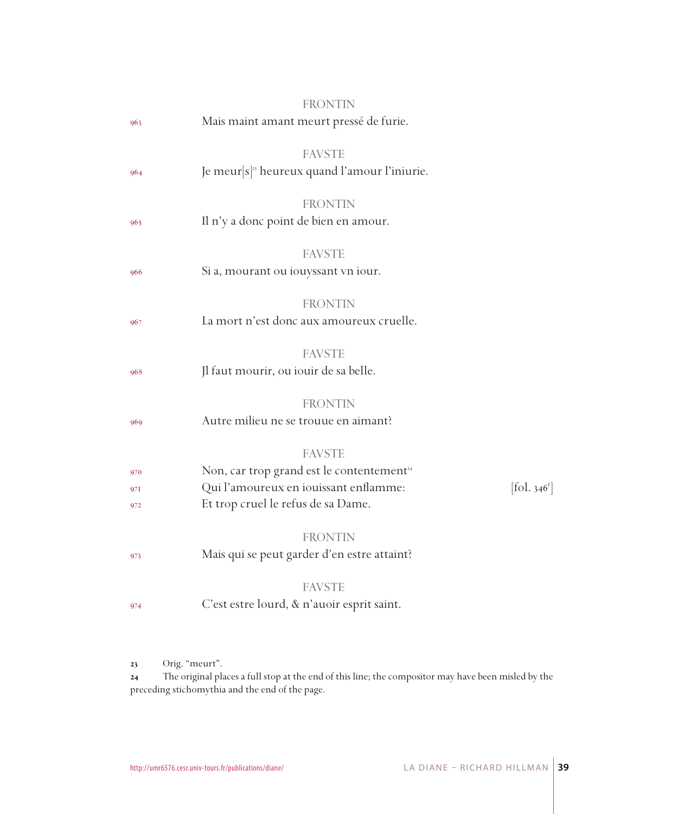|                   | <b>FRONTIN</b>                                                                                                                                        |                          |
|-------------------|-------------------------------------------------------------------------------------------------------------------------------------------------------|--------------------------|
| 963               | Mais maint amant meurt pressé de furie.                                                                                                               |                          |
| 964               | <b>FAVSTE</b><br>Je meur $[s]$ <sup>33</sup> heureux quand l'amour l'iniurie.                                                                         |                          |
| 965               | <b>FRONTIN</b><br>Il n'y a donc point de bien en amour.                                                                                               |                          |
| 966               | <b>FAVSTE</b><br>Si a, mourant ou iouyssant vn iour.                                                                                                  |                          |
| 967               | <b>FRONTIN</b><br>La mort n'est donc aux amoureux cruelle.                                                                                            |                          |
| 968               | <b>FAVSTE</b><br>Jl faut mourir, ou iouir de sa belle.                                                                                                |                          |
| 969               | <b>FRONTIN</b><br>Autre milieu ne se trouue en aimant?                                                                                                |                          |
| 970<br>971<br>972 | <b>FAVSTE</b><br>Non, car trop grand est le contentement <sup>24</sup><br>Qui l'amoureux en iouissant enflamme:<br>Et trop cruel le refus de sa Dame. | [fol. 346 <sup>r</sup> ] |
| 973               | <b>FRONTIN</b><br>Mais qui se peut garder d'en estre attaint?                                                                                         |                          |
| 974               | <b>FAVSTE</b><br>C'est estre lourd, & n'auoir esprit saint.                                                                                           |                          |
|                   |                                                                                                                                                       |                          |

23 Orig. "meurt".

 The original places a full stop at the end of this line; the compositor may have been misled by the preceding stichomythia and the end of the page.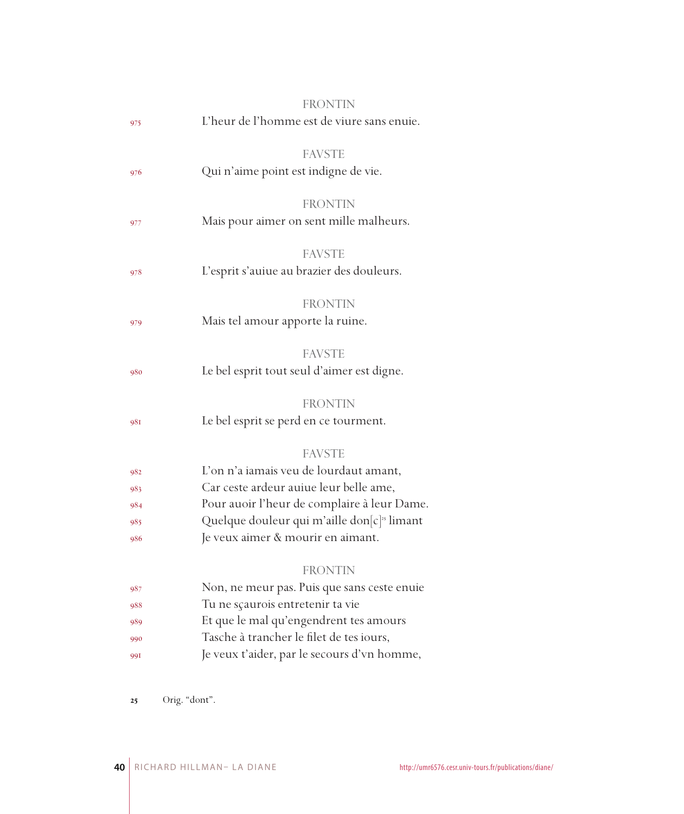|     | <b>FRONTIN</b>                                          |
|-----|---------------------------------------------------------|
| 975 | L'heur de l'homme est de viure sans enuie.              |
|     | <b>FAVSTE</b>                                           |
| 976 | Qui n'aime point est indigne de vie.                    |
|     | <b>FRONTIN</b>                                          |
| 977 | Mais pour aimer on sent mille malheurs.                 |
|     | <b>FAVSTE</b>                                           |
| 978 | L'esprit s'auiue au brazier des douleurs.               |
|     | <b>FRONTIN</b>                                          |
| 979 | Mais tel amour apporte la ruine.                        |
|     | <b>FAVSTE</b>                                           |
| 980 | Le bel esprit tout seul d'aimer est digne.              |
|     | <b>FRONTIN</b>                                          |
| 981 | Le bel esprit se perd en ce tourment.                   |
|     | <b>FAVSTE</b>                                           |
| 982 | L'on n'a iamais veu de lourdaut amant,                  |
| 983 | Car ceste ardeur auiue leur belle ame,                  |
| 984 | Pour auoir l'heur de complaire à leur Dame.             |
| 985 | Quelque douleur qui m'aille don[c] <sup>25</sup> limant |
| 986 | Je veux aimer & mourir en aimant.                       |
|     | <b>FRONTIN</b>                                          |
| 987 | Non, ne meur pas. Puis que sans ceste enuie             |
| 988 | Tu ne sçaurois entretenir ta vie                        |
| 989 | Et que le mal qu'engendrent tes amours                  |
| 990 | Tasche à trancher le filet de tes iours,                |
| 991 | Je veux t'aider, par le secours d'vn homme,             |
|     |                                                         |

Orig. "dont".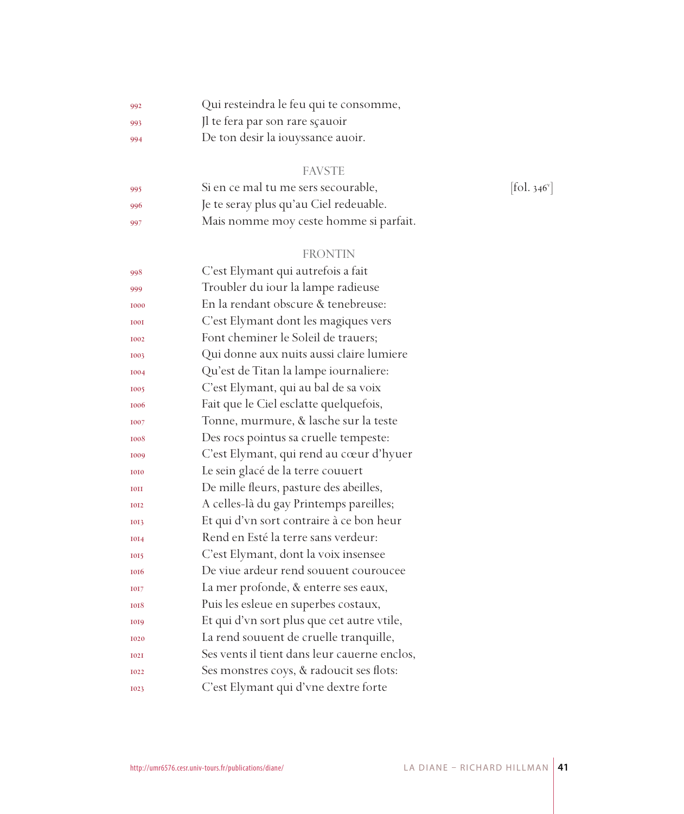| 992 | Qui resteindra le feu qui te consomme, |
|-----|----------------------------------------|
| 993 | Il te fera par son rare sçauoir        |

De ton desir la iouyssance auoir.

## FAVSTE

| -995  | Si en ce mal tu me sers secourable,    | $[$ fol. 346 $^{\mathrm{v}}$ |
|-------|----------------------------------------|------------------------------|
| -996  | Je te seray plus qu'au Ciel redeuable. |                              |
| - 997 | Mais nomme moy ceste homme si parfait. |                              |

## FRONTIN

| 998         | C'est Elymant qui autrefois a fait           |
|-------------|----------------------------------------------|
| 999         | Troubler du iour la lampe radieuse           |
| 1000        | En la rendant obscure & tenebreuse:          |
| <b>IOOI</b> | C'est Elymant dont les magiques vers         |
| 1002        | Font cheminer le Soleil de trauers;          |
| 1003        | Qui donne aux nuits aussi claire lumiere     |
| 1004        | Qu'est de Titan la lampe iournaliere:        |
| 1005        | C'est Elymant, qui au bal de sa voix         |
| 1006        | Fait que le Ciel esclatte quelquefois,       |
| 1007        | Tonne, murmure, & lasche sur la teste        |
| 1008        | Des rocs pointus sa cruelle tempeste:        |
| 1009        | C'est Elymant, qui rend au cœur d'hyuer      |
| 1010        | Le sein glacé de la terre couuert            |
| <b>IOII</b> | De mille fleurs, pasture des abeilles,       |
| <b>IOI2</b> | A celles-là du gay Printemps pareilles;      |
| 1013        | Et qui d'vn sort contraire à ce bon heur     |
| 1014        | Rend en Esté la terre sans verdeur:          |
| 1015        | C'est Elymant, dont la voix insensee         |
| 1016        | De viue ardeur rend souuent couroucee        |
| 1017        | La mer profonde, & enterre ses eaux,         |
| 1018        | Puis les esleue en superbes costaux,         |
| 1019        | Et qui d'vn sort plus que cet autre vtile,   |
| 1020        | La rend souuent de cruelle tranquille,       |
| <b>I02I</b> | Ses vents il tient dans leur cauerne enclos, |
| 1022        | Ses monstres coys, & radoucit ses flots:     |
| 1023        | C'est Elymant qui d'vne dextre forte         |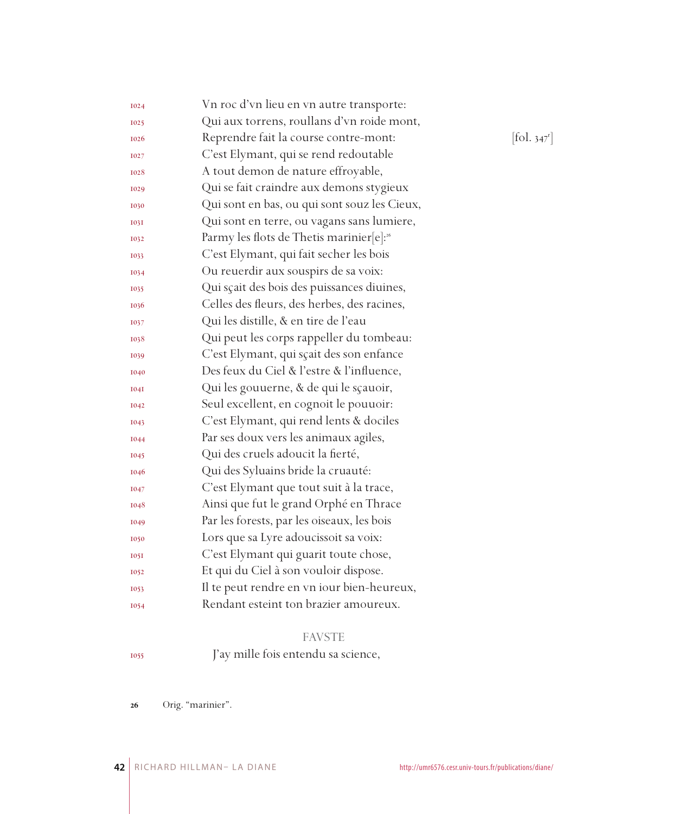| 1024        | Vn roc d'vn lieu en vn autre transporte:             |            |
|-------------|------------------------------------------------------|------------|
| <b>I025</b> | Qui aux torrens, roullans d'vn roide mont,           |            |
| 1026        | Reprendre fait la course contre-mont:                | [fol. 347] |
| 1027        | C'est Elymant, qui se rend redoutable                |            |
| 1028        | A tout demon de nature effroyable,                   |            |
| 1029        | Qui se fait craindre aux demons stygieux             |            |
| 1030        | Qui sont en bas, ou qui sont souz les Cieux,         |            |
| 1031        | Qui sont en terre, ou vagans sans lumiere,           |            |
| 1032        | Parmy les flots de Thetis marinier[e]: <sup>26</sup> |            |
| 1033        | C'est Elymant, qui fait secher les bois              |            |
| 1034        | Ou reuerdir aux souspirs de sa voix:                 |            |
| 1035        | Qui sçait des bois des puissances diuines,           |            |
| 1036        | Celles des fleurs, des herbes, des racines,          |            |
| 1037        | Qui les distille, & en tire de l'eau                 |            |
| 1038        | Qui peut les corps rappeller du tombeau:             |            |
| 1039        | C'est Elymant, qui sçait des son enfance             |            |
| 1040        | Des feux du Ciel & l'estre & l'influence,            |            |
| <b>1041</b> | Qui les gouuerne, & de qui le sçauoir,               |            |
| 1042        | Seul excellent, en cognoit le pouuoir:               |            |
| 1043        | C'est Elymant, qui rend lents & dociles              |            |
| 1044        | Par ses doux vers les animaux agiles,                |            |
| 1045        | Qui des cruels adoucit la fierté,                    |            |
| 1046        | Qui des Syluains bride la cruauté:                   |            |
| 1047        | C'est Elymant que tout suit à la trace,              |            |
| 1048        | Ainsi que fut le grand Orphé en Thrace               |            |
| 1049        | Par les forests, par les oiseaux, les bois           |            |
| 1050        | Lors que sa Lyre adoucissoit sa voix:                |            |
| 1051        | C'est Elymant qui guarit toute chose,                |            |
| 1052        | Et qui du Ciel à son vouloir dispose.                |            |
| 1053        | Il te peut rendre en vn iour bien-heureux,           |            |
| 1054        | Rendant esteint ton brazier amoureux.                |            |
|             |                                                      |            |

## FAVSTE

J'ay mille fois entendu sa science,

Orig. "marinier".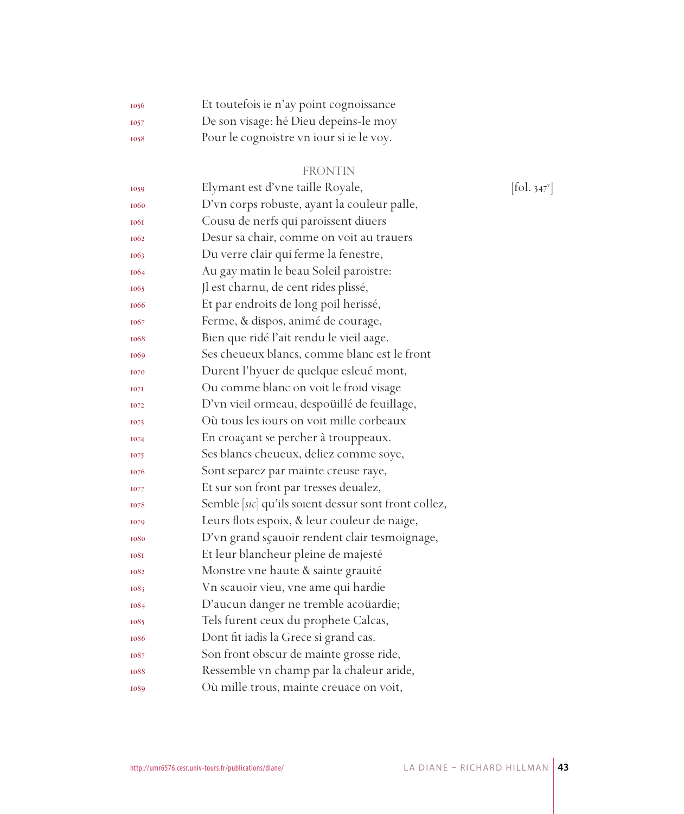| 1056        | Et toutefois ie n'ay point cognoissance  |
|-------------|------------------------------------------|
| <b>I057</b> | De son visage: hé Dieu depeins-le moy    |
| 1058        | Pour le cognoistre vn iour si je le voy. |

## FRONTIN

| 1059        | Elymant est d'vne taille Royale,                     | $\left[ \text{fol. } 347^{\circ} \right]$ |
|-------------|------------------------------------------------------|-------------------------------------------|
| 1060        | D'vn corps robuste, ayant la couleur palle,          |                                           |
| <b>1061</b> | Cousu de nerfs qui paroissent diuers                 |                                           |
| 1062        | Desur sa chair, comme on voit au trauers             |                                           |
| 1063        | Du verre clair qui ferme la fenestre,                |                                           |
| 1064        | Au gay matin le beau Soleil paroistre:               |                                           |
| 1065        | Jl est charnu, de cent rides plissé,                 |                                           |
| <b>1066</b> | Et par endroits de long poil herissé,                |                                           |
| 1067        | Ferme, & dispos, animé de courage,                   |                                           |
| 1068        | Bien que ridé l'ait rendu le vieil aage.             |                                           |
| 1069        | Ses cheueux blancs, comme blanc est le front         |                                           |
| 1070        | Durent l'hyuer de quelque esleué mont,               |                                           |
| 1071        | Ou comme blanc on voit le froid visage               |                                           |
| 1072        | D'vn vieil ormeau, despoüillé de feuillage,          |                                           |
| 1073        | Où tous les jours on voit mille corbeaux             |                                           |
| 1074        | En croaçant se percher à trouppeaux.                 |                                           |
| 1075        | Ses blancs cheueux, deliez comme soye,               |                                           |
| 1076        | Sont separez par mainte creuse raye,                 |                                           |
| 1077        | Et sur son front par tresses deualez,                |                                           |
| 1078        | Semble [sic] qu'ils soient dessur sont front collez, |                                           |
| 1079        | Leurs flots espoix, & leur couleur de naige,         |                                           |
| 1080        | D'vn grand sçauoir rendent clair tesmoignage,        |                                           |
| <b>1081</b> | Et leur blancheur pleine de majesté                  |                                           |
| 1082        | Monstre vne haute & sainte grauité                   |                                           |
| 1083        | Vn scauoir vieu, vne ame qui hardie                  |                                           |
| 1084        | D'aucun danger ne tremble acoüardie;                 |                                           |
| 1085        | Tels furent ceux du prophete Calcas,                 |                                           |
| 1086        | Dont fit iadis la Grece si grand cas.                |                                           |
| 1087        | Son front obscur de mainte grosse ride,              |                                           |
| 1088        | Ressemble vn champ par la chaleur aride,             |                                           |
| 1089        | Où mille trous, mainte creuace on voit,              |                                           |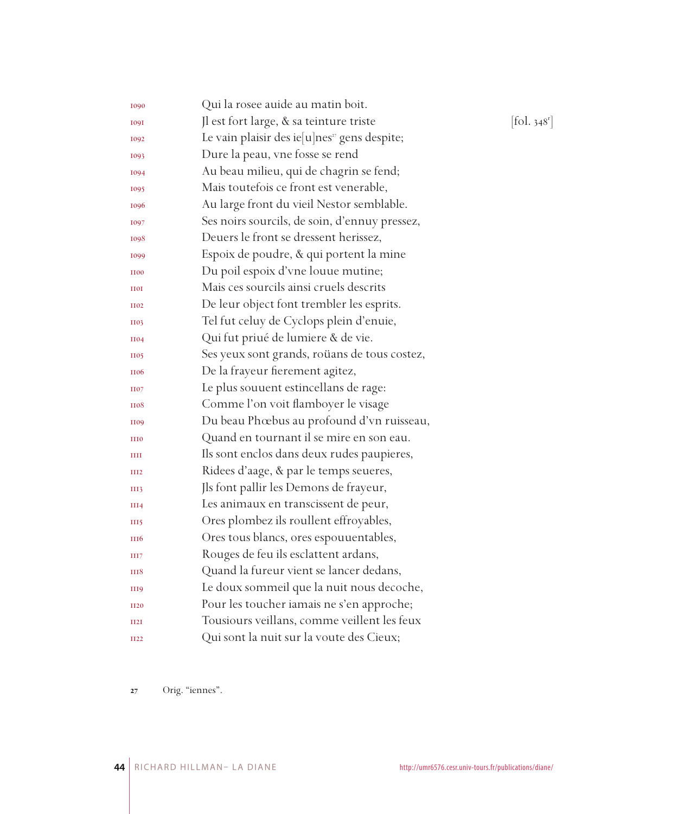| 1090             | Qui la rosee auide au matin boit.                        |                          |
|------------------|----------------------------------------------------------|--------------------------|
| <b>1091</b>      | Jl est fort large, & sa teinture triste                  | [fol. 348 <sup>r</sup> ] |
| 1092             | Le vain plaisir des ie[u]nes <sup>27</sup> gens despite; |                          |
| 1093             | Dure la peau, vne fosse se rend                          |                          |
| 1094             | Au beau milieu, qui de chagrin se fend;                  |                          |
| 1095             | Mais toutefois ce front est venerable,                   |                          |
| 1096             | Au large front du vieil Nestor semblable.                |                          |
| 1097             | Ses noirs sourcils, de soin, d'ennuy pressez,            |                          |
| 1098             | Deuers le front se dressent herissez,                    |                          |
| 1099             | Espoix de poudre, & qui portent la mine                  |                          |
| <b>H00</b>       | Du poil espoix d'vne louue mutine;                       |                          |
| <b>HOI</b>       | Mais ces sourcils ainsi cruels descrits                  |                          |
| <b>H02</b>       | De leur object font trembler les esprits.                |                          |
| <b>H03</b>       | Tel fut celuy de Cyclops plein d'enuie,                  |                          |
| <b>H04</b>       | Qui fut priué de lumiere & de vie.                       |                          |
| <b>H05</b>       | Ses yeux sont grands, roüans de tous costez,             |                          |
| <b>H06</b>       | De la frayeur fierement agitez,                          |                          |
| <b>H07</b>       | Le plus souuent estincellans de rage:                    |                          |
| <b>H08</b>       | Comme l'on voit flamboyer le visage                      |                          |
| <b>H09</b>       | Du beau Phœbus au profound d'vn ruisseau,                |                          |
| <b>HIO</b>       | Quand en tournant il se mire en son eau.                 |                          |
| Ш                | Ils sont enclos dans deux rudes paupieres,               |                          |
| III <sub>2</sub> | Ridees d'aage, & par le temps seueres,                   |                          |
| III3             | Jls font pallir les Demons de frayeur,                   |                          |
| III4             | Les animaux en transcissent de peur,                     |                          |
| III5             | Ores plombez ils roullent effroyables,                   |                          |
| <b>III6</b>      | Ores tous blancs, ores espouuentables,                   |                          |
| III7             | Rouges de feu ils esclattent ardans,                     |                          |
| III8             | Quand la fureur vient se lancer dedans,                  |                          |
| III <sub>9</sub> | Le doux sommeil que la nuit nous decoche,                |                          |
| <b>II20</b>      | Pour les toucher iamais ne s'en approche;                |                          |
| II2I             | Tousiours veillans, comme veillent les feux              |                          |
| <b>II22</b>      | Qui sont la nuit sur la voute des Cieux;                 |                          |
|                  |                                                          |                          |

Orig. "iennes".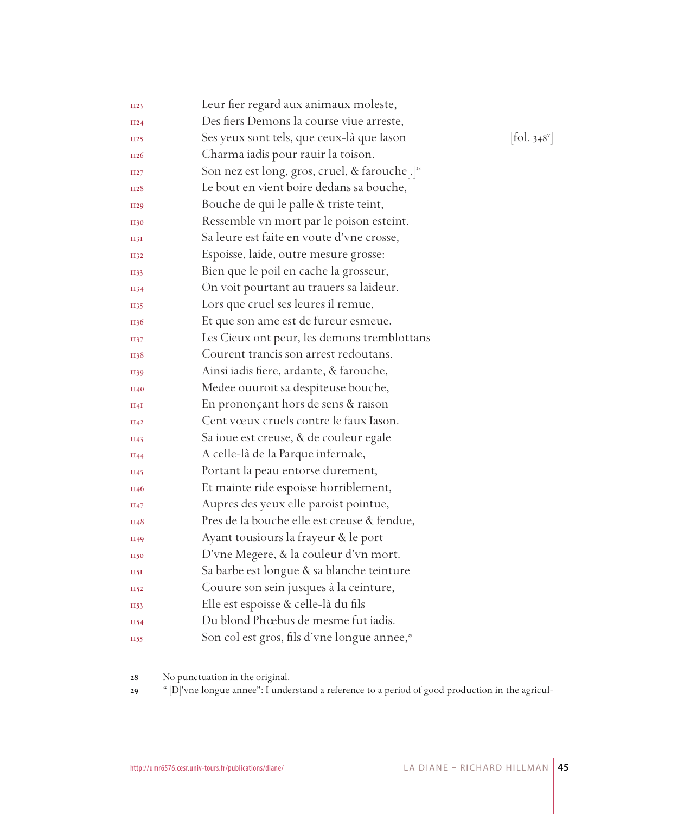| <b>II23</b> | Leur fier regard aux animaux moleste,                      |                                          |
|-------------|------------------------------------------------------------|------------------------------------------|
| II24        | Des fiers Demons la course viue arreste,                   |                                          |
| II25        | Ses yeux sont tels, que ceux-là que Iason                  | $\left[$ fol. 348 $^{\mathrm{v}}\right]$ |
| II26        | Charma iadis pour rauir la toison.                         |                                          |
| II27        | Son nez est long, gros, cruel, & farouche[,] <sup>28</sup> |                                          |
| <b>II28</b> | Le bout en vient boire dedans sa bouche,                   |                                          |
| II29        | Bouche de qui le palle & triste teint,                     |                                          |
| <b>II30</b> | Ressemble vn mort par le poison esteint.                   |                                          |
| 1131        | Sa leure est faite en voute d'vne crosse,                  |                                          |
| II32        | Espoisse, laide, outre mesure grosse:                      |                                          |
| II33        | Bien que le poil en cache la grosseur,                     |                                          |
| II34        | On voit pourtant au trauers sa laideur.                    |                                          |
| II35        | Lors que cruel ses leures il remue,                        |                                          |
| <b>II36</b> | Et que son ame est de fureur esmeue,                       |                                          |
| II37        | Les Cieux ont peur, les demons tremblottans                |                                          |
| <b>1138</b> | Courent trancis son arrest redoutans.                      |                                          |
| II39        | Ainsi iadis fiere, ardante, & farouche,                    |                                          |
| <b>II40</b> | Medee ouuroit sa despiteuse bouche,                        |                                          |
| II4I        | En prononçant hors de sens & raison                        |                                          |
| II42        | Cent vœux cruels contre le faux Iason.                     |                                          |
| II43        | Sa ioue est creuse, & de couleur egale                     |                                          |
| II44        | A celle-là de la Parque infernale,                         |                                          |
| II45        | Portant la peau entorse durement,                          |                                          |
| II46        | Et mainte ride espoisse horriblement,                      |                                          |
| II47        | Aupres des yeux elle paroist pointue,                      |                                          |
| II48        | Pres de la bouche elle est creuse & fendue,                |                                          |
| II49        | Ayant tousiours la frayeur & le port                       |                                          |
| II50        | D'vne Megere, & la couleur d'vn mort.                      |                                          |
| <b>II5I</b> | Sa barbe est longue & sa blanche teinture                  |                                          |
| II52        | Couure son sein jusques à la ceinture,                     |                                          |
| II53        | Elle est espoisse & celle-là du fils                       |                                          |
| II54        | Du blond Phœbus de mesme fut iadis.                        |                                          |
| <b>II55</b> | Son col est gros, fils d'vne longue annee, <sup>29</sup>   |                                          |
|             |                                                            |                                          |

No punctuation in the original.

" [D]'vne longue annee": I understand a reference to a period of good production in the agricul-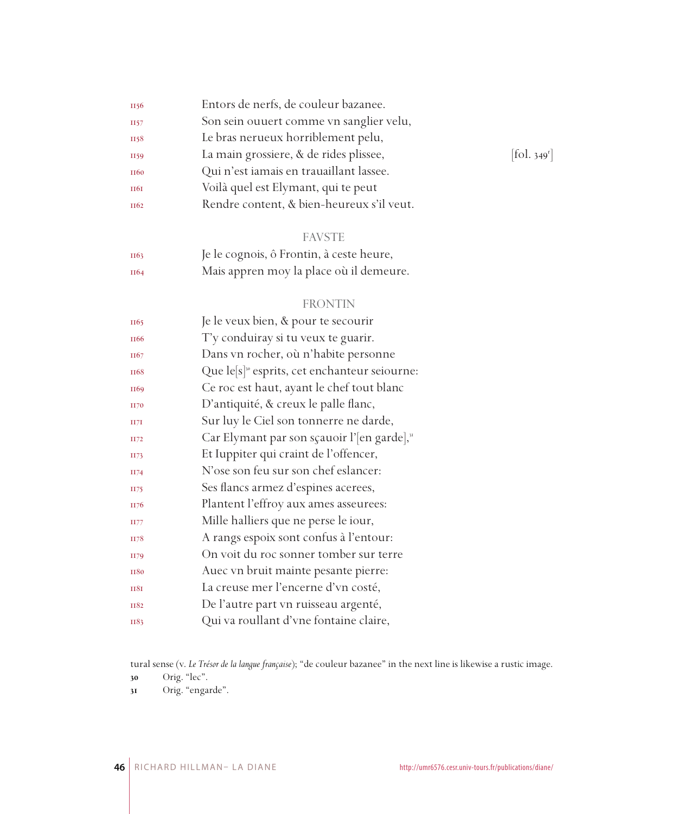| II56             | Entors de nerfs, de couleur bazanee.      |            |
|------------------|-------------------------------------------|------------|
| II57             | Son sein ouuert comme vn sanglier velu,   |            |
| II58             | Le bras nerueux horriblement pelu,        |            |
| II59             | La main grossiere, & de rides plissee,    | [fol. 349] |
| <b>II60</b>      | Qui n'est iamais en trauaillant lassee.   |            |
| <b>II6I</b>      | Voilà quel est Elymant, qui te peut       |            |
| II <sub>62</sub> | Rendre content, & bien-heureux s'il veut. |            |
|                  |                                           |            |

#### FAVSTE

| II63 | Je le cognois, ô Frontin, à ceste heure, |
|------|------------------------------------------|
| II64 | Mais appren moy la place où il demeure.  |

### FRONTIN

| II65             | Je le veux bien, & pour te secourir                       |
|------------------|-----------------------------------------------------------|
| II <sub>66</sub> | T'y conduiray si tu veux te guarir.                       |
| II67             | Dans vn rocher, où n'habite personne                      |
| <b>II68</b>      | Que le[s] <sup>30</sup> esprits, cet enchanteur seiourne: |
| II69             | Ce roc est haut, ayant le chef tout blanc                 |
| <b>H70</b>       | D'antiquité, & creux le palle flanc,                      |
| II7I             | Sur luy le Ciel son tonnerre ne darde,                    |
| II72             | Car Elymant par son sçauoir l'[en garde],"                |
| II73             | Et Iuppiter qui craint de l'offencer,                     |
| II74             | N'ose son feu sur son chef eslancer:                      |
| II75             | Ses flancs armez d'espines acerees,                       |
| II76             | Plantent l'effroy aux ames asseurees:                     |
| II77             | Mille halliers que ne perse le iour,                      |
| II78             | A rangs espoix sont confus à l'entour:                    |
| II79             | On voit du roc sonner tomber sur terre                    |
| <b>II80</b>      | Auec vn bruit mainte pesante pierre:                      |
| <b>II8I</b>      | La creuse mer l'encerne d'vn costé,                       |
| <b>II82</b>      | De l'autre part vn ruisseau argenté,                      |
| II83             | Qui va roullant d'vne fontaine claire,                    |
|                  |                                                           |

tural sense (v. *Le Trésor de la langue française*); "de couleur bazanee" in the next line is likewise a rustic image.

Orig. "lec".

Orig. "engarde".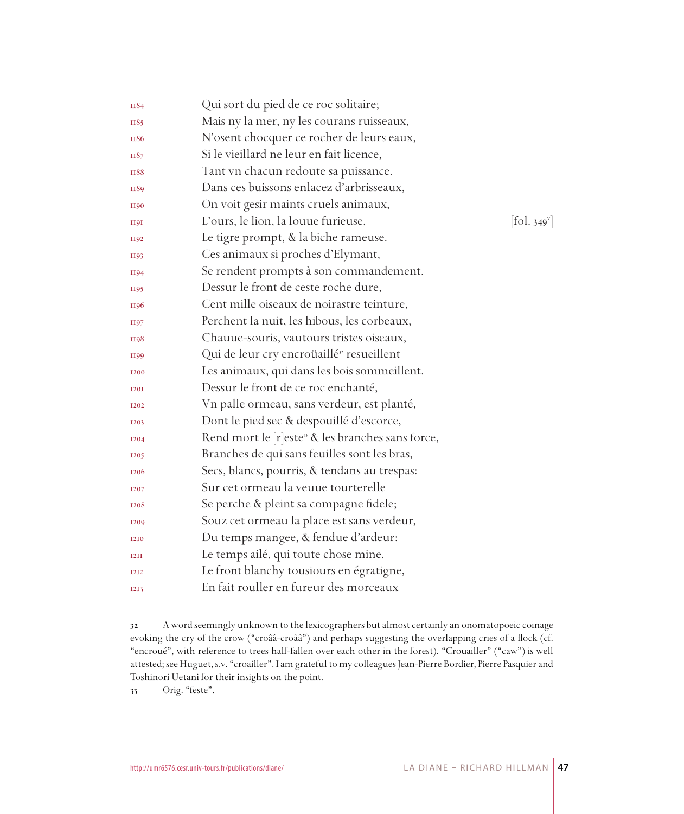| II84                          | Qui sort du pied de ce roc solitaire;                         |                            |
|-------------------------------|---------------------------------------------------------------|----------------------------|
| II85                          | Mais ny la mer, ny les courans ruisseaux,                     |                            |
| II86                          | N'osent chocquer ce rocher de leurs eaux,                     |                            |
| II87                          | Si le vieillard ne leur en fait licence,                      |                            |
| <b>II88</b>                   | Tant vn chacun redoute sa puissance.                          |                            |
| II89                          | Dans ces buissons enlacez d'arbrisseaux,                      |                            |
| <b>II90</b>                   | On voit gesir maints cruels animaux,                          |                            |
| <b>H9I</b>                    | L'ours, le lion, la louue furieuse,                           | $[\text{fol. } 349^\circ]$ |
| II92                          | Le tigre prompt, & la biche rameuse.                          |                            |
| <b>II93</b>                   | Ces animaux si proches d'Elymant,                             |                            |
| <b>II94</b>                   | Se rendent prompts à son commandement.                        |                            |
| II95                          | Dessur le front de ceste roche dure,                          |                            |
| II96                          | Cent mille oiseaux de noirastre teinture,                     |                            |
| II97                          | Perchent la nuit, les hibous, les corbeaux,                   |                            |
| <b>H98</b>                    | Chauue-souris, vautours tristes oiseaux,                      |                            |
| II99                          | Qui de leur cry encroüaillé <sup>32</sup> resueillent         |                            |
| <b>I200</b>                   | Les animaux, qui dans les bois sommeillent.                   |                            |
| <b>I20I</b>                   | Dessur le front de ce roc enchanté,                           |                            |
| I <sub>2</sub> 0 <sub>2</sub> | Vn palle ormeau, sans verdeur, est planté,                    |                            |
| <b>I203</b>                   | Dont le pied sec & despouillé d'escorce,                      |                            |
| <b>I204</b>                   | Rend mort le [r]este <sup>33</sup> & les branches sans force, |                            |
| <b>I205</b>                   | Branches de qui sans feuilles sont les bras,                  |                            |
| <b>I206</b>                   | Secs, blancs, pourris, & tendans au trespas:                  |                            |
| 1207                          | Sur cet ormeau la veuue tourterelle                           |                            |
| <b>I208</b>                   | Se perche & pleint sa compagne fidele;                        |                            |
| <b>I209</b>                   | Souz cet ormeau la place est sans verdeur,                    |                            |
| <b>I2I0</b>                   | Du temps mangee, & fendue d'ardeur:                           |                            |
| <b>I2II</b>                   | Le temps ailé, qui toute chose mine,                          |                            |
| <b>I2I2</b>                   | Le front blanchy tousiours en égratigne,                      |                            |
| <b>I2I3</b>                   | En fait rouller en fureur des morceaux                        |                            |
|                               |                                                               |                            |

 A word seemingly unknown to the lexicographers but almost certainly an onomatopoeic coinage evoking the cry of the crow ("croââ-croââ") and perhaps suggesting the overlapping cries of a flock (cf. "encroué", with reference to trees half-fallen over each other in the forest). "Crouailler" ("caw") is well attested; see Huguet, s.v. "croailler". I am grateful to my colleagues Jean-Pierre Bordier, Pierre Pasquier and Toshinori Uetani for their insights on the point.

33 Orig. "feste".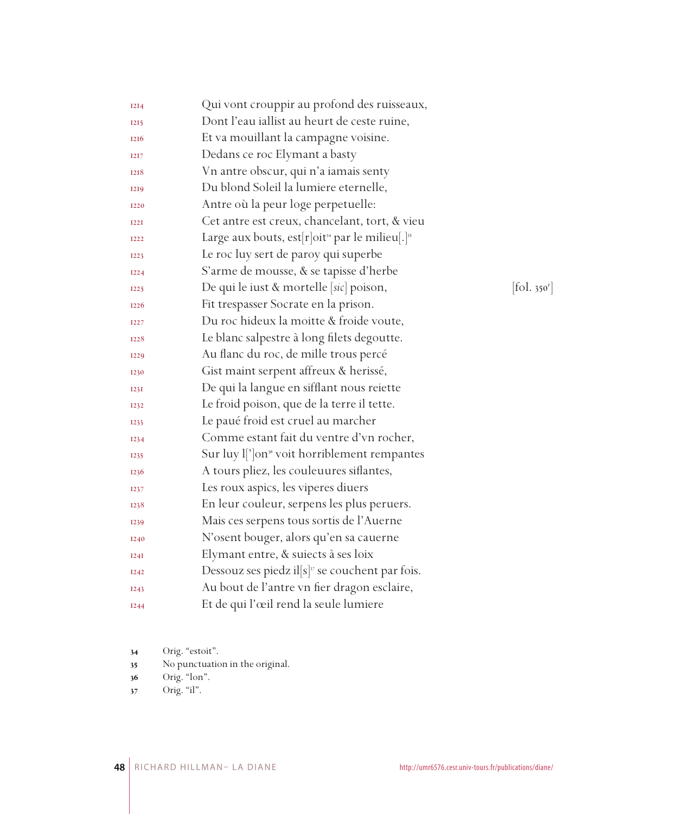| <b>I2I4</b> | Qui vont crouppir au profond des ruisseaux,                             |                          |
|-------------|-------------------------------------------------------------------------|--------------------------|
| <b>I2I5</b> | Dont l'eau iallist au heurt de ceste ruine,                             |                          |
| <b>I216</b> | Et va mouillant la campagne voisine.                                    |                          |
| <b>I2I7</b> | Dedans ce roc Elymant a basty                                           |                          |
| 1218        | Vn antre obscur, qui n'a iamais senty                                   |                          |
| <b>I2I9</b> | Du blond Soleil la lumiere eternelle,                                   |                          |
| <b>I220</b> | Antre où la peur loge perpetuelle:                                      |                          |
| <b>I22I</b> | Cet antre est creux, chancelant, tort, & vieu                           |                          |
| <b>I222</b> | Large aux bouts, est[r]oit <sup>34</sup> par le milieu[.] <sup>35</sup> |                          |
| <b>I223</b> | Le roc luy sert de paroy qui superbe                                    |                          |
| <b>I224</b> | S'arme de mousse, & se tapisse d'herbe                                  |                          |
| <b>I225</b> | De qui le iust & mortelle [sic] poison,                                 | [fol. 350 <sup>r</sup> ] |
| <b>I226</b> | Fit trespasser Socrate en la prison.                                    |                          |
| <b>I227</b> | Du roc hideux la moitte & froide voute,                                 |                          |
| <b>I228</b> | Le blanc salpestre à long filets degoutte.                              |                          |
| 1229        | Au flanc du roc, de mille trous percé                                   |                          |
| 1230        | Gist maint serpent affreux & herissé,                                   |                          |
| I23I        | De qui la langue en sifflant nous reiette                               |                          |
| 1232        | Le froid poison, que de la terre il tette.                              |                          |
| 1233        | Le paué froid est cruel au marcher                                      |                          |
| 1234        | Comme estant fait du ventre d'vn rocher,                                |                          |
| <b>I235</b> | Sur luy l <sup>'</sup> ]on <sup>36</sup> voit horriblement rempantes    |                          |
| 1236        | A tours pliez, les couleuures siflantes,                                |                          |
| 1237        | Les roux aspics, les viperes diuers                                     |                          |
| 1238        | En leur couleur, serpens les plus peruers.                              |                          |
| 1239        | Mais ces serpens tous sortis de l'Auerne                                |                          |
| <b>I240</b> | N'osent bouger, alors qu'en sa cauerne                                  |                          |
| I24I        | Elymant entre, & suiects à ses loix                                     |                          |
| <b>I242</b> | Dessouz ses piedz il $[s]$ <sup>37</sup> se couchent par fois.          |                          |
| <b>I243</b> | Au bout de l'antre vn fier dragon esclaire,                             |                          |
| <b>I244</b> | Et de qui l'œil rend la seule lumiere                                   |                          |

- Orig. "estoit".
- No punctuation in the original.
- Orig. "lon".
- 37 Orig. "il".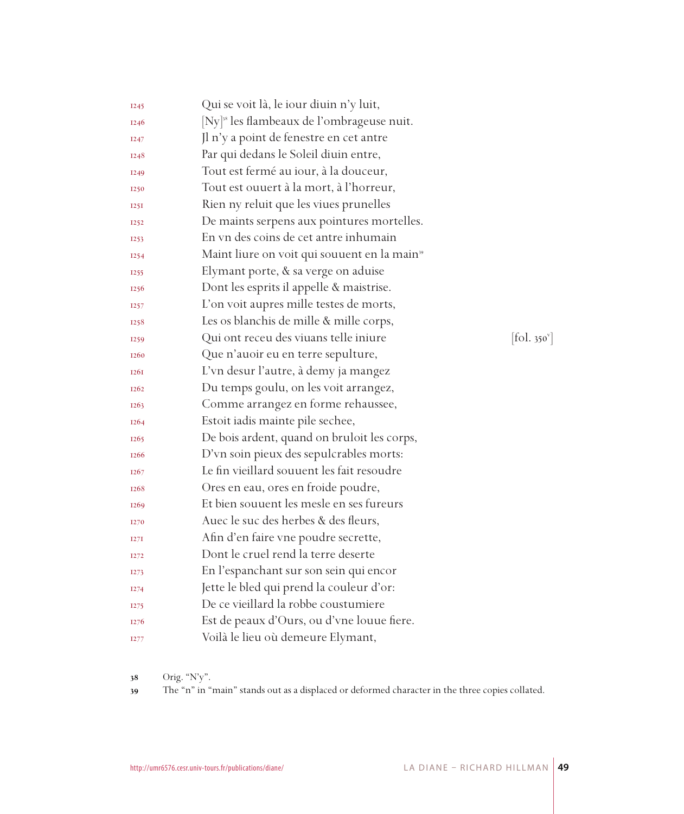| I <sub>245</sub>  | Qui se voit là, le iour diuin n'y luit,                  |                          |
|-------------------|----------------------------------------------------------|--------------------------|
| <b>I246</b>       | [Ny] <sup>38</sup> les flambeaux de l'ombrageuse nuit.   |                          |
| <b>I247</b>       | Jl n'y a point de fenestre en cet antre                  |                          |
| <b>I248</b>       | Par qui dedans le Soleil diuin entre,                    |                          |
| I <sub>249</sub>  | Tout est fermé au iour, à la douceur,                    |                          |
| 1250              | Tout est ouuert à la mort, à l'horreur,                  |                          |
| 125I              | Rien ny reluit que les viues prunelles                   |                          |
| 1252              | De maints serpens aux pointures mortelles.               |                          |
| 1253              | En vn des coins de cet antre inhumain                    |                          |
| I <sub>254</sub>  | Maint liure on voit qui souuent en la main <sup>39</sup> |                          |
| 1255              | Elymant porte, & sa verge on aduise                      |                          |
| <b>I256</b>       | Dont les esprits il appelle & maistrise.                 |                          |
| 1257              | L'on voit aupres mille testes de morts,                  |                          |
| 1258              | Les os blanchis de mille & mille corps,                  |                          |
| I <sub>259</sub>  | Qui ont receu des viuans telle iniure                    | [fol. 350 <sup>v</sup> ] |
| <b>I260</b>       | Que n'auoir eu en terre sepulture,                       |                          |
| <b>I26I</b>       | L'vn desur l'autre, à demy ja mangez                     |                          |
| <b>I262</b>       | Du temps goulu, on les voit arrangez,                    |                          |
| I <sub>2</sub> 63 | Comme arrangez en forme rehaussee,                       |                          |
| 1264              | Estoit iadis mainte pile sechee,                         |                          |
| 1265              | De bois ardent, quand on bruloit les corps,              |                          |
| <b>I266</b>       | D'vn soin pieux des sepulcrables morts:                  |                          |
| I <sub>267</sub>  | Le fin vieillard souuent les fait resoudre               |                          |
| <b>I268</b>       | Ores en eau, ores en froide poudre,                      |                          |
| <b>I269</b>       | Et bien souuent les mesle en ses fureurs                 |                          |
| 1270              | Auec le suc des herbes & des fleurs,                     |                          |
| I27I              | Afin d'en faire vne poudre secrette,                     |                          |
| I <sub>272</sub>  | Dont le cruel rend la terre deserte                      |                          |
| I <sub>27</sub> 3 | En l'espanchant sur son sein qui encor                   |                          |
| I <sub>274</sub>  | Jette le bled qui prend la couleur d'or:                 |                          |
| I <sub>275</sub>  | De ce vieillard la robbe coustumiere                     |                          |
| 1276              | Est de peaux d'Ours, ou d'vne louue fiere.               |                          |
| <b>I277</b>       | Voilà le lieu où demeure Elymant,                        |                          |

Orig. "N'y".

The "n" in "main" stands out as a displaced or deformed character in the three copies collated.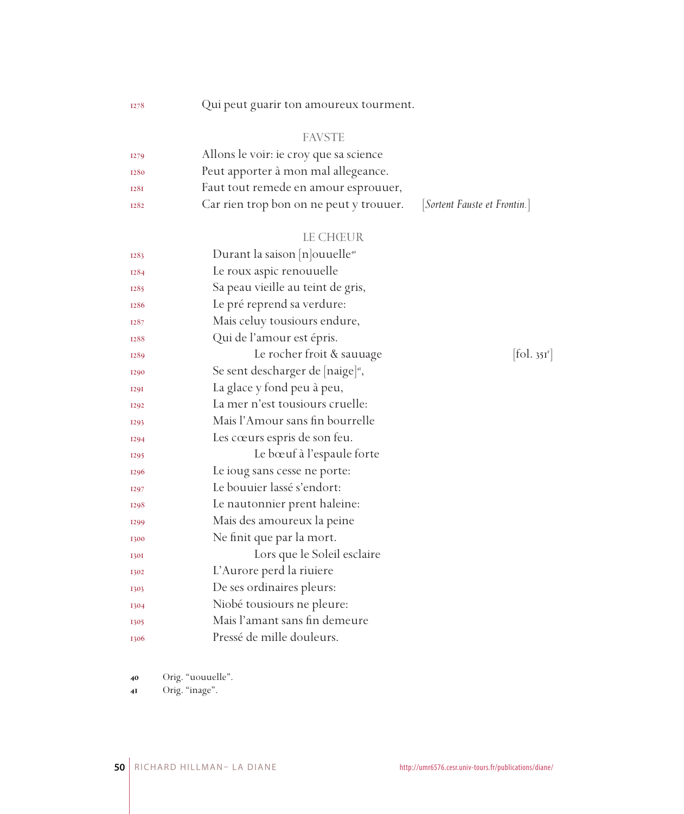Qui peut guarir ton amoureux tourment.

#### FAVSTE

| <b>I279</b> | Allons le voir: ie croy que sa science  |                              |
|-------------|-----------------------------------------|------------------------------|
| 1280        | Peut apporter à mon mal allegeance.     |                              |
| <b>I28I</b> | Faut tout remede en amour esprouuer,    |                              |
| <b>I282</b> | Car rien trop bon on ne peut y trouuer. | [Sortent Fauste et Frontin.] |

# LE CHŒUR

| 1283        | Durant la saison $[n]$ ouuelle <sup>40</sup>  |                       |
|-------------|-----------------------------------------------|-----------------------|
| <b>I284</b> | Le roux aspic renouuelle                      |                       |
| 1285        | Sa peau vieille au teint de gris,             |                       |
| 1286        | Le pré reprend sa verdure:                    |                       |
| 1287        | Mais celuy tousiours endure,                  |                       |
| 1288        | Qui de l'amour est épris.                     |                       |
| 1289        | Le rocher froit & sauuage                     | fol. 35I <sup>r</sup> |
| <b>I290</b> | Se sent descharger de [naige] <sup>41</sup> , |                       |
| <b>I29I</b> | La glace y fond peu à peu,                    |                       |
| <b>I292</b> | La mer n'est tousiours cruelle:               |                       |
| <b>I293</b> | Mais l'Amour sans fin bourrelle               |                       |
| I294        | Les cœurs espris de son feu.                  |                       |
| <b>I295</b> | Le bœuf à l'espaule forte                     |                       |
| <b>I296</b> | Le ioug sans cesse ne porte:                  |                       |
| <b>I297</b> | Le bouuier lassé s'endort:                    |                       |
| 1298        | Le nautonnier prent haleine:                  |                       |
| <b>I299</b> | Mais des amoureux la peine                    |                       |
| 1300        | Ne finit que par la mort.                     |                       |
| <b>1301</b> | Lors que le Soleil esclaire                   |                       |
| 1302        | L'Aurore perd la riuiere                      |                       |
| 1303        | De ses ordinaires pleurs:                     |                       |
| 1304        | Niobé tousiours ne pleure:                    |                       |
| 1305        | Mais l'amant sans fin demeure                 |                       |
| 1306        | Pressé de mille douleurs.                     |                       |

Orig. "uouuelle".

Orig. "inage".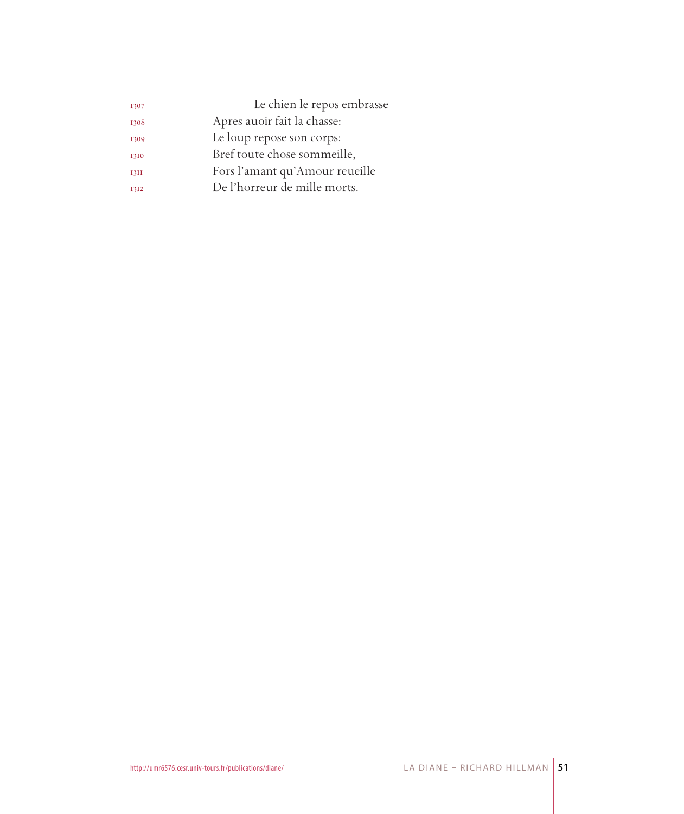| 1307        | Le chien le repos embrasse     |
|-------------|--------------------------------|
| 1308        | Apres auoir fait la chasse:    |
| 1309        | Le loup repose son corps:      |
| 1310        | Bref toute chose sommeille,    |
| <b>13II</b> | Fors l'amant qu'Amour reueille |
| 1312        | De l'horreur de mille morts.   |
|             |                                |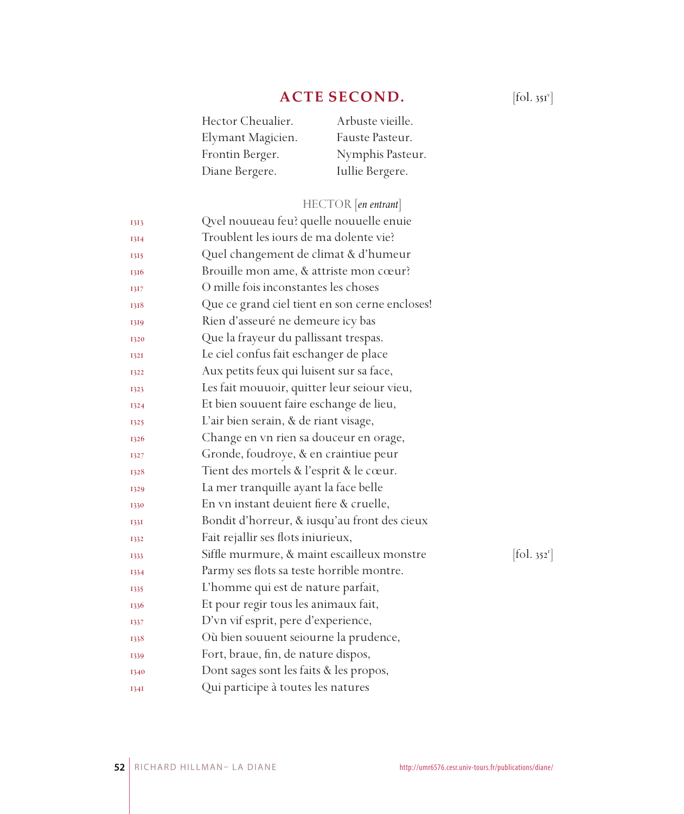## **ACTE SECOND.**

| Hector Cheualier. | Arbuste vieille. |
|-------------------|------------------|
| Elymant Magicien. | Fauste Pasteur.  |
| Frontin Berger.   | Nymphis Pasteur. |
| Diane Bergere.    | Iullie Bergere.  |

## HECTOR [*en entrant*]

| 1313 | Qvel nouueau feu? quelle nouuelle enuie        |                        |
|------|------------------------------------------------|------------------------|
| 1314 | Troublent les iours de ma dolente vie?         |                        |
| 1315 | Quel changement de climat & d'humeur           |                        |
| 1316 | Brouille mon ame, & attriste mon cœur?         |                        |
| 1317 | O mille fois inconstantes les choses           |                        |
| 1318 | Que ce grand ciel tient en son cerne encloses! |                        |
| 1319 | Rien d'asseuré ne demeure icy bas              |                        |
| 1320 | Que la frayeur du pallissant trespas.          |                        |
| 1321 | Le ciel confus fait eschanger de place         |                        |
| 1322 | Aux petits feux qui luisent sur sa face,       |                        |
| 1323 | Les fait mouuoir, quitter leur seiour vieu,    |                        |
| 1324 | Et bien souuent faire eschange de lieu,        |                        |
| 1325 | L'air bien serain, & de riant visage,          |                        |
| 1326 | Change en vn rien sa douceur en orage,         |                        |
| 1327 | Gronde, foudroye, & en craintiue peur          |                        |
| 1328 | Tient des mortels & l'esprit & le cœur.        |                        |
| 1329 | La mer tranquille ayant la face belle          |                        |
| 1330 | En vn instant deuient fiere & cruelle,         |                        |
| 1331 | Bondit d'horreur, & iusqu'au front des cieux   |                        |
| 1332 | Fait rejallir ses flots iniurieux,             |                        |
| 1333 | Siffle murmure, & maint escailleux monstre     | $[\text{fol. } 352^r]$ |
| 1334 | Parmy ses flots sa teste horrible montre.      |                        |
| 1335 | L'homme qui est de nature parfait,             |                        |
| 1336 | Et pour regir tous les animaux fait,           |                        |
| 1337 | D'vn vif esprit, pere d'experience,            |                        |
| 1338 | Où bien souuent seiourne la prudence,          |                        |
| 1339 | Fort, braue, fin, de nature dispos,            |                        |
| 1340 | Dont sages sont les faits & les propos,        |                        |
| I34I | Qui participe à toutes les natures             |                        |

 $[\text{fol. }351^\circ]$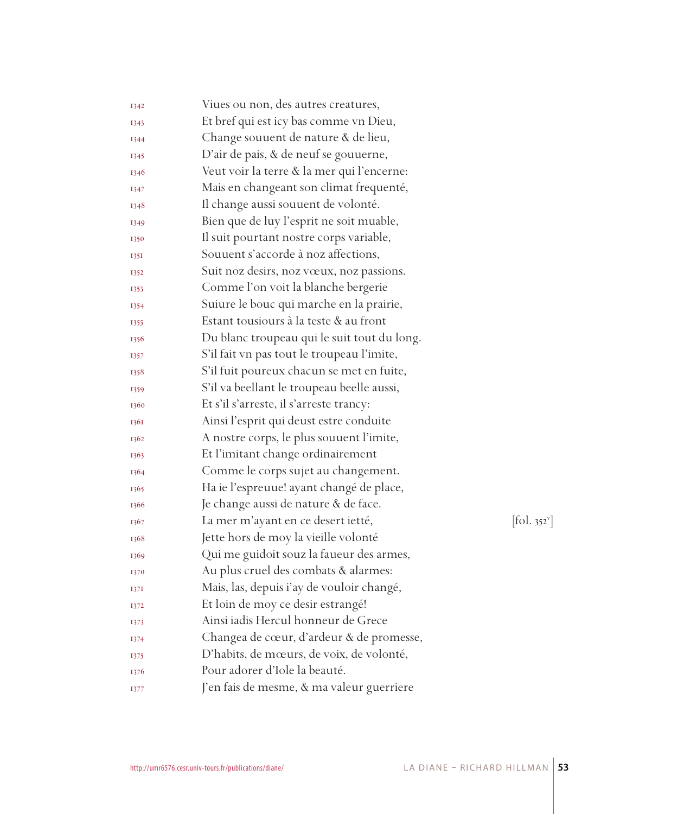| 1342 | Viues ou non, des autres creatures,         |                              |
|------|---------------------------------------------|------------------------------|
| 1343 | Et bref qui est icy bas comme vn Dieu,      |                              |
| 1344 | Change souuent de nature & de lieu,         |                              |
| 1345 | D'air de pais, & de neuf se gouuerne,       |                              |
| 1346 | Veut voir la terre & la mer qui l'encerne:  |                              |
| 1347 | Mais en changeant son climat frequenté,     |                              |
| 1348 | Il change aussi souuent de volonté.         |                              |
| 1349 | Bien que de luy l'esprit ne soit muable,    |                              |
| 1350 | Il suit pourtant nostre corps variable,     |                              |
| 1351 | Souuent s'accorde à noz affections,         |                              |
| 1352 | Suit noz desirs, noz vœux, noz passions.    |                              |
| 1353 | Comme l'on voit la blanche bergerie         |                              |
| 1354 | Suiure le bouc qui marche en la prairie,    |                              |
| 1355 | Estant tousiours à la teste & au front      |                              |
| 1356 | Du blanc troupeau qui le suit tout du long. |                              |
| 1357 | S'il fait vn pas tout le troupeau l'imite,  |                              |
| 1358 | S'il fuit poureux chacun se met en fuite,   |                              |
| 1359 | S'il va beellant le troupeau beelle aussi,  |                              |
| 1360 | Et s'il s'arreste, il s'arreste trancy:     |                              |
| 1361 | Ainsi l'esprit qui deust estre conduite     |                              |
| 1362 | A nostre corps, le plus souuent l'imite,    |                              |
| 1363 | Et l'imitant change ordinairement           |                              |
| 1364 | Comme le corps sujet au changement.         |                              |
| 1365 | Ha ie l'espreuue! ayant changé de place,    |                              |
| 1366 | Je change aussi de nature & de face.        |                              |
| 1367 | La mer m'ayant en ce desert ietté,          | $[\text{fol. } 352^{\circ}]$ |
| 1368 | Jette hors de moy la vieille volonté        |                              |
| 1369 | Qui me guidoit souz la faueur des armes,    |                              |
| 1370 | Au plus cruel des combats & alarmes:        |                              |
| 1371 | Mais, las, depuis i'ay de vouloir changé,   |                              |
| 1372 | Et loin de moy ce desir estrangé!           |                              |
| 1373 | Ainsi iadis Hercul honneur de Grece         |                              |
| 1374 | Changea de cœur, d'ardeur & de promesse,    |                              |
| 1375 | D'habits, de mœurs, de voix, de volonté,    |                              |
| 1376 | Pour adorer d'Iole la beauté.               |                              |
| 1377 | J'en fais de mesme, & ma valeur guerriere   |                              |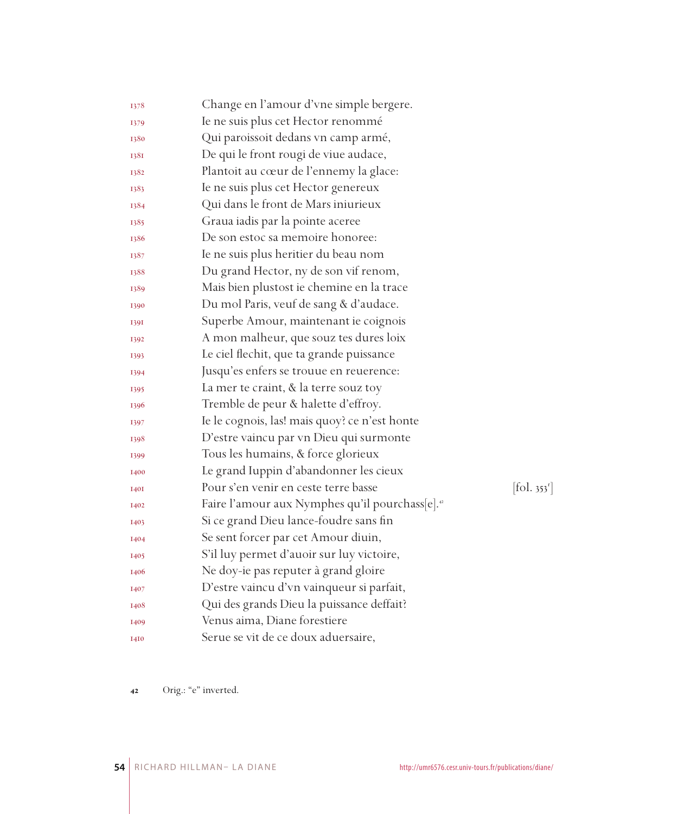| 1378        | Change en l'amour d'vne simple bergere.                     |                          |
|-------------|-------------------------------------------------------------|--------------------------|
| 1379        | Ie ne suis plus cet Hector renommé                          |                          |
| 1380        | Qui paroissoit dedans vn camp armé,                         |                          |
| 1381        | De qui le front rougi de viue audace,                       |                          |
| 1382        | Plantoit au cœur de l'ennemy la glace:                      |                          |
| 1383        | Ie ne suis plus cet Hector genereux                         |                          |
| 1384        | Qui dans le front de Mars iniurieux                         |                          |
| 1385        | Graua iadis par la pointe aceree                            |                          |
| 1386        | De son estoc sa memoire honoree:                            |                          |
| 1387        | Ie ne suis plus heritier du beau nom                        |                          |
| 1388        | Du grand Hector, ny de son vif renom,                       |                          |
| 1389        | Mais bien plustost ie chemine en la trace                   |                          |
| 1390        | Du mol Paris, veuf de sang & d'audace.                      |                          |
| 1391        | Superbe Amour, maintenant ie coignois                       |                          |
| 1392        | A mon malheur, que souz tes dures loix                      |                          |
| 1393        | Le ciel flechit, que ta grande puissance                    |                          |
| 1394        | Jusqu'es enfers se trouue en reuerence:                     |                          |
| 1395        | La mer te craint, & la terre souz toy                       |                          |
| 1396        | Tremble de peur & halette d'effroy.                         |                          |
| 1397        | Ie le cognois, las! mais quoy? ce n'est honte               |                          |
| 1398        | D'estre vaincu par vn Dieu qui surmonte                     |                          |
| 1399        | Tous les humains, & force glorieux                          |                          |
| 1400        | Le grand Iuppin d'abandonner les cieux                      |                          |
| <b>I40I</b> | Pour s'en venir en ceste terre basse                        | [fol. 353 <sup>r</sup> ] |
| 1402        | Faire l'amour aux Nymphes qu'il pourchass[e]. <sup>42</sup> |                          |
| 1403        | Si ce grand Dieu lance-foudre sans fin                      |                          |
| 1404        | Se sent forcer par cet Amour diuin,                         |                          |
| 1405        | S'il luy permet d'auoir sur luy victoire,                   |                          |
| 1406        | Ne doy-ie pas reputer à grand gloire                        |                          |
| 1407        | D'estre vaincu d'vn vainqueur si parfait,                   |                          |
| 1408        | Qui des grands Dieu la puissance deffait?                   |                          |
| 1409        | Venus aima, Diane forestiere                                |                          |
| <b>I4I0</b> | Serue se vit de ce doux aduersaire,                         |                          |

Orig.: "e" inverted.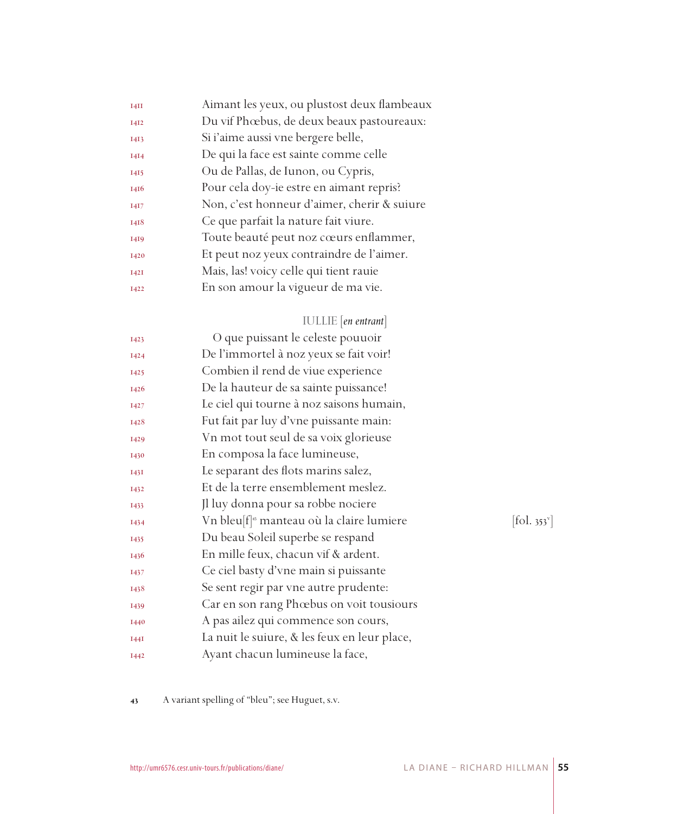| I4II        | Aimant les yeux, ou plustost deux flambeaux |
|-------------|---------------------------------------------|
| <b>I4I2</b> | Du vif Phœbus, de deux beaux pastoureaux:   |
| 1413        | Si i'aime aussi vne bergere belle,          |
| <b>I4I4</b> | De qui la face est sainte comme celle       |
| 1415        | Ou de Pallas, de Iunon, ou Cypris,          |
| 1416        | Pour cela doy-ie estre en aimant repris?    |
| <b>I4I7</b> | Non, c'est honneur d'aimer, cherir & suiure |
| 1418        | Ce que parfait la nature fait viure.        |
| 1419        | Toute beauté peut noz cœurs enflammer,      |
| 1420        | Et peut noz yeux contraindre de l'aimer.    |
| <b>I42I</b> | Mais, las! voicy celle qui tient rauie      |
| 1422        | En son amour la vigueur de ma vie.          |
|             |                                             |

## IULLIE [*en entrant*]

| <b>I423</b> | O que puissant le celeste pouuoir                    |                                         |
|-------------|------------------------------------------------------|-----------------------------------------|
| <b>I424</b> | De l'immortel à noz yeux se fait voir!               |                                         |
| <b>I425</b> | Combien il rend de viue experience                   |                                         |
| 1426        | De la hauteur de sa sainte puissance!                |                                         |
| <b>I427</b> | Le ciel qui tourne à noz saisons humain,             |                                         |
| 1428        | Fut fait par luy d'vne puissante main:               |                                         |
| <b>I429</b> | Vn mot tout seul de sa voix glorieuse                |                                         |
| 1430        | En composa la face lumineuse,                        |                                         |
| I43I        | Le separant des flots marins salez,                  |                                         |
| <b>I432</b> | Et de la terre ensemblement meslez.                  |                                         |
| 1433        | Jl luy donna pour sa robbe nociere                   |                                         |
| 1434        | Vn bleu[f] <sup>®</sup> manteau où la claire lumiere | $\left  \text{fol. } 353 \right\rangle$ |
| 1435        | Du beau Soleil superbe se respand                    |                                         |
| 1436        | En mille feux, chacun vif & ardent.                  |                                         |
| 1437        | Ce ciel basty d'vne main si puissante                |                                         |
| 1438        | Se sent regir par vne autre prudente:                |                                         |
| 1439        | Car en son rang Phœbus on voit tousiours             |                                         |
| 1440        | A pas ailez qui commence son cours,                  |                                         |
| I44I        | La nuit le suiure, & les feux en leur place,         |                                         |
| I442        | Ayant chacun lumineuse la face,                      |                                         |
|             |                                                      |                                         |

 $[$ fol. 353 $^{\circ}$ ]

A variant spelling of "bleu"; see Huguet, s.v.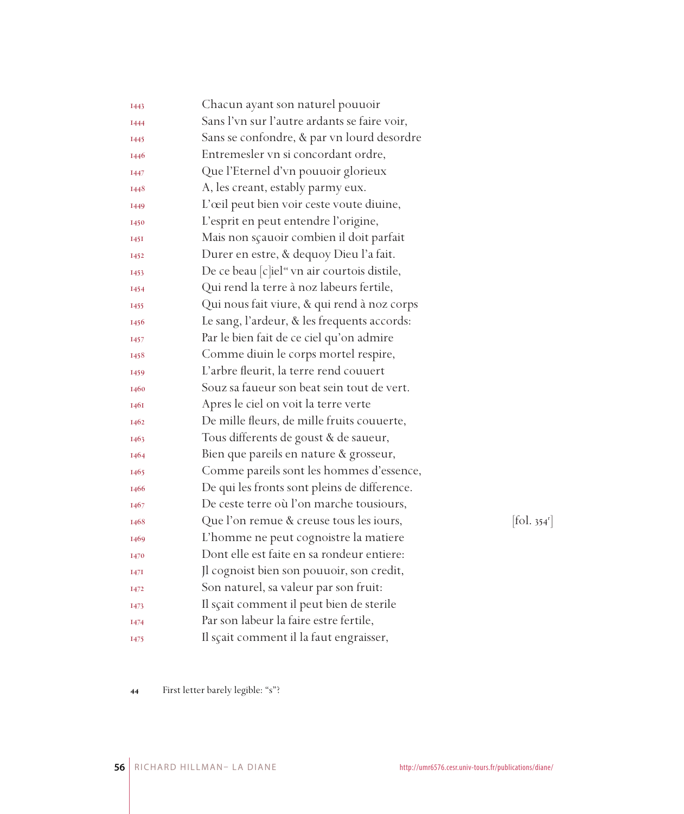| <b>I443</b> | Chacun ayant son naturel pouuoir                         |            |
|-------------|----------------------------------------------------------|------------|
| 1444        | Sans l'vn sur l'autre ardants se faire voir,             |            |
| <b>I445</b> | Sans se confondre, & par vn lourd desordre               |            |
| 1446        | Entremesler vn si concordant ordre,                      |            |
| 1447        | Que l'Eternel d'vn pouuoir glorieux                      |            |
| 1448        | A, les creant, estably parmy eux.                        |            |
| 1449        | L'œil peut bien voir ceste voute diuine,                 |            |
| 1450        | L'esprit en peut entendre l'origine,                     |            |
| 1451        | Mais non sçauoir combien il doit parfait                 |            |
| 1452        | Durer en estre, & dequoy Dieu l'a fait.                  |            |
| 1453        | De ce beau [c]iel <sup>44</sup> vn air courtois distile, |            |
| 1454        | Qui rend la terre à noz labeurs fertile,                 |            |
| 1455        | Qui nous fait viure, & qui rend à noz corps              |            |
| 1456        | Le sang, l'ardeur, & les frequents accords:              |            |
| 1457        | Par le bien fait de ce ciel qu'on admire                 |            |
| 1458        | Comme diuin le corps mortel respire,                     |            |
| 1459        | L'arbre fleurit, la terre rend couuert                   |            |
| 1460        | Souz sa faueur son beat sein tout de vert.               |            |
| 1461        | Apres le ciel on voit la terre verte                     |            |
| 1462        | De mille fleurs, de mille fruits couuerte,               |            |
| 1463        | Tous differents de goust & de saueur,                    |            |
| 1464        | Bien que pareils en nature & grosseur,                   |            |
| 1465        | Comme pareils sont les hommes d'essence,                 |            |
| 1466        | De qui les fronts sont pleins de difference.             |            |
| 1467        | De ceste terre où l'on marche tousiours,                 |            |
| 1468        | Que l'on remue & creuse tous les iours,                  | [fol. 354] |
| 1469        | L'homme ne peut cognoistre la matiere                    |            |
| 1470        | Dont elle est faite en sa rondeur entiere:               |            |
| <b>1471</b> | Il cognoist bien son pouuoir, son credit,                |            |
| 1472        | Son naturel, sa valeur par son fruit:                    |            |
| 1473        | Il sçait comment il peut bien de sterile                 |            |
| 1474        | Par son labeur la faire estre fertile,                   |            |
| 1475        | Il sçait comment il la faut engraisser,                  |            |

 $\left[\text{fol. } 354^{\text{r}}\right]$ 

First letter barely legible: "s"?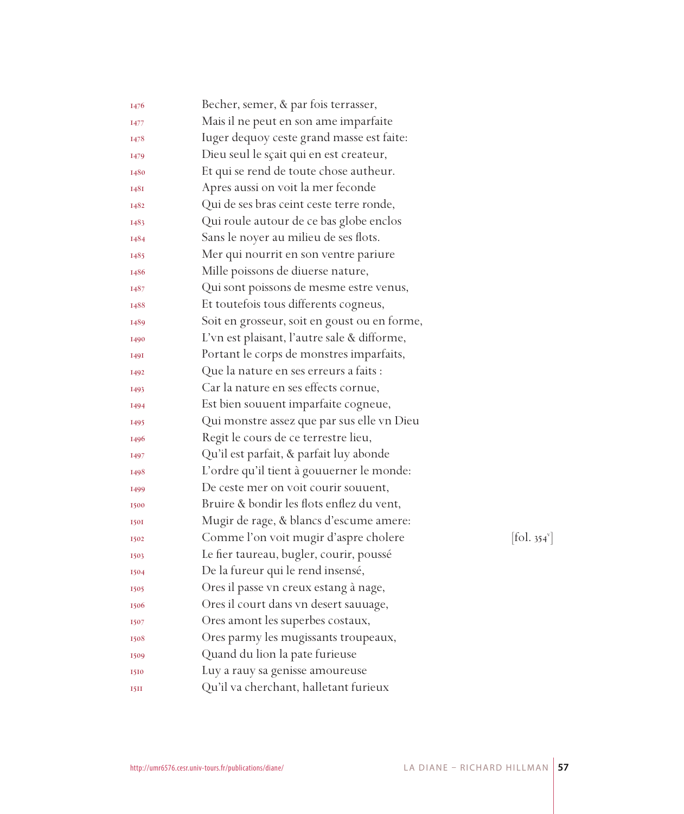| 1476        | Becher, semer, & par fois terrasser,         |            |
|-------------|----------------------------------------------|------------|
| 1477        | Mais il ne peut en son ame imparfaite        |            |
| 1478        | Iuger dequoy ceste grand masse est faite:    |            |
| 1479        | Dieu seul le sçait qui en est createur,      |            |
| 1480        | Et qui se rend de toute chose autheur.       |            |
| 148I        | Apres aussi on voit la mer feconde           |            |
| 1482        | Qui de ses bras ceint ceste terre ronde,     |            |
| 1483        | Qui roule autour de ce bas globe enclos      |            |
| 1484        | Sans le noyer au milieu de ses flots.        |            |
| 1485        | Mer qui nourrit en son ventre pariure        |            |
| 1486        | Mille poissons de diuerse nature,            |            |
| 1487        | Qui sont poissons de mesme estre venus,      |            |
| 1488        | Et toutefois tous differents cogneus,        |            |
| 1489        | Soit en grosseur, soit en goust ou en forme, |            |
| 1490        | L'vn est plaisant, l'autre sale & difforme,  |            |
| <b>1491</b> | Portant le corps de monstres imparfaits,     |            |
| 1492        | Que la nature en ses erreurs a faits :       |            |
| <b>I493</b> | Car la nature en ses effects cornue,         |            |
| 1494        | Est bien souuent imparfaite cogneue,         |            |
| 1495        | Qui monstre assez que par sus elle vn Dieu   |            |
| 1496        | Regit le cours de ce terrestre lieu,         |            |
| 1497        | Qu'il est parfait, & parfait luy abonde      |            |
| 1498        | L'ordre qu'il tient à gouuerner le monde:    |            |
| 1499        | De ceste mer on voit courir souuent,         |            |
| 1500        | Bruire & bondir les flots enflez du vent,    |            |
| <b>150I</b> | Mugir de rage, & blancs d'escume amere:      |            |
| 1502        | Comme l'on voit mugir d'aspre cholere        | [fol. 354] |
| 1503        | Le fier taureau, bugler, courir, poussé      |            |
| 1504        | De la fureur qui le rend insensé,            |            |
| 1505        | Ores il passe vn creux estang à nage,        |            |
| 1506        | Ores il court dans vn desert sauuage,        |            |
| 1507        | Ores amont les superbes costaux,             |            |
| 1508        | Ores parmy les mugissants troupeaux,         |            |
| 1509        | Quand du lion la pate furieuse               |            |
| 1510        | Luy a rauy sa genisse amoureuse              |            |
| <b>I5II</b> | Qu'il va cherchant, halletant furieux        |            |

v ]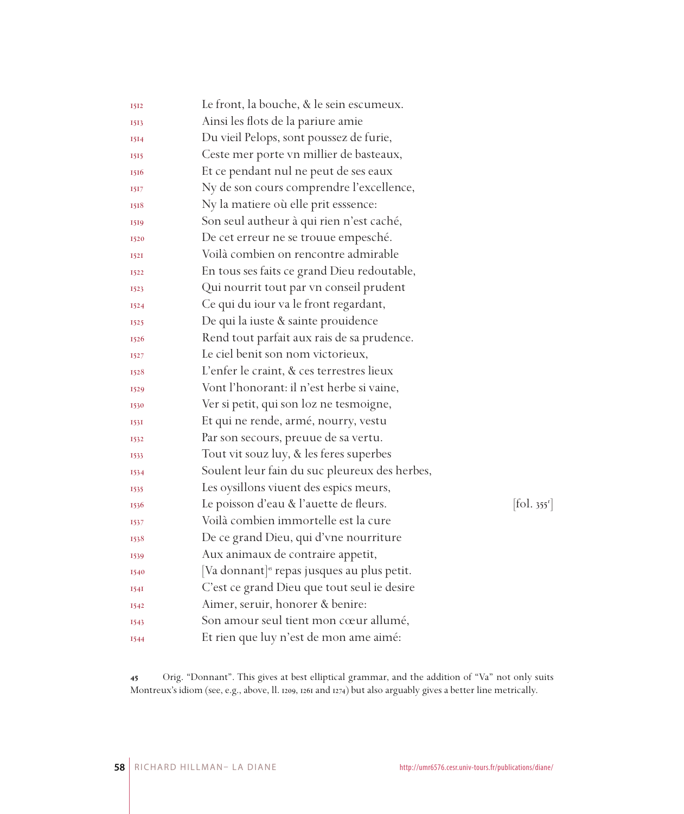| 1512        | Le front, la bouche, & le sein escumeux.                |                                 |
|-------------|---------------------------------------------------------|---------------------------------|
| 1513        | Ainsi les flots de la pariure amie                      |                                 |
| 1514        | Du vieil Pelops, sont poussez de furie,                 |                                 |
| 1515        | Ceste mer porte vn millier de basteaux,                 |                                 |
| 1516        | Et ce pendant nul ne peut de ses eaux                   |                                 |
| 1517        | Ny de son cours comprendre l'excellence,                |                                 |
| 1518        | Ny la matiere où elle prit esssence:                    |                                 |
| 1519        | Son seul autheur à qui rien n'est caché,                |                                 |
| 1520        | De cet erreur ne se trouue empesché.                    |                                 |
| 152I        | Voilà combien on rencontre admirable                    |                                 |
| 1522        | En tous ses faits ce grand Dieu redoutable,             |                                 |
| 1523        | Qui nourrit tout par vn conseil prudent                 |                                 |
| 1524        | Ce qui du iour va le front regardant,                   |                                 |
| 1525        | De qui la iuste & sainte prouidence                     |                                 |
| 1526        | Rend tout parfait aux rais de sa prudence.              |                                 |
| 1527        | Le ciel benit son nom victorieux,                       |                                 |
| 1528        | L'enfer le craint, & ces terrestres lieux               |                                 |
| 1529        | Vont l'honorant: il n'est herbe si vaine,               |                                 |
| 1530        | Ver si petit, qui son loz ne tesmoigne,                 |                                 |
| 153I        | Et qui ne rende, armé, nourry, vestu                    |                                 |
| 1532        | Par son secours, preuue de sa vertu.                    |                                 |
| 1533        | Tout vit souz luy, & les feres superbes                 |                                 |
| 1534        | Soulent leur fain du suc pleureux des herbes,           |                                 |
| 1535        | Les oysillons viuent des espics meurs,                  |                                 |
| 1536        | Le poisson d'eau & l'auette de fleurs.                  | $[\text{fol. } 355^{\text{r}}]$ |
| 1537        | Voilà combien immortelle est la cure                    |                                 |
| 1538        | De ce grand Dieu, qui d'vne nourriture                  |                                 |
| 1539        | Aux animaux de contraire appetit,                       |                                 |
| 1540        | [Va donnant] <sup>45</sup> repas jusques au plus petit. |                                 |
| <b>1541</b> | C'est ce grand Dieu que tout seul ie desire             |                                 |
| 1542        | Aimer, seruir, honorer & benire:                        |                                 |
| 1543        | Son amour seul tient mon cœur allumé,                   |                                 |
| 1544        | Et rien que luy n'est de mon ame aimé:                  |                                 |

 Orig. "Donnant". This gives at best elliptical grammar, and the addition of "Va" not only suits Montreux's idiom (see, e.g., above, ll. 1209, 1261 and 1274) but also arguably gives a better line metrically.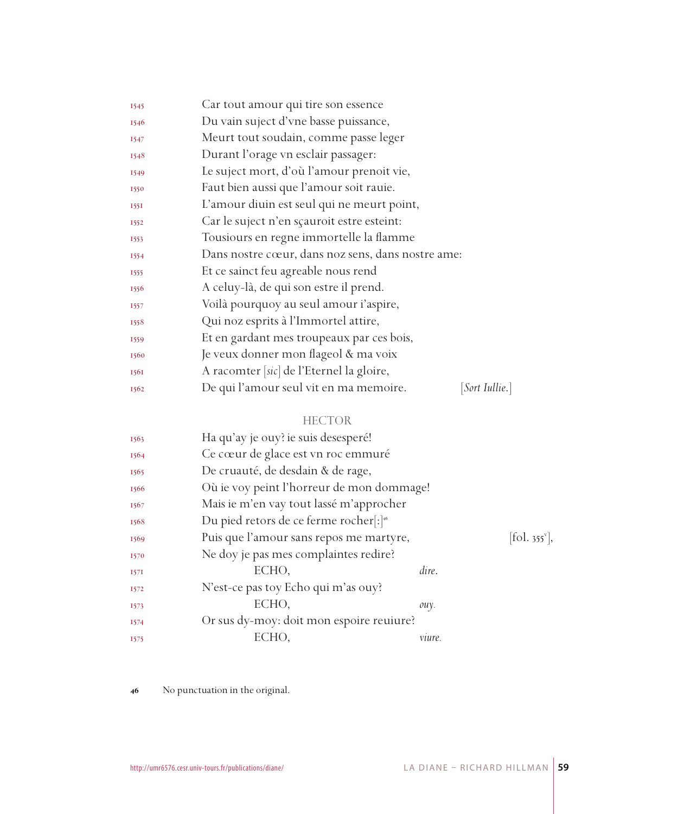| 1545 | Car tout amour qui tire son essence                     |
|------|---------------------------------------------------------|
| 1546 | Du vain suject d'vne basse puissance,                   |
| 1547 | Meurt tout soudain, comme passe leger                   |
| 1548 | Durant l'orage vn esclair passager:                     |
| 1549 | Le suject mort, d'où l'amour prenoit vie,               |
| 1550 | Faut bien aussi que l'amour soit rauie.                 |
| 1551 | L'amour diuin est seul qui ne meurt point,              |
| 1552 | Car le suject n'en sçauroit estre esteint:              |
| 1553 | Tousiours en regne immortelle la flamme                 |
| 1554 | Dans nostre cœur, dans noz sens, dans nostre ame:       |
| 1555 | Et ce sainct feu agreable nous rend                     |
| 1556 | A celuy-là, de qui son estre il prend.                  |
| 1557 | Voilà pourquoy au seul amour i'aspire,                  |
| 1558 | Qui noz esprits à l'Immortel attire,                    |
| 1559 | Et en gardant mes troupeaux par ces bois,               |
| 1560 | Je veux donner mon flageol & ma voix                    |
| 1561 | A racomter [sic] de l'Eternel la gloire,                |
| 1562 | De qui l'amour seul vit en ma memoire.<br> Sort Iullie. |

## HECTOR

| 1563 | Ha qu'ay je ouy? ie suis desesperé!                |        |                           |
|------|----------------------------------------------------|--------|---------------------------|
| 1564 | Ce cœur de glace est vn roc emmuré                 |        |                           |
| 1565 | De cruauté, de desdain & de rage,                  |        |                           |
| 1566 | Où ie voy peint l'horreur de mon dommage!          |        |                           |
| 1567 | Mais ie m'en vay tout lassé m'approcher            |        |                           |
| 1568 | Du pied retors de ce ferme rocher[:] <sup>46</sup> |        |                           |
| 1569 | Puis que l'amour sans repos me martyre,            |        | [fol. 355 <sup>v</sup> ], |
| 1570 | Ne doy je pas mes complaintes redire?              |        |                           |
| 157I | ECHO,                                              | dire.  |                           |
| 1572 | N'est-ce pas toy Echo qui m'as ouy?                |        |                           |
| 1573 | ECHO.                                              | ouy.   |                           |
| 1574 | Or sus dy-moy: doit mon espoire reuiure?           |        |                           |
| 1575 | ECHO.                                              | vuure. |                           |

No punctuation in the original.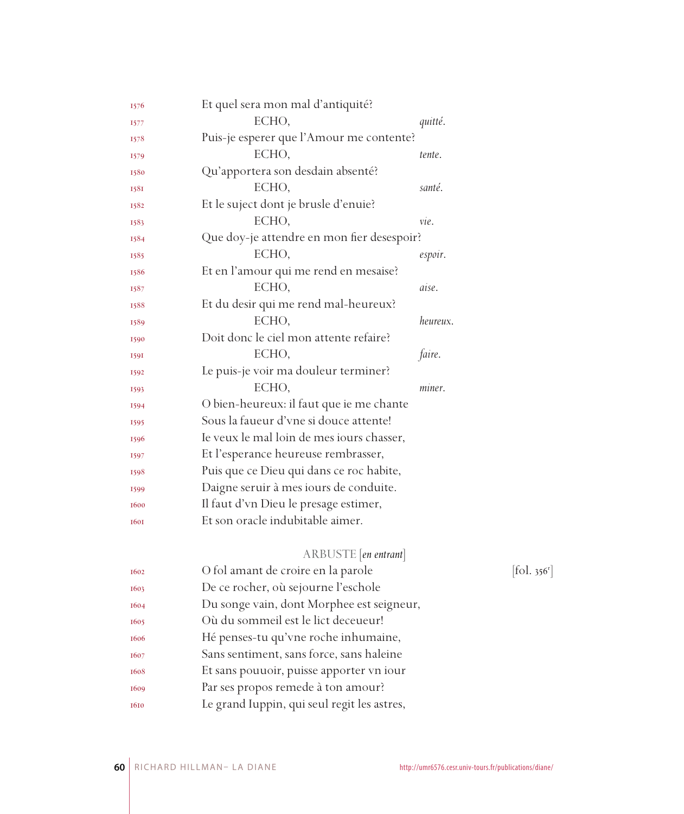| 1576        | Et quel sera mon mal d'antiquité?           |          |            |
|-------------|---------------------------------------------|----------|------------|
| <b>1577</b> | ECHO,                                       | quitté.  |            |
| 1578        | Puis-je esperer que l'Amour me contente?    |          |            |
| 1579        | ECHO,                                       | tente.   |            |
| 1580        | Qu'apportera son desdain absenté?           |          |            |
| 1581        | ECHO,                                       | santé.   |            |
| 1582        | Et le suject dont je brusle d'enuie?        |          |            |
| 1583        | ECHO,                                       | vie.     |            |
| 1584        | Que doy-je attendre en mon fier desespoir?  |          |            |
| 1585        | ECHO,                                       | espoir.  |            |
| 1586        | Et en l'amour qui me rend en mesaise?       |          |            |
| 1587        | ECHO,                                       | aise.    |            |
| 1588        | Et du desir qui me rend mal-heureux?        |          |            |
| 1589        | ECHO,                                       | heureux. |            |
| 1590        | Doit donc le ciel mon attente refaire?      |          |            |
| 1591        | ECHO,                                       | faire.   |            |
| 1592        | Le puis-je voir ma douleur terminer?        |          |            |
| 1593        | ECHO,                                       | miner.   |            |
| 1594        | O bien-heureux: il faut que ie me chante    |          |            |
| 1595        | Sous la faueur d'vne si douce attente!      |          |            |
| 1596        | Ie veux le mal loin de mes iours chasser,   |          |            |
| 1597        | Et l'esperance heureuse rembrasser,         |          |            |
| 1598        | Puis que ce Dieu qui dans ce roc habite,    |          |            |
| 1599        | Daigne seruir à mes iours de conduite.      |          |            |
| 1600        | Il faut d'vn Dieu le presage estimer,       |          |            |
| <b>1601</b> | Et son oracle indubitable aimer.            |          |            |
|             | ARBUSTE [en entrant]                        |          |            |
| 1602        | O fol amant de croire en la parole          |          | [fol. 356] |
| 1603        | De ce rocher, où sejourne l'eschole         |          |            |
| 1604        | Du songe vain, dont Morphee est seigneur,   |          |            |
| 1605        | Où du sommeil est le lict deceueur!         |          |            |
| 1606        | Hé penses-tu qu'vne roche inhumaine,        |          |            |
| 1607        | Sans sentiment, sans force, sans haleine    |          |            |
| 1608        | Et sans pouuoir, puisse apporter vn iour    |          |            |
| 1609        | Par ses propos remede à ton amour?          |          |            |
| 1610        | Le grand Iuppin, qui seul regit les astres, |          |            |

 $\left[ \text{fol. } 356^{\text{r}} \right]$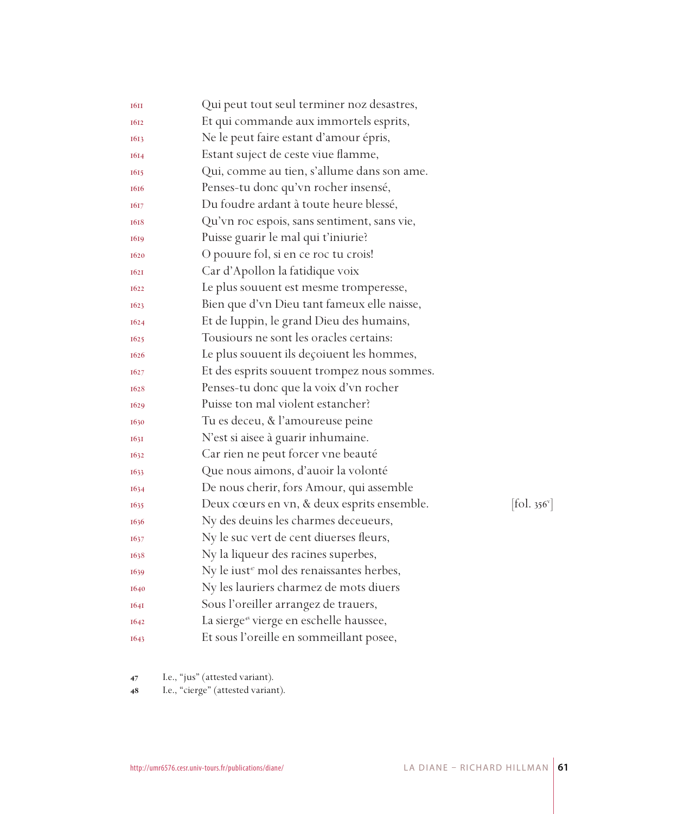| <b>16II</b> | Qui peut tout seul terminer noz desastres,                  |                              |
|-------------|-------------------------------------------------------------|------------------------------|
| 1612        | Et qui commande aux immortels esprits,                      |                              |
| 1613        | Ne le peut faire estant d'amour épris,                      |                              |
| 1614        | Estant suject de ceste viue flamme,                         |                              |
| 1615        | Qui, comme au tien, s'allume dans son ame.                  |                              |
| 1616        | Penses-tu donc qu'vn rocher insensé,                        |                              |
| 1617        | Du foudre ardant à toute heure blessé,                      |                              |
| 1618        | Qu'vn roc espois, sans sentiment, sans vie,                 |                              |
| 1619        | Puisse guarir le mal qui t'iniurie?                         |                              |
| 1620        | O pouure fol, si en ce roc tu crois!                        |                              |
| <b>1621</b> | Car d'Apollon la fatidique voix                             |                              |
| 1622        | Le plus souvent est mesme tromperesse,                      |                              |
| 1623        | Bien que d'vn Dieu tant fameux elle naisse,                 |                              |
| 1624        | Et de Iuppin, le grand Dieu des humains,                    |                              |
| 1625        | Tousiours ne sont les oracles certains:                     |                              |
| 1626        | Le plus souuent ils deçoiuent les hommes,                   |                              |
| 1627        | Et des esprits souuent trompez nous sommes.                 |                              |
| 1628        | Penses-tu donc que la voix d'vn rocher                      |                              |
| 1629        | Puisse ton mal violent estancher?                           |                              |
| 1630        | Tu es deceu, & l'amoureuse peine                            |                              |
| 163I        | N'est si aisee à guarir inhumaine.                          |                              |
| 1632        | Car rien ne peut forcer vne beauté                          |                              |
| 1633        | Que nous aimons, d'auoir la volonté                         |                              |
| 1634        | De nous cherir, fors Amour, qui assemble                    |                              |
| 1635        | Deux cœurs en vn, & deux esprits ensemble.                  | $[\text{fol. } 356^{\circ}]$ |
| 1636        | Ny des deuins les charmes deceueurs,                        |                              |
| 1637        | Ny le suc vert de cent diuerses fleurs,                     |                              |
| 1638        | Ny la liqueur des racines superbes,                         |                              |
| 1639        | Ny le iust <sup><i>r</i></sup> mol des renaissantes herbes, |                              |
| 1640        | Ny les lauriers charmez de mots diuers                      |                              |
| <b>1641</b> | Sous l'oreiller arrangez de trauers,                        |                              |
| 1642        | La sierge <sup>48</sup> vierge en eschelle haussee,         |                              |
| 1643        | Et sous l'oreille en sommeillant posee,                     |                              |

I.e., "jus" (attested variant).

48 I.e., "cierge" (attested variant).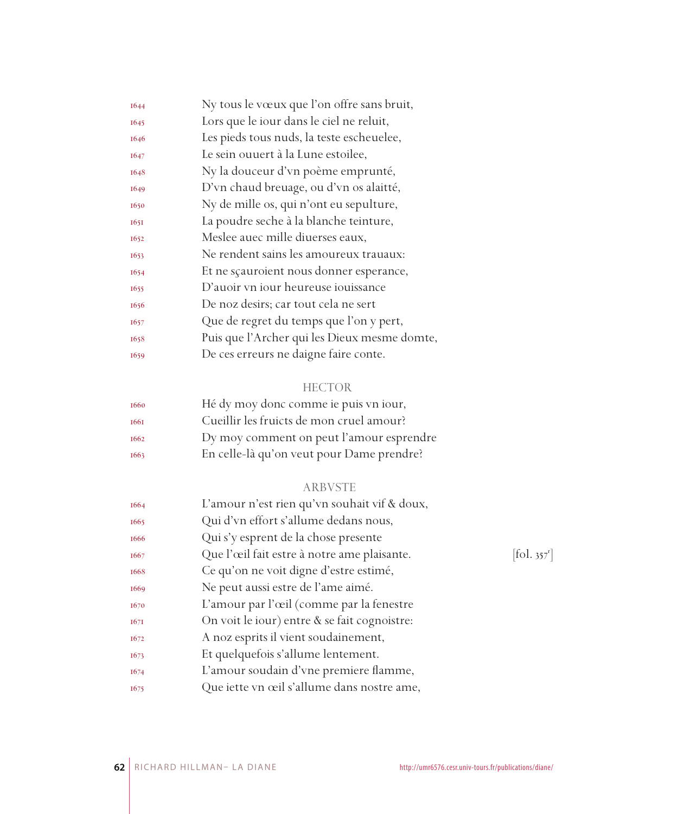| 1644 | Ny tous le vœux que l'on offre sans bruit,   |
|------|----------------------------------------------|
| 1645 | Lors que le iour dans le ciel ne reluit,     |
| 1646 | Les pieds tous nuds, la teste escheuelee,    |
| 1647 | Le sein ouuert à la Lune estoilee,           |
| 1648 | Ny la douceur d'vn poème emprunté,           |
| 1649 | D'vn chaud breuage, ou d'vn os alaitté,      |
| 1650 | Ny de mille os, qui n'ont eu sepulture,      |
| 1651 | La poudre seche à la blanche teinture,       |
| 1652 | Meslee auec mille diuerses eaux,             |
| 1653 | Ne rendent sains les amoureux trauaux:       |
| 1654 | Et ne sçauroient nous donner esperance,      |
| 1655 | D'auoir vn iour heureuse iouissance          |
| 1656 | De noz desirs; car tout cela ne sert         |
| 1657 | Que de regret du temps que l'on y pert,      |
| 1658 | Puis que l'Archer qui les Dieux mesme domte, |
| 1659 | De ces erreurs ne daigne faire conte.        |
|      |                                              |

## HECTOR

| 1660 | Hé dy moy donc comme ie puis vn iour,     |
|------|-------------------------------------------|
| 1661 | Cueillir les fruicts de mon cruel amour?  |
| 1662 | Dy moy comment on peut l'amour esprendre  |
| 1663 | En celle-là qu'on veut pour Dame prendre? |

## ARBVSTE

| 1664 | L'amour n'est rien qu'vn souhait vif & doux, |                                   |
|------|----------------------------------------------|-----------------------------------|
| 1665 | Qui d'vn effort s'allume dedans nous,        |                                   |
| 1666 | Qui s'y esprent de la chose presente         |                                   |
| 1667 | Que l'œil fait estre à notre ame plaisante.  | $\left  \text{fol. } 357 \right $ |
| 1668 | Ce qu'on ne voit digne d'estre estimé,       |                                   |
| 1669 | Ne peut aussi estre de l'ame aimé.           |                                   |
| 1670 | L'amour par l'œil (comme par la fenestre     |                                   |
| 167I | On voit le jour) entre & se fait cognoistre: |                                   |
| 1672 | A noz esprits il vient soudainement,         |                                   |
| 1673 | Et quelquefois s'allume lentement.           |                                   |
| 1674 | L'amour soudain d'vne premiere flamme,       |                                   |
| 1675 | Que iette vn œil s'allume dans nostre ame,   |                                   |
|      |                                              |                                   |

 $[\text{fol. }357^{\text{r}}]$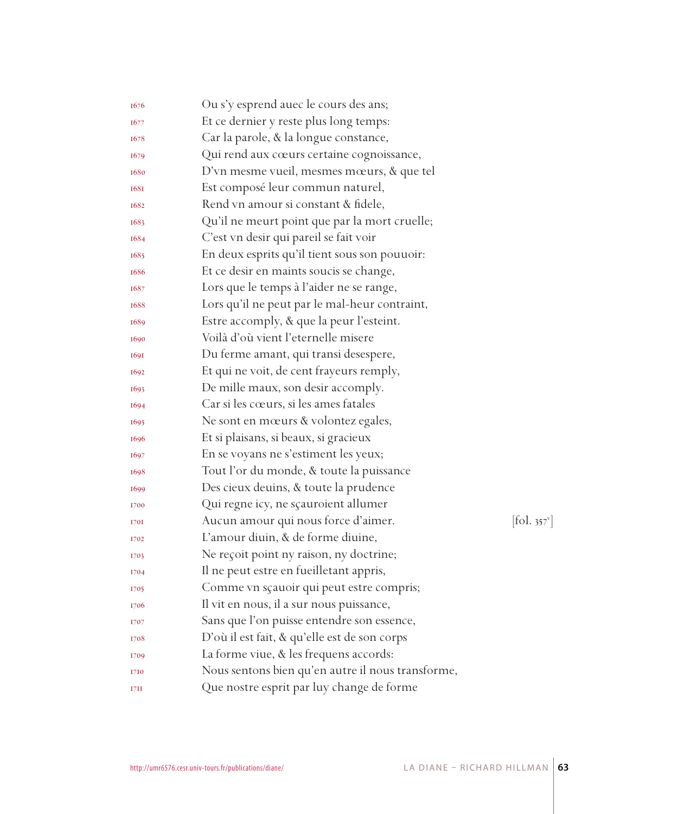| 1676        | Ou s'y esprend auec le cours des ans;             |                                 |
|-------------|---------------------------------------------------|---------------------------------|
| 1677        | Et ce dernier y reste plus long temps:            |                                 |
| 1678        | Car la parole, & la longue constance,             |                                 |
| 1679        | Qui rend aux cœurs certaine cognoissance,         |                                 |
| 1680        | D'vn mesme vueil, mesmes mœurs, & que tel         |                                 |
| <b>1681</b> | Est composé leur commun naturel,                  |                                 |
| 1682        | Rend vn amour si constant & fidele,               |                                 |
| 1683        | Qu'il ne meurt point que par la mort cruelle;     |                                 |
| 1684        | C'est vn desir qui pareil se fait voir            |                                 |
| 1685        | En deux esprits qu'il tient sous son pouuoir:     |                                 |
| 1686        | Et ce desir en maints soucis se change,           |                                 |
| 1687        | Lors que le temps à l'aider ne se range,          |                                 |
| 1688        | Lors qu'il ne peut par le mal-heur contraint,     |                                 |
| 1689        | Estre accomply, & que la peur l'esteint.          |                                 |
| 1690        | Voilà d'où vient l'eternelle misere               |                                 |
| 1691        | Du ferme amant, qui transi desespere,             |                                 |
| 1692        | Et qui ne voit, de cent frayeurs remply,          |                                 |
| 1693        | De mille maux, son desir accomply.                |                                 |
| 1694        | Car si les cœurs, si les ames fatales             |                                 |
| 1695        | Ne sont en mœurs & volontez egales,               |                                 |
| 1696        | Et si plaisans, si beaux, si gracieux             |                                 |
| 1697        | En se voyans ne s'estiment les yeux;              |                                 |
| 1698        | Tout l'or du monde, & toute la puissance          |                                 |
| 1699        | Des cieux deuins, & toute la prudence             |                                 |
| 1700        | Qui regne icy, ne sçauroient allumer              |                                 |
| 1701        | Aucun amour qui nous force d'aimer.               | $[\text{fol. } 357^{\text{v}}]$ |
| 1702        | L'amour diuin, & de forme diuine,                 |                                 |
| 1703        | Ne reçoit point ny raison, ny doctrine;           |                                 |
| 1704        | Il ne peut estre en fueilletant appris,           |                                 |
| 1705        | Comme vn sçauoir qui peut estre compris;          |                                 |
| 1706        | Il vit en nous, il a sur nous puissance,          |                                 |
| 1707        | Sans que l'on puisse entendre son essence,        |                                 |
| 1708        | D'où il est fait, & qu'elle est de son corps      |                                 |
| 1709        | La forme viue, & les frequens accords:            |                                 |
| 1710        | Nous sentons bien qu'en autre il nous transforme, |                                 |
| 1711        | Que nostre esprit par luy change de forme         |                                 |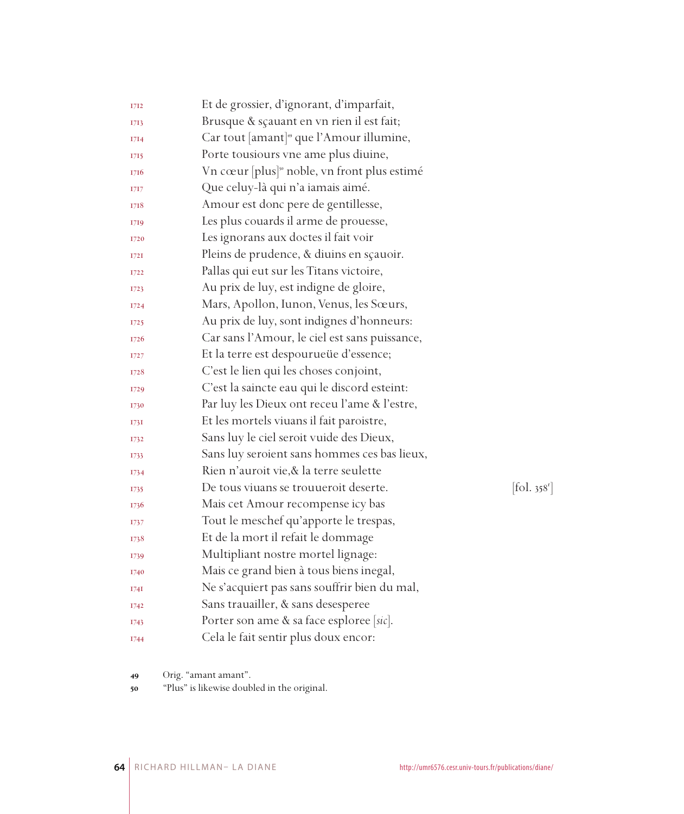| 1712        | Et de grossier, d'ignorant, d'imparfait,                 |                              |
|-------------|----------------------------------------------------------|------------------------------|
| 1713        | Brusque & sçauant en vn rien il est fait;                |                              |
| 1714        | Car tout [amant] <sup>49</sup> que l'Amour illumine,     |                              |
| 1715        | Porte tousiours vne ame plus diuine,                     |                              |
| 1716        | Vn cœur [plus] <sup>30</sup> noble, vn front plus estimé |                              |
| 1717        | Que celuy-là qui n'a iamais aimé.                        |                              |
| 1718        | Amour est donc pere de gentillesse,                      |                              |
| 1719        | Les plus couards il arme de prouesse,                    |                              |
| 1720        | Les ignorans aux doctes il fait voir                     |                              |
| 172I        | Pleins de prudence, & diuins en sçauoir.                 |                              |
| 1722        | Pallas qui eut sur les Titans victoire,                  |                              |
| 1723        | Au prix de luy, est indigne de gloire,                   |                              |
| 1724        | Mars, Apollon, Iunon, Venus, les Sœurs,                  |                              |
| 1725        | Au prix de luy, sont indignes d'honneurs:                |                              |
| 1726        | Car sans l'Amour, le ciel est sans puissance,            |                              |
| 1727        | Et la terre est despourueüe d'essence;                   |                              |
| 1728        | C'est le lien qui les choses conjoint,                   |                              |
| 1729        | C'est la saincte eau qui le discord esteint:             |                              |
| 1730        | Par luy les Dieux ont receu l'ame & l'estre,             |                              |
| <b>1731</b> | Et les mortels viuans il fait paroistre,                 |                              |
| 1732        | Sans luy le ciel seroit vuide des Dieux,                 |                              |
| 1733        | Sans luy seroient sans hommes ces bas lieux,             |                              |
| 1734        | Rien n'auroit vie, & la terre seulette                   |                              |
| 1735        | De tous viuans se trouueroit deserte.                    | $[\text{fol. } 358^{\circ}]$ |
| 1736        | Mais cet Amour recompense icy bas                        |                              |
| 1737        | Tout le meschef qu'apporte le trespas,                   |                              |
| 1738        | Et de la mort il refait le dommage                       |                              |
| 1739        | Multipliant nostre mortel lignage:                       |                              |
| 1740        | Mais ce grand bien à tous biens inegal,                  |                              |
| 174I        | Ne s'acquiert pas sans souffrir bien du mal,             |                              |
| 1742        | Sans trauailler, & sans desesperee                       |                              |
| 1743        | Porter son ame & sa face esploree [sic].                 |                              |
| 1744        | Cela le fait sentir plus doux encor:                     |                              |

Orig. "amant amant".

"Plus" is likewise doubled in the original.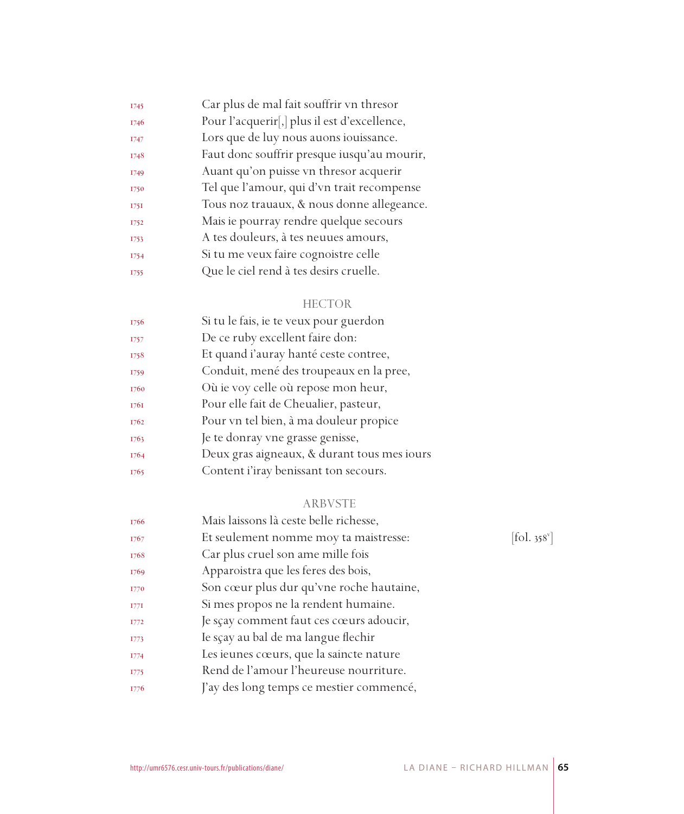| 1745 | Car plus de mal fait souffrir vn thresor     |
|------|----------------------------------------------|
| 1746 | Pour l'acquerir[,] plus il est d'excellence, |
| 1747 | Lors que de luy nous auons iouissance.       |
| 1748 | Faut donc souffrir presque iusqu'au mourir,  |
| 1749 | Auant qu'on puisse vn thresor acquerir       |
| 1750 | Tel que l'amour, qui d'vn trait recompense   |
| 175I | Tous noz trauaux, & nous donne allegeance.   |
| 1752 | Mais ie pourray rendre quelque secours       |
| 1753 | A tes douleurs, à tes neuues amours,         |
| 1754 | Si tu me veux faire cognoistre celle         |
| 1755 | Que le ciel rend à tes desirs cruelle.       |

## HECTOR

| 1756 | Si tu le fais, ie te veux pour guerdon      |
|------|---------------------------------------------|
| 1757 | De ce ruby excellent faire don:             |
| 1758 | Et quand i'auray hanté ceste contree,       |
| 1759 | Conduit, mené des troupeaux en la pree,     |
| 1760 | Où ie voy celle où repose mon heur,         |
| 1761 | Pour elle fait de Cheualier, pasteur,       |
| 1762 | Pour vn tel bien, à ma douleur propice      |
| 1763 | Je te donray vne grasse genisse,            |
| 1764 | Deux gras aigneaux, & durant tous mes iours |
| 1765 | Content i'iray benissant ton secours.       |
|      |                                             |

## ARBVSTE

| 1766        | Mais laissons là ceste belle richesse,   |                          |
|-------------|------------------------------------------|--------------------------|
| 1767        | Et seulement nomme moy ta maistresse:    | [fol. 358 <sup>v</sup> ] |
| 1768        | Car plus cruel son ame mille fois        |                          |
| 1769        | Apparoistra que les feres des bois,      |                          |
| 1770        | Son cœur plus dur qu'vne roche hautaine, |                          |
| 177I        | Si mes propos ne la rendent humaine.     |                          |
| 1772        | Je sçay comment faut ces cœurs adoucir,  |                          |
| 1773        | Ie sçay au bal de ma langue flechir      |                          |
| 1774        | Les ieunes cœurs, que la saincte nature  |                          |
| <b>I775</b> | Rend de l'amour l'heureuse nourriture.   |                          |
| 1776        | J'ay des long temps ce mestier commencé, |                          |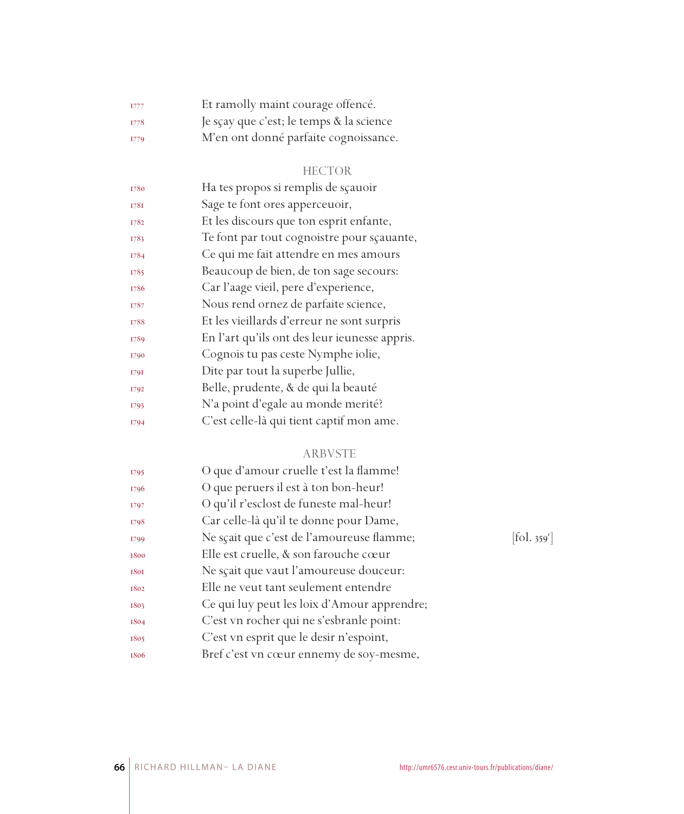| I777        | Et ramolly maint courage offencé.        |
|-------------|------------------------------------------|
| <b>I778</b> | Je sçay que c'est; le temps & la science |
| I779        | M'en ont donné parfaite cognoissance.    |

## HECTOR

| 1780 | Ha tes propos si remplis de sçauoir           |
|------|-----------------------------------------------|
| 1781 | Sage te font ores apperceuoir,                |
| 1782 | Et les discours que ton esprit enfante,       |
| 1783 | Te font par tout cognoistre pour scauante,    |
| 1784 | Ce qui me fait attendre en mes amours         |
| 1785 | Beaucoup de bien, de ton sage secours:        |
| 1786 | Car l'aage vieil, pere d'experience,          |
| 1787 | Nous rend ornez de parfaite science,          |
| 1788 | Et les vieillards d'erreur ne sont surpris    |
| 1789 | En l'art qu'ils ont des leur ieunesse appris. |
| 1790 | Cognois tu pas ceste Nymphe iolie,            |
| 1791 | Dite par tout la superbe Jullie,              |
| 1792 | Belle, prudente, & de qui la beauté           |
| 1793 | N'a point d'egale au monde merité?            |
| 1794 | C'est celle-là qui tient captif mon ame.      |
|      |                                               |

## ARBVSTE

| 1795 | O que d'amour cruelle t'est la flamme!      |            |
|------|---------------------------------------------|------------|
| 1796 | O que peruers il est à ton bon-heur!        |            |
| 1797 | O qu'il r'esclost de funeste mal-heur!      |            |
| 1798 | Car celle-là qu'il te donne pour Dame,      |            |
| 1799 | Ne sçait que c'est de l'amoureuse flamme;   | [fol. 359] |
| 1800 | Elle est cruelle, & son farouche cœur       |            |
| 1801 | Ne sçait que vaut l'amoureuse douceur:      |            |
| 1802 | Elle ne veut tant seulement entendre        |            |
| 1803 | Ce qui luy peut les loix d'Amour apprendre; |            |
| 1804 | C'est vn rocher qui ne s'esbranle point:    |            |
| 1805 | C'est vn esprit que le desir n'espoint,     |            |
| 1806 | Bref c'est vn cœur ennemy de soy-mesme,     |            |

 $[\text{fol. }359^{\text{r}}]$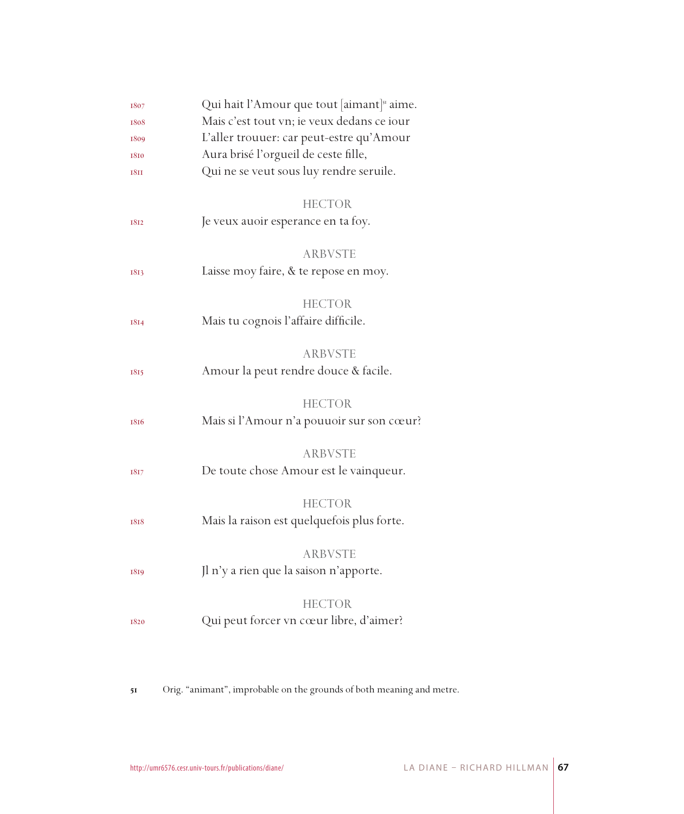| 1807        | Qui hait l'Amour que tout [aimant] <sup>31</sup> aime. |  |
|-------------|--------------------------------------------------------|--|
| 1808        | Mais c'est tout vn; ie veux dedans ce iour             |  |
| 1809        | L'aller trouuer: car peut-estre qu'Amour               |  |
| 1810        | Aura brisé l'orgueil de ceste fille,                   |  |
| <b>1811</b> | Qui ne se veut sous luy rendre seruile.                |  |
|             |                                                        |  |
|             | <b>HECTOR</b>                                          |  |
| 1812        | Je veux auoir esperance en ta foy.                     |  |
|             |                                                        |  |
|             | <b>ARBVSTE</b>                                         |  |
| 1813        | Laisse moy faire, & te repose en moy.                  |  |
|             |                                                        |  |
|             | <b>HECTOR</b>                                          |  |
| 1814        | Mais tu cognois l'affaire difficile.                   |  |
|             |                                                        |  |
|             | <b>ARBVSTE</b>                                         |  |
| 1815        | Amour la peut rendre douce & facile.                   |  |
|             | <b>HECTOR</b>                                          |  |
|             | Mais si l'Amour n'a pouuoir sur son cœur?              |  |
| 1816        |                                                        |  |
|             | <b>ARBVSTE</b>                                         |  |
| 1817        | De toute chose Amour est le vainqueur.                 |  |
|             |                                                        |  |
|             | <b>HECTOR</b>                                          |  |
| 1818        | Mais la raison est quelquefois plus forte.             |  |
|             |                                                        |  |
|             | <b>ARBVSTE</b>                                         |  |
| 1819        | Jl n'y a rien que la saison n'apporte.                 |  |
|             |                                                        |  |
|             | <b>HECTOR</b>                                          |  |
| 1820        | Qui peut forcer vn cœur libre, d'aimer?                |  |
|             |                                                        |  |

Orig. "animant", improbable on the grounds of both meaning and metre.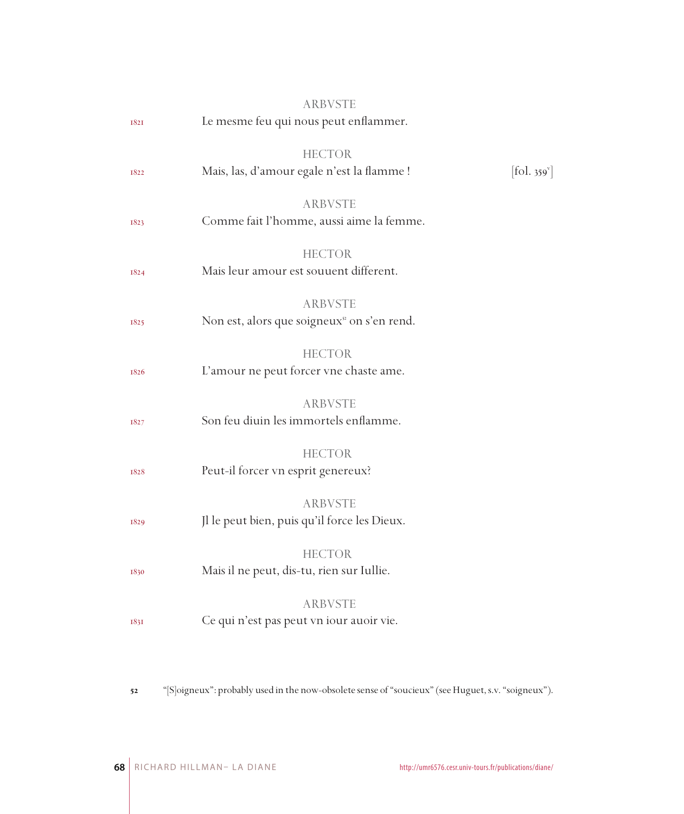|      | <b>ARBVSTE</b>                                                           |                              |
|------|--------------------------------------------------------------------------|------------------------------|
| 1821 | Le mesme feu qui nous peut enflammer.                                    |                              |
| 1822 | <b>HECTOR</b><br>Mais, las, d'amour egale n'est la flamme !              | $[\text{fol. } 359^{\circ}]$ |
| 1823 | <b>ARBVSTE</b><br>Comme fait l'homme, aussi aime la femme.               |                              |
| 1824 | <b>HECTOR</b><br>Mais leur amour est souuent different.                  |                              |
| 1825 | <b>ARBVSTE</b><br>Non est, alors que soigneux <sup>2</sup> on s'en rend. |                              |
| 1826 | <b>HECTOR</b><br>L'amour ne peut forcer vne chaste ame.                  |                              |
| 1827 | <b>ARBVSTE</b><br>Son feu diuin les immortels enflamme.                  |                              |
| 1828 | <b>HECTOR</b><br>Peut-il forcer vn esprit genereux?                      |                              |
| 1829 | <b>ARBVSTE</b><br>Jl le peut bien, puis qu'il force les Dieux.           |                              |
| 1830 | <b>HECTOR</b><br>Mais il ne peut, dis-tu, rien sur Iullie.               |                              |
| 1831 | <b>ARBVSTE</b><br>Ce qui n'est pas peut vn iour auoir vie.               |                              |
|      |                                                                          |                              |

"[S]oigneux": probably used in the now-obsolete sense of "soucieux" (see Huguet, s.v. "soigneux").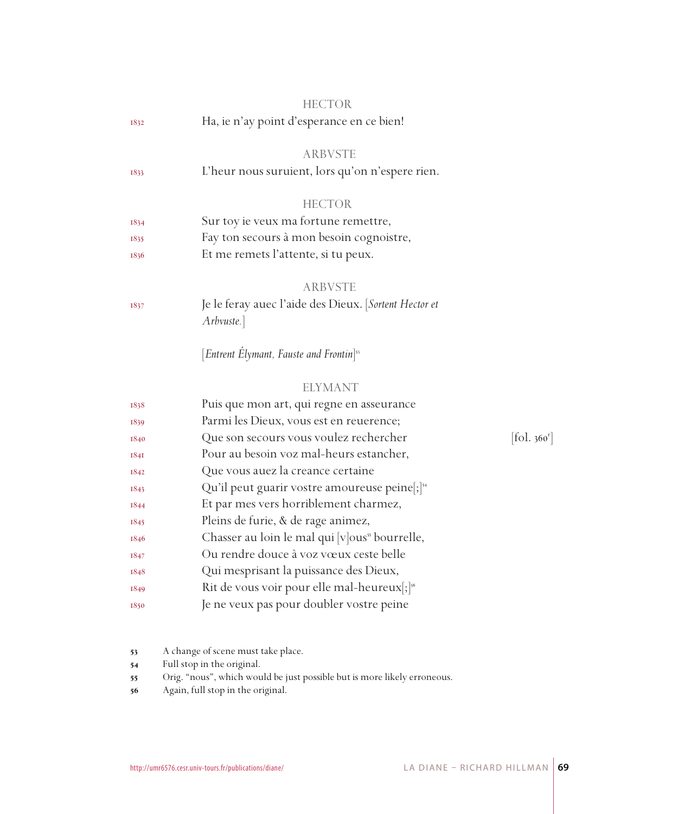|             | <b>HECTOR</b>                                                      |                              |
|-------------|--------------------------------------------------------------------|------------------------------|
| 1832        | Ha, ie n'ay point d'esperance en ce bien!                          |                              |
|             | <b>ARBVSTE</b>                                                     |                              |
| 1833        | L'heur nous suruient, lors qu'on n'espere rien.                    |                              |
|             | <b>HECTOR</b>                                                      |                              |
| 1834        | Sur toy ie veux ma fortune remettre,                               |                              |
| 1835        | Fay ton secours à mon besoin cognoistre,                           |                              |
| 1836        | Et me remets l'attente, si tu peux.                                |                              |
|             | <b>ARBVSTE</b>                                                     |                              |
| 1837        | Je le feray auec l'aide des Dieux. [Sortent Hector et<br>Arbvuste. |                              |
|             | [Entrent Elymant, Fauste and Frontin] <sup>55</sup>                |                              |
|             | <b>ELYMANT</b>                                                     |                              |
| 1838        | Puis que mon art, qui regne en asseurance                          |                              |
| 1839        | Parmi les Dieux, vous est en reuerence;                            |                              |
| 1840        | Que son secours vous voulez rechercher                             | $[\text{fol. } 360^{\circ}]$ |
| <b>1841</b> | Pour au besoin voz mal-heurs estancher,                            |                              |
| 1842        | Que vous auez la creance certaine                                  |                              |
| 1843        | Qu'il peut guarir vostre amoureuse peine ; [54]                    |                              |
| 1844        | Et par mes vers horriblement charmez,                              |                              |
| 1845        | Pleins de furie, & de rage animez,                                 |                              |
| 1846        | Chasser au loin le mal qui [v]ous <sup>55</sup> bourrelle,         |                              |
| 1847        | Ou rendre douce à voz vœux ceste belle                             |                              |
| 1848        | Qui mesprisant la puissance des Dieux,                             |                              |
| 1849        | Rit de vous voir pour elle mal-heureux[;] <sup>56</sup>            |                              |
| 1850        | Je ne veux pas pour doubler vostre peine                           |                              |
|             |                                                                    |                              |

- A change of scene must take place.
- Full stop in the original.
- Orig. "nous", which would be just possible but is more likely erroneous.
- Again, full stop in the original.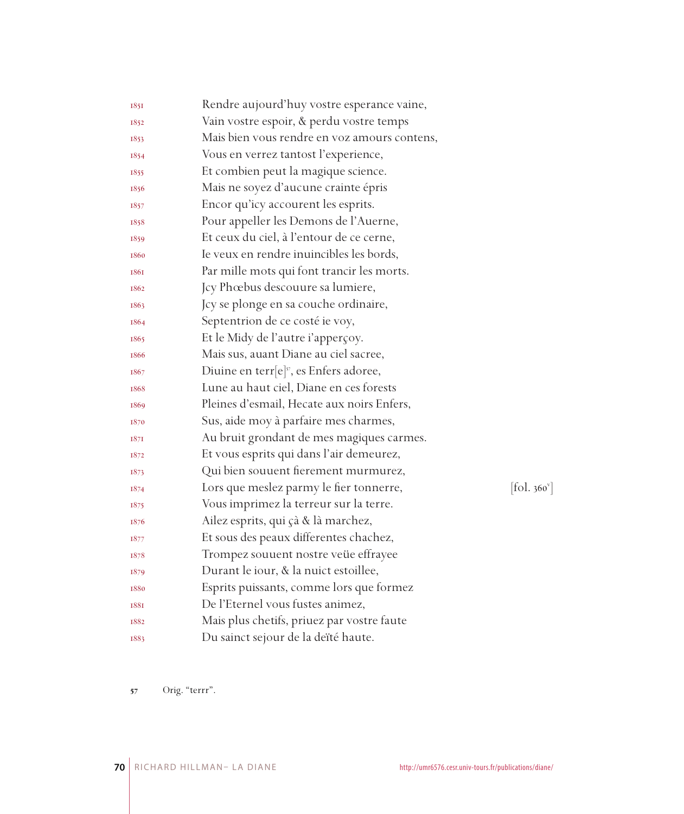| Vain vostre espoir, & perdu vostre temps<br>1852<br>Mais bien vous rendre en voz amours contens,<br>1853<br>Vous en verrez tantost l'experience,<br>1854<br>Et combien peut la magique science.<br>1855<br>Mais ne soyez d'aucune crainte épris<br>1856<br>Encor qu'icy accourent les esprits.<br>1857<br>Pour appeller les Demons de l'Auerne,<br>1858<br>Et ceux du ciel, à l'entour de ce cerne,<br>1859<br>Ie veux en rendre inuincibles les bords,<br>1860<br>Par mille mots qui font trancir les morts.<br>1861<br>Jcy Phœbus descouure sa lumiere,<br>1862<br>Jcy se plonge en sa couche ordinaire,<br>1863<br>Septentrion de ce costé ie voy,<br>1864<br>Et le Midy de l'autre i'apperçoy.<br>1865<br>Mais sus, auant Diane au ciel sacree,<br>1866<br>Diuine en terr[e] <sup>37</sup> , es Enfers adoree,<br>1867<br>Lune au haut ciel, Diane en ces forests<br>1868<br>Pleines d'esmail, Hecate aux noirs Enfers,<br>1869<br>Sus, aide moy à parfaire mes charmes,<br>1870<br>Au bruit grondant de mes magiques carmes.<br>1871<br>Et vous esprits qui dans l'air demeurez,<br>1872<br>Qui bien souuent fierement murmurez,<br>1873<br>Lors que meslez parmy le fier tonnerre,<br>1874<br>Vous imprimez la terreur sur la terre.<br>1875<br>Ailez esprits, qui çà & là marchez,<br>1876<br>Et sous des peaux differentes chachez,<br>1877<br>Trompez souuent nostre veüe effrayee<br>1878<br>Durant le iour, & la nuict estoillee,<br>1879<br>Esprits puissants, comme lors que formez |            |
|--------------------------------------------------------------------------------------------------------------------------------------------------------------------------------------------------------------------------------------------------------------------------------------------------------------------------------------------------------------------------------------------------------------------------------------------------------------------------------------------------------------------------------------------------------------------------------------------------------------------------------------------------------------------------------------------------------------------------------------------------------------------------------------------------------------------------------------------------------------------------------------------------------------------------------------------------------------------------------------------------------------------------------------------------------------------------------------------------------------------------------------------------------------------------------------------------------------------------------------------------------------------------------------------------------------------------------------------------------------------------------------------------------------------------------------------------------------------------------------------------|------------|
|                                                                                                                                                                                                                                                                                                                                                                                                                                                                                                                                                                                                                                                                                                                                                                                                                                                                                                                                                                                                                                                                                                                                                                                                                                                                                                                                                                                                                                                                                                  |            |
|                                                                                                                                                                                                                                                                                                                                                                                                                                                                                                                                                                                                                                                                                                                                                                                                                                                                                                                                                                                                                                                                                                                                                                                                                                                                                                                                                                                                                                                                                                  |            |
|                                                                                                                                                                                                                                                                                                                                                                                                                                                                                                                                                                                                                                                                                                                                                                                                                                                                                                                                                                                                                                                                                                                                                                                                                                                                                                                                                                                                                                                                                                  |            |
|                                                                                                                                                                                                                                                                                                                                                                                                                                                                                                                                                                                                                                                                                                                                                                                                                                                                                                                                                                                                                                                                                                                                                                                                                                                                                                                                                                                                                                                                                                  |            |
|                                                                                                                                                                                                                                                                                                                                                                                                                                                                                                                                                                                                                                                                                                                                                                                                                                                                                                                                                                                                                                                                                                                                                                                                                                                                                                                                                                                                                                                                                                  |            |
|                                                                                                                                                                                                                                                                                                                                                                                                                                                                                                                                                                                                                                                                                                                                                                                                                                                                                                                                                                                                                                                                                                                                                                                                                                                                                                                                                                                                                                                                                                  |            |
|                                                                                                                                                                                                                                                                                                                                                                                                                                                                                                                                                                                                                                                                                                                                                                                                                                                                                                                                                                                                                                                                                                                                                                                                                                                                                                                                                                                                                                                                                                  |            |
|                                                                                                                                                                                                                                                                                                                                                                                                                                                                                                                                                                                                                                                                                                                                                                                                                                                                                                                                                                                                                                                                                                                                                                                                                                                                                                                                                                                                                                                                                                  |            |
|                                                                                                                                                                                                                                                                                                                                                                                                                                                                                                                                                                                                                                                                                                                                                                                                                                                                                                                                                                                                                                                                                                                                                                                                                                                                                                                                                                                                                                                                                                  |            |
|                                                                                                                                                                                                                                                                                                                                                                                                                                                                                                                                                                                                                                                                                                                                                                                                                                                                                                                                                                                                                                                                                                                                                                                                                                                                                                                                                                                                                                                                                                  |            |
|                                                                                                                                                                                                                                                                                                                                                                                                                                                                                                                                                                                                                                                                                                                                                                                                                                                                                                                                                                                                                                                                                                                                                                                                                                                                                                                                                                                                                                                                                                  |            |
|                                                                                                                                                                                                                                                                                                                                                                                                                                                                                                                                                                                                                                                                                                                                                                                                                                                                                                                                                                                                                                                                                                                                                                                                                                                                                                                                                                                                                                                                                                  |            |
|                                                                                                                                                                                                                                                                                                                                                                                                                                                                                                                                                                                                                                                                                                                                                                                                                                                                                                                                                                                                                                                                                                                                                                                                                                                                                                                                                                                                                                                                                                  |            |
|                                                                                                                                                                                                                                                                                                                                                                                                                                                                                                                                                                                                                                                                                                                                                                                                                                                                                                                                                                                                                                                                                                                                                                                                                                                                                                                                                                                                                                                                                                  |            |
|                                                                                                                                                                                                                                                                                                                                                                                                                                                                                                                                                                                                                                                                                                                                                                                                                                                                                                                                                                                                                                                                                                                                                                                                                                                                                                                                                                                                                                                                                                  |            |
|                                                                                                                                                                                                                                                                                                                                                                                                                                                                                                                                                                                                                                                                                                                                                                                                                                                                                                                                                                                                                                                                                                                                                                                                                                                                                                                                                                                                                                                                                                  |            |
|                                                                                                                                                                                                                                                                                                                                                                                                                                                                                                                                                                                                                                                                                                                                                                                                                                                                                                                                                                                                                                                                                                                                                                                                                                                                                                                                                                                                                                                                                                  |            |
|                                                                                                                                                                                                                                                                                                                                                                                                                                                                                                                                                                                                                                                                                                                                                                                                                                                                                                                                                                                                                                                                                                                                                                                                                                                                                                                                                                                                                                                                                                  |            |
|                                                                                                                                                                                                                                                                                                                                                                                                                                                                                                                                                                                                                                                                                                                                                                                                                                                                                                                                                                                                                                                                                                                                                                                                                                                                                                                                                                                                                                                                                                  |            |
|                                                                                                                                                                                                                                                                                                                                                                                                                                                                                                                                                                                                                                                                                                                                                                                                                                                                                                                                                                                                                                                                                                                                                                                                                                                                                                                                                                                                                                                                                                  |            |
|                                                                                                                                                                                                                                                                                                                                                                                                                                                                                                                                                                                                                                                                                                                                                                                                                                                                                                                                                                                                                                                                                                                                                                                                                                                                                                                                                                                                                                                                                                  |            |
|                                                                                                                                                                                                                                                                                                                                                                                                                                                                                                                                                                                                                                                                                                                                                                                                                                                                                                                                                                                                                                                                                                                                                                                                                                                                                                                                                                                                                                                                                                  |            |
|                                                                                                                                                                                                                                                                                                                                                                                                                                                                                                                                                                                                                                                                                                                                                                                                                                                                                                                                                                                                                                                                                                                                                                                                                                                                                                                                                                                                                                                                                                  | [fol. 360] |
|                                                                                                                                                                                                                                                                                                                                                                                                                                                                                                                                                                                                                                                                                                                                                                                                                                                                                                                                                                                                                                                                                                                                                                                                                                                                                                                                                                                                                                                                                                  |            |
|                                                                                                                                                                                                                                                                                                                                                                                                                                                                                                                                                                                                                                                                                                                                                                                                                                                                                                                                                                                                                                                                                                                                                                                                                                                                                                                                                                                                                                                                                                  |            |
|                                                                                                                                                                                                                                                                                                                                                                                                                                                                                                                                                                                                                                                                                                                                                                                                                                                                                                                                                                                                                                                                                                                                                                                                                                                                                                                                                                                                                                                                                                  |            |
|                                                                                                                                                                                                                                                                                                                                                                                                                                                                                                                                                                                                                                                                                                                                                                                                                                                                                                                                                                                                                                                                                                                                                                                                                                                                                                                                                                                                                                                                                                  |            |
|                                                                                                                                                                                                                                                                                                                                                                                                                                                                                                                                                                                                                                                                                                                                                                                                                                                                                                                                                                                                                                                                                                                                                                                                                                                                                                                                                                                                                                                                                                  |            |
| 1880                                                                                                                                                                                                                                                                                                                                                                                                                                                                                                                                                                                                                                                                                                                                                                                                                                                                                                                                                                                                                                                                                                                                                                                                                                                                                                                                                                                                                                                                                             |            |
| De l'Eternel vous fustes animez,<br><b>1881</b>                                                                                                                                                                                                                                                                                                                                                                                                                                                                                                                                                                                                                                                                                                                                                                                                                                                                                                                                                                                                                                                                                                                                                                                                                                                                                                                                                                                                                                                  |            |
| Mais plus chetifs, priuez par vostre faute<br>1882                                                                                                                                                                                                                                                                                                                                                                                                                                                                                                                                                                                                                                                                                                                                                                                                                                                                                                                                                                                                                                                                                                                                                                                                                                                                                                                                                                                                                                               |            |
| Du sainct sejour de la deïté haute.<br>1883                                                                                                                                                                                                                                                                                                                                                                                                                                                                                                                                                                                                                                                                                                                                                                                                                                                                                                                                                                                                                                                                                                                                                                                                                                                                                                                                                                                                                                                      |            |

 $[fol. 360<sup>v</sup>]$ 

Orig. "terrr".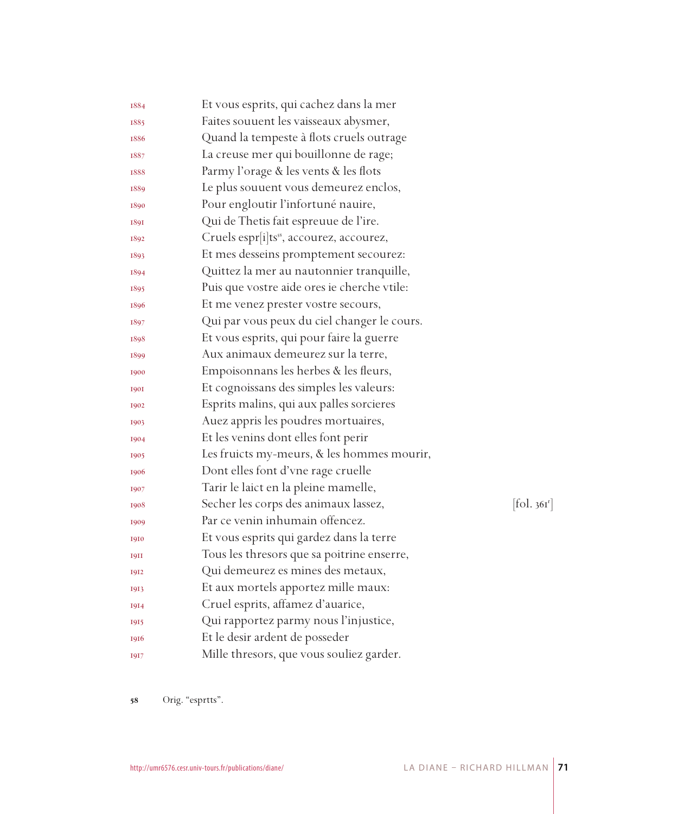| 1884        | Et vous esprits, qui cachez dans la mer              |                        |
|-------------|------------------------------------------------------|------------------------|
| 1885        | Faites souuent les vaisseaux abysmer,                |                        |
| 1886        | Quand la tempeste à flots cruels outrage             |                        |
| 1887        | La creuse mer qui bouillonne de rage;                |                        |
| 1888        | Parmy l'orage & les vents & les flots                |                        |
| 1889        | Le plus souuent vous demeurez enclos,                |                        |
| 1890        | Pour engloutir l'infortuné nauire,                   |                        |
| 1891        | Qui de Thetis fait espreuue de l'ire.                |                        |
| 1892        | Cruels espr[i]ts <sup>58</sup> , accourez, accourez, |                        |
| 1893        | Et mes desseins promptement secourez:                |                        |
| 1894        | Quittez la mer au nautonnier tranquille,             |                        |
| 1895        | Puis que vostre aide ores ie cherche vtile:          |                        |
| 1896        | Et me venez prester vostre secours,                  |                        |
| 1897        | Qui par vous peux du ciel changer le cours.          |                        |
| 1898        | Et vous esprits, qui pour faire la guerre            |                        |
| 1899        | Aux animaux demeurez sur la terre,                   |                        |
| 1900        | Empoisonnans les herbes & les fleurs,                |                        |
| <b>1901</b> | Et cognoissans des simples les valeurs:              |                        |
| 1902        | Esprits malins, qui aux palles sorcieres             |                        |
| 1903        | Auez appris les poudres mortuaires,                  |                        |
| 1904        | Et les venins dont elles font perir                  |                        |
| 1905        | Les fruicts my-meurs, & les hommes mourir,           |                        |
| 1906        | Dont elles font d'vne rage cruelle                   |                        |
| 1907        | Tarir le laict en la pleine mamelle,                 |                        |
| 1908        | Secher les corps des animaux lassez,                 | $[\text{fol. } 36I^r]$ |
| 1909        | Par ce venin inhumain offencez.                      |                        |
| 1910        | Et vous esprits qui gardez dans la terre             |                        |
| <b>1911</b> | Tous les thresors que sa poitrine enserre,           |                        |
| 1912        | Qui demeurez es mines des metaux,                    |                        |
| 1913        | Et aux mortels apportez mille maux:                  |                        |
| 1914        | Cruel esprits, affamez d'auarice,                    |                        |
| 1915        | Qui rapportez parmy nous l'injustice,                |                        |
| 1916        | Et le desir ardent de posseder                       |                        |
| 1917        | Mille thresors, que vous souliez garder.             |                        |

58 Orig. "esprtts".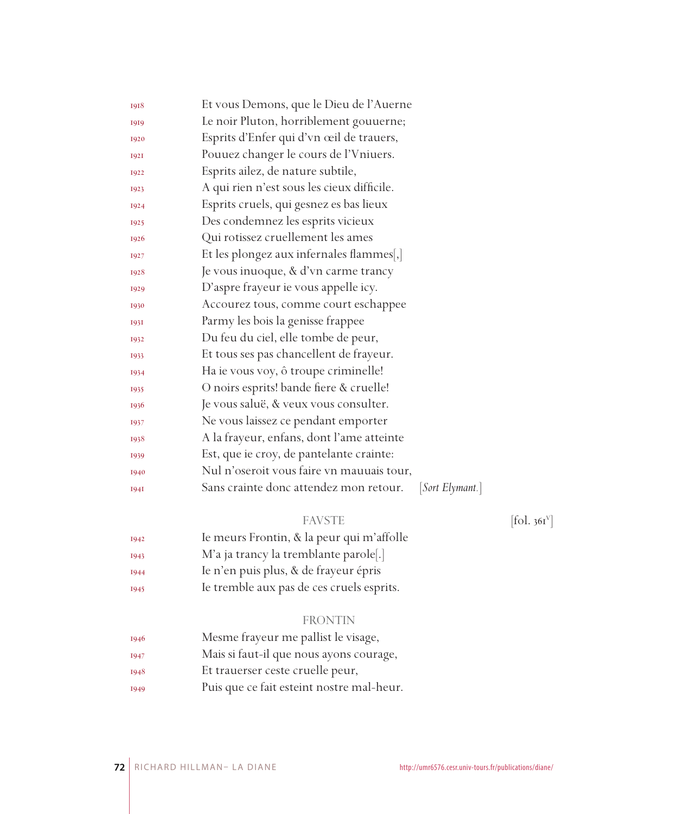| 1918        | Et vous Demons, que le Dieu de l'Auerne                   |
|-------------|-----------------------------------------------------------|
| 1919        | Le noir Pluton, horriblement gouuerne;                    |
| 1920        | Esprits d'Enfer qui d'vn œil de trauers,                  |
| 1921        | Pouuez changer le cours de l'Vniuers.                     |
| 1922        | Esprits ailez, de nature subtile,                         |
| 1923        | A qui rien n'est sous les cieux difficile.                |
| 1924        | Esprits cruels, qui gesnez es bas lieux                   |
| 1925        | Des condemnez les esprits vicieux                         |
| 1926        | Qui rotissez cruellement les ames                         |
| 1927        | Et les plongez aux infernales flammes[,]                  |
| 1928        | Je vous inuoque, & d'vn carme trancy                      |
| 1929        | D'aspre frayeur ie vous appelle icy.                      |
| 1930        | Accourez tous, comme court eschappee                      |
| <b>1931</b> | Parmy les bois la genisse frappee                         |
| 1932        | Du feu du ciel, elle tombe de peur,                       |
| 1933        | Et tous ses pas chancellent de frayeur.                   |
| 1934        | Ha ie vous voy, ô troupe criminelle!                      |
| 1935        | O noirs esprits! bande fiere & cruelle!                   |
| 1936        | Je vous saluë, & veux vous consulter.                     |
| 1937        | Ne vous laissez ce pendant emporter                       |
| 1938        | A la frayeur, enfans, dont l'ame atteinte                 |
| 1939        | Est, que ie croy, de pantelante crainte:                  |
| 1940        | Nul n'oseroit vous faire vn mauuais tour,                 |
| <b>1941</b> | Sans crainte donc attendez mon retour.<br>[Sort Elymant.] |
|             |                                                           |

FAVSTE [fol. 361<sup>V</sup>]

- Ie meurs Frontin, & la peur qui m'affolle
- M'a ja trancy la tremblante parole[.]
- Ie n'en puis plus, & de frayeur épris
- Ie tremble aux pas de ces cruels esprits.

#### FRONTIN

- Mesme frayeur me pallist le visage,
- Mais si faut-il que nous ayons courage,
- Et trauerser ceste cruelle peur,
- Puis que ce fait esteint nostre mal-heur.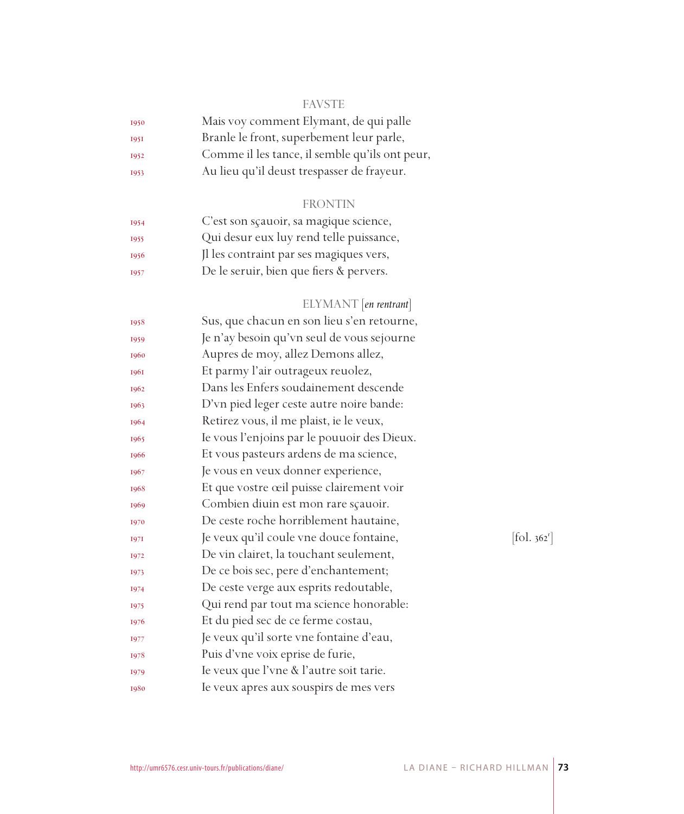## FAVSTE

| 1950        | Mais voy comment Elymant, de qui palle         |
|-------------|------------------------------------------------|
| <b>1951</b> | Branle le front, superbement leur parle,       |
| 1952        | Comme il les tance, il semble qu'ils ont peur, |
| 1953        | Au lieu qu'il deust trespasser de frayeur.     |
|             |                                                |

## FRONTIN

| 1954 | C'est son sçauoir, sa magique science,  |
|------|-----------------------------------------|
| 1955 | Qui desur eux luy rend telle puissance, |
| 1956 | Il les contraint par ses magiques vers, |
| 1957 | De le seruir, bien que fiers & pervers. |
|      |                                         |

# ELYMANT [*en rentrant*]

| 1958 | Sus, que chacun en son lieu s'en retourne,  |                                   |
|------|---------------------------------------------|-----------------------------------|
| 1959 | Je n'ay besoin qu'vn seul de vous sejourne  |                                   |
| 1960 | Aupres de moy, allez Demons allez,          |                                   |
| 1961 | Et parmy l'air outrageux reuolez,           |                                   |
| 1962 | Dans les Enfers soudainement descende       |                                   |
| 1963 | D'vn pied leger ceste autre noire bande:    |                                   |
| 1964 | Retirez vous, il me plaist, ie le veux,     |                                   |
| 1965 | Ie vous l'enjoins par le pouuoir des Dieux. |                                   |
| 1966 | Et vous pasteurs ardens de ma science,      |                                   |
| 1967 | Je vous en veux donner experience,          |                                   |
| 1968 | Et que vostre œil puisse clairement voir    |                                   |
| 1969 | Combien diuin est mon rare sçauoir.         |                                   |
| 1970 | De ceste roche horriblement hautaine,       |                                   |
| 1971 | Je veux qu'il coule vne douce fontaine,     | $\left[ \text{fol. } 362 \right]$ |
| 1972 | De vin clairet, la touchant seulement,      |                                   |
| 1973 | De ce bois sec, pere d'enchantement;        |                                   |
| 1974 | De ceste verge aux esprits redoutable,      |                                   |
| 1975 | Qui rend par tout ma science honorable:     |                                   |
| 1976 | Et du pied sec de ce ferme costau,          |                                   |
| 1977 | Je veux qu'il sorte vne fontaine d'eau,     |                                   |
| 1978 | Puis d'vne voix eprise de furie,            |                                   |
| 1979 | Ie veux que l'vne & l'autre soit tarie.     |                                   |
| 1980 | Ie veux apres aux souspirs de mes vers      |                                   |
|      |                                             |                                   |

 $[$ fol. 362<sup>r</sup> $]$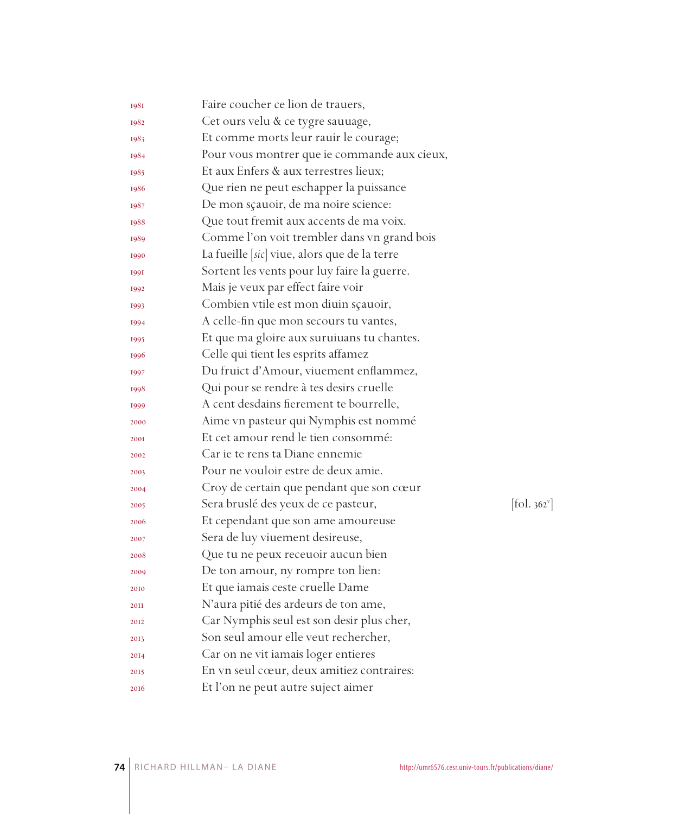| 1981        | Faire coucher ce lion de trauers,            |            |
|-------------|----------------------------------------------|------------|
| 1982        | Cet ours velu & ce tygre sauuage,            |            |
| 1983        | Et comme morts leur rauir le courage;        |            |
| 1984        | Pour vous montrer que ie commande aux cieux, |            |
| 1985        | Et aux Enfers & aux terrestres lieux;        |            |
| 1986        | Que rien ne peut eschapper la puissance      |            |
| 1987        | De mon sçauoir, de ma noire science:         |            |
| 1988        | Que tout fremit aux accents de ma voix.      |            |
| 1989        | Comme l'on voit trembler dans vn grand bois  |            |
| 1990        | La fueille [sic] viue, alors que de la terre |            |
| <b>1991</b> | Sortent les vents pour luy faire la guerre.  |            |
| 1992        | Mais je veux par effect faire voir           |            |
| 1993        | Combien vtile est mon diuin sçauoir,         |            |
| 1994        | A celle-fin que mon secours tu vantes,       |            |
| 1995        | Et que ma gloire aux suruiuans tu chantes.   |            |
| 1996        | Celle qui tient les esprits affamez          |            |
| 1997        | Du fruict d'Amour, viuement enflammez,       |            |
| 1998        | Qui pour se rendre à tes desirs cruelle      |            |
| 1999        | A cent desdains fierement te bourrelle,      |            |
| 2000        | Aime vn pasteur qui Nymphis est nommé        |            |
| <b>200I</b> | Et cet amour rend le tien consommé:          |            |
| 2002        | Car je te rens ta Diane ennemie              |            |
| 2003        | Pour ne vouloir estre de deux amie.          |            |
| 2004        | Croy de certain que pendant que son cœur     |            |
| 2005        | Sera bruslé des yeux de ce pasteur,          | [fol. 362] |
| 2006        | Et cependant que son ame amoureuse           |            |
| 2007        | Sera de luy viuement desireuse,              |            |
| 2008        | Que tu ne peux receuoir aucun bien           |            |
| 2009        | De ton amour, ny rompre ton lien:            |            |
| 2010        | Et que iamais ceste cruelle Dame             |            |
| <b>20II</b> | N'aura pitié des ardeurs de ton ame,         |            |
| 2012        | Car Nymphis seul est son desir plus cher,    |            |
| 2013        | Son seul amour elle veut rechercher,         |            |
| 2014        | Car on ne vit iamais loger entieres          |            |
| 2015        | En vn seul cœur, deux amitiez contraires:    |            |
| 2016        | Et l'on ne peut autre suject aimer           |            |

 $[\text{fol. }362^{\circ}]$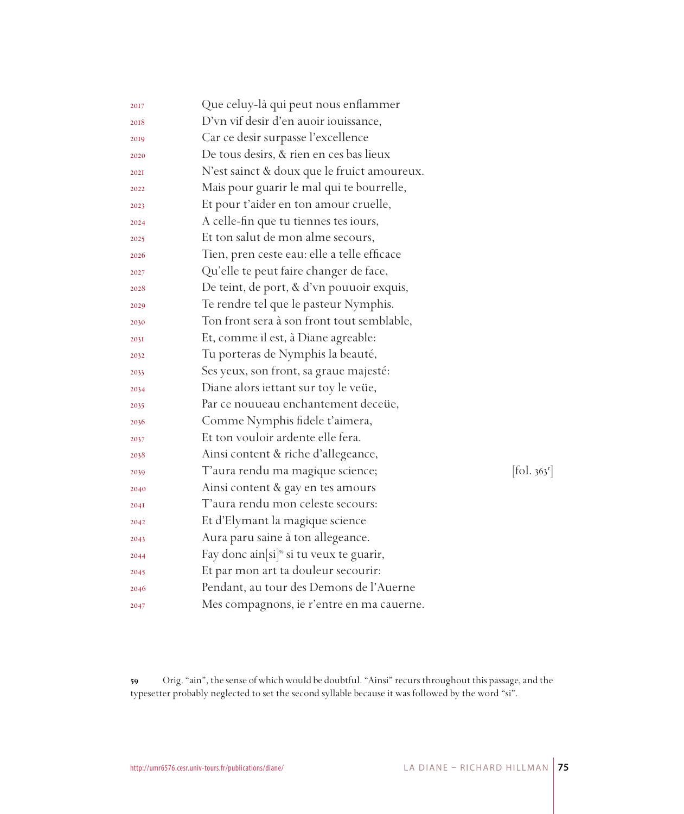| 2017 | Que celuy-là qui peut nous enflammer                 |                                 |
|------|------------------------------------------------------|---------------------------------|
| 2018 | D'vn vif desir d'en auoir iouissance,                |                                 |
| 2019 | Car ce desir surpasse l'excellence                   |                                 |
| 2020 | De tous desirs, & rien en ces bas lieux              |                                 |
| 202I | N'est sainct & doux que le fruict amoureux.          |                                 |
| 2022 | Mais pour guarir le mal qui te bourrelle,            |                                 |
| 2023 | Et pour t'aider en ton amour cruelle,                |                                 |
| 2024 | A celle-fin que tu tiennes tes iours,                |                                 |
| 2025 | Et ton salut de mon alme secours,                    |                                 |
| 2026 | Tien, pren ceste eau: elle a telle efficace          |                                 |
| 2027 | Qu'elle te peut faire changer de face,               |                                 |
| 2028 | De teint, de port, & d'vn pouuoir exquis,            |                                 |
| 2029 | Te rendre tel que le pasteur Nymphis.                |                                 |
| 2030 | Ton front sera à son front tout semblable,           |                                 |
| 203I | Et, comme il est, à Diane agreable:                  |                                 |
| 2032 | Tu porteras de Nymphis la beauté,                    |                                 |
| 2033 | Ses yeux, son front, sa graue majesté:               |                                 |
| 2034 | Diane alors iettant sur toy le veüe,                 |                                 |
| 2035 | Par ce nouueau enchantement deceüe,                  |                                 |
| 2036 | Comme Nymphis fidele t'aimera,                       |                                 |
| 2037 | Et ton vouloir ardente elle fera.                    |                                 |
| 2038 | Ainsi content & riche d'allegeance,                  |                                 |
| 2039 | T'aura rendu ma magique science;                     | $[\text{fol. } 363^{\text{r}}]$ |
| 2040 | Ainsi content & gay en tes amours                    |                                 |
| 2041 | T'aura rendu mon celeste secours:                    |                                 |
| 2042 | Et d'Elymant la magique science                      |                                 |
| 2043 | Aura paru saine à ton allegeance.                    |                                 |
| 2044 | Fay donc ain[si] <sup>59</sup> si tu veux te guarir, |                                 |
| 2045 | Et par mon art ta douleur secourir:                  |                                 |
| 2046 | Pendant, au tour des Demons de l'Auerne              |                                 |
| 2047 | Mes compagnons, ie r'entre en ma cauerne.            |                                 |

 Orig. "ain", the sense of which would be doubtful. "Ainsi" recurs throughout this passage, and the typesetter probably neglected to set the second syllable because it was followed by the word "si".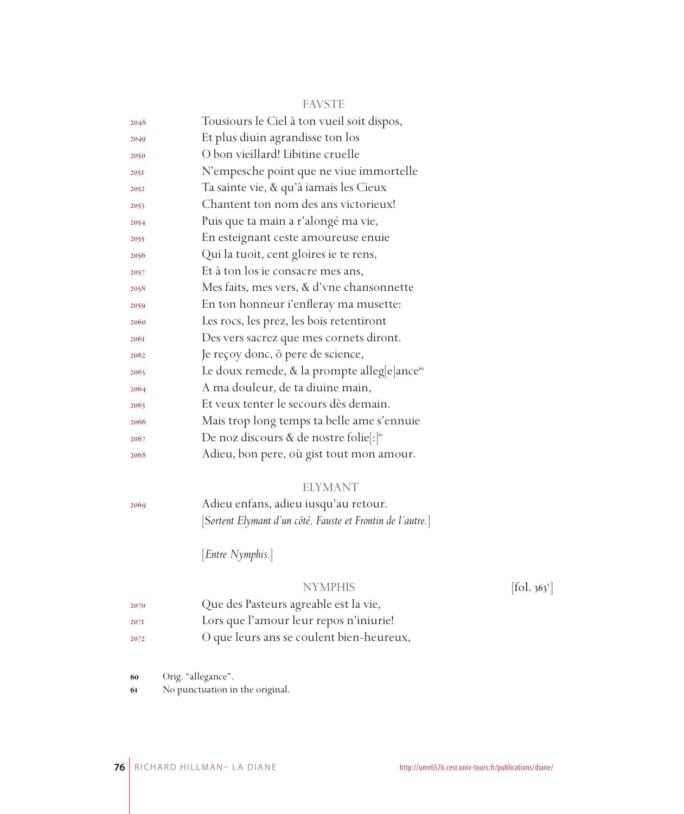|      | <b>FAVSTE</b>                                           |
|------|---------------------------------------------------------|
| 2048 | Tousiours le Ciel à ton vueil soit dispos,              |
| 2049 | Et plus diuin agrandisse ton los                        |
| 2050 | O bon vieillard! Libitine cruelle                       |
| 2051 | N'empesche point que ne viue immortelle                 |
| 2052 | Ta sainte vie, & qu'à iamais les Cieux                  |
| 2053 | Chantent ton nom des ans victorieux!                    |
| 2054 | Puis que ta main a r'alongé ma vie,                     |
| 2055 | En esteignant ceste amoureuse enuie                     |
| 2056 | Qui la tuoit, cent gloires ie te rens,                  |
| 2057 | Et à ton los ie consacre mes ans,                       |
| 2058 | Mes faits, mes vers, & d'vne chansonnette               |
| 2059 | En ton honneur i'enfleray ma musette:                   |
| 2060 | Les rocs, les prez, les bois retentiront                |
| 2061 | Des vers sacrez que mes cornets diront.                 |
| 2062 | Je reçoy donc, ô pere de science,                       |
| 2063 | Le doux remede, & la prompte alleg[e]ance <sup>60</sup> |
| 2064 | A ma douleur, de ta diuine main,                        |
| 2065 | Et veux tenter le secours dès demain.                   |
| 2066 | Mais trop long temps ta belle ame s'ennuie              |
| 2067 | De noz discours & de nostre folie[:] <sup>61</sup>      |
| 2068 | Adieu, bon pere, où gist tout mon amour.                |
|      |                                                         |

#### ELYMANT

 Adieu enfans, adieu iusqu'au retour. [S*ortent Elymant d'un côté, Fauste et Frontin de l'autre.*]

[*Entre Nymphis.*]

### NYMPHIS

 $[$ fol. 363 $^{\circ}$ ]

- Que des Pasteurs agreable est la vie,
- Lors que l'amour leur repos n'iniurie!
- O que leurs ans se coulent bien-heureux,

Orig. "allegance".

No punctuation in the original.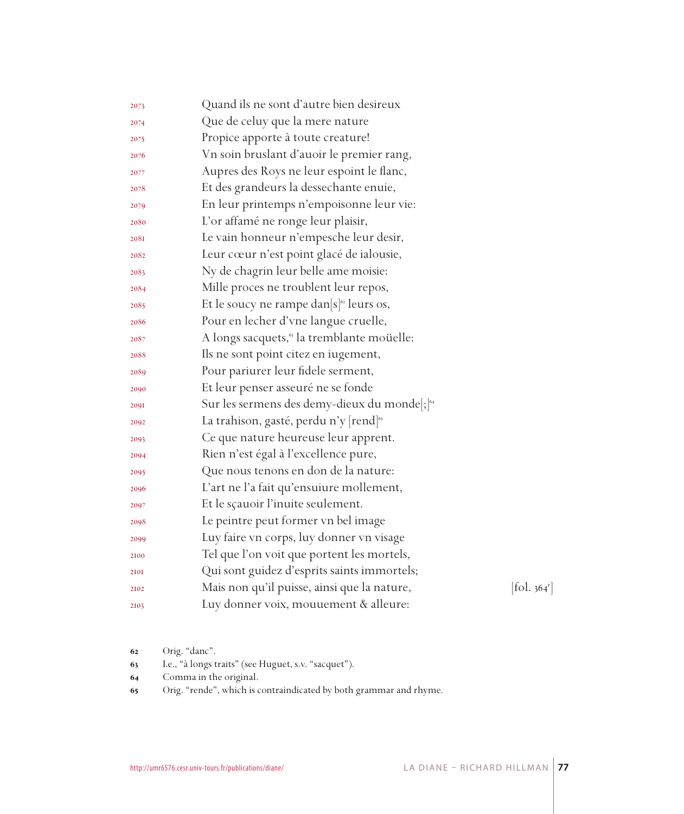| 2073 | Quand ils ne sont d'autre bien desireux                  |                             |
|------|----------------------------------------------------------|-----------------------------|
| 2074 | Que de celuy que la mere nature                          |                             |
| 2075 | Propice apporte à toute creature!                        |                             |
| 2076 | Vn soin bruslant d'auoir le premier rang,                |                             |
| 2077 | Aupres des Roys ne leur espoint le flanc,                |                             |
| 2078 | Et des grandeurs la dessechante enuie,                   |                             |
| 2079 | En leur printemps n'empoisonne leur vie:                 |                             |
| 2080 | L'or affamé ne ronge leur plaisir,                       |                             |
| 208I | Le vain honneur n'empesche leur desir,                   |                             |
| 2082 | Leur cœur n'est point glacé de ialousie,                 |                             |
| 2083 | Ny de chagrin leur belle ame moisie:                     |                             |
| 2084 | Mille proces ne troublent leur repos,                    |                             |
| 2085 | Et le soucy ne rampe dan $[s]^{\circ}$ leurs os,         |                             |
| 2086 | Pour en lecher d'vne langue cruelle,                     |                             |
| 2087 | A longs sacquets, <sup>63</sup> la tremblante moüelle:   |                             |
| 2088 | Ils ne sont point citez en iugement,                     |                             |
| 2089 | Pour pariurer leur fidele serment,                       |                             |
| 2090 | Et leur penser asseuré ne se fonde                       |                             |
| 2091 | Sur les sermens des demy-dieux du monde[;] <sup>64</sup> |                             |
| 2092 | La trahison, gasté, perdu n'y [rend] <sup>65</sup>       |                             |
| 2093 | Ce que nature heureuse leur apprent.                     |                             |
| 2094 | Rien n'est égal à l'excellence pure,                     |                             |
| 2095 | Que nous tenons en don de la nature:                     |                             |
| 2096 | L'art ne l'a fait qu'ensuiure mollement,                 |                             |
| 2097 | Et le sçauoir l'inuite seulement.                        |                             |
| 2098 | Le peintre peut former vn bel image                      |                             |
| 2099 | Luy faire vn corps, luy donner vn visage                 |                             |
| 2100 | Tel que l'on voit que portent les mortels,               |                             |
| 2101 | Qui sont guidez d'esprits saints immortels;              |                             |
| 2102 | Mais non qu'il puisse, ainsi que la nature,              | $\left[$ fol. 364 $\right]$ |
| 2103 | Luy donner voix, mouuement & alleure:                    |                             |
|      |                                                          |                             |

- Orig. "danc".
- I.e., "à longs traits" (see Huguet, s.v. "sacquet").
- Comma in the original.
- Orig. "rende", which is contraindicated by both grammar and rhyme.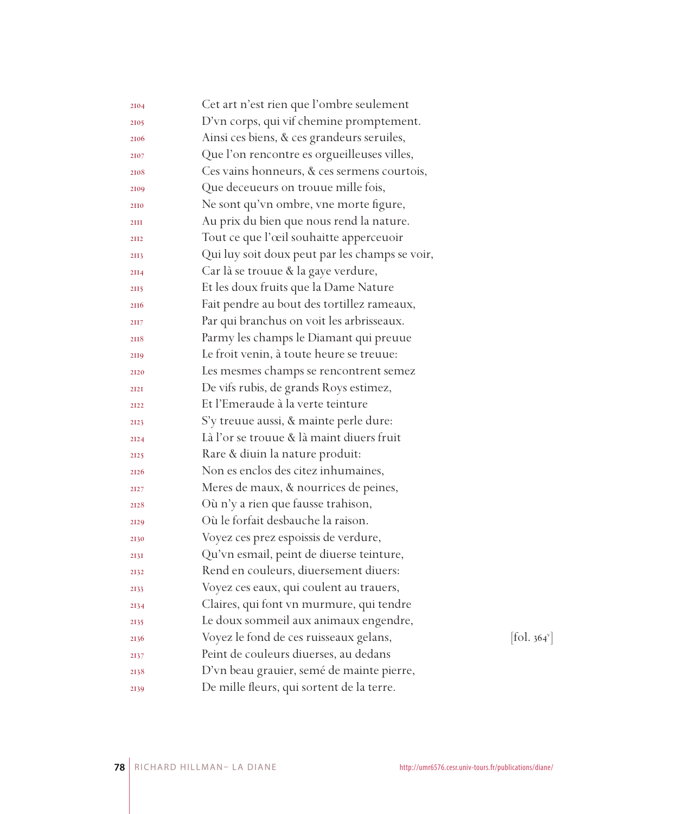| 2104 | Cet art n'est rien que l'ombre seulement       |                          |
|------|------------------------------------------------|--------------------------|
| 2105 | D'vn corps, qui vif chemine promptement.       |                          |
| 2106 | Ainsi ces biens, & ces grandeurs seruiles,     |                          |
| 2107 | Que l'on rencontre es orgueilleuses villes,    |                          |
| 2108 | Ces vains honneurs, & ces sermens courtois,    |                          |
| 2109 | Que deceueurs on trouue mille fois,            |                          |
| 2110 | Ne sont qu'vn ombre, vne morte figure,         |                          |
| 2III | Au prix du bien que nous rend la nature.       |                          |
| 2112 | Tout ce que l'œil souhaitte apperceuoir        |                          |
| 2113 | Qui luy soit doux peut par les champs se voir, |                          |
| 2II4 | Car là se trouue & la gaye verdure,            |                          |
| 2115 | Et les doux fruits que la Dame Nature          |                          |
| 2116 | Fait pendre au bout des tortillez rameaux,     |                          |
| 2117 | Par qui branchus on voit les arbrisseaux.      |                          |
| 2118 | Parmy les champs le Diamant qui preuue         |                          |
| 2119 | Le froit venin, à toute heure se treuue:       |                          |
| 2120 | Les mesmes champs se rencontrent semez         |                          |
| 2121 | De vifs rubis, de grands Roys estimez,         |                          |
| 2122 | Et l'Emeraude à la verte teinture              |                          |
| 2123 | S'y treuue aussi, & mainte perle dure:         |                          |
| 2124 | Là l'or se trouue & là maint diuers fruit      |                          |
| 2125 | Rare & diuin la nature produit:                |                          |
| 2126 | Non es enclos des citez inhumaines,            |                          |
| 2127 | Meres de maux, & nourrices de peines,          |                          |
| 2128 | Où n'y a rien que fausse trahison,             |                          |
| 2129 | Où le forfait desbauche la raison.             |                          |
| 2130 | Voyez ces prez espoissis de verdure,           |                          |
| 2131 | Qu'vn esmail, peint de diuerse teinture,       |                          |
| 2132 | Rend en couleurs, diuersement diuers:          |                          |
| 2133 | Voyez ces eaux, qui coulent au trauers,        |                          |
| 2134 | Claires, qui font vn murmure, qui tendre       |                          |
| 2135 | Le doux sommeil aux animaux engendre,          |                          |
| 2136 | Voyez le fond de ces ruisseaux gelans,         | [fol. 364 <sup>v</sup> ] |
| 2137 | Peint de couleurs diuerses, au dedans          |                          |
| 2138 | D'vn beau grauier, semé de mainte pierre,      |                          |
| 2139 | De mille fleurs, qui sortent de la terre.      |                          |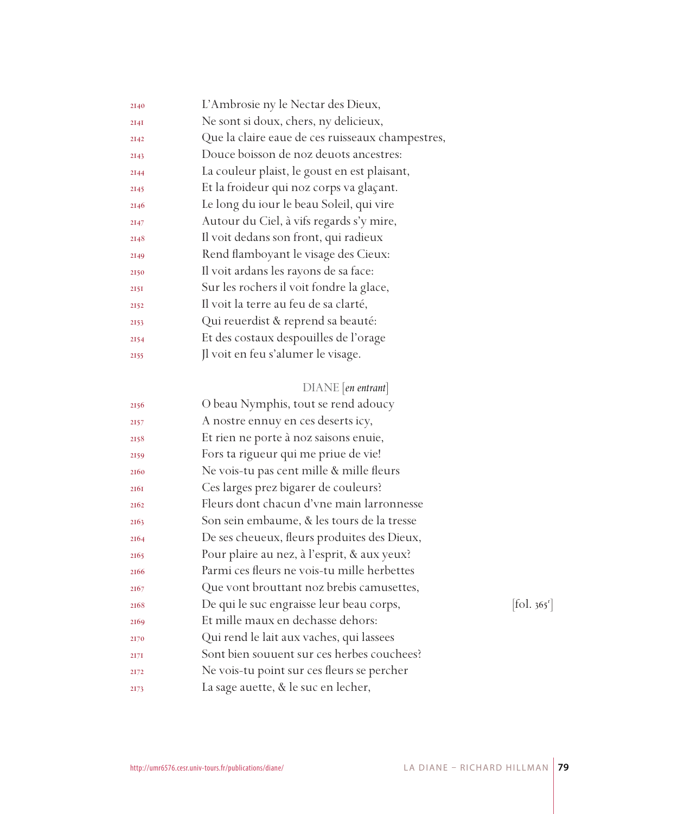| 2140 | L'Ambrosie ny le Nectar des Dieux,               |
|------|--------------------------------------------------|
| 2I4I | Ne sont si doux, chers, ny delicieux,            |
| 2142 | Que la claire eaue de ces ruisseaux champestres, |
| 2143 | Douce boisson de noz deuots ancestres:           |
| 2144 | La couleur plaist, le goust en est plaisant,     |
| 2145 | Et la froideur qui noz corps va glaçant.         |
| 2146 | Le long du iour le beau Soleil, qui vire         |
| 2147 | Autour du Ciel, à vifs regards s'y mire,         |
| 2148 | Il voit dedans son front, qui radieux            |
| 2149 | Rend flamboyant le visage des Cieux:             |
| 2150 | Il voit ardans les rayons de sa face:            |
| 2151 | Sur les rochers il voit fondre la glace,         |
| 2152 | Il voit la terre au feu de sa clarté,            |
| 2153 | Qui reuerdist & reprend sa beauté:               |
| 2154 | Et des costaux despouilles de l'orage            |
| 2155 | Jl voit en feu s'alumer le visage.               |
|      |                                                  |

## DIANE [*en entrant*]

| 2156 | O beau Nymphis, tout se rend adoucy         |                                   |
|------|---------------------------------------------|-----------------------------------|
| 2157 | A nostre ennuy en ces deserts icy,          |                                   |
| 2158 | Et rien ne porte à noz saisons enuie,       |                                   |
| 2159 | Fors ta rigueur qui me priue de vie!        |                                   |
| 2160 | Ne vois-tu pas cent mille & mille fleurs    |                                   |
| 2161 | Ces larges prez bigarer de couleurs?        |                                   |
| 2162 | Fleurs dont chacun d'vne main larronnesse   |                                   |
| 2163 | Son sein embaume, & les tours de la tresse  |                                   |
| 2164 | De ses cheueux, fleurs produites des Dieux, |                                   |
| 2165 | Pour plaire au nez, à l'esprit, & aux yeux? |                                   |
| 2166 | Parmi ces fleurs ne vois-tu mille herbettes |                                   |
| 2167 | Que vont brouttant noz brebis camusettes,   |                                   |
| 2168 | De qui le suc engraisse leur beau corps,    | $\left  \text{fol. } 365 \right $ |
| 2169 | Et mille maux en dechasse dehors:           |                                   |
| 2170 | Qui rend le lait aux vaches, qui lassees    |                                   |
| 2171 | Sont bien souuent sur ces herbes couchees?  |                                   |
| 2172 | Ne vois-tu point sur ces fleurs se percher  |                                   |
| 2173 | La sage auette, & le suc en lecher,         |                                   |
|      |                                             |                                   |

 $\left[ \text{fol. } 365^{\text{r}} \right]$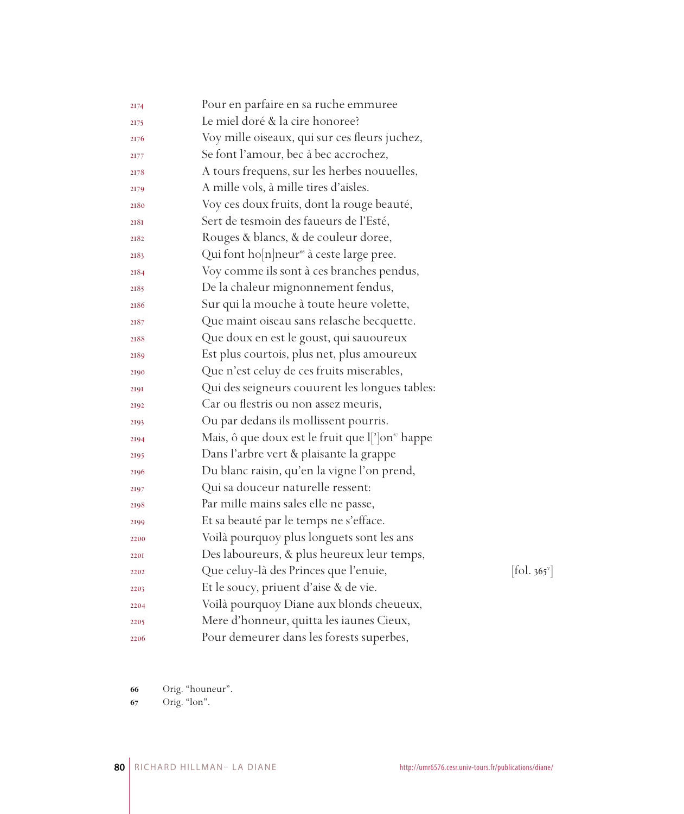| 2174        | Pour en parfaire en sa ruche emmuree                         |                                           |
|-------------|--------------------------------------------------------------|-------------------------------------------|
| 2175        | Le miel doré & la cire honoree?                              |                                           |
| 2176        | Voy mille oiseaux, qui sur ces fleurs juchez,                |                                           |
| 2177        | Se font l'amour, bec à bec accrochez,                        |                                           |
| 2178        | A tours frequens, sur les herbes nouuelles,                  |                                           |
| 2179        | A mille vols, à mille tires d'aisles.                        |                                           |
| 2180        | Voy ces doux fruits, dont la rouge beauté,                   |                                           |
| 2181        | Sert de tesmoin des faueurs de l'Esté,                       |                                           |
| 2182        | Rouges & blancs, & de couleur doree,                         |                                           |
| 2183        | Qui font ho[n]neur <sup>66</sup> à ceste large pree.         |                                           |
| 2184        | Voy comme ils sont à ces branches pendus,                    |                                           |
| 2185        | De la chaleur mignonnement fendus,                           |                                           |
| 2186        | Sur qui la mouche à toute heure volette,                     |                                           |
| 2187        | Que maint oiseau sans relasche becquette.                    |                                           |
| 2188        | Que doux en est le goust, qui sauoureux                      |                                           |
| 2189        | Est plus courtois, plus net, plus amoureux                   |                                           |
| 2190        | Que n'est celuy de ces fruits miserables,                    |                                           |
| 2191        | Qui des seigneurs couurent les longues tables:               |                                           |
| 2192        | Car ou flestris ou non assez meuris,                         |                                           |
| 2193        | Ou par dedans ils mollissent pourris.                        |                                           |
| 2194        | Mais, ô que doux est le fruit que l[']on <sup>67</sup> happe |                                           |
| 2195        | Dans l'arbre vert & plaisante la grappe                      |                                           |
| 2196        | Du blanc raisin, qu'en la vigne l'on prend,                  |                                           |
| 2197        | Qui sa douceur naturelle ressent:                            |                                           |
| 2198        | Par mille mains sales elle ne passe,                         |                                           |
| 2199        | Et sa beauté par le temps ne s'efface.                       |                                           |
| 2200        | Voilà pourquoy plus longuets sont les ans                    |                                           |
| <b>220I</b> | Des laboureurs, & plus heureux leur temps,                   |                                           |
| 2202        | Que celuy-là des Princes que l'enuie,                        | $\left[ \text{fol. } 365^{\circ} \right]$ |
| 2203        | Et le soucy, priuent d'aise & de vie.                        |                                           |
| 2204        | Voilà pourquoy Diane aux blonds cheueux,                     |                                           |
| 2205        | Mere d'honneur, quitta les iaunes Cieux,                     |                                           |
| 2206        | Pour demeurer dans les forests superbes,                     |                                           |

Orig. "houneur".

Orig. "lon".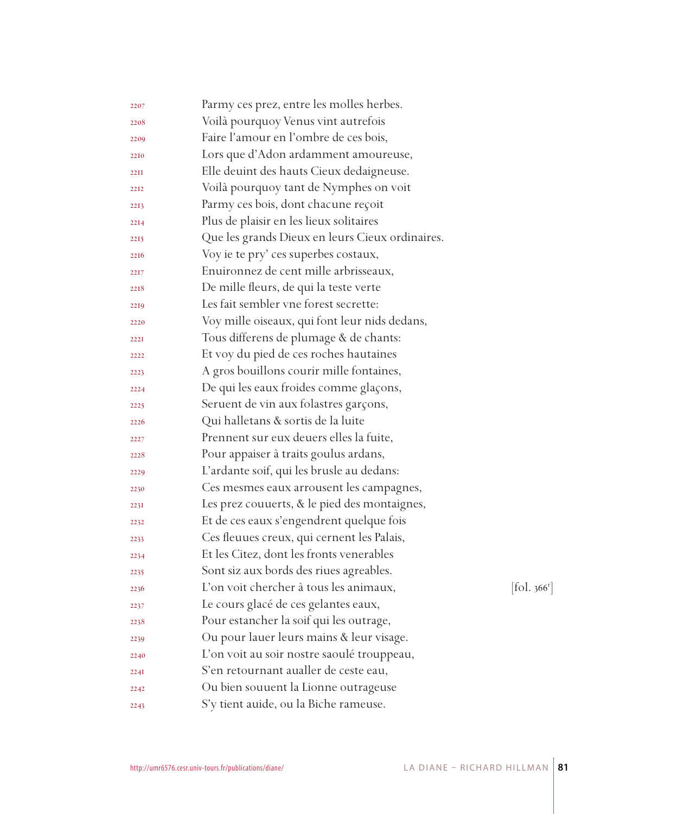| Voilà pourquoy Venus vint autrefois<br>2208<br>Faire l'amour en l'ombre de ces bois,<br>2209<br>Lors que d'Adon ardamment amoureuse,<br>2210<br>Elle deuint des hauts Cieux dedaigneuse.<br>22II<br>Voilà pourquoy tant de Nymphes on voit<br>2212<br>Parmy ces bois, dont chacune reçoit<br>2213<br>Plus de plaisir en les lieux solitaires<br>2214 |                                |
|------------------------------------------------------------------------------------------------------------------------------------------------------------------------------------------------------------------------------------------------------------------------------------------------------------------------------------------------------|--------------------------------|
|                                                                                                                                                                                                                                                                                                                                                      |                                |
|                                                                                                                                                                                                                                                                                                                                                      |                                |
|                                                                                                                                                                                                                                                                                                                                                      |                                |
|                                                                                                                                                                                                                                                                                                                                                      |                                |
|                                                                                                                                                                                                                                                                                                                                                      |                                |
|                                                                                                                                                                                                                                                                                                                                                      |                                |
|                                                                                                                                                                                                                                                                                                                                                      |                                |
| Que les grands Dieux en leurs Cieux ordinaires.<br>2215                                                                                                                                                                                                                                                                                              |                                |
| Voy ie te pry' ces superbes costaux,<br>2216                                                                                                                                                                                                                                                                                                         |                                |
| Enuironnez de cent mille arbrisseaux,<br>2217                                                                                                                                                                                                                                                                                                        |                                |
| De mille fleurs, de qui la teste verte<br>2218                                                                                                                                                                                                                                                                                                       |                                |
| Les fait sembler vne forest secrette:<br>2219                                                                                                                                                                                                                                                                                                        |                                |
| Voy mille oiseaux, qui font leur nids dedans,<br>2220                                                                                                                                                                                                                                                                                                |                                |
| Tous differens de plumage & de chants:<br>222I                                                                                                                                                                                                                                                                                                       |                                |
| Et voy du pied de ces roches hautaines<br>2222                                                                                                                                                                                                                                                                                                       |                                |
| A gros bouillons courir mille fontaines,<br>2223                                                                                                                                                                                                                                                                                                     |                                |
| De qui les eaux froides comme glaçons,<br>2224                                                                                                                                                                                                                                                                                                       |                                |
| Seruent de vin aux folastres garçons,<br>2225                                                                                                                                                                                                                                                                                                        |                                |
| Qui halletans & sortis de la luite<br>2226                                                                                                                                                                                                                                                                                                           |                                |
| Prennent sur eux deuers elles la fuite,<br>2227                                                                                                                                                                                                                                                                                                      |                                |
| Pour appaiser à traits goulus ardans,<br>2228                                                                                                                                                                                                                                                                                                        |                                |
| L'ardante soif, qui les brusle au dedans:<br>2229                                                                                                                                                                                                                                                                                                    |                                |
| Ces mesmes eaux arrousent les campagnes,<br>2230                                                                                                                                                                                                                                                                                                     |                                |
| Les prez couuerts, & le pied des montaignes,<br>223I                                                                                                                                                                                                                                                                                                 |                                |
| Et de ces eaux s'engendrent quelque fois<br>2232                                                                                                                                                                                                                                                                                                     |                                |
| Ces fleuues creux, qui cernent les Palais,<br>2233                                                                                                                                                                                                                                                                                                   |                                |
| Et les Citez, dont les fronts venerables<br>2234                                                                                                                                                                                                                                                                                                     |                                |
| Sont siz aux bords des riues agreables.<br>2235                                                                                                                                                                                                                                                                                                      |                                |
| L'on voit chercher à tous les animaux,<br>2236                                                                                                                                                                                                                                                                                                       | $\left[$ fol. 366 <sup>r</sup> |
| Le cours glacé de ces gelantes eaux,<br>2237                                                                                                                                                                                                                                                                                                         |                                |
| Pour estancher la soif qui les outrage,<br>2238                                                                                                                                                                                                                                                                                                      |                                |
| Ou pour lauer leurs mains & leur visage.<br>2239                                                                                                                                                                                                                                                                                                     |                                |
| L'on voit au soir nostre saoulé trouppeau,<br>2240                                                                                                                                                                                                                                                                                                   |                                |
| S'en retournant aualler de ceste eau,<br>224I                                                                                                                                                                                                                                                                                                        |                                |
| Ou bien souuent la Lionne outrageuse<br>2242                                                                                                                                                                                                                                                                                                         |                                |
| S'y tient auide, ou la Biche rameuse.<br>2243                                                                                                                                                                                                                                                                                                        |                                |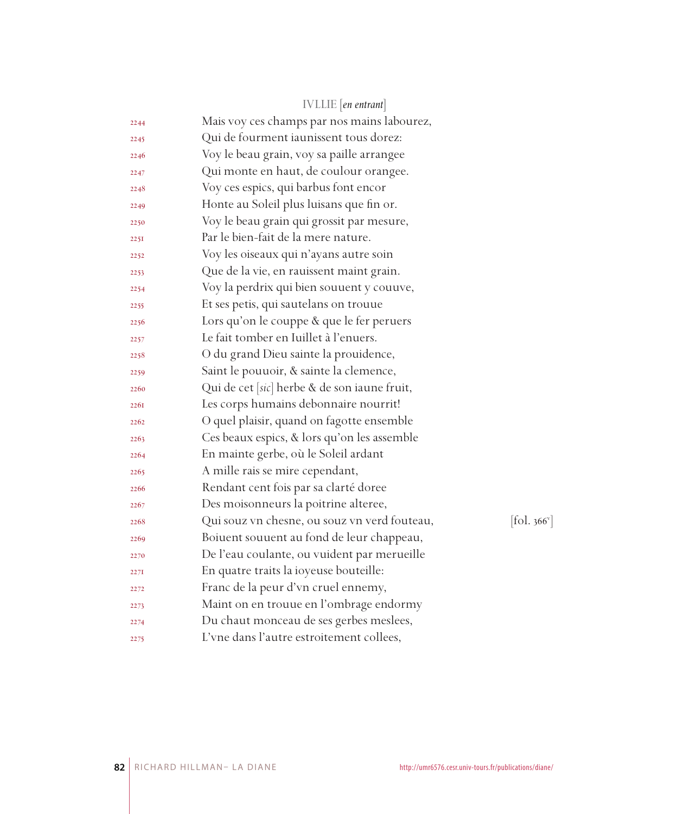|      | <b>IVLLIE</b> [en entrant]                   |                          |
|------|----------------------------------------------|--------------------------|
| 2244 | Mais voy ces champs par nos mains labourez,  |                          |
| 2245 | Qui de fourment iaunissent tous dorez:       |                          |
| 2246 | Voy le beau grain, voy sa paille arrangee    |                          |
| 2247 | Qui monte en haut, de coulour orangee.       |                          |
| 2248 | Voy ces espics, qui barbus font encor        |                          |
| 2249 | Honte au Soleil plus luisans que fin or.     |                          |
| 2250 | Voy le beau grain qui grossit par mesure,    |                          |
| 2251 | Par le bien-fait de la mere nature.          |                          |
| 2252 | Voy les oiseaux qui n'ayans autre soin       |                          |
| 2253 | Que de la vie, en rauissent maint grain.     |                          |
| 2254 | Voy la perdrix qui bien souuent y couuve,    |                          |
| 2255 | Et ses petis, qui sautelans on trouue        |                          |
| 2256 | Lors qu'on le couppe & que le fer peruers    |                          |
| 2257 | Le fait tomber en Iuillet à l'enuers.        |                          |
| 2258 | O du grand Dieu sainte la prouidence,        |                          |
| 2259 | Saint le pouuoir, & sainte la clemence,      |                          |
| 2260 | Qui de cet [sic] herbe & de son iaune fruit, |                          |
| 226I | Les corps humains debonnaire nourrit!        |                          |
| 2262 | O quel plaisir, quand on fagotte ensemble    |                          |
| 2263 | Ces beaux espics, & lors qu'on les assemble  |                          |
| 2264 | En mainte gerbe, où le Soleil ardant         |                          |
| 2265 | A mille rais se mire cependant,              |                          |
| 2266 | Rendant cent fois par sa clarté doree        |                          |
| 2267 | Des moisonneurs la poitrine alteree,         |                          |
| 2268 | Qui souz vn chesne, ou souz vn verd fouteau, | [fol. 366 <sup>v</sup> ] |
| 2269 | Boiuent souuent au fond de leur chappeau,    |                          |
| 2270 | De l'eau coulante, ou vuident par merueille  |                          |
| 2271 | En quatre traits la ioyeuse bouteille:       |                          |
| 2272 | Franc de la peur d'vn cruel ennemy,          |                          |
| 2273 | Maint on en trouue en l'ombrage endormy      |                          |
| 2274 | Du chaut monceau de ses gerbes meslees,      |                          |
| 2275 | L'vne dans l'autre estroitement collees,     |                          |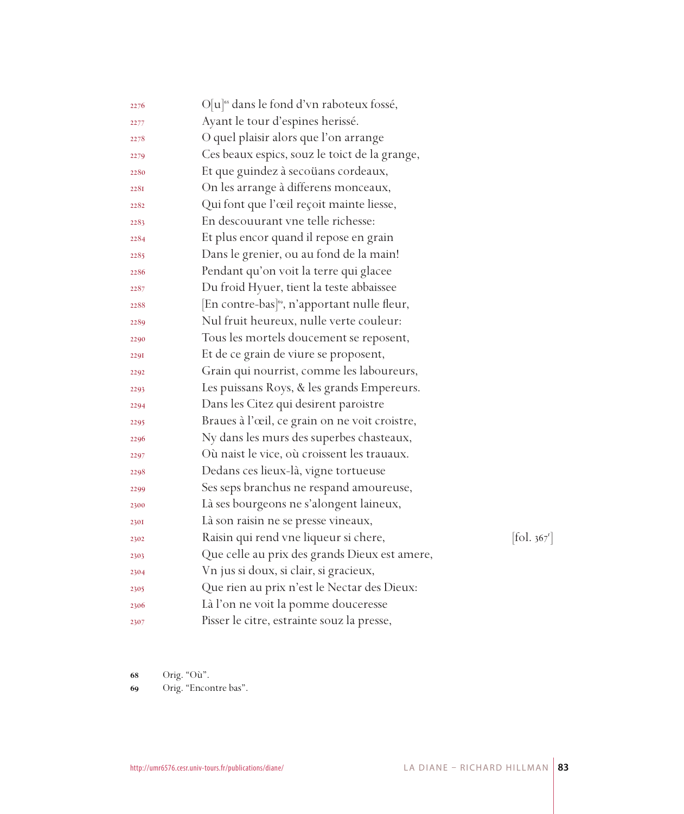| 2276 | O[u] <sup>68</sup> dans le fond d'vn raboteux fossé,     |                              |
|------|----------------------------------------------------------|------------------------------|
| 2277 | Ayant le tour d'espines herissé.                         |                              |
| 2278 | O quel plaisir alors que l'on arrange                    |                              |
| 2279 | Ces beaux espics, souz le toict de la grange,            |                              |
| 2280 | Et que guindez à secoüans cordeaux,                      |                              |
| 2281 | On les arrange à differens monceaux,                     |                              |
| 2282 | Qui font que l'œil reçoit mainte liesse,                 |                              |
| 2283 | En descouurant vne telle richesse:                       |                              |
| 2284 | Et plus encor quand il repose en grain                   |                              |
| 2285 | Dans le grenier, ou au fond de la main!                  |                              |
| 2286 | Pendant qu'on voit la terre qui glacee                   |                              |
| 2287 | Du froid Hyuer, tient la teste abbaissee                 |                              |
| 2288 | [En contre-bas] <sup>69</sup> , n'apportant nulle fleur, |                              |
| 2289 | Nul fruit heureux, nulle verte couleur:                  |                              |
| 2290 | Tous les mortels doucement se reposent,                  |                              |
| 2291 | Et de ce grain de viure se proposent,                    |                              |
| 2292 | Grain qui nourrist, comme les laboureurs,                |                              |
| 2293 | Les puissans Roys, & les grands Empereurs.               |                              |
| 2294 | Dans les Citez qui desirent paroistre                    |                              |
| 2295 | Braues à l'œil, ce grain on ne voit croistre,            |                              |
| 2296 | Ny dans les murs des superbes chasteaux,                 |                              |
| 2297 | Où naist le vice, où croissent les trauaux.              |                              |
| 2298 | Dedans ces lieux-là, vigne tortueuse                     |                              |
| 2299 | Ses seps branchus ne respand amoureuse,                  |                              |
| 2300 | Là ses bourgeons ne s'alongent laineux,                  |                              |
| 230I | Là son raisin ne se presse vineaux,                      |                              |
| 2302 | Raisin qui rend vne liqueur si chere,                    | $[\text{fol. } 367^{\circ}]$ |
| 2303 | Que celle au prix des grands Dieux est amere,            |                              |
| 2304 | Vn jus si doux, si clair, si gracieux,                   |                              |
| 2305 | Que rien au prix n'est le Nectar des Dieux:              |                              |
| 2306 | Là l'on ne voit la pomme douceresse                      |                              |
| 2307 | Pisser le citre, estrainte souz la presse,               |                              |

Orig. "Où".

Orig. "Encontre bas".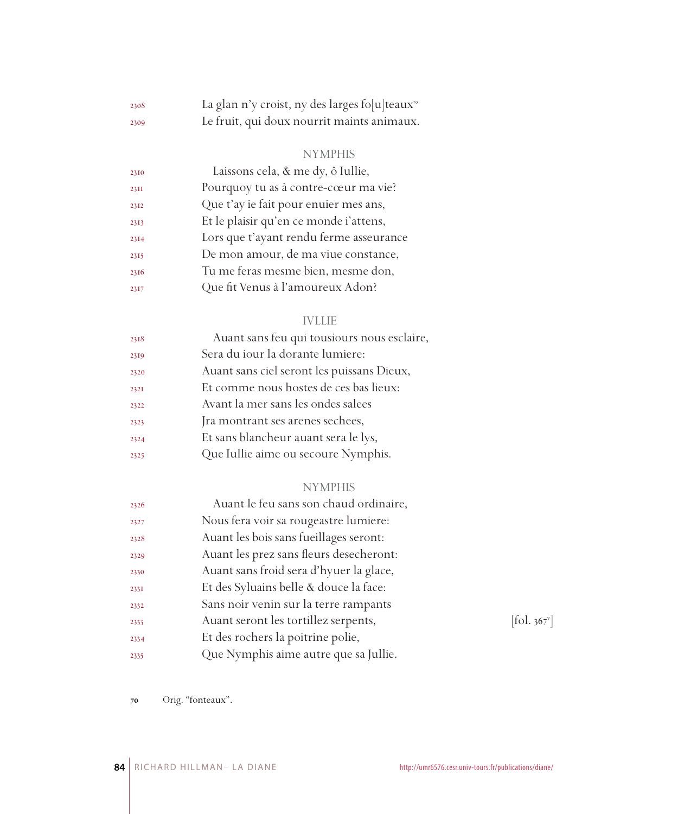| 2308 | La glan n'y croist, ny des larges fo[u]teaux <sup>70</sup> |
|------|------------------------------------------------------------|
| 2309 | Le fruit, qui doux nourrit maints animaux.                 |

## NYMPHIS

| 2310        | Laissons cela, & me dy, ô Iullie,       |
|-------------|-----------------------------------------|
| <b>23II</b> | Pourquoy tu as à contre-cœur ma vie?    |
| 2312        | Que t'ay ie fait pour enuier mes ans,   |
| 2313        | Et le plaisir qu'en ce monde i'attens,  |
| 2314        | Lors que t'ayant rendu ferme asseurance |
| 2315        | De mon amour, de ma viue constance,     |
| 2316        | Tu me feras mesme bien, mesme don,      |
| 2317        | Que fit Venus à l'amoureux Adon?        |
|             |                                         |

## IVLLIE

| 2318 | Auant sans feu qui tousiours nous esclaire, |
|------|---------------------------------------------|
| 2319 | Sera du jour la dorante lumiere:            |
| 2320 | Auant sans ciel seront les puissans Dieux,  |
| 2321 | Et comme nous hostes de ces bas lieux:      |
| 2322 | Avant la mer sans les ondes salees          |
| 2323 | Jra montrant ses arenes sechees,            |
| 2324 | Et sans blancheur auant sera le lys,        |
| 2325 | Que Iullie aime ou secoure Nymphis.         |
|      |                                             |

## NYMPHIS

| 2326 | Auant le feu sans son chaud ordinaire,  |            |
|------|-----------------------------------------|------------|
| 2327 | Nous fera voir sa rougeastre lumiere:   |            |
| 2328 | Auant les bois sans fueillages seront:  |            |
| 2329 | Auant les prez sans fleurs desecheront: |            |
| 2330 | Auant sans froid sera d'hyuer la glace, |            |
| 2331 | Et des Syluains belle & douce la face:  |            |
| 2332 | Sans noir venin sur la terre rampants   |            |
| 2333 | Auant seront les tortillez serpents,    | [fol. 367] |
| 2334 | Et des rochers la poitrine polie,       |            |
| 2335 | Que Nymphis aime autre que sa Jullie.   |            |
|      |                                         |            |

 $[$ fol. 367 $^{\mathrm{v}}$ ]

Orig. "fonteaux".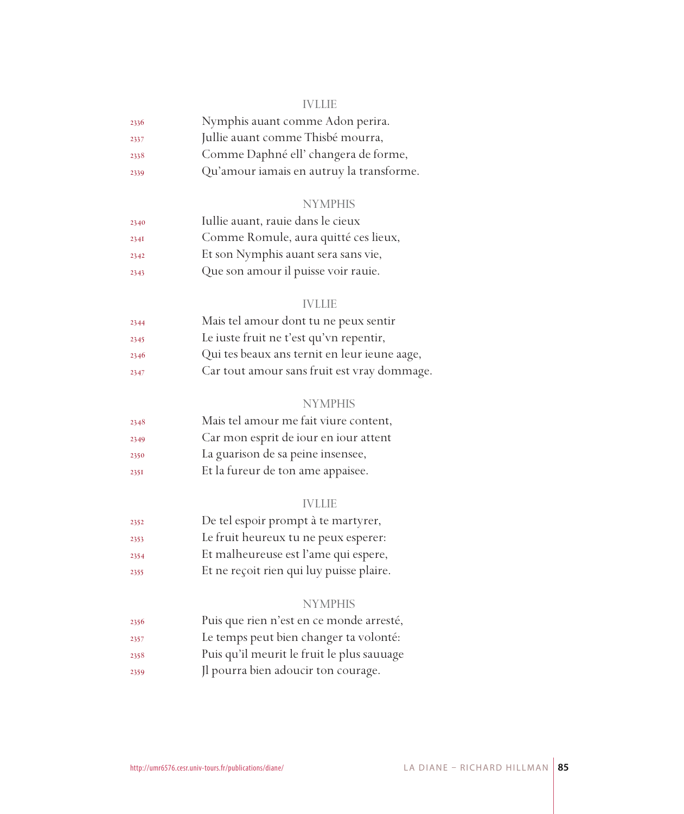#### IVLLIE

| 2336 | Nymphis auant comme Adon perira.         |
|------|------------------------------------------|
| 2337 | Jullie auant comme Thisbé mourra,        |
| 2338 | Comme Daphné ell' changera de forme,     |
| 2339 | Qu'amour iamais en autruy la transforme. |

#### NYMPHIS

| 2340 | Iullie auant, rauie dans le cieux    |
|------|--------------------------------------|
| 234I | Comme Romule, aura quitté ces lieux, |
| 2342 | Et son Nymphis auant sera sans vie,  |
| 2343 | Que son amour il puisse voir rauje.  |

#### IVLLIE

| 2344 | Mais tel amour dont tu ne peux sentir        |
|------|----------------------------------------------|
| 2345 | Le iuste fruit ne t'est qu'vn repentir,      |
| 2346 | Qui tes beaux ans ternit en leur ieune aage, |
| 2347 | Car tout amour sans fruit est vray dommage.  |

#### **NYMPHIS**

| 2348 | Mais tel amour me fait viure content, |
|------|---------------------------------------|
| 2349 | Car mon esprit de jour en jour attent |
| 2350 | La guarison de sa peine insensee,     |
| 2351 | Et la fureur de ton ame appaisee.     |

#### IVLLIE

- De tel espoir prompt à te martyrer,
- Le fruit heureux tu ne peux esperer:
- Et malheureuse est l'ame qui espere,
- Et ne reçoit rien qui luy puisse plaire.

#### NYMPHIS

- Puis que rien n'est en ce monde arresté,
- Le temps peut bien changer ta volonté:
- Puis qu'il meurit le fruit le plus sauuage
- Jl pourra bien adoucir ton courage.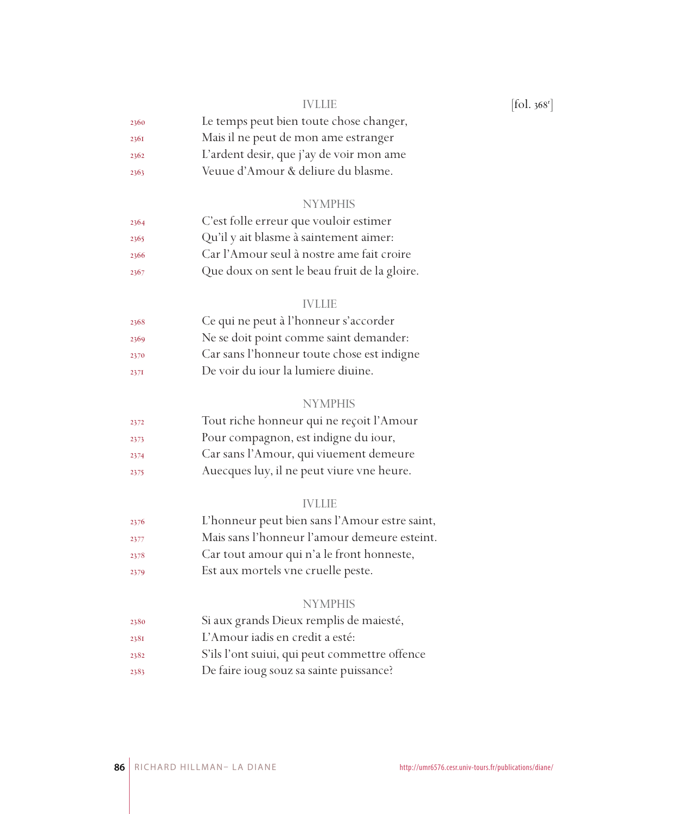| 2360 | Le temps peut bien toute chose changer, |
|------|-----------------------------------------|
| 2361 | Mais il ne peut de mon ame estranger    |

- L'ardent desir, que j'ay de voir mon ame
- Veuue d'Amour & deliure du blasme.

#### **NYMPHIS**

| 2364 | C'est folle erreur que vouloir estimer       |
|------|----------------------------------------------|
| 2365 | Qu'il y ait blasme à saintement aimer:       |
| 2366 | Car l'Amour seul à nostre ame fait croire    |
| 2367 | Que doux on sent le beau fruit de la gloire. |

#### IVLLIE

| 2368 | Ce qui ne peut à l'honneur s'accorder      |
|------|--------------------------------------------|
| 2369 | Ne se doit point comme saint demander:     |
| 2370 | Car sans l'honneur toute chose est indigne |
| 237I | De voir du jour la lumiere diuine.         |

#### **NYMPHIS**

| 2372 | Tout riche honneur qui ne reçoit l'Amour  |
|------|-------------------------------------------|
| 2373 | Pour compagnon, est indigne du iour,      |
| 2374 | Car sans l'Amour, qui viuement demeure    |
| 2375 | Auecques luy, il ne peut viure vne heure. |

#### IVLLIE

- L'honneur peut bien sans l'Amour estre saint,
- Mais sans l'honneur l'amour demeure esteint.
- Car tout amour qui n'a le front honneste,
- Est aux mortels vne cruelle peste.

#### NYMPHIS

- Si aux grands Dieux remplis de maiesté,
- L'Amour iadis en credit a esté:
- S'ils l'ont suiui, qui peut commettre offence
- De faire ioug souz sa sainte puissance?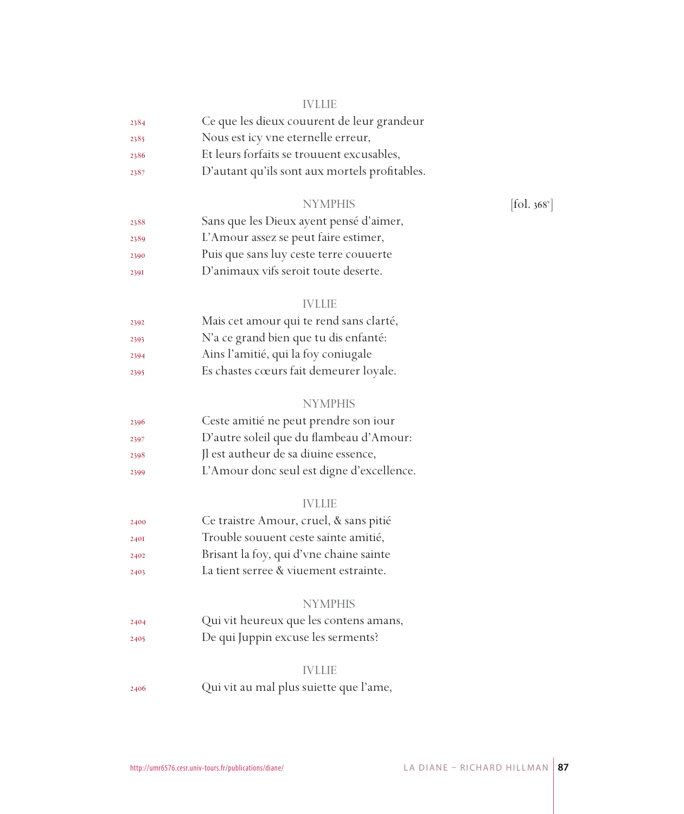#### IVLLIE

| 2384 | Ce que les dieux couurent de leur grandeur |
|------|--------------------------------------------|
| 2385 | Nous est icy vne eternelle erreur,         |
| 2386 | Et leurs forfaits se trouuent excusables,  |

- 
- D'autant qu'ils sont aux mortels profitables.

### NYMPHIS

| 2388 | Sans que les Dieux ayent pensé d'aimer, |
|------|-----------------------------------------|
| 2389 | L'Amour assez se peut faire estimer,    |
| 2390 | Puis que sans luy ceste terre couuerte  |
| 239I | D'animaux vifs seroit toute deserte.    |

#### IVLLIE

| 2392 | Mais cet amour qui te rend sans clarté, |
|------|-----------------------------------------|
| 2393 | N'a ce grand bien que tu dis enfanté:   |
| 2394 | Ains l'amitié, qui la foy coniugale     |
| 2395 | Es chastes cœurs fait demeurer loyale.  |

#### **NYMPHIS**

| 2396 | Ceste amitié ne peut prendre son iour     |
|------|-------------------------------------------|
| 2397 | D'autre soleil que du flambeau d'Amour:   |
| 2398 | Il est autheur de sa diuine essence,      |
| 2399 | L'Amour donc seul est digne d'excellence. |

### IVLLIE

| Ce traistre Amour, cruel, & sans pitié<br>2400 |  |
|------------------------------------------------|--|
|------------------------------------------------|--|

- Trouble souuent ceste sainte amitié,
- Brisant la foy, qui d'vne chaine sainte
- La tient serree & viuement estrainte.

## NYMPHIS

 Qui vit heureux que les contens amans, De qui Juppin excuse les serments?

#### IVLLIE

Qui vit au mal plus suiette que l'ame,

 $[$ fol. 368 $^{\mathrm{v}}$ ]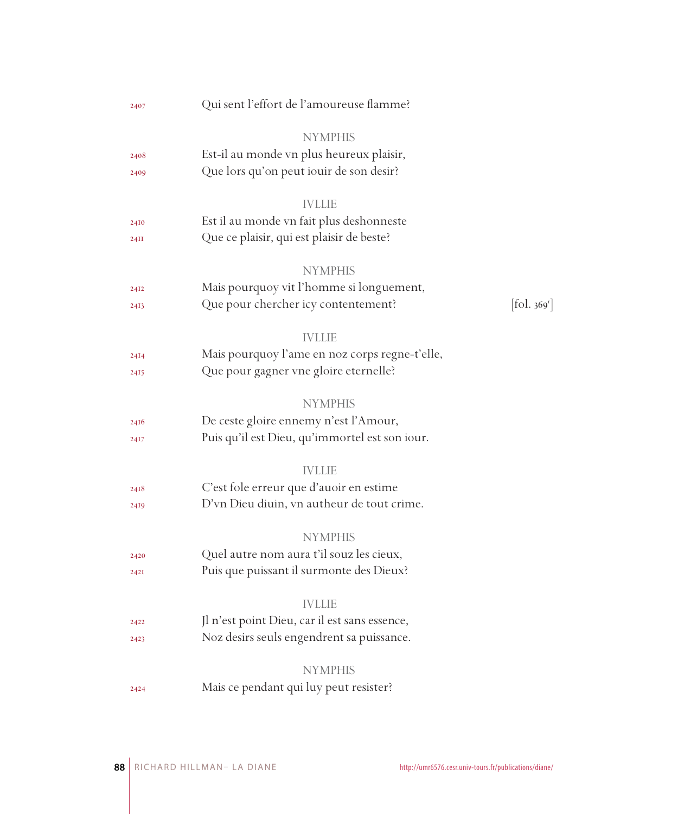| 2407 | Qui sent l'effort de l'amoureuse flamme?       |                        |
|------|------------------------------------------------|------------------------|
|      | <b>NYMPHIS</b>                                 |                        |
| 2408 | Est-il au monde vn plus heureux plaisir,       |                        |
| 2409 | Que lors qu'on peut iouir de son desir?        |                        |
|      | <b>IVLLIE</b>                                  |                        |
| 2410 | Est il au monde vn fait plus deshonneste       |                        |
| 24II | Que ce plaisir, qui est plaisir de beste?      |                        |
|      | <b>NYMPHIS</b>                                 |                        |
| 24I2 | Mais pourquoy vit l'homme si longuement,       |                        |
| 2413 | Que pour chercher icy contentement?            | $[\text{fol. } 369^r]$ |
|      | <b>IVLLIE</b>                                  |                        |
| 24I4 | Mais pourquoy l'ame en noz corps regne-t'elle, |                        |
| 2415 | Que pour gagner vne gloire eternelle?          |                        |
|      | <b>NYMPHIS</b>                                 |                        |
| 2416 | De ceste gloire ennemy n'est l'Amour,          |                        |
| 2417 | Puis qu'il est Dieu, qu'immortel est son iour. |                        |
|      | <b>IVLLIE</b>                                  |                        |
| 2418 | C'est fole erreur que d'auoir en estime        |                        |
| 2419 | D'vn Dieu diuin, vn autheur de tout crime.     |                        |
|      | <b>NYMPHIS</b>                                 |                        |
| 2420 | Quel autre nom aura t'il souz les cieux,       |                        |
| 242I | Puis que puissant il surmonte des Dieux?       |                        |
|      | <b>IVLLIE</b>                                  |                        |
| 2422 | Jl n'est point Dieu, car il est sans essence,  |                        |
| 2423 | Noz desirs seuls engendrent sa puissance.      |                        |
|      | <b>NYMPHIS</b>                                 |                        |
| 2424 | Mais ce pendant qui luy peut resister?         |                        |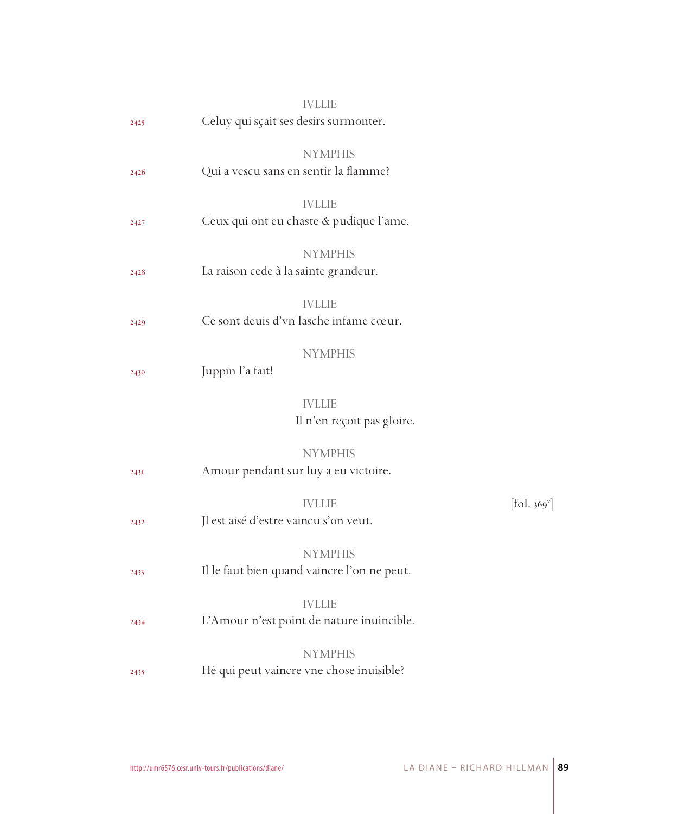|      |                                       | <b>IVLLIE</b>                                                 |                          |
|------|---------------------------------------|---------------------------------------------------------------|--------------------------|
| 2425 | Celuy qui sçait ses desirs surmonter. |                                                               |                          |
| 2426 | Qui a vescu sans en sentir la flamme? | <b>NYMPHIS</b>                                                |                          |
|      |                                       |                                                               |                          |
| 2427 |                                       | <b>IVLLIE</b><br>Ceux qui ont eu chaste & pudique l'ame.      |                          |
|      |                                       | <b>NYMPHIS</b>                                                |                          |
| 2428 | La raison cede à la sainte grandeur.  |                                                               |                          |
| 2429 |                                       | <b>IVLLIE</b><br>Ce sont deuis d'vn lasche infame cœur.       |                          |
| 2430 | Juppin l'a fait!                      | <b>NYMPHIS</b>                                                |                          |
|      |                                       | <b>IVLLIE</b><br>Il n'en reçoit pas gloire.                   |                          |
| 243I |                                       | <b>NYMPHIS</b><br>Amour pendant sur luy a eu victoire.        |                          |
| 2432 | Jl est aisé d'estre vaincu s'on veut. | <b>IVLLIE</b>                                                 | [fol. 369 <sup>v</sup> ] |
| 2433 |                                       | <b>NYMPHIS</b><br>Il le faut bien quand vaincre l'on ne peut. |                          |
| 2434 |                                       | <b>IVLLIE</b><br>L'Amour n'est point de nature inuincible.    |                          |
| 2435 |                                       | <b>NYMPHIS</b><br>Hé qui peut vaincre vne chose inuisible?    |                          |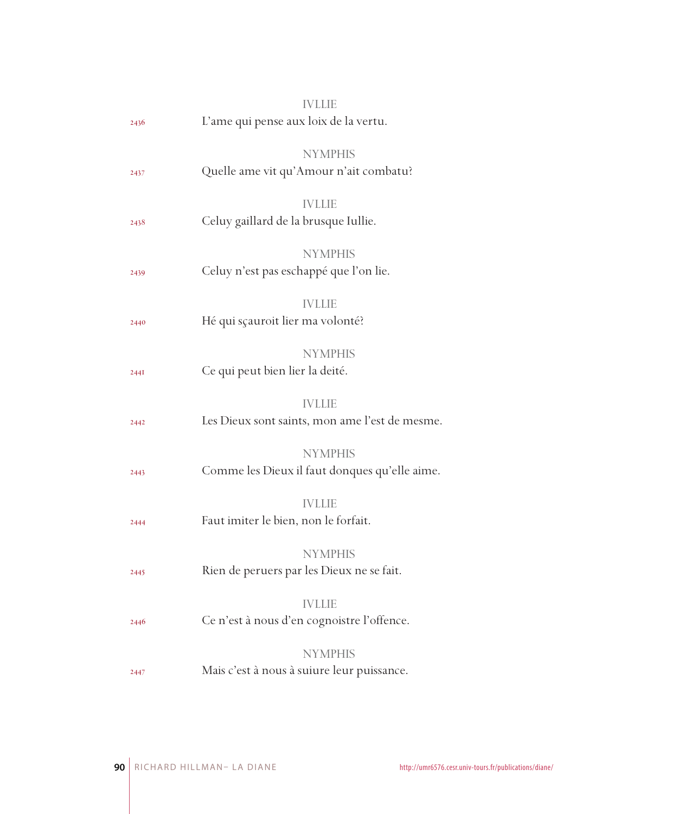|             | <b>IVLLIE</b>                                  |
|-------------|------------------------------------------------|
| 2436        | L'ame qui pense aux loix de la vertu.          |
|             |                                                |
|             | <b>NYMPHIS</b>                                 |
| 2437        | Quelle ame vit qu'Amour n'ait combatu?         |
|             | <b>IVLLIE</b>                                  |
| 2438        | Celuy gaillard de la brusque Iullie.           |
|             |                                                |
|             | <b>NYMPHIS</b>                                 |
| 2439        | Celuy n'est pas eschappé que l'on lie.         |
|             | <b>IVLLIE</b>                                  |
| 2440        | Hé qui sçauroit lier ma volonté?               |
|             |                                                |
|             | <b>NYMPHIS</b>                                 |
| <b>244I</b> | Ce qui peut bien lier la deité.                |
|             |                                                |
|             | <b>IVLLIE</b>                                  |
| 2442        | Les Dieux sont saints, mon ame l'est de mesme. |
|             | <b>NYMPHIS</b>                                 |
| 2443        | Comme les Dieux il faut donques qu'elle aime.  |
|             |                                                |
|             | <b>IVLLIE</b>                                  |
| 2444        | Faut imiter le bien, non le forfait.           |
|             | <b>NYMPHIS</b>                                 |
| 2445        | Rien de peruers par les Dieux ne se fait.      |
|             |                                                |
|             | <b>IVLLIE</b>                                  |
| 2446        | Ce n'est à nous d'en cognoistre l'offence.     |
|             | <b>NYMPHIS</b>                                 |
|             | Mais c'est à nous à suiure leur puissance.     |
| 2447        |                                                |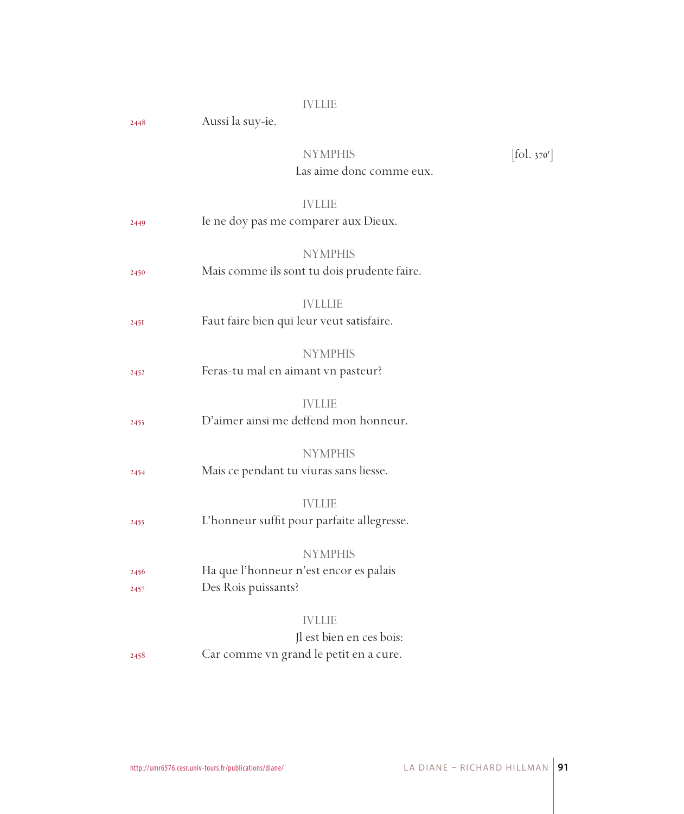#### IVLLIE

2448 Aussi la suy-ie.

#### NYMPHIS  $[\mbox{fol.}\,{}_{370^{\rm r}}]$ Las aime donc comme eux.

## IVLLIE

| 2449         | Ie ne doy pas me comparer aux Dieux.                                                |
|--------------|-------------------------------------------------------------------------------------|
| 2450         | <b>NYMPHIS</b><br>Mais comme ils sont tu dois prudente faire.                       |
| 245I         | <b>IVLLLIE</b><br>Faut faire bien qui leur veut satisfaire.                         |
| 2452         | <b>NYMPHIS</b><br>Feras-tu mal en aimant vn pasteur?                                |
| 2453         | <b>IVLLIE</b><br>D'aimer ainsi me deffend mon honneur.                              |
| 2454         | <b>NYMPHIS</b><br>Mais ce pendant tu viuras sans liesse.                            |
| 2455         | <b>IVLLIE</b><br>L'honneur suffit pour parfaite allegresse.                         |
| 2456<br>2457 | <b>NYMPHIS</b><br>Ha que l'honneur n'est encor es palais<br>Des Rois puissants?     |
| 2458         | <b>IVLLIE</b><br>Jl est bien en ces bois:<br>Car comme vn grand le petit en a cure. |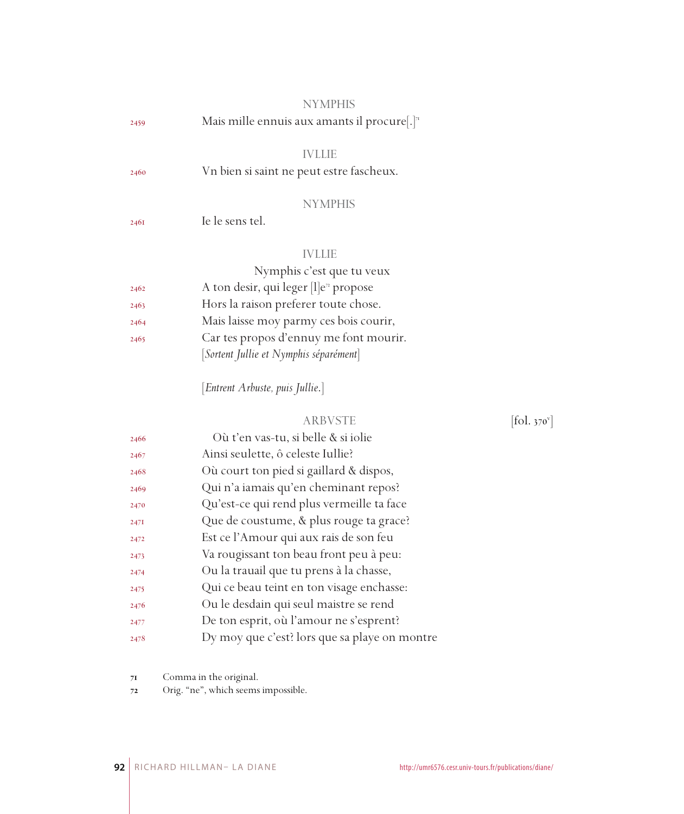|      | <b>NYMPHIS</b>                                                         |                              |
|------|------------------------------------------------------------------------|------------------------------|
| 2459 | Mais mille ennuis aux amants il procure[.] <sup><math>\pi</math></sup> |                              |
|      | <b>IVLLIE</b>                                                          |                              |
| 2460 | Vn bien si saint ne peut estre fascheux.                               |                              |
|      | <b>NYMPHIS</b>                                                         |                              |
| 2461 | Ie le sens tel.                                                        |                              |
|      | <b>IVLLIE</b>                                                          |                              |
|      | Nymphis c'est que tu veux                                              |                              |
| 2462 | A ton desir, qui leger [l]e <sup>2</sup> propose                       |                              |
| 2463 | Hors la raison preferer toute chose.                                   |                              |
| 2464 | Mais laisse moy parmy ces bois courir,                                 |                              |
| 2465 | Car tes propos d'ennuy me font mourir.                                 |                              |
|      | [Sortent Jullie et Nymphis séparément]                                 |                              |
|      | [Entrent Arbuste, puis Jullie.]                                        |                              |
|      | <b>ARBVSTE</b>                                                         | $[\text{fol. } 370^{\circ}]$ |
| 2466 | Où t'en vas-tu, si belle & si iolie                                    |                              |
| 2467 | Ainsi seulette, ô celeste Iullie?                                      |                              |
| 2468 | Où court ton pied si gaillard & dispos,                                |                              |
| 2469 | Qui n'a iamais qu'en cheminant repos?                                  |                              |
| 2470 | Qu'est-ce qui rend plus vermeille ta face                              |                              |
| 2471 | Que de coustume, & plus rouge ta grace?                                |                              |
| 2472 | Est ce l'Amour qui aux rais de son feu                                 |                              |
| 2473 | Va rougissant ton beau front peu à peu:                                |                              |
| 2474 | Ou la trauail que tu prens à la chasse,                                |                              |
| 2475 | Qui ce beau teint en ton visage enchasse:                              |                              |

- Ou le desdain qui seul maistre se rend
- De ton esprit, où l'amour ne s'esprent?
- Dy moy que c'est? lors que sa playe on montre

Comma in the original.

Orig. "ne", which seems impossible.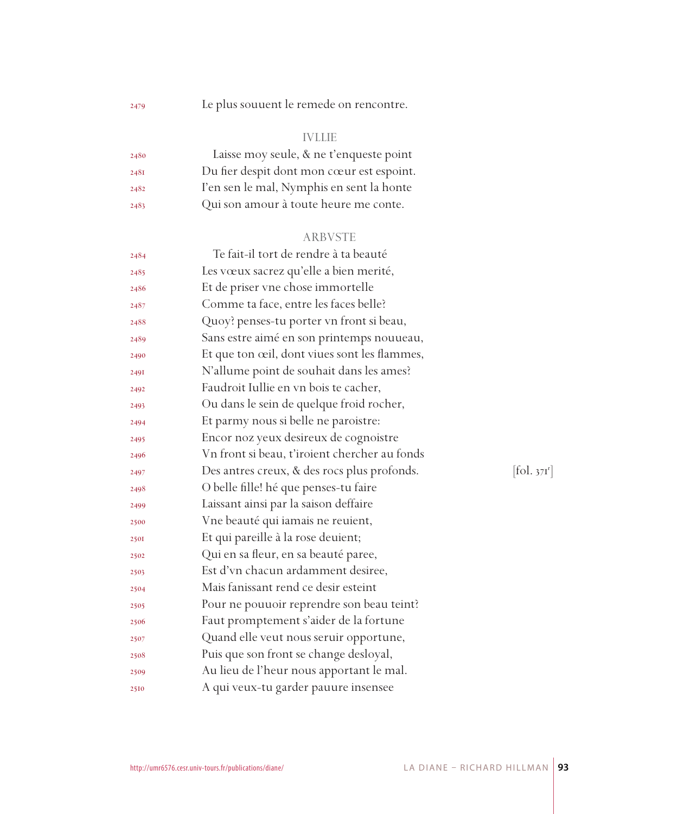Le plus souuent le remede on rencontre.

## IVLLIE

| 2480 | Laisse moy seule, & ne t'enqueste point   |
|------|-------------------------------------------|
| 2481 | Du fier despit dont mon cœur est espoint. |
| 2482 | I'en sen le mal, Nymphis en sent la honte |
| 2483 | Qui son amour à toute heure me conte.     |

#### ARBVSTE

| 2484 | Te fait-il tort de rendre à ta beauté         |                         |
|------|-----------------------------------------------|-------------------------|
| 2485 | Les vœux sacrez qu'elle a bien merité,        |                         |
| 2486 | Et de priser vne chose immortelle             |                         |
| 2487 | Comme ta face, entre les faces belle?         |                         |
| 2488 | Quoy? penses-tu porter vn front si beau,      |                         |
| 2489 | Sans estre aimé en son printemps nouueau,     |                         |
| 2490 | Et que ton œil, dont viues sont les flammes,  |                         |
| 2491 | N'allume point de souhait dans les ames?      |                         |
| 2492 | Faudroit Iullie en vn bois te cacher,         |                         |
| 2493 | Ou dans le sein de quelque froid rocher,      |                         |
| 2494 | Et parmy nous si belle ne paroistre:          |                         |
| 2495 | Encor noz yeux desireux de cognoistre         |                         |
| 2496 | Vn front si beau, t'iroient chercher au fonds |                         |
| 2497 | Des antres creux, & des rocs plus profonds.   | [fol. 37 <sup>r</sup> ] |
| 2498 | O belle fille! hé que penses-tu faire         |                         |
| 2499 | Laissant ainsi par la saison deffaire         |                         |
| 2500 | Vne beauté qui iamais ne reuient,             |                         |
| 2501 | Et qui pareille à la rose deuient;            |                         |
| 2502 | Qui en sa fleur, en sa beauté paree,          |                         |
| 2503 | Est d'vn chacun ardamment desiree,            |                         |
| 2504 | Mais fanissant rend ce desir esteint          |                         |
| 2505 | Pour ne pouuoir reprendre son beau teint?     |                         |
| 2506 | Faut promptement s'aider de la fortune        |                         |
| 2507 | Quand elle veut nous seruir opportune,        |                         |
| 2508 | Puis que son front se change desloyal,        |                         |
| 2509 | Au lieu de l'heur nous apportant le mal.      |                         |
| 2510 | A qui veux-tu garder pauure insensee          |                         |
|      |                                               |                         |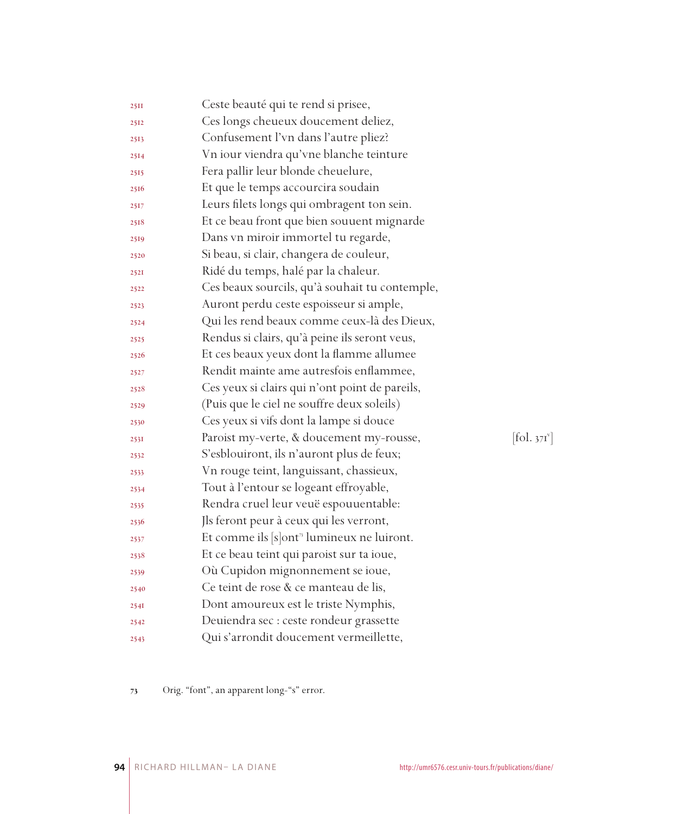| 25II | Ceste beauté qui te rend si prisee,                   |            |
|------|-------------------------------------------------------|------------|
| 2512 | Ces longs cheueux doucement deliez,                   |            |
| 2513 | Confusement l'vn dans l'autre pliez?                  |            |
| 2514 | Vn iour viendra qu'vne blanche teinture               |            |
| 2515 | Fera pallir leur blonde cheuelure,                    |            |
| 2516 | Et que le temps accourcira soudain                    |            |
| 2517 | Leurs filets longs qui ombragent ton sein.            |            |
| 2518 | Et ce beau front que bien souuent mignarde            |            |
| 2519 | Dans vn miroir immortel tu regarde,                   |            |
| 2520 | Si beau, si clair, changera de couleur,               |            |
| 2521 | Ridé du temps, halé par la chaleur.                   |            |
| 2522 | Ces beaux sourcils, qu'à souhait tu contemple,        |            |
| 2523 | Auront perdu ceste espoisseur si ample,               |            |
| 2524 | Qui les rend beaux comme ceux-là des Dieux,           |            |
| 2525 | Rendus si clairs, qu'à peine ils seront veus,         |            |
| 2526 | Et ces beaux yeux dont la flamme allumee              |            |
| 2527 | Rendit mainte ame autresfois enflammee,               |            |
| 2528 | Ces yeux si clairs qui n'ont point de pareils,        |            |
| 2529 | (Puis que le ciel ne souffre deux soleils)            |            |
| 2530 | Ces yeux si vifs dont la lampe si douce               |            |
| 253I | Paroist my-verte, & doucement my-rousse,              | [fol. 371] |
| 2532 | S'esblouiront, ils n'auront plus de feux;             |            |
| 2533 | Vn rouge teint, languissant, chassieux,               |            |
| 2534 | Tout à l'entour se logeant effroyable,                |            |
| 2535 | Rendra cruel leur veuë espouuentable:                 |            |
| 2536 | Jls feront peur à ceux qui les verront,               |            |
| 2537 | Et comme ils [s]ont <sup>3</sup> lumineux ne luiront. |            |
| 2538 | Et ce beau teint qui paroist sur ta ioue,             |            |
| 2539 | Où Cupidon mignonnement se ioue,                      |            |
| 2540 | Ce teint de rose & ce manteau de lis,                 |            |
| 254I | Dont amoureux est le triste Nymphis,                  |            |
| 2542 | Deuiendra sec : ceste rondeur grassette               |            |
| 2543 | Qui s'arrondit doucement vermeillette,                |            |

 $[$ fol. 371 $^{\mathrm{v}}$ ]

Orig. "font", an apparent long-"s" error.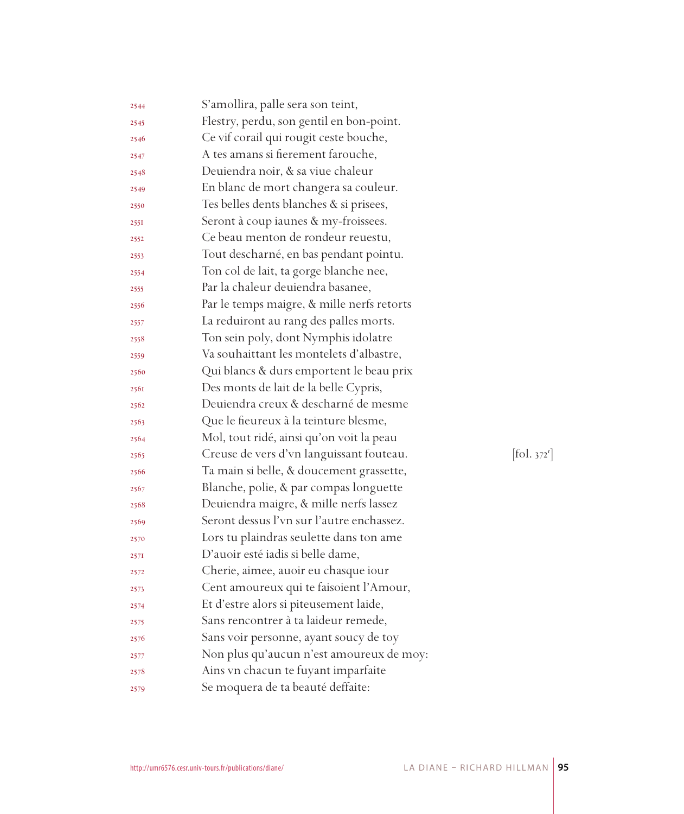| 2544 | S'amollira, palle sera son teint,          |            |
|------|--------------------------------------------|------------|
| 2545 | Flestry, perdu, son gentil en bon-point.   |            |
| 2546 | Ce vif corail qui rougit ceste bouche,     |            |
| 2547 | A tes amans si fierement farouche,         |            |
| 2548 | Deuiendra noir, & sa viue chaleur          |            |
| 2549 | En blanc de mort changera sa couleur.      |            |
| 2550 | Tes belles dents blanches & si prisees,    |            |
| 2551 | Seront à coup iaunes & my-froissees.       |            |
| 2552 | Ce beau menton de rondeur reuestu,         |            |
| 2553 | Tout descharné, en bas pendant pointu.     |            |
| 2554 | Ton col de lait, ta gorge blanche nee,     |            |
| 2555 | Par la chaleur deuiendra basanee,          |            |
| 2556 | Par le temps maigre, & mille nerfs retorts |            |
| 2557 | La reduiront au rang des palles morts.     |            |
| 2558 | Ton sein poly, dont Nymphis idolatre       |            |
| 2559 | Va souhaittant les montelets d'albastre,   |            |
| 2560 | Qui blancs & durs emportent le beau prix   |            |
| 2561 | Des monts de lait de la belle Cypris,      |            |
| 2562 | Deuiendra creux & descharné de mesme       |            |
| 2563 | Que le fieureux à la teinture blesme,      |            |
| 2564 | Mol, tout ridé, ainsi qu'on voit la peau   |            |
| 2565 | Creuse de vers d'vn languissant fouteau.   | [fol. 372] |
| 2566 | Ta main si belle, & doucement grassette,   |            |
| 2567 | Blanche, polie, & par compas longuette     |            |
| 2568 | Deuiendra maigre, & mille nerfs lassez     |            |
| 2569 | Seront dessus l'vn sur l'autre enchassez.  |            |
| 2570 | Lors tu plaindras seulette dans ton ame    |            |
| 2571 | D'auoir esté iadis si belle dame,          |            |
| 2572 | Cherie, aimee, auoir eu chasque iour       |            |
| 2573 | Cent amoureux qui te faisoient l'Amour,    |            |
| 2574 | Et d'estre alors si piteusement laide,     |            |
| 2575 | Sans rencontrer à ta laideur remede,       |            |
| 2576 | Sans voir personne, ayant soucy de toy     |            |
| 2577 | Non plus qu'aucun n'est amoureux de moy:   |            |
| 2578 | Ains vn chacun te fuyant imparfaite        |            |
| 2579 | Se moquera de ta beauté deffaite:          |            |
|      |                                            |            |

 $1.372^{r}]$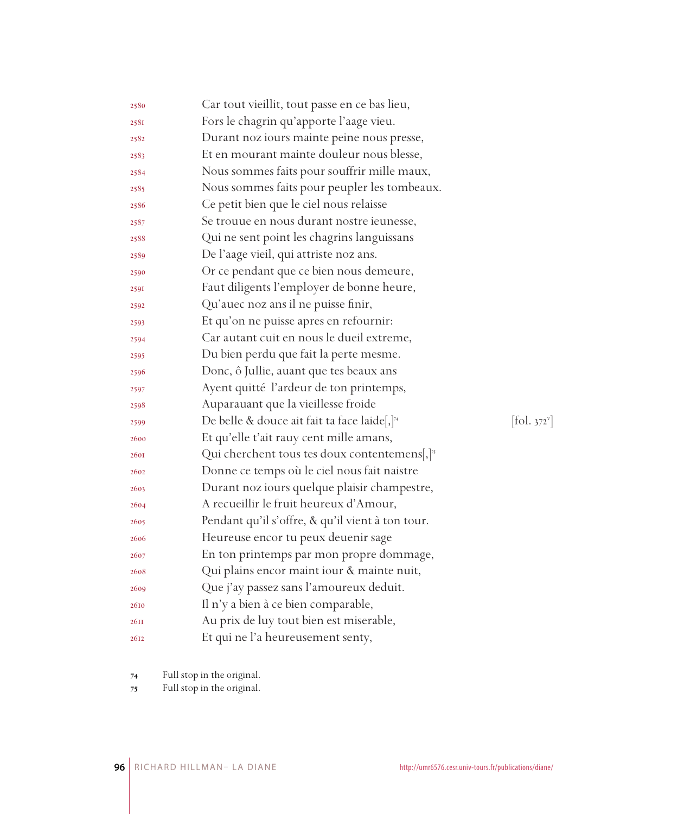| 2580        | Car tout vieillit, tout passe en ce bas lieu,              |                                 |
|-------------|------------------------------------------------------------|---------------------------------|
| 2581        | Fors le chagrin qu'apporte l'aage vieu.                    |                                 |
| 2582        | Durant noz iours mainte peine nous presse,                 |                                 |
| 2583        | Et en mourant mainte douleur nous blesse,                  |                                 |
| 2584        | Nous sommes faits pour souffrir mille maux,                |                                 |
| 2585        | Nous sommes faits pour peupler les tombeaux.               |                                 |
| 2586        | Ce petit bien que le ciel nous relaisse                    |                                 |
| 2587        | Se trouue en nous durant nostre ieunesse,                  |                                 |
| 2588        | Qui ne sent point les chagrins languissans                 |                                 |
| 2589        | De l'aage vieil, qui attriste noz ans.                     |                                 |
| 2590        | Or ce pendant que ce bien nous demeure,                    |                                 |
| 2591        | Faut diligents l'employer de bonne heure,                  |                                 |
| 2592        | Qu'auec noz ans il ne puisse finir,                        |                                 |
| 2593        | Et qu'on ne puisse apres en refournir:                     |                                 |
| 2594        | Car autant cuit en nous le dueil extreme,                  |                                 |
| 2595        | Du bien perdu que fait la perte mesme.                     |                                 |
| 2596        | Donc, ô Jullie, auant que tes beaux ans                    |                                 |
| 2597        | Ayent quitté l'ardeur de ton printemps,                    |                                 |
| 2598        | Auparauant que la vieillesse froide                        |                                 |
| 2599        | De belle & douce ait fait ta face laide[,] <sup>74</sup>   | $\left[\text{fol. } 372\right]$ |
| 2600        | Et qu'elle t'ait rauy cent mille amans,                    |                                 |
| <b>260I</b> | Qui cherchent tous tes doux contentemens, $]$ <sup>3</sup> |                                 |
| 2602        | Donne ce temps où le ciel nous fait naistre                |                                 |
| 2603        | Durant noz iours quelque plaisir champestre,               |                                 |
| 2604        | A recueillir le fruit heureux d'Amour,                     |                                 |
| 2605        | Pendant qu'il s'offre, & qu'il vient à ton tour.           |                                 |
| 2606        | Heureuse encor tu peux deuenir sage                        |                                 |
| 2607        | En ton printemps par mon propre dommage,                   |                                 |
| 2608        | Qui plains encor maint iour & mainte nuit,                 |                                 |
| 2609        | Que j'ay passez sans l'amoureux deduit.                    |                                 |
| 2610        | Il n'y a bien à ce bien comparable,                        |                                 |
| 26II        | Au prix de luy tout bien est miserable,                    |                                 |
| 2612        | Et qui ne l'a heureusement senty,                          |                                 |

Full stop in the original.

Full stop in the original.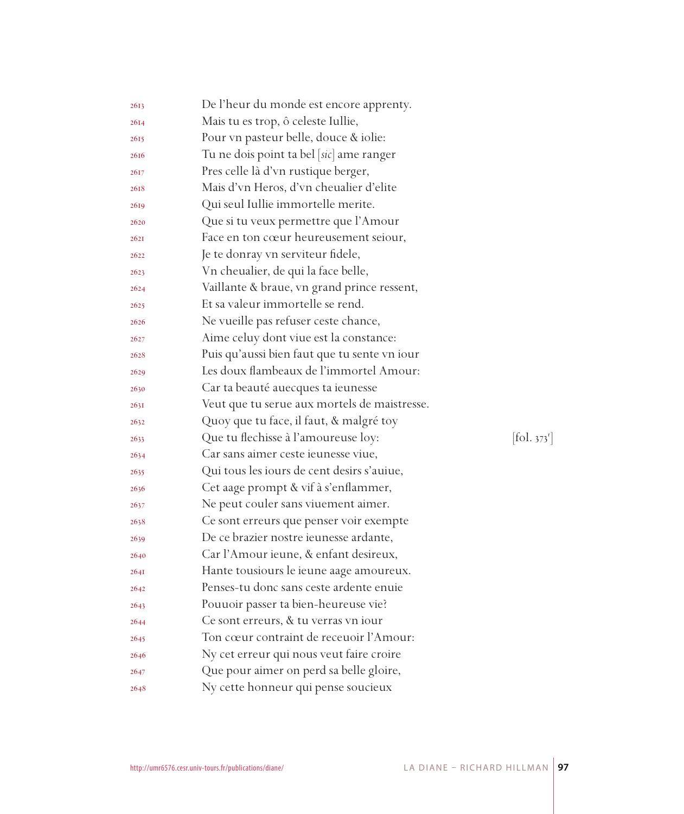| 2613 | De l'heur du monde est encore apprenty.      |                      |
|------|----------------------------------------------|----------------------|
| 2614 | Mais tu es trop, ô celeste Iullie,           |                      |
| 2615 | Pour vn pasteur belle, douce & iolie:        |                      |
| 2616 | Tu ne dois point ta bel [sic] ame ranger     |                      |
| 2617 | Pres celle là d'vn rustique berger,          |                      |
| 2618 | Mais d'vn Heros, d'vn cheualier d'elite      |                      |
| 2619 | Qui seul Iullie immortelle merite.           |                      |
| 2620 | Que si tu veux permettre que l'Amour         |                      |
| 262I | Face en ton cœur heureusement seiour,        |                      |
| 2622 | Je te donray vn serviteur fidele,            |                      |
| 2623 | Vn cheualier, de qui la face belle,          |                      |
| 2624 | Vaillante & braue, vn grand prince ressent,  |                      |
| 2625 | Et sa valeur immortelle se rend.             |                      |
| 2626 | Ne vueille pas refuser ceste chance,         |                      |
| 2627 | Aime celuy dont viue est la constance:       |                      |
| 2628 | Puis qu'aussi bien faut que tu sente vn iour |                      |
| 2629 | Les doux flambeaux de l'immortel Amour:      |                      |
| 2630 | Car ta beauté auecques ta ieunesse           |                      |
| 263I | Veut que tu serue aux mortels de maistresse. |                      |
| 2632 | Quoy que tu face, il faut, & malgré toy      |                      |
| 2633 | Que tu flechisse à l'amoureuse loy:          | $[\text{fol. } 373]$ |
| 2634 | Car sans aimer ceste ieunesse viue,          |                      |
| 2635 | Qui tous les iours de cent desirs s'auiue,   |                      |
| 2636 | Cet aage prompt & vif à s'enflammer,         |                      |
| 2637 | Ne peut couler sans viuement aimer.          |                      |
| 2638 | Ce sont erreurs que penser voir exempte      |                      |
| 2639 | De ce brazier nostre ieunesse ardante,       |                      |
| 2640 | Car l'Amour ieune, & enfant desireux,        |                      |
| 264I | Hante tousiours le ieune aage amoureux.      |                      |
| 2642 | Penses-tu donc sans ceste ardente enuie      |                      |
| 2643 | Pouuoir passer ta bien-heureuse vie?         |                      |
| 2644 | Ce sont erreurs, & tu verras vn iour         |                      |
| 2645 | Ton cœur contraint de receuoir l'Amour:      |                      |
| 2646 | Ny cet erreur qui nous veut faire croire     |                      |
| 2647 | Que pour aimer on perd sa belle gloire,      |                      |
| 2648 | Ny cette honneur qui pense soucieux          |                      |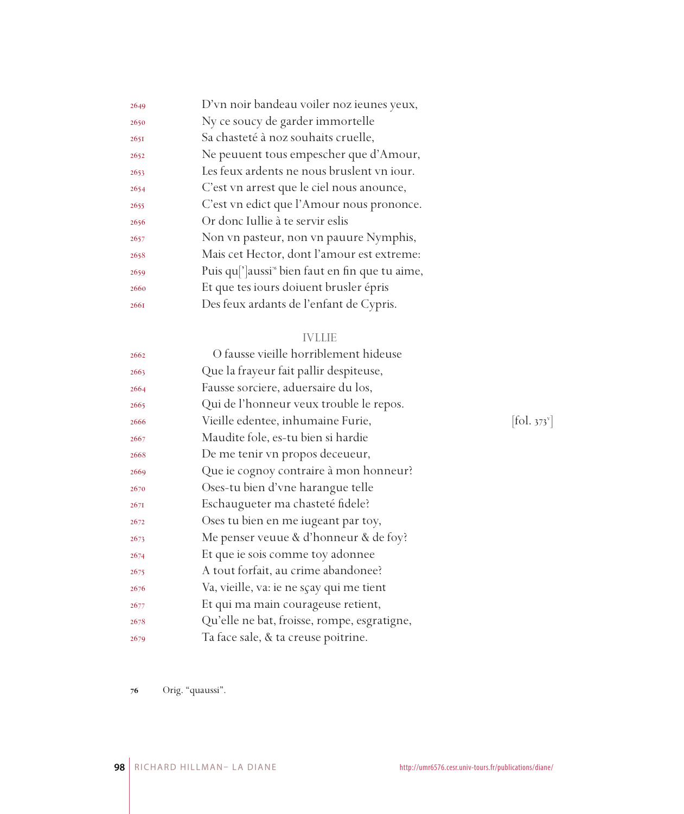| 2649 | D'vn noir bandeau voiler noz ieunes yeux,                               |
|------|-------------------------------------------------------------------------|
| 2650 | Ny ce soucy de garder immortelle                                        |
| 265I | Sa chasteté à noz souhaits cruelle,                                     |
| 2652 | Ne peuuent tous empescher que d'Amour,                                  |
| 2653 | Les feux ardents ne nous bruslent vn iour.                              |
| 2654 | C'est vn arrest que le ciel nous anounce,                               |
| 2655 | C'est vn edict que l'Amour nous prononce.                               |
| 2656 | Or donc Iullie à te servir eslis                                        |
| 2657 | Non vn pasteur, non vn pauure Nymphis,                                  |
| 2658 | Mais cet Hector, dont l'amour est extreme:                              |
| 2659 | Puis qu <sup>['</sup> ]aussi <sup>*</sup> bien faut en fin que tu aime, |
| 2660 | Et que tes iours doiuent brusler épris                                  |
| 2661 | Des feux ardants de l'enfant de Cypris.                                 |

## IVLLIE

| 2662 | O fausse vieille horriblement hideuse       |                                         |
|------|---------------------------------------------|-----------------------------------------|
| 2663 | Que la frayeur fait pallir despiteuse,      |                                         |
| 2664 | Fausse sorciere, aduersaire du los,         |                                         |
| 2665 | Qui de l'honneur veux trouble le repos.     |                                         |
| 2666 | Vieille edentee, inhumaine Furie,           | $\left  \text{fol. } 373 \right\rangle$ |
| 2667 | Maudite fole, es-tu bien si hardie          |                                         |
| 2668 | De me tenir vn propos deceueur,             |                                         |
| 2669 | Que ie cognoy contraire à mon honneur?      |                                         |
| 2670 | Oses-tu bien d'vne harangue telle           |                                         |
| 267I | Eschaugueter ma chasteté fidele?            |                                         |
| 2672 | Oses tu bien en me iugeant par toy,         |                                         |
| 2673 | Me penser veuue & d'honneur & de foy?       |                                         |
| 2674 | Et que ie sois comme toy adonnee            |                                         |
| 2675 | A tout forfait, au crime abandonee?         |                                         |
| 2676 | Va, vieille, va: ie ne sçay qui me tient    |                                         |
| 2677 | Et qui ma main courageuse retient,          |                                         |
| 2678 | Qu'elle ne bat, froisse, rompe, esgratigne, |                                         |
| 2679 | Ta face sale, & ta creuse poitrine.         |                                         |

 $[$ fol. 373 $^{\mathrm{v}}$ ]

Orig. "quaussi".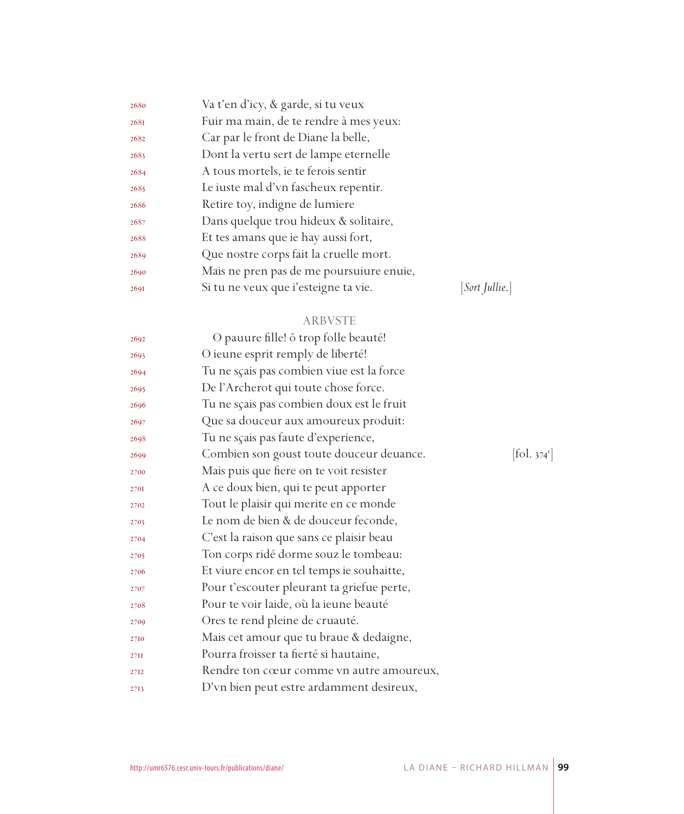| 2680 | Va t'en d'icy, & garde, si tu veux       |                       |
|------|------------------------------------------|-----------------------|
| 2681 | Fuir ma main, de te rendre à mes yeux:   |                       |
| 2682 | Car par le front de Diane la belle,      |                       |
| 2683 | Dont la vertu sert de lampe eternelle    |                       |
| 2684 | A tous mortels, ie te ferois sentir      |                       |
| 2685 | Le iuste mal d'vn fascheux repentir.     |                       |
| 2686 | Retire toy, indigne de lumiere           |                       |
| 2687 | Dans quelque trou hideux & solitaire,    |                       |
| 2688 | Et tes amans que ie hay aussi fort,      |                       |
| 2689 | Que nostre corps fait la cruelle mort.   |                       |
| 2690 | Mais ne pren pas de me poursuiure enuie, |                       |
| 2691 | Si tu ne veux que i'esteigne ta vie.     | <i>Sort Jullie.</i> ] |
|      |                                          |                       |

## ARBVSTE

| 2692 | O pauure fille! ô trop folle beauté!       |                        |
|------|--------------------------------------------|------------------------|
| 2693 | O ieune esprit remply de liberté!          |                        |
| 2694 | Tu ne sçais pas combien viue est la force  |                        |
| 2695 | De l'Archerot qui toute chose force.       |                        |
| 2696 | Tu ne sçais pas combien doux est le fruit  |                        |
| 2697 | Que sa douceur aux amoureux produit:       |                        |
| 2698 | Tu ne sçais pas faute d'experience,        |                        |
| 2699 | Combien son goust toute douceur deuance.   | $[\text{fol. } 374^r]$ |
| 2700 | Mais puis que fiere on te voit resister    |                        |
| 2701 | A ce doux bien, qui te peut apporter       |                        |
| 2702 | Tout le plaisir qui merite en ce monde     |                        |
| 2703 | Le nom de bien & de douceur feconde,       |                        |
| 2704 | C'est la raison que sans ce plaisir beau   |                        |
| 2705 | Ton corps ridé dorme souz le tombeau:      |                        |
| 2706 | Et viure encor en tel temps ie souhaitte,  |                        |
| 2707 | Pour t'escouter pleurant ta griefue perte, |                        |
| 2708 | Pour te voir laide, où la ieune beauté     |                        |
| 2709 | Ores te rend pleine de cruauté.            |                        |
| 2710 | Mais cet amour que tu braue & dedaigne,    |                        |
| 27II | Pourra froisser ta fierté si hautaine,     |                        |
| 2712 | Rendre ton cœur comme vn autre amoureux,   |                        |
| 2713 | D'vn bien peut estre ardamment desireux,   |                        |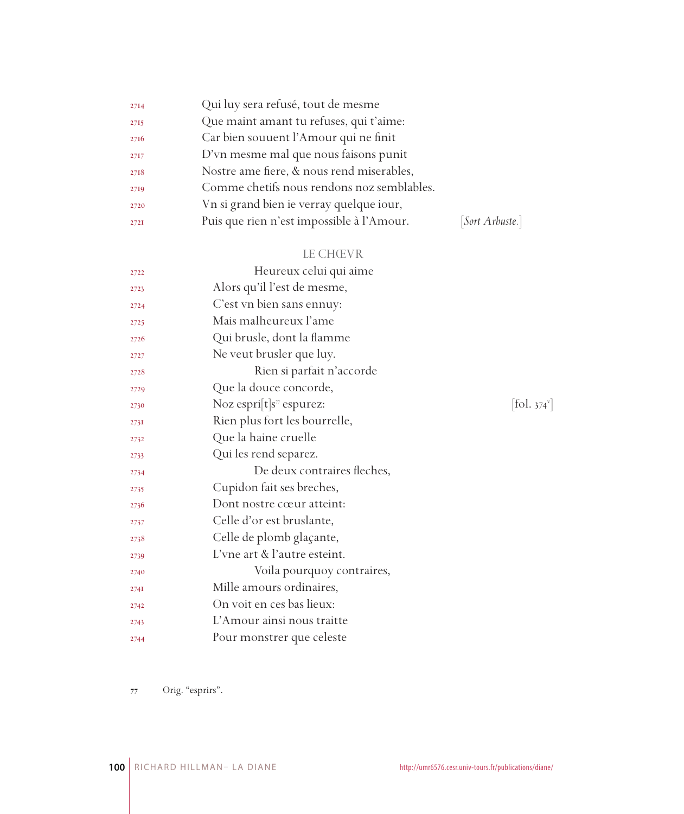| 2714 | Qui luy sera refusé, tout de mesme         |                 |
|------|--------------------------------------------|-----------------|
| 2715 | Que maint amant tu refuses, qui t'aime:    |                 |
| 2716 | Car bien souuent l'Amour qui ne finit      |                 |
| 2717 | D'vn mesme mal que nous faisons punit      |                 |
| 2718 | Nostre ame fiere, & nous rend miserables,  |                 |
| 2719 | Comme chetifs nous rendons noz semblables. |                 |
| 2720 | Vn si grand bien ie verray quelque iour,   |                 |
| 2721 | Puis que rien n'est impossible à l'Amour.  | [Sort Arbuste.] |

## LE CHŒVR

| 2722 | Heureux celui qui aime                 |                                           |
|------|----------------------------------------|-------------------------------------------|
| 2723 | Alors qu'il l'est de mesme,            |                                           |
| 2724 | C'est vn bien sans ennuy:              |                                           |
| 2725 | Mais malheureux l'ame                  |                                           |
| 2726 | Qui brusle, dont la flamme             |                                           |
| 2727 | Ne veut brusler que luy.               |                                           |
| 2728 | Rien si parfait n'accorde              |                                           |
| 2729 | Que la douce concorde,                 |                                           |
| 2730 | Noz espri $[t]s$ <sup>7</sup> espurez: | $\left  \text{fol. } 374^{\circ} \right $ |
| 2731 | Rien plus fort les bourrelle,          |                                           |
| 2732 | Que la haine cruelle                   |                                           |
| 2733 | Qui les rend separez.                  |                                           |
| 2734 | De deux contraires fleches,            |                                           |
| 2735 | Cupidon fait ses breches,              |                                           |
| 2736 | Dont nostre cœur atteint:              |                                           |
| 2737 | Celle d'or est bruslante,              |                                           |
| 2738 | Celle de plomb glaçante,               |                                           |
| 2739 | L'vne art & l'autre esteint.           |                                           |
| 2740 | Voila pourquoy contraires,             |                                           |
| 274I | Mille amours ordinaires,               |                                           |
| 2742 | On voit en ces bas lieux:              |                                           |
| 2743 | L'Amour ainsi nous traitte             |                                           |
| 2744 | Pour monstrer que celeste              |                                           |

Orig. "esprirs".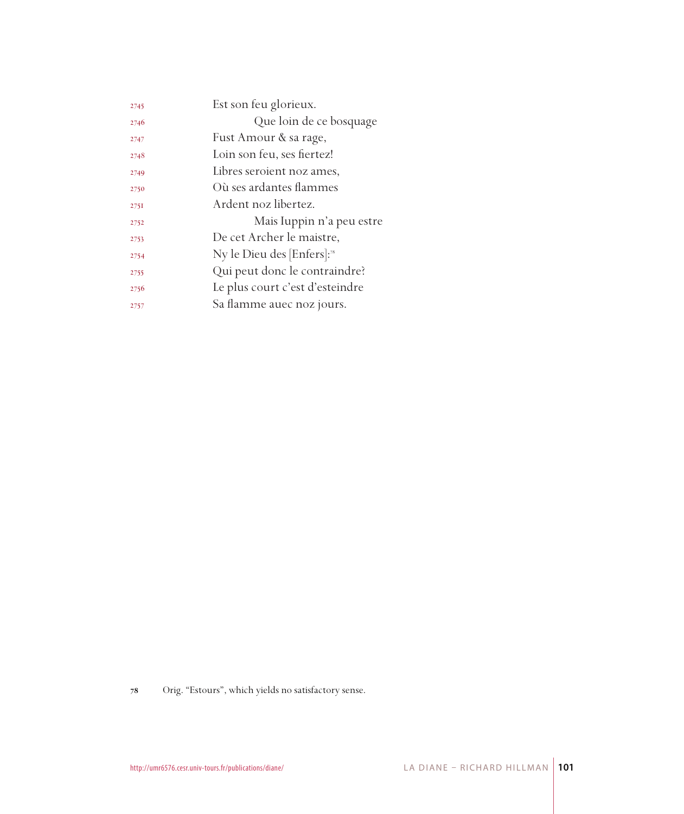| 2745 | Est son feu glorieux.                  |
|------|----------------------------------------|
| 2746 | Que loin de ce bosquage                |
| 2747 | Fust Amour & sa rage,                  |
| 2748 | Loin son feu, ses fiertez!             |
| 2749 | Libres seroient noz ames,              |
| 2750 | Où ses ardantes flammes                |
| 275I | Ardent noz libertez.                   |
| 2752 | Mais Iuppin n'a peu estre              |
| 2753 | De cet Archer le maistre,              |
| 2754 | Ny le Dieu des [Enfers]: <sup>28</sup> |
| 2755 | Qui peut donc le contraindre?          |
| 2756 | Le plus court c'est d'esteindre        |
| 2757 | Sa flamme auec noz jours.              |

Orig. "Estours", which yields no satisfactory sense.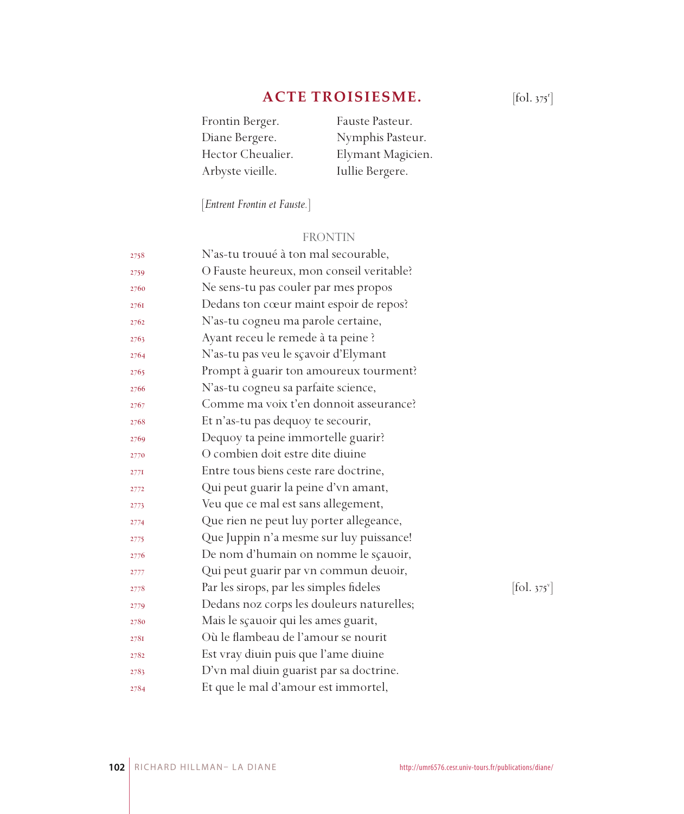# **ACTE TROISIESME.**

| Frontin Berger.   | Fauste Pasteur.   |
|-------------------|-------------------|
| Diane Bergere.    | Nymphis Pasteur.  |
| Hector Cheualier. | Elymant Magicien. |
| Arbyste vieille.  | Iullie Bergere.   |

[*Entrent Frontin et Fauste.*]

## FRONTIN

| 2758 | N'as-tu trouué à ton mal secourable,      |            |
|------|-------------------------------------------|------------|
| 2759 | O Fauste heureux, mon conseil veritable?  |            |
| 2760 | Ne sens-tu pas couler par mes propos      |            |
| 2761 | Dedans ton cœur maint espoir de repos?    |            |
| 2762 | N'as-tu cogneu ma parole certaine,        |            |
| 2763 | Ayant receu le remede à ta peine ?        |            |
| 2764 | N'as-tu pas veu le sçavoir d'Elymant      |            |
| 2765 | Prompt à guarir ton amoureux tourment?    |            |
| 2766 | N'as-tu cogneu sa parfaite science,       |            |
| 2767 | Comme ma voix t'en donnoit asseurance?    |            |
| 2768 | Et n'as-tu pas dequoy te secourir,        |            |
| 2769 | Dequoy ta peine immortelle guarir?        |            |
| 2770 | O combien doit estre dite diuine          |            |
| 277I | Entre tous biens ceste rare doctrine,     |            |
| 2772 | Qui peut guarir la peine d'vn amant,      |            |
| 2773 | Veu que ce mal est sans allegement,       |            |
| 2774 | Que rien ne peut luy porter allegeance,   |            |
| 2775 | Que Juppin n'a mesme sur luy puissance!   |            |
| 2776 | De nom d'humain on nomme le sçauoir,      |            |
| 2777 | Qui peut guarir par vn commun deuoir,     |            |
| 2778 | Par les sirops, par les simples fideles   | [fol. 375] |
| 2779 | Dedans noz corps les douleurs naturelles; |            |
| 2780 | Mais le sçauoir qui les ames guarit,      |            |
| 2781 | Où le flambeau de l'amour se nourit       |            |
| 2782 | Est vray diuin puis que l'ame diuine      |            |
| 2783 | D'vn mal diuin guarist par sa doctrine.   |            |
| 2784 | Et que le mal d'amour est immortel,       |            |

 $[$ fol. 375 $^r$ ]

 $[$ fol. 375 $^{\circ}$ ]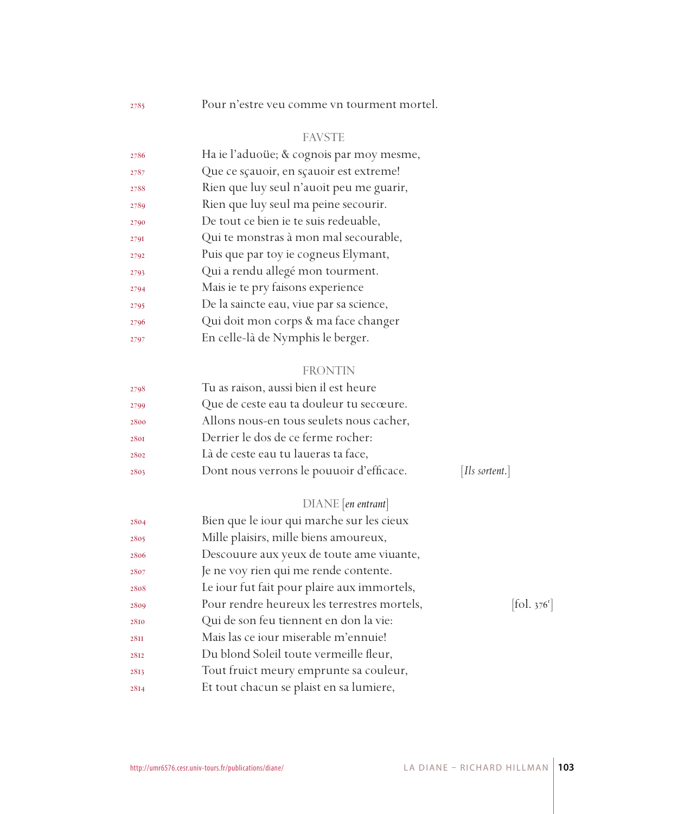Pour n'estre veu comme vn tourment mortel.

## FAVSTE

| Ha ie l'aduoüe; & cognois par moy mesme, |
|------------------------------------------|
| Que ce sçauoir, en sçauoir est extreme!  |
| Rien que luy seul n'auoit peu me guarir, |
|                                          |
|                                          |
| Qui te monstras à mon mal secourable,    |
|                                          |
|                                          |
|                                          |
|                                          |
| Qui doit mon corps & ma face changer     |
|                                          |
|                                          |

#### FRONTIN

| 2798 | Tu as raison, aussi bien il est heure    |                |
|------|------------------------------------------|----------------|
| 2799 | Que de ceste eau ta douleur tu secœure.  |                |
| 2800 | Allons nous-en tous seulets nous cacher, |                |
| 2801 | Derrier le dos de ce ferme rocher:       |                |
| 2802 | Là de ceste eau tu laueras ta face,      |                |
| 2803 | Dont nous verrons le pouuoir d'efficace. | [Ils sortent.] |
|      |                                          |                |

## DIANE [*en entrant*]

| 2804 | Bien que le iour qui marche sur les cieux   |                              |
|------|---------------------------------------------|------------------------------|
| 2805 | Mille plaisirs, mille biens amoureux,       |                              |
| 2806 | Descouure aux yeux de toute ame viuante,    |                              |
| 2807 | Je ne voy rien qui me rende contente.       |                              |
| 2808 | Le iour fut fait pour plaire aux immortels, |                              |
| 2809 | Pour rendre heureux les terrestres mortels, | $[\text{fol. } 376^{\circ}]$ |
| 2810 | Qui de son feu tiennent en don la vie:      |                              |
| 28II | Mais las ce iour miserable m'ennuie!        |                              |
| 2812 | Du blond Soleil toute vermeille fleur,      |                              |
| 2813 | Tout fruict meury emprunte sa couleur,      |                              |
| 2814 | Et tout chacun se plaist en sa lumiere,     |                              |
|      |                                             |                              |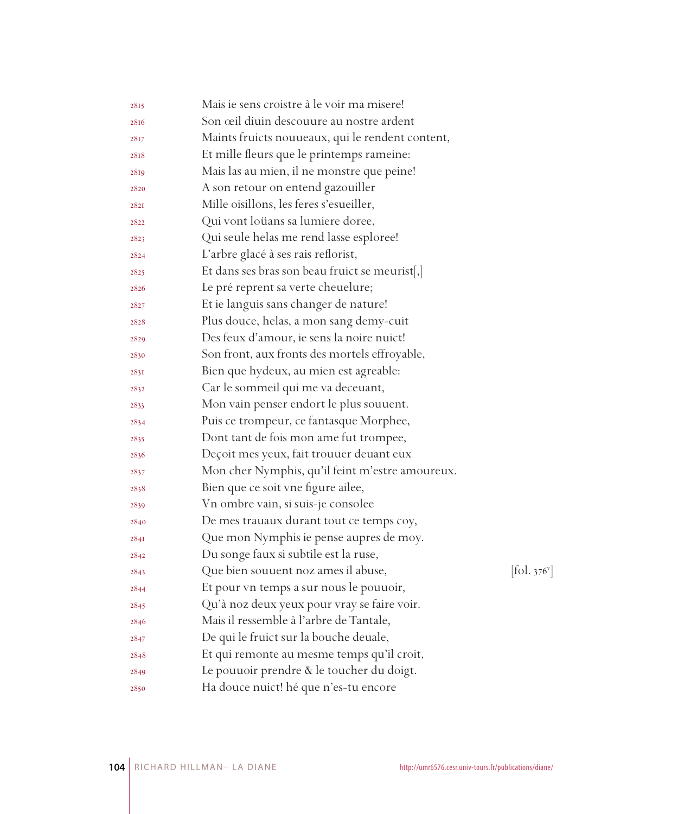| 2815 | Mais ie sens croistre à le voir ma misere!       |                                 |
|------|--------------------------------------------------|---------------------------------|
| 2816 | Son œil diuin descouure au nostre ardent         |                                 |
| 2817 | Maints fruicts nouueaux, qui le rendent content, |                                 |
| 2818 | Et mille fleurs que le printemps rameine:        |                                 |
| 2819 | Mais las au mien, il ne monstre que peine!       |                                 |
| 2820 | A son retour on entend gazouiller                |                                 |
| 2821 | Mille oisillons, les feres s'esueiller,          |                                 |
| 2822 | Qui vont loüans sa lumiere doree,                |                                 |
| 2823 | Qui seule helas me rend lasse esploree!          |                                 |
| 2824 | L'arbre glacé à ses rais reflorist,              |                                 |
| 2825 | Et dans ses bras son beau fruict se meurist[,]   |                                 |
| 2826 | Le pré reprent sa verte cheuelure;               |                                 |
| 2827 | Et ie languis sans changer de nature!            |                                 |
| 2828 | Plus douce, helas, a mon sang demy-cuit          |                                 |
| 2829 | Des feux d'amour, ie sens la noire nuict!        |                                 |
| 2830 | Son front, aux fronts des mortels effroyable,    |                                 |
| 2831 | Bien que hydeux, au mien est agreable:           |                                 |
| 2832 | Car le sommeil qui me va deceuant,               |                                 |
| 2833 | Mon vain penser endort le plus souuent.          |                                 |
| 2834 | Puis ce trompeur, ce fantasque Morphee,          |                                 |
| 2835 | Dont tant de fois mon ame fut trompee,           |                                 |
| 2836 | Deçoit mes yeux, fait trouuer deuant eux         |                                 |
| 2837 | Mon cher Nymphis, qu'il feint m'estre amoureux.  |                                 |
| 2838 | Bien que ce soit vne figure ailee,               |                                 |
| 2839 | Vn ombre vain, si suis-je consolee               |                                 |
| 2840 | De mes trauaux durant tout ce temps coy,         |                                 |
| 284I | Que mon Nymphis ie pense aupres de moy.          |                                 |
| 2842 | Du songe faux si subtile est la ruse,            |                                 |
| 2843 | Que bien souuent noz ames il abuse,              | $[\text{fol. } 376^{\text{v}}]$ |
| 2844 | Et pour vn temps a sur nous le pouuoir,          |                                 |
| 2845 | Qu'à noz deux yeux pour vray se faire voir.      |                                 |
| 2846 | Mais il ressemble à l'arbre de Tantale,          |                                 |
| 2847 | De qui le fruict sur la bouche deuale,           |                                 |
| 2848 | Et qui remonte au mesme temps qu'il croit,       |                                 |
| 2849 | Le pouuoir prendre & le toucher du doigt.        |                                 |
| 2850 | Ha douce nuict! hé que n'es-tu encore            |                                 |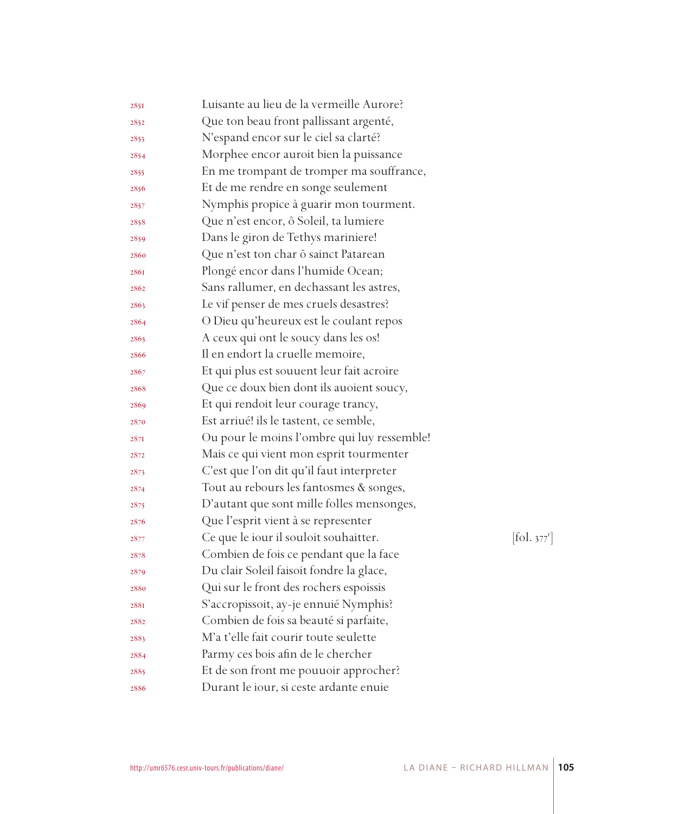| 2851 | Luisante au lieu de la vermeille Aurore?    |            |
|------|---------------------------------------------|------------|
| 2852 | Que ton beau front pallissant argenté,      |            |
| 2853 | N'espand encor sur le ciel sa clarté?       |            |
| 2854 | Morphee encor auroit bien la puissance      |            |
| 2855 | En me trompant de tromper ma souffrance,    |            |
| 2856 | Et de me rendre en songe seulement          |            |
| 2857 | Nymphis propice à guarir mon tourment.      |            |
| 2858 | Que n'est encor, ô Soleil, ta lumiere       |            |
| 2859 | Dans le giron de Tethys mariniere!          |            |
| 2860 | Que n'est ton char ô sainct Patarean        |            |
| 2861 | Plongé encor dans l'humide Ocean;           |            |
| 2862 | Sans rallumer, en dechassant les astres,    |            |
| 2863 | Le vif penser de mes cruels desastres?      |            |
| 2864 | O Dieu qu'heureux est le coulant repos      |            |
| 2865 | A ceux qui ont le soucy dans les os!        |            |
| 2866 | Il en endort la cruelle memoire,            |            |
| 2867 | Et qui plus est souuent leur fait acroire   |            |
| 2868 | Que ce doux bien dont ils auoient soucy,    |            |
| 2869 | Et qui rendoit leur courage trancy,         |            |
| 2870 | Est arriué! ils le tastent, ce semble,      |            |
| 2871 | Ou pour le moins l'ombre qui luy ressemble! |            |
| 2872 | Mais ce qui vient mon esprit tourmenter     |            |
| 2873 | C'est que l'on dit qu'il faut interpreter   |            |
| 2874 | Tout au rebours les fantosmes & songes,     |            |
| 2875 | D'autant que sont mille folles mensonges,   |            |
| 2876 | Que l'esprit vient à se representer         |            |
| 2877 | Ce que le iour il souloit souhaitter.       | [fol. 377] |
| 2878 | Combien de fois ce pendant que la face      |            |
| 2879 | Du clair Soleil faisoit fondre la glace,    |            |
| 2880 | Qui sur le front des rochers espoissis      |            |
| 288I | S'accropissoit, ay-je ennuié Nymphis?       |            |
| 2882 | Combien de fois sa beauté si parfaite,      |            |
| 2883 | M'a t'elle fait courir toute seulette       |            |
| 2884 | Parmy ces bois afin de le chercher          |            |
| 2885 | Et de son front me pouuoir approcher?       |            |
| 2886 | Durant le iour, si ceste ardante enuie      |            |

 $.377^{r}]$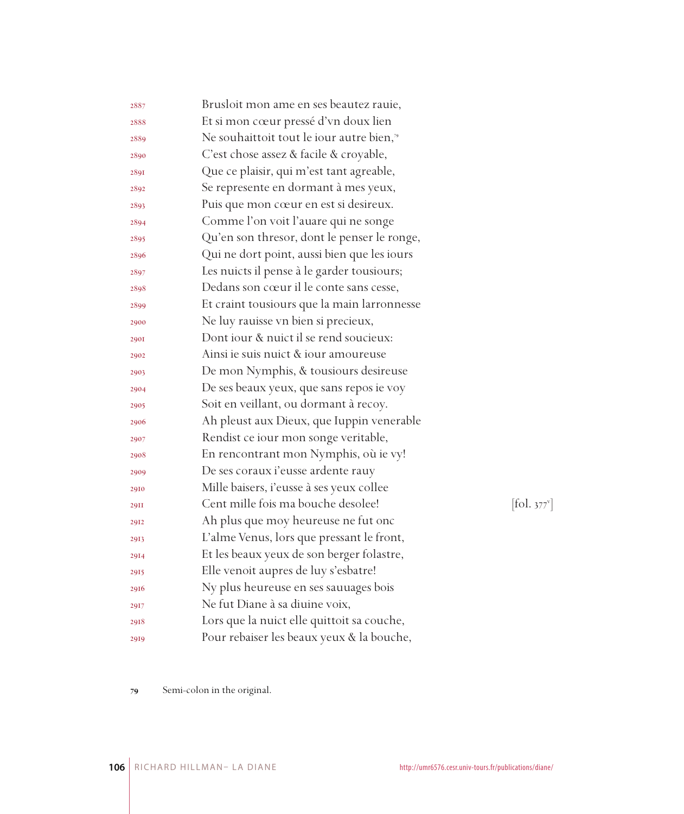| 2887        | Brusloit mon ame en ses beautez rauie,      |                                         |
|-------------|---------------------------------------------|-----------------------------------------|
| 2888        | Et si mon cœur pressé d'vn doux lien        |                                         |
| 2889        | Ne souhaittoit tout le iour autre bien,"    |                                         |
| 2890        | C'est chose assez & facile & croyable,      |                                         |
| 2891        | Que ce plaisir, qui m'est tant agreable,    |                                         |
| 2892        | Se represente en dormant à mes yeux,        |                                         |
| 2893        | Puis que mon cœur en est si desireux.       |                                         |
| 2894        | Comme l'on voit l'auare qui ne songe        |                                         |
| 2895        | Qu'en son thresor, dont le penser le ronge, |                                         |
| 2896        | Qui ne dort point, aussi bien que les iours |                                         |
| 2897        | Les nuicts il pense à le garder tousiours;  |                                         |
| 2898        | Dedans son cœur il le conte sans cesse,     |                                         |
| 2899        | Et craint tousiours que la main larronnesse |                                         |
| 2900        | Ne luy rauisse vn bien si precieux,         |                                         |
| <b>290I</b> | Dont jour & nuict il se rend soucieux:      |                                         |
| 2902        | Ainsi ie suis nuict & iour amoureuse        |                                         |
| 2903        | De mon Nymphis, & tousiours desireuse       |                                         |
| 2904        | De ses beaux yeux, que sans repos ie voy    |                                         |
| 2905        | Soit en veillant, ou dormant à recoy.       |                                         |
| 2906        | Ah pleust aux Dieux, que Iuppin venerable   |                                         |
| 2907        | Rendist ce iour mon songe veritable,        |                                         |
| 2908        | En rencontrant mon Nymphis, où ie vy!       |                                         |
| 2909        | De ses coraux i'eusse ardente rauy          |                                         |
| 2910        | Mille baisers, i'eusse à ses yeux collee    |                                         |
| <b>29II</b> | Cent mille fois ma bouche desolee!          | $\left  \text{fol. } 377 \right\rangle$ |
| 2912        | Ah plus que moy heureuse ne fut onc         |                                         |
| 2913        | L'alme Venus, lors que pressant le front,   |                                         |
| 2914        | Et les beaux yeux de son berger folastre,   |                                         |
| 2915        | Elle venoit aupres de luy s'esbatre!        |                                         |
| 2916        | Ny plus heureuse en ses sauuages bois       |                                         |
| 2917        | Ne fut Diane à sa diuine voix,              |                                         |
| 2918        | Lors que la nuict elle quittoit sa couche,  |                                         |
| 2919        | Pour rebaiser les beaux yeux & la bouche,   |                                         |
|             |                                             |                                         |

 $\left[\text{fol. } 377^{\text{v}}\right]$ 

Semi-colon in the original.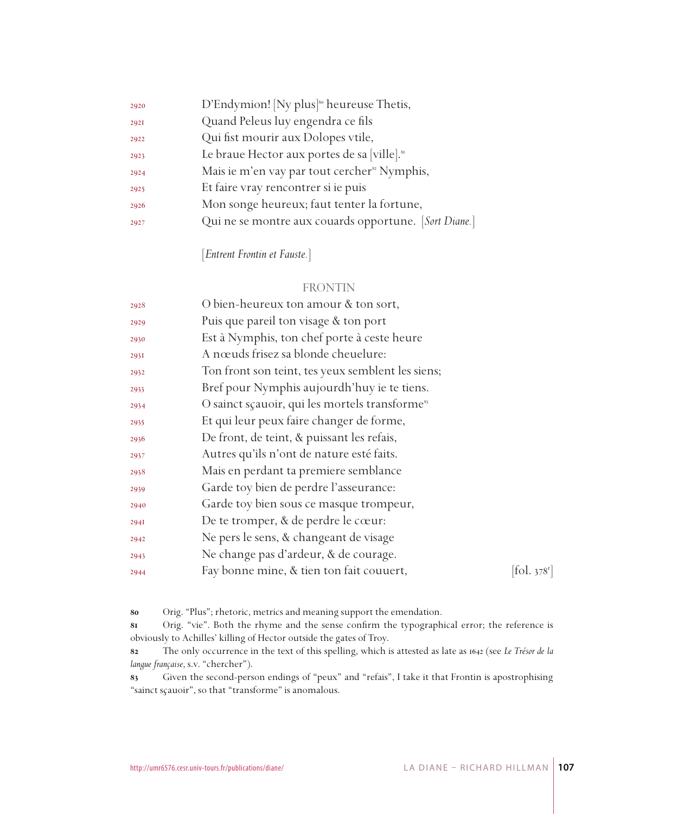| 2920 | D'Endymion! [Ny plus] <sup>80</sup> heureuse Thetis,     |
|------|----------------------------------------------------------|
| 2921 | Quand Peleus luy engendra ce fils                        |
| 2922 | Qui fist mourir aux Dolopes vtile,                       |
| 2923 | Le braue Hector aux portes de sa [ville]. <sup>81</sup>  |
| 2924 | Mais ie m'en vay par tout cercher <sup>82</sup> Nymphis, |
| 2925 | Et faire vray rencontrer si ie puis                      |
| 2926 | Mon songe heureux; faut tenter la fortune,               |
| 2927 | Qui ne se montre aux couards opportune. [Sort Diane.]    |

[*Entrent Frontin et Fauste.*]

#### FRONTIN

| 2928 | O bien-heureux ton amour & ton sort,                       |                                           |
|------|------------------------------------------------------------|-------------------------------------------|
| 2929 | Puis que pareil ton visage & ton port                      |                                           |
| 2930 | Est à Nymphis, ton chef porte à ceste heure                |                                           |
| 293I | A nœuds frisez sa blonde cheuelure:                        |                                           |
| 2932 | Ton front son teint, tes yeux semblent les siens;          |                                           |
| 2933 | Bref pour Nymphis aujourdh'huy ie te tiens.                |                                           |
| 2934 | O sainct sçauoir, qui les mortels transforme <sup>83</sup> |                                           |
| 2935 | Et qui leur peux faire changer de forme,                   |                                           |
| 2936 | De front, de teint, & puissant les refais,                 |                                           |
| 2937 | Autres qu'ils n'ont de nature esté faits.                  |                                           |
| 2938 | Mais en perdant ta premiere semblance                      |                                           |
| 2939 | Garde toy bien de perdre l'asseurance:                     |                                           |
| 2940 | Garde toy bien sous ce masque trompeur,                    |                                           |
| 294I | De te tromper, & de perdre le cœur:                        |                                           |
| 2942 | Ne pers le sens, & changeant de visage                     |                                           |
| 2943 | Ne change pas d'ardeur, & de courage.                      |                                           |
| 2944 | Fay bonne mine, & tien ton fait couuert,                   | $\left  \text{fol. } 378^{\circ} \right $ |
|      |                                                            |                                           |

Orig. "Plus"; rhetoric, metrics and meaning support the emendation.

 Orig. "vie". Both the rhyme and the sense confirm the typographical error; the reference is obviously to Achilles' killing of Hector outside the gates of Troy.

 The only occurrence in the text of this spelling, which is attested as late as 1642 (see *Le Trésor de la langue française*, s.v. "chercher").

 Given the second-person endings of "peux" and "refais", I take it that Frontin is apostrophising "sainct sçauoir", so that "transforme" is anomalous.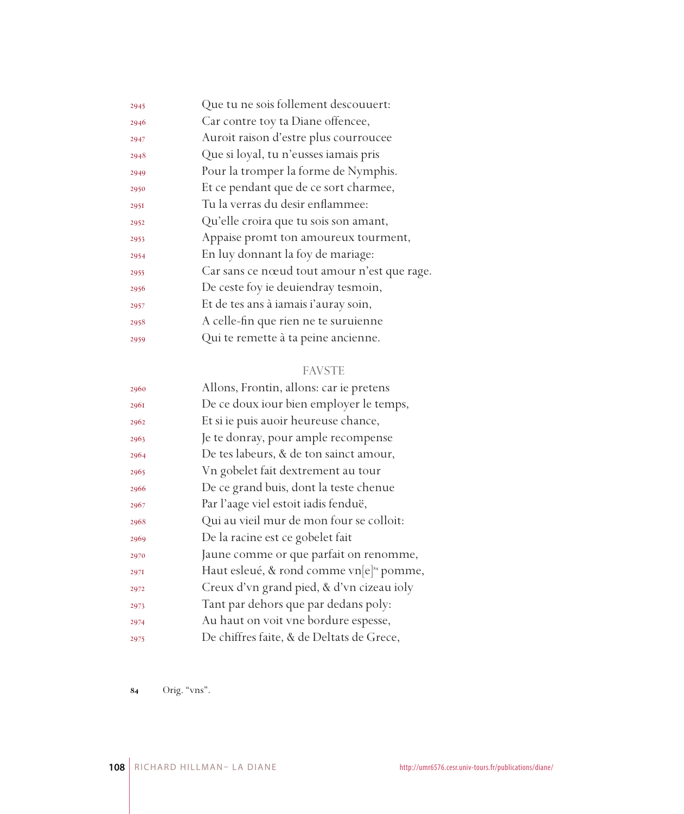| 2945 | Que tu ne sois follement descouuert:        |
|------|---------------------------------------------|
| 2946 | Car contre toy ta Diane offencee,           |
| 2947 | Auroit raison d'estre plus courroucee       |
| 2948 | Que si loyal, tu n'eusses iamais pris       |
| 2949 | Pour la tromper la forme de Nymphis.        |
| 2950 | Et ce pendant que de ce sort charmee,       |
| 2951 | Tu la verras du desir enflammee:            |
| 2952 | Qu'elle croira que tu sois son amant,       |
| 2953 | Appaise promt ton amoureux tourment,        |
| 2954 | En luy donnant la foy de mariage:           |
| 2955 | Car sans ce nœud tout amour n'est que rage. |
| 2956 | De ceste foy ie deuiendray tesmoin,         |
| 2957 | Et de tes ans à iamais i'auray soin,        |
| 2958 | A celle-fin que rien ne te suruienne        |
| 2959 | Qui te remette à ta peine ancienne.         |

## FAVSTE

| Allons, Frontin, allons: car ie pretens              |
|------------------------------------------------------|
| De ce doux iour bien employer le temps,              |
| Et si ie puis auoir heureuse chance,                 |
| Je te donray, pour ample recompense                  |
| De tes labeurs, & de ton sainct amour,               |
| Vn gobelet fait dextrement au tour                   |
| De ce grand buis, dont la teste chenue               |
| Par l'aage viel estoit iadis fenduë,                 |
| Qui au vieil mur de mon four se colloit:             |
| De la racine est ce gobelet fait                     |
| Jaune comme or que parfait on renomme,               |
| Haut esleué, & rond comme vn[e] <sup>84</sup> pomme, |
| Creux d'vn grand pied, & d'vn cizeau ioly            |
| Tant par dehors que par dedans poly:                 |
| Au haut on voit vne bordure espesse,                 |
| De chiffres faite, & de Deltats de Grece,            |
|                                                      |

Orig. "vns".

RICHARD HILLMAN– LA DIANE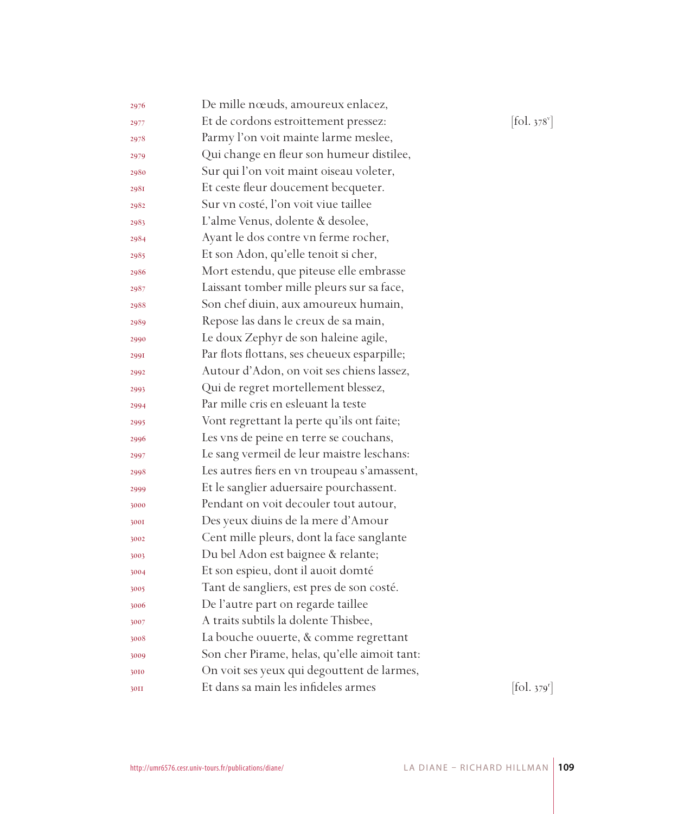| 2976 | De mille nœuds, amoureux enlacez,            |            |
|------|----------------------------------------------|------------|
| 2977 | Et de cordons estroittement pressez:         | [fol. 378] |
| 2978 | Parmy l'on voit mainte larme meslee,         |            |
| 2979 | Qui change en fleur son humeur distilee,     |            |
| 2980 | Sur qui l'on voit maint oiseau voleter,      |            |
| 2981 | Et ceste fleur doucement becqueter.          |            |
| 2982 | Sur vn costé, l'on voit viue taillee         |            |
| 2983 | L'alme Venus, dolente & desolee,             |            |
| 2984 | Ayant le dos contre vn ferme rocher,         |            |
| 2985 | Et son Adon, qu'elle tenoit si cher,         |            |
| 2986 | Mort estendu, que piteuse elle embrasse      |            |
| 2987 | Laissant tomber mille pleurs sur sa face,    |            |
| 2988 | Son chef diuin, aux amoureux humain,         |            |
| 2989 | Repose las dans le creux de sa main,         |            |
| 2990 | Le doux Zephyr de son haleine agile,         |            |
| 2991 | Par flots flottans, ses cheueux esparpille;  |            |
| 2992 | Autour d'Adon, on voit ses chiens lassez,    |            |
| 2993 | Qui de regret mortellement blessez,          |            |
| 2994 | Par mille cris en esleuant la teste          |            |
| 2995 | Vont regrettant la perte qu'ils ont faite;   |            |
| 2996 | Les vns de peine en terre se couchans,       |            |
| 2997 | Le sang vermeil de leur maistre leschans:    |            |
| 2998 | Les autres fiers en vn troupeau s'amassent,  |            |
| 2999 | Et le sanglier aduersaire pourchassent.      |            |
| 3000 | Pendant on voit decouler tout autour,        |            |
| 3001 | Des yeux diuins de la mere d'Amour           |            |
| 3002 | Cent mille pleurs, dont la face sanglante    |            |
| 3003 | Du bel Adon est baignee & relante;           |            |
| 3004 | Et son espieu, dont il auoit domté           |            |
| 3005 | Tant de sangliers, est pres de son costé.    |            |
| 3006 | De l'autre part on regarde taillee           |            |
| 3007 | A traits subtils la dolente Thisbee,         |            |
| 3008 | La bouche ouuerte, & comme regrettant        |            |
| 3009 | Son cher Pirame, helas, qu'elle aimoit tant: |            |
| 3010 | On voit ses yeux qui degouttent de larmes,   |            |
| 30II | Et dans sa main les infideles armes          | [fol. 379  |

v ]

r ]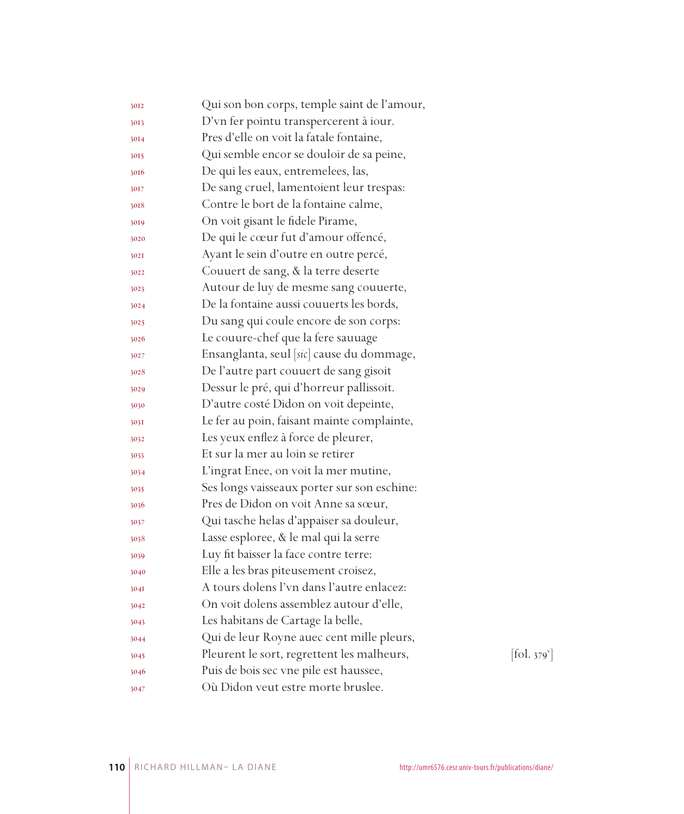| 3012 | Qui son bon corps, temple saint de l'amour, |                                |
|------|---------------------------------------------|--------------------------------|
| 3013 | D'vn fer pointu transpercerent à iour.      |                                |
| 3014 | Pres d'elle on voit la fatale fontaine,     |                                |
| 3015 | Qui semble encor se douloir de sa peine,    |                                |
| 3016 | De qui les eaux, entremelees, las,          |                                |
| 3017 | De sang cruel, lamentoient leur trespas:    |                                |
| 3018 | Contre le bort de la fontaine calme,        |                                |
| 3019 | On voit gisant le fidele Pirame,            |                                |
| 3020 | De qui le cœur fut d'amour offencé,         |                                |
| 302I | Ayant le sein d'outre en outre percé,       |                                |
| 3022 | Couuert de sang, & la terre deserte         |                                |
| 3023 | Autour de luy de mesme sang couuerte,       |                                |
| 3024 | De la fontaine aussi couuerts les bords,    |                                |
| 3025 | Du sang qui coule encore de son corps:      |                                |
| 3026 | Le couure-chef que la fere sauuage          |                                |
| 3027 | Ensanglanta, seul [sic] cause du dommage,   |                                |
| 3028 | De l'autre part couuert de sang gisoit      |                                |
| 3029 | Dessur le pré, qui d'horreur pallissoit.    |                                |
| 3030 | D'autre costé Didon on voit depeinte,       |                                |
| 3031 | Le fer au poin, faisant mainte complainte,  |                                |
| 3032 | Les yeux enflez à force de pleurer,         |                                |
| 3033 | Et sur la mer au loin se retirer            |                                |
| 3034 | L'ingrat Enee, on voit la mer mutine,       |                                |
| 3035 | Ses longs vaisseaux porter sur son eschine: |                                |
| 3036 | Pres de Didon on voit Anne sa sœur,         |                                |
| 3037 | Qui tasche helas d'appaiser sa douleur,     |                                |
| 3038 | Lasse esploree, & le mal qui la serre       |                                |
| 3039 | Luy fit baisser la face contre terre:       |                                |
| 3040 | Elle a les bras piteusement croisez,        |                                |
| 304I | A tours dolens l'vn dans l'autre enlacez:   |                                |
| 3042 | On voit dolens assemblez autour d'elle,     |                                |
| 3043 | Les habitans de Cartage la belle,           |                                |
| 3044 | Qui de leur Royne auec cent mille pleurs,   |                                |
| 3045 | Pleurent le sort, regrettent les malheurs,  | $\left[$ fol. 379 $\mathrm{v}$ |
| 3046 | Puis de bois sec vne pile est haussee,      |                                |
| 3047 | Où Didon veut estre morte bruslee.          |                                |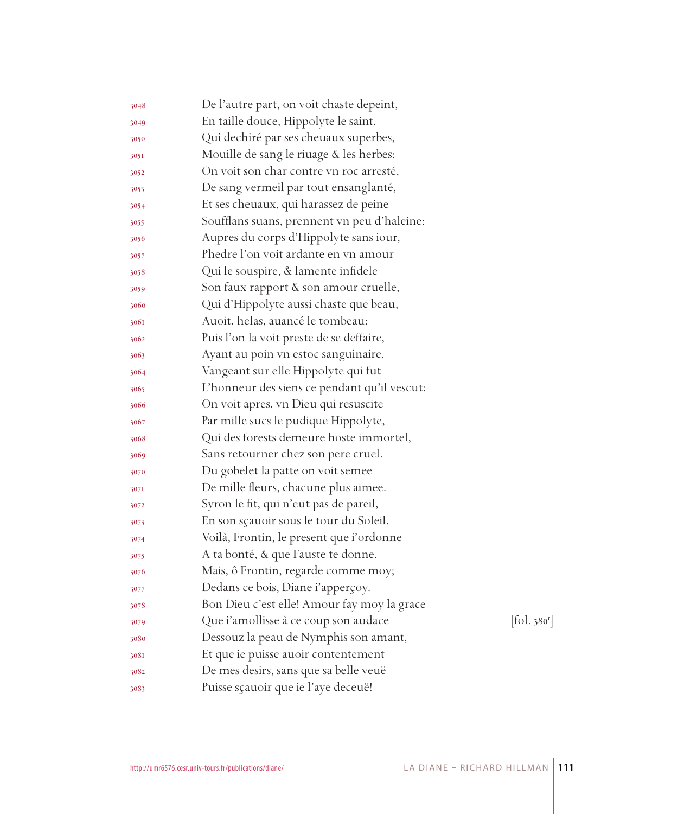| 3048 | De l'autre part, on voit chaste depeint,     |           |
|------|----------------------------------------------|-----------|
| 3049 | En taille douce, Hippolyte le saint,         |           |
| 3050 | Qui dechiré par ses cheuaux superbes,        |           |
| 305I | Mouille de sang le riuage & les herbes:      |           |
| 3052 | On voit son char contre vn roc arresté,      |           |
| 3053 | De sang vermeil par tout ensanglanté,        |           |
| 3054 | Et ses cheuaux, qui harassez de peine        |           |
| 3055 | Soufflans suans, prennent vn peu d'haleine:  |           |
| 3056 | Aupres du corps d'Hippolyte sans iour,       |           |
| 3057 | Phedre l'on voit ardante en vn amour         |           |
| 3058 | Qui le souspire, & lamente infidele          |           |
| 3059 | Son faux rapport & son amour cruelle,        |           |
| 3060 | Qui d'Hippolyte aussi chaste que beau,       |           |
| 3061 | Auoit, helas, auancé le tombeau:             |           |
| 3062 | Puis l'on la voit preste de se deffaire,     |           |
| 3063 | Ayant au poin vn estoc sanguinaire,          |           |
| 3064 | Vangeant sur elle Hippolyte qui fut          |           |
| 3065 | L'honneur des siens ce pendant qu'il vescut: |           |
| 3066 | On voit apres, vn Dieu qui resuscite         |           |
| 3067 | Par mille sucs le pudique Hippolyte,         |           |
| 3068 | Qui des forests demeure hoste immortel,      |           |
| 3069 | Sans retourner chez son pere cruel.          |           |
| 3070 | Du gobelet la patte on voit semee            |           |
| 3071 | De mille fleurs, chacune plus aimee.         |           |
| 3072 | Syron le fit, qui n'eut pas de pareil,       |           |
| 3073 | En son sçauoir sous le tour du Soleil.       |           |
| 3074 | Voilà, Frontin, le present que i'ordonne     |           |
| 3075 | A ta bonté, & que Fauste te donne.           |           |
| 3076 | Mais, ô Frontin, regarde comme moy;          |           |
| 3077 | Dedans ce bois, Diane i'apperçoy.            |           |
| 3078 | Bon Dieu c'est elle! Amour fay moy la grace  |           |
| 3079 | Que i'amollisse à ce coup son audace         | [fol.380] |
| 3080 | Dessouz la peau de Nymphis son amant,        |           |
| 308I | Et que ie puisse auoir contentement          |           |
| 3082 | De mes desirs, sans que sa belle veuë        |           |
| 3083 | Puisse sçauoir que ie l'aye deceuë!          |           |

r ]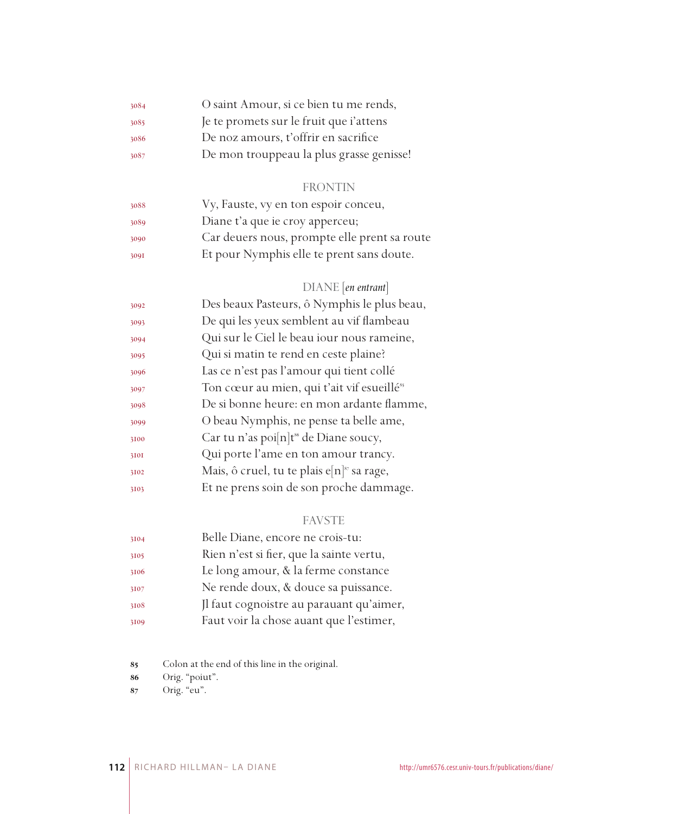| 3084 | O saint Amour, si ce bien tu me rends,   |
|------|------------------------------------------|
| 3085 | Je te promets sur le fruit que i'attens  |
| 3086 | De noz amours, t'offrir en sacrifice     |
| 3087 | De mon trouppeau la plus grasse genisse! |

## FRONTIN

| 3088 | Vy, Fauste, vy en ton espoir conceu,         |
|------|----------------------------------------------|
| 3089 | Diane t'a que ie croy apperceu;              |
| 3090 | Car deuers nous, prompte elle prent sa route |
| 3091 | Et pour Nymphis elle te prent sans doute.    |

## DIANE [*en entrant*]

| 3092 | Des beaux Pasteurs, ô Nymphis le plus beau,               |
|------|-----------------------------------------------------------|
| 3093 | De qui les yeux semblent au vif flambeau                  |
| 3094 | Qui sur le Ciel le beau iour nous rameine,                |
| 3095 | Qui si matin te rend en ceste plaine?                     |
| 3096 | Las ce n'est pas l'amour qui tient collé                  |
| 3097 | Ton cœur au mien, qui t'ait vif esueillé <sup>85</sup>    |
| 3098 | De si bonne heure: en mon ardante flamme,                 |
| 3099 | O beau Nymphis, ne pense ta belle ame,                    |
| 3100 | Car tu n'as poi[n]t <sup>56</sup> de Diane soucy,         |
| 3101 | Qui porte l'ame en ton amour trancy.                      |
| 3102 | Mais, ô cruel, tu te plais e $[n]$ <sup>87</sup> sa rage, |
| 3103 | Et ne prens soin de son proche dammage.                   |
|      |                                                           |

## FAVSTE

| 3104 | Belle Diane, encore ne crois-tu:         |
|------|------------------------------------------|
| 3105 | Rien n'est si fier, que la sainte vertu, |
| 3106 | Le long amour, & la ferme constance      |
| 3107 | Ne rende doux, & douce sa puissance.     |
| 3108 | Jl faut cognoistre au parauant qu'aimer, |
| 3109 | Faut voir la chose auant que l'estimer,  |

Colon at the end of this line in the original.

Orig. "poiut".

Orig. "eu".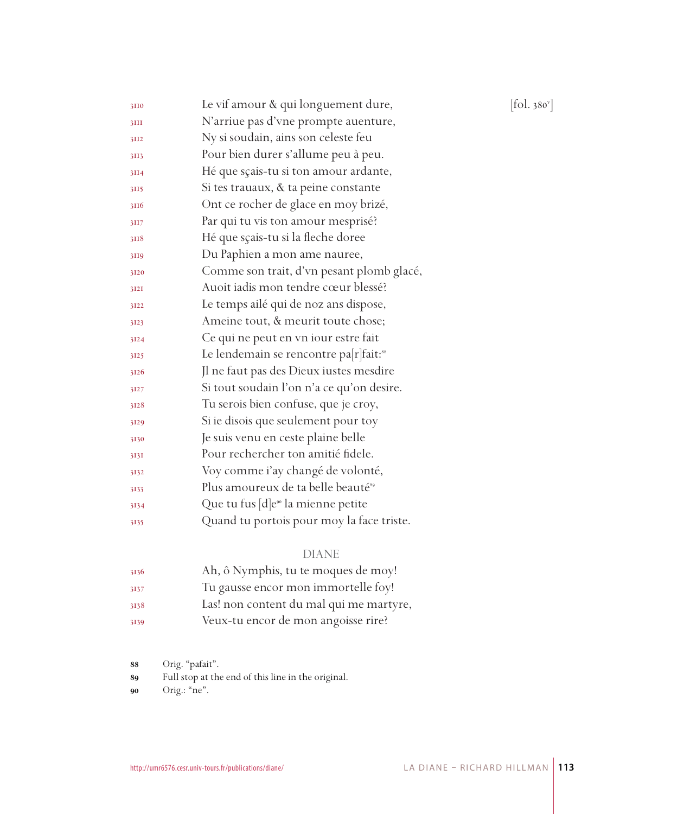| 3110 | Le vif amour & qui longuement dure,                | [fol. 380 $^{\rm v}$ ] |
|------|----------------------------------------------------|------------------------|
| 3III | N'arriue pas d'vne prompte auenture,               |                        |
| 3II2 | Ny si soudain, ains son celeste feu                |                        |
| 3II3 | Pour bien durer s'allume peu à peu.                |                        |
| 3II4 | Hé que sçais-tu si ton amour ardante,              |                        |
| 3II5 | Si tes trauaux, & ta peine constante               |                        |
| 3116 | Ont ce rocher de glace en moy brizé,               |                        |
| 3II7 | Par qui tu vis ton amour mesprisé?                 |                        |
| 3118 | Hé que sçais-tu si la fleche doree                 |                        |
| 3119 | Du Paphien a mon ame nauree,                       |                        |
| 3120 | Comme son trait, d'vn pesant plomb glacé,          |                        |
| 3121 | Auoit iadis mon tendre cœur blessé?                |                        |
| 3122 | Le temps ailé qui de noz ans dispose,              |                        |
| 3123 | Ameine tout, & meurit toute chose;                 |                        |
| 3124 | Ce qui ne peut en vn iour estre fait               |                        |
| 3125 | Le lendemain se rencontre pa[r]fait: <sup>88</sup> |                        |
| 3126 | Jl ne faut pas des Dieux iustes mesdire            |                        |
| 3127 | Si tout soudain l'on n'a ce qu'on desire.          |                        |
| 3128 | Tu serois bien confuse, que je croy,               |                        |
| 3129 | Si ie disois que seulement pour toy                |                        |
| 3130 | Je suis venu en ceste plaine belle                 |                        |
| 313I | Pour rechercher ton amitié fidele.                 |                        |
| 3132 | Voy comme i'ay changé de volonté,                  |                        |
| 3133 | Plus amoureux de ta belle beauté <sup>89</sup>     |                        |
| 3134 | Que tu fus [d]e <sup>90</sup> la mienne petite     |                        |
| 3135 | Quand tu portois pour moy la face triste.          |                        |
|      |                                                    |                        |

#### DIANE

| 3136 | Ah, ô Nymphis, tu te moques de moy!     |
|------|-----------------------------------------|
| 3137 | Tu gausse encor mon immortelle foy!     |
| 3138 | Las! non content du mal qui me martyre, |
| 3139 | Veux-tu encor de mon angoisse rire?     |

Orig. "pafait".

Full stop at the end of this line in the original.

Orig.: "ne".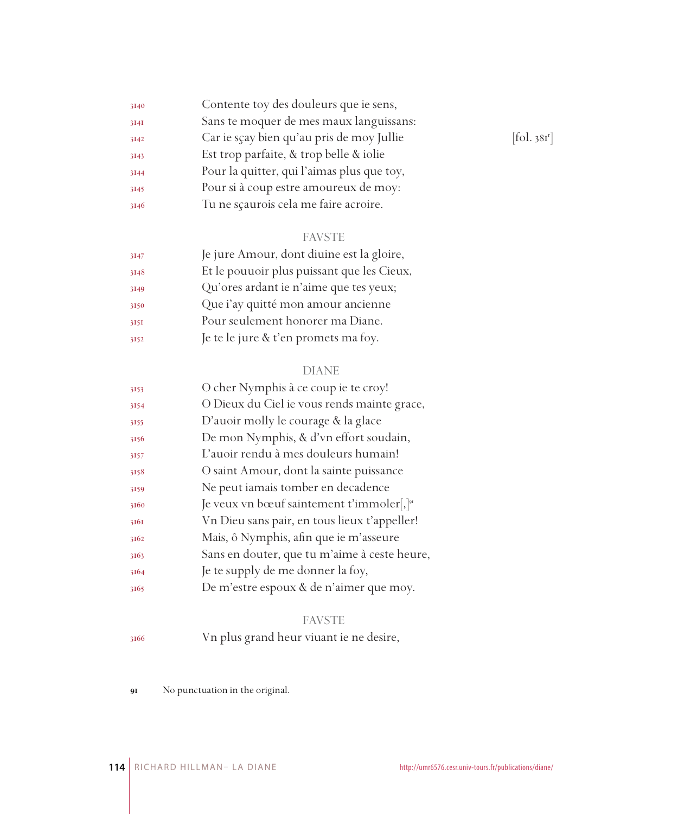| 3140 | Contente toy des douleurs que ie sens,     |            |
|------|--------------------------------------------|------------|
| 3141 | Sans te moquer de mes maux languissans:    |            |
| 3142 | Car ie sçay bien qu'au pris de moy Jullie  | [fol. 381] |
| 3143 | Est trop parfaite, & trop belle & iolie    |            |
| 3144 | Pour la quitter, qui l'aimas plus que toy, |            |
| 3145 | Pour si à coup estre amoureux de moy:      |            |
| 3146 | Tu ne scaurois cela me faire acroire.      |            |

## FAVSTE

| 3147 | Je jure Amour, dont diuine est la gloire,  |
|------|--------------------------------------------|
| 3148 | Et le pouuoir plus puissant que les Cieux, |
| 3149 | Qu'ores ardant ie n'aime que tes yeux;     |
| 3150 | Que i'ay quitté mon amour ancienne         |
| 3151 | Pour seulement honorer ma Diane.           |
| 3152 | Je te le jure & t'en promets ma foy.       |

#### DIANE

| 3153 | O cher Nymphis à ce coup ie te croy!                     |
|------|----------------------------------------------------------|
| 3154 | O Dieux du Ciel ie vous rends mainte grace,              |
| 3155 | D'auoir molly le courage & la glace                      |
| 3156 | De mon Nymphis, & d'vn effort soudain,                   |
| 3157 | L'auoir rendu à mes douleurs humain!                     |
| 3158 | O saint Amour, dont la sainte puissance                  |
| 3159 | Ne peut iamais tomber en decadence                       |
| 3160 | Je veux vn bœuf saintement t'immoler[, $]$ <sup>91</sup> |
| 3161 | Vn Dieu sans pair, en tous lieux t'appeller!             |
| 3162 | Mais, ô Nymphis, afin que ie m'asseure                   |
| 3163 | Sans en douter, que tu m'aime à ceste heure,             |
| 3164 | Je te supply de me donner la foy,                        |
| 3165 | De m'estre espoux & de n'aimer que moy.                  |

## FAVSTE

Vn plus grand heur viuant ie ne desire,

No punctuation in the original.

 $[$ fol. 381 $^r$ ]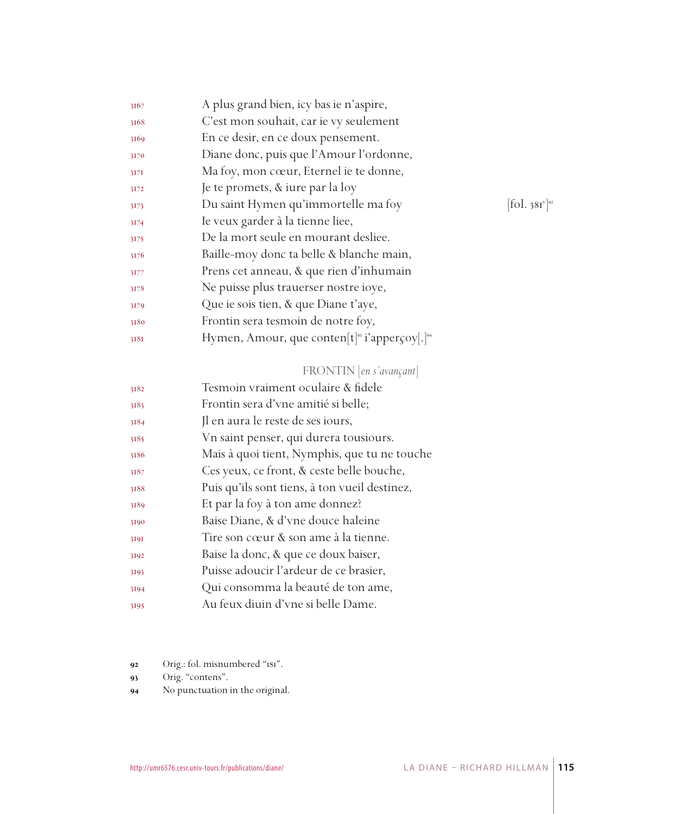| C'est mon souhait, car ie vy seulement<br>3168<br>En ce desir, en ce doux pensement.<br>3169<br>Diane donc, puis que l'Amour l'ordonne,<br>3170<br>Ma foy, mon cœur, Eternel ie te donne,<br>3171<br>Je te promets, & iure par la loy<br>3172<br>Du saint Hymen qu'immortelle ma foy<br>3173<br>Ie veux garder à la tienne liee,<br>3174<br>De la mort seule en mourant desliee.<br>3175<br>Baille-moy donc ta belle & blanche main,<br>3176<br>Prens cet anneau, & que rien d'inhumain<br>3177<br>Ne puisse plus trauerser nostre ioye, |                                         |
|------------------------------------------------------------------------------------------------------------------------------------------------------------------------------------------------------------------------------------------------------------------------------------------------------------------------------------------------------------------------------------------------------------------------------------------------------------------------------------------------------------------------------------------|-----------------------------------------|
|                                                                                                                                                                                                                                                                                                                                                                                                                                                                                                                                          |                                         |
|                                                                                                                                                                                                                                                                                                                                                                                                                                                                                                                                          |                                         |
|                                                                                                                                                                                                                                                                                                                                                                                                                                                                                                                                          |                                         |
|                                                                                                                                                                                                                                                                                                                                                                                                                                                                                                                                          |                                         |
|                                                                                                                                                                                                                                                                                                                                                                                                                                                                                                                                          |                                         |
|                                                                                                                                                                                                                                                                                                                                                                                                                                                                                                                                          | $\left  \text{fol. } 381 \right\rangle$ |
|                                                                                                                                                                                                                                                                                                                                                                                                                                                                                                                                          |                                         |
|                                                                                                                                                                                                                                                                                                                                                                                                                                                                                                                                          |                                         |
|                                                                                                                                                                                                                                                                                                                                                                                                                                                                                                                                          |                                         |
|                                                                                                                                                                                                                                                                                                                                                                                                                                                                                                                                          |                                         |
| 3178                                                                                                                                                                                                                                                                                                                                                                                                                                                                                                                                     |                                         |
| Que ie sois tien, & que Diane t'aye,<br>3179                                                                                                                                                                                                                                                                                                                                                                                                                                                                                             |                                         |
| Frontin sera tesmoin de notre foy,<br>3180                                                                                                                                                                                                                                                                                                                                                                                                                                                                                               |                                         |
| Hymen, Amour, que conten $[t]$ <sup>93</sup> i'apperçoy $[.]^{94}$<br>3181                                                                                                                                                                                                                                                                                                                                                                                                                                                               |                                         |

#### FRONTIN [*en s'avançant*]

| 3182 | Tesmoin vraiment oculaire & fidele            |
|------|-----------------------------------------------|
| 3183 | Frontin sera d'vne amitié si belle;           |
| 3184 | Il en aura le reste de ses iours,             |
| 3185 | Vn saint penser, qui durera tousiours.        |
| 3186 | Mais à quoi tient, Nymphis, que tu ne touche  |
| 3187 | Ces yeux, ce front, & ceste belle bouche,     |
| 3188 | Puis qu'ils sont tiens, à ton vueil destinez, |
| 3189 | Et par la foy à ton ame donnez?               |
| 3190 | Baise Diane, & d'vne douce haleine            |
| 3191 | Tire son cœur & son ame à la tienne.          |
| 3192 | Baise la donc, & que ce doux baiser,          |
| 3193 | Puisse adoucir l'ardeur de ce brasier,        |
| 3194 | Qui consomma la beauté de ton ame,            |
| 3195 | Au feux diuin d'vne si belle Dame.            |

Orig.: fol. misnumbered "181".

- 93 Orig. "contens".
- No punctuation in the original.

]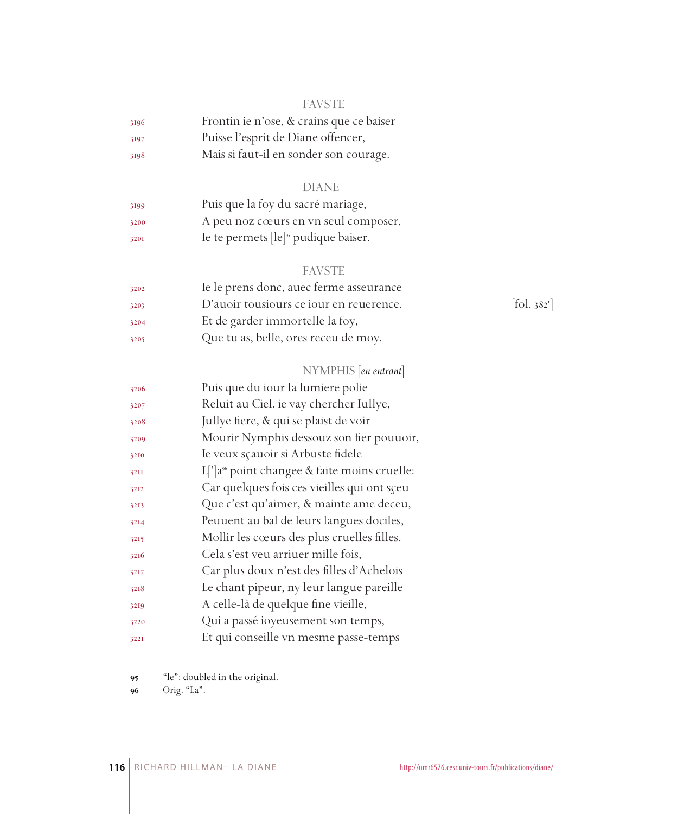#### FAVSTE

| 3196 | Frontin ie n'ose, & crains que ce baiser |
|------|------------------------------------------|
| 3197 | Puisse l'esprit de Diane offencer,       |
| 3198 | Mais si faut-il en sonder son courage.   |

### DIANE

| 3199 | Puis que la foy du sacré mariage,                |
|------|--------------------------------------------------|
| 3200 | A peu noz cœurs en vn seul composer,             |
| 3201 | Ie te permets [le] <sup>95</sup> pudique baiser. |

#### FAVSTE

| 3202 | Ie le prens donc, auec ferme asseurance |                                |
|------|-----------------------------------------|--------------------------------|
| 3203 | D'auoir tousiours ce iour en reuerence, | $\left[$ fol. 382 <sup>1</sup> |
| 3204 | Et de garder immortelle la foy,         |                                |
| 3205 | Que tu as, belle, ores receu de moy.    |                                |

#### NYMPHIS [*en entrant*]

| 3206        | Puis que du iour la lumiere polie                        |
|-------------|----------------------------------------------------------|
| 3207        | Reluit au Ciel, ie vay chercher Iullye,                  |
| 3208        | Jullye fiere, & qui se plaist de voir                    |
| 3209        | Mourir Nymphis dessouz son fier pouuoir,                 |
| 3210        | Ie veux sçauoir si Arbuste fidele                        |
| <b>32II</b> | L ' a <sup>96</sup> point changee & faite moins cruelle: |
| 3212        | Car quelques fois ces vieilles qui ont sçeu              |
| 3213        | Que c'est qu'aimer, & mainte ame deceu,                  |
| 3214        | Peuuent au bal de leurs langues dociles,                 |
| 3215        | Mollir les cœurs des plus cruelles filles.               |
| 3216        | Cela s'est veu arriuer mille fois,                       |
| 3217        | Car plus doux n'est des filles d'Achelois                |
| 3218        | Le chant pipeur, ny leur langue pareille                 |
| 3219        | A celle-là de quelque fine vieille,                      |
| 3220        | Qui a passé ioyeusement son temps,                       |
| 3221        | Et qui conseille vn mesme passe-temps                    |

"le": doubled in the original.

Orig. "La".

 $[\text{fol. }382^\text{r}]$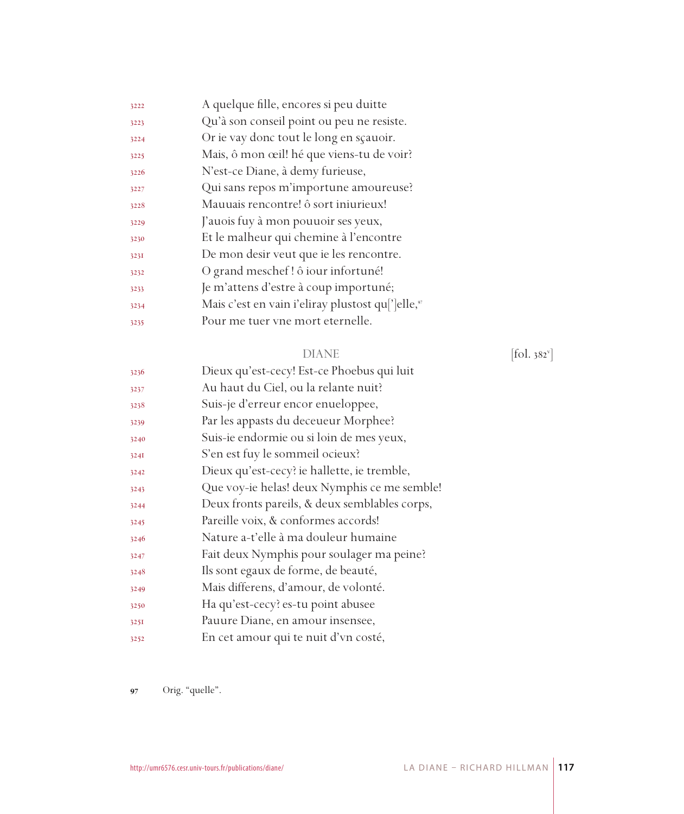| 3222 | A quelque fille, encores si peu duitte                                     |
|------|----------------------------------------------------------------------------|
| 3223 | Qu'à son conseil point ou peu ne resiste.                                  |
| 3224 | Or ie vay donc tout le long en sçauoir.                                    |
| 3225 | Mais, ô mon œil! hé que viens-tu de voir?                                  |
| 3226 | N'est-ce Diane, à demy furieuse,                                           |
| 3227 | Qui sans repos m'importune amoureuse?                                      |
| 3228 | Mauuais rencontre! ô sort iniurieux!                                       |
| 3229 | J'auois fuy à mon pouuoir ses yeux,                                        |
| 3230 | Et le malheur qui chemine à l'encontre                                     |
| 3231 | De mon desir veut que ie les rencontre.                                    |
| 3232 | O grand meschef! ô iour infortuné!                                         |
| 3233 | Je m'attens d'estre à coup importuné;                                      |
| 3234 | Mais c'est en vain i'eliray plustost qu <sup>['</sup> ]elle, <sup>97</sup> |
| 3235 | Pour me tuer vne mort eternelle.                                           |
|      |                                                                            |

#### DIANE [fol. 382<sup>v</sup>]

| 3236 | Dieux qu'est-cecy! Est-ce Phoebus qui luit    |
|------|-----------------------------------------------|
| 3237 | Au haut du Ciel, ou la relante nuit?          |
| 3238 | Suis-je d'erreur encor enueloppee,            |
| 3239 | Par les appasts du deceueur Morphee?          |
| 3240 | Suis-ie endormie ou si loin de mes yeux,      |
| 324I | S'en est fuy le sommeil ocieux?               |
| 3242 | Dieux qu'est-cecy? ie hallette, ie tremble,   |
| 3243 | Que voy-ie helas! deux Nymphis ce me semble!  |
| 3244 | Deux fronts pareils, & deux semblables corps, |
| 3245 | Pareille voix, & conformes accords!           |
| 3246 | Nature a-t'elle à ma douleur humaine          |
| 3247 | Fait deux Nymphis pour soulager ma peine?     |
| 3248 | Ils sont egaux de forme, de beauté,           |
| 3249 | Mais differens, d'amour, de volonté.          |
| 3250 | Ha qu'est-cecy? es-tu point abusee            |
| 3251 | Pauure Diane, en amour insensee,              |
| 3252 | En cet amour qui te nuit d'vn costé,          |

Orig. "quelle".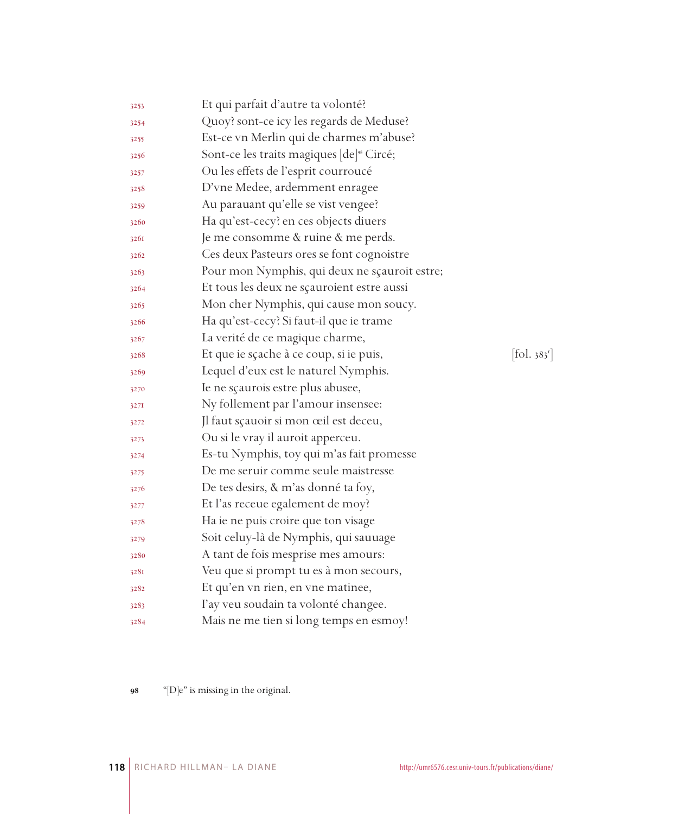| 3253 | Et qui parfait d'autre ta volonté?                    |            |
|------|-------------------------------------------------------|------------|
| 3254 | Quoy? sont-ce icy les regards de Meduse?              |            |
| 3255 | Est-ce vn Merlin qui de charmes m'abuse?              |            |
| 3256 | Sont-ce les traits magiques [de] <sup>98</sup> Circé; |            |
| 3257 | Ou les effets de l'esprit courroucé                   |            |
| 3258 | D'vne Medee, ardemment enragee                        |            |
| 3259 | Au parauant qu'elle se vist vengee?                   |            |
| 3260 | Ha qu'est-cecy? en ces objects diuers                 |            |
| 3261 | Je me consomme & ruine & me perds.                    |            |
| 3262 | Ces deux Pasteurs ores se font cognoistre             |            |
| 3263 | Pour mon Nymphis, qui deux ne sçauroit estre;         |            |
| 3264 | Et tous les deux ne sçauroient estre aussi            |            |
| 3265 | Mon cher Nymphis, qui cause mon soucy.                |            |
| 3266 | Ha qu'est-cecy? Si faut-il que ie trame               |            |
| 3267 | La verité de ce magique charme,                       |            |
| 3268 | Et que ie sçache à ce coup, si ie puis,               | [fol. 383] |
| 3269 | Lequel d'eux est le naturel Nymphis.                  |            |
| 3270 | Ie ne sçaurois estre plus abusee,                     |            |
| 327I | Ny follement par l'amour insensee:                    |            |
| 3272 | Jl faut sçauoir si mon œil est deceu,                 |            |
| 3273 | Ou si le vray il auroit apperceu.                     |            |
| 3274 | Es-tu Nymphis, toy qui m'as fait promesse             |            |
| 3275 | De me seruir comme seule maistresse                   |            |
| 3276 | De tes desirs, & m'as donné ta foy,                   |            |
| 3277 | Et l'as receue egalement de moy?                      |            |
| 3278 | Ha ie ne puis croire que ton visage                   |            |
| 3279 | Soit celuy-là de Nymphis, qui sauuage                 |            |
| 3280 | A tant de fois mesprise mes amours:                   |            |
| 328I | Veu que si prompt tu es à mon secours,                |            |
| 3282 | Et qu'en vn rien, en vne matinee,                     |            |
| 3283 | l'ay veu soudain ta volonté changee.                  |            |
| 3284 | Mais ne me tien si long temps en esmoy!               |            |

98 "[D]e" is missing in the original.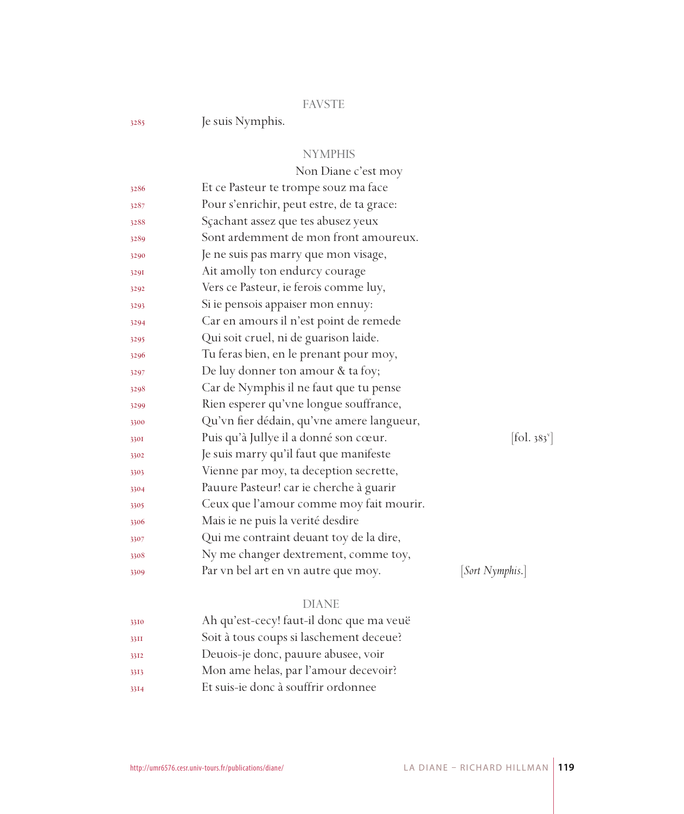#### FAVSTE

Je suis Nymphis.

#### NYMPHIS

|              | Non Diane c'est moy                       |                              |
|--------------|-------------------------------------------|------------------------------|
| 3286         | Et ce Pasteur te trompe souz ma face      |                              |
| 3287         | Pour s'enrichir, peut estre, de ta grace: |                              |
| 3288         | Sçachant assez que tes abusez yeux        |                              |
| 3289         | Sont ardemment de mon front amoureux.     |                              |
| 3290         | Je ne suis pas marry que mon visage,      |                              |
| 3291         | Ait amolly ton endurcy courage            |                              |
| 3292         | Vers ce Pasteur, ie ferois comme luy,     |                              |
| 3293         | Si ie pensois appaiser mon ennuy:         |                              |
| 3294         | Car en amours il n'est point de remede    |                              |
| 3295         | Qui soit cruel, ni de guarison laide.     |                              |
| 3296         | Tu feras bien, en le prenant pour moy,    |                              |
| 3297         | De luy donner ton amour & ta foy;         |                              |
| 3298         | Car de Nymphis il ne faut que tu pense    |                              |
| 3299         | Rien esperer qu'vne longue souffrance,    |                              |
| 3300         | Qu'vn fier dédain, qu'vne amere langueur, |                              |
| 330I         | Puis qu'à Jullye il a donné son cœur.     | $[\text{fol. } 383^{\circ}]$ |
| 3302         | Je suis marry qu'il faut que manifeste    |                              |
| 3303         | Vienne par moy, ta deception secrette,    |                              |
| 3304         | Pauure Pasteur! car ie cherche à guarir   |                              |
| 3305         | Ceux que l'amour comme moy fait mourir.   |                              |
| 3306         | Mais ie ne puis la verité desdire         |                              |
| 3307         | Qui me contraint deuant toy de la dire,   |                              |
| 3308         | Ny me changer dextrement, comme toy,      |                              |
| 3309         | Par vn bel art en vn autre que moy.       | [Sort Nymphis.]              |
|              | <b>DIANE</b>                              |                              |
|              | Ah qu'est-cecy! faut-il donc que ma veuë  |                              |
| 3310         | Soit à tous coups si laschement deceue?   |                              |
| 33II<br>3312 | Deuois-je donc, pauure abusee, voir       |                              |
|              | Mon ame helas, par l'amour decevoir?      |                              |
| 3313         |                                           |                              |

Et suis-ie donc à souffrir ordonnee

LA DIANE – RICHARD HILLMAN **119**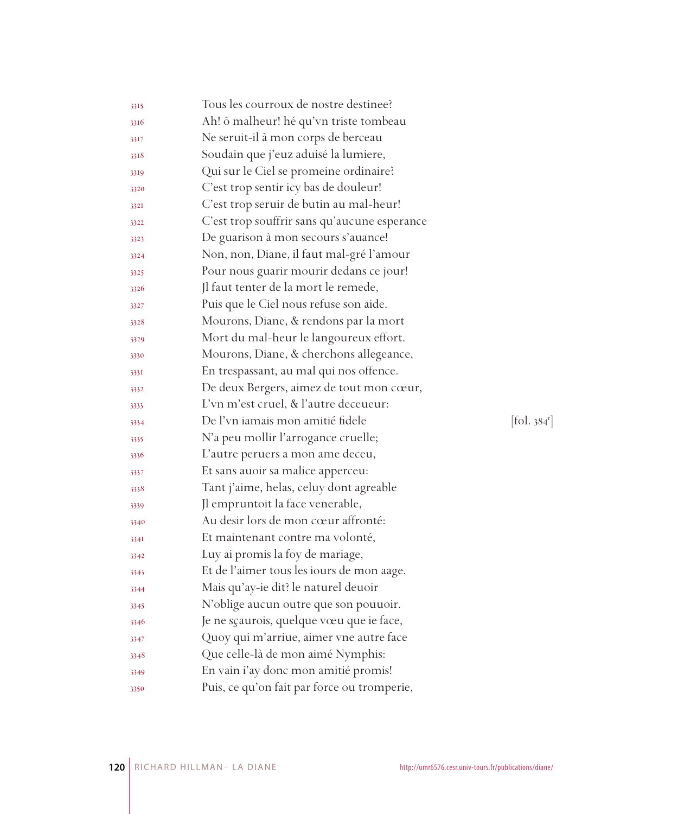| 3315 | Tous les courroux de nostre destinee?        |                                 |
|------|----------------------------------------------|---------------------------------|
| 3316 | Ah! ô malheur! hé qu'vn triste tombeau       |                                 |
| 3317 | Ne seruit-il à mon corps de berceau          |                                 |
| 3318 | Soudain que j'euz aduisé la lumiere,         |                                 |
| 3319 | Qui sur le Ciel se promeine ordinaire?       |                                 |
| 3320 | C'est trop sentir icy bas de douleur!        |                                 |
| 3321 | C'est trop seruir de butin au mal-heur!      |                                 |
| 3322 | C'est trop souffrir sans qu'aucune esperance |                                 |
| 3323 | De guarison à mon secours s'auance!          |                                 |
| 3324 | Non, non, Diane, il faut mal-gré l'amour     |                                 |
| 3325 | Pour nous guarir mourir dedans ce jour!      |                                 |
| 3326 | Jl faut tenter de la mort le remede,         |                                 |
| 3327 | Puis que le Ciel nous refuse son aide.       |                                 |
| 3328 | Mourons, Diane, & rendons par la mort        |                                 |
| 3329 | Mort du mal-heur le langoureux effort.       |                                 |
| 3330 | Mourons, Diane, & cherchons allegeance,      |                                 |
| 3331 | En trespassant, au mal qui nos offence.      |                                 |
| 3332 | De deux Bergers, aimez de tout mon cœur,     |                                 |
| 3333 | L'vn m'est cruel, & l'autre deceueur:        |                                 |
| 3334 | De l'vn iamais mon amitié fidele             | $[\text{fol. } 384^{\text{r}}]$ |
| 3335 | N'a peu mollir l'arrogance cruelle;          |                                 |
| 3336 | L'autre peruers a mon ame deceu,             |                                 |
| 3337 | Et sans auoir sa malice apperceu:            |                                 |
| 3338 | Tant j'aime, helas, celuy dont agreable      |                                 |
| 3339 | Jl empruntoit la face venerable,             |                                 |
| 3340 | Au desir lors de mon cœur affronté:          |                                 |
| 3341 | Et maintenant contre ma volonté,             |                                 |
| 3342 | Luy ai promis la foy de mariage,             |                                 |
| 3343 | Et de l'aimer tous les iours de mon aage.    |                                 |
| 3344 | Mais qu'ay-ie dit? le naturel deuoir         |                                 |
| 3345 | N'oblige aucun outre que son pouuoir.        |                                 |
| 3346 | Je ne sçaurois, quelque vœu que ie face,     |                                 |
| 3347 | Quoy qui m'arriue, aimer vne autre face      |                                 |
| 3348 | Que celle-là de mon aimé Nymphis:            |                                 |
| 3349 | En vain i'ay donc mon amitié promis!         |                                 |
| 3350 | Puis, ce qu'on fait par force ou tromperie,  |                                 |
|      |                                              |                                 |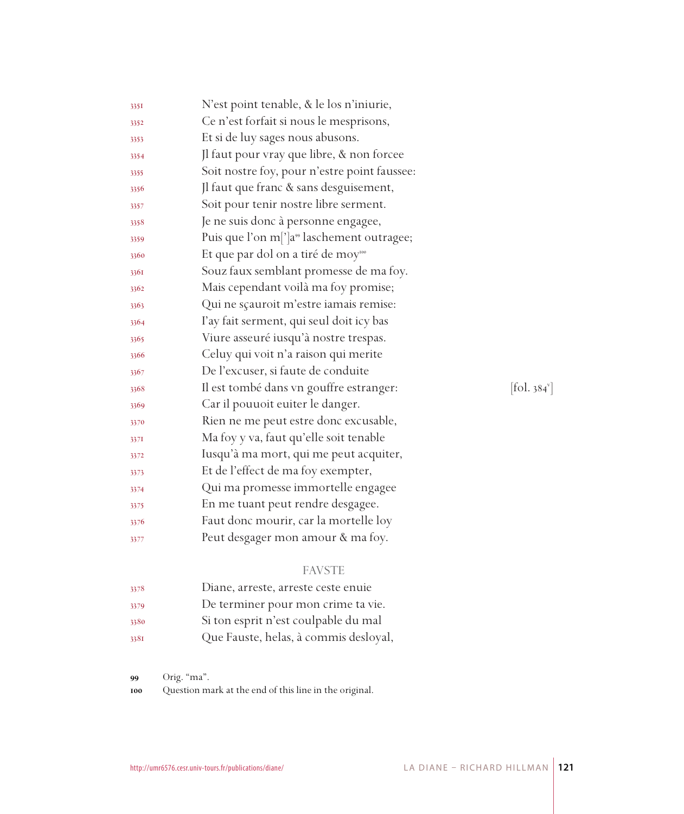| 3351 | N'est point tenable, & le los n'iniurie,               |                                       |
|------|--------------------------------------------------------|---------------------------------------|
| 3352 | Ce n'est forfait si nous le mesprisons,                |                                       |
| 3353 | Et si de luy sages nous abusons.                       |                                       |
| 3354 | Jl faut pour vray que libre, & non forcee              |                                       |
| 3355 | Soit nostre foy, pour n'estre point faussee:           |                                       |
| 3356 | Jl faut que franc & sans desguisement,                 |                                       |
| 3357 | Soit pour tenir nostre libre serment.                  |                                       |
| 3358 | Je ne suis donc à personne engagee,                    |                                       |
| 3359 | Puis que l'on m[']a <sup>99</sup> laschement outragee; |                                       |
| 3360 | Et que par dol on a tiré de moy <sup>100</sup>         |                                       |
| 3361 | Souz faux semblant promesse de ma foy.                 |                                       |
| 3362 | Mais cependant voilà ma foy promise;                   |                                       |
| 3363 | Qui ne sçauroit m'estre iamais remise:                 |                                       |
| 3364 | l'ay fait serment, qui seul doit icy bas               |                                       |
| 3365 | Viure asseuré iusqu'à nostre trespas.                  |                                       |
| 3366 | Celuy qui voit n'a raison qui merite                   |                                       |
| 3367 | De l'excuser, si faute de conduite                     |                                       |
| 3368 | Il est tombé dans vn gouffre estranger:                | $\left[$ fol. 384 $\mathrm{v}\right]$ |
| 3369 | Car il pouuoit euiter le danger.                       |                                       |
| 3370 | Rien ne me peut estre donc excusable,                  |                                       |
| 3371 | Ma foy y va, faut qu'elle soit tenable                 |                                       |
| 3372 | Iusqu'à ma mort, qui me peut acquiter,                 |                                       |
| 3373 | Et de l'effect de ma foy exempter,                     |                                       |
| 3374 | Qui ma promesse immortelle engagee                     |                                       |
| 3375 | En me tuant peut rendre desgagee.                      |                                       |
| 3376 | Faut donc mourir, car la mortelle loy                  |                                       |
| 3377 | Peut desgager mon amour & ma foy.                      |                                       |

## FAVSTE

| 3378 | Diane, arreste, arreste ceste enuie   |
|------|---------------------------------------|
| 3379 | De terminer pour mon crime ta vie.    |
| 3380 | Si ton esprit n'est coulpable du mal  |
| 3381 | Que Fauste, helas, à commis desloyal, |

Orig. "ma".

Question mark at the end of this line in the original.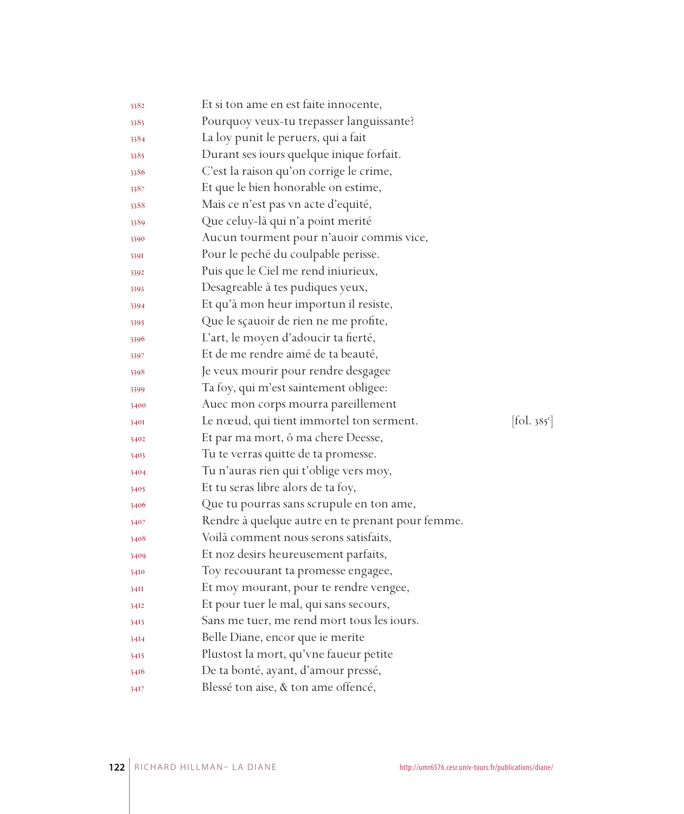| 3382 | Et si ton ame en est faite innocente,            |                                 |
|------|--------------------------------------------------|---------------------------------|
| 3383 | Pourquoy veux-tu trepasser languissante?         |                                 |
| 3384 | La loy punit le peruers, qui a fait              |                                 |
| 3385 | Durant ses iours quelque inique forfait.         |                                 |
| 3386 | C'est la raison qu'on corrige le crime,          |                                 |
| 3387 | Et que le bien honorable on estime,              |                                 |
| 3388 | Mais ce n'est pas vn acte d'equité,              |                                 |
| 3389 | Que celuy-là qui n'a point merité                |                                 |
| 3390 | Aucun tourment pour n'auoir commis vice,         |                                 |
| 339I | Pour le peché du coulpable perisse.              |                                 |
| 3392 | Puis que le Ciel me rend iniurieux,              |                                 |
| 3393 | Desagreable à tes pudiques yeux,                 |                                 |
| 3394 | Et qu'à mon heur importun il resiste,            |                                 |
| 3395 | Que le sçauoir de rien ne me profite,            |                                 |
| 3396 | L'art, le moyen d'adoucir ta fierté,             |                                 |
| 3397 | Et de me rendre aimé de ta beauté,               |                                 |
| 3398 | Je veux mourir pour rendre desgagee              |                                 |
| 3399 | Ta foy, qui m'est saintement obligee:            |                                 |
| 3400 | Auec mon corps mourra pareillement               |                                 |
| 3401 | Le nœud, qui tient immortel ton serment.         | $[\text{fol. } 385^{\text{r}}]$ |
| 3402 | Et par ma mort, ô ma chere Deesse,               |                                 |
| 3403 | Tu te verras quitte de ta promesse.              |                                 |
| 3404 | Tu n'auras rien qui t'oblige vers moy,           |                                 |
| 3405 | Et tu seras libre alors de ta foy,               |                                 |
| 3406 | Que tu pourras sans scrupule en ton ame,         |                                 |
| 3407 | Rendre à quelque autre en te prenant pour femme. |                                 |
| 3408 | Voilà comment nous serons satisfaits,            |                                 |
| 3409 | Et noz desirs heureusement parfaits,             |                                 |
| 3410 | Toy recouurant ta promesse engagee,              |                                 |
| 34II | Et moy mourant, pour te rendre vengee,           |                                 |
| 3412 | Et pour tuer le mal, qui sans secours,           |                                 |
| 3413 | Sans me tuer, me rend mort tous les iours.       |                                 |
| 3414 | Belle Diane, encor que ie merite                 |                                 |
| 3415 | Plustost la mort, qu'vne faueur petite           |                                 |
| 3416 | De ta bonté, ayant, d'amour pressé,              |                                 |
| 3417 | Blessé ton aise, & ton ame offencé,              |                                 |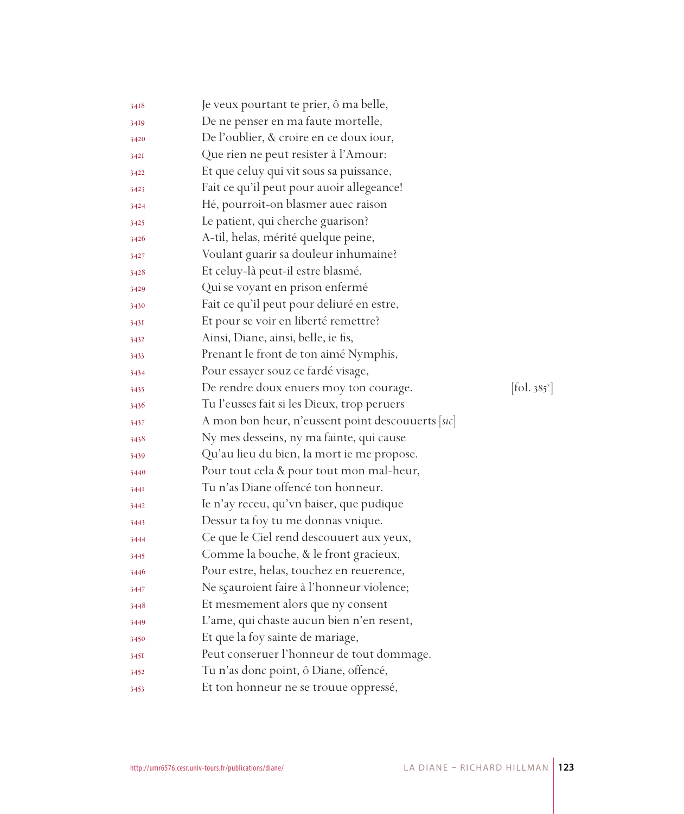| 3418 | Je veux pourtant te prier, ô ma belle,            |                          |
|------|---------------------------------------------------|--------------------------|
| 3419 | De ne penser en ma faute mortelle,                |                          |
| 3420 | De l'oublier, & croire en ce doux iour,           |                          |
| 3421 | Que rien ne peut resister à l'Amour:              |                          |
| 3422 | Et que celuy qui vit sous sa puissance,           |                          |
| 3423 | Fait ce qu'il peut pour auoir allegeance!         |                          |
| 3424 | Hé, pourroit-on blasmer auec raison               |                          |
| 3425 | Le patient, qui cherche guarison?                 |                          |
| 3426 | A-til, helas, mérité quelque peine,               |                          |
| 3427 | Voulant guarir sa douleur inhumaine?              |                          |
| 3428 | Et celuy-là peut-il estre blasmé,                 |                          |
| 3429 | Qui se voyant en prison enfermé                   |                          |
| 3430 | Fait ce qu'il peut pour deliuré en estre,         |                          |
| 343I | Et pour se voir en liberté remettre?              |                          |
| 3432 | Ainsi, Diane, ainsi, belle, ie fis,               |                          |
| 3433 | Prenant le front de ton aimé Nymphis,             |                          |
| 3434 | Pour essayer souz ce fardé visage,                |                          |
| 3435 | De rendre doux enuers moy ton courage.            | [fol. 385 <sup>v</sup> ] |
| 3436 | Tu l'eusses fait si les Dieux, trop peruers       |                          |
| 3437 | A mon bon heur, n'eussent point descouuerts [sic] |                          |
| 3438 | Ny mes desseins, ny ma fainte, qui cause          |                          |
| 3439 | Qu'au lieu du bien, la mort ie me propose.        |                          |
| 3440 | Pour tout cela & pour tout mon mal-heur,          |                          |
| 344I | Tu n'as Diane offencé ton honneur.                |                          |
| 3442 | Ie n'ay receu, qu'vn baiser, que pudique          |                          |
| 3443 | Dessur ta foy tu me donnas vnique.                |                          |
| 3444 | Ce que le Ciel rend descouuert aux yeux,          |                          |
| 3445 | Comme la bouche, & le front gracieux,             |                          |
| 3446 | Pour estre, helas, touchez en reuerence,          |                          |
| 3447 | Ne scauroient faire à l'honneur violence;         |                          |
| 3448 | Et mesmement alors que ny consent                 |                          |
| 3449 | L'ame, qui chaste aucun bien n'en resent,         |                          |
| 3450 | Et que la foy sainte de mariage,                  |                          |
| 3451 | Peut conseruer l'honneur de tout dommage.         |                          |
| 3452 | Tu n'as donc point, ô Diane, offencé,             |                          |
| 3453 | Et ton honneur ne se trouue oppressé,             |                          |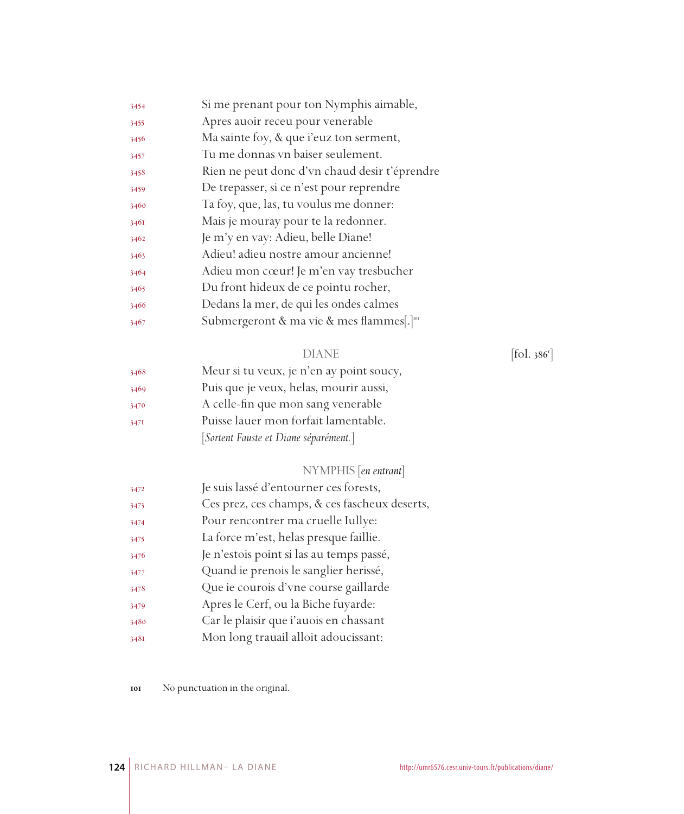| 3454 | Si me prenant pour ton Nymphis aimable,               |
|------|-------------------------------------------------------|
| 3455 | Apres auoir receu pour venerable                      |
| 3456 | Ma sainte foy, & que i'euz ton serment,               |
| 3457 | Tu me donnas vn baiser seulement.                     |
| 3458 | Rien ne peut donc d'vn chaud desir t'éprendre         |
| 3459 | De trepasser, si ce n'est pour reprendre              |
| 3460 | Ta foy, que, las, tu voulus me donner:                |
| 3461 | Mais je mouray pour te la redonner.                   |
| 3462 | Je m'y en vay: Adieu, belle Diane!                    |
| 3463 | Adieu! adieu nostre amour ancienne!                   |
| 3464 | Adieu mon cœur! Je m'en vay tresbucher                |
| 3465 | Du front hideux de ce pointu rocher,                  |
| 3466 | Dedans la mer, de qui les ondes calmes                |
| 3467 | Submergeront & ma vie & mes flammes[.] <sup>101</sup> |

#### DIANE [fol. 386<sup>r</sup>]

| 3468 | Meur si tu veux, je n'en ay point soucy, |
|------|------------------------------------------|
| 3469 | Puis que je veux, helas, mourir aussi,   |
| 3470 | A celle-fin que mon sang venerable       |
| 3471 | Puisse lauer mon forfait lamentable.     |
|      | [Sortent Fauste et Diane séparément.]    |

## NYMPHIS [*en entrant*]

| 3472 | Je suis lassé d'entourner ces forests,        |
|------|-----------------------------------------------|
| 3473 | Ces prez, ces champs, & ces fascheux deserts, |
| 3474 | Pour rencontrer ma cruelle Iullye:            |
| 3475 | La force m'est, helas presque faillie.        |
| 3476 | Je n'estois point si las au temps passé,      |
| 3477 | Quand ie prenois le sanglier herissé,         |
| 3478 | Que ie courois d'vne course gaillarde         |
| 3479 | Apres le Cerf, ou la Biche fuyarde:           |
| 3480 | Car le plaisir que i'auois en chassant        |
| 3481 | Mon long trauail alloit adoucissant:          |
|      |                                               |

No punctuation in the original.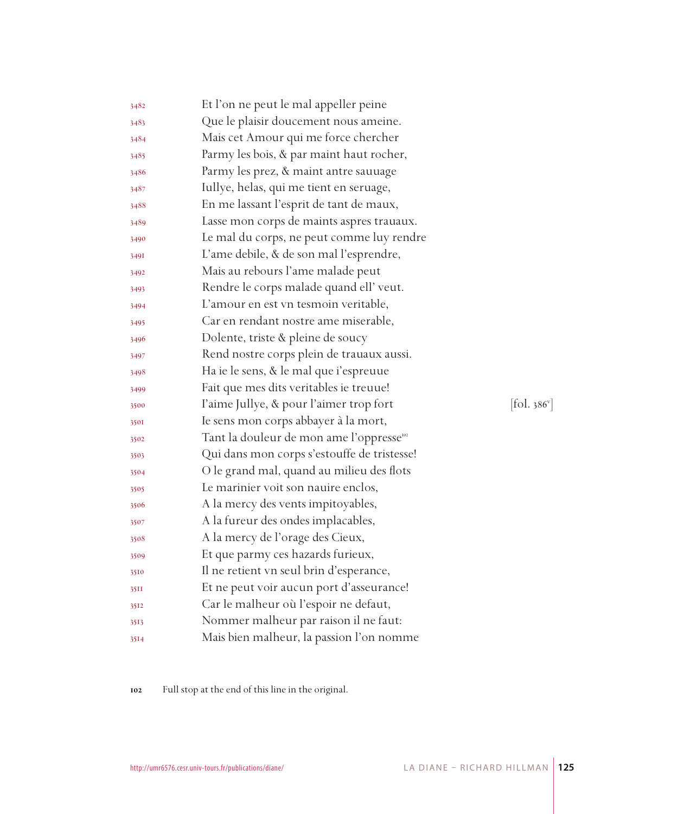| 3482 | Et l'on ne peut le mal appeller peine                |            |
|------|------------------------------------------------------|------------|
| 3483 | Que le plaisir doucement nous ameine.                |            |
| 3484 | Mais cet Amour qui me force chercher                 |            |
| 3485 | Parmy les bois, & par maint haut rocher,             |            |
| 3486 | Parmy les prez, & maint antre sauuage                |            |
| 3487 | Iullye, helas, qui me tient en seruage,              |            |
| 3488 | En me lassant l'esprit de tant de maux,              |            |
| 3489 | Lasse mon corps de maints aspres trauaux.            |            |
| 3490 | Le mal du corps, ne peut comme luy rendre            |            |
| 3491 | L'ame debile, & de son mal l'esprendre,              |            |
| 3492 | Mais au rebours l'ame malade peut                    |            |
| 3493 | Rendre le corps malade quand ell' veut.              |            |
| 3494 | L'amour en est vn tesmoin veritable,                 |            |
| 3495 | Car en rendant nostre ame miserable,                 |            |
| 3496 | Dolente, triste & pleine de soucy                    |            |
| 3497 | Rend nostre corps plein de trauaux aussi.            |            |
| 3498 | Ha ie le sens, & le mal que i'espreuue               |            |
| 3499 | Fait que mes dits veritables ie treuue!              |            |
| 3500 | l'aime Jullye, & pour l'aimer trop fort              | [fol. 386] |
| 3501 | Ie sens mon corps abbayer à la mort,                 |            |
| 3502 | Tant la douleur de mon ame l'oppresse <sup>102</sup> |            |
| 3503 | Qui dans mon corps s'estouffe de tristesse!          |            |
| 3504 | O le grand mal, quand au milieu des flots            |            |
| 3505 | Le marinier voit son nauire enclos,                  |            |
| 3506 | A la mercy des vents impitoyables,                   |            |
| 3507 | A la fureur des ondes implacables,                   |            |
| 3508 | A la mercy de l'orage des Cieux,                     |            |
| 3509 | Et que parmy ces hazards furieux,                    |            |
| 3510 | Il ne retient vn seul brin d'esperance,              |            |
| 35II | Et ne peut voir aucun port d'asseurance!             |            |
| 3512 | Car le malheur où l'espoir ne defaut,                |            |
| 3513 | Nommer malheur par raison il ne faut:                |            |
| 3514 | Mais bien malheur, la passion l'on nomme             |            |

Full stop at the end of this line in the original.

 $\left[$ ol. 386 $^{\circ}$ ]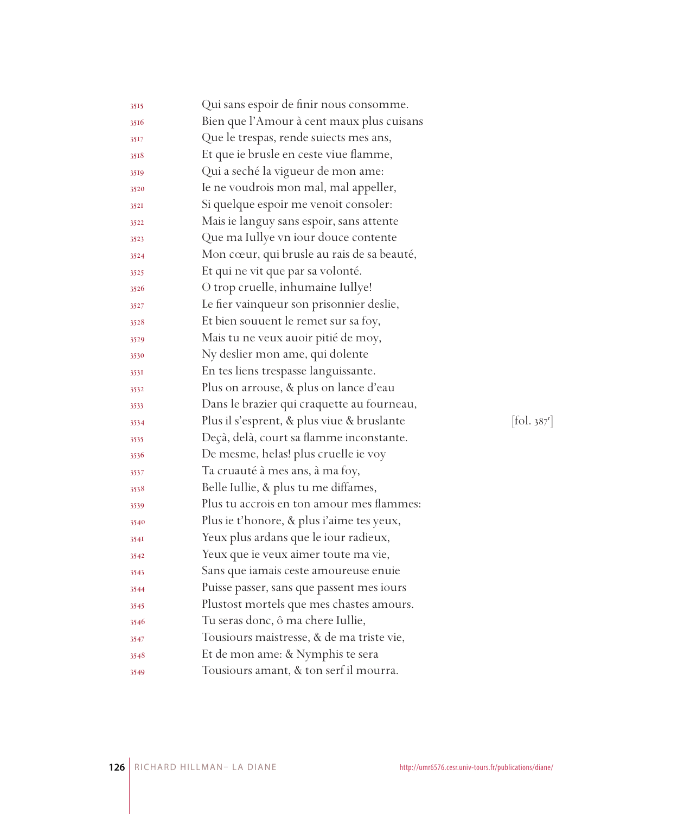| 3515 | Qui sans espoir de finir nous consomme.    |           |
|------|--------------------------------------------|-----------|
| 3516 | Bien que l'Amour à cent maux plus cuisans  |           |
| 3517 | Que le trespas, rende suiects mes ans,     |           |
| 3518 | Et que ie brusle en ceste viue flamme,     |           |
| 3519 | Qui a seché la vigueur de mon ame:         |           |
| 3520 | Ie ne voudrois mon mal, mal appeller,      |           |
| 352I | Si quelque espoir me venoit consoler:      |           |
| 3522 | Mais ie languy sans espoir, sans attente   |           |
| 3523 | Que ma Iullye vn iour douce contente       |           |
| 3524 | Mon cœur, qui brusle au rais de sa beauté, |           |
| 3525 | Et qui ne vit que par sa volonté.          |           |
| 3526 | O trop cruelle, inhumaine Iullye!          |           |
| 3527 | Le fier vainqueur son prisonnier deslie,   |           |
| 3528 | Et bien souuent le remet sur sa foy,       |           |
| 3529 | Mais tu ne veux auoir pitié de moy,        |           |
| 3530 | Ny deslier mon ame, qui dolente            |           |
| 353I | En tes liens trespasse languissante.       |           |
| 3532 | Plus on arrouse, & plus on lance d'eau     |           |
| 3533 | Dans le brazier qui craquette au fourneau, |           |
| 3534 | Plus il s'esprent, & plus viue & bruslante | [fol. 387 |
| 3535 | Deçà, delà, court sa flamme inconstante.   |           |
| 3536 | De mesme, helas! plus cruelle ie voy       |           |
| 3537 | Ta cruauté à mes ans, à ma foy,            |           |
| 3538 | Belle Iullie, & plus tu me diffames,       |           |
| 3539 | Plus tu accrois en ton amour mes flammes:  |           |
| 3540 | Plus ie t'honore, & plus i'aime tes yeux,  |           |
| 354I | Yeux plus ardans que le iour radieux,      |           |
| 3542 | Yeux que ie veux aimer toute ma vie,       |           |
| 3543 | Sans que iamais ceste amoureuse enuie      |           |
| 3544 | Puisse passer, sans que passent mes iours  |           |
| 3545 | Plustost mortels que mes chastes amours.   |           |
| 3546 | Tu seras donc, ô ma chere Iullie,          |           |
| 3547 | Tousiours maistresse, & de ma triste vie,  |           |
| 3548 | Et de mon ame: & Nymphis te sera           |           |
| 3549 | Tousiours amant, & ton serf il mourra.     |           |

r ]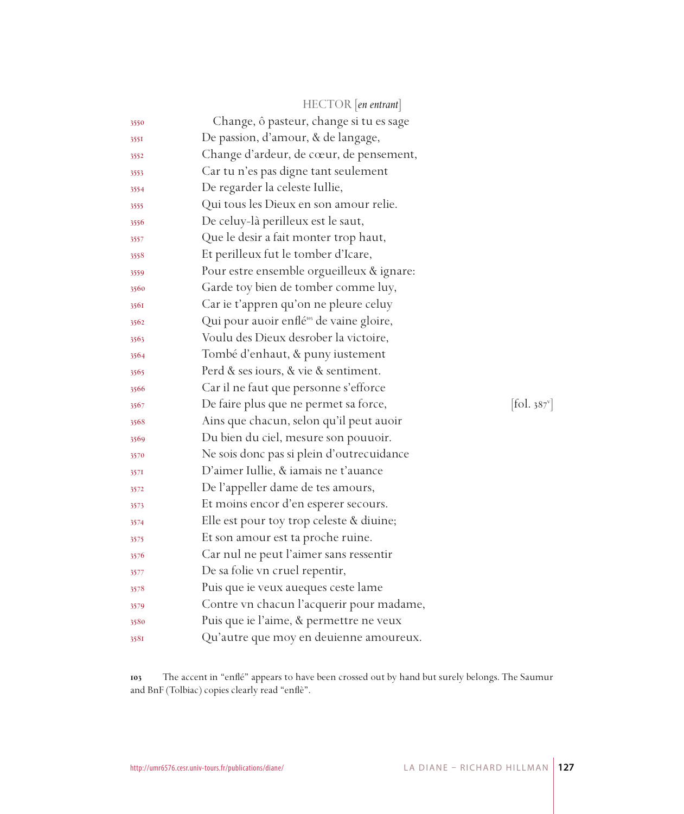|      | HECTOR [en entrant]                                  |           |
|------|------------------------------------------------------|-----------|
| 3550 | Change, ô pasteur, change si tu es sage              |           |
| 355I | De passion, d'amour, & de langage,                   |           |
| 3552 | Change d'ardeur, de cœur, de pensement,              |           |
| 3553 | Car tu n'es pas digne tant seulement                 |           |
| 3554 | De regarder la celeste Iullie,                       |           |
| 3555 | Qui tous les Dieux en son amour relie.               |           |
| 3556 | De celuy-là perilleux est le saut,                   |           |
| 3557 | Que le desir a fait monter trop haut,                |           |
| 3558 | Et perilleux fut le tomber d'Icare,                  |           |
| 3559 | Pour estre ensemble orgueilleux & ignare:            |           |
| 3560 | Garde toy bien de tomber comme luy,                  |           |
| 3561 | Car ie t'appren qu'on ne pleure celuy                |           |
| 3562 | Qui pour auoir enflé <sup>105</sup> de vaine gloire, |           |
| 3563 | Voulu des Dieux desrober la victoire,                |           |
| 3564 | Tombé d'enhaut, & puny iustement                     |           |
| 3565 | Perd & ses iours, & vie & sentiment.                 |           |
| 3566 | Car il ne faut que personne s'efforce                |           |
| 3567 | De faire plus que ne permet sa force,                | [fol. 387 |
| 3568 | Ains que chacun, selon qu'il peut auoir              |           |
| 3569 | Du bien du ciel, mesure son pouuoir.                 |           |
| 3570 | Ne sois donc pas si plein d'outrecuidance            |           |
| 3571 | D'aimer Iullie, & iamais ne t'auance                 |           |
| 3572 | De l'appeller dame de tes amours,                    |           |
| 3573 | Et moins encor d'en esperer secours.                 |           |
| 3574 | Elle est pour toy trop celeste & diuine;             |           |
| 3575 | Et son amour est ta proche ruine.                    |           |
| 3576 | Car nul ne peut l'aimer sans ressentir               |           |
| 3577 | De sa folie vn cruel repentir,                       |           |
| 3578 | Puis que ie veux aueques ceste lame                  |           |
| 3579 | Contre vn chacun l'acquerir pour madame,             |           |
| 3580 | Puis que ie l'aime, & permettre ne veux              |           |
| 3581 | Qu'autre que moy en deuienne amoureux.               |           |

 The accent in "enflé" appears to have been crossed out by hand but surely belongs. The Saumur and BnF (Tolbiac) copies clearly read "enflè".

 $87^{\circ}$ ]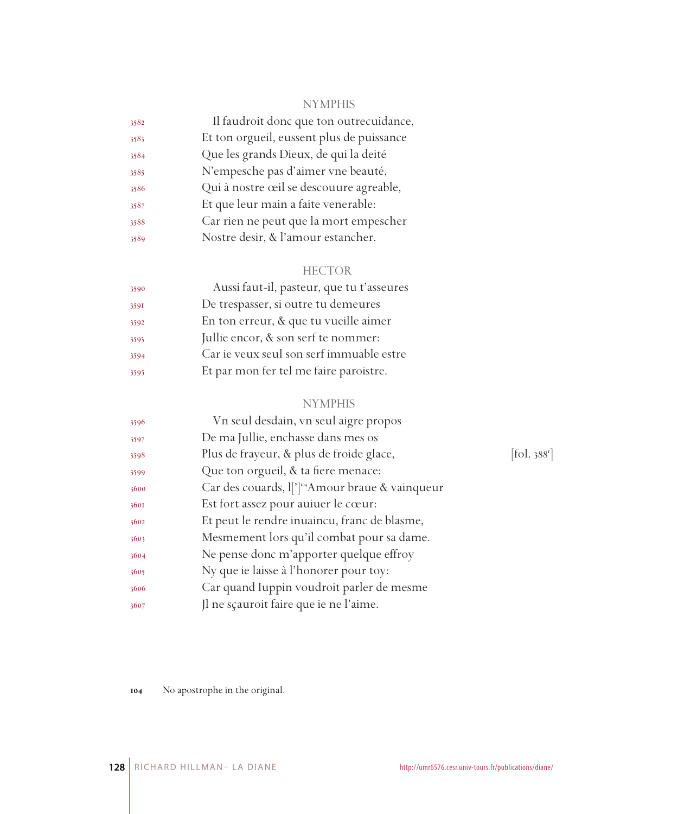# NYMPHIS

| 3582 | Il faudroit donc que ton outrecuidance,   |
|------|-------------------------------------------|
| 3583 | Et ton orgueil, eussent plus de puissance |
| 3584 | Que les grands Dieux, de qui la deité     |
| 3585 | N'empesche pas d'aimer vne beauté,        |
| 3586 | Qui à nostre œil se descouure agreable,   |
| 3587 | Et que leur main a faite venerable:       |
| 3588 | Car rien ne peut que la mort empescher    |
| 3589 | Nostre desir, & l'amour estancher.        |
|      |                                           |

# HECTOR

| 3590 | Aussi faut-il, pasteur, que tu t'asseures |
|------|-------------------------------------------|
| 3591 | De trespasser, si outre tu demeures       |
| 3592 | En ton erreur, & que tu vueille aimer     |
| 3593 | Jullie encor, & son serf te nommer:       |
| 3594 | Car ie veux seul son serf immuable estre  |
| 3595 | Et par mon fer tel me faire paroistre.    |

# NYMPHIS

| 3596 | Vn seul desdain, vn seul aigre propos                                   |                       |
|------|-------------------------------------------------------------------------|-----------------------|
| 3597 | De ma Jullie, enchasse dans mes os                                      |                       |
| 3598 | Plus de frayeur, & plus de froide glace,                                | fol. 388 <sup>1</sup> |
| 3599 | Que ton orgueil, & ta fiere menace:                                     |                       |
| 3600 | Car des couards, $\lfloor \cdot \rfloor^{\log}$ Amour braue & vainqueur |                       |
| 3601 | Est fort assez pour auiuer le cœur:                                     |                       |
| 3602 | Et peut le rendre inuaincu, franc de blasme,                            |                       |
| 3603 | Mesmement lors qu'il combat pour sa dame.                               |                       |
| 3604 | Ne pense donc m'apporter quelque effroy                                 |                       |
| 3605 | Ny que ie laisse à l'honorer pour toy:                                  |                       |
| 3606 | Car quand Iuppin voudroit parler de mesme                               |                       |
| 3607 | Jl ne sçauroit faire que ie ne l'aime.                                  |                       |
|      |                                                                         |                       |

 $[\mbox{fol. } 388^{\mbox{r}}]$ 

No apostrophe in the original.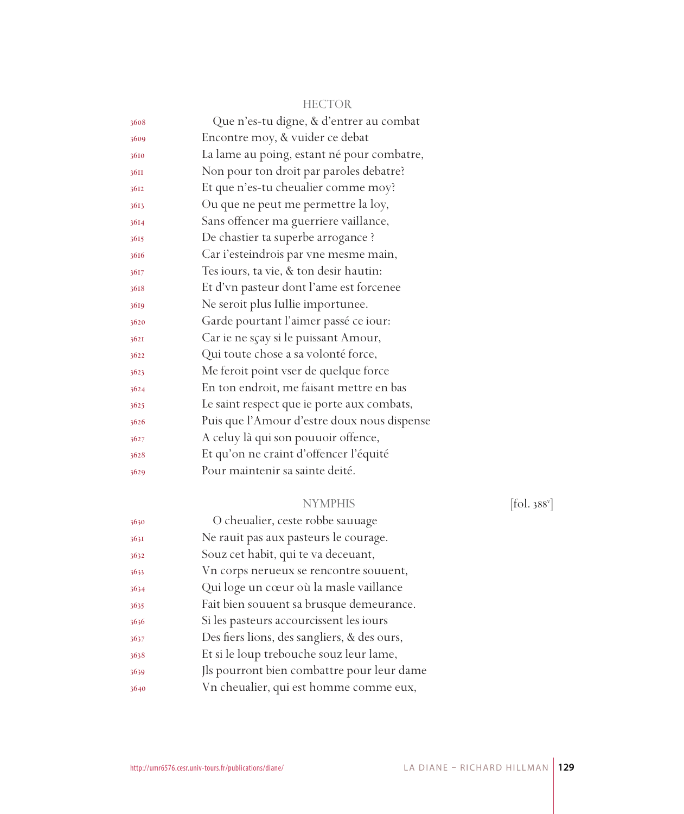| 3608 | Que n'es-tu digne, & d'entrer au combat     |
|------|---------------------------------------------|
| 3609 | Encontre moy, & vuider ce debat             |
| 3610 | La lame au poing, estant né pour combatre,  |
| 36II | Non pour ton droit par paroles debatre?     |
| 3612 | Et que n'es-tu cheualier comme moy?         |
| 3613 | Ou que ne peut me permettre la loy,         |
| 3614 | Sans offencer ma guerriere vaillance,       |
| 3615 | De chastier ta superbe arrogance ?          |
| 3616 | Car i'esteindrois par vne mesme main,       |
| 3617 | Tes iours, ta vie, & ton desir hautin:      |
| 3618 | Et d'vn pasteur dont l'ame est forcenee     |
| 3619 | Ne seroit plus Iullie importunee.           |
| 3620 | Garde pourtant l'aimer passé ce iour:       |
| 3621 | Car ie ne sçay si le puissant Amour,        |
| 3622 | Qui toute chose a sa volonté force,         |
| 3623 | Me feroit point vser de quelque force       |
| 3624 | En ton endroit, me faisant mettre en bas    |
| 3625 | Le saint respect que ie porte aux combats,  |
| 3626 | Puis que l'Amour d'estre doux nous dispense |
| 3627 | A celuy là qui son pouuoir offence,         |
| 3628 | Et qu'on ne craint d'offencer l'équité      |
| 3629 | Pour maintenir sa sainte deité.             |
|      |                                             |

# NYMPHIS

 $[\text{fol. }388^{\circ}]$ 

| 3630 | O cheualier, ceste robbe sauuage            |
|------|---------------------------------------------|
| 3631 | Ne rauit pas aux pasteurs le courage.       |
| 3632 | Souz cet habit, qui te va deceuant,         |
| 3633 | Vn corps nerueux se rencontre souvent,      |
| 3634 | Qui loge un cœur où la masle vaillance      |
| 3635 | Fait bien souuent sa brusque demeurance.    |
| 3636 | Si les pasteurs accourcissent les iours     |
| 3637 | Des fiers lions, des sangliers, & des ours, |
| 3638 | Et si le loup trebouche souz leur lame,     |
| 3639 | Ils pourront bien combattre pour leur dame  |
| 3640 | Vn cheualier, qui est homme comme eux,      |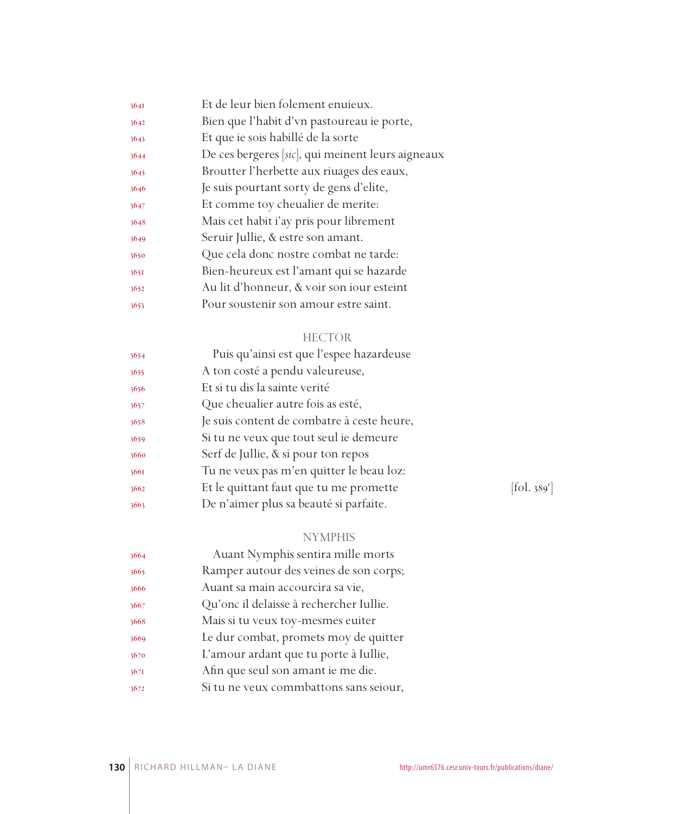| 3641 | Et de leur bien folement enuieux.                 |
|------|---------------------------------------------------|
| 3642 | Bien que l'habit d'vn pastoureau ie porte,        |
| 3643 | Et que ie sois habillé de la sorte                |
| 3644 | De ces bergeres [sic], qui meinent leurs aigneaux |
| 3645 | Broutter l'herbette aux riuages des eaux,         |
| 3646 | Je suis pourtant sorty de gens d'elite,           |
| 3647 | Et comme toy cheualier de merite:                 |
| 3648 | Mais cet habit i'ay pris pour librement           |
| 3649 | Seruir Jullie, & estre son amant.                 |
| 3650 | Que cela donc nostre combat ne tarde:             |
| 3651 | Bien-heureux est l'amant qui se hazarde           |
| 3652 | Au lit d'honneur, & voir son iour esteint         |
| 3653 | Pour soustenir son amour estre saint.             |
|      |                                                   |

| 3654 | Puis qu'ainsi est que l'espee hazardeuse   |            |
|------|--------------------------------------------|------------|
| 3655 | A ton costé a pendu valeureuse,            |            |
| 3656 | Et si tu dis la sainte verité              |            |
| 3657 | Que cheualier autre fois as esté,          |            |
| 3658 | Je suis content de combatre à ceste heure, |            |
| 3659 | Si tu ne veux que tout seul ie demeure     |            |
| 3660 | Serf de Jullie, & si pour ton repos        |            |
| 3661 | Tu ne veux pas m'en quitter le beau loz:   |            |
| 3662 | Et le quittant faut que tu me promette     | [fol. 389] |
| 3663 | De n'aimer plus sa beauté si parfaite.     |            |
|      |                                            |            |

# NYMPHIS

| 3664 | Auant Nymphis sentira mille morts       |
|------|-----------------------------------------|
| 3665 | Ramper autour des veines de son corps;  |
| 3666 | Auant sa main accourcira sa vie,        |
| 3667 | Qu'onc il delaisse à rechercher Iullie. |
| 3668 | Mais si tu veux toy-mesmes euiter       |
| 3669 | Le dur combat, promets moy de quitter   |
| 3670 | L'amour ardant que tu porte à Iullie,   |
| 3671 | Afin que seul son amant ie me die.      |
| 3672 | Si tu ne veux commbattons sans seiour,  |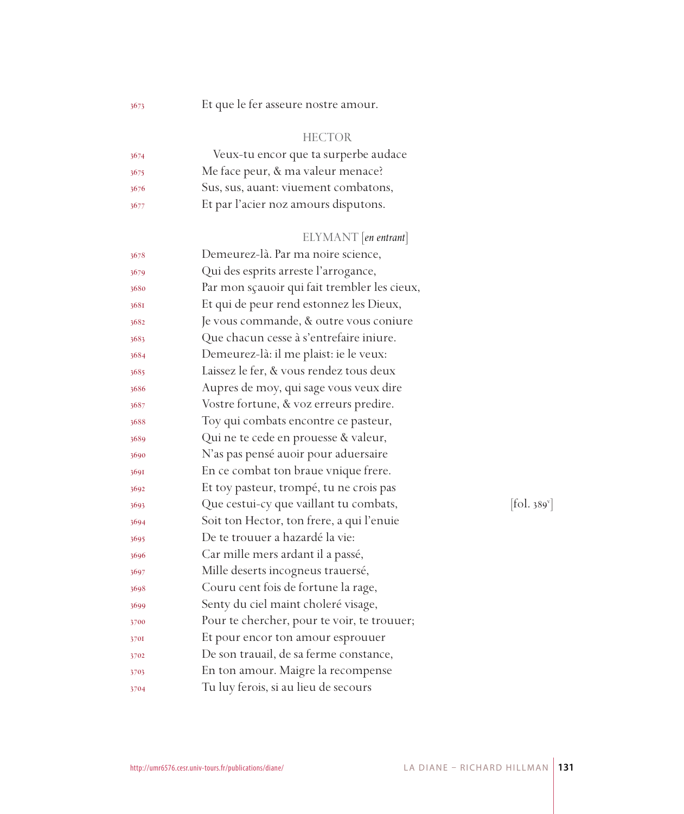Et que le fer asseure nostre amour.

### HECTOR

| 3674 | Veux-tu encor que ta surperbe audace |
|------|--------------------------------------|
| 3675 | Me face peur, & ma valeur menace?    |
| 3676 | Sus, sus, auant: viuement combatons, |
| 3677 | Et par l'acier noz amours disputons. |

# ELYMANT [*en entrant*]

| 3678 | Demeurez-là. Par ma noire science,           |                          |
|------|----------------------------------------------|--------------------------|
| 3679 | Qui des esprits arreste l'arrogance,         |                          |
| 3680 | Par mon sçauoir qui fait trembler les cieux, |                          |
| 3681 | Et qui de peur rend estonnez les Dieux,      |                          |
| 3682 | Je vous commande, & outre vous coniure       |                          |
| 3683 | Que chacun cesse à s'entrefaire iniure.      |                          |
| 3684 | Demeurez-là: il me plaist: ie le veux:       |                          |
| 3685 | Laissez le fer, & vous rendez tous deux      |                          |
| 3686 | Aupres de moy, qui sage vous veux dire       |                          |
| 3687 | Vostre fortune, & voz erreurs predire.       |                          |
| 3688 | Toy qui combats encontre ce pasteur,         |                          |
| 3689 | Qui ne te cede en prouesse & valeur,         |                          |
| 3690 | N'as pas pensé auoir pour aduersaire         |                          |
| 3691 | En ce combat ton braue vnique frere.         |                          |
| 3692 | Et toy pasteur, trompé, tu ne crois pas      |                          |
| 3693 | Que cestui-cy que vaillant tu combats,       | [fol. 389 <sup>v</sup> ] |
| 3694 | Soit ton Hector, ton frere, a qui l'enuie    |                          |
| 3695 | De te trouuer a hazardé la vie:              |                          |
| 3696 | Car mille mers ardant il a passé,            |                          |
| 3697 | Mille deserts incogneus trauersé,            |                          |
| 3698 | Couru cent fois de fortune la rage,          |                          |
| 3699 | Senty du ciel maint choleré visage,          |                          |
| 3700 | Pour te chercher, pour te voir, te trouuer;  |                          |
| 3701 | Et pour encor ton amour esprouuer            |                          |
| 3702 | De son trauail, de sa ferme constance,       |                          |
| 3703 | En ton amour. Maigre la recompense           |                          |
| 3704 | Tu luy ferois, si au lieu de secours         |                          |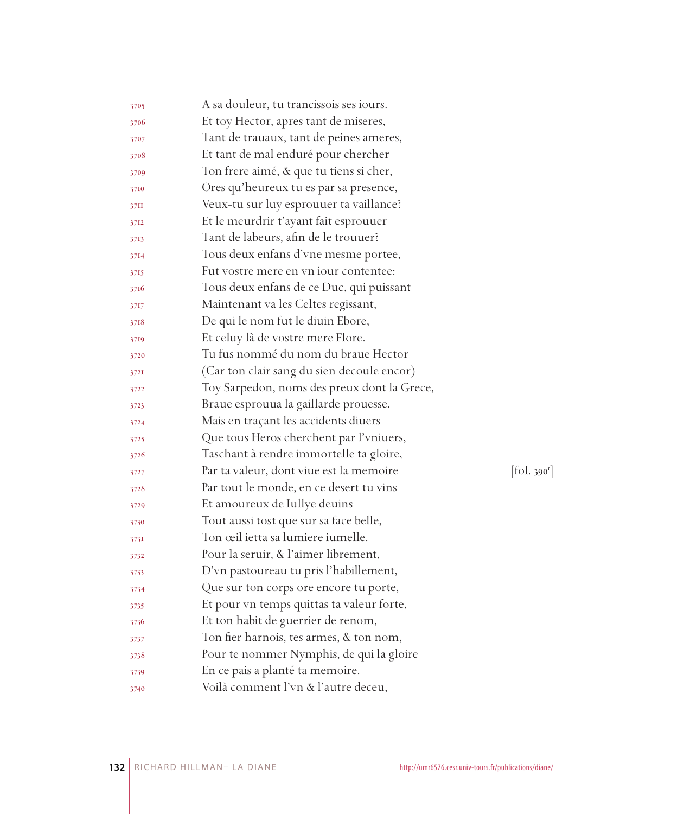| 3705 | A sa douleur, tu trancissois ses iours.     |            |
|------|---------------------------------------------|------------|
| 3706 | Et toy Hector, apres tant de miseres,       |            |
| 3707 | Tant de trauaux, tant de peines ameres,     |            |
| 3708 | Et tant de mal enduré pour chercher         |            |
| 3709 | Ton frere aimé, & que tu tiens si cher,     |            |
| 3710 | Ores qu'heureux tu es par sa presence,      |            |
| 37II | Veux-tu sur luy esprouuer ta vaillance?     |            |
| 3712 | Et le meurdrir t'ayant fait esprouuer       |            |
| 3713 | Tant de labeurs, afin de le trouuer?        |            |
| 3714 | Tous deux enfans d'vne mesme portee,        |            |
| 3715 | Fut vostre mere en vn jour contentee:       |            |
| 3716 | Tous deux enfans de ce Duc, qui puissant    |            |
| 3717 | Maintenant va les Celtes regissant,         |            |
| 3718 | De qui le nom fut le diuin Ebore,           |            |
| 3719 | Et celuy là de vostre mere Flore.           |            |
| 3720 | Tu fus nommé du nom du braue Hector         |            |
| 3721 | (Car ton clair sang du sien decoule encor)  |            |
| 3722 | Toy Sarpedon, noms des preux dont la Grece, |            |
| 3723 | Braue esprouua la gaillarde prouesse.       |            |
| 3724 | Mais en traçant les accidents diuers        |            |
| 3725 | Que tous Heros cherchent par l'vniuers,     |            |
| 3726 | Taschant à rendre immortelle ta gloire,     |            |
| 3727 | Par ta valeur, dont viue est la memoire     | [fol. 390] |
| 3728 | Par tout le monde, en ce desert tu vins     |            |
| 3729 | Et amoureux de Iullye deuins                |            |
| 3730 | Tout aussi tost que sur sa face belle,      |            |
| 3731 | Ton œil ietta sa lumiere iumelle.           |            |
| 3732 | Pour la seruir, & l'aimer librement,        |            |
| 3733 | D'vn pastoureau tu pris l'habillement,      |            |
| 3734 | Que sur ton corps ore encore tu porte,      |            |
| 3735 | Et pour vn temps quittas ta valeur forte,   |            |
| 3736 | Et ton habit de guerrier de renom,          |            |
| 3737 | Ton fier harnois, tes armes, & ton nom,     |            |
| 3738 | Pour te nommer Nymphis, de qui la gloire    |            |
| 3739 | En ce pais a planté ta memoire.             |            |
| 3740 | Voilà comment l'vn & l'autre deceu,         |            |

 $\mathbf{y}^r$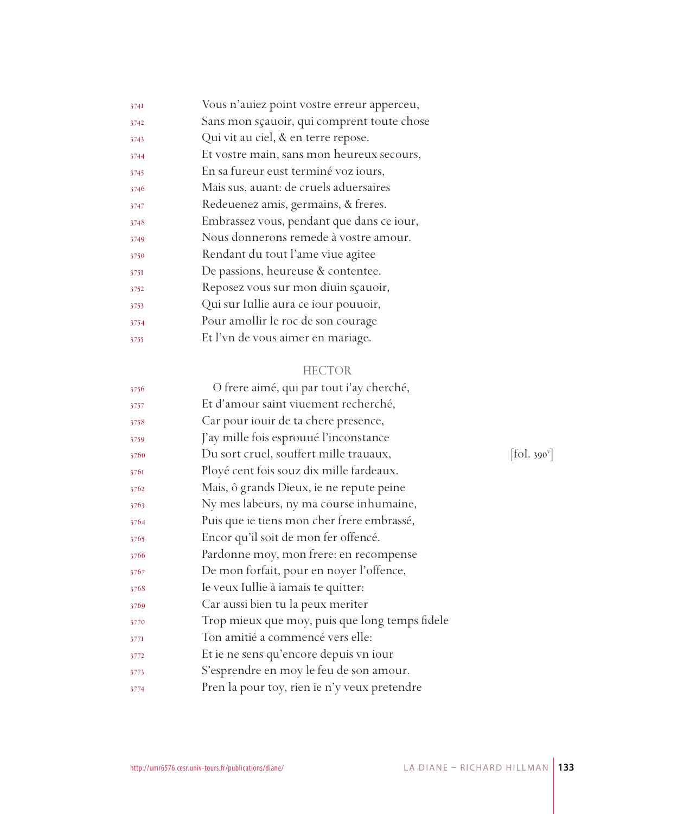| 3741 | Vous n'auiez point vostre erreur apperceu, |
|------|--------------------------------------------|
| 3742 | Sans mon sçauoir, qui comprent toute chose |
| 3743 | Qui vit au ciel, & en terre repose.        |
| 3744 | Et vostre main, sans mon heureux secours,  |
| 3745 | En sa fureur eust terminé voz iours,       |
| 3746 | Mais sus, auant: de cruels aduersaires     |
| 3747 | Redeuenez amis, germains, & freres.        |
| 3748 | Embrassez vous, pendant que dans ce iour,  |
| 3749 | Nous donnerons remede à vostre amour.      |
| 3750 | Rendant du tout l'ame viue agitee          |
| 3751 | De passions, heureuse & contentee.         |
| 3752 | Reposez vous sur mon diuin scauoir,        |
| 3753 | Qui sur Iullie aura ce iour pouuoir,       |
| 3754 | Pour amollir le roc de son courage         |
| 3755 | Et l'vn de vous aimer en mariage.          |
|      |                                            |

| 3756 | O frere aimé, qui par tout i'ay cherché,       |                    |
|------|------------------------------------------------|--------------------|
| 3757 | Et d'amour saint viuement recherché,           |                    |
| 3758 | Car pour iouir de ta chere presence,           |                    |
| 3759 | J'ay mille fois esprouué l'inconstance         |                    |
| 3760 | Du sort cruel, souffert mille trauaux,         | $ 60.390^{\circ} $ |
| 3761 | Ployé cent fois souz dix mille fardeaux.       |                    |
| 3762 | Mais, ô grands Dieux, ie ne repute peine       |                    |
| 3763 | Ny mes labeurs, ny ma course inhumaine,        |                    |
| 3764 | Puis que ie tiens mon cher frere embrassé,     |                    |
| 3765 | Encor qu'il soit de mon fer offencé.           |                    |
| 3766 | Pardonne moy, mon frere: en recompense         |                    |
| 3767 | De mon forfait, pour en noyer l'offence,       |                    |
| 3768 | Ie veux Iullie à iamais te quitter:            |                    |
| 3769 | Car aussi bien tu la peux meriter              |                    |
| 3770 | Trop mieux que moy, puis que long temps fidele |                    |
| 3771 | Ton amitié a commencé vers elle:               |                    |
| 3772 | Et ie ne sens qu'encore depuis vn iour         |                    |
| 3773 | S'esprendre en moy le feu de son amour.        |                    |
| 3774 | Pren la pour toy, rien ie n'y veux pretendre   |                    |
|      |                                                |                    |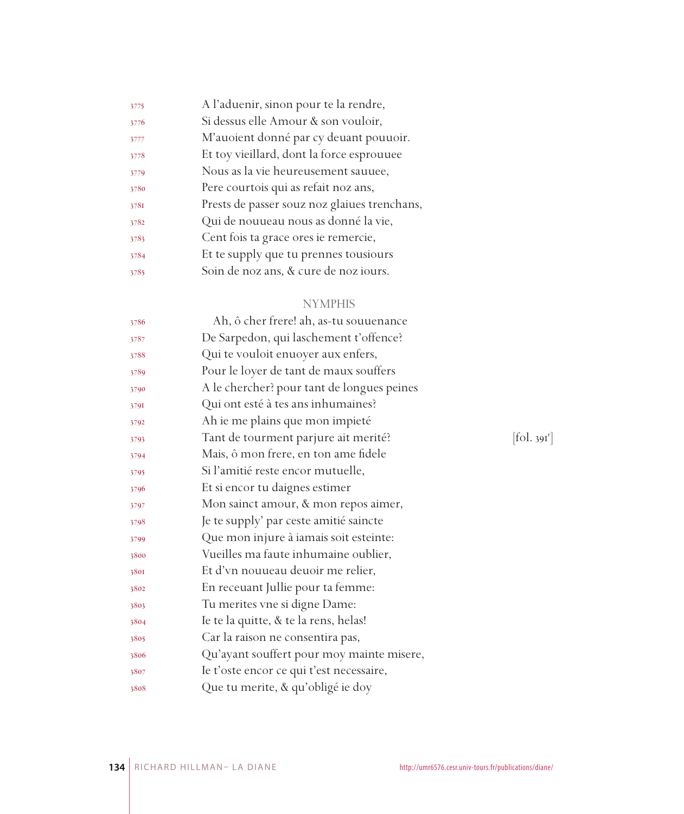| 3775 | A l'aduenir, sinon pour te la rendre,        |
|------|----------------------------------------------|
| 3776 | Si dessus elle Amour & son vouloir,          |
| 3777 | M'auoient donné par cy deuant pouuoir.       |
| 3778 | Et toy vieillard, dont la force esprouuee    |
| 3779 | Nous as la vie heureusement sauuee,          |
| 3780 | Pere courtois qui as refait noz ans,         |
| 3781 | Prests de passer souz noz glaiues trenchans, |
| 3782 | Qui de nouueau nous as donné la vie,         |
| 3783 | Cent fois ta grace ores ie remercie,         |
| 3784 | Et te supply que tu prennes tousiours        |
| 3785 | Soin de noz ans, & cure de noz iours.        |

# NYMPHIS

| 3786 | Ah, ô cher frere! ah, as-tu souuenance     |                       |
|------|--------------------------------------------|-----------------------|
| 3787 | De Sarpedon, qui laschement t'offence?     |                       |
| 3788 | Qui te vouloit enuoyer aux enfers,         |                       |
| 3789 | Pour le loyer de tant de maux souffers     |                       |
| 3790 | A le chercher? pour tant de longues peines |                       |
| 3791 | Qui ont esté à tes ans inhumaines?         |                       |
| 3792 | Ah ie me plains que mon impieté            |                       |
| 3793 | Tant de tourment parjure ait merité?       | fol. 39I <sup>1</sup> |
| 3794 | Mais, ô mon frere, en ton ame fidele       |                       |
| 3795 | Si l'amitié reste encor mutuelle,          |                       |
| 3796 | Et si encor tu daignes estimer             |                       |
| 3797 | Mon sainct amour, & mon repos aimer,       |                       |
| 3798 | Je te supply' par ceste amitié saincte     |                       |
| 3799 | Que mon injure à iamais soit esteinte:     |                       |
| 3800 | Vueilles ma faute inhumaine oublier,       |                       |
| 3801 | Et d'vn nouueau deuoir me relier,          |                       |
| 3802 | En receuant Jullie pour ta femme:          |                       |
| 3803 | Tu merites vne si digne Dame:              |                       |
| 3804 | Ie te la quitte, & te la rens, helas!      |                       |
| 3805 | Car la raison ne consentira pas,           |                       |
| 3806 | Qu'ayant souffert pour moy mainte misere,  |                       |
| 3807 | le t'oste encor ce qui t'est necessaire,   |                       |
| 3808 | Que tu merite, & qu'obligé ie doy          |                       |
|      |                                            |                       |

 $[$ fol. 391 $^r$ ]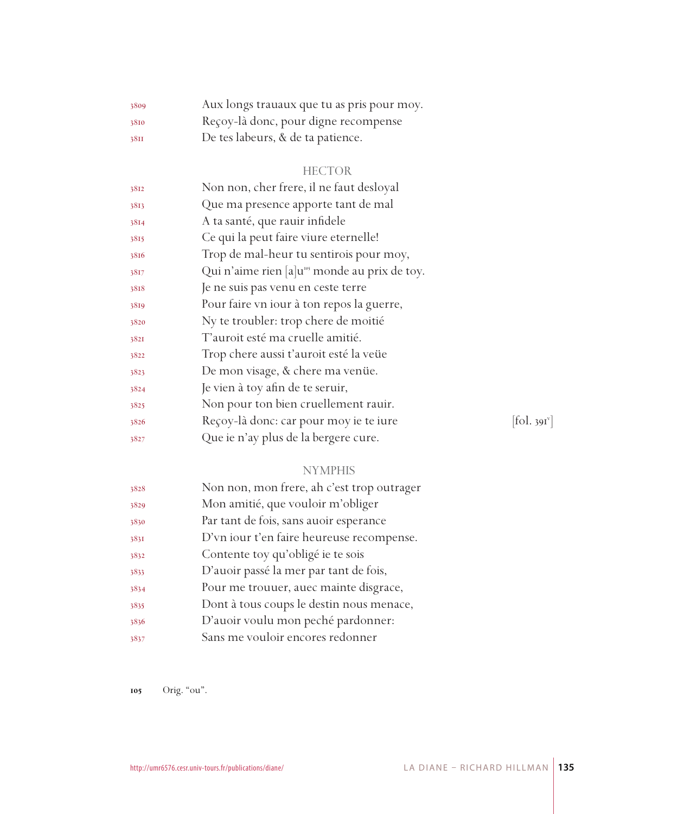| 3809 | Aux longs trauaux que tu as pris pour moy. |
|------|--------------------------------------------|
| 3810 | Reçoy-là donc, pour digne recompense       |
| 38II | De tes labeurs, & de ta patience.          |

| 3812 | Non non, cher frere, il ne faut desloyal                  |            |
|------|-----------------------------------------------------------|------------|
| 3813 | Que ma presence apporte tant de mal                       |            |
| 3814 | A ta santé, que rauir infidele                            |            |
| 3815 | Ce qui la peut faire viure eternelle!                     |            |
| 3816 | Trop de mal-heur tu sentirois pour moy,                   |            |
| 3817 | Qui n'aime rien [a]u <sup>105</sup> monde au prix de toy. |            |
| 3818 | Je ne suis pas venu en ceste terre                        |            |
| 3819 | Pour faire vn iour à ton repos la guerre,                 |            |
| 3820 | Ny te troubler: trop chere de moitié                      |            |
| 3821 | T'auroit esté ma cruelle amitié.                          |            |
| 3822 | Trop chere aussi t'auroit esté la veüe                    |            |
| 3823 | De mon visage, & chere ma venüe.                          |            |
| 3824 | Je vien à toy afin de te seruir,                          |            |
| 3825 | Non pour ton bien cruellement rauir.                      |            |
| 3826 | Reçoy-là donc: car pour moy ie te iure                    | [fol. 391] |
| 3827 | Que ie n'ay plus de la bergere cure.                      |            |

 $[$ fol. 391 $^{\circ}$ ]

# NYMPHIS

| 3828 | Non non, mon frere, ah c'est trop outrager |
|------|--------------------------------------------|
| 3829 | Mon amitié, que vouloir m'obliger          |
| 3830 | Par tant de fois, sans auoir esperance     |
| 3831 | D'vn iour t'en faire heureuse recompense.  |
| 3832 | Contente toy qu'obligé ie te sois          |
| 3833 | D'auoir passé la mer par tant de fois,     |
| 3834 | Pour me trouuer, auec mainte disgrace,     |
| 3835 | Dont à tous coups le destin nous menace,   |
| 3836 | D'auoir voulu mon peché pardonner:         |
| 3837 | Sans me vouloir encores redonner           |

105 Orig. "ou".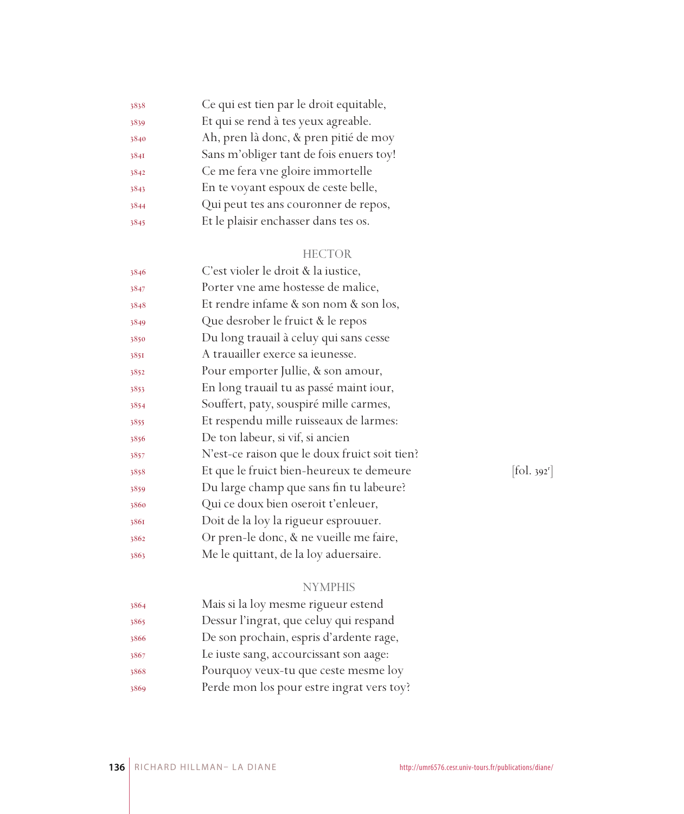| 3838 | Ce qui est tien par le droit equitable, |
|------|-----------------------------------------|
| 3839 | Et qui se rend à tes yeux agreable.     |
| 3840 | Ah, pren là donc, & pren pitié de moy   |
| 3841 | Sans m'obliger tant de fois enuers toy! |
| 3842 | Ce me fera vne gloire immortelle        |
| 3843 | En te voyant espoux de ceste belle,     |
| 3844 | Qui peut tes ans couronner de repos,    |
| 3845 | Et le plaisir enchasser dans tes os.    |
|      |                                         |

| 3846 | C'est violer le droit & la iustice,           |            |
|------|-----------------------------------------------|------------|
| 3847 | Porter vne ame hostesse de malice,            |            |
| 3848 | Et rendre infame & son nom & son los,         |            |
| 3849 | Que desrober le fruict & le repos             |            |
| 3850 | Du long trauail à celuy qui sans cesse        |            |
| 3851 | A trauailler exerce sa ieunesse.              |            |
| 3852 | Pour emporter Jullie, & son amour,            |            |
| 3853 | En long trauail tu as passé maint iour,       |            |
| 3854 | Souffert, paty, souspiré mille carmes,        |            |
| 3855 | Et respendu mille ruisseaux de larmes:        |            |
| 3856 | De ton labeur, si vif, si ancien              |            |
| 3857 | N'est-ce raison que le doux fruict soit tien? |            |
| 3858 | Et que le fruict bien-heureux te demeure      | [fol. 392] |
| 3859 | Du large champ que sans fin tu labeure?       |            |
| 3860 | Qui ce doux bien oseroit t'enleuer,           |            |
| 3861 | Doit de la loy la rigueur esprouuer.          |            |
| 3862 | Or pren-le donc, & ne vueille me faire,       |            |
| 3863 | Me le quittant, de la loy aduersaire.         |            |
|      |                                               |            |

 $[$ fol. 392<sup>r</sup> $]$ 

# NYMPHIS

| 3864 | Mais si la loy mesme rigueur estend       |
|------|-------------------------------------------|
| 3865 | Dessur l'ingrat, que celuy qui respand    |
| 3866 | De son prochain, espris d'ardente rage,   |
| 3867 | Le iuste sang, accourcissant son aage:    |
| 3868 | Pourquoy veux-tu que ceste mesme loy      |
| 3869 | Perde mon los pour estre ingrat vers toy? |
|      |                                           |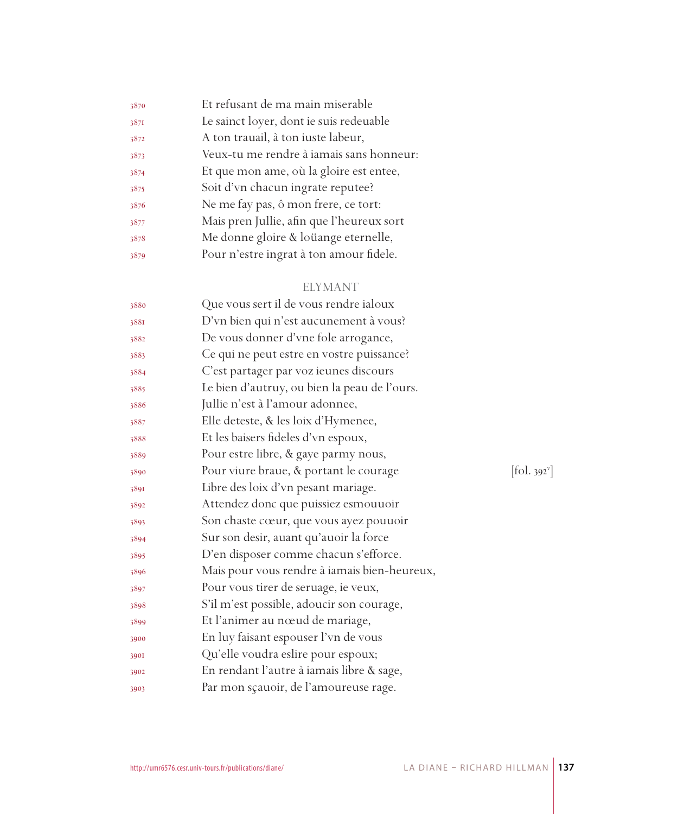| 3870 | Et refusant de ma main miserable          |
|------|-------------------------------------------|
| 3871 | Le sainct loyer, dont ie suis redeuable   |
| 3872 | A ton trauail, à ton iuste labeur,        |
| 3873 | Veux-tu me rendre à iamais sans honneur:  |
| 3874 | Et que mon ame, où la gloire est entee,   |
| 3875 | Soit d'vn chacun ingrate reputee?         |
| 3876 | Ne me fay pas, ô mon frere, ce tort:      |
| 3877 | Mais pren Jullie, afin que l'heureux sort |
| 3878 | Me donne gloire & loüange eternelle,      |
| 3879 | Pour n'estre ingrat à ton amour fidele.   |
|      |                                           |

# ELYMANT

| 3880 | Que vous sert il de vous rendre ialoux       |            |
|------|----------------------------------------------|------------|
| 3881 | D'vn bien qui n'est aucunement à vous?       |            |
| 3882 | De vous donner d'vne fole arrogance,         |            |
| 3883 | Ce qui ne peut estre en vostre puissance?    |            |
| 3884 | C'est partager par voz ieunes discours       |            |
| 3885 | Le bien d'autruy, ou bien la peau de l'ours. |            |
| 3886 | Jullie n'est à l'amour adonnee,              |            |
| 3887 | Elle deteste, & les loix d'Hymenee,          |            |
| 3888 | Et les baisers fideles d'vn espoux,          |            |
| 3889 | Pour estre libre, & gaye parmy nous,         |            |
| 3890 | Pour viure braue, & portant le courage       | [fol. 392] |
| 3891 | Libre des loix d'vn pesant mariage.          |            |
| 3892 | Attendez donc que puissiez esmouuoir         |            |
| 3893 | Son chaste cœur, que vous ayez pouuoir       |            |
| 3894 | Sur son desir, auant qu'auoir la force       |            |
| 3895 | D'en disposer comme chacun s'efforce.        |            |
| 3896 | Mais pour vous rendre à iamais bien-heureux, |            |
| 3897 | Pour vous tirer de seruage, ie veux,         |            |
| 3898 | S'il m'est possible, adoucir son courage,    |            |
| 3899 | Et l'animer au nœud de mariage,              |            |
| 3900 | En luy faisant espouser l'vn de vous         |            |
| 3901 | Qu'elle voudra eslire pour espoux;           |            |
| 3902 | En rendant l'autre à iamais libre & sage,    |            |
| 3903 | Par mon sçauoir, de l'amoureuse rage.        |            |
|      |                                              |            |

 $[\text{fol. }392^{\circ}]$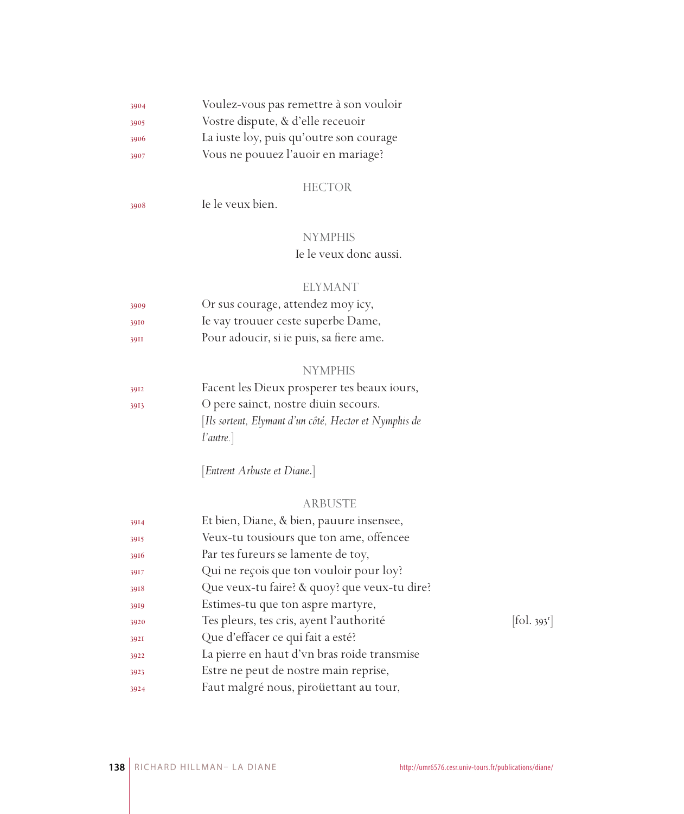| 3904 | Voulez-vous pas remettre à son vouloir  |
|------|-----------------------------------------|
| 3905 | Vostre dispute, & d'elle receuoir       |
| 3906 | La iuste loy, puis qu'outre son courage |
| 3907 | Vous ne pouuez l'auoir en mariage?      |

| 3908 | Ie le veux bien. |
|------|------------------|
|      |                  |

# NYMPHIS

Ie le veux donc aussi.

### ELYMANT

| 3909 | Or sus courage, attendez moy icy,       |
|------|-----------------------------------------|
| 3910 | Ie vay trouuer ceste superbe Dame,      |
| 39II | Pour adoucir, si ie puis, sa fiere ame. |

# NYMPHIS

| [Ils sortent, Elymant d'un côté, Hector et Nymphis de |
|-------------------------------------------------------|
|                                                       |
|                                                       |

[*Entrent Arbuste et Diane*.]

#### ARBUSTE

| 3914 | Et bien, Diane, & bien, pauure insensee,     |                                   |
|------|----------------------------------------------|-----------------------------------|
| 3915 | Veux-tu tousiours que ton ame, offencee      |                                   |
| 3916 | Par tes fureurs se lamente de toy,           |                                   |
| 3917 | Qui ne reçois que ton vouloir pour loy?      |                                   |
| 3918 | Que veux-tu faire? & quoy? que veux-tu dire? |                                   |
| 3919 | Estimes-tu que ton aspre martyre,            |                                   |
| 3920 | Tes pleurs, tes cris, ayent l'authorité      | $\left[ \text{fol. } 393 \right]$ |
| 3921 | Que d'effacer ce qui fait a esté?            |                                   |
| 3922 | La pierre en haut d'vn bras roide transmise  |                                   |
| 3923 | Estre ne peut de nostre main reprise,        |                                   |
| 3924 | Faut malgré nous, piroüettant au tour,       |                                   |
|      |                                              |                                   |

 $[$ fol. 393 $^r$ ]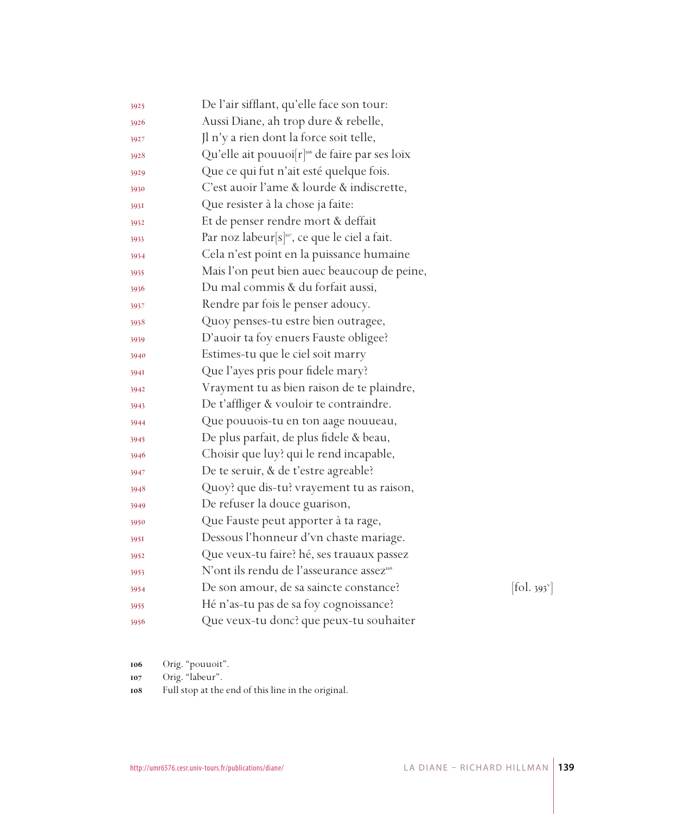| 3925 | De l'air sifflant, qu'elle face son tour:                  |                                 |
|------|------------------------------------------------------------|---------------------------------|
| 3926 | Aussi Diane, ah trop dure & rebelle,                       |                                 |
| 3927 | Jl n'y a rien dont la force soit telle,                    |                                 |
| 3928 | Qu'elle ait pouuoi[r] <sup>106</sup> de faire par ses loix |                                 |
| 3929 | Que ce qui fut n'ait esté quelque fois.                    |                                 |
| 3930 | C'est auoir l'ame & lourde & indiscrette,                  |                                 |
| 393I | Que resister à la chose ja faite:                          |                                 |
| 3932 | Et de penser rendre mort & deffait                         |                                 |
| 3933 | Par noz labeur <sup>[s]107</sup> , ce que le ciel a fait.  |                                 |
| 3934 | Cela n'est point en la puissance humaine                   |                                 |
| 3935 | Mais l'on peut bien auec beaucoup de peine,                |                                 |
| 3936 | Du mal commis & du forfait aussi,                          |                                 |
| 3937 | Rendre par fois le penser adoucy.                          |                                 |
| 3938 | Quoy penses-tu estre bien outragee,                        |                                 |
| 3939 | D'auoir ta foy enuers Fauste obligee?                      |                                 |
| 3940 | Estimes-tu que le ciel soit marry                          |                                 |
| 394I | Que l'ayes pris pour fidele mary?                          |                                 |
| 3942 | Vrayment tu as bien raison de te plaindre,                 |                                 |
| 3943 | De t'affliger & vouloir te contraindre.                    |                                 |
| 3944 | Que pouuois-tu en ton aage nouueau,                        |                                 |
| 3945 | De plus parfait, de plus fidele & beau,                    |                                 |
| 3946 | Choisir que luy? qui le rend incapable,                    |                                 |
| 3947 | De te seruir, & de t'estre agreable?                       |                                 |
| 3948 | Quoy? que dis-tu? vrayement tu as raison,                  |                                 |
| 3949 | De refuser la douce guarison,                              |                                 |
| 3950 | Que Fauste peut apporter à ta rage,                        |                                 |
| 395I | Dessous l'honneur d'vn chaste mariage.                     |                                 |
| 3952 | Que veux-tu faire? hé, ses trauaux passez                  |                                 |
| 3953 | N'ont ils rendu de l'asseurance assez <sup>108</sup>       |                                 |
| 3954 | De son amour, de sa saincte constance?                     | $[\text{fol. } 393^{\text{v}}]$ |
| 3955 | Hé n'as-tu pas de sa foy cognoissance?                     |                                 |
| 3956 | Que veux-tu donc? que peux-tu souhaiter                    |                                 |

Orig. "pouuoit".

Orig. "labeur".

Full stop at the end of this line in the original.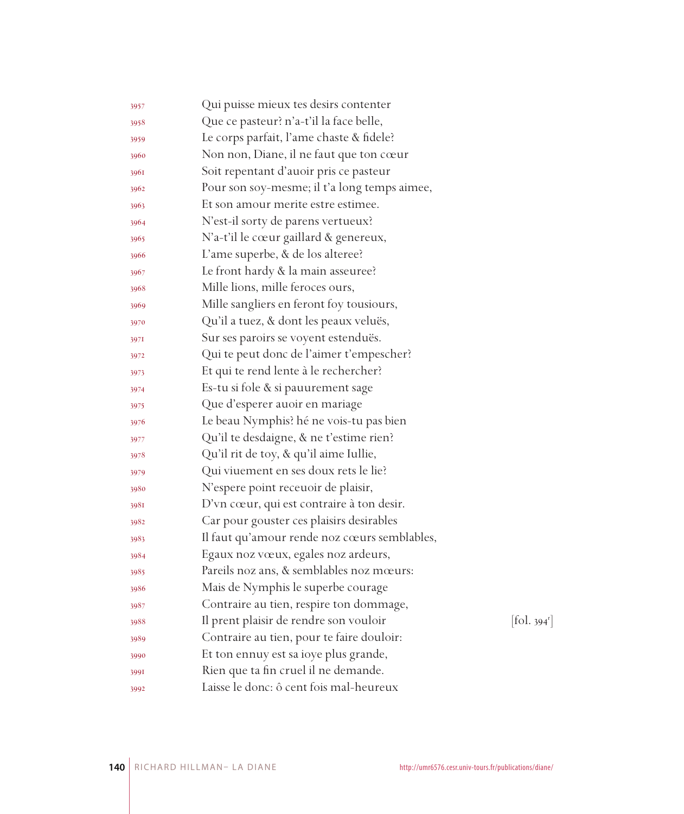| 3957 | Qui puisse mieux tes desirs contenter        |            |
|------|----------------------------------------------|------------|
| 3958 | Que ce pasteur? n'a-t'il la face belle,      |            |
| 3959 | Le corps parfait, l'ame chaste & fidele?     |            |
| 3960 | Non non, Diane, il ne faut que ton cœur      |            |
| 3961 | Soit repentant d'auoir pris ce pasteur       |            |
| 3962 | Pour son soy-mesme; il t'a long temps aimee, |            |
| 3963 | Et son amour merite estre estimee.           |            |
| 3964 | N'est-il sorty de parens vertueux?           |            |
| 3965 | N'a-t'il le cœur gaillard & genereux,        |            |
| 3966 | L'ame superbe, & de los alteree?             |            |
| 3967 | Le front hardy & la main asseuree?           |            |
| 3968 | Mille lions, mille feroces ours,             |            |
| 3969 | Mille sangliers en feront foy tousiours,     |            |
| 3970 | Qu'il a tuez, & dont les peaux veluës,       |            |
| 3971 | Sur ses paroirs se voyent estenduës.         |            |
| 3972 | Qui te peut donc de l'aimer t'empescher?     |            |
| 3973 | Et qui te rend lente à le rechercher?        |            |
| 3974 | Es-tu si fole & si pauurement sage           |            |
| 3975 | Que d'esperer auoir en mariage               |            |
| 3976 | Le beau Nymphis? hé ne vois-tu pas bien      |            |
| 3977 | Qu'il te desdaigne, & ne t'estime rien?      |            |
| 3978 | Qu'il rit de toy, & qu'il aime Iullie,       |            |
| 3979 | Qui viuement en ses doux rets le lie?        |            |
| 3980 | N'espere point receuoir de plaisir,          |            |
| 3981 | D'vn cœur, qui est contraire à ton desir.    |            |
| 3982 | Car pour gouster ces plaisirs desirables     |            |
| 3983 | Il faut qu'amour rende noz cœurs semblables, |            |
| 3984 | Egaux noz vœux, egales noz ardeurs,          |            |
| 3985 | Pareils noz ans, & semblables noz mœurs:     |            |
| 3986 | Mais de Nymphis le superbe courage           |            |
| 3987 | Contraire au tien, respire ton dommage,      |            |
| 3988 | Il prent plaisir de rendre son vouloir       | [fol. 394] |
| 3989 | Contraire au tien, pour te faire douloir:    |            |
| 3990 | Et ton ennuy est sa ioye plus grande,        |            |
| 3991 | Rien que ta fin cruel il ne demande.         |            |
| 3992 | Laisse le donc: ô cent fois mal-heureux      |            |

 $\left[\text{fol. } 394^{\text{r}}\right]$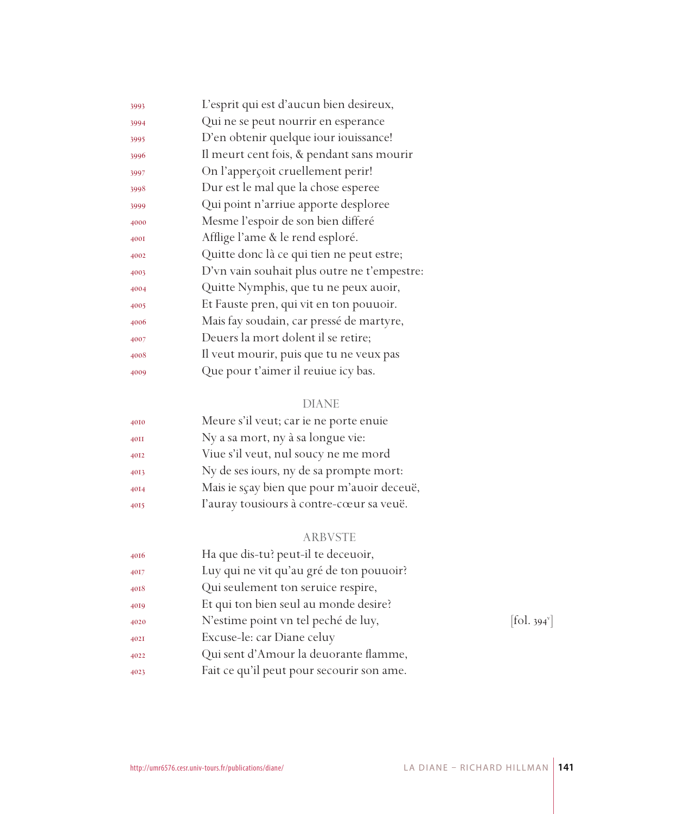| 3993 | L'esprit qui est d'aucun bien desireux,     |
|------|---------------------------------------------|
| 3994 | Qui ne se peut nourrir en esperance         |
| 3995 | D'en obtenir quelque iour iouissance!       |
| 3996 | Il meurt cent fois, & pendant sans mourir   |
| 3997 | On l'apperçoit cruellement perir!           |
| 3998 | Dur est le mal que la chose esperee         |
| 3999 | Qui point n'arriue apporte desploree        |
| 4000 | Mesme l'espoir de son bien differé          |
| 400I | Afflige l'ame & le rend esploré.            |
| 4002 | Quitte donc là ce qui tien ne peut estre;   |
| 4003 | D'vn vain souhait plus outre ne t'empestre: |
| 4004 | Quitte Nymphis, que tu ne peux auoir,       |
| 4005 | Et Fauste pren, qui vit en ton pouuoir.     |
| 4006 | Mais fay soudain, car pressé de martyre,    |
| 4007 | Deuers la mort dolent il se retire;         |
| 4008 | Il veut mourir, puis que tu ne veux pas     |
| 4009 | Que pour t'aimer il reuiue icy bas.         |
|      |                                             |

# DIANE

| 4010 | Meure s'il veut; car ie ne porte enuie     |
|------|--------------------------------------------|
| 40II | Ny a sa mort, ny à sa longue vie:          |
| 4012 | Viue s'il veut, nul soucy ne me mord       |
| 4013 | Ny de ses iours, ny de sa prompte mort:    |
| 4014 | Mais ie sçay bien que pour m'auoir deceuë, |
| 4015 | l'auray tousiours à contre-cœur sa veuë.   |

# ARBVSTE

| 4016 | Ha que dis-tu? peut-il te deceuoir,       |                          |
|------|-------------------------------------------|--------------------------|
| 4017 | Luy qui ne vit qu'au gré de ton pouuoir?  |                          |
| 4018 | Qui seulement ton seruice respire,        |                          |
| 4019 | Et qui ton bien seul au monde desire?     |                          |
| 4020 | N'estime point vn tel peché de luy,       | [fol. 394 <sup>v</sup> ] |
| 402I | Excuse-le: car Diane celuy                |                          |
| 4022 | Qui sent d'Amour la deuorante flamme,     |                          |
| 4023 | Fait ce qu'il peut pour secourir son ame. |                          |
|      |                                           |                          |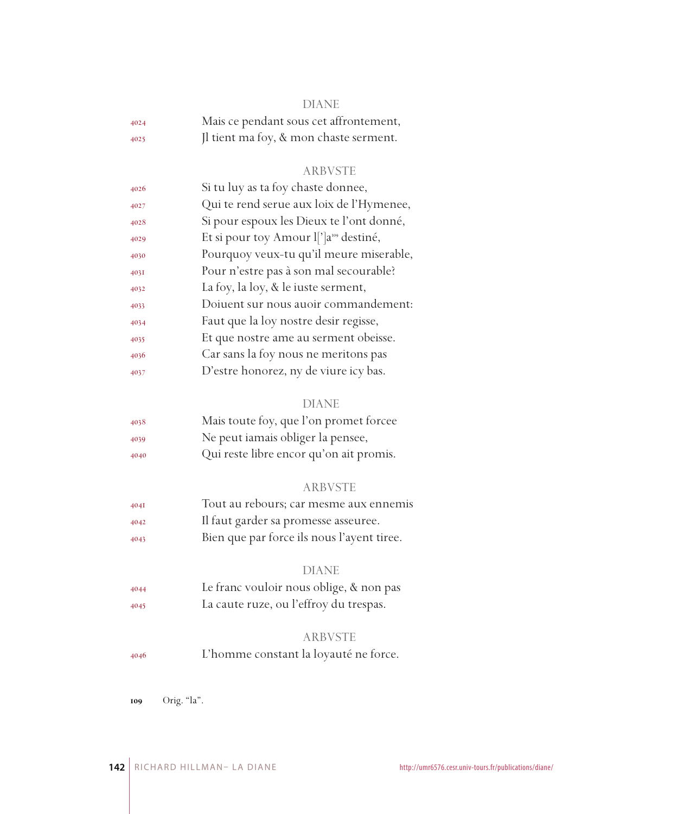| -- |
|----|
|    |

| 4024 | Mais ce pendant sous cet affrontement, |
|------|----------------------------------------|
| 4025 | Il tient ma foy, & mon chaste serment. |

#### ARBVSTE

| 4026 | Si tu luy as ta foy chaste donnee,                 |
|------|----------------------------------------------------|
| 4027 | Qui te rend serue aux loix de l'Hymenee,           |
| 4028 | Si pour espoux les Dieux te l'ont donné,           |
| 4029 | Et si pour toy Amour l[']a <sup>109</sup> destiné, |
| 4030 | Pourquoy veux-tu qu'il meure miserable,            |
| 403I | Pour n'estre pas à son mal secourable?             |
| 4032 | La foy, la loy, & le iuste serment,                |
| 4033 | Doiuent sur nous auoir commandement:               |
| 4034 | Faut que la loy nostre desir regisse,              |
| 4035 | Et que nostre ame au serment obeisse.              |
| 4036 | Car sans la foy nous ne meritons pas               |
| 4037 | D'estre honorez, ny de viure icy bas.              |

#### DIANE

| 4038 | Mais toute foy, que l'on promet forcee  |
|------|-----------------------------------------|
| 4039 | Ne peut iamais obliger la pensee,       |
| 4040 | Qui reste libre encor qu'on ait promis. |

#### ARBVSTE

 Tout au rebours; car mesme aux ennemis Il faut garder sa promesse asseuree. Bien que par force ils nous l'ayent tiree.

#### DIANE

 Le franc vouloir nous oblige, & non pas La caute ruze, ou l'effroy du trespas.

#### ARBVSTE

L'homme constant la loyauté ne force.

Orig. "la".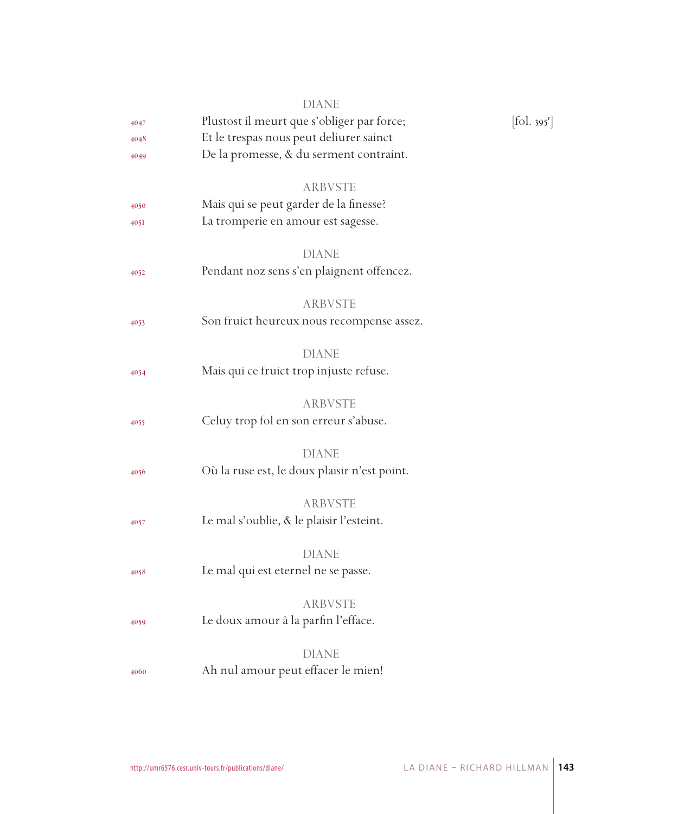|      | <b>DIANE</b>                                              |                                 |
|------|-----------------------------------------------------------|---------------------------------|
| 4047 | Plustost il meurt que s'obliger par force;                | $[\text{fol. } 395^{\text{r}}]$ |
| 4048 | Et le trespas nous peut deliurer sainct                   |                                 |
| 4049 | De la promesse, & du serment contraint.                   |                                 |
|      | <b>ARBVSTE</b>                                            |                                 |
| 4050 | Mais qui se peut garder de la finesse?                    |                                 |
| 4051 | La tromperie en amour est sagesse.                        |                                 |
|      |                                                           |                                 |
|      | <b>DIANE</b><br>Pendant noz sens s'en plaignent offencez. |                                 |
| 4052 |                                                           |                                 |
|      | ARBVSTE                                                   |                                 |
| 4053 | Son fruict heureux nous recompense assez.                 |                                 |
|      | <b>DIANE</b>                                              |                                 |
| 4054 | Mais qui ce fruict trop injuste refuse.                   |                                 |
|      |                                                           |                                 |
|      | <b>ARBVSTE</b>                                            |                                 |
| 4055 | Celuy trop fol en son erreur s'abuse.                     |                                 |
|      | <b>DIANE</b>                                              |                                 |
| 4056 | Où la ruse est, le doux plaisir n'est point.              |                                 |
|      |                                                           |                                 |
|      | <b>ARBVSTE</b>                                            |                                 |
| 4057 | Le mal s'oublie, & le plaisir l'esteint.                  |                                 |
|      | <b>DIANE</b>                                              |                                 |
| 4058 | Le mal qui est eternel ne se passe.                       |                                 |
|      | ARBVSTE                                                   |                                 |
| 4059 | Le doux amour à la parfin l'efface.                       |                                 |
|      |                                                           |                                 |
|      | <b>DIANE</b>                                              |                                 |
| 4060 | Ah nul amour peut effacer le mien!                        |                                 |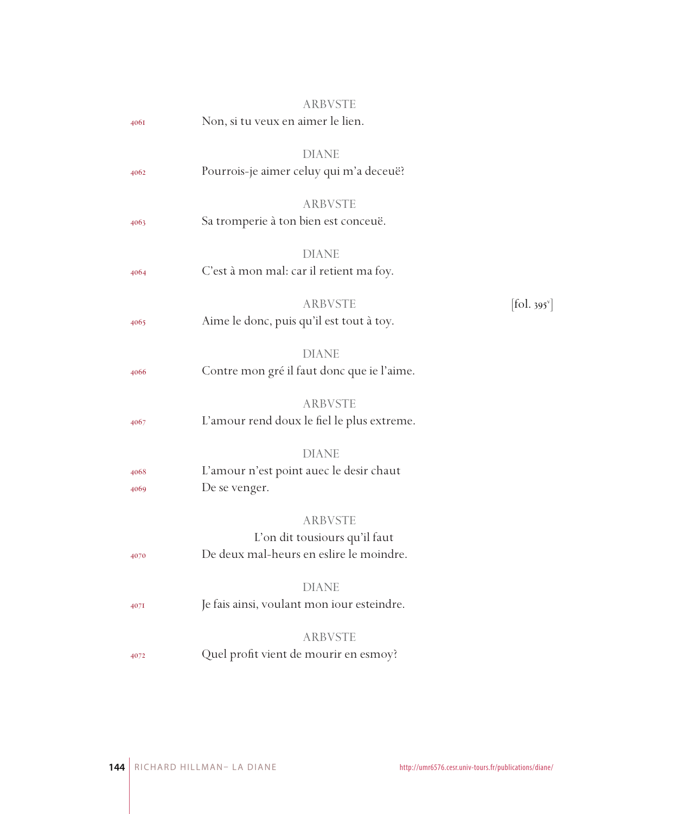|      | <b>ARBVSTE</b>                                          |                               |
|------|---------------------------------------------------------|-------------------------------|
| 4061 | Non, si tu veux en aimer le lien.                       |                               |
|      | <b>DIANE</b>                                            |                               |
| 4062 | Pourrois-je aimer celuy qui m'a deceuë?                 |                               |
|      |                                                         |                               |
|      | <b>ARBVSTE</b>                                          |                               |
| 4063 | Sa tromperie à ton bien est conceuë.                    |                               |
|      |                                                         |                               |
|      | <b>DIANE</b><br>C'est à mon mal: car il retient ma foy. |                               |
| 4064 |                                                         |                               |
|      | <b>ARBVSTE</b>                                          | $[\text{fol. } 395^\text{v}]$ |
| 4065 | Aime le donc, puis qu'il est tout à toy.                |                               |
|      |                                                         |                               |
|      | <b>DIANE</b>                                            |                               |
| 4066 | Contre mon gré il faut donc que ie l'aime.              |                               |
|      | <b>ARBVSTE</b>                                          |                               |
| 4067 | L'amour rend doux le fiel le plus extreme.              |                               |
|      |                                                         |                               |
|      | <b>DIANE</b>                                            |                               |
| 4068 | L'amour n'est point auec le desir chaut                 |                               |
| 4069 | De se venger.                                           |                               |
|      | <b>ARBVSTE</b>                                          |                               |
|      | L'on dit tousiours qu'il faut                           |                               |
| 4070 | De deux mal-heurs en eslire le moindre.                 |                               |
|      |                                                         |                               |
|      | <b>DIANE</b>                                            |                               |
| 407I | Je fais ainsi, voulant mon iour esteindre.              |                               |
|      | <b>ARBVSTE</b>                                          |                               |
| 4072 | Quel profit vient de mourir en esmoy?                   |                               |
|      |                                                         |                               |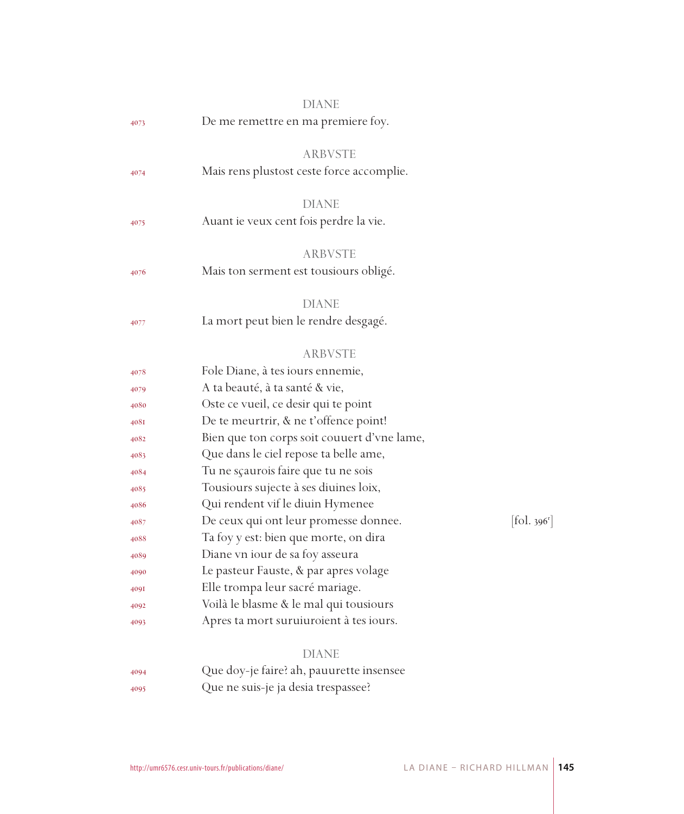|      | DIANE                                       |                                          |
|------|---------------------------------------------|------------------------------------------|
| 4073 | De me remettre en ma premiere foy.          |                                          |
|      | <b>ARBVSTE</b>                              |                                          |
| 4074 | Mais rens plustost ceste force accomplie.   |                                          |
|      | <b>DIANE</b>                                |                                          |
| 4075 | Auant ie veux cent fois perdre la vie.      |                                          |
|      | ARBVSTE                                     |                                          |
| 4076 | Mais ton serment est tousiours obligé.      |                                          |
|      | DIANE                                       |                                          |
| 4077 | La mort peut bien le rendre desgagé.        |                                          |
|      | <b>ARBVSTE</b>                              |                                          |
| 4078 | Fole Diane, à tes iours ennemie,            |                                          |
| 4079 | A ta beauté, à ta santé & vie,              |                                          |
| 4080 | Oste ce vueil, ce desir qui te point        |                                          |
| 408I | De te meurtrir, & ne t'offence point!       |                                          |
| 4082 | Bien que ton corps soit couuert d'vne lame, |                                          |
| 4083 | Que dans le ciel repose ta belle ame,       |                                          |
| 4084 | Tu ne sçaurois faire que tu ne sois         |                                          |
| 4085 | Tousiours sujecte à ses diuines loix,       |                                          |
| 4086 | Qui rendent vif le diuin Hymenee            |                                          |
| 4087 | De ceux qui ont leur promesse donnee.       | $\left[$ fol. 396 <sup>r</sup> $\right]$ |
| 4088 | Ta foy y est: bien que morte, on dira       |                                          |
| 4089 | Diane vn iour de sa foy asseura             |                                          |
| 4090 | Le pasteur Fauste, & par apres volage       |                                          |
| 409I | Elle trompa leur sacré mariage.             |                                          |
| 4092 | Voilà le blasme & le mal qui tousiours      |                                          |
| 4093 | Apres ta mort suruiuroient à tes iours.     |                                          |
|      | <b>DIANE</b>                                |                                          |
| 4094 | Que doy-je faire? ah, pauurette insensee    |                                          |
| 4095 | Que ne suis-je ja desia trespassee?         |                                          |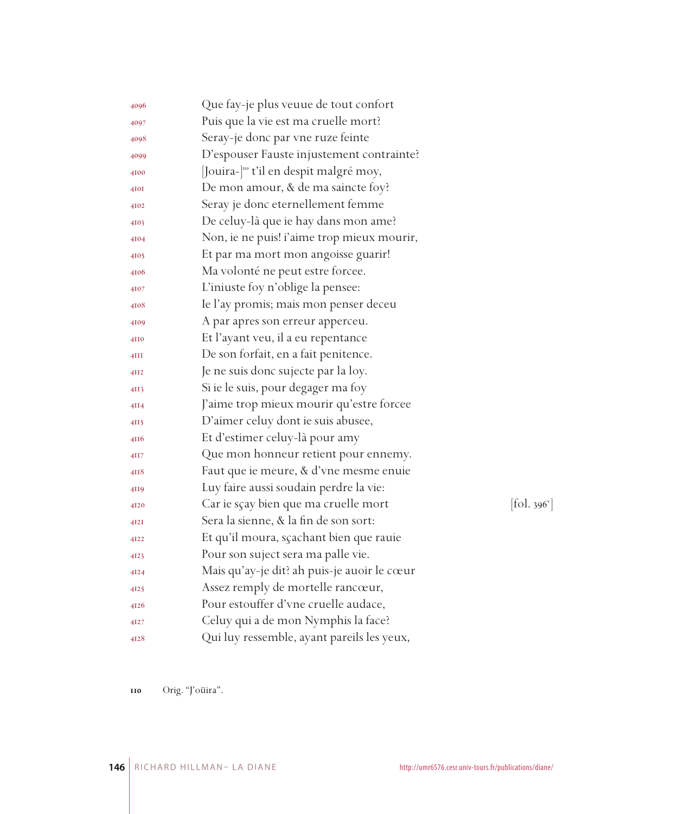| 4096            | Que fay-je plus veuue de tout confort             |            |
|-----------------|---------------------------------------------------|------------|
| 4097            | Puis que la vie est ma cruelle mort?              |            |
| 4098            | Seray-je donc par vne ruze feinte                 |            |
| 4099            | D'espouser Fauste injustement contrainte?         |            |
| 4100            | Jouira- <sup>l10</sup> t'il en despit malgré moy, |            |
| 4I0I            | De mon amour, & de ma saincte foy?                |            |
| 4102            | Seray je donc eternellement femme                 |            |
| 4103            | De celuy-là que ie hay dans mon ame?              |            |
| 4104            | Non, ie ne puis! i'aime trop mieux mourir,        |            |
| 4105            | Et par ma mort mon angoisse guarir!               |            |
| 4106            | Ma volonté ne peut estre forcee.                  |            |
| 4107            | L'iniuste foy n'oblige la pensee:                 |            |
| 4108            | Ie l'ay promis; mais mon penser deceu             |            |
| 4109            | A par apres son erreur apperceu.                  |            |
| 4110            | Et l'ayant veu, il a eu repentance                |            |
| 4III            | De son forfait, en a fait penitence.              |            |
| 4II2            | Je ne suis donc sujecte par la loy.               |            |
| 4II3            | Si ie le suis, pour degager ma foy                |            |
| 4II4            | J'aime trop mieux mourir qu'estre forcee          |            |
| 4II5            | D'aimer celuy dont ie suis abusee,                |            |
| 4116            | Et d'estimer celuy-là pour amy                    |            |
| 4H <sub>7</sub> | Que mon honneur retient pour ennemy.              |            |
| 4118            | Faut que ie meure, & d'vne mesme enuie            |            |
| 4II9            | Luy faire aussi soudain perdre la vie:            |            |
| 4120            | Car ie sçay bien que ma cruelle mort              | [fol. 396' |
| 4I2I            | Sera la sienne, & la fin de son sort:             |            |
| 4122            | Et qu'il moura, sçachant bien que rauie           |            |
| 4123            | Pour son suject sera ma palle vie.                |            |
| 4124            | Mais qu'ay-je dit? ah puis-je auoir le cœur       |            |
| 4125            | Assez remply de mortelle rancœur,                 |            |
| 4126            | Pour estouffer d'vne cruelle audace,              |            |
| 4127            | Celuy qui a de mon Nymphis la face?               |            |
| 4128            | Qui luy ressemble, ayant pareils les yeux,        |            |

 $\left[ \text{fol. } 396^{\circ} \right]$ 

Orig. "J'oüira".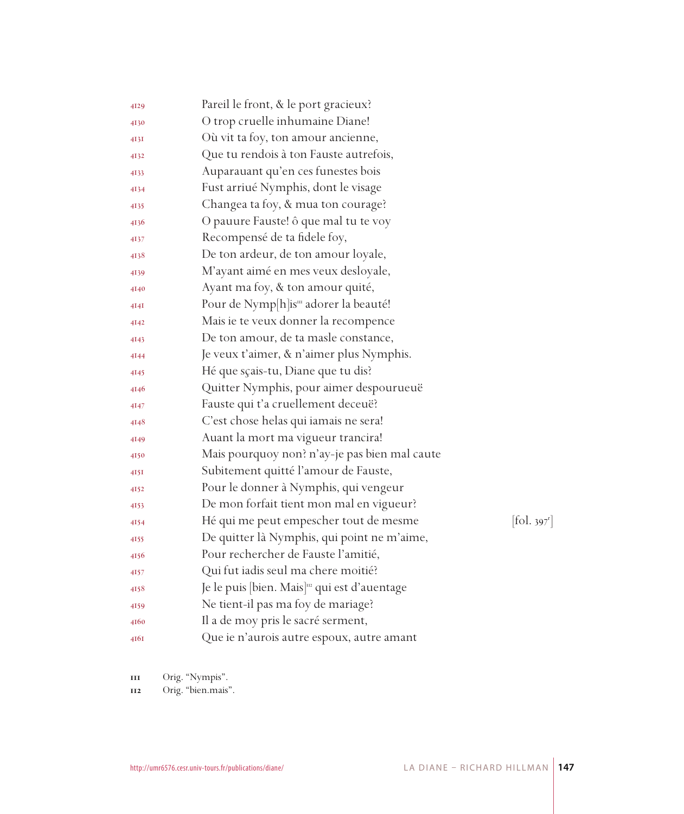| 4129 | Pareil le front, & le port gracieux?                      |                        |
|------|-----------------------------------------------------------|------------------------|
| 4130 | O trop cruelle inhumaine Diane!                           |                        |
| 413I | Où vit ta foy, ton amour ancienne,                        |                        |
| 4132 | Que tu rendois à ton Fauste autrefois,                    |                        |
| 4133 | Auparauant qu'en ces funestes bois                        |                        |
| 4134 | Fust arriué Nymphis, dont le visage                       |                        |
| 4135 | Changea ta foy, & mua ton courage?                        |                        |
| 4136 | O pauure Fauste! ô que mal tu te voy                      |                        |
| 4137 | Recompensé de ta fidele foy,                              |                        |
| 4138 | De ton ardeur, de ton amour loyale,                       |                        |
| 4139 | M'ayant aimé en mes veux desloyale,                       |                        |
| 4140 | Ayant ma foy, & ton amour quité,                          |                        |
| 4I4I | Pour de Nymp[h]is <sup>m</sup> adorer la beauté!          |                        |
| 4142 | Mais ie te veux donner la recompence                      |                        |
| 4143 | De ton amour, de ta masle constance,                      |                        |
| 4144 | Je veux t'aimer, & n'aimer plus Nymphis.                  |                        |
| 4145 | Hé que sçais-tu, Diane que tu dis?                        |                        |
| 4146 | Quitter Nymphis, pour aimer despourueuë                   |                        |
| 4147 | Fauste qui t'a cruellement deceuë?                        |                        |
| 4148 | C'est chose helas qui iamais ne sera!                     |                        |
| 4149 | Auant la mort ma vigueur trancira!                        |                        |
| 4150 | Mais pourquoy non? n'ay-je pas bien mal caute             |                        |
| 415I | Subitement quitté l'amour de Fauste,                      |                        |
| 4152 | Pour le donner à Nymphis, qui vengeur                     |                        |
| 4153 | De mon forfait tient mon mal en vigueur?                  |                        |
| 4154 | Hé qui me peut empescher tout de mesme                    | $[\text{fol. } 397^r]$ |
| 4155 | De quitter là Nymphis, qui point ne m'aime,               |                        |
| 4156 | Pour rechercher de Fauste l'amitié,                       |                        |
| 4157 | Qui fut iadis seul ma chere moitié?                       |                        |
| 4158 | Je le puis [bien. Mais] <sup>112</sup> qui est d'auentage |                        |
| 4159 | Ne tient-il pas ma foy de mariage?                        |                        |
| 4160 | Il a de moy pris le sacré serment,                        |                        |
| 416I | Que ie n'aurois autre espoux, autre amant                 |                        |

Orig. "Nympis".

Orig. "bien.mais".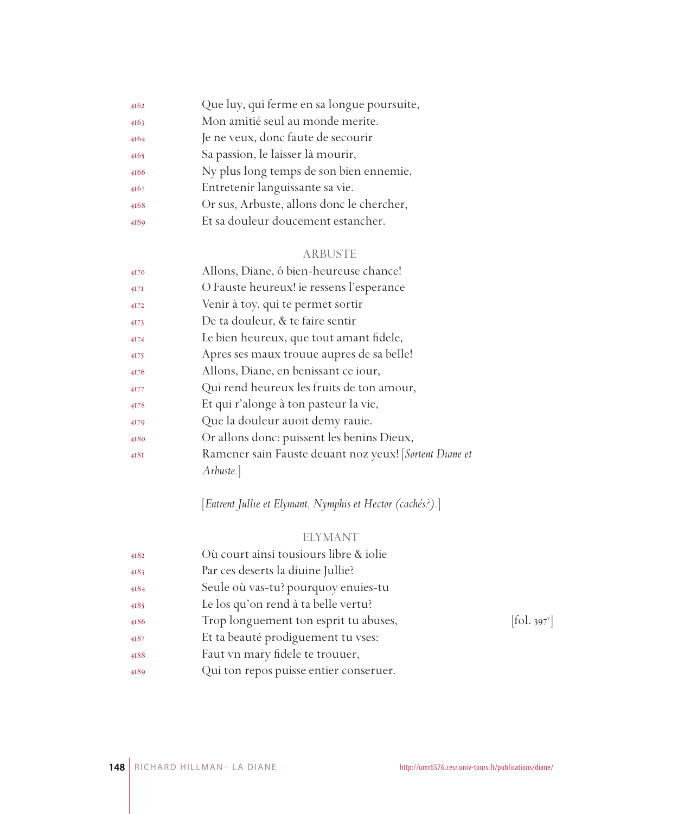| 4162 | Que luy, qui ferme en sa longue poursuite, |
|------|--------------------------------------------|
| 4163 | Mon amitié seul au monde merite.           |
| 4164 | Je ne veux, donc faute de secourir         |
| 4165 | Sa passion, le laisser là mourir,          |
| 4166 | Ny plus long temps de son bien ennemie,    |
| 4167 | Entretenir languissante sa vie.            |
| 4168 | Or sus, Arbuste, allons donc le chercher,  |
| 4169 | Et sa douleur doucement estancher.         |
|      |                                            |

# ARBUSTE

| 4170    | Allons, Diane, ô bien-heureuse chance!                 |
|---------|--------------------------------------------------------|
| $4I$ 7I | O Fauste heureux! ie ressens l'esperance               |
| 4172    | Venir à toy, qui te permet sortir                      |
| 4173    | De ta douleur, & te faire sentir                       |
| 4174    | Le bien heureux, que tout amant fidele,                |
| 4175    | Apres ses maux trouue aupres de sa belle!              |
| 4176    | Allons, Diane, en benissant ce iour,                   |
| 4177    | Qui rend heureux les fruits de ton amour,              |
| 4178    | Et qui r'alonge à ton pasteur la vie,                  |
| 4179    | Que la douleur auoit demy rauie.                       |
| 4180    | Or allons donc: puissent les benins Dieux,             |
| 4181    | Ramener sain Fauste deuant noz yeux! [Sortent Diane et |
|         | Arbuste.                                               |
|         |                                                        |

[*Entrent Jullie et Elymant, Nymphis et Hector (cachés?).*]

# ELYMANT

| 4182 | Où court ainsi tousiours libre & iolie |                          |
|------|----------------------------------------|--------------------------|
| 4183 | Par ces deserts la diuine Jullie?      |                          |
| 4184 | Seule où vas-tu? pourquoy enuies-tu    |                          |
| 4185 | Le los qu'on rend à ta belle vertu?    |                          |
| 4186 | Trop longuement ton esprit tu abuses,  | [fol. 397 <sup>v</sup> ] |
| 4187 | Et ta beauté prodiguement tu vses:     |                          |
| 4188 | Faut vn mary fidele te trouuer,        |                          |
| 4189 | Qui ton repos puisse entier conseruer. |                          |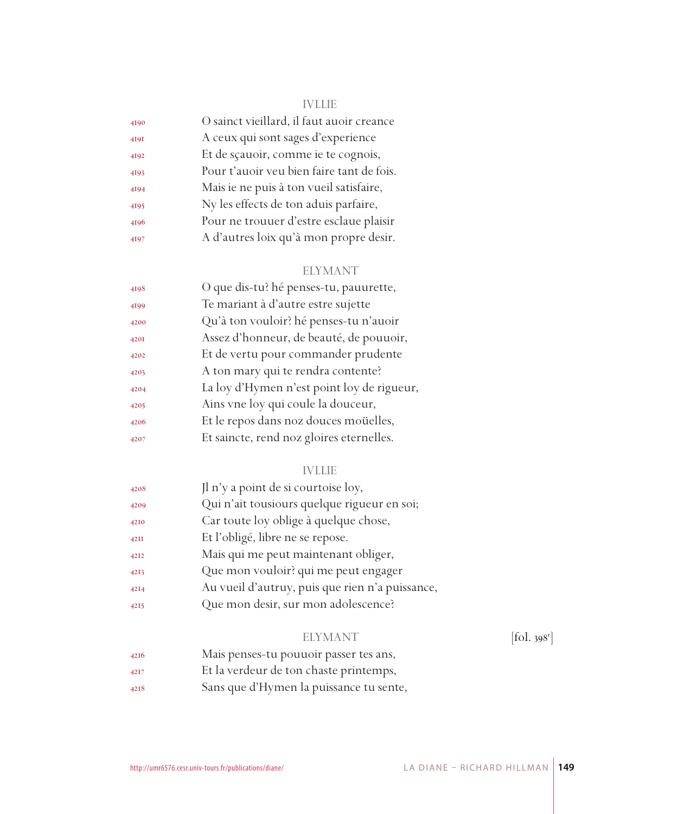#### IVLLIE

| 4190 | O sainct vieillard, il faut auoir creance |
|------|-------------------------------------------|
| 4191 | A ceux qui sont sages d'experience        |
| 4192 | Et de sçauoir, comme ie te cognois,       |
| 4193 | Pour t'auoir veu bien faire tant de fois. |
| 4194 | Mais ie ne puis à ton vueil satisfaire,   |
| 4195 | Ny les effects de ton aduis parfaire,     |
| 4196 | Pour ne trouuer d'estre esclaue plaisir   |
| 4197 | A d'autres loix qu'à mon propre desir.    |

#### ELYMANT

| 4198 | O que dis-tu? hé penses-tu, pauurette,     |
|------|--------------------------------------------|
| 4199 | Te mariant à d'autre estre sujette         |
| 4200 | Qu'à ton vouloir? hé penses-tu n'auoir     |
| 420I | Assez d'honneur, de beauté, de pouuoir,    |
| 4202 | Et de vertu pour commander prudente        |
| 4203 | A ton mary qui te rendra contente?         |
| 4204 | La loy d'Hymen n'est point loy de rigueur, |
| 4205 | Ains vne loy qui coule la douceur,         |
| 4206 | Et le repos dans noz douces moüelles,      |
| 4207 | Et saincte, rend noz gloires eternelles.   |

#### IVLLIE

| 4208 | Jl n'y a point de si courtoise loy,             |
|------|-------------------------------------------------|
| 4209 | Qui n'ait tousiours quelque rigueur en soi;     |
| 4210 | Car toute loy oblige à quelque chose,           |
| 42II | Et l'obligé, libre ne se repose.                |
| 4212 | Mais qui me peut maintenant obliger,            |
| 4213 | Que mon vouloir? qui me peut engager            |
| 4214 | Au vueil d'autruy, puis que rien n'a puissance, |
| 4215 | Que mon desir, sur mon adolescence?             |

#### ELYMANT

 $[$ fol. 398 $^r$ ]

- Mais penses-tu pouuoir passer tes ans,
- Et la verdeur de ton chaste printemps,
- Sans que d'Hymen la puissance tu sente,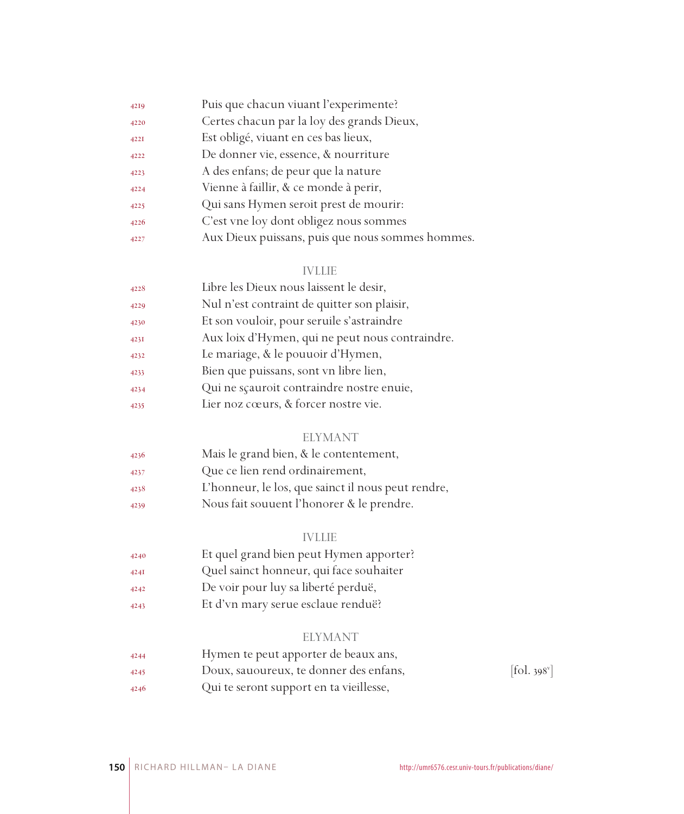| 4219        | Puis que chacun viuant l'experimente?            |
|-------------|--------------------------------------------------|
| 4220        | Certes chacun par la loy des grands Dieux,       |
| <b>422I</b> | Est obligé, viuant en ces bas lieux,             |
| 4222        | De donner vie, essence, & nourriture             |
| 4223        | A des enfans; de peur que la nature              |
| 4224        | Vienne à faillir, & ce monde à perir,            |
| 4225        | Qui sans Hymen seroit prest de mourir:           |
| 4226        | C'est vne loy dont obligez nous sommes           |
| 4227        | Aux Dieux puissans, puis que nous sommes hommes. |

#### IVLLIE

| 4228 | Libre les Dieux nous laissent le desir,         |
|------|-------------------------------------------------|
| 4229 | Nul n'est contraint de quitter son plaisir,     |
| 4230 | Et son vouloir, pour seruile s'astraindre       |
| 4231 | Aux loix d'Hymen, qui ne peut nous contraindre. |
| 4232 | Le mariage, & le pouuoir d'Hymen,               |
| 4233 | Bien que puissans, sont vn libre lien,          |
| 4234 | Qui ne scauroit contraindre nostre enuie,       |
| 4235 | Lier noz cœurs, & forcer nostre vie.            |

#### ELYMANT

| 4236 | Mais le grand bien, & le contentement, |
|------|----------------------------------------|
| 4237 | Que ce lien rend ordinairement,        |

- L'honneur, le los, que sainct il nous peut rendre,
- Nous fait souuent l'honorer & le prendre.

#### IVLLIE

- Et quel grand bien peut Hymen apporter?
- Quel sainct honneur, qui face souhaiter
- De voir pour luy sa liberté perduë,
- Et d'vn mary serue esclaue renduë?

#### ELYMANT

| 4244 | Hymen te peut apporter de beaux ans,    |                                           |
|------|-----------------------------------------|-------------------------------------------|
| 4245 | Doux, sauoureux, te donner des enfans,  | $\left[ \text{fol. } 398^{\circ} \right]$ |
| 4246 | Qui te seront support en ta vieillesse, |                                           |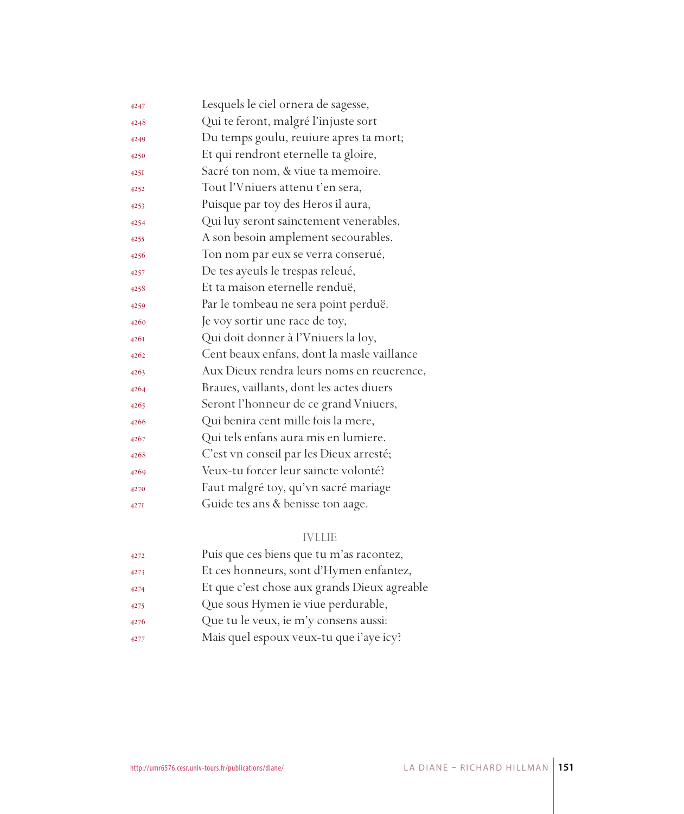| 4247 | Lesquels le ciel ornera de sagesse,        |
|------|--------------------------------------------|
| 4248 | Qui te feront, malgré l'injuste sort       |
| 4249 | Du temps goulu, reuiure apres ta mort;     |
| 4250 | Et qui rendront eternelle ta gloire,       |
| 4251 | Sacré ton nom, & viue ta memoire.          |
| 4252 | Tout l'Vniuers attenu t'en sera,           |
| 4253 | Puisque par toy des Heros il aura,         |
| 4254 | Qui luy seront sainctement venerables,     |
| 4255 | A son besoin amplement secourables.        |
| 4256 | Ton nom par eux se verra conserué,         |
| 4257 | De tes ayeuls le trespas releué,           |
| 4258 | Et ta maison eternelle renduë,             |
| 4259 | Par le tombeau ne sera point perduë.       |
| 4260 | Je voy sortir une race de toy,             |
| 4261 | Qui doit donner à l'Vniuers la loy,        |
| 4262 | Cent beaux enfans, dont la masle vaillance |
| 4263 | Aux Dieux rendra leurs noms en reuerence,  |
| 4264 | Braues, vaillants, dont les actes diuers   |
| 4265 | Seront l'honneur de ce grand Vniuers,      |
| 4266 | Qui benira cent mille fois la mere,        |
| 4267 | Qui tels enfans aura mis en lumiere.       |
| 4268 | C'est vn conseil par les Dieux arresté;    |
| 4269 | Veux-tu forcer leur saincte volonté?       |
| 4270 | Faut malgré toy, qu'vn sacré mariage       |
| 427I | Guide tes ans & benisse ton aage.          |
|      |                                            |

### IVLLIE

| 4272 | Puis que ces biens que tu m'as racontez,     |
|------|----------------------------------------------|
| 4273 | Et ces honneurs, sont d'Hymen enfantez,      |
| 4274 | Et que c'est chose aux grands Dieux agreable |
| 4275 | Que sous Hymen ie viue perdurable,           |
| 4276 | Que tu le veux, ie m'y consens aussi:        |
| 4277 | Mais quel espoux veux-tu que i'aye icy?      |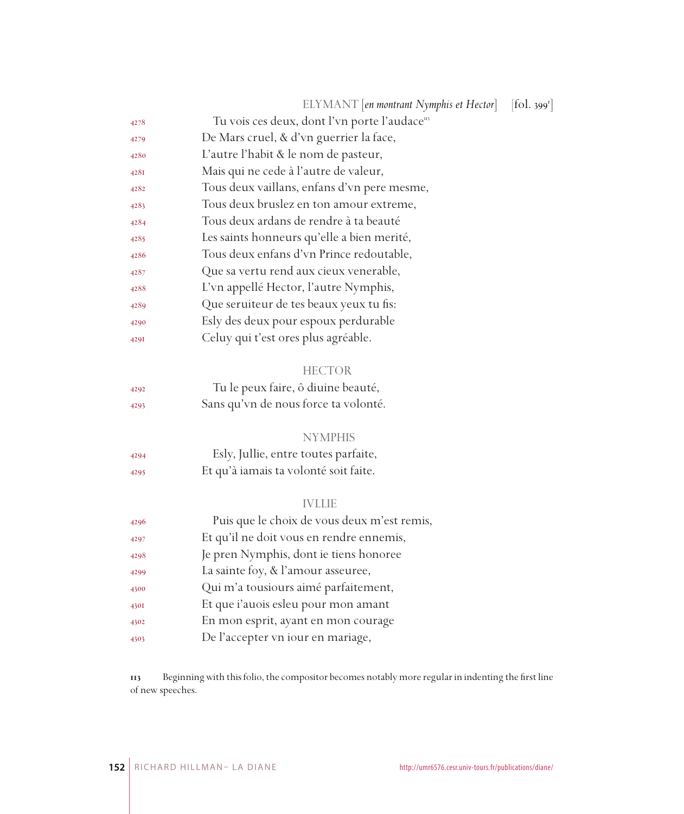|      | ELYMANT [en montrant Nymphis et Hector]                   | [fol. 399 <sup>r</sup> ] |
|------|-----------------------------------------------------------|--------------------------|
| 4278 | Tu vois ces deux, dont l'vn porte l'audace <sup>113</sup> |                          |
| 4279 | De Mars cruel, & d'vn guerrier la face,                   |                          |
| 4280 | L'autre l'habit & le nom de pasteur,                      |                          |
| 428I | Mais qui ne cede à l'autre de valeur,                     |                          |
| 4282 | Tous deux vaillans, enfans d'vn pere mesme,               |                          |
| 4283 | Tous deux bruslez en ton amour extreme,                   |                          |
| 4284 | Tous deux ardans de rendre à ta beauté                    |                          |
| 4285 | Les saints honneurs qu'elle a bien merité,                |                          |
| 4286 | Tous deux enfans d'vn Prince redoutable,                  |                          |
| 4287 | Que sa vertu rend aux cieux venerable,                    |                          |
| 4288 | L'vn appellé Hector, l'autre Nymphis,                     |                          |
| 4289 | Que seruiteur de tes beaux yeux tu fis:                   |                          |
| 4290 | Esly des deux pour espoux perdurable                      |                          |
| 429I | Celuy qui t'est ores plus agréable.                       |                          |
|      |                                                           |                          |
|      | <b>HECTOR</b>                                             |                          |
| 4292 | Tu le peux faire, ô diuine beauté,                        |                          |
| 4293 | Sans qu'vn de nous force ta volonté.                      |                          |
|      |                                                           |                          |
|      | <b>NYMPHIS</b>                                            |                          |
| 4294 | Esly, Jullie, entre toutes parfaite,                      |                          |
| 4295 | Et qu'à iamais ta volonté soit faite.                     |                          |
|      |                                                           |                          |
|      | <b>IVLLIE</b>                                             |                          |
| 4296 | Puis que le choix de vous deux m'est remis,               |                          |
| 4297 | Et qu'il ne doit vous en rendre ennemis,                  |                          |
| 4298 | Je pren Nymphis, dont ie tiens honoree                    |                          |
| 4299 | La sainte foy, & l'amour asseuree,                        |                          |
| 4300 | Qui m'a tousiours aimé parfaitement,                      |                          |
| 430I | Et que i'auois esleu pour mon amant                       |                          |
| 4302 | En mon esprit, ayant en mon courage                       |                          |
| 4303 | De l'accepter vn iour en mariage,                         |                          |
|      |                                                           |                          |

 Beginning with this folio, the compositor becomes notably more regular in indenting the first line of new speeches.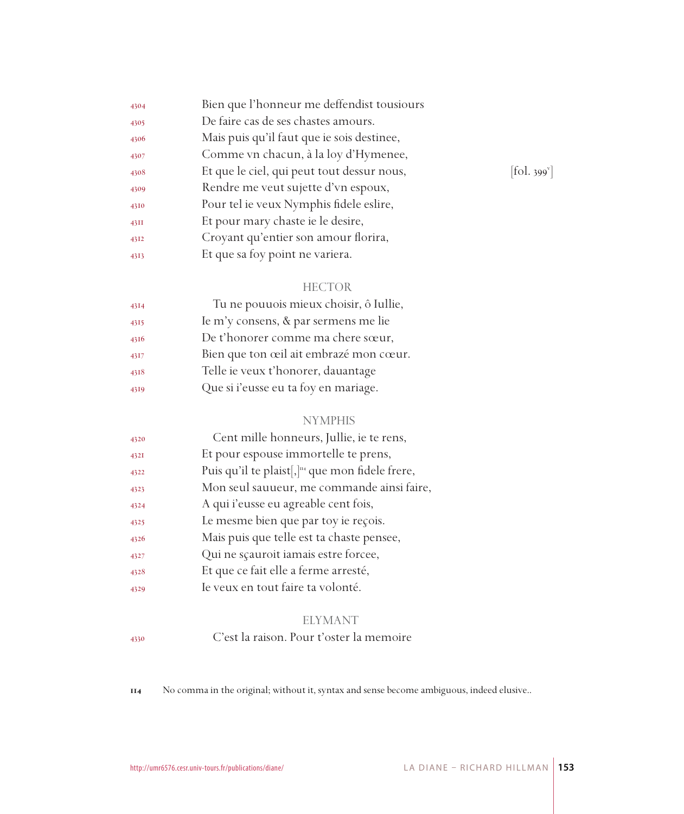| 4304 | Bien que l'honneur me deffendist tousiours |            |
|------|--------------------------------------------|------------|
| 4305 | De faire cas de ses chastes amours.        |            |
| 4306 | Mais puis qu'il faut que ie sois destinee, |            |
| 4307 | Comme vn chacun, à la loy d'Hymenee,       |            |
| 4308 | Et que le ciel, qui peut tout dessur nous, | [fol. 399] |
| 4309 | Rendre me veut sujette d'vn espoux,        |            |
| 4310 | Pour tel ie veux Nymphis fidele eslire,    |            |
| 43II | Et pour mary chaste ie le desire,          |            |
| 4312 | Croyant qu'entier son amour florira,       |            |
| 4313 | Et que sa foy point ne variera.            |            |
|      |                                            |            |

| 4314 | Tu ne pouuois mieux choisir, ô Iullie, |
|------|----------------------------------------|
| 4315 | Ie m'y consens, & par sermens me lie   |
| 4316 | De t'honorer comme ma chere sœur,      |
| 4317 | Bien que ton œil ait embrazé mon cœur. |
| 4318 | Telle ie veux t'honorer, dauantage     |
| 4319 | Que si i'eusse eu ta foy en mariage.   |

### NYMPHIS

| 4320 | Cent mille honneurs, Jullie, ie te rens,                      |
|------|---------------------------------------------------------------|
| 432I | Et pour espouse immortelle te prens,                          |
| 4322 | Puis qu'il te plaist[, ] <sup>114</sup> que mon fidele frere, |
| 4323 | Mon seul sauueur, me commande ainsi faire,                    |
| 4324 | A qui i'eusse eu agreable cent fois,                          |
| 4325 | Le mesme bien que par toy ie reçois.                          |
| 4326 | Mais puis que telle est ta chaste pensee,                     |
| 4327 | Qui ne scauroit iamais estre forcee,                          |
| 4328 | Et que ce fait elle a ferme arresté,                          |
| 4329 | Ie veux en tout faire ta volonté.                             |

# ELYMANT

# C'est la raison. Pour t'oster la memoire

No comma in the original; without it, syntax and sense become ambiguous, indeed elusive..

 $[$ fol. 399 $^{\circ}$ ]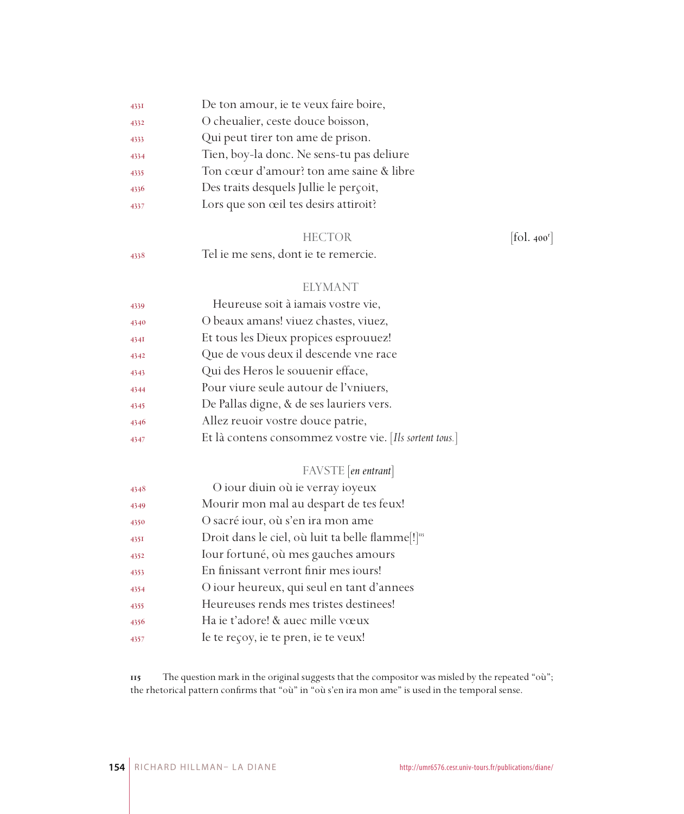| 433I | De ton amour, ie te veux faire boire,     |
|------|-------------------------------------------|
| 4332 | O cheualier, ceste douce boisson,         |
| 4333 | Qui peut tirer ton ame de prison.         |
| 4334 | Tien, boy-la donc. Ne sens-tu pas deliure |
| 4335 | Ton cœur d'amour? ton ame saine & libre   |
| 4336 | Des traits desquels Jullie le perçoit,    |
| 4337 | Lors que son œil tes desirs attiroit?     |
|      |                                           |

### HECTOR [fol. 400<sup>r</sup>]

Tel ie me sens, dont ie te remercie.

### ELYMANT

| 4339 | Heureuse soit à iamais vostre vie,                      |
|------|---------------------------------------------------------|
| 4340 | O beaux amans! viuez chastes, viuez,                    |
| 434I | Et tous les Dieux propices esprouuez!                   |
| 4342 | Que de vous deux il descende vne race                   |
| 4343 | Qui des Heros le souuenir efface,                       |
| 4344 | Pour viure seule autour de l'vniuers,                   |
| 4345 | De Pallas digne, & de ses lauriers vers.                |
| 4346 | Allez reuoir vostre douce patrie,                       |
| 4347 | Et là contens consommez vostre vie. [Ils sortent tous.] |

# FAVSTE [*en entrant*]

| 4348 | O iour diuin où ie verray ioyeux                             |
|------|--------------------------------------------------------------|
| 4349 | Mourir mon mal au despart de tes feux!                       |
| 4350 | O sacré iour, où s'en ira mon ame                            |
| 4351 | Droit dans le ciel, où luit ta belle flamme[!] <sup>11</sup> |
| 4352 | Iour fortuné, où mes gauches amours                          |
| 4353 | En finissant verront finir mes jours!                        |
| 4354 | O iour heureux, qui seul en tant d'annees                    |
| 4355 | Heureuses rends mes tristes destinees!                       |
| 4356 | Ha ie t'adore! & auec mille vœux                             |
| 4357 | Ie te reçoy, ie te pren, ie te veux!                         |

 The question mark in the original suggests that the compositor was misled by the repeated "où"; the rhetorical pattern confirms that "où" in "où s'en ira mon ame" is used in the temporal sense.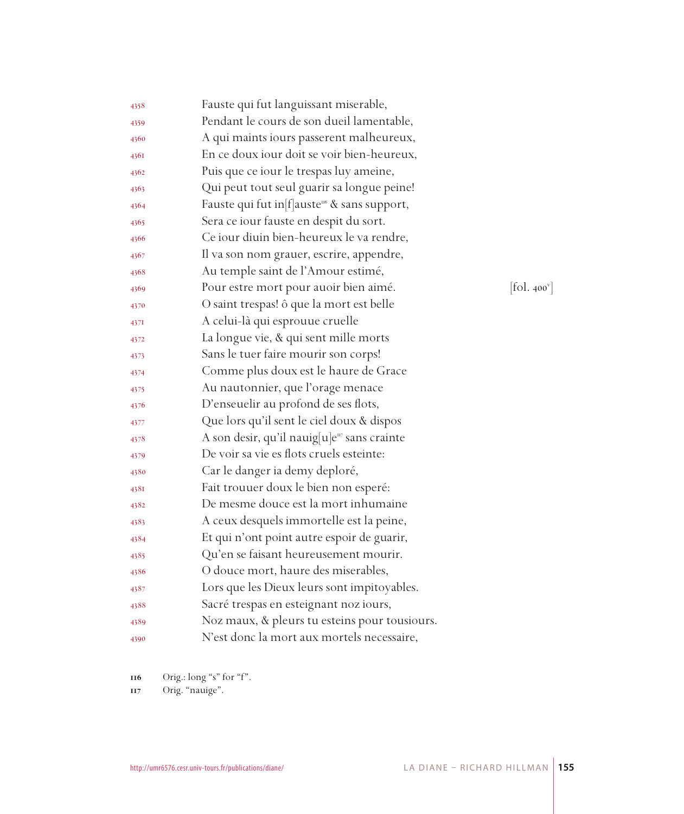| 4358 | Fauste qui fut languissant miserable,                      |                                             |
|------|------------------------------------------------------------|---------------------------------------------|
| 4359 | Pendant le cours de son dueil lamentable,                  |                                             |
| 4360 | A qui maints iours passerent malheureux,                   |                                             |
| 4361 | En ce doux iour doit se voir bien-heureux,                 |                                             |
| 4362 | Puis que ce iour le trespas luy ameine,                    |                                             |
| 4363 | Qui peut tout seul guarir sa longue peine!                 |                                             |
| 4364 | Fauste qui fut in [f] auste <sup>116</sup> & sans support, |                                             |
| 4365 | Sera ce iour fauste en despit du sort.                     |                                             |
| 4366 | Ce iour diuin bien-heureux le va rendre,                   |                                             |
| 4367 | Il va son nom grauer, escrire, appendre,                   |                                             |
| 4368 | Au temple saint de l'Amour estimé,                         |                                             |
| 4369 | Pour estre mort pour auoir bien aimé.                      | $\left[ \text{fol. 400}^{\text{v}} \right]$ |
| 4370 | O saint trespas! ô que la mort est belle                   |                                             |
| 4371 | A celui-là qui esprouue cruelle                            |                                             |
| 4372 | La longue vie, & qui sent mille morts                      |                                             |
| 4373 | Sans le tuer faire mourir son corps!                       |                                             |
| 4374 | Comme plus doux est le haure de Grace                      |                                             |
| 4375 | Au nautonnier, que l'orage menace                          |                                             |
| 4376 | D'enseuelir au profond de ses flots,                       |                                             |
| 4377 | Que lors qu'il sent le ciel doux & dispos                  |                                             |
| 4378 | A son desir, qu'il nauig[u]e <sup>117</sup> sans crainte   |                                             |
| 4379 | De voir sa vie es flots cruels esteinte:                   |                                             |
| 4380 | Car le danger ia demy deploré,                             |                                             |
| 438I | Fait trouuer doux le bien non esperé:                      |                                             |
| 4382 | De mesme douce est la mort inhumaine                       |                                             |
| 4383 | A ceux desquels immortelle est la peine,                   |                                             |
| 4384 | Et qui n'ont point autre espoir de guarir,                 |                                             |
| 4385 | Qu'en se faisant heureusement mourir.                      |                                             |
| 4386 | O douce mort, haure des miserables,                        |                                             |
| 4387 | Lors que les Dieux leurs sont impitoyables.                |                                             |
| 4388 | Sacré trespas en esteignant noz iours,                     |                                             |
| 4389 | Noz maux, & pleurs tu esteins pour tousiours.              |                                             |
| 4390 | N'est donc la mort aux mortels necessaire,                 |                                             |

Orig.: long "s" for "f".

Orig. "nauige".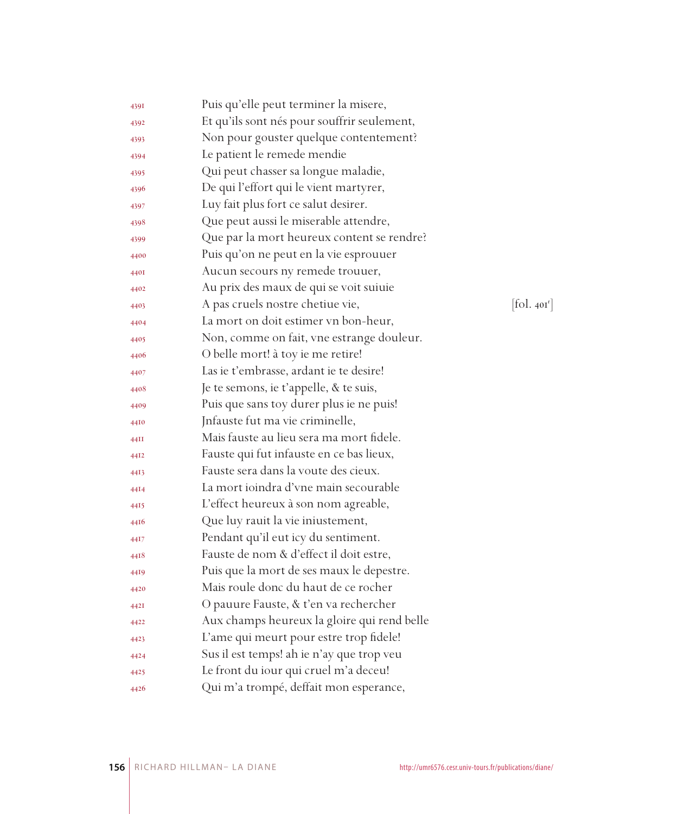| 4391 | Puis qu'elle peut terminer la misere,       |            |
|------|---------------------------------------------|------------|
| 4392 | Et qu'ils sont nés pour souffrir seulement, |            |
| 4393 | Non pour gouster quelque contentement?      |            |
| 4394 | Le patient le remede mendie                 |            |
| 4395 | Qui peut chasser sa longue maladie,         |            |
| 4396 | De qui l'effort qui le vient martyrer,      |            |
| 4397 | Luy fait plus fort ce salut desirer.        |            |
| 4398 | Que peut aussi le miserable attendre,       |            |
| 4399 | Que par la mort heureux content se rendre?  |            |
| 4400 | Puis qu'on ne peut en la vie esprouuer      |            |
| 440I | Aucun secours ny remede trouuer,            |            |
| 4402 | Au prix des maux de qui se voit suiuie      |            |
| 4403 | A pas cruels nostre chetiue vie,            | [fol. 401] |
| 4404 | La mort on doit estimer vn bon-heur,        |            |
| 4405 | Non, comme on fait, vne estrange douleur.   |            |
| 4406 | O belle mort! à toy ie me retire!           |            |
| 4407 | Las ie t'embrasse, ardant ie te desire!     |            |
| 4408 | Je te semons, ie t'appelle, & te suis,      |            |
| 4409 | Puis que sans toy durer plus ie ne puis!    |            |
| 4410 | Infauste fut ma vie criminelle,             |            |
| 44II | Mais fauste au lieu sera ma mort fidele.    |            |
| 4412 | Fauste qui fut infauste en ce bas lieux,    |            |
| 4413 | Fauste sera dans la voute des cieux.        |            |
| 4414 | La mort ioindra d'vne main secourable       |            |
| 4415 | L'effect heureux à son nom agreable,        |            |
| 4416 | Que luy rauit la vie iniustement,           |            |
| 44I7 | Pendant qu'il eut icy du sentiment.         |            |
| 4418 | Fauste de nom & d'effect il doit estre,     |            |
| 4419 | Puis que la mort de ses maux le depestre.   |            |
| 4420 | Mais roule donc du haut de ce rocher        |            |
| 442I | O pauure Fauste, & t'en va rechercher       |            |
| 4422 | Aux champs heureux la gloire qui rend belle |            |
| 4423 | L'ame qui meurt pour estre trop fidele!     |            |
| 4424 | Sus il est temps! ah ie n'ay que trop veu   |            |
| 4425 | Le front du iour qui cruel m'a deceu!       |            |
| 4426 | Qui m'a trompé, deffait mon esperance,      |            |

 $\left[\text{fol. } 40\text{I}^\text{r}\right]$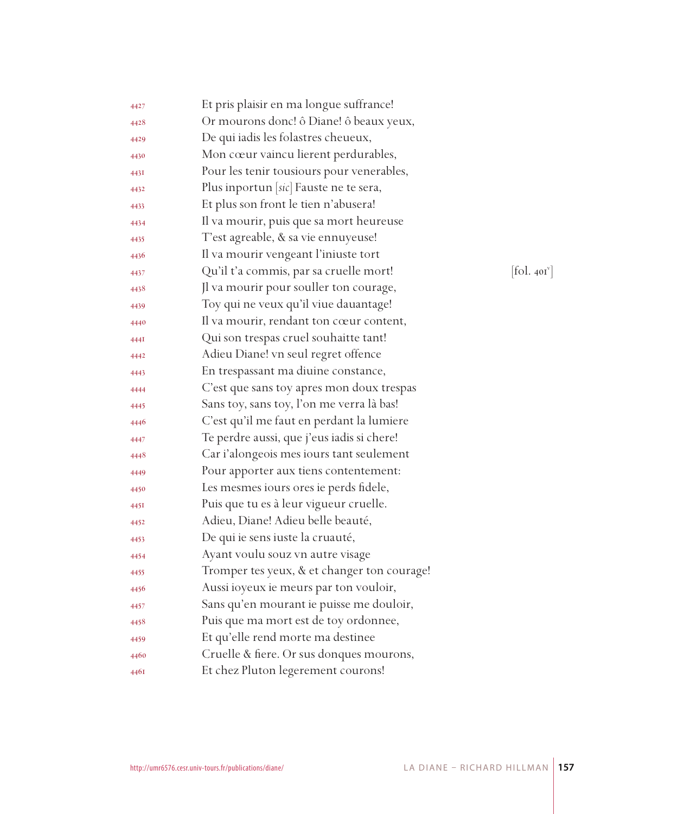| 4427 | Et pris plaisir en ma longue suffrance!     |                                             |
|------|---------------------------------------------|---------------------------------------------|
| 4428 | Or mourons donc! ô Diane! ô beaux yeux,     |                                             |
| 4429 | De qui iadis les folastres cheueux,         |                                             |
| 4430 | Mon cœur vaincu lierent perdurables,        |                                             |
| 443I | Pour les tenir tousiours pour venerables,   |                                             |
| 4432 | Plus inportun [sic] Fauste ne te sera,      |                                             |
| 4433 | Et plus son front le tien n'abusera!        |                                             |
| 4434 | Il va mourir, puis que sa mort heureuse     |                                             |
| 4435 | T'est agreable, & sa vie ennuyeuse!         |                                             |
| 4436 | Il va mourir vengeant l'iniuste tort        |                                             |
| 4437 | Qu'il t'a commis, par sa cruelle mort!      | $\left[ \text{fol. 40I}^{\text{v}} \right]$ |
| 4438 | Jl va mourir pour souller ton courage,      |                                             |
| 4439 | Toy qui ne veux qu'il viue dauantage!       |                                             |
| 4440 | Il va mourir, rendant ton cœur content,     |                                             |
| 444I | Qui son trespas cruel souhaitte tant!       |                                             |
| 4442 | Adieu Diane! vn seul regret offence         |                                             |
| 4443 | En trespassant ma diuine constance,         |                                             |
| 4444 | C'est que sans toy apres mon doux trespas   |                                             |
| 4445 | Sans toy, sans toy, l'on me verra là bas!   |                                             |
| 4446 | C'est qu'il me faut en perdant la lumiere   |                                             |
| 4447 | Te perdre aussi, que j'eus iadis si chere!  |                                             |
| 4448 | Car i'alongeois mes iours tant seulement    |                                             |
| 4449 | Pour apporter aux tiens contentement:       |                                             |
| 4450 | Les mesmes iours ores ie perds fidele,      |                                             |
| 445I | Puis que tu es à leur vigueur cruelle.      |                                             |
| 4452 | Adieu, Diane! Adieu belle beauté,           |                                             |
| 4453 | De qui ie sens iuste la cruauté,            |                                             |
| 4454 | Ayant voulu souz vn autre visage            |                                             |
| 4455 | Tromper tes yeux, & et changer ton courage! |                                             |
| 4456 | Aussi ioyeux ie meurs par ton vouloir,      |                                             |
| 4457 | Sans qu'en mourant ie puisse me douloir,    |                                             |
| 4458 | Puis que ma mort est de toy ordonnee,       |                                             |
| 4459 | Et qu'elle rend morte ma destinee           |                                             |
| 4460 | Cruelle & fiere. Or sus donques mourons,    |                                             |
| 446I | Et chez Pluton legerement courons!          |                                             |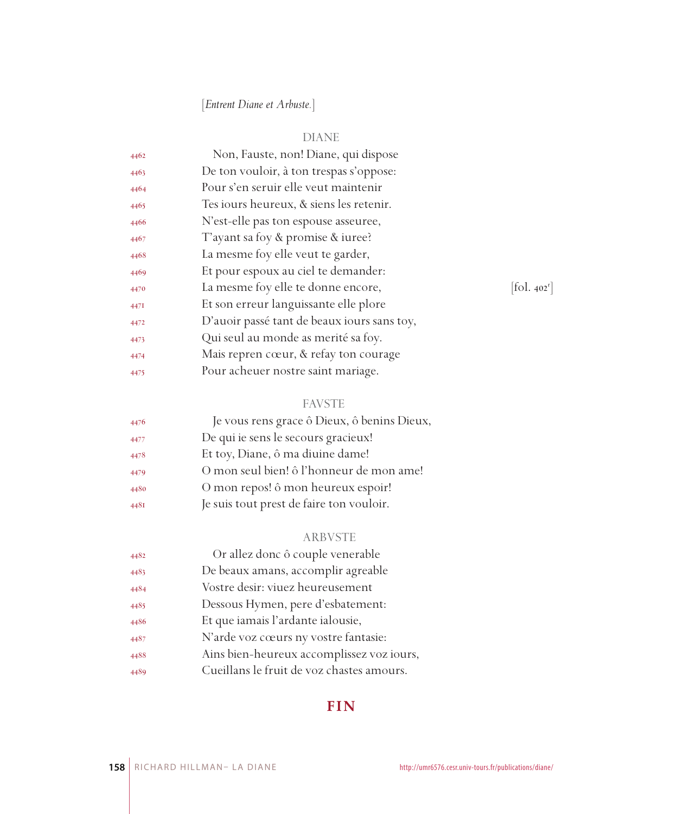# [*Entrent Diane et Arbuste.*]

# DIANE

| 4462 | Non, Fauste, non! Diane, qui dispose        |                                   |
|------|---------------------------------------------|-----------------------------------|
| 4463 | De ton vouloir, à ton trespas s'oppose:     |                                   |
| 4464 | Pour s'en seruir elle veut maintenir        |                                   |
| 4465 | Tes iours heureux, & siens les retenir.     |                                   |
| 4466 | N'est-elle pas ton espouse asseuree,        |                                   |
| 4467 | T'ayant sa foy & promise & iuree?           |                                   |
| 4468 | La mesme foy elle veut te garder,           |                                   |
| 4469 | Et pour espoux au ciel te demander:         |                                   |
| 4470 | La mesme foy elle te donne encore,          | $\left  \text{fol. } 402 \right $ |
| 447I | Et son erreur languissante elle plore       |                                   |
| 4472 | D'auoir passé tant de beaux iours sans toy, |                                   |
| 4473 | Qui seul au monde as merité sa foy.         |                                   |
| 4474 | Mais repren cœur, & refay ton courage       |                                   |
| 4475 | Pour acheuer nostre saint mariage.          |                                   |

# FAVSTE

| 4476 | Je vous rens grace ô Dieux, ô benins Dieux, |
|------|---------------------------------------------|
| 4477 | De qui ie sens le secours gracieux!         |
| 4478 | Et toy, Diane, ô ma diuine dame!            |
| 4479 | O mon seul bien! ô l'honneur de mon ame!    |
| 4480 | O mon repos! ô mon heureux espoir!          |
| 448I | Je suis tout prest de faire ton vouloir.    |

# ARBVSTE

| 4482 | Or allez donc ô couple venerable          |
|------|-------------------------------------------|
| 4483 | De beaux amans, accomplir agreable        |
| 4484 | Vostre desir: viuez heureusement          |
| 4485 | Dessous Hymen, pere d'esbatement:         |
| 4486 | Et que iamais l'ardante ialousie,         |
| 4487 | N'arde voz cœurs ny vostre fantasie:      |
| 4488 | Ains bien-heureux accomplissez voz iours, |
| 4489 | Cueillans le fruit de voz chastes amours. |
|      |                                           |

# **FIN**

 $[$ fol. 402 $^r$ ]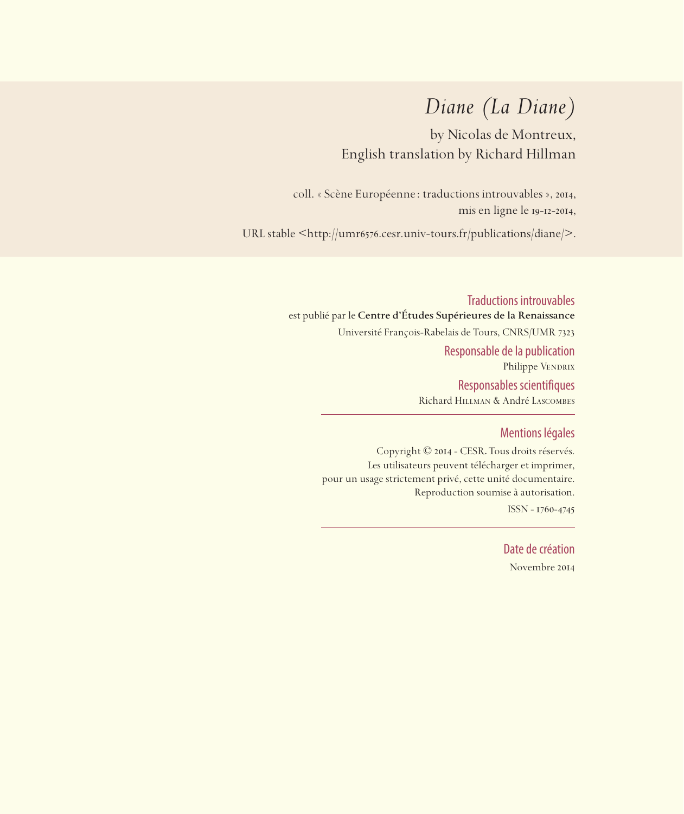# *Diane (La Diane)*

by Nicolas de Montreux, English translation by Richard Hillman

coll. « Scène Européenne: traductions introuvables », 2014, mis en ligne le 19-12-2014,

URL stable <https://sceneeuropeenne.univ-tours.fr/traductions/diane>

Traductions introuvables est publié par le **Centre d'Études Supérieures de la Renaissance**  Université François-Rabelais de Tours, CNRS/UMR 7323 Responsable de la publication Philippe VENDRIX Responsables scientifiques Richard Hillman & André Lascombes

### Mentions légales

Copyright © 2014 - CESR. Tous droits réservés. Les utilisateurs peuvent télécharger et imprimer, pour un usage strictement privé, cette unité documentaire. Reproduction soumise à autorisation. ISSN - 1760-4745

> Date de création Novembre 2014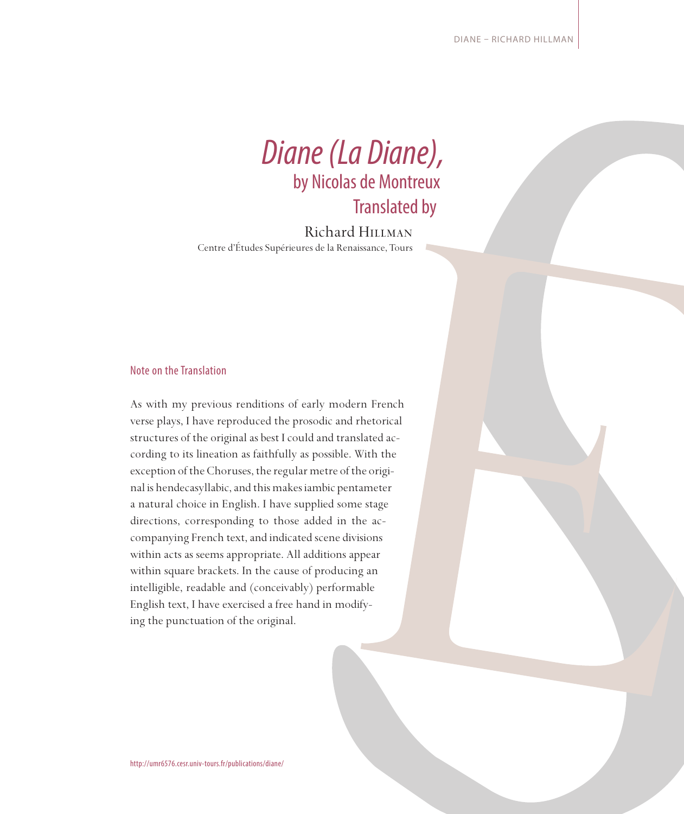

Richard Hillman Centre d'Études Supérieures de la Renaissance, Tours

#### Note on the Translation

As with my previous renditions of early modern French verse plays, I have reproduced the prosodic and rhetorical structures of the original as best I could and translated according to its lineation as faithfully as possible. With the exception of the Choruses, the regular metre of the original is hendecasyllabic, and this makes iambic pentameter a natural choice in English. I have supplied some stage directions, corresponding to those added in the accompanying French text, and indicated scene divisions within acts as seems appropriate. All additions appear within square brackets. In the cause of producing an intelligible, readable and (conceivably) performable English text, I have exercised a free hand in modifying the punctuation of the original.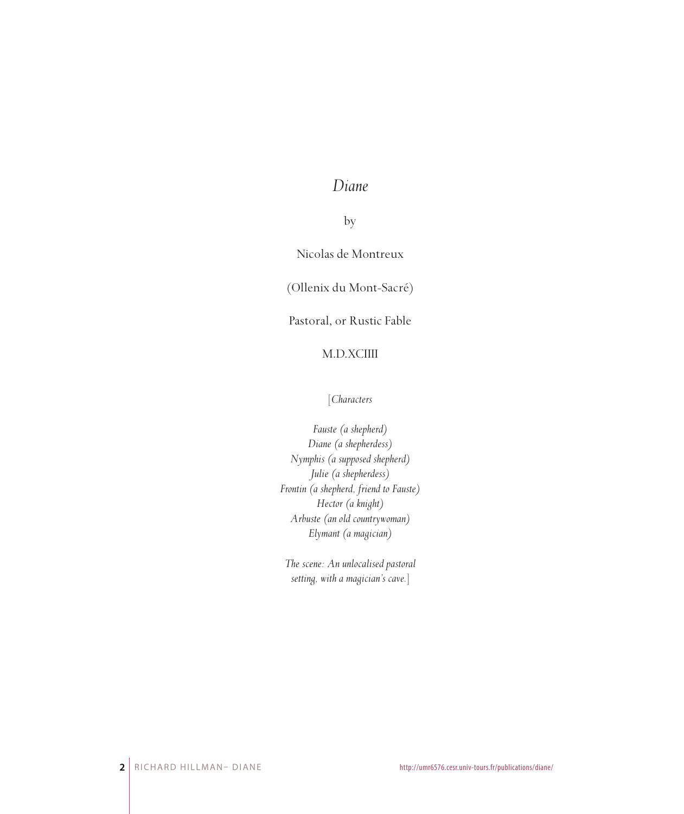# *Diane*

by

Nicolas de Montreux

(Ollenix du Mont-Sacré)

Pastoral, or Rustic Fable

### M.D.XCIIII

#### [*Characters*

*Fauste (a shepherd) Diane (a shepherdess) Nymphis (a supposed shepherd) Julie (a shepherdess) Frontin (a shepherd, friend to Fauste) Hector (a knight) Arbuste (an old countrywoman) Elymant (a magician)*

*The scene: An unlocalised pastoral setting, with a magician's cave.*]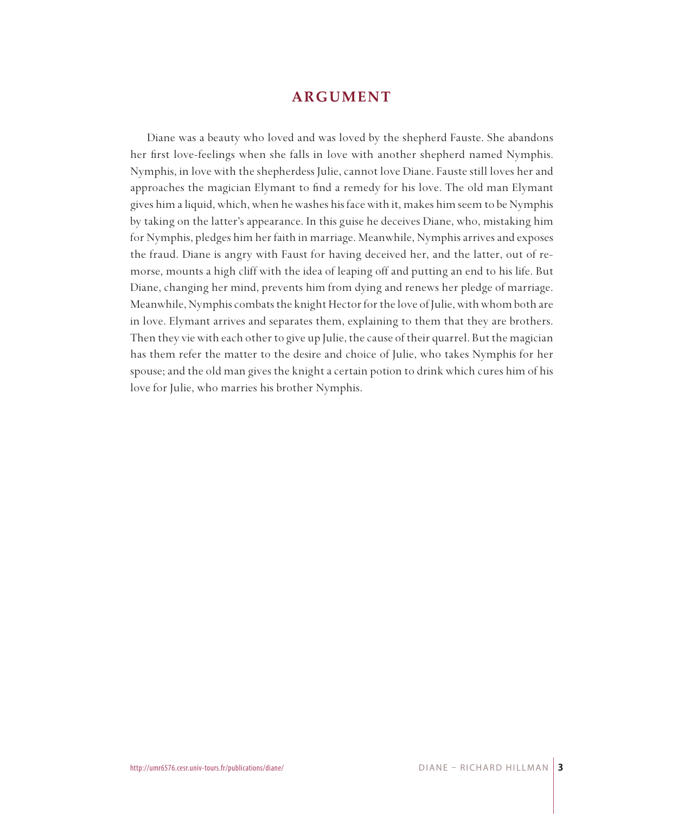## **ARGUMENT**

Diane was a beauty who loved and was loved by the shepherd Fauste. She abandons her first love-feelings when she falls in love with another shepherd named Nymphis. Nymphis, in love with the shepherdess Julie, cannot love Diane. Fauste still loves her and approaches the magician Elymant to find a remedy for his love. The old man Elymant gives him a liquid, which, when he washes his face with it, makes him seem to be Nymphis by taking on the latter's appearance. In this guise he deceives Diane, who, mistaking him for Nymphis, pledges him her faith in marriage. Meanwhile, Nymphis arrives and exposes the fraud. Diane is angry with Faust for having deceived her, and the latter, out of remorse, mounts a high cliff with the idea of leaping off and putting an end to his life. But Diane, changing her mind, prevents him from dying and renews her pledge of marriage. Meanwhile, Nymphis combats the knight Hector for the love of Julie, with whom both are in love. Elymant arrives and separates them, explaining to them that they are brothers. Then they vie with each other to give up Julie, the cause of their quarrel. But the magician has them refer the matter to the desire and choice of Julie, who takes Nymphis for her spouse; and the old man gives the knight a certain potion to drink which cures him of his love for Julie, who marries his brother Nymphis.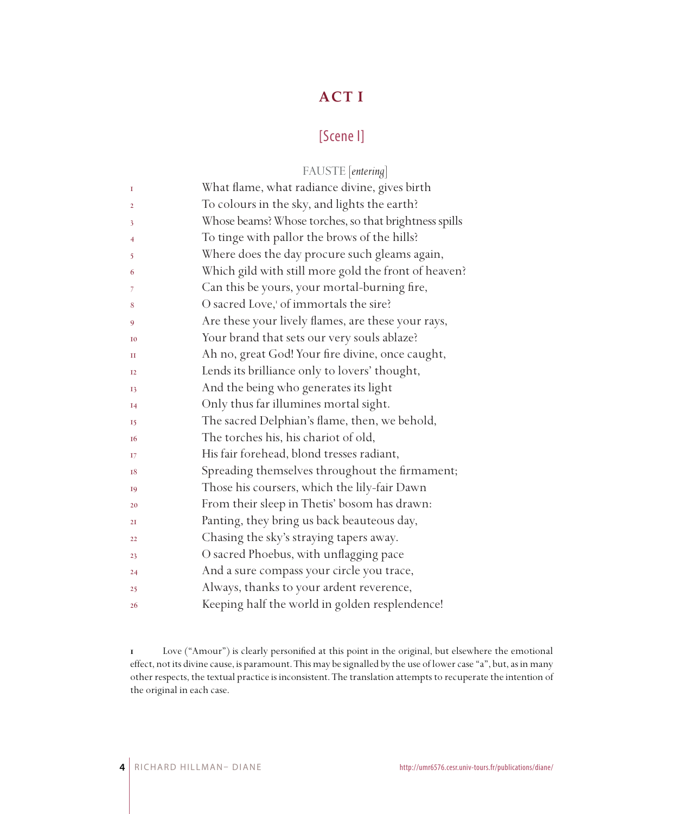# **ACT I**

## [Scene I]

|                | FAUSTE [entering]                                     |
|----------------|-------------------------------------------------------|
| I              | What flame, what radiance divine, gives birth         |
| $\overline{2}$ | To colours in the sky, and lights the earth?          |
| 3              | Whose beams? Whose torches, so that brightness spills |
| 4              | To tinge with pallor the brows of the hills?          |
| 5              | Where does the day procure such gleams again,         |
| 6              | Which gild with still more gold the front of heaven?  |
| 7              | Can this be yours, your mortal-burning fire,          |
| 8              | O sacred Love, <sup>1</sup> of immortals the sire?    |
| 9              | Are these your lively flames, are these your rays,    |
| <b>I0</b>      | Your brand that sets our very souls ablaze?           |
| П              | Ah no, great God! Your fire divine, once caught,      |
| $_{12}$        | Lends its brilliance only to lovers' thought,         |
| 13             | And the being who generates its light                 |
| I4             | Only thus far illumines mortal sight.                 |
| 15             | The sacred Delphian's flame, then, we behold,         |
| 16             | The torches his, his chariot of old,                  |
| 17             | His fair forehead, blond tresses radiant,             |
| 18             | Spreading themselves throughout the firmament;        |
| 19             | Those his coursers, which the lily-fair Dawn          |
| 20             | From their sleep in Thetis' bosom has drawn:          |
| 2I             | Panting, they bring us back beauteous day,            |
| 22             | Chasing the sky's straying tapers away.               |
| 23             | O sacred Phoebus, with unflagging pace                |
| 24             | And a sure compass your circle you trace,             |
| 25             | Always, thanks to your ardent reverence,              |
| 26             | Keeping half the world in golden resplendence!        |

 Love ("Amour") is clearly personified at this point in the original, but elsewhere the emotional effect, not its divine cause, is paramount. This may be signalled by the use of lower case "a", but, as in many other respects, the textual practice is inconsistent. The translation attempts to recuperate the intention of the original in each case.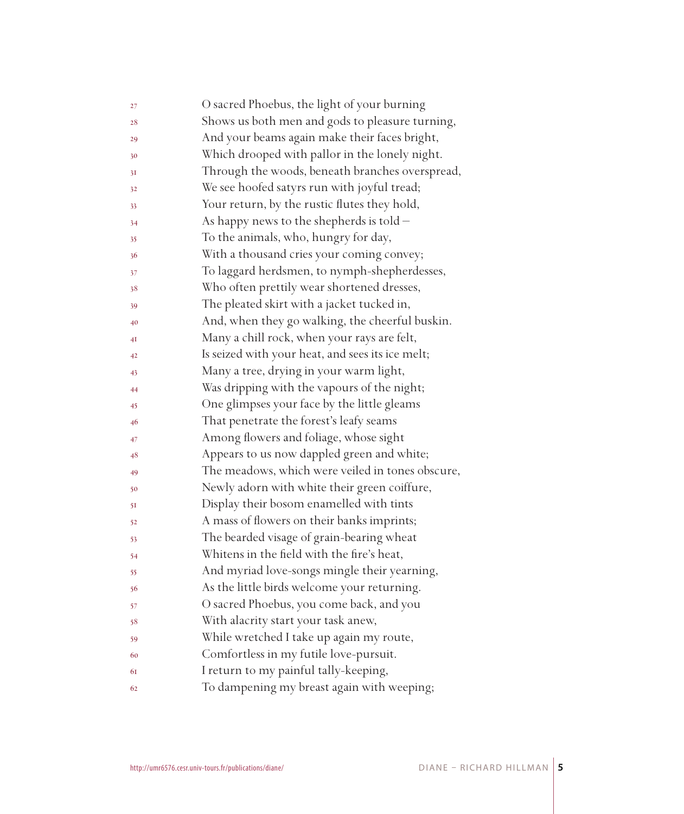| 27 | O sacred Phoebus, the light of your burning      |
|----|--------------------------------------------------|
| 28 | Shows us both men and gods to pleasure turning,  |
| 29 | And your beams again make their faces bright,    |
| 30 | Which drooped with pallor in the lonely night.   |
| 31 | Through the woods, beneath branches overspread,  |
| 32 | We see hoofed satyrs run with joyful tread;      |
| 33 | Your return, by the rustic flutes they hold,     |
| 34 | As happy news to the shepherds is told -         |
| 35 | To the animals, who, hungry for day,             |
| 36 | With a thousand cries your coming convey;        |
| 37 | To laggard herdsmen, to nymph-shepherdesses,     |
| 38 | Who often prettily wear shortened dresses,       |
| 39 | The pleated skirt with a jacket tucked in,       |
| 40 | And, when they go walking, the cheerful buskin.  |
| 4Ι | Many a chill rock, when your rays are felt,      |
| 42 | Is seized with your heat, and sees its ice melt; |
| 43 | Many a tree, drying in your warm light,          |
| 44 | Was dripping with the vapours of the night;      |
| 45 | One glimpses your face by the little gleams      |
| 46 | That penetrate the forest's leafy seams          |
| 47 | Among flowers and foliage, whose sight           |
| 48 | Appears to us now dappled green and white;       |
| 49 | The meadows, which were veiled in tones obscure, |
| 50 | Newly adorn with white their green coiffure,     |
| 51 | Display their bosom enamelled with tints         |
| 52 | A mass of flowers on their banks imprints;       |
| 53 | The bearded visage of grain-bearing wheat        |
| 54 | Whitens in the field with the fire's heat,       |
| 55 | And myriad love-songs mingle their yearning,     |
| 56 | As the little birds welcome your returning.      |
| 57 | O sacred Phoebus, you come back, and you         |
| 58 | With alacrity start your task anew,              |
| 59 | While wretched I take up again my route,         |
| 60 | Comfortless in my futile love-pursuit.           |
| 61 | I return to my painful tally-keeping,            |
| 62 | To dampening my breast again with weeping;       |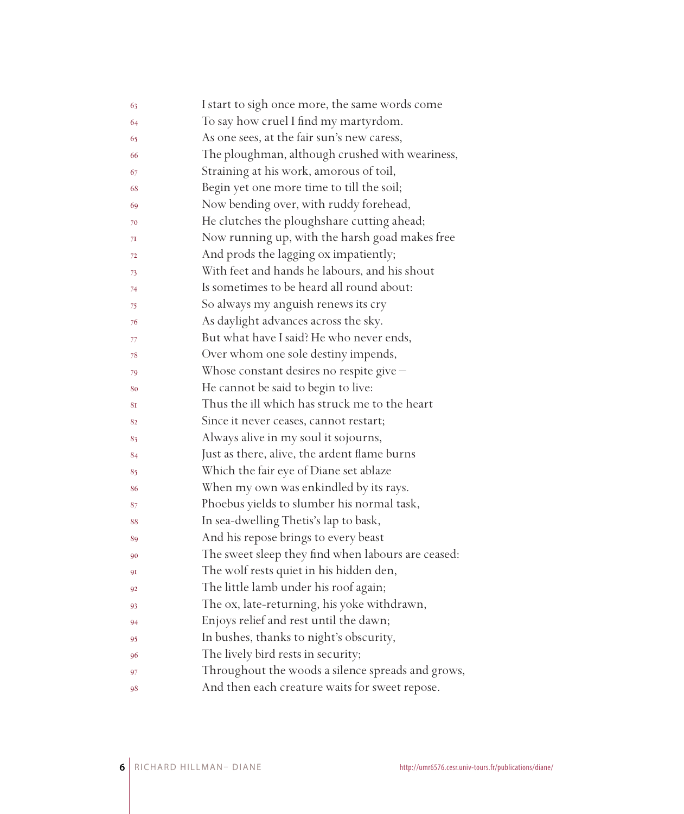| 63 | I start to sigh once more, the same words come     |
|----|----------------------------------------------------|
| 64 | To say how cruel I find my martyrdom.              |
| 65 | As one sees, at the fair sun's new caress,         |
| 66 | The ploughman, although crushed with weariness,    |
| 67 | Straining at his work, amorous of toil,            |
| 68 | Begin yet one more time to till the soil;          |
| 69 | Now bending over, with ruddy forehead,             |
| 70 | He clutches the ploughshare cutting ahead;         |
| 71 | Now running up, with the harsh goad makes free     |
| 72 | And prods the lagging ox impatiently;              |
| 73 | With feet and hands he labours, and his shout      |
| 74 | Is sometimes to be heard all round about:          |
| 75 | So always my anguish renews its cry                |
| 76 | As daylight advances across the sky.               |
| 77 | But what have I said? He who never ends,           |
| 78 | Over whom one sole destiny impends,                |
| 79 | Whose constant desires no respite give -           |
| 80 | He cannot be said to begin to live:                |
| 81 | Thus the ill which has struck me to the heart      |
| 82 | Since it never ceases, cannot restart;             |
| 83 | Always alive in my soul it sojourns,               |
| 84 | Just as there, alive, the ardent flame burns       |
| 85 | Which the fair eye of Diane set ablaze             |
| 86 | When my own was enkindled by its rays.             |
| 87 | Phoebus yields to slumber his normal task,         |
| 88 | In sea-dwelling Thetis's lap to bask,              |
| 89 | And his repose brings to every beast               |
| 90 | The sweet sleep they find when labours are ceased: |
| 91 | The wolf rests quiet in his hidden den,            |
| 92 | The little lamb under his roof again;              |
| 93 | The ox, late-returning, his yoke withdrawn,        |
| 94 | Enjoys relief and rest until the dawn;             |
| 95 | In bushes, thanks to night's obscurity,            |
| 96 | The lively bird rests in security;                 |
| 97 | Throughout the woods a silence spreads and grows,  |
| 98 | And then each creature waits for sweet repose.     |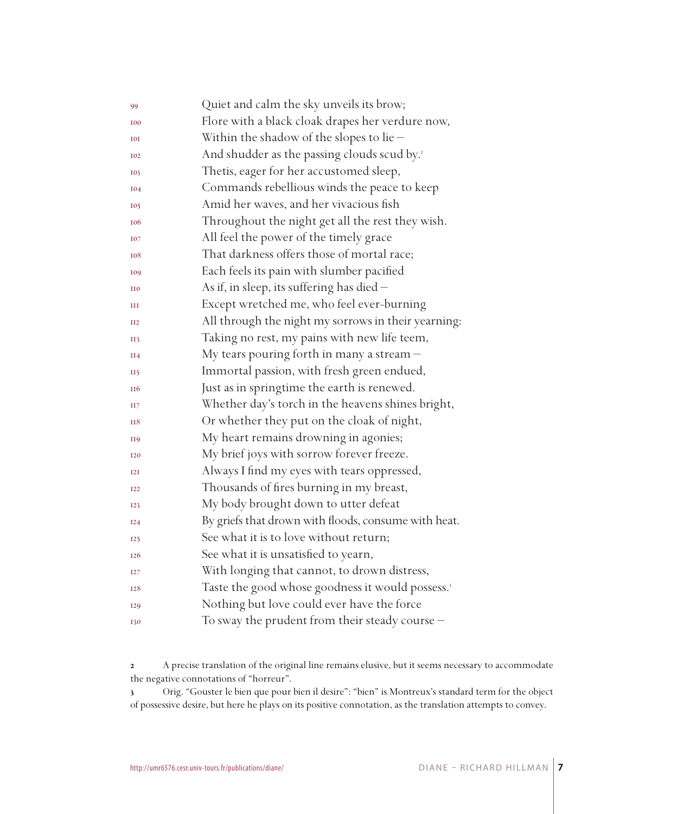| 99              | Quiet and calm the sky unveils its brow;                     |
|-----------------|--------------------------------------------------------------|
| <b>I00</b>      | Flore with a black cloak drapes her verdure now,             |
| <b>IOI</b>      | Within the shadow of the slopes to lie $-$                   |
| <b>I02</b>      | And shudder as the passing clouds scud by. <sup>2</sup>      |
| 103             | Thetis, eager for her accustomed sleep,                      |
| <b>I04</b>      | Commands rebellious winds the peace to keep                  |
| <b>I05</b>      | Amid her waves, and her vivacious fish                       |
| <b>106</b>      | Throughout the night get all the rest they wish.             |
| <b>I07</b>      | All feel the power of the timely grace                       |
| 108             | That darkness offers those of mortal race;                   |
| 109             | Each feels its pain with slumber pacified                    |
| II <sub>0</sub> | As if, in sleep, its suffering has died -                    |
| Ш               | Except wretched me, who feel ever-burning                    |
| II2             | All through the night my sorrows in their yearning:          |
| <b>II3</b>      | Taking no rest, my pains with new life teem,                 |
| II4             | My tears pouring forth in many a stream -                    |
| <b>II5</b>      | Immortal passion, with fresh green endued,                   |
| II <sub>6</sub> | Just as in springtime the earth is renewed.                  |
| H7              | Whether day's torch in the heavens shines bright,            |
| <b>H8</b>       | Or whether they put on the cloak of night,                   |
| <b>H9</b>       | My heart remains drowning in agonies;                        |
| <b>I20</b>      | My brief joys with sorrow forever freeze.                    |
| I2I             | Always I find my eyes with tears oppressed,                  |
| <b>I22</b>      | Thousands of fires burning in my breast,                     |
| <b>I23</b>      | My body brought down to utter defeat                         |
| I24             | By griefs that drown with floods, consume with heat.         |
| 125             | See what it is to love without return;                       |
| I <sub>26</sub> | See what it is unsatisfied to yearn,                         |
| I27             | With longing that cannot, to drown distress,                 |
| <b>I28</b>      | Taste the good whose goodness it would possess. <sup>3</sup> |
| <b>I29</b>      | Nothing but love could ever have the force                   |
| <b>I30</b>      | To sway the prudent from their steady course -               |

 A precise translation of the original line remains elusive, but it seems necessary to accommodate the negative connotations of "horreur".

 Orig. "Gouster le bien que pour bien il desire": "bien" is Montreux's standard term for the object of possessive desire, but here he plays on its positive connotation, as the translation attempts to convey.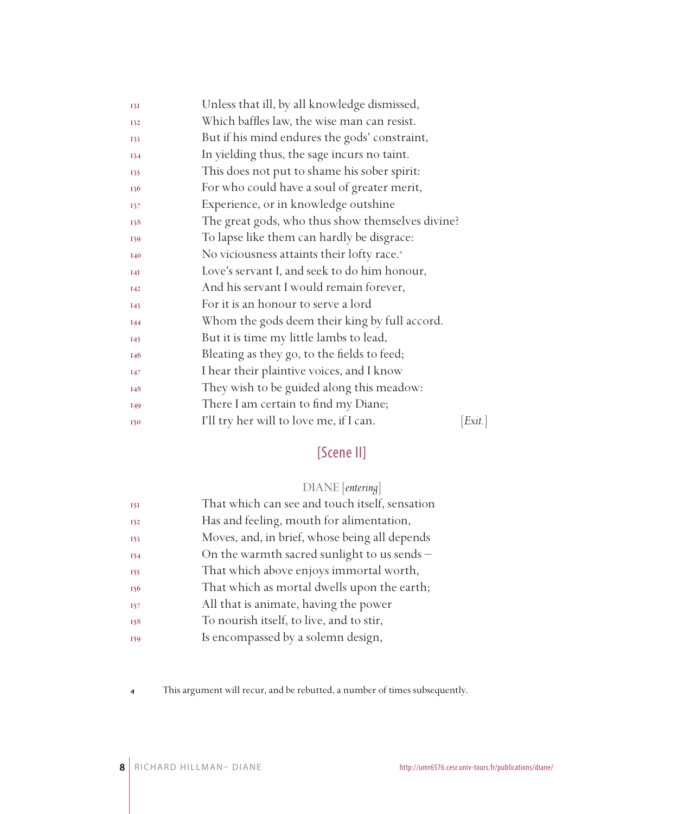| I3I             | Unless that ill, by all knowledge dismissed,           |       |
|-----------------|--------------------------------------------------------|-------|
| 132             | Which baffles law, the wise man can resist.            |       |
| 133             | But if his mind endures the gods' constraint,          |       |
| 134             | In yielding thus, the sage incurs no taint.            |       |
| 135             | This does not put to shame his sober spirit:           |       |
| 136             | For who could have a soul of greater merit,            |       |
| 137             | Experience, or in knowledge outshine                   |       |
| 138             | The great gods, who thus show themselves divine?       |       |
| 139             | To lapse like them can hardly be disgrace:             |       |
| I40             | No viciousness attaints their lofty race. <sup>4</sup> |       |
| I4I             | Love's servant I, and seek to do him honour,           |       |
| <b>I42</b>      | And his servant I would remain forever,                |       |
| <b>I43</b>      | For it is an honour to serve a lord                    |       |
| <b>I44</b>      | Whom the gods deem their king by full accord.          |       |
| <b>I45</b>      | But it is time my little lambs to lead,                |       |
| 146             | Bleating as they go, to the fields to feed;            |       |
| <b>147</b>      | I hear their plaintive voices, and I know              |       |
| 148             | They wish to be guided along this meadow:              |       |
| I <sub>49</sub> | There I am certain to find my Diane;                   |       |
| <b>I50</b>      | I'll try her will to love me, if I can.                | Exit. |

# [Scene II]

## DIANE [*entering*]

| <b>151</b> | That which can see and touch itself, sensation |
|------------|------------------------------------------------|
| <b>I52</b> | Has and feeling, mouth for alimentation,       |
| 153        | Moves, and, in brief, whose being all depends  |
| 154        | On the warmth sacred sunlight to us sends $-$  |
| 155        | That which above enjoys immortal worth,        |
| 156        | That which as mortal dwells upon the earth;    |
| <b>157</b> | All that is animate, having the power          |
| 158        | To nourish itself, to live, and to stir,       |
| 159        | Is encompassed by a solemn design,             |

This argument will recur, and be rebutted, a number of times subsequently.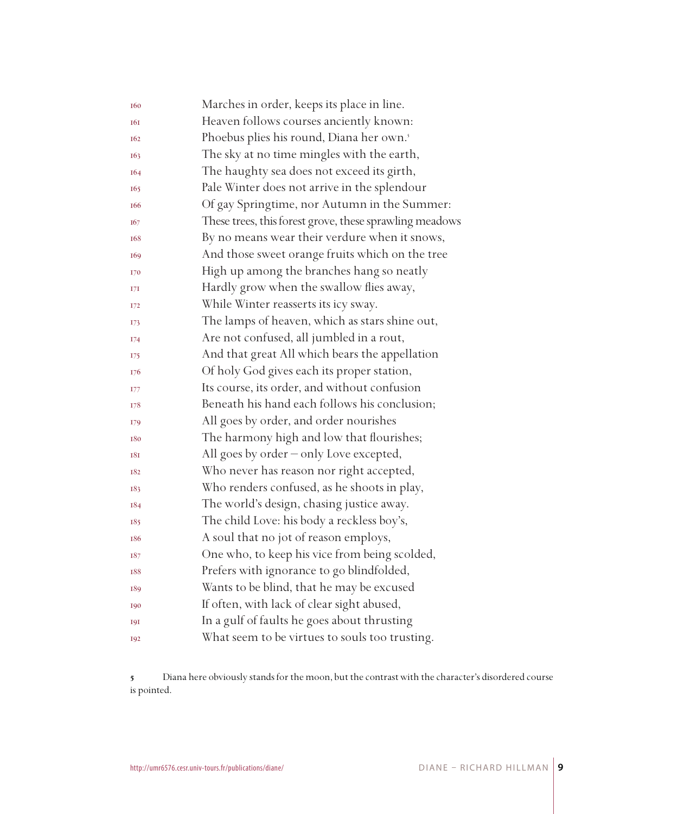| 160        | Marches in order, keeps its place in line.              |
|------------|---------------------------------------------------------|
| 161        | Heaven follows courses anciently known:                 |
| 162        | Phoebus plies his round, Diana her own.'                |
| 163        | The sky at no time mingles with the earth,              |
| 164        | The haughty sea does not exceed its girth,              |
| 165        | Pale Winter does not arrive in the splendour            |
| 166        | Of gay Springtime, nor Autumn in the Summer:            |
| 167        | These trees, this forest grove, these sprawling meadows |
| 168        | By no means wear their verdure when it snows,           |
| 169        | And those sweet orange fruits which on the tree         |
| 170        | High up among the branches hang so neatly               |
| 17I        | Hardly grow when the swallow flies away,                |
| 172        | While Winter reasserts its icy sway.                    |
| 173        | The lamps of heaven, which as stars shine out,          |
| 174        | Are not confused, all jumbled in a rout,                |
| 175        | And that great All which bears the appellation          |
| 176        | Of holy God gives each its proper station,              |
| 177        | Its course, its order, and without confusion            |
| 178        | Beneath his hand each follows his conclusion;           |
| 179        | All goes by order, and order nourishes                  |
| 180        | The harmony high and low that flourishes;               |
| 181        | All goes by order - only Love excepted,                 |
| 182        | Who never has reason nor right accepted,                |
| 183        | Who renders confused, as he shoots in play,             |
| 184        | The world's design, chasing justice away.               |
| 185        | The child Love: his body a reckless boy's,              |
| 186        | A soul that no jot of reason employs,                   |
| 187        | One who, to keep his vice from being scolded,           |
| 188        | Prefers with ignorance to go blindfolded,               |
| 189        | Wants to be blind, that he may be excused               |
| 190        | If often, with lack of clear sight abused,              |
| <b>191</b> | In a gulf of faults he goes about thrusting             |
| 192        | What seem to be virtues to souls too trusting.          |

 Diana here obviously stands for the moon, but the contrast with the character's disordered course is pointed.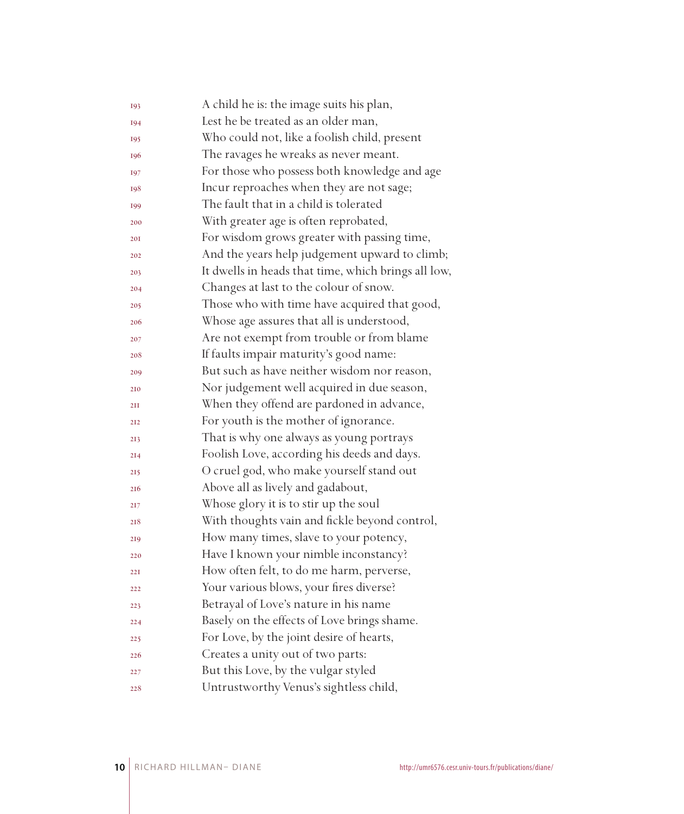| 193             | A child he is: the image suits his plan,            |
|-----------------|-----------------------------------------------------|
| 194             | Lest he be treated as an older man,                 |
| 195             | Who could not, like a foolish child, present        |
| 196             | The ravages he wreaks as never meant.               |
| 197             | For those who possess both knowledge and age        |
| 198             | Incur reproaches when they are not sage;            |
| 199             | The fault that in a child is tolerated              |
| 200             | With greater age is often reprobated,               |
| 201             | For wisdom grows greater with passing time,         |
| 202             | And the years help judgement upward to climb;       |
| 203             | It dwells in heads that time, which brings all low, |
| 204             | Changes at last to the colour of snow.              |
| 205             | Those who with time have acquired that good,        |
| 206             | Whose age assures that all is understood,           |
| 207             | Are not exempt from trouble or from blame           |
| 208             | If faults impair maturity's good name:              |
| 209             | But such as have neither wisdom nor reason,         |
| 210             | Nor judgement well acquired in due season,          |
| 2II             | When they offend are pardoned in advance,           |
| 212             | For youth is the mother of ignorance.               |
| 213             | That is why one always as young portrays            |
| 2I <sub>4</sub> | Foolish Love, according his deeds and days.         |
| 215             | O cruel god, who make yourself stand out            |
| 216             | Above all as lively and gadabout,                   |
| 217             | Whose glory it is to stir up the soul               |
| 218             | With thoughts vain and fickle beyond control,       |
| 219             | How many times, slave to your potency,              |
| 220             | Have I known your nimble inconstancy?               |
| 221             | How often felt, to do me harm, perverse,            |
| 222             | Your various blows, your fires diverse?             |
| 223             | Betrayal of Love's nature in his name               |
| 224             | Basely on the effects of Love brings shame.         |
| 225             | For Love, by the joint desire of hearts,            |
| 226             | Creates a unity out of two parts:                   |
| 227             | But this Love, by the vulgar styled                 |
| 228             | Untrustworthy Venus's sightless child,              |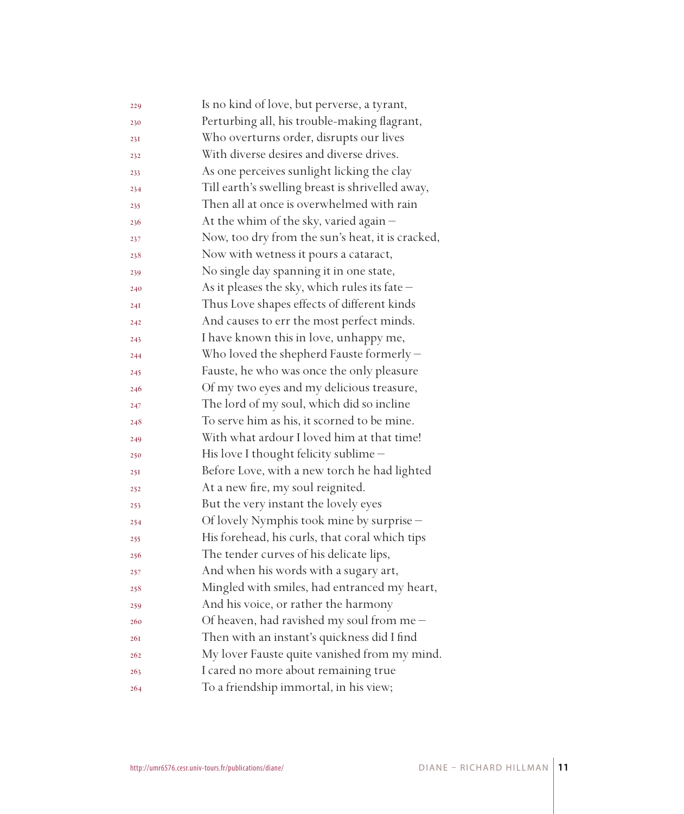| 229        | Is no kind of love, but perverse, a tyrant,      |
|------------|--------------------------------------------------|
| 230        | Perturbing all, his trouble-making flagrant,     |
| 231        | Who overturns order, disrupts our lives          |
| 232        | With diverse desires and diverse drives.         |
| 233        | As one perceives sunlight licking the clay       |
| 234        | Till earth's swelling breast is shrivelled away, |
| 235        | Then all at once is overwhelmed with rain        |
| 236        | At the whim of the sky, varied again -           |
| 237        | Now, too dry from the sun's heat, it is cracked, |
| 238        | Now with wetness it pours a cataract,            |
| 239        | No single day spanning it in one state,          |
| 240        | As it pleases the sky, which rules its fate -    |
| 24I        | Thus Love shapes effects of different kinds      |
| 242        | And causes to err the most perfect minds.        |
| 243        | I have known this in love, unhappy me,           |
| 244        | Who loved the shepherd Fauste formerly -         |
| 245        | Fauste, he who was once the only pleasure        |
| 246        | Of my two eyes and my delicious treasure,        |
| 247        | The lord of my soul, which did so incline        |
| 248        | To serve him as his, it scorned to be mine.      |
| 249        | With what ardour I loved him at that time!       |
| 250        | His love I thought felicity sublime -            |
| 25I        | Before Love, with a new torch he had lighted     |
| 252        | At a new fire, my soul reignited.                |
| 253        | But the very instant the lovely eyes             |
| 254        | Of lovely Nymphis took mine by surprise -        |
| 255        | His forehead, his curls, that coral which tips   |
| 256        | The tender curves of his delicate lips,          |
| 257        | And when his words with a sugary art,            |
| 258        | Mingled with smiles, had entranced my heart,     |
| 259        | And his voice, or rather the harmony             |
| 260        | Of heaven, had ravished my soul from me $-$      |
| <b>26I</b> | Then with an instant's quickness did I find      |
| 262        | My lover Fauste quite vanished from my mind.     |
| 263        | I cared no more about remaining true             |
| 264        | To a friendship immortal, in his view;           |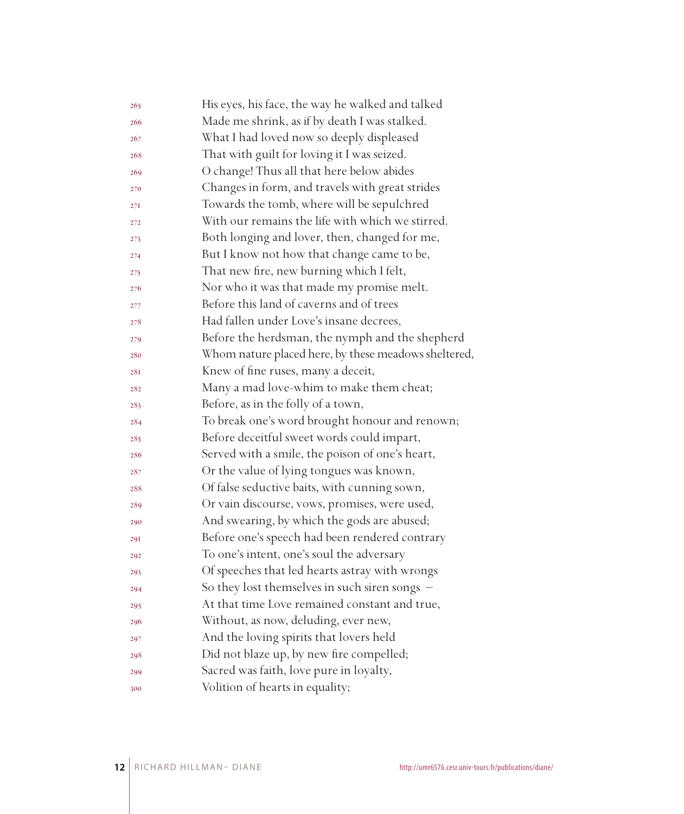| 265 | His eyes, his face, the way he walked and talked     |
|-----|------------------------------------------------------|
| 266 | Made me shrink, as if by death I was stalked.        |
| 267 | What I had loved now so deeply displeased            |
| 268 | That with guilt for loving it I was seized.          |
| 269 | O change! Thus all that here below abides            |
| 270 | Changes in form, and travels with great strides      |
| 27I | Towards the tomb, where will be sepulchred           |
| 272 | With our remains the life with which we stirred.     |
| 273 | Both longing and lover, then, changed for me,        |
| 274 | But I know not how that change came to be,           |
| 275 | That new fire, new burning which I felt,             |
| 276 | Nor who it was that made my promise melt.            |
| 277 | Before this land of caverns and of trees             |
| 278 | Had fallen under Love's insane decrees,              |
| 279 | Before the herdsman, the nymph and the shepherd      |
| 280 | Whom nature placed here, by these meadows sheltered, |
| 28I | Knew of fine ruses, many a deceit,                   |
| 282 | Many a mad love-whim to make them cheat;             |
| 283 | Before, as in the folly of a town,                   |
| 284 | To break one's word brought honour and renown;       |
| 285 | Before deceitful sweet words could impart,           |
| 286 | Served with a smile, the poison of one's heart,      |
| 287 | Or the value of lying tongues was known,             |
| 288 | Of false seductive baits, with cunning sown,         |
| 289 | Or vain discourse, vows, promises, were used,        |
| 290 | And swearing, by which the gods are abused;          |
| 29I | Before one's speech had been rendered contrary       |
| 292 | To one's intent, one's soul the adversary            |
| 293 | Of speeches that led hearts astray with wrongs       |
| 294 | So they lost themselves in such siren songs -        |
| 295 | At that time Love remained constant and true,        |
| 296 | Without, as now, deluding, ever new,                 |
| 297 | And the loving spirits that lovers held              |
| 298 | Did not blaze up, by new fire compelled;             |
| 299 | Sacred was faith, love pure in loyalty,              |
| 300 | Volition of hearts in equality;                      |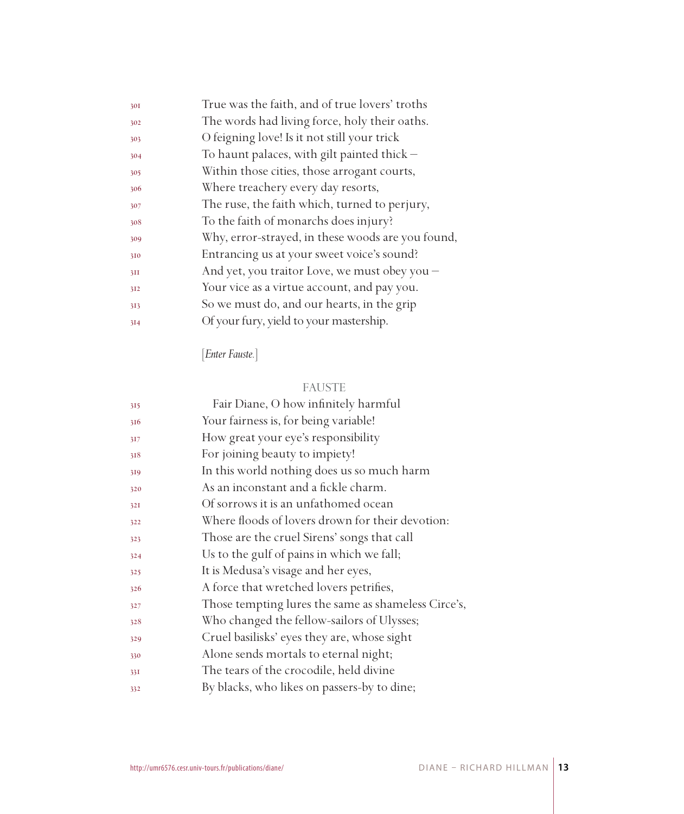| True was the faith, and of true lovers' troths    |
|---------------------------------------------------|
| The words had living force, holy their oaths.     |
| O feigning love! Is it not still your trick       |
| To haunt palaces, with gilt painted thick $-$     |
| Within those cities, those arrogant courts,       |
| Where treachery every day resorts,                |
| The ruse, the faith which, turned to perjury,     |
| To the faith of monarchs does injury?             |
| Why, error-strayed, in these woods are you found, |
| Entrancing us at your sweet voice's sound?        |
| And yet, you traitor Love, we must obey you -     |
| Your vice as a virtue account, and pay you.       |
| So we must do, and our hearts, in the grip        |
| Of your fury, yield to your mastership.           |
|                                                   |

[*Enter Fauste.*]

## FAUSTE

| 315 | Fair Diane, O how infinitely harmful                |
|-----|-----------------------------------------------------|
| 316 | Your fairness is, for being variable!               |
| 317 | How great your eye's responsibility                 |
| 318 | For joining beauty to impiety!                      |
| 319 | In this world nothing does us so much harm          |
| 320 | As an inconstant and a fickle charm.                |
| 32I | Of sorrows it is an unfathomed ocean                |
| 322 | Where floods of lovers drown for their devotion:    |
| 323 | Those are the cruel Sirens' songs that call         |
| 324 | Us to the gulf of pains in which we fall;           |
| 325 | It is Medusa's visage and her eyes,                 |
| 326 | A force that wretched lovers petrifies,             |
| 327 | Those tempting lures the same as shameless Circe's, |
| 328 | Who changed the fellow-sailors of Ulysses;          |
| 329 | Cruel basilisks' eyes they are, whose sight         |
| 330 | Alone sends mortals to eternal night;               |
| 33I | The tears of the crocodile, held divine             |
| 332 | By blacks, who likes on passers-by to dine;         |
|     |                                                     |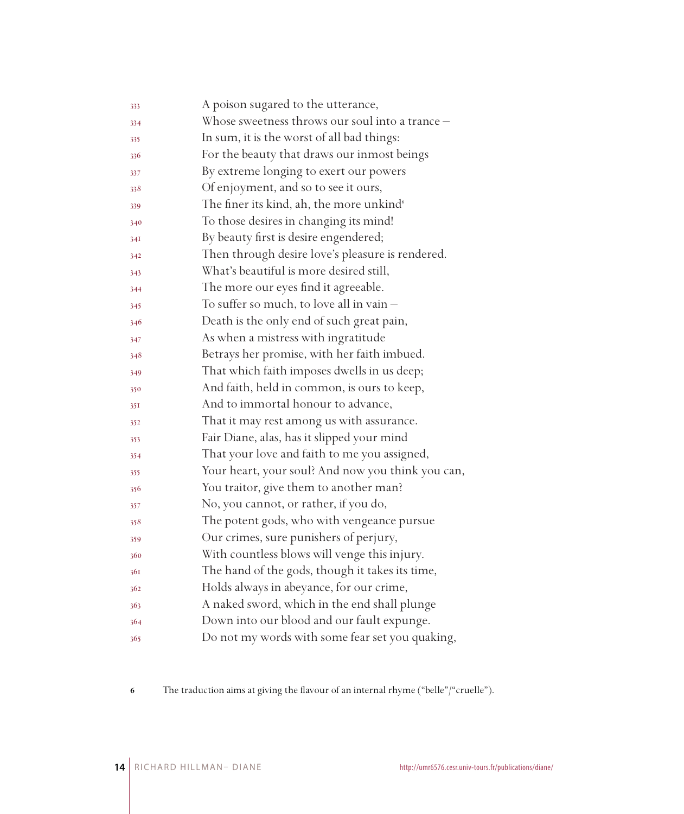| 333 | A poison sugared to the utterance,                   |
|-----|------------------------------------------------------|
| 334 | Whose sweetness throws our soul into a trance -      |
| 335 | In sum, it is the worst of all bad things:           |
| 336 | For the beauty that draws our inmost beings          |
| 337 | By extreme longing to exert our powers               |
| 338 | Of enjoyment, and so to see it ours,                 |
| 339 | The finer its kind, ah, the more unkind <sup>®</sup> |
| 340 | To those desires in changing its mind!               |
| 34I | By beauty first is desire engendered;                |
| 342 | Then through desire love's pleasure is rendered.     |
| 343 | What's beautiful is more desired still,              |
| 344 | The more our eyes find it agreeable.                 |
| 345 | To suffer so much, to love all in vain $-$           |
| 346 | Death is the only end of such great pain,            |
| 347 | As when a mistress with ingratitude                  |
| 348 | Betrays her promise, with her faith imbued.          |
| 349 | That which faith imposes dwells in us deep;          |
| 350 | And faith, held in common, is ours to keep,          |
| 351 | And to immortal honour to advance,                   |
| 352 | That it may rest among us with assurance.            |
| 353 | Fair Diane, alas, has it slipped your mind           |
| 354 | That your love and faith to me you assigned,         |
| 355 | Your heart, your soul? And now you think you can,    |
| 356 | You traitor, give them to another man?               |
| 357 | No, you cannot, or rather, if you do,                |
| 358 | The potent gods, who with vengeance pursue           |
| 359 | Our crimes, sure punishers of perjury,               |
| 360 | With countless blows will venge this injury.         |
| 361 | The hand of the gods, though it takes its time,      |
| 362 | Holds always in abeyance, for our crime,             |
| 363 | A naked sword, which in the end shall plunge         |
| 364 | Down into our blood and our fault expunge.           |
| 365 | Do not my words with some fear set you quaking,      |

The traduction aims at giving the flavour of an internal rhyme ("belle"/"cruelle").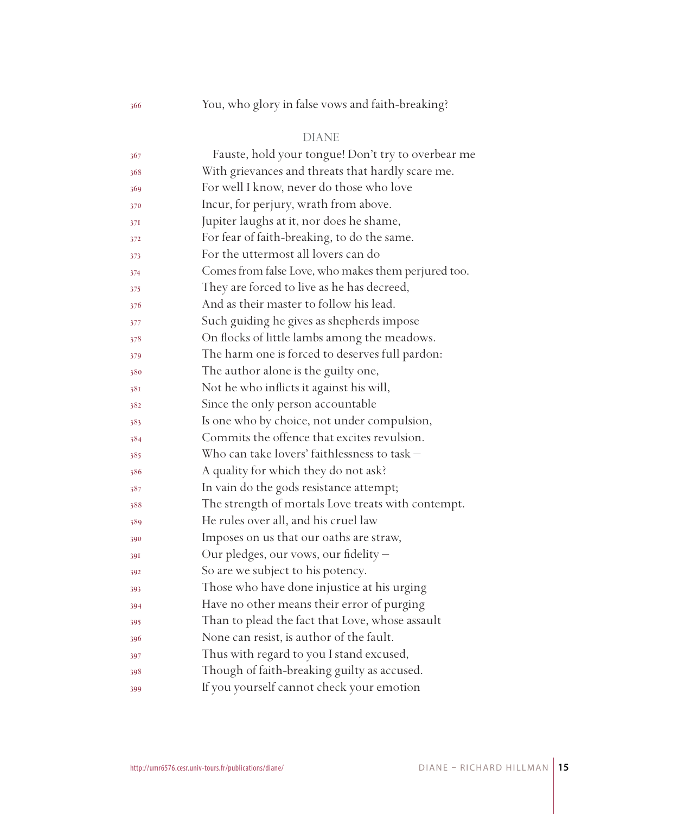## You, who glory in false vows and faith-breaking?

### DIANE

| 367 | Fauste, hold your tongue! Don't try to overbear me  |
|-----|-----------------------------------------------------|
| 368 | With grievances and threats that hardly scare me.   |
| 369 | For well I know, never do those who love            |
| 370 | Incur, for perjury, wrath from above.               |
| 37I | Jupiter laughs at it, nor does he shame,            |
| 372 | For fear of faith-breaking, to do the same.         |
| 373 | For the uttermost all lovers can do                 |
| 374 | Comes from false Love, who makes them perjured too. |
| 375 | They are forced to live as he has decreed,          |
| 376 | And as their master to follow his lead.             |
| 377 | Such guiding he gives as shepherds impose           |
| 378 | On flocks of little lambs among the meadows.        |
| 379 | The harm one is forced to deserves full pardon:     |
| 380 | The author alone is the guilty one,                 |
| 381 | Not he who inflicts it against his will,            |
| 382 | Since the only person accountable                   |
| 383 | Is one who by choice, not under compulsion,         |
| 384 | Commits the offence that excites revulsion.         |
| 385 | Who can take lovers' faithlessness to task -        |
| 386 | A quality for which they do not ask?                |
| 387 | In vain do the gods resistance attempt;             |
| 388 | The strength of mortals Love treats with contempt.  |
| 389 | He rules over all, and his cruel law                |
| 390 | Imposes on us that our oaths are straw,             |
| 39I | Our pledges, our vows, our fidelity -               |
| 392 | So are we subject to his potency.                   |
| 393 | Those who have done injustice at his urging         |
| 394 | Have no other means their error of purging          |
| 395 | Than to plead the fact that Love, whose assault     |
| 396 | None can resist, is author of the fault.            |
| 397 | Thus with regard to you I stand excused,            |
| 398 | Though of faith-breaking guilty as accused.         |
| 399 | If you yourself cannot check your emotion           |
|     |                                                     |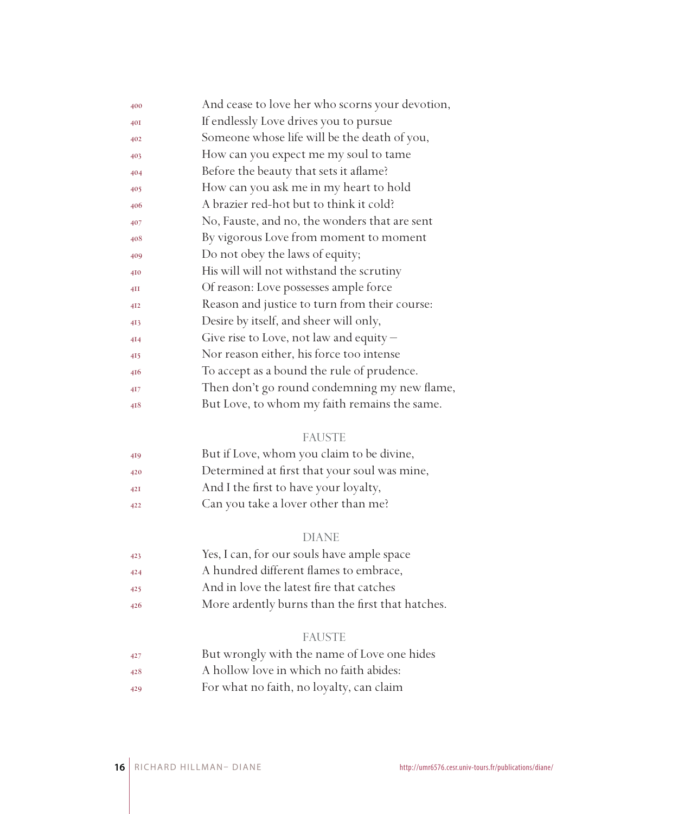| 400 | And cease to love her who scorns your devotion, |
|-----|-------------------------------------------------|
| 40I | If endlessly Love drives you to pursue          |
| 402 | Someone whose life will be the death of you,    |
| 403 | How can you expect me my soul to tame           |
| 404 | Before the beauty that sets it aflame?          |
| 405 | How can you ask me in my heart to hold          |
| 406 | A brazier red-hot but to think it cold?         |
| 407 | No, Fauste, and no, the wonders that are sent   |
| 408 | By vigorous Love from moment to moment          |
| 409 | Do not obey the laws of equity;                 |
| 410 | His will will not withstand the scrutiny        |
| 4II | Of reason: Love possesses ample force           |
| 412 | Reason and justice to turn from their course:   |
| 413 | Desire by itself, and sheer will only,          |
| 414 | Give rise to Love, not law and equity $-$       |
| 415 | Nor reason either, his force too intense        |
| 416 | To accept as a bound the rule of prudence.      |
| 417 | Then don't go round condemning my new flame,    |
| 418 | But Love, to whom my faith remains the same.    |

#### FAUSTE

| 419 | But if Love, whom you claim to be divine,    |
|-----|----------------------------------------------|
| 420 | Determined at first that your soul was mine, |
| 42I | And I the first to have your loyalty,        |
| 422 | Can you take a lover other than me?          |

#### DIANE

- Yes, I can, for our souls have ample space
- A hundred different flames to embrace,
- And in love the latest fire that catches
- More ardently burns than the first that hatches.

#### FAUSTE

- But wrongly with the name of Love one hides
- A hollow love in which no faith abides:
- For what no faith, no loyalty, can claim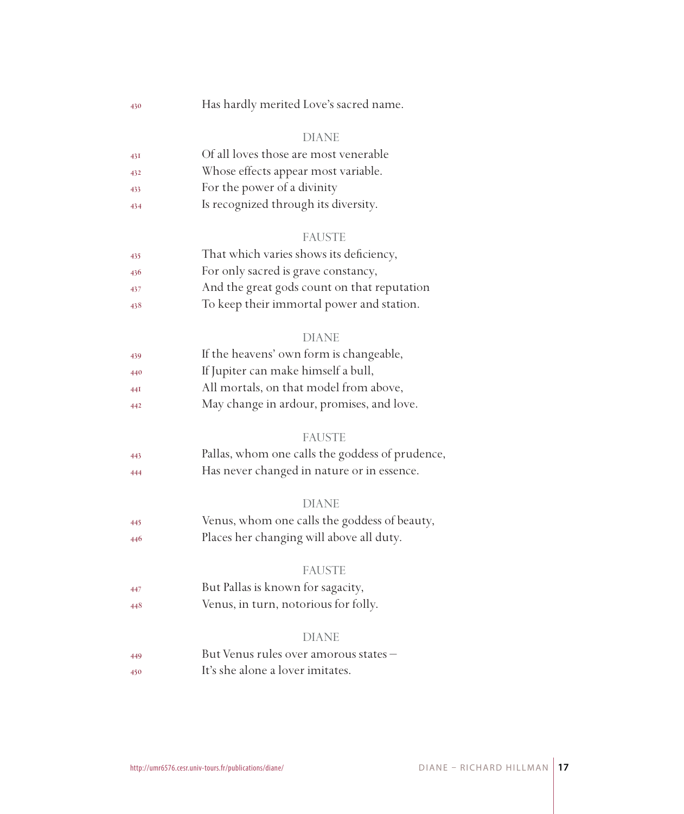Has hardly merited Love's sacred name.

#### DIANE

| 43I | Of all loves those are most venerable |
|-----|---------------------------------------|
|     |                                       |

- Whose effects appear most variable.
- For the power of a divinity
- Is recognized through its diversity.

#### FAUSTE

| 435 | That which varies shows its deficiency,     |
|-----|---------------------------------------------|
| 436 | For only sacred is grave constancy,         |
| 437 | And the great gods count on that reputation |

To keep their immortal power and station.

#### DIANE

| 439 | If the heavens' own form is changeable, |
|-----|-----------------------------------------|
| 440 | If Jupiter can make himself a bull,     |

- All mortals, on that model from above,
- May change in ardour, promises, and love.

#### **FAUSTE**

 Pallas, whom one calls the goddess of prudence, Has never changed in nature or in essence.

#### DIANE

 Venus, whom one calls the goddess of beauty, Places her changing will above all duty.

#### FAUSTE

- But Pallas is known for sagacity,
- Venus, in turn, notorious for folly.

#### DIANE

 But Venus rules over amorous states – It's she alone a lover imitates.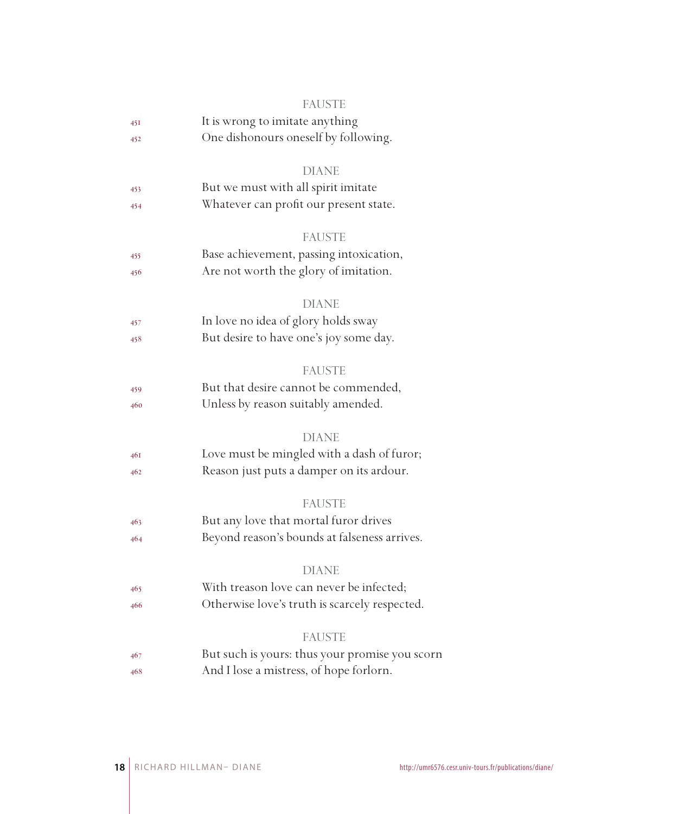|     | <b>FAUSTE</b>                                  |
|-----|------------------------------------------------|
| 45I | It is wrong to imitate anything                |
| 452 | One dishonours oneself by following.           |
|     | <b>DIANE</b>                                   |
| 453 | But we must with all spirit imitate            |
| 454 | Whatever can profit our present state.         |
|     | <b>FAUSTE</b>                                  |
| 455 | Base achievement, passing intoxication,        |
| 456 | Are not worth the glory of imitation.          |
|     | <b>DIANE</b>                                   |
| 457 | In love no idea of glory holds sway            |
| 458 | But desire to have one's joy some day.         |
|     | <b>FAUSTE</b>                                  |
| 459 | But that desire cannot be commended,           |
| 460 | Unless by reason suitably amended.             |
|     | <b>DIANE</b>                                   |
| 46I | Love must be mingled with a dash of furor;     |
| 462 | Reason just puts a damper on its ardour.       |
|     | <b>FAUSTE</b>                                  |
| 463 | But any love that mortal furor drives          |
| 464 | Beyond reason's bounds at falseness arrives.   |
|     | <b>DIANE</b>                                   |
| 465 | With treason love can never be infected;       |
| 466 | Otherwise love's truth is scarcely respected.  |
|     | <b>FAUSTE</b>                                  |
| 467 | But such is yours: thus your promise you scorn |
| 468 | And I lose a mistress, of hope forlorn.        |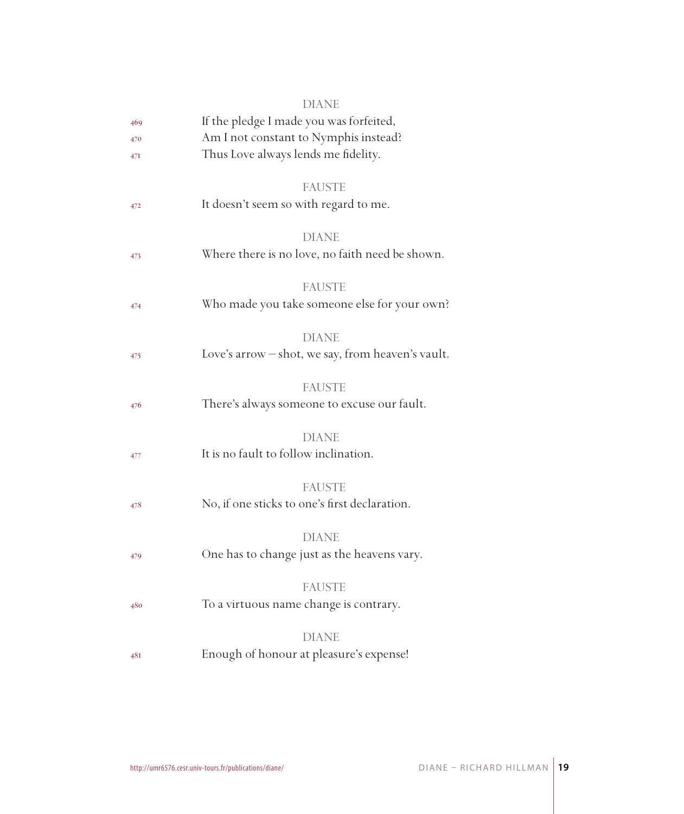|     | DIANE                                             |
|-----|---------------------------------------------------|
| 469 | If the pledge I made you was forfeited,           |
| 470 | Am I not constant to Nymphis instead?             |
| 47I | Thus Love always lends me fidelity.               |
|     |                                                   |
|     | <b>FAUSTE</b>                                     |
| 472 | It doesn't seem so with regard to me.             |
|     |                                                   |
|     | <b>DIANE</b>                                      |
| 473 | Where there is no love, no faith need be shown.   |
|     |                                                   |
|     | <b>FAUSTE</b>                                     |
| 474 | Who made you take someone else for your own?      |
|     | <b>DIANE</b>                                      |
| 475 | Love's arrow - shot, we say, from heaven's vault. |
|     |                                                   |
|     | <b>FAUSTE</b>                                     |
| 476 | There's always someone to excuse our fault.       |
|     |                                                   |
|     | <b>DIANE</b>                                      |
| 477 | It is no fault to follow inclination.             |
|     |                                                   |
|     | <b>FAUSTE</b>                                     |
| 478 | No, if one sticks to one's first declaration.     |
|     |                                                   |
|     | <b>DIANE</b>                                      |
| 479 | One has to change just as the heavens vary.       |
|     |                                                   |
|     | <b>FAUSTE</b>                                     |
| 480 | To a virtuous name change is contrary.            |
|     | <b>DIANE</b>                                      |
| 48I | Enough of honour at pleasure's expense!           |
|     |                                                   |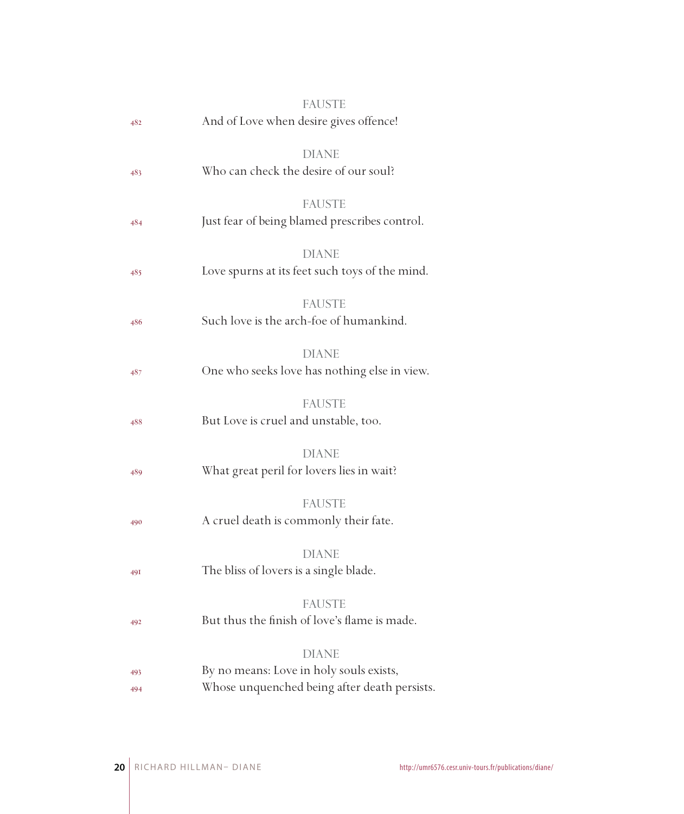| 482        | <b>FAUSTE</b><br>And of Love when desire gives offence!                                                 |
|------------|---------------------------------------------------------------------------------------------------------|
| 483        | <b>DIANE</b><br>Who can check the desire of our soul?                                                   |
| 484        | <b>FAUSTE</b><br>Just fear of being blamed prescribes control.                                          |
| 485        | <b>DIANE</b><br>Love spurns at its feet such toys of the mind.                                          |
| 486        | <b>FAUSTE</b><br>Such love is the arch-foe of humankind.                                                |
| 487        | <b>DIANE</b><br>One who seeks love has nothing else in view.                                            |
| 488        | <b>FAUSTE</b><br>But Love is cruel and unstable, too.                                                   |
| 489        | <b>DIANE</b><br>What great peril for lovers lies in wait?                                               |
| 490        | <b>FAUSTE</b><br>A cruel death is commonly their fate.                                                  |
| <b>49I</b> | <b>DIANE</b><br>The bliss of lovers is a single blade.                                                  |
| 492        | <b>FAUSTE</b><br>But thus the finish of love's flame is made.                                           |
| 493<br>494 | <b>DIANE</b><br>By no means: Love in holy souls exists,<br>Whose unquenched being after death persists. |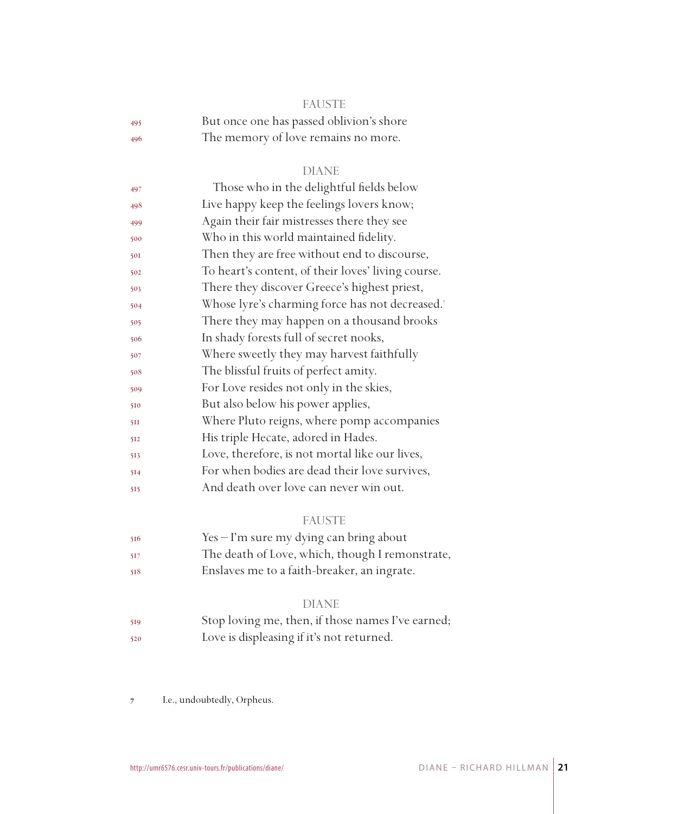|     | <b>FAUSTE</b>                            |
|-----|------------------------------------------|
| 495 | But once one has passed oblivion's shore |
| 496 | The memory of love remains no more.      |

#### DIANE

| Those who in the delightful fields below           |
|----------------------------------------------------|
| Live happy keep the feelings lovers know;          |
| Again their fair mistresses there they see         |
| Who in this world maintained fidelity.             |
| Then they are free without end to discourse,       |
| To heart's content, of their loves' living course. |
| There they discover Greece's highest priest,       |
| Whose lyre's charming force has not decreased.7    |
| There they may happen on a thousand brooks         |
| In shady forests full of secret nooks,             |
| Where sweetly they may harvest faithfully          |
| The blissful fruits of perfect amity.              |
| For Love resides not only in the skies,            |
| But also below his power applies,                  |
| Where Pluto reigns, where pomp accompanies         |
| His triple Hecate, adored in Hades.                |
| Love, therefore, is not mortal like our lives,     |
| For when bodies are dead their love survives,      |
| And death over love can never win out.             |
|                                                    |

### FAUSTE

| 516  | $Yes - I'm sure my dying can bring about$       |
|------|-------------------------------------------------|
| -517 | The death of Love, which, though I remonstrate, |
| 518  | Enslaves me to a faith-breaker, an ingrate.     |

#### DIANE

 Stop loving me, then, if those names I've earned; Love is displeasing if it's not returned.

 I.e., undoubtedly, Orpheus.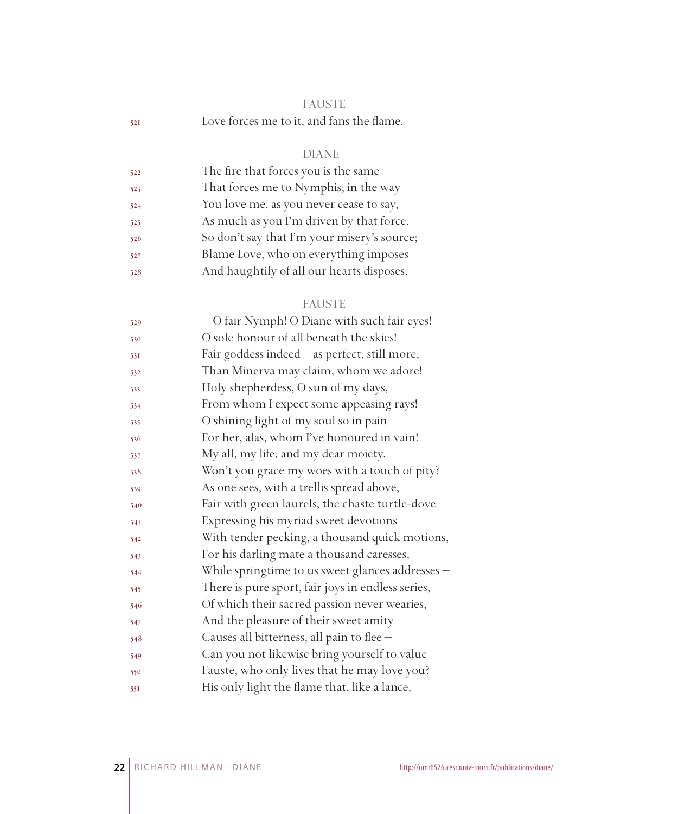|     | <b>FAUSTE</b>                             |  |
|-----|-------------------------------------------|--|
| 521 | Love forces me to it, and fans the flame. |  |

## DIANE

| 522 | The fire that forces you is the same        |
|-----|---------------------------------------------|
| 523 | That forces me to Nymphis; in the way       |
| 524 | You love me, as you never cease to say,     |
| 525 | As much as you I'm driven by that force.    |
| 526 | So don't say that I'm your misery's source; |
| 527 | Blame Love, who on everything imposes       |
| 528 | And haughtily of all our hearts disposes.   |

## FAUSTE

| 529 | O fair Nymph! O Diane with such fair eyes!        |
|-----|---------------------------------------------------|
| 530 | O sole honour of all beneath the skies!           |
| 531 | Fair goddess indeed - as perfect, still more,     |
| 532 | Than Minerva may claim, whom we adore!            |
| 533 | Holy shepherdess, O sun of my days,               |
| 534 | From whom I expect some appeasing rays!           |
| 535 | O shining light of my soul so in pain -           |
| 536 | For her, alas, whom I've honoured in vain!        |
| 537 | My all, my life, and my dear moiety,              |
| 538 | Won't you grace my woes with a touch of pity?     |
| 539 | As one sees, with a trellis spread above,         |
| 540 | Fair with green laurels, the chaste turtle-dove   |
| 54I | Expressing his myriad sweet devotions             |
| 542 | With tender pecking, a thousand quick motions,    |
| 543 | For his darling mate a thousand caresses,         |
| 544 | While springtime to us sweet glances addresses -  |
| 545 | There is pure sport, fair joys in endless series, |
| 546 | Of which their sacred passion never wearies,      |
| 547 | And the pleasure of their sweet amity             |
| 548 | Causes all bitterness, all pain to flee -         |
| 549 | Can you not likewise bring yourself to value      |
| 550 | Fauste, who only lives that he may love you?      |
| 551 | His only light the flame that, like a lance,      |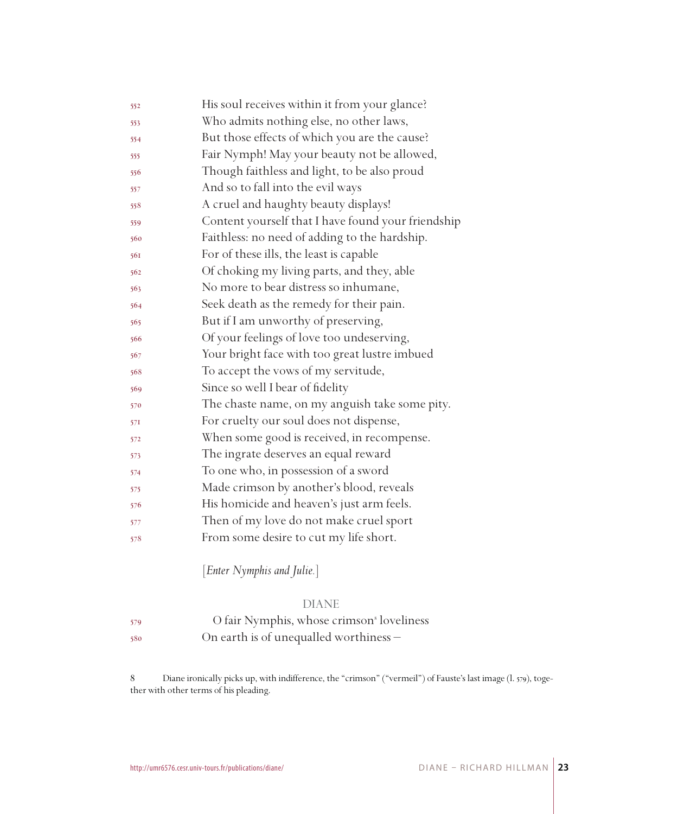| 552 | His soul receives within it from your glance?      |
|-----|----------------------------------------------------|
| 553 | Who admits nothing else, no other laws,            |
| 554 | But those effects of which you are the cause?      |
| 555 | Fair Nymph! May your beauty not be allowed,        |
| 556 | Though faithless and light, to be also proud       |
| 557 | And so to fall into the evil ways                  |
| 558 | A cruel and haughty beauty displays!               |
| 559 | Content yourself that I have found your friendship |
| 560 | Faithless: no need of adding to the hardship.      |
| 561 | For of these ills, the least is capable            |
| 562 | Of choking my living parts, and they, able         |
| 563 | No more to bear distress so inhumane,              |
| 564 | Seek death as the remedy for their pain.           |
| 565 | But if I am unworthy of preserving,                |
| 566 | Of your feelings of love too undeserving,          |
| 567 | Your bright face with too great lustre imbued      |
| 568 | To accept the vows of my servitude,                |
| 569 | Since so well I bear of fidelity                   |
| 570 | The chaste name, on my anguish take some pity.     |
| 571 | For cruelty our soul does not dispense,            |
| 572 | When some good is received, in recompense.         |
| 573 | The ingrate deserves an equal reward               |
| 574 | To one who, in possession of a sword               |
| 575 | Made crimson by another's blood, reveals           |
| 576 | His homicide and heaven's just arm feels.          |
| 577 | Then of my love do not make cruel sport            |
| 578 | From some desire to cut my life short.             |
|     |                                                    |

[*Enter Nymphis and Julie.*]

#### DIANE

 O fair Nymphis, whose crimson loveliness On earth is of unequalled worthiness –

 Diane ironically picks up, with indifference, the "crimson" ("vermeil") of Fauste's last image (l. 579), together with other terms of his pleading.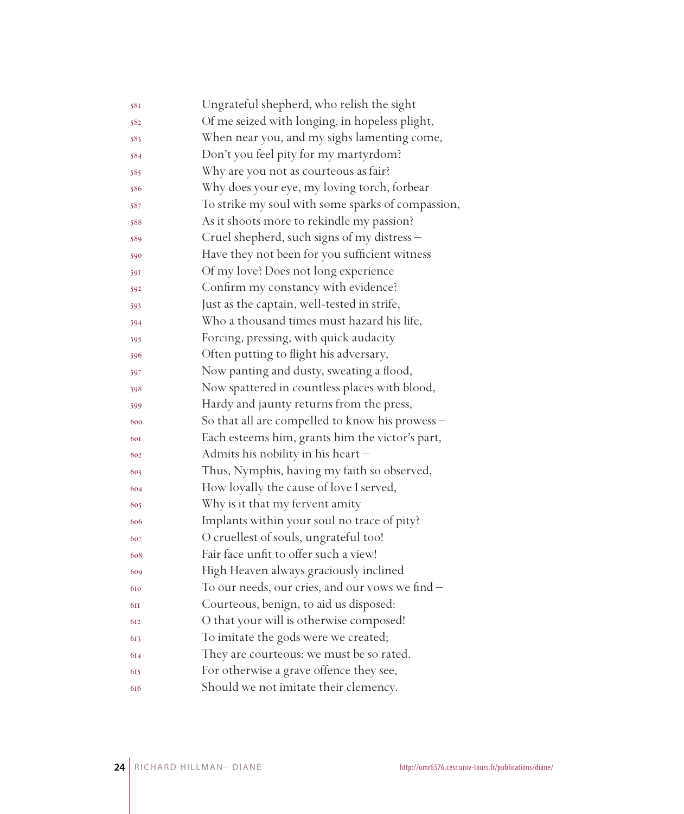| 581 | Ungrateful shepherd, who relish the sight         |
|-----|---------------------------------------------------|
| 582 | Of me seized with longing, in hopeless plight,    |
| 583 | When near you, and my sighs lamenting come,       |
| 584 | Don't you feel pity for my martyrdom?             |
| 585 | Why are you not as courteous as fair?             |
| 586 | Why does your eye, my loving torch, forbear       |
| 587 | To strike my soul with some sparks of compassion, |
| 588 | As it shoots more to rekindle my passion?         |
| 589 | Cruel shepherd, such signs of my distress -       |
| 590 | Have they not been for you sufficient witness     |
| 591 | Of my love? Does not long experience              |
| 592 | Confirm my constancy with evidence?               |
| 593 | Just as the captain, well-tested in strife,       |
| 594 | Who a thousand times must hazard his life,        |
| 595 | Forcing, pressing, with quick audacity            |
| 596 | Often putting to flight his adversary,            |
| 597 | Now panting and dusty, sweating a flood,          |
| 598 | Now spattered in countless places with blood,     |
| 599 | Hardy and jaunty returns from the press,          |
| 600 | So that all are compelled to know his prowess -   |
| 601 | Each esteems him, grants him the victor's part,   |
| 602 | Admits his nobility in his heart-                 |
| 603 | Thus, Nymphis, having my faith so observed,       |
| 604 | How loyally the cause of love I served,           |
| 605 | Why is it that my fervent amity                   |
| 606 | Implants within your soul no trace of pity?       |
| 607 | O cruellest of souls, ungrateful too!             |
| 608 | Fair face unfit to offer such a view!             |
| 609 | High Heaven always graciously inclined            |
| 610 | To our needs, our cries, and our vows we find -   |
| 6II | Courteous, benign, to aid us disposed:            |
| 612 | O that your will is otherwise composed!           |
| 613 | To imitate the gods were we created;              |
| 614 | They are courteous: we must be so rated.          |
| 615 | For otherwise a grave offence they see,           |
| 616 | Should we not imitate their clemency.             |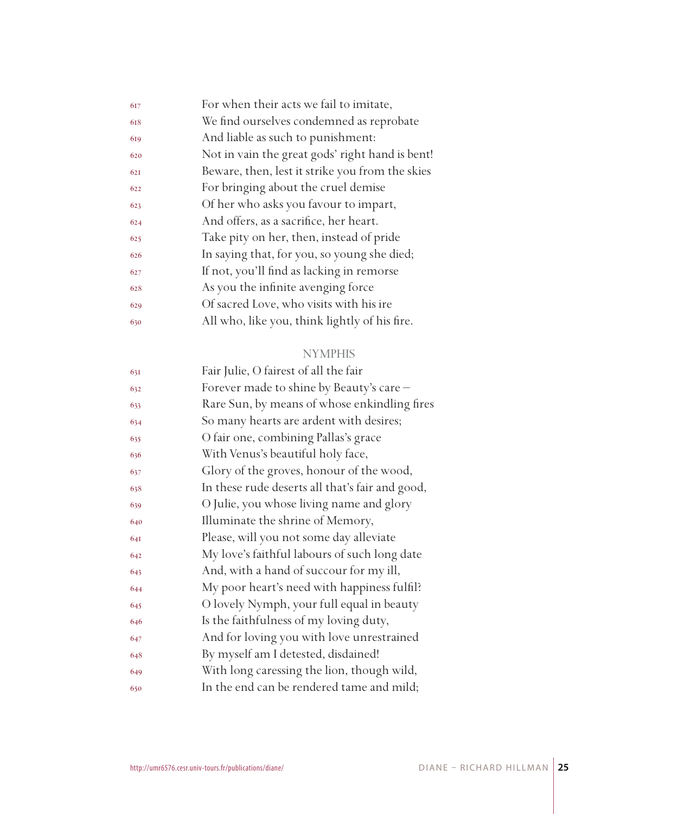| 617 | For when their acts we fail to imitate,         |
|-----|-------------------------------------------------|
| 618 | We find ourselves condemned as reprobate        |
| 619 | And liable as such to punishment:               |
| 620 | Not in vain the great gods' right hand is bent! |
| 621 | Beware, then, lest it strike you from the skies |
| 622 | For bringing about the cruel demise             |
| 623 | Of her who asks you favour to impart,           |
| 624 | And offers, as a sacrifice, her heart.          |
| 625 | Take pity on her, then, instead of pride        |
| 626 | In saying that, for you, so young she died;     |
| 627 | If not, you'll find as lacking in remorse       |
| 628 | As you the infinite avenging force              |
| 629 | Of sacred Love, who visits with his ire         |
| 630 | All who, like you, think lightly of his fire.   |
|     |                                                 |

### NYMPHIS

| 631 | Fair Julie, O fairest of all the fair           |
|-----|-------------------------------------------------|
| 632 | Forever made to shine by Beauty's care -        |
| 633 | Rare Sun, by means of whose enkindling fires    |
| 634 | So many hearts are ardent with desires;         |
| 635 | O fair one, combining Pallas's grace            |
| 636 | With Venus's beautiful holy face,               |
| 637 | Glory of the groves, honour of the wood,        |
| 638 | In these rude deserts all that's fair and good, |
| 639 | O Julie, you whose living name and glory        |
| 640 | Illuminate the shrine of Memory,                |
| 641 | Please, will you not some day alleviate         |
| 642 | My love's faithful labours of such long date    |
| 643 | And, with a hand of succour for my ill,         |
| 644 | My poor heart's need with happiness fulfil?     |
| 645 | O lovely Nymph, your full equal in beauty       |
| 646 | Is the faithfulness of my loving duty,          |
| 647 | And for loving you with love unrestrained       |
| 648 | By myself am I detested, disdained!             |
| 649 | With long caressing the lion, though wild,      |
| 650 | In the end can be rendered tame and mild;       |
|     |                                                 |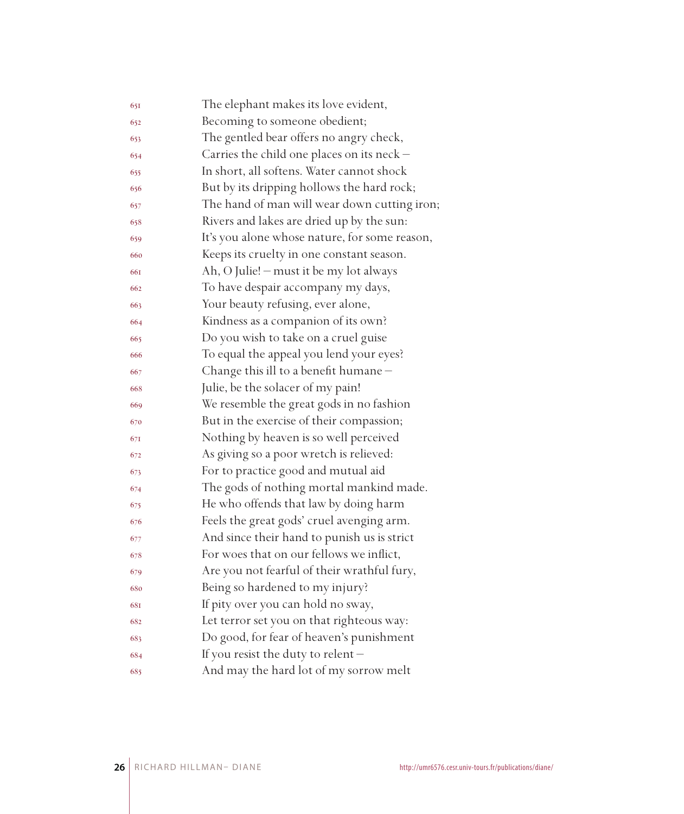| 651 | The elephant makes its love evident,          |
|-----|-----------------------------------------------|
| 652 | Becoming to someone obedient;                 |
| 653 | The gentled bear offers no angry check,       |
| 654 | Carries the child one places on its neck -    |
| 655 | In short, all softens. Water cannot shock     |
| 656 | But by its dripping hollows the hard rock;    |
| 657 | The hand of man will wear down cutting iron;  |
| 658 | Rivers and lakes are dried up by the sun:     |
| 659 | It's you alone whose nature, for some reason, |
| 660 | Keeps its cruelty in one constant season.     |
| 661 | Ah, O Julie! - must it be my lot always       |
| 662 | To have despair accompany my days,            |
| 663 | Your beauty refusing, ever alone,             |
| 664 | Kindness as a companion of its own?           |
| 665 | Do you wish to take on a cruel guise          |
| 666 | To equal the appeal you lend your eyes?       |
| 667 | Change this ill to a benefit humane-          |
| 668 | Julie, be the solacer of my pain!             |
| 669 | We resemble the great gods in no fashion      |
| 670 | But in the exercise of their compassion;      |
| 671 | Nothing by heaven is so well perceived        |
| 672 | As giving so a poor wretch is relieved:       |
| 673 | For to practice good and mutual aid           |
| 674 | The gods of nothing mortal mankind made.      |
| 675 | He who offends that law by doing harm         |
| 676 | Feels the great gods' cruel avenging arm.     |
| 677 | And since their hand to punish us is strict   |
| 678 | For woes that on our fellows we inflict,      |
| 679 | Are you not fearful of their wrathful fury,   |
| 680 | Being so hardened to my injury?               |
| 681 | If pity over you can hold no sway,            |
| 682 | Let terror set you on that righteous way:     |
| 683 | Do good, for fear of heaven's punishment      |
| 684 | If you resist the duty to relent-             |
| 685 | And may the hard lot of my sorrow melt        |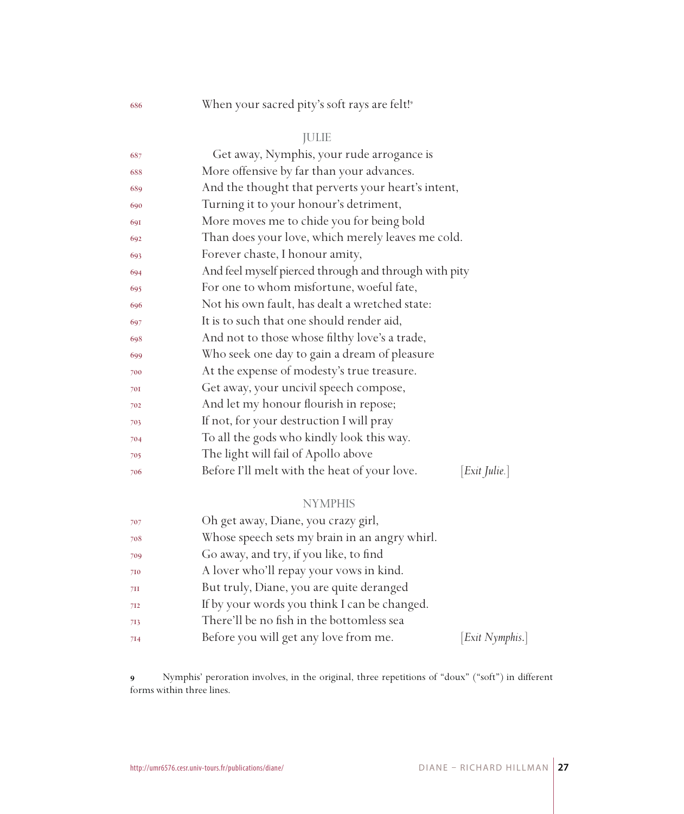## 686 When your sacred pity's soft rays are felt!<sup>9</sup>

## JULIE

| 687 | Get away, Nymphis, your rude arrogance is                          |
|-----|--------------------------------------------------------------------|
| 688 | More offensive by far than your advances.                          |
| 689 | And the thought that perverts your heart's intent,                 |
| 690 | Turning it to your honour's detriment,                             |
| 691 | More moves me to chide you for being bold                          |
| 692 | Than does your love, which merely leaves me cold.                  |
| 693 | Forever chaste, I honour amity,                                    |
| 694 | And feel myself pierced through and through with pity              |
| 695 | For one to whom misfortune, woeful fate,                           |
| 696 | Not his own fault, has dealt a wretched state:                     |
| 697 | It is to such that one should render aid,                          |
| 698 | And not to those whose filthy love's a trade,                      |
| 699 | Who seek one day to gain a dream of pleasure                       |
| 700 | At the expense of modesty's true treasure.                         |
| 701 | Get away, your uncivil speech compose,                             |
| 702 | And let my honour flourish in repose;                              |
| 703 | If not, for your destruction I will pray                           |
| 704 | To all the gods who kindly look this way.                          |
| 705 | The light will fail of Apollo above                                |
| 706 | $[Exit \; Julie.]$<br>Before I'll melt with the heat of your love. |
|     | <b>NYMPHIS</b>                                                     |
| 707 | Oh get away. Diane, you crazy girl.                                |

| 707 | Oh get away, Diane, you crazy girl,           |                 |
|-----|-----------------------------------------------|-----------------|
| 708 | Whose speech sets my brain in an angry whirl. |                 |
| 709 | Go away, and try, if you like, to find        |                 |
| 710 | A lover who'll repay your vows in kind.       |                 |
| 7II | But truly, Diane, you are quite deranged      |                 |
| 712 | If by your words you think I can be changed.  |                 |
| 713 | There'll be no fish in the bottomless sea     |                 |
| 714 | Before you will get any love from me.         | [Exit Nymphis.] |
|     |                                               |                 |

 Nymphis' peroration involves, in the original, three repetitions of "doux" ("soft") in different forms within three lines.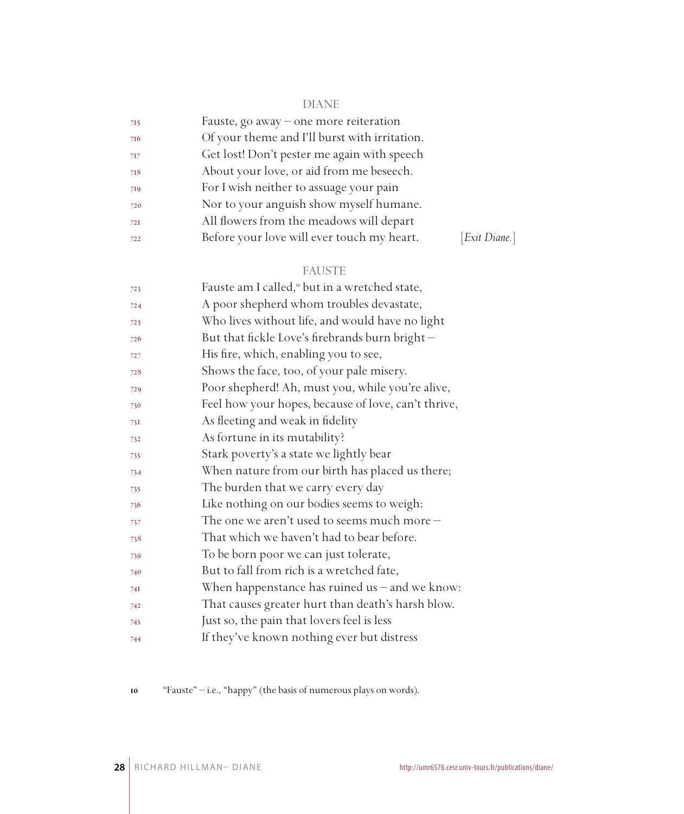## DIANE

| 715 | Fauste, go away – one more reiteration        |               |
|-----|-----------------------------------------------|---------------|
| 716 | Of your theme and I'll burst with irritation. |               |
| 717 | Get lost! Don't pester me again with speech   |               |
| 718 | About your love, or aid from me beseech.      |               |
| 719 | For I wish neither to assuage your pain       |               |
| 720 | Nor to your anguish show myself humane.       |               |
| 72I | All flowers from the meadows will depart      |               |
| 722 | Before your love will ever touch my heart.    | [Exit Diane.] |

## FAUSTE

| 723 | Fauste am I called, <sup>10</sup> but in a wretched state, |
|-----|------------------------------------------------------------|
| 724 | A poor shepherd whom troubles devastate,                   |
| 725 | Who lives without life, and would have no light            |
| 726 | But that fickle Love's firebrands burn bright-             |
| 727 | His fire, which, enabling you to see,                      |
| 728 | Shows the face, too, of your pale misery.                  |
| 729 | Poor shepherd! Ah, must you, while you're alive,           |
| 730 | Feel how your hopes, because of love, can't thrive,        |
| 731 | As fleeting and weak in fidelity                           |
| 732 | As fortune in its mutability?                              |
| 733 | Stark poverty's a state we lightly bear                    |
| 734 | When nature from our birth has placed us there;            |
| 735 | The burden that we carry every day                         |
| 736 | Like nothing on our bodies seems to weigh:                 |
| 737 | The one we aren't used to seems much more $-$              |
| 738 | That which we haven't had to bear before.                  |
| 739 | To be born poor we can just tolerate,                      |
| 740 | But to fall from rich is a wretched fate,                  |
| 741 | When happenstance has ruined us $-$ and we know:           |
| 742 | That causes greater hurt than death's harsh blow.          |
| 743 | Just so, the pain that lovers feel is less                 |
| 744 | If they've known nothing ever but distress                 |

"Fauste" – i.e., "happy" (the basis of numerous plays on words).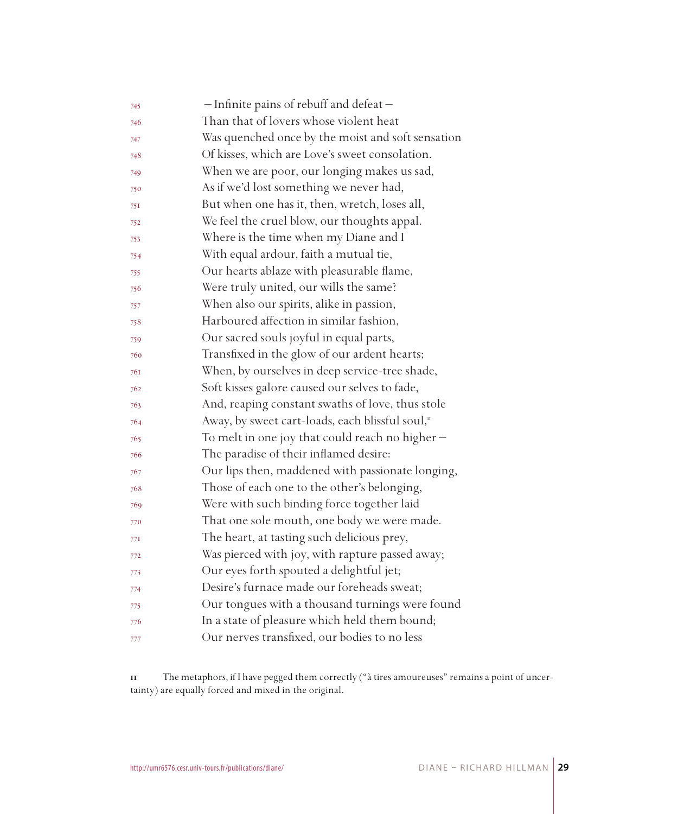| 745 | - Infinite pains of rebuff and defeat-            |
|-----|---------------------------------------------------|
| 746 | Than that of lovers whose violent heat            |
| 747 | Was quenched once by the moist and soft sensation |
| 748 | Of kisses, which are Love's sweet consolation.    |
| 749 | When we are poor, our longing makes us sad,       |
| 750 | As if we'd lost something we never had,           |
| 751 | But when one has it, then, wretch, loses all,     |
| 752 | We feel the cruel blow, our thoughts appal.       |
| 753 | Where is the time when my Diane and I             |
| 754 | With equal ardour, faith a mutual tie,            |
| 755 | Our hearts ablaze with pleasurable flame,         |
| 756 | Were truly united, our wills the same?            |
| 757 | When also our spirits, alike in passion,          |
| 758 | Harboured affection in similar fashion,           |
| 759 | Our sacred souls joyful in equal parts,           |
| 760 | Transfixed in the glow of our ardent hearts;      |
| 761 | When, by ourselves in deep service-tree shade,    |
| 762 | Soft kisses galore caused our selves to fade,     |
| 763 | And, reaping constant swaths of love, thus stole  |
| 764 | Away, by sweet cart-loads, each blissful soul,"   |
| 765 | To melt in one joy that could reach no higher -   |
| 766 | The paradise of their inflamed desire:            |
| 767 | Our lips then, maddened with passionate longing,  |
| 768 | Those of each one to the other's belonging,       |
| 769 | Were with such binding force together laid        |
| 770 | That one sole mouth, one body we were made.       |
| 77I | The heart, at tasting such delicious prey,        |
| 772 | Was pierced with joy, with rapture passed away;   |
| 773 | Our eyes forth spouted a delightful jet;          |
| 774 | Desire's furnace made our foreheads sweat;        |
| 775 | Our tongues with a thousand turnings were found   |
| 776 | In a state of pleasure which held them bound;     |
| 777 | Our nerves transfixed, our bodies to no less      |

 The metaphors, if I have pegged them correctly ("à tires amoureuses" remains a point of uncertainty) are equally forced and mixed in the original.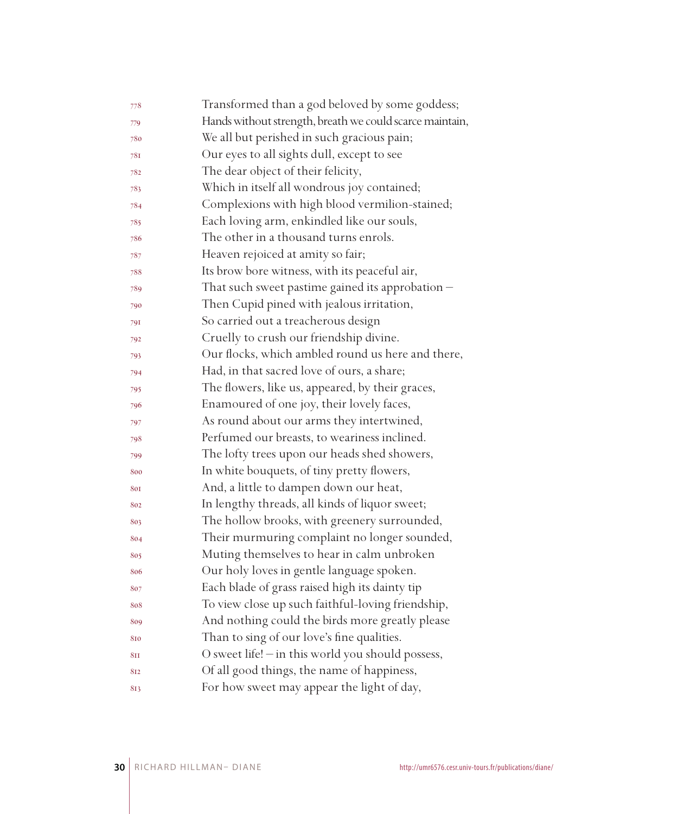| 778             | Transformed than a god beloved by some goddess;          |
|-----------------|----------------------------------------------------------|
| 779             | Hands without strength, breath we could scarce maintain, |
| 780             | We all but perished in such gracious pain;               |
| 781             | Our eyes to all sights dull, except to see               |
| 782             | The dear object of their felicity,                       |
| 783             | Which in itself all wondrous joy contained;              |
| 784             | Complexions with high blood vermilion-stained;           |
| 785             | Each loving arm, enkindled like our souls,               |
| 786             | The other in a thousand turns enrols.                    |
| 787             | Heaven rejoiced at amity so fair;                        |
| 788             | Its brow bore witness, with its peaceful air,            |
| 789             | That such sweet pastime gained its approbation $-$       |
| 790             | Then Cupid pined with jealous irritation,                |
| 791             | So carried out a treacherous design                      |
| 792             | Cruelly to crush our friendship divine.                  |
| 793             | Our flocks, which ambled round us here and there,        |
| 794             | Had, in that sacred love of ours, a share;               |
| 795             | The flowers, like us, appeared, by their graces,         |
| 796             | Enamoured of one joy, their lovely faces,                |
| 797             | As round about our arms they intertwined,                |
| 798             | Perfumed our breasts, to weariness inclined.             |
| 799             | The lofty trees upon our heads shed showers,             |
| 800             | In white bouquets, of tiny pretty flowers,               |
| 801             | And, a little to dampen down our heat,                   |
| 802             | In lengthy threads, all kinds of liquor sweet;           |
| 803             | The hollow brooks, with greenery surrounded,             |
| 804             | Their murmuring complaint no longer sounded,             |
| 805             | Muting themselves to hear in calm unbroken               |
| 806             | Our holy loves in gentle language spoken.                |
| 807             | Each blade of grass raised high its dainty tip           |
| 808             | To view close up such faithful-loving friendship,        |
| 809             | And nothing could the birds more greatly please          |
| 810             | Than to sing of our love's fine qualities.               |
| 8 <sub>II</sub> | O sweet life! - in this world you should possess,        |
| 812             | Of all good things, the name of happiness,               |
| 813             | For how sweet may appear the light of day,               |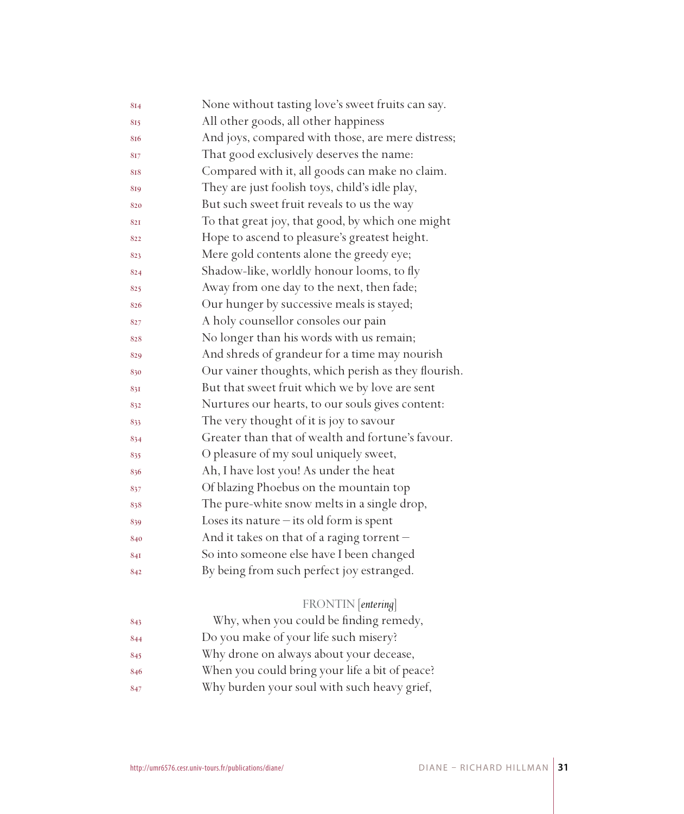| 814 | None without tasting love's sweet fruits can say.   |
|-----|-----------------------------------------------------|
| 815 | All other goods, all other happiness                |
| 816 | And joys, compared with those, are mere distress;   |
| 817 | That good exclusively deserves the name:            |
| 818 | Compared with it, all goods can make no claim.      |
| 819 | They are just foolish toys, child's idle play,      |
| 820 | But such sweet fruit reveals to us the way          |
| 821 | To that great joy, that good, by which one might    |
| 822 | Hope to ascend to pleasure's greatest height.       |
| 823 | Mere gold contents alone the greedy eye;            |
| 824 | Shadow-like, worldly honour looms, to fly           |
| 825 | Away from one day to the next, then fade;           |
| 826 | Our hunger by successive meals is stayed;           |
| 827 | A holy counsellor consoles our pain                 |
| 828 | No longer than his words with us remain;            |
| 829 | And shreds of grandeur for a time may nourish       |
| 830 | Our vainer thoughts, which perish as they flourish. |
| 831 | But that sweet fruit which we by love are sent      |
| 832 | Nurtures our hearts, to our souls gives content:    |
| 833 | The very thought of it is joy to savour             |
| 834 | Greater than that of wealth and fortune's favour.   |
| 835 | O pleasure of my soul uniquely sweet,               |
| 836 | Ah, I have lost you! As under the heat              |
| 837 | Of blazing Phoebus on the mountain top              |
| 838 | The pure-white snow melts in a single drop,         |
| 839 | Loses its nature $-$ its old form is spent          |
| 840 | And it takes on that of a raging torrent -          |
| 841 | So into someone else have I been changed            |
| 842 | By being from such perfect joy estranged.           |
|     |                                                     |
|     | FRONTIN [entering]                                  |
| 843 | Why, when you could be finding remedy,              |
| 844 | Do you make of your life such misery?               |
| 845 | Why drone on always about your decease,             |
| 846 | When you could bring your life a bit of peace?      |
| 847 | Why burden your soul with such heavy grief,         |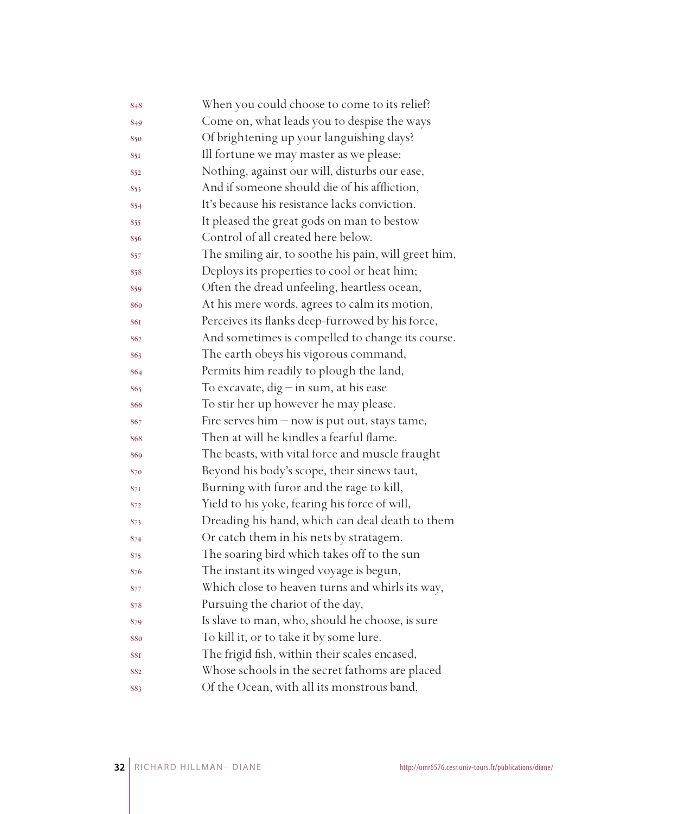| 848 | When you could choose to come to its relief?         |
|-----|------------------------------------------------------|
| 849 | Come on, what leads you to despise the ways          |
| 850 | Of brightening up your languishing days?             |
| 851 | Ill fortune we may master as we please:              |
| 852 | Nothing, against our will, disturbs our ease,        |
| 853 | And if someone should die of his affliction,         |
| 854 | It's because his resistance lacks conviction.        |
| 855 | It pleased the great gods on man to bestow           |
| 856 | Control of all created here below.                   |
| 857 | The smiling air, to soothe his pain, will greet him, |
| 858 | Deploys its properties to cool or heat him;          |
| 859 | Often the dread unfeeling, heartless ocean,          |
| 860 | At his mere words, agrees to calm its motion,        |
| 861 | Perceives its flanks deep-furrowed by his force,     |
| 862 | And sometimes is compelled to change its course.     |
| 863 | The earth obeys his vigorous command,                |
| 864 | Permits him readily to plough the land,              |
| 865 | To excavate, $dig$ - in sum, at his ease             |
| 866 | To stir her up however he may please.                |
| 867 | Fire serves $him - now$ is put out, stays tame,      |
| 868 | Then at will he kindles a fearful flame.             |
| 869 | The beasts, with vital force and muscle fraught      |
| 870 | Beyond his body's scope, their sinews taut,          |
| 871 | Burning with furor and the rage to kill,             |
| 872 | Yield to his yoke, fearing his force of will,        |
| 873 | Dreading his hand, which can deal death to them      |
| 874 | Or catch them in his nets by stratagem.              |
| 875 | The soaring bird which takes off to the sun          |
| 876 | The instant its winged voyage is begun,              |
| 877 | Which close to heaven turns and whirls its way,      |
| 878 | Pursuing the chariot of the day,                     |
| 879 | Is slave to man, who, should he choose, is sure      |
| 880 | To kill it, or to take it by some lure.              |
| 881 | The frigid fish, within their scales encased,        |
| 882 | Whose schools in the secret fathoms are placed       |
| 883 | Of the Ocean, with all its monstrous band,           |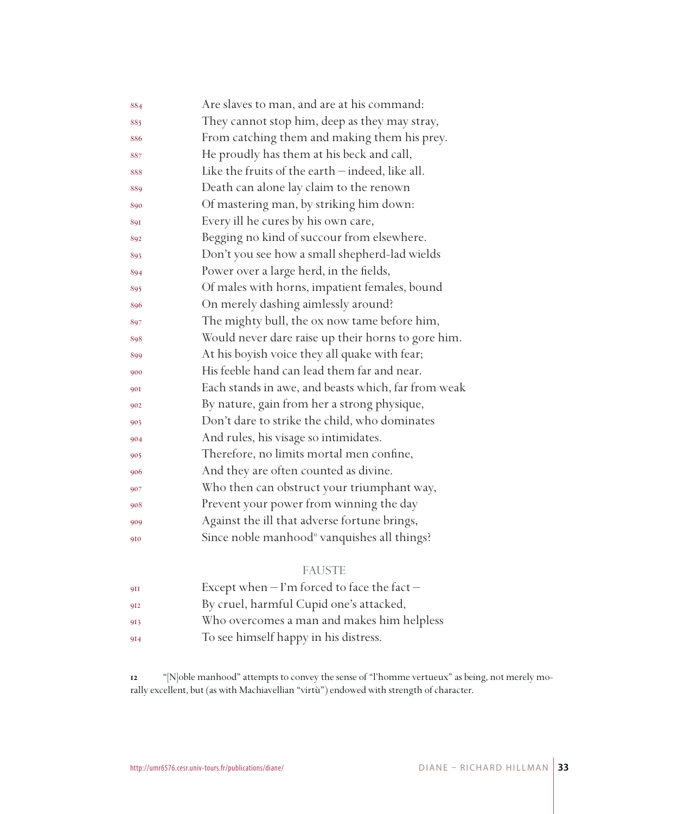| 884        | Are slaves to man, and are at his command:              |
|------------|---------------------------------------------------------|
| 885        | They cannot stop him, deep as they may stray,           |
| 886        | From catching them and making them his prey.            |
| 887        | He proudly has them at his beck and call,               |
| 888        | Like the fruits of the earth - indeed, like all.        |
| 889        | Death can alone lay claim to the renown                 |
| 890        | Of mastering man, by striking him down:                 |
| 891        | Every ill he cures by his own care,                     |
| 892        | Begging no kind of succour from elsewhere.              |
| 893        | Don't you see how a small shepherd-lad wields           |
| 894        | Power over a large herd, in the fields,                 |
| 895        | Of males with horns, impatient females, bound           |
| 896        | On merely dashing aimlessly around?                     |
| 897        | The mighty bull, the ox now tame before him,            |
| 898        | Would never dare raise up their horns to gore him.      |
| 899        | At his boyish voice they all quake with fear;           |
| 900        | His feeble hand can lead them far and near.             |
| <b>90I</b> | Each stands in awe, and beasts which, far from weak     |
| 902        | By nature, gain from her a strong physique,             |
| 903        | Don't dare to strike the child, who dominates           |
| 904        | And rules, his visage so intimidates.                   |
| 905        | Therefore, no limits mortal men confine,                |
| 906        | And they are often counted as divine.                   |
| 907        | Who then can obstruct your triumphant way,              |
| 908        | Prevent your power from winning the day                 |
| 909        | Against the ill that adverse fortune brings,            |
| 910        | Since noble manhood <sup>"</sup> vanquishes all things? |

## FAUSTE

| QII | Except when $-$ I'm forced to face the fact $-$ |
|-----|-------------------------------------------------|
| 912 | By cruel, harmful Cupid one's attacked,         |
| 913 | Who overcomes a man and makes him helpless      |
| 9I4 | To see himself happy in his distress.           |

 "[N]oble manhood" attempts to convey the sense of "l'homme vertueux" as being, not merely morally excellent, but (as with Machiavellian "virtù") endowed with strength of character.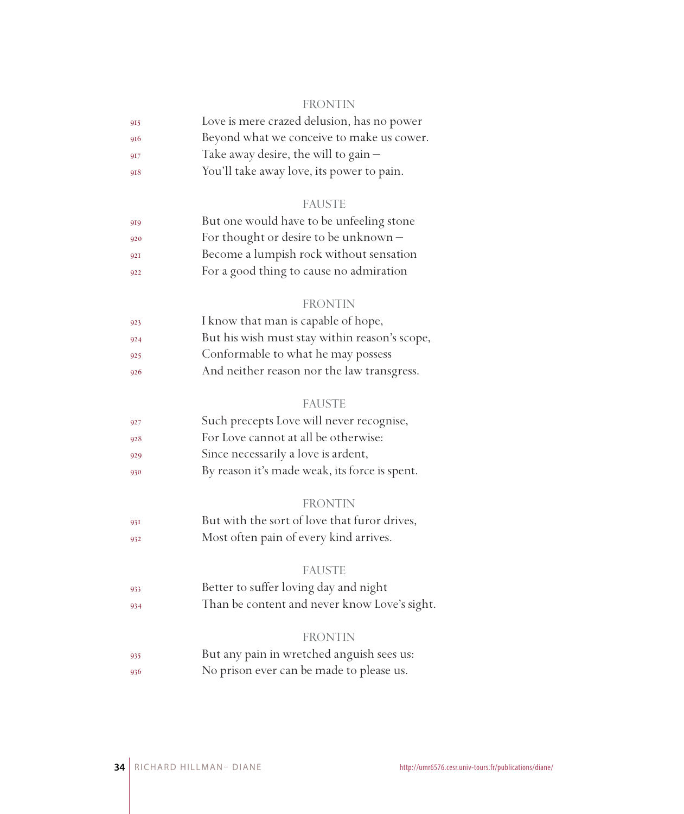#### FRONTIN

| 915 | Love is mere crazed delusion, has no power |
|-----|--------------------------------------------|
| 916 | Beyond what we conceive to make us cower.  |
| 917 | Take away desire, the will to gain $-$     |
|     |                                            |

You'll take away love, its power to pain.

#### FAUSTE

| 919 | But one would have to be unfeeling stone |
|-----|------------------------------------------|
| 920 | For thought or desire to be unknown $-$  |
| 921 | Become a lumpish rock without sensation  |
| 922 | For a good thing to cause no admiration  |

#### FRONTIN

| 923 | I know that man is capable of hope,           |
|-----|-----------------------------------------------|
| 924 | But his wish must stay within reason's scope, |
| 925 | Conformable to what he may possess            |
| 926 | And neither reason nor the law transgress.    |

#### FAUSTE

| 927 | Such precepts Love will never recognise,      |
|-----|-----------------------------------------------|
| 928 | For Love cannot at all be otherwise:          |
| 929 | Since necessarily a love is ardent,           |
| 930 | By reason it's made weak, its force is spent. |

#### FRONTIN

 But with the sort of love that furor drives, Most often pain of every kind arrives.

#### FAUSTE

 Better to suffer loving day and night Than be content and never know Love's sight.

#### FRONTIN

 But any pain in wretched anguish sees us: No prison ever can be made to please us.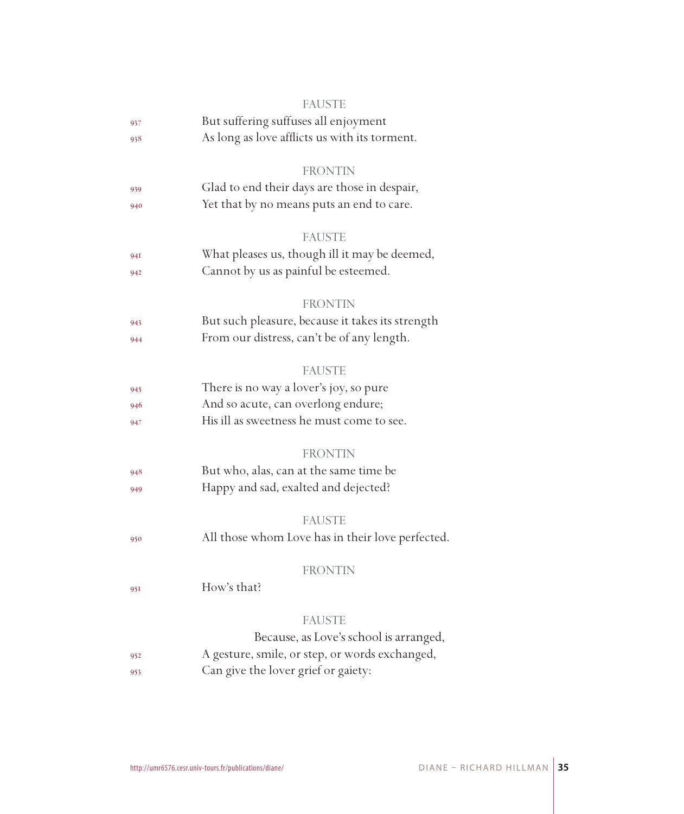|     | <b>FAUSTE</b>                                    |
|-----|--------------------------------------------------|
| 937 | But suffering suffuses all enjoyment             |
| 938 | As long as love afflicts us with its torment.    |
|     | <b>FRONTIN</b>                                   |
| 939 | Glad to end their days are those in despair,     |
| 940 | Yet that by no means puts an end to care.        |
|     | <b>FAUSTE</b>                                    |
| 94I | What pleases us, though ill it may be deemed,    |
| 942 | Cannot by us as painful be esteemed.             |
|     | <b>FRONTIN</b>                                   |
| 943 | But such pleasure, because it takes its strength |
| 944 | From our distress, can't be of any length.       |
|     | <b>FAUSTE</b>                                    |
| 945 | There is no way a lover's joy, so pure           |
| 946 | And so acute, can overlong endure;               |
| 947 | His ill as sweetness he must come to see.        |
|     | <b>FRONTIN</b>                                   |
| 948 | But who, alas, can at the same time be           |
| 949 | Happy and sad, exalted and dejected?             |
|     | <b>FAUSTE</b>                                    |
| 950 | All those whom Love has in their love perfected. |
|     | <b>FRONTIN</b>                                   |
| 951 | How's that?                                      |
|     | <b>FAUSTE</b>                                    |
|     | Because, as Love's school is arranged,           |
| 952 | A gesture, smile, or step, or words exchanged,   |
| 953 | Can give the lover grief or gaiety:              |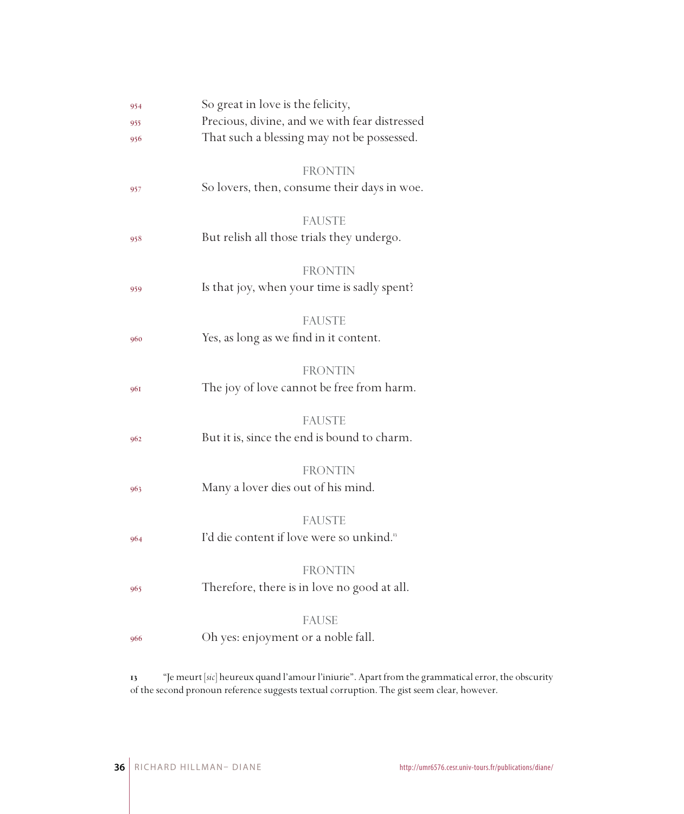| 954 | So great in love is the felicity,                    |
|-----|------------------------------------------------------|
| 955 | Precious, divine, and we with fear distressed        |
| 956 | That such a blessing may not be possessed.           |
|     | <b>FRONTIN</b>                                       |
| 957 | So lovers, then, consume their days in woe.          |
|     | <b>FAUSTE</b>                                        |
| 958 | But relish all those trials they undergo.            |
|     | <b>FRONTIN</b>                                       |
| 959 | Is that joy, when your time is sadly spent?          |
|     | <b>FAUSTE</b>                                        |
| 960 | Yes, as long as we find in it content.               |
|     |                                                      |
|     | <b>FRONTIN</b>                                       |
| 961 | The joy of love cannot be free from harm.            |
|     |                                                      |
|     | <b>FAUSTE</b>                                        |
| 962 | But it is, since the end is bound to charm.          |
|     |                                                      |
|     | <b>FRONTIN</b>                                       |
| 963 | Many a lover dies out of his mind.                   |
|     |                                                      |
|     | <b>FAUSTE</b>                                        |
| 964 | I'd die content if love were so unkind. <sup>5</sup> |
|     | <b>FRONTIN</b>                                       |
|     | Therefore, there is in love no good at all.          |
| 965 |                                                      |
|     | <b>FAUSE</b>                                         |
| 966 | Oh yes: enjoyment or a noble fall.                   |
|     |                                                      |
|     |                                                      |

 "Je meurt [*sic*] heureux quand l'amour l'iniurie". Apart from the grammatical error, the obscurity of the second pronoun reference suggests textual corruption. The gist seem clear, however.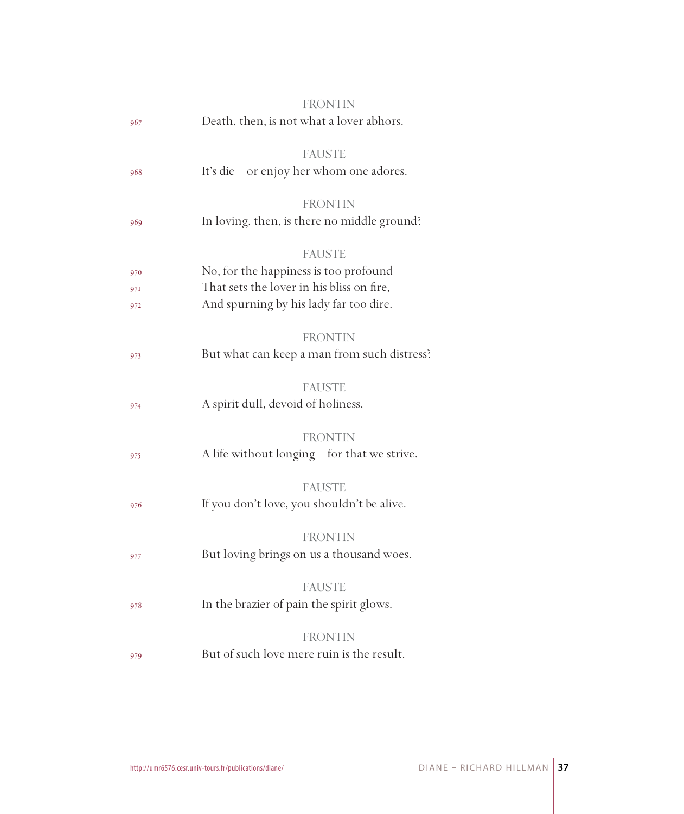|     | FRONTIN                                      |
|-----|----------------------------------------------|
| 967 | Death, then, is not what a lover abhors.     |
|     | <b>FAUSTE</b>                                |
| 968 | It's die - or enjoy her whom one adores.     |
|     | <b>FRONTIN</b>                               |
| 969 | In loving, then, is there no middle ground?  |
|     | <b>FAUSTE</b>                                |
| 970 | No, for the happiness is too profound        |
| 97I | That sets the lover in his bliss on fire,    |
| 972 | And spurning by his lady far too dire.       |
|     | <b>FRONTIN</b>                               |
| 973 | But what can keep a man from such distress?  |
|     | <b>FAUSTE</b>                                |
| 974 | A spirit dull, devoid of holiness.           |
|     | <b>FRONTIN</b>                               |
| 975 | A life without longing - for that we strive. |
|     | <b>FAUSTE</b>                                |
| 976 | If you don't love, you shouldn't be alive.   |
|     | <b>FRONTIN</b>                               |
| 977 | But loving brings on us a thousand woes.     |
|     | <b>FAUSTE</b>                                |
| 978 | In the brazier of pain the spirit glows.     |
|     | <b>FRONTIN</b>                               |
| 979 | But of such love mere ruin is the result.    |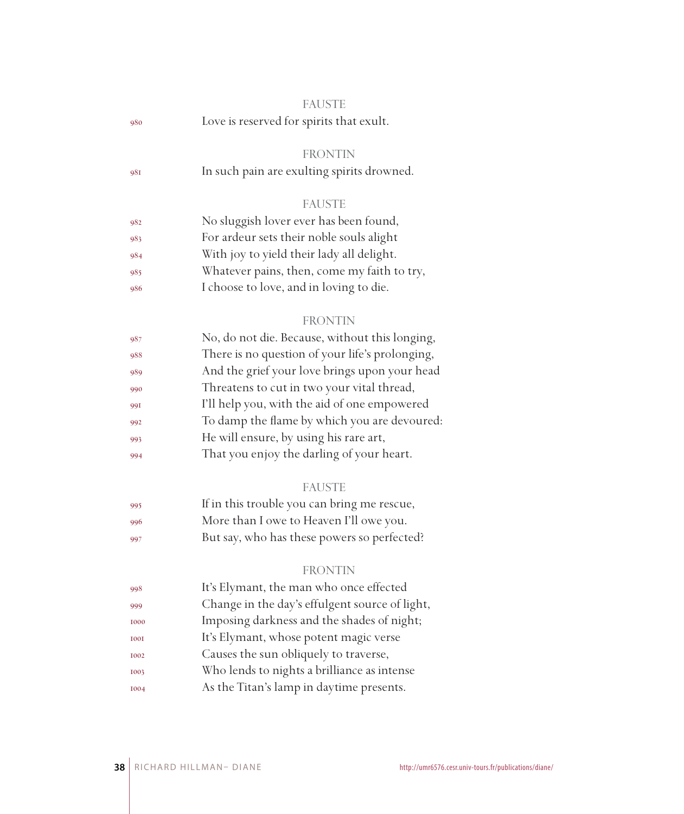|             | <b>FAUSTE</b>                                   |
|-------------|-------------------------------------------------|
| 980         | Love is reserved for spirits that exult.        |
|             |                                                 |
|             | <b>FRONTIN</b>                                  |
| 981         | In such pain are exulting spirits drowned.      |
|             |                                                 |
|             | <b>FAUSTE</b>                                   |
| 982         | No sluggish lover ever has been found,          |
| 983         | For ardeur sets their noble souls alight        |
| 984         | With joy to yield their lady all delight.       |
| 985         | Whatever pains, then, come my faith to try,     |
| 986         | I choose to love, and in loving to die.         |
|             |                                                 |
|             | <b>FRONTIN</b>                                  |
| 987         | No, do not die. Because, without this longing,  |
| 988         | There is no question of your life's prolonging, |
| 989         | And the grief your love brings upon your head   |
| 990         | Threatens to cut in two your vital thread,      |
| 991         | I'll help you, with the aid of one empowered    |
| 992         | To damp the flame by which you are devoured:    |
| 993         | He will ensure, by using his rare art,          |
| 994         | That you enjoy the darling of your heart.       |
|             | <b>FAUSTE</b>                                   |
| 995         | If in this trouble you can bring me rescue,     |
| 996         | More than I owe to Heaven I'll owe you.         |
| 997         | But say, who has these powers so perfected?     |
|             |                                                 |
|             | <b>FRONTIN</b>                                  |
| 998         | It's Elymant, the man who once effected         |
| 999         | Change in the day's effulgent source of light,  |
| 1000        | Imposing darkness and the shades of night;      |
| <b>I00I</b> | It's Elymant, whose potent magic verse          |
| 1002        | Causes the sun obliquely to traverse,           |
| 1003        | Who lends to nights a brilliance as intense     |
| 1004        | As the Titan's lamp in daytime presents.        |
|             |                                                 |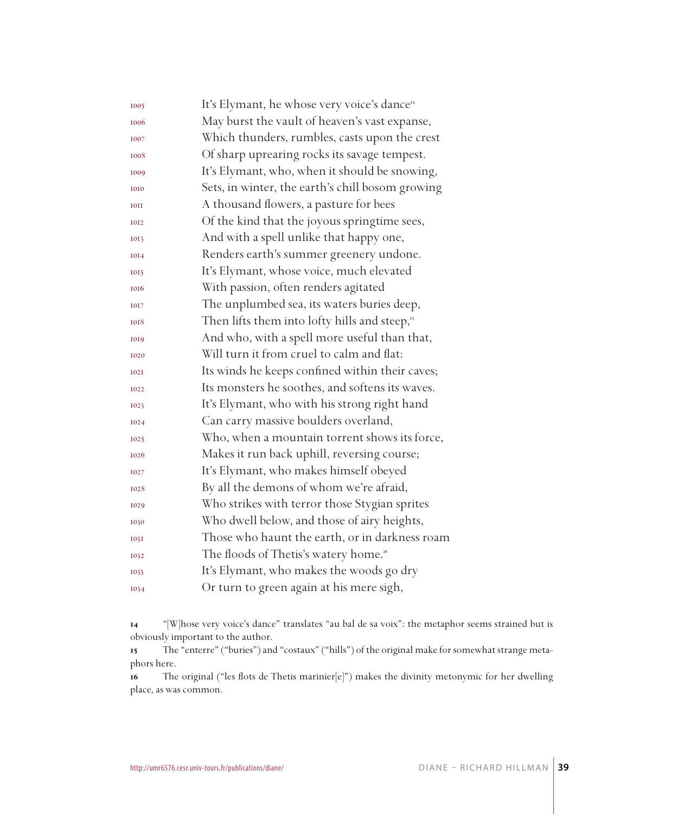| 1005        | It's Elymant, he whose very voice's dance <sup>14</sup>  |
|-------------|----------------------------------------------------------|
| 1006        | May burst the vault of heaven's vast expanse,            |
| 1007        | Which thunders, rumbles, casts upon the crest            |
| 1008        | Of sharp uprearing rocks its savage tempest.             |
| 1009        | It's Elymant, who, when it should be snowing,            |
| 1010        | Sets, in winter, the earth's chill bosom growing         |
| <b>IOII</b> | A thousand flowers, a pasture for bees                   |
| 1012        | Of the kind that the joyous springtime sees,             |
| 1013        | And with a spell unlike that happy one,                  |
| 1014        | Renders earth's summer greenery undone.                  |
| 1015        | It's Elymant, whose voice, much elevated                 |
| 1016        | With passion, often renders agitated                     |
| 1017        | The unplumbed sea, its waters buries deep,               |
| 1018        | Then lifts them into lofty hills and steep, <sup>5</sup> |
| 1019        | And who, with a spell more useful than that,             |
| 1020        | Will turn it from cruel to calm and flat:                |
| <b>I02I</b> | Its winds he keeps confined within their caves;          |
| 1022        | Its monsters he soothes, and softens its waves.          |
| 1023        | It's Elymant, who with his strong right hand             |
| 1024        | Can carry massive boulders overland,                     |
| 1025        | Who, when a mountain torrent shows its force,            |
| 1026        | Makes it run back uphill, reversing course;              |
| 1027        | It's Elymant, who makes himself obeyed                   |
| 1028        | By all the demons of whom we're afraid,                  |
| 1029        | Who strikes with terror those Stygian sprites            |
| 1030        | Who dwell below, and those of airy heights,              |
| <b>1031</b> | Those who haunt the earth, or in darkness roam           |
| 1032        | The floods of Thetis's watery home. <sup>16</sup>        |
| 1033        | It's Elymant, who makes the woods go dry                 |
| 1034        | Or turn to green again at his mere sigh,                 |

 "[W]hose very voice's dance" translates "au bal de sa voix": the metaphor seems strained but is obviously important to the author.

 The "enterre" ("buries") and "costaux" ("hills") of the original make for somewhat strange metaphors here.

 The original ("les flots de Thetis marinier[e]") makes the divinity metonymic for her dwelling place, as was common.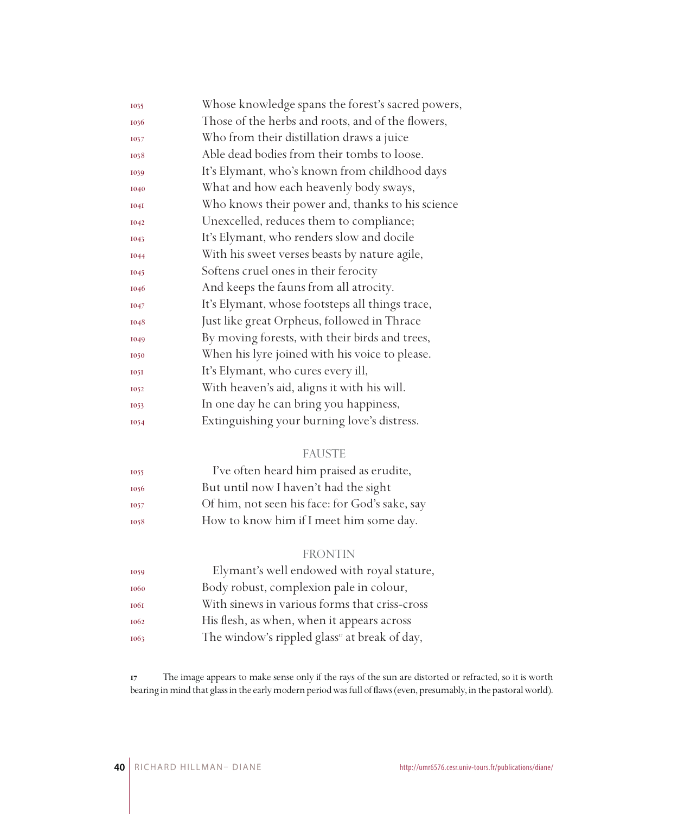| 1035        | Whose knowledge spans the forest's sacred powers, |
|-------------|---------------------------------------------------|
| 1036        | Those of the herbs and roots, and of the flowers, |
| 1037        | Who from their distillation draws a juice         |
| 1038        | Able dead bodies from their tombs to loose.       |
| 1039        | It's Elymant, who's known from childhood days     |
| 1040        | What and how each heavenly body sways,            |
| <b>1041</b> | Who knows their power and, thanks to his science  |
| 1042        | Unexcelled, reduces them to compliance;           |
| 1043        | It's Elymant, who renders slow and docile         |
| 1044        | With his sweet verses beasts by nature agile,     |
| 1045        | Softens cruel ones in their ferocity              |
| 1046        | And keeps the fauns from all atrocity.            |
| 1047        | It's Elymant, whose footsteps all things trace,   |
| 1048        | Just like great Orpheus, followed in Thrace       |
| 1049        | By moving forests, with their birds and trees,    |
| 1050        | When his lyre joined with his voice to please.    |
| <b>1051</b> | It's Elymant, who cures every ill,                |
| 1052        | With heaven's aid, aligns it with his will.       |
| 1053        | In one day he can bring you happiness,            |
| 1054        | Extinguishing your burning love's distress.       |

#### FAUSTE

| 1055 | I've often heard him praised as erudite,       |
|------|------------------------------------------------|
| 1056 | But until now I haven't had the sight          |
| 1057 | Of him, not seen his face: for God's sake, say |
| 1058 | How to know him if I meet him some day.        |

#### FRONTIN

| 1059 | Elymant's well endowed with royal stature,                |
|------|-----------------------------------------------------------|
| 1060 | Body robust, complexion pale in colour,                   |
| 1061 | With sinews in various forms that criss-cross             |
| 1062 | His flesh, as when, when it appears across                |
| 1063 | The window's rippled glass <sup>17</sup> at break of day, |

 The image appears to make sense only if the rays of the sun are distorted or refracted, so it is worth bearing in mind that glass in the early modern period was full of flaws (even, presumably, in the pastoral world).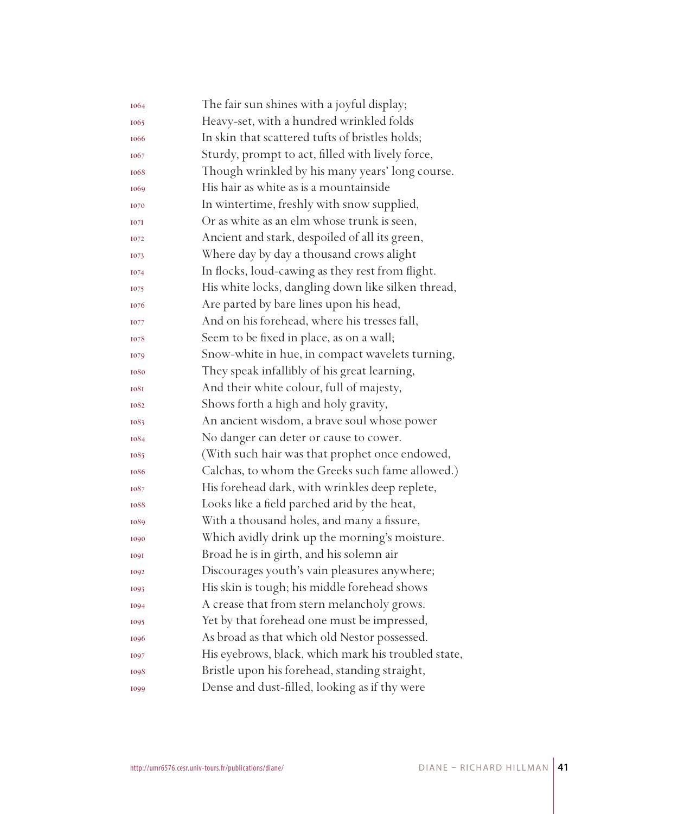| 1064 | The fair sun shines with a joyful display;          |
|------|-----------------------------------------------------|
| 1065 | Heavy-set, with a hundred wrinkled folds            |
| 1066 | In skin that scattered tufts of bristles holds;     |
| 1067 | Sturdy, prompt to act, filled with lively force,    |
| 1068 | Though wrinkled by his many years' long course.     |
| 1069 | His hair as white as is a mountainside              |
| 1070 | In wintertime, freshly with snow supplied,          |
| 1071 | Or as white as an elm whose trunk is seen,          |
| 1072 | Ancient and stark, despoiled of all its green,      |
| 1073 | Where day by day a thousand crows alight            |
| 1074 | In flocks, loud-cawing as they rest from flight.    |
| 1075 | His white locks, dangling down like silken thread,  |
| 1076 | Are parted by bare lines upon his head,             |
| 1077 | And on his forehead, where his tresses fall,        |
| 1078 | Seem to be fixed in place, as on a wall;            |
| 1079 | Snow-white in hue, in compact wavelets turning,     |
| 1080 | They speak infallibly of his great learning,        |
| 1081 | And their white colour, full of majesty,            |
| 1082 | Shows forth a high and holy gravity,                |
| 1083 | An ancient wisdom, a brave soul whose power         |
| 1084 | No danger can deter or cause to cower.              |
| 1085 | (With such hair was that prophet once endowed,      |
| 1086 | Calchas, to whom the Greeks such fame allowed.)     |
| 1087 | His forehead dark, with wrinkles deep replete,      |
| 1088 | Looks like a field parched arid by the heat,        |
| 1089 | With a thousand holes, and many a fissure,          |
| 1090 | Which avidly drink up the morning's moisture.       |
| 1091 | Broad he is in girth, and his solemn air            |
| 1092 | Discourages youth's vain pleasures anywhere;        |
| 1093 | His skin is tough; his middle forehead shows        |
| 1094 | A crease that from stern melancholy grows.          |
| 1095 | Yet by that forehead one must be impressed,         |
| 1096 | As broad as that which old Nestor possessed.        |
| 1097 | His eyebrows, black, which mark his troubled state, |
| 1098 | Bristle upon his forehead, standing straight,       |
| 1099 | Dense and dust-filled, looking as if thy were       |
|      |                                                     |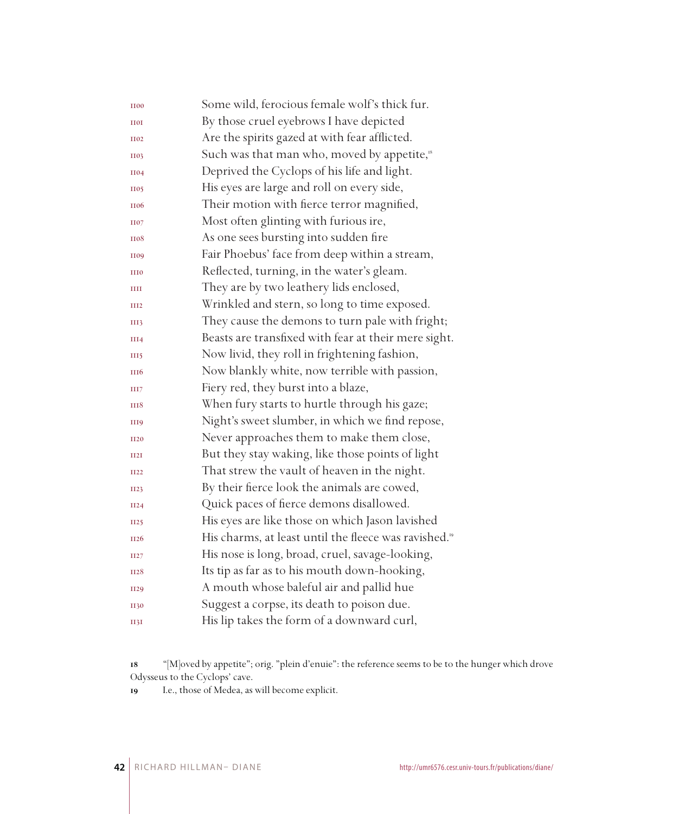| <b>II00</b>      | Some wild, ferocious female wolf's thick fur.                     |
|------------------|-------------------------------------------------------------------|
| <b>HOI</b>       | By those cruel eyebrows I have depicted                           |
| <b>H02</b>       | Are the spirits gazed at with fear afflicted.                     |
| <b>H03</b>       | Such was that man who, moved by appetite, <sup>18</sup>           |
| <b>II04</b>      | Deprived the Cyclops of his life and light.                       |
| <b>H05</b>       | His eyes are large and roll on every side,                        |
| <b>II06</b>      | Their motion with fierce terror magnified,                        |
| <b>H07</b>       | Most often glinting with furious ire,                             |
| <b>H08</b>       | As one sees bursting into sudden fire                             |
| <b>II09</b>      | Fair Phoebus' face from deep within a stream,                     |
| <b>III0</b>      | Reflected, turning, in the water's gleam.                         |
| Ш                | They are by two leathery lids enclosed,                           |
| III <sub>2</sub> | Wrinkled and stern, so long to time exposed.                      |
| III3             | They cause the demons to turn pale with fright;                   |
| III4             | Beasts are transfixed with fear at their mere sight.              |
| III5             | Now livid, they roll in frightening fashion,                      |
| <b>III6</b>      | Now blankly white, now terrible with passion,                     |
| HH7              | Fiery red, they burst into a blaze,                               |
| <b>HI8</b>       | When fury starts to hurtle through his gaze;                      |
| <b>III9</b>      | Night's sweet slumber, in which we find repose,                   |
| <b>II20</b>      | Never approaches them to make them close,                         |
| II2I             | But they stay waking, like those points of light                  |
| <b>II22</b>      | That strew the vault of heaven in the night.                      |
| II23             | By their fierce look the animals are cowed,                       |
| II24             | Quick paces of fierce demons disallowed.                          |
| <b>II25</b>      | His eyes are like those on which Jason lavished                   |
| II <sub>26</sub> | His charms, at least until the fleece was ravished. <sup>19</sup> |
| II27             | His nose is long, broad, cruel, savage-looking,                   |
| <b>II28</b>      | Its tip as far as to his mouth down-hooking,                      |
| <b>II29</b>      | A mouth whose baleful air and pallid hue                          |
| <b>II30</b>      | Suggest a corpse, its death to poison due.                        |
| II3I             | His lip takes the form of a downward curl,                        |

 "[M]oved by appetite"; orig. "plein d'enuie": the reference seems to be to the hunger which drove Odysseus to the Cyclops' cave.

I.e., those of Medea, as will become explicit.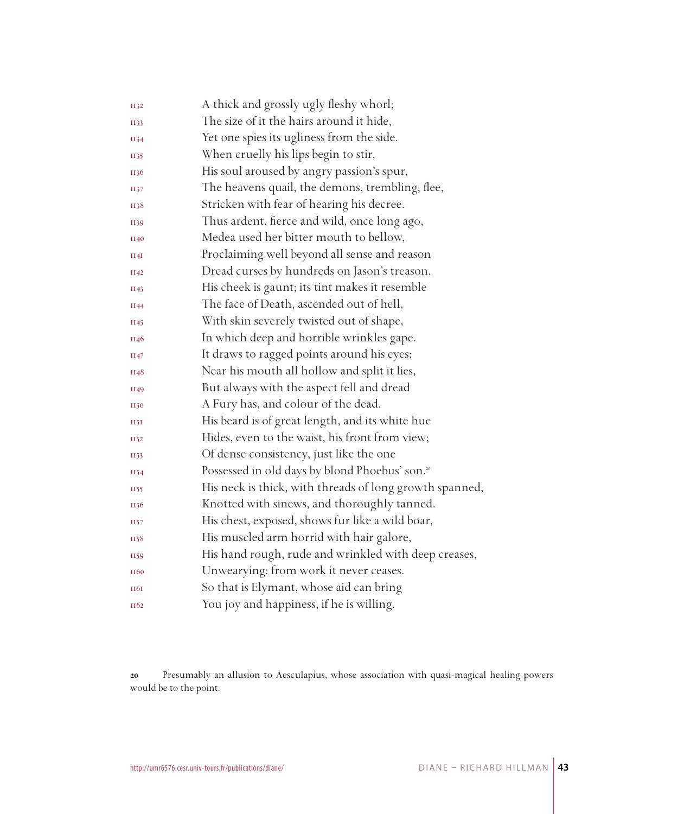| <b>II32</b>      | A thick and grossly ugly fleshy whorl;                     |
|------------------|------------------------------------------------------------|
| II33             | The size of it the hairs around it hide,                   |
| II34             | Yet one spies its ugliness from the side.                  |
| II35             | When cruelly his lips begin to stir,                       |
| II36             | His soul aroused by angry passion's spur,                  |
| II37             | The heavens quail, the demons, trembling, flee,            |
| II38             | Stricken with fear of hearing his decree.                  |
| II39             | Thus ardent, fierce and wild, once long ago,               |
| II40             | Medea used her bitter mouth to bellow,                     |
| II4I             | Proclaiming well beyond all sense and reason               |
| II42             | Dread curses by hundreds on Jason's treason.               |
| II43             | His cheek is gaunt; its tint makes it resemble             |
| II44             | The face of Death, ascended out of hell,                   |
| II45             | With skin severely twisted out of shape,                   |
| II46             | In which deep and horrible wrinkles gape.                  |
| II47             | It draws to ragged points around his eyes;                 |
| II48             | Near his mouth all hollow and split it lies,               |
| II49             | But always with the aspect fell and dread                  |
| <b>II50</b>      | A Fury has, and colour of the dead.                        |
| 1151             | His beard is of great length, and its white hue            |
| II52             | Hides, even to the waist, his front from view;             |
| II53             | Of dense consistency, just like the one                    |
| II54             | Possessed in old days by blond Phoebus' son. <sup>20</sup> |
| II55             | His neck is thick, with threads of long growth spanned,    |
| II56             | Knotted with sinews, and thoroughly tanned.                |
| II57             | His chest, exposed, shows fur like a wild boar,            |
| II58             | His muscled arm horrid with hair galore,                   |
| II59             | His hand rough, rude and wrinkled with deep creases,       |
| II <sub>60</sub> | Unwearying: from work it never ceases.                     |
| <b>HQI</b>       | So that is Elymant, whose aid can bring                    |
| II <sub>62</sub> | You joy and happiness, if he is willing.                   |

 Presumably an allusion to Aesculapius, whose association with quasi-magical healing powers would be to the point.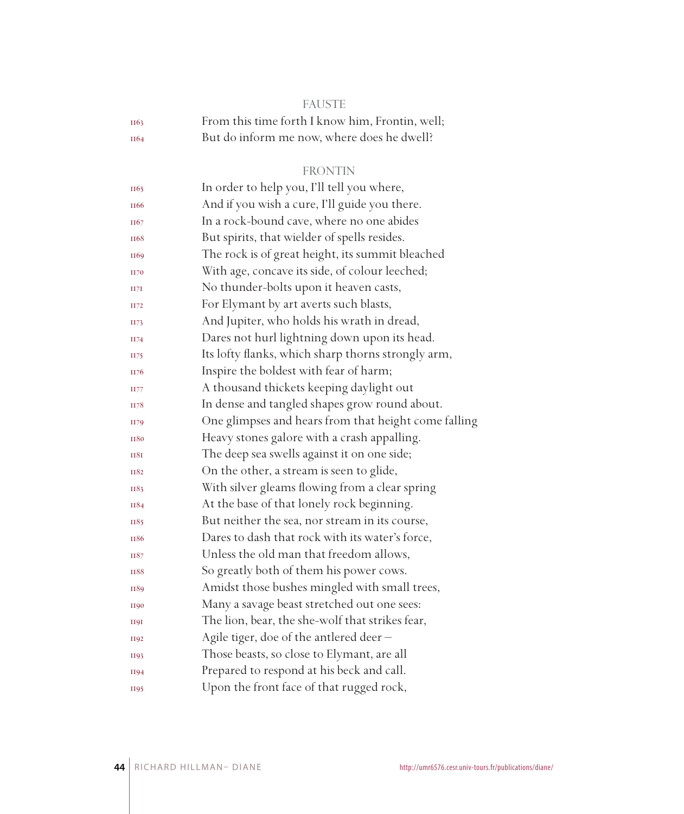| e e | e e<br>. .<br>۰. | w<br>۰. | e e | -- |
|-----|------------------|---------|-----|----|
|     |                  |         |     |    |

| II63             | From this time forth I know him, Frontin, well; |
|------------------|-------------------------------------------------|
| II <sub>64</sub> | But do inform me now, where does he dwell?      |

#### FRONTIN

| II65             | In order to help you, I'll tell you where,           |
|------------------|------------------------------------------------------|
| II <sub>66</sub> | And if you wish a cure, I'll guide you there.        |
| II67             | In a rock-bound cave, where no one abides            |
| II <sub>68</sub> | But spirits, that wielder of spells resides.         |
| II69             | The rock is of great height, its summit bleached     |
| <b>II70</b>      | With age, concave its side, of colour leeched;       |
| II7I             | No thunder-bolts upon it heaven casts,               |
| II72             | For Elymant by art averts such blasts,               |
| II73             | And Jupiter, who holds his wrath in dread,           |
| II74             | Dares not hurl lightning down upon its head.         |
| II75             | Its lofty flanks, which sharp thorns strongly arm,   |
| II76             | Inspire the boldest with fear of harm;               |
| II77             | A thousand thickets keeping daylight out             |
| II78             | In dense and tangled shapes grow round about.        |
| II79             | One glimpses and hears from that height come falling |
| <b>II80</b>      | Heavy stones galore with a crash appalling.          |
| <b>II8I</b>      | The deep sea swells against it on one side;          |
| II82             | On the other, a stream is seen to glide,             |
| II83             | With silver gleams flowing from a clear spring       |
| II84             | At the base of that lonely rock beginning.           |
| II85             | But neither the sea, nor stream in its course,       |
| <b>II86</b>      | Dares to dash that rock with its water's force,      |
| II87             | Unless the old man that freedom allows,              |
| <b>II88</b>      | So greatly both of them his power cows.              |
| II89             | Amidst those bushes mingled with small trees,        |
| <b>II90</b>      | Many a savage beast stretched out one sees:          |
| <b>H9I</b>       | The lion, bear, the she-wolf that strikes fear,      |
| <b>II92</b>      | Agile tiger, doe of the antlered deer -              |
| II93             | Those beasts, so close to Elymant, are all           |
| <b>II94</b>      | Prepared to respond at his beck and call.            |
| II95             | Upon the front face of that rugged rock,             |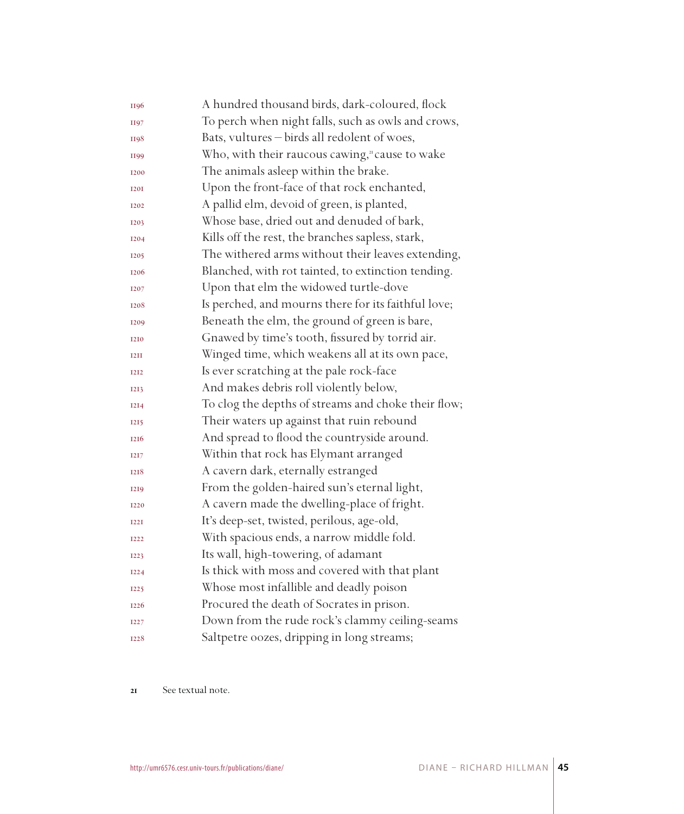| II96        | A hundred thousand birds, dark-coloured, flock      |
|-------------|-----------------------------------------------------|
| <b>II97</b> | To perch when night falls, such as owls and crows,  |
| II98        | Bats, vultures - birds all redolent of woes,        |
| II99        | Who, with their raucous cawing," cause to wake      |
| <b>I200</b> | The animals asleep within the brake.                |
| <b>I20I</b> | Upon the front-face of that rock enchanted,         |
| <b>I202</b> | A pallid elm, devoid of green, is planted,          |
| <b>I203</b> | Whose base, dried out and denuded of bark,          |
| <b>I204</b> | Kills off the rest, the branches sapless, stark,    |
| <b>I205</b> | The withered arms without their leaves extending,   |
| 1206        | Blanched, with rot tainted, to extinction tending.  |
| 1207        | Upon that elm the widowed turtle-dove               |
| 1208        | Is perched, and mourns there for its faithful love; |
| 1209        | Beneath the elm, the ground of green is bare,       |
| 1210        | Gnawed by time's tooth, fissured by torrid air.     |
| <b>T2TT</b> | Winged time, which weakens all at its own pace,     |
| <b>I2I2</b> | Is ever scratching at the pale rock-face            |
| 1213        | And makes debris roll violently below,              |
| <b>I2I4</b> | To clog the depths of streams and choke their flow; |
| <b>I215</b> | Their waters up against that ruin rebound           |
| 1216        | And spread to flood the countryside around.         |
| <b>I2I7</b> | Within that rock has Elymant arranged               |
| 1218        | A cavern dark, eternally estranged                  |
| <b>I2I9</b> | From the golden-haired sun's eternal light,         |
| <b>I220</b> | A cavern made the dwelling-place of fright.         |
| <b>I22I</b> | It's deep-set, twisted, perilous, age-old,          |
| <b>I222</b> | With spacious ends, a narrow middle fold.           |
| <b>I223</b> | Its wall, high-towering, of adamant                 |
| <b>I224</b> | Is thick with moss and covered with that plant      |
| <b>I225</b> | Whose most infallible and deadly poison             |
| <b>I226</b> | Procured the death of Socrates in prison.           |
| <b>I227</b> | Down from the rude rock's clammy ceiling-seams      |
| 1228        | Saltpetre oozes, dripping in long streams;          |

21 See textual note.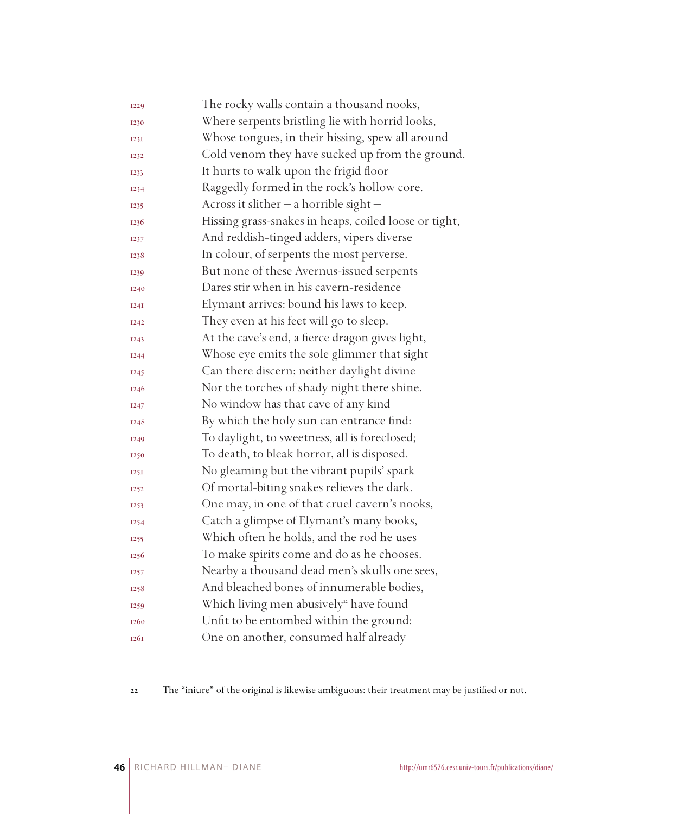| <b>I229</b> | The rocky walls contain a thousand nooks,             |
|-------------|-------------------------------------------------------|
| 1230        | Where serpents bristling lie with horrid looks,       |
| <b>I23I</b> | Whose tongues, in their hissing, spew all around      |
| 1232        | Cold venom they have sucked up from the ground.       |
| 1233        | It hurts to walk upon the frigid floor                |
| <b>I234</b> | Raggedly formed in the rock's hollow core.            |
| 1235        | Across it slither $-$ a horrible sight $-$            |
| 1236        | Hissing grass-snakes in heaps, coiled loose or tight, |
| 1237        | And reddish-tinged adders, vipers diverse             |
| 1238        | In colour, of serpents the most perverse.             |
| 1239        | But none of these Avernus-issued serpents             |
| 1240        | Dares stir when in his cavern-residence               |
| I24I        | Elymant arrives: bound his laws to keep,              |
| <b>I242</b> | They even at his feet will go to sleep.               |
| <b>I243</b> | At the cave's end, a fierce dragon gives light,       |
| <b>I244</b> | Whose eye emits the sole glimmer that sight           |
| <b>I245</b> | Can there discern; neither daylight divine            |
| 1246        | Nor the torches of shady night there shine.           |
| 1247        | No window has that cave of any kind                   |
| 1248        | By which the holy sun can entrance find:              |
| <b>I249</b> | To daylight, to sweetness, all is foreclosed;         |
| 1250        | To death, to bleak horror, all is disposed.           |
| I25I        | No gleaming but the vibrant pupils' spark             |
| <b>I252</b> | Of mortal-biting snakes relieves the dark.            |
| <b>I253</b> | One may, in one of that cruel cavern's nooks,         |
| <b>I254</b> | Catch a glimpse of Elymant's many books,              |
| 1255        | Which often he holds, and the rod he uses             |
| 1256        | To make spirits come and do as he chooses.            |
| 1257        | Nearby a thousand dead men's skulls one sees,         |
| 1258        | And bleached bones of innumerable bodies,             |
| 1259        | Which living men abusively <sup>22</sup> have found   |
| 1260        | Unfit to be entombed within the ground:               |
| <b>1261</b> | One on another, consumed half already                 |

The "iniure" of the original is likewise ambiguous: their treatment may be justified or not.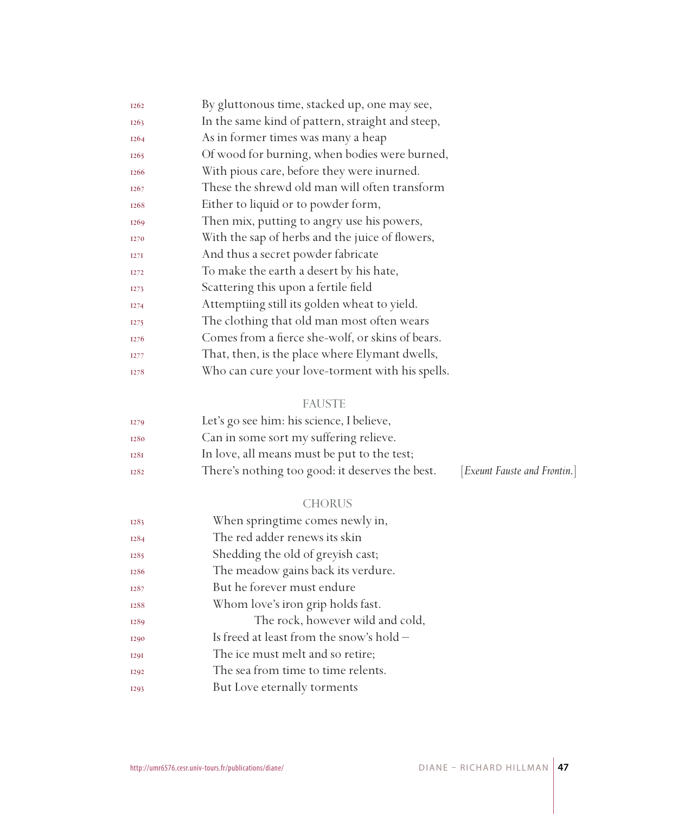| <b>I262</b>      | By gluttonous time, stacked up, one may see,     |
|------------------|--------------------------------------------------|
| <b>I263</b>      | In the same kind of pattern, straight and steep, |
| <b>I264</b>      | As in former times was many a heap               |
| <b>I265</b>      | Of wood for burning, when bodies were burned,    |
| <b>I266</b>      | With pious care, before they were inurned.       |
| <b>I267</b>      | These the shrewd old man will often transform    |
| 1268             | Either to liquid or to powder form,              |
| <b>I269</b>      | Then mix, putting to angry use his powers,       |
| <b>I270</b>      | With the sap of herbs and the juice of flowers,  |
| I27I             | And thus a secret powder fabricate               |
| <b>I272</b>      | To make the earth a desert by his hate,          |
| <b>I273</b>      | Scattering this upon a fertile field             |
| <b>I274</b>      | Attemptiing still its golden wheat to yield.     |
| I <sub>275</sub> | The clothing that old man most often wears       |
| I <sub>276</sub> | Comes from a fierce she-wolf, or skins of bears. |
| <b>I277</b>      | That, then, is the place where Elymant dwells,   |
| 1278             | Who can cure your love-torment with his spells.  |

#### FAUSTE

| <b>I279</b> | Let's go see him: his science, I believe,       |                              |
|-------------|-------------------------------------------------|------------------------------|
| 1280        | Can in some sort my suffering relieve.          |                              |
| 1281        | In love, all means must be put to the test;     |                              |
| 1282        | There's nothing too good: it deserves the best. | [Exeunt Fauste and Frontin.] |

#### CHORUS

| 1283        | When springtime comes newly in,            |
|-------------|--------------------------------------------|
| <b>I284</b> | The red adder renews its skin              |
| 1285        | Shedding the old of greyish cast;          |
| 1286        | The meadow gains back its verdure.         |
| 1287        | But he forever must endure                 |
| 1288        | Whom love's iron grip holds fast.          |
| 1289        | The rock, however wild and cold,           |
| <b>I290</b> | Is freed at least from the snow's hold $-$ |
| <b>I29I</b> | The ice must melt and so retire;           |
| <b>I292</b> | The sea from time to time relents.         |
| <b>I293</b> | But Love eternally torments                |
|             |                                            |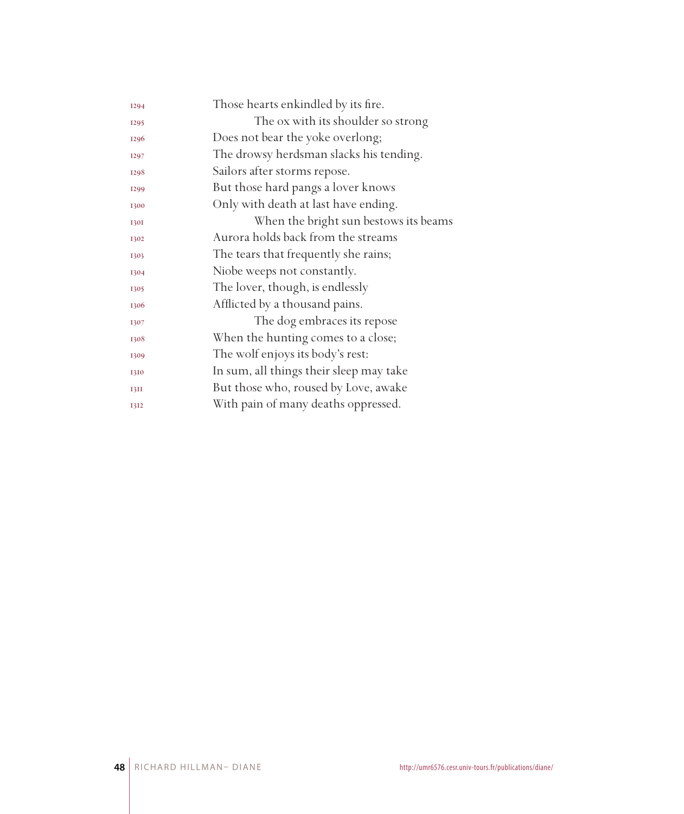| 1294        | Those hearts enkindled by its fire.     |
|-------------|-----------------------------------------|
| <b>I295</b> | The ox with its shoulder so strong      |
| 1296        | Does not bear the yoke overlong;        |
| 1297        | The drowsy herdsman slacks his tending. |
| 1298        | Sailors after storms repose.            |
| <b>I299</b> | But those hard pangs a lover knows      |
| 1300        | Only with death at last have ending.    |
| <b>1301</b> | When the bright sun bestows its beams   |
| 1302        | Aurora holds back from the streams      |
| 1303        | The tears that frequently she rains;    |
| 1304        | Niobe weeps not constantly.             |
| 1305        | The lover, though, is endlessly         |
| 1306        | Afflicted by a thousand pains.          |
| 1307        | The dog embraces its repose             |
| 1308        | When the hunting comes to a close;      |
| 1309        | The wolf enjoys its body's rest:        |
| 1310        | In sum, all things their sleep may take |
| 13II        | But those who, roused by Love, awake    |
| 1312        | With pain of many deaths oppressed.     |
|             |                                         |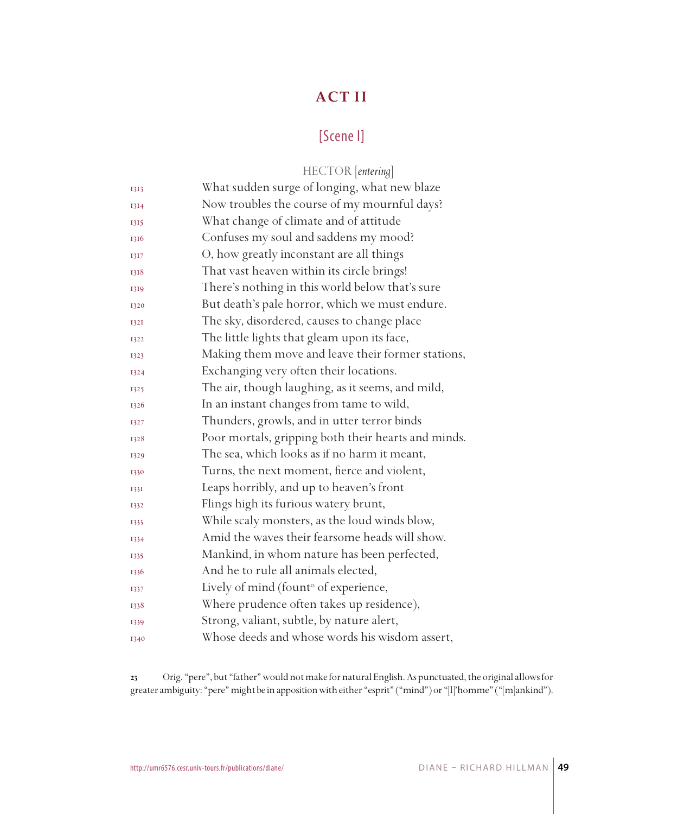## **ACT II**

## [Scene I]

|             | HECTOR [entering]                                   |
|-------------|-----------------------------------------------------|
| 1313        | What sudden surge of longing, what new blaze        |
| 1314        | Now troubles the course of my mournful days?        |
| 1315        | What change of climate and of attitude              |
| 1316        | Confuses my soul and saddens my mood?               |
| 1317        | O, how greatly inconstant are all things            |
| 1318        | That vast heaven within its circle brings!          |
| 1319        | There's nothing in this world below that's sure     |
| 1320        | But death's pale horror, which we must endure.      |
| <b>1321</b> | The sky, disordered, causes to change place         |
| 1322        | The little lights that gleam upon its face,         |
| 1323        | Making them move and leave their former stations,   |
| 1324        | Exchanging very often their locations.              |
| 1325        | The air, though laughing, as it seems, and mild,    |
| 1326        | In an instant changes from tame to wild,            |
| 1327        | Thunders, growls, and in utter terror binds         |
| 1328        | Poor mortals, gripping both their hearts and minds. |
| 1329        | The sea, which looks as if no harm it meant,        |
| 1330        | Turns, the next moment, fierce and violent,         |
| 1331        | Leaps horribly, and up to heaven's front            |
| 1332        | Flings high its furious watery brunt,               |
| 1333        | While scaly monsters, as the loud winds blow,       |
| 1334        | Amid the waves their fearsome heads will show.      |
| 1335        | Mankind, in whom nature has been perfected,         |
| 1336        | And he to rule all animals elected,                 |
| 1337        | Lively of mind (fount <sup>3</sup> of experience,   |
| 1338        | Where prudence often takes up residence),           |
| 1339        | Strong, valiant, subtle, by nature alert,           |
| 1340        | Whose deeds and whose words his wisdom assert,      |

 Orig. "pere", but "father" would not make for natural English. As punctuated, the original allows for greater ambiguity: "pere" might be in apposition with either "esprit" ("mind") or "[l]'homme" ("[m]ankind").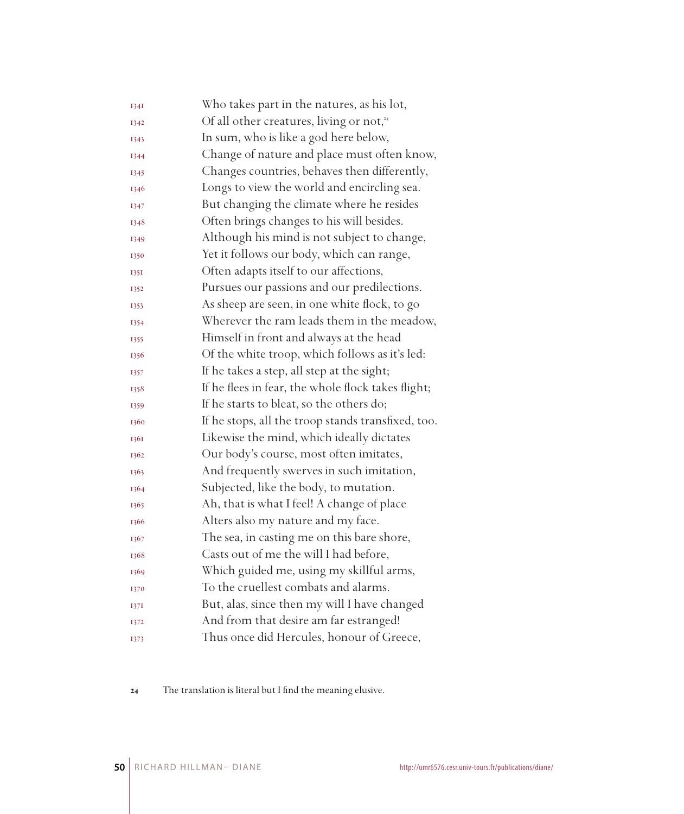| 1341 | Who takes part in the natures, as his lot,           |
|------|------------------------------------------------------|
| 1342 | Of all other creatures, living or not, <sup>24</sup> |
| 1343 | In sum, who is like a god here below,                |
| 1344 | Change of nature and place must often know,          |
| 1345 | Changes countries, behaves then differently,         |
| 1346 | Longs to view the world and encircling sea.          |
| 1347 | But changing the climate where he resides            |
| 1348 | Often brings changes to his will besides.            |
| 1349 | Although his mind is not subject to change,          |
| 1350 | Yet it follows our body, which can range,            |
| 135I | Often adapts itself to our affections,               |
| 1352 | Pursues our passions and our predilections.          |
| 1353 | As sheep are seen, in one white flock, to go         |
| 1354 | Wherever the ram leads them in the meadow,           |
| 1355 | Himself in front and always at the head              |
| 1356 | Of the white troop, which follows as it's led:       |
| 1357 | If he takes a step, all step at the sight;           |
| 1358 | If he flees in fear, the whole flock takes flight;   |
| 1359 | If he starts to bleat, so the others do;             |
| 1360 | If he stops, all the troop stands transfixed, too.   |
| 1361 | Likewise the mind, which ideally dictates            |
| 1362 | Our body's course, most often imitates,              |
| 1363 | And frequently swerves in such imitation,            |
| 1364 | Subjected, like the body, to mutation.               |
| 1365 | Ah, that is what I feel! A change of place           |
| 1366 | Alters also my nature and my face.                   |
| 1367 | The sea, in casting me on this bare shore,           |
| 1368 | Casts out of me the will I had before,               |
| 1369 | Which guided me, using my skillful arms,             |
| 1370 | To the cruellest combats and alarms.                 |
| 1371 | But, alas, since then my will I have changed         |
| 1372 | And from that desire am far estranged!               |
| 1373 | Thus once did Hercules, honour of Greece,            |

The translation is literal but I find the meaning elusive.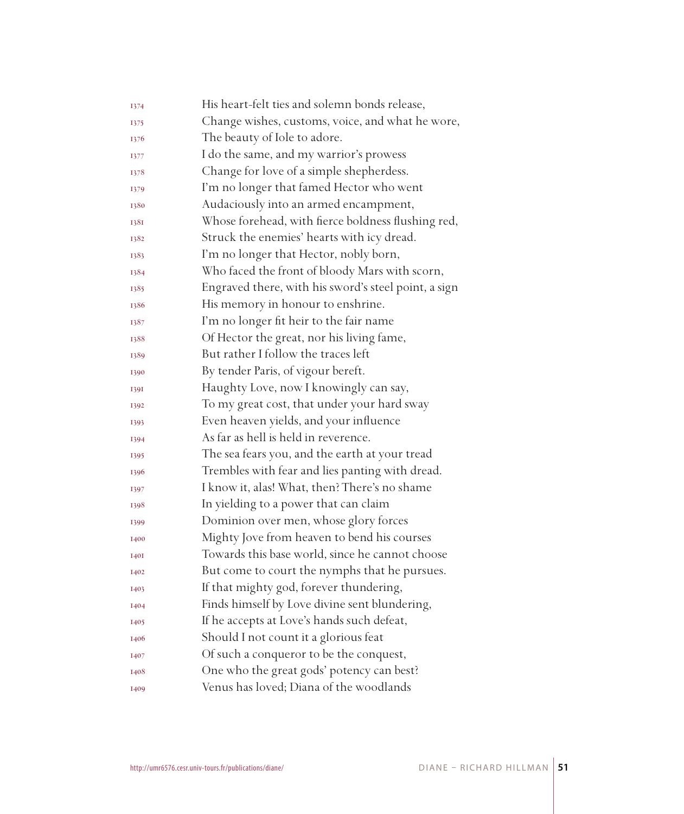| 1374        | His heart-felt ties and solemn bonds release,        |
|-------------|------------------------------------------------------|
| 1375        | Change wishes, customs, voice, and what he wore,     |
| 1376        | The beauty of Iole to adore.                         |
| 1377        | I do the same, and my warrior's prowess              |
| 1378        | Change for love of a simple shepherdess.             |
| 1379        | I'm no longer that famed Hector who went             |
| 1380        | Audaciously into an armed encampment,                |
| 1381        | Whose forehead, with fierce boldness flushing red,   |
| 1382        | Struck the enemies' hearts with icy dread.           |
| 1383        | I'm no longer that Hector, nobly born,               |
| 1384        | Who faced the front of bloody Mars with scorn,       |
| 1385        | Engraved there, with his sword's steel point, a sign |
| 1386        | His memory in honour to enshrine.                    |
| 1387        | I'm no longer fit heir to the fair name              |
| 1388        | Of Hector the great, nor his living fame,            |
| 1389        | But rather I follow the traces left                  |
| 1390        | By tender Paris, of vigour bereft.                   |
| 1391        | Haughty Love, now I knowingly can say,               |
| 1392        | To my great cost, that under your hard sway          |
| 1393        | Even heaven yields, and your influence               |
| 1394        | As far as hell is held in reverence.                 |
| 1395        | The sea fears you, and the earth at your tread       |
| 1396        | Trembles with fear and lies panting with dread.      |
| 1397        | I know it, alas! What, then? There's no shame        |
| 1398        | In yielding to a power that can claim                |
| 1399        | Dominion over men, whose glory forces                |
| 1400        | Mighty Jove from heaven to bend his courses          |
| <b>I40I</b> | Towards this base world, since he cannot choose      |
| 1402        | But come to court the nymphs that he pursues.        |
| 1403        | If that mighty god, forever thundering,              |
| 1404        | Finds himself by Love divine sent blundering,        |
| 1405        | If he accepts at Love's hands such defeat,           |
| 1406        | Should I not count it a glorious feat                |
| 1407        | Of such a conqueror to be the conquest,              |
| 1408        | One who the great gods' potency can best?            |
| 1409        | Venus has loved; Diana of the woodlands              |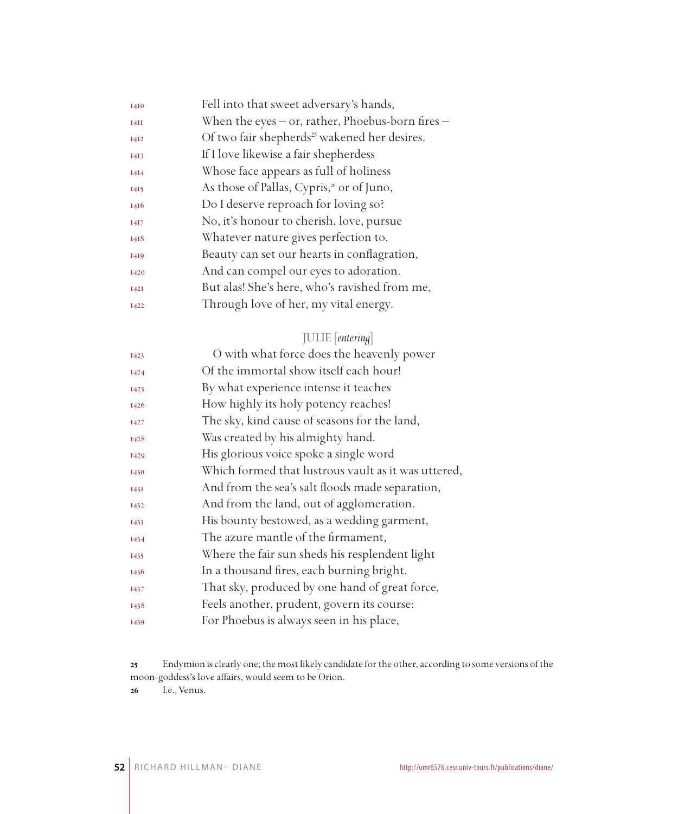| 1410        | Fell into that sweet adversary's hands,                  |
|-------------|----------------------------------------------------------|
| I4II        | When the eyes $-$ or, rather, Phoebus-born fires $-$     |
| <b>I4I2</b> | Of two fair shepherds <sup>25</sup> wakened her desires. |
| 1413        | If I love likewise a fair shepherdess                    |
| 1414        | Whose face appears as full of holiness                   |
| 1415        | As those of Pallas, Cypris, <sup>26</sup> or of Juno,    |
| 1416        | Do I deserve reproach for loving so?                     |
| 1417        | No, it's honour to cherish, love, pursue                 |
| 1418        | Whatever nature gives perfection to.                     |
| 1419        | Beauty can set our hearts in conflagration,              |
| 1420        | And can compel our eyes to adoration.                    |
| <b>I42I</b> | But alas! She's here, who's ravished from me,            |
| 1422        | Through love of her, my vital energy.                    |

## JULIE [*entering*]

| O with what force does the heavenly power           |
|-----------------------------------------------------|
| Of the immortal show itself each hour!              |
| By what experience intense it teaches               |
| How highly its holy potency reaches!                |
| The sky, kind cause of seasons for the land,        |
| Was created by his almighty hand.                   |
| His glorious voice spoke a single word              |
| Which formed that lustrous vault as it was uttered, |
| And from the sea's salt floods made separation,     |
| And from the land, out of agglomeration.            |
| His bounty bestowed, as a wedding garment,          |
| The azure mantle of the firmament,                  |
| Where the fair sun sheds his resplendent light      |
| In a thousand fires, each burning bright.           |
| That sky, produced by one hand of great force,      |
| Feels another, prudent, govern its course:          |
| For Phoebus is always seen in his place,            |
|                                                     |

Endymion is clearly one; the most likely candidate for the other, according to some versions of the moon-goddess's love affairs, would seem to be Orion.

I.e., Venus.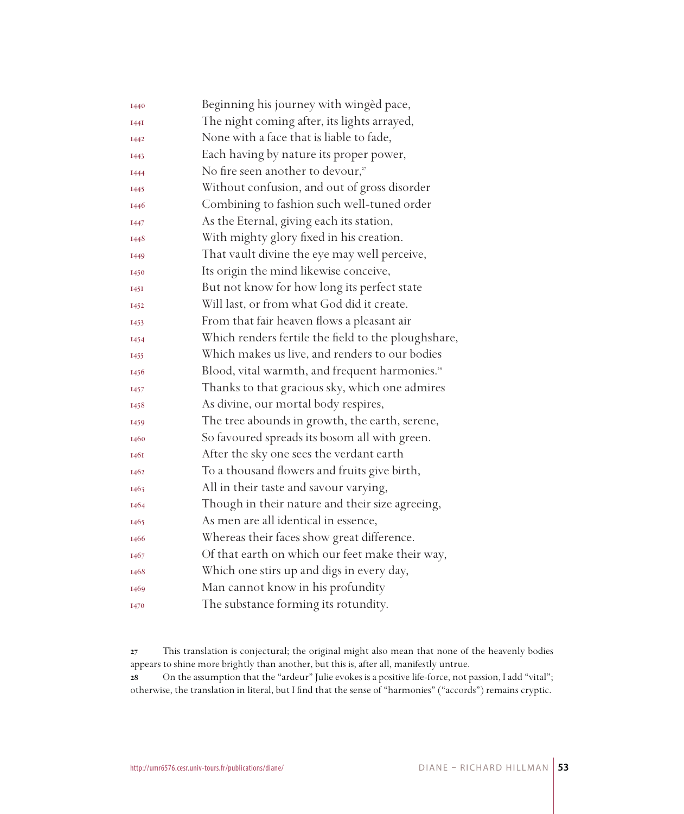| 1440        | Beginning his journey with winged pace,                    |
|-------------|------------------------------------------------------------|
| <b>I44I</b> | The night coming after, its lights arrayed,                |
| 1442        | None with a face that is liable to fade,                   |
| 1443        | Each having by nature its proper power,                    |
| 1444        | No fire seen another to devour,"                           |
| 1445        | Without confusion, and out of gross disorder               |
| 1446        | Combining to fashion such well-tuned order                 |
| 1447        | As the Eternal, giving each its station,                   |
| 1448        | With mighty glory fixed in his creation.                   |
| 1449        | That vault divine the eye may well perceive,               |
| 1450        | Its origin the mind likewise conceive,                     |
| 1451        | But not know for how long its perfect state                |
| 1452        | Will last, or from what God did it create.                 |
| 1453        | From that fair heaven flows a pleasant air                 |
| 1454        | Which renders fertile the field to the ploughshare,        |
| 1455        | Which makes us live, and renders to our bodies             |
| 1456        | Blood, vital warmth, and frequent harmonies. <sup>28</sup> |
| 1457        | Thanks to that gracious sky, which one admires             |
| 1458        | As divine, our mortal body respires,                       |
| 1459        | The tree abounds in growth, the earth, serene,             |
| 1460        | So favoured spreads its bosom all with green.              |
| 1461        | After the sky one sees the verdant earth                   |
| 1462        | To a thousand flowers and fruits give birth,               |
| 1463        | All in their taste and savour varying,                     |
| 1464        | Though in their nature and their size agreeing,            |
| 1465        | As men are all identical in essence,                       |
| 1466        | Whereas their faces show great difference.                 |
| 1467        | Of that earth on which our feet make their way,            |
| 1468        | Which one stirs up and digs in every day,                  |
| 1469        | Man cannot know in his profundity                          |
| 1470        | The substance forming its rotundity.                       |

 This translation is conjectural; the original might also mean that none of the heavenly bodies appears to shine more brightly than another, but this is, after all, manifestly untrue.

 On the assumption that the "ardeur" Julie evokes is a positive life-force, not passion, I add "vital"; otherwise, the translation in literal, but I find that the sense of "harmonies" ("accords") remains cryptic.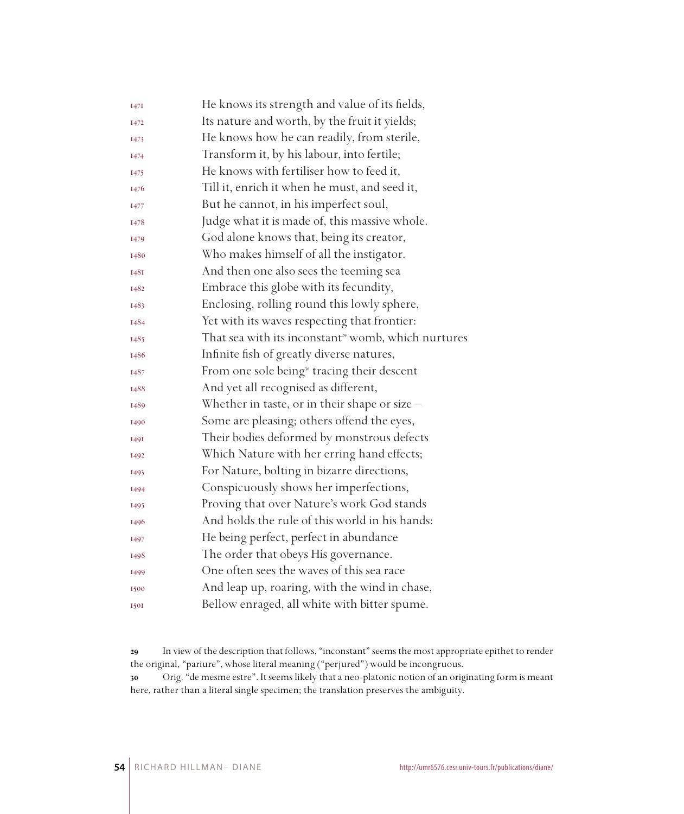| He knows its strength and value of its fields,                  |
|-----------------------------------------------------------------|
| Its nature and worth, by the fruit it yields;                   |
| He knows how he can readily, from sterile,                      |
| Transform it, by his labour, into fertile;                      |
| He knows with fertiliser how to feed it,                        |
| Till it, enrich it when he must, and seed it,                   |
| But he cannot, in his imperfect soul,                           |
| Judge what it is made of, this massive whole.                   |
| God alone knows that, being its creator,                        |
| Who makes himself of all the instigator.                        |
| And then one also sees the teeming sea                          |
| Embrace this globe with its fecundity,                          |
| Enclosing, rolling round this lowly sphere,                     |
| Yet with its waves respecting that frontier:                    |
| That sea with its inconstant <sup>39</sup> womb, which nurtures |
| Infinite fish of greatly diverse natures,                       |
| From one sole being <sup>30</sup> tracing their descent         |
| And yet all recognised as different,                            |
| Whether in taste, or in their shape or size $-$                 |
| Some are pleasing; others offend the eyes,                      |
| Their bodies deformed by monstrous defects                      |
| Which Nature with her erring hand effects;                      |
| For Nature, bolting in bizarre directions,                      |
| Conspicuously shows her imperfections,                          |
| Proving that over Nature's work God stands                      |
| And holds the rule of this world in his hands:                  |
| He being perfect, perfect in abundance                          |
| The order that obeys His governance.                            |
| One often sees the waves of this sea race                       |
| And leap up, roaring, with the wind in chase,                   |
| Bellow enraged, all white with bitter spume.                    |
|                                                                 |

 In view of the description that follows, "inconstant" seems the most appropriate epithet to render the original, "pariure", whose literal meaning ("perjured") would be incongruous.

 Orig. "de mesme estre". It seems likely that a neo-platonic notion of an originating form is meant here, rather than a literal single specimen; the translation preserves the ambiguity.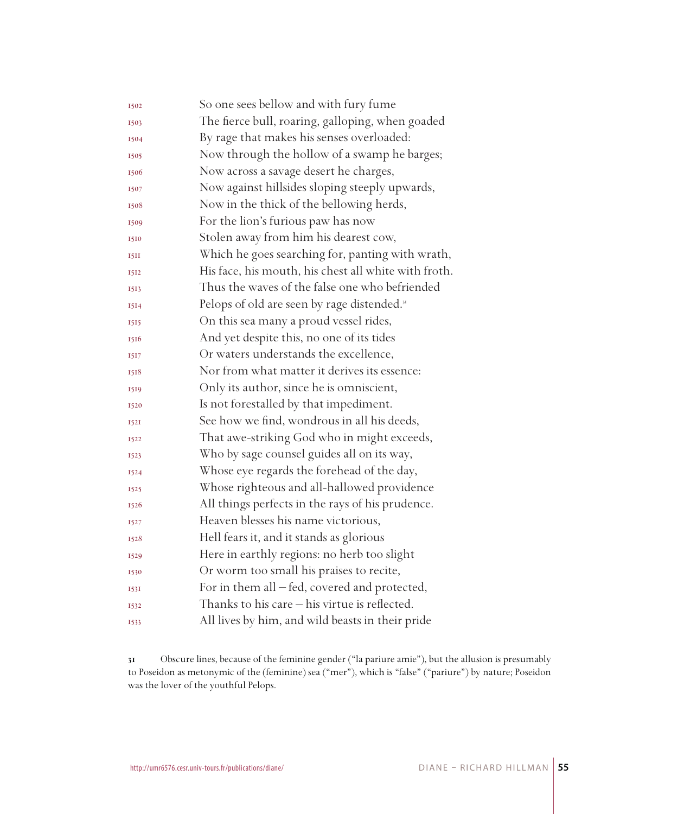| 1502        | So one sees bellow and with fury fume                   |
|-------------|---------------------------------------------------------|
| 1503        | The fierce bull, roaring, galloping, when goaded        |
| 1504        | By rage that makes his senses overloaded:               |
| 1505        | Now through the hollow of a swamp he barges;            |
| 1506        | Now across a savage desert he charges,                  |
| 1507        | Now against hillsides sloping steeply upwards,          |
| 1508        | Now in the thick of the bellowing herds,                |
| 1509        | For the lion's furious paw has now                      |
| 1510        | Stolen away from him his dearest cow,                   |
| 15II        | Which he goes searching for, panting with wrath,        |
| 1512        | His face, his mouth, his chest all white with froth.    |
| 1513        | Thus the waves of the false one who befriended          |
| 1514        | Pelops of old are seen by rage distended. <sup>31</sup> |
| 1515        | On this sea many a proud vessel rides,                  |
| 1516        | And yet despite this, no one of its tides               |
| 1517        | Or waters understands the excellence,                   |
| 1518        | Nor from what matter it derives its essence:            |
| 1519        | Only its author, since he is omniscient,                |
| 1520        | Is not forestalled by that impediment.                  |
| <b>I52I</b> | See how we find, wondrous in all his deeds,             |
| 1522        | That awe-striking God who in might exceeds,             |
| 1523        | Who by sage counsel guides all on its way,              |
| 1524        | Whose eye regards the forehead of the day,              |
| 1525        | Whose righteous and all-hallowed providence             |
| 1526        | All things perfects in the rays of his prudence.        |
| 1527        | Heaven blesses his name victorious,                     |
| 1528        | Hell fears it, and it stands as glorious                |
| 1529        | Here in earthly regions: no herb too slight             |
| 1530        | Or worm too small his praises to recite,                |
| 1531        | For in them all - fed, covered and protected,           |
| 1532        | Thanks to his care $-$ his virtue is reflected.         |
| 1533        | All lives by him, and wild beasts in their pride        |

 Obscure lines, because of the feminine gender ("la pariure amie"), but the allusion is presumably to Poseidon as metonymic of the (feminine) sea ("mer"), which is "false" ("pariure") by nature; Poseidon was the lover of the youthful Pelops.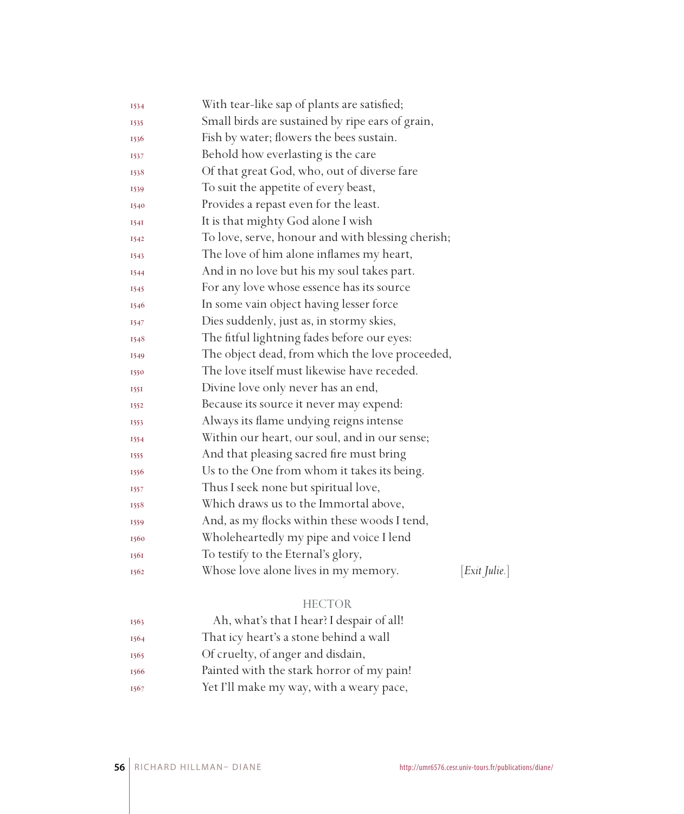| 1534        | With tear-like sap of plants are satisfied;       |                    |
|-------------|---------------------------------------------------|--------------------|
| 1535        | Small birds are sustained by ripe ears of grain,  |                    |
| 1536        | Fish by water; flowers the bees sustain.          |                    |
| 1537        | Behold how everlasting is the care                |                    |
| 1538        | Of that great God, who, out of diverse fare       |                    |
| 1539        | To suit the appetite of every beast,              |                    |
| 1540        | Provides a repast even for the least.             |                    |
| 1541        | It is that mighty God alone I wish                |                    |
| 1542        | To love, serve, honour and with blessing cherish; |                    |
| 1543        | The love of him alone inflames my heart,          |                    |
| 1544        | And in no love but his my soul takes part.        |                    |
| 1545        | For any love whose essence has its source         |                    |
| 1546        | In some vain object having lesser force           |                    |
| 1547        | Dies suddenly, just as, in stormy skies,          |                    |
| 1548        | The fitful lightning fades before our eyes:       |                    |
| 1549        | The object dead, from which the love proceeded,   |                    |
| 1550        | The love itself must likewise have receded.       |                    |
| <b>1551</b> | Divine love only never has an end,                |                    |
| 1552        | Because its source it never may expend:           |                    |
| 1553        | Always its flame undying reigns intense           |                    |
| 1554        | Within our heart, our soul, and in our sense;     |                    |
| 1555        | And that pleasing sacred fire must bring          |                    |
| 1556        | Us to the One from whom it takes its being.       |                    |
| 1557        | Thus I seek none but spiritual love,              |                    |
| 1558        | Which draws us to the Immortal above,             |                    |
| 1559        | And, as my flocks within these woods I tend,      |                    |
| 1560        | Wholeheartedly my pipe and voice I lend           |                    |
| 1561        | To testify to the Eternal's glory,                |                    |
| 1562        | Whose love alone lives in my memory.              | $[Exit \; Julie.]$ |
|             | <b>HECTOR</b>                                     |                    |

| 1563 | Ah, what's that I hear? I despair of all! |
|------|-------------------------------------------|
| 1564 | That icy heart's a stone behind a wall    |
| 1565 | Of cruelty, of anger and disdain,         |
| 1566 | Painted with the stark horror of my pain! |
| 1567 | Yet I'll make my way, with a weary pace,  |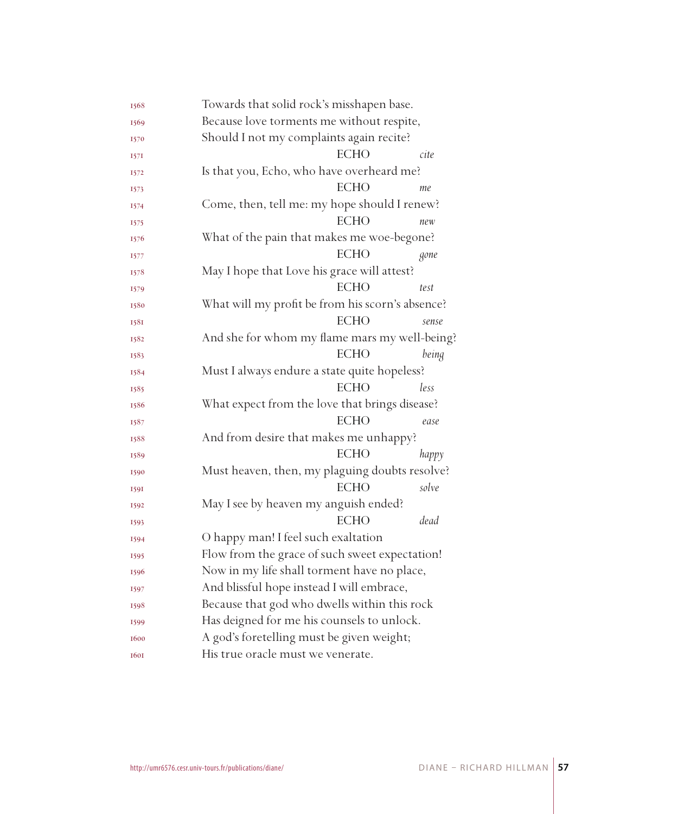| 1568 | Towards that solid rock's misshapen base.        |       |
|------|--------------------------------------------------|-------|
| 1569 | Because love torments me without respite,        |       |
| 1570 | Should I not my complaints again recite?         |       |
| 1571 | <b>ECHO</b><br>cite                              |       |
| 1572 | Is that you, Echo, who have overheard me?        |       |
| 1573 | <b>ECHO</b><br>me                                |       |
| 1574 | Come, then, tell me: my hope should I renew?     |       |
| 1575 | <b>ECHO</b><br>new                               |       |
| 1576 | What of the pain that makes me woe-begone?       |       |
| 1577 | <b>ECHO</b>                                      | gone  |
| 1578 | May I hope that Love his grace will attest?      |       |
| 1579 | <b>ECHO</b><br>test                              |       |
| 1580 | What will my profit be from his scorn's absence? |       |
| 1581 | <b>ECHO</b>                                      | sense |
| 1582 | And she for whom my flame mars my well-being?    |       |
| 1583 | <b>ECHO</b>                                      | being |
| 1584 | Must I always endure a state quite hopeless?     |       |
| 1585 | <b>ECHO</b><br>less                              |       |
| 1586 | What expect from the love that brings disease?   |       |
| 1587 | <b>ECHO</b>                                      | ease  |
| 1588 | And from desire that makes me unhappy?           |       |
| 1589 | <b>ECHO</b>                                      | happy |
| 1590 | Must heaven, then, my plaguing doubts resolve?   |       |
| 1591 | <b>ECHO</b>                                      | solve |
| 1592 | May I see by heaven my anguish ended?            |       |
| 1593 | <b>ECHO</b>                                      | dead  |
| 1594 | O happy man! I feel such exaltation              |       |
| 1595 | Flow from the grace of such sweet expectation!   |       |
| 1596 | Now in my life shall torment have no place,      |       |
| 1597 | And blissful hope instead I will embrace,        |       |
| 1598 | Because that god who dwells within this rock     |       |
| 1599 | Has deigned for me his counsels to unlock.       |       |
| 1600 | A god's foretelling must be given weight;        |       |
| 1601 | His true oracle must we venerate.                |       |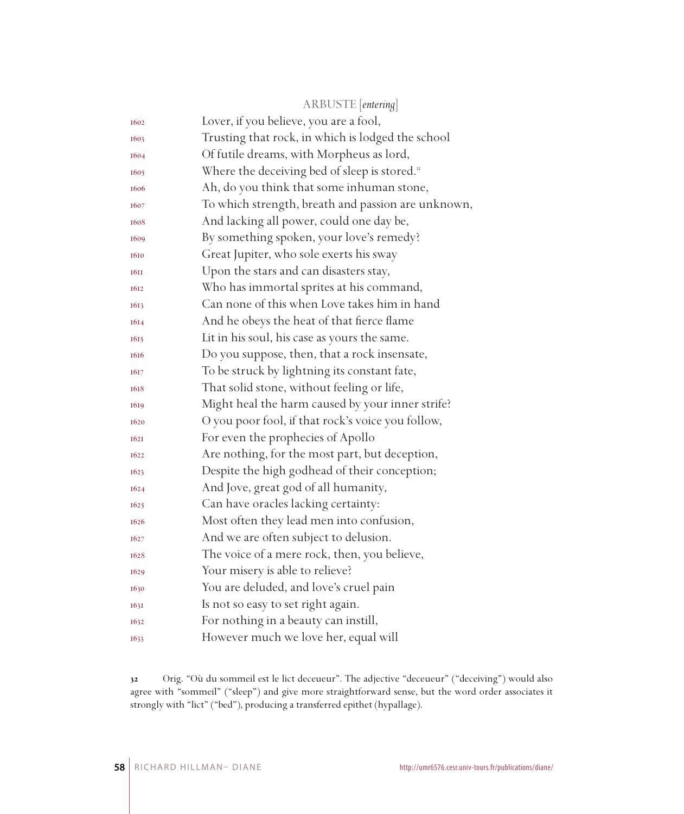|             | ARBUSTE [entering]                                        |
|-------------|-----------------------------------------------------------|
| 1602        | Lover, if you believe, you are a fool,                    |
| 1603        | Trusting that rock, in which is lodged the school         |
| 1604        | Of futile dreams, with Morpheus as lord,                  |
| 1605        | Where the deceiving bed of sleep is stored. <sup>32</sup> |
| 1606        | Ah, do you think that some inhuman stone,                 |
| 1607        | To which strength, breath and passion are unknown,        |
| 1608        | And lacking all power, could one day be,                  |
| 1609        | By something spoken, your love's remedy?                  |
| 1610        | Great Jupiter, who sole exerts his sway                   |
| <b>1611</b> | Upon the stars and can disasters stay,                    |
| 1612        | Who has immortal sprites at his command,                  |
| 1613        | Can none of this when Love takes him in hand              |
| 1614        | And he obeys the heat of that fierce flame                |
| 1615        | Lit in his soul, his case as yours the same.              |
| 1616        | Do you suppose, then, that a rock insensate,              |
| 1617        | To be struck by lightning its constant fate,              |
| 1618        | That solid stone, without feeling or life,                |
| 1619        | Might heal the harm caused by your inner strife?          |
| 1620        | O you poor fool, if that rock's voice you follow,         |
| 1621        | For even the prophecies of Apollo                         |
| 1622        | Are nothing, for the most part, but deception,            |
| 1623        | Despite the high godhead of their conception;             |
| 1624        | And Jove, great god of all humanity,                      |
| 1625        | Can have oracles lacking certainty:                       |
| 1626        | Most often they lead men into confusion,                  |
| 1627        | And we are often subject to delusion.                     |
| 1628        | The voice of a mere rock, then, you believe,              |
| 1629        | Your misery is able to relieve?                           |
| 1630        | You are deluded, and love's cruel pain                    |
| 1631        | Is not so easy to set right again.                        |
| 1632        | For nothing in a beauty can instill,                      |
| 1633        | However much we love her, equal will                      |

 Orig. "Où du sommeil est le lict deceueur". The adjective "deceueur" ("deceiving") would also agree with "sommeil" ("sleep") and give more straightforward sense, but the word order associates it strongly with "lict" ("bed"), producing a transferred epithet (hypallage).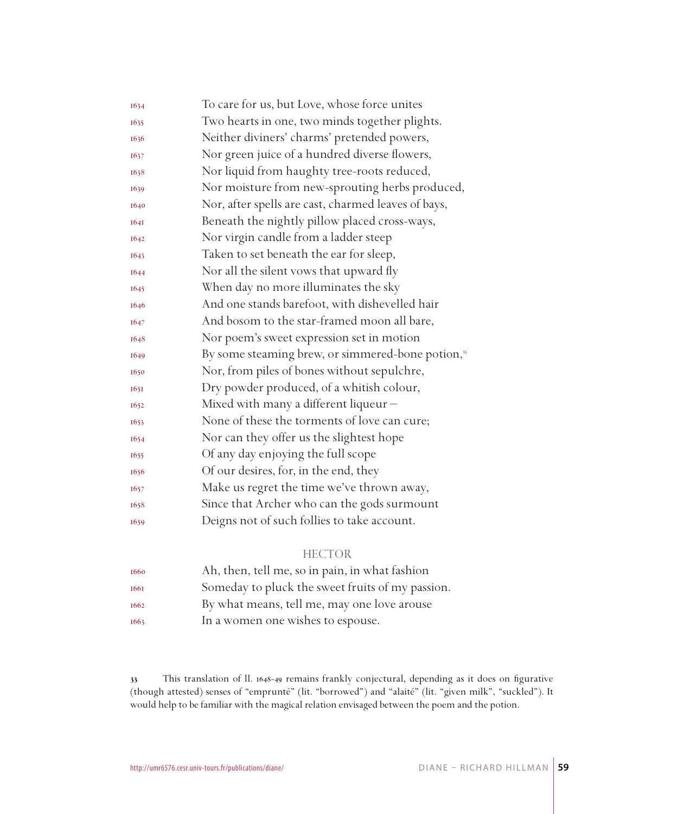| 1634        | To care for us, but Love, whose force unites                  |
|-------------|---------------------------------------------------------------|
| 1635        | Two hearts in one, two minds together plights.                |
| 1636        | Neither diviners' charms' pretended powers,                   |
| 1637        | Nor green juice of a hundred diverse flowers,                 |
| 1638        | Nor liquid from haughty tree-roots reduced,                   |
| 1639        | Nor moisture from new-sprouting herbs produced,               |
| 1640        | Nor, after spells are cast, charmed leaves of bays,           |
| <b>1641</b> | Beneath the nightly pillow placed cross-ways,                 |
| 1642        | Nor virgin candle from a ladder steep                         |
| 1643        | Taken to set beneath the ear for sleep,                       |
| 1644        | Nor all the silent vows that upward fly                       |
| 1645        | When day no more illuminates the sky                          |
| 1646        | And one stands barefoot, with dishevelled hair                |
| 1647        | And bosom to the star-framed moon all bare,                   |
| 1648        | Nor poem's sweet expression set in motion                     |
| 1649        | By some steaming brew, or simmered-bone potion, <sup>33</sup> |
| 1650        | Nor, from piles of bones without sepulchre,                   |
| 1651        | Dry powder produced, of a whitish colour,                     |
| 1652        | Mixed with many a different liqueur -                         |
| 1653        | None of these the torments of love can cure;                  |
| 1654        | Nor can they offer us the slightest hope                      |
| 1655        | Of any day enjoying the full scope                            |
| 1656        | Of our desires, for, in the end, they                         |
| 1657        | Make us regret the time we've thrown away,                    |
| 1658        | Since that Archer who can the gods surmount                   |
| 1659        | Deigns not of such follies to take account.                   |

#### HECTOR

| 1660 | Ah, then, tell me, so in pain, in what fashion   |
|------|--------------------------------------------------|
| 1661 | Someday to pluck the sweet fruits of my passion. |
| 1662 | By what means, tell me, may one love arouse      |
| 1663 | In a women one wishes to espouse.                |

 This translation of ll. 1648-49 remains frankly conjectural, depending as it does on figurative (though attested) senses of "emprunté" (lit. "borrowed") and "alaité" (lit. "given milk", "suckled"). It would help to be familiar with the magical relation envisaged between the poem and the potion.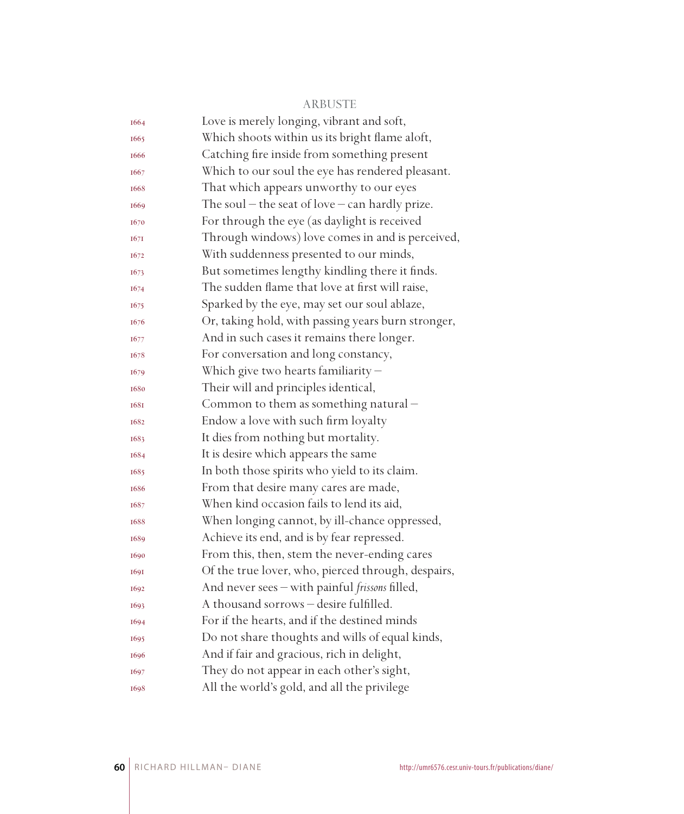#### ARBUSTE

| 1664        | Love is merely longing, vibrant and soft,           |
|-------------|-----------------------------------------------------|
| 1665        | Which shoots within us its bright flame aloft,      |
| 1666        | Catching fire inside from something present         |
| 1667        | Which to our soul the eye has rendered pleasant.    |
| 1668        | That which appears unworthy to our eyes             |
| 1669        | The soul $-$ the seat of love $-$ can hardly prize. |
| 1670        | For through the eye (as daylight is received        |
| 1671        | Through windows) love comes in and is perceived,    |
| 1672        | With suddenness presented to our minds,             |
| 1673        | But sometimes lengthy kindling there it finds.      |
| 1674        | The sudden flame that love at first will raise,     |
| 1675        | Sparked by the eye, may set our soul ablaze,        |
| 1676        | Or, taking hold, with passing years burn stronger,  |
| 1677        | And in such cases it remains there longer.          |
| 1678        | For conversation and long constancy,                |
| 1679        | Which give two hearts familiarity $-$               |
| 1680        | Their will and principles identical,                |
| <b>1681</b> | Common to them as something natural -               |
| 1682        | Endow a love with such firm loyalty                 |
| 1683        | It dies from nothing but mortality.                 |
| 1684        | It is desire which appears the same                 |
| 1685        | In both those spirits who yield to its claim.       |
| 1686        | From that desire many cares are made,               |
| 1687        | When kind occasion fails to lend its aid,           |
| 1688        | When longing cannot, by ill-chance oppressed,       |
| 1689        | Achieve its end, and is by fear repressed.          |
| 1690        | From this, then, stem the never-ending cares        |
| 1691        | Of the true lover, who, pierced through, despairs,  |
| 1692        | And never sees - with painful frissons filled,      |
| 1693        | A thousand sorrows - desire fulfilled.              |
| 1694        | For if the hearts, and if the destined minds        |
| 1695        | Do not share thoughts and wills of equal kinds,     |
| 1696        | And if fair and gracious, rich in delight,          |
| 1697        | They do not appear in each other's sight,           |
| 1698        | All the world's gold, and all the privilege         |
|             |                                                     |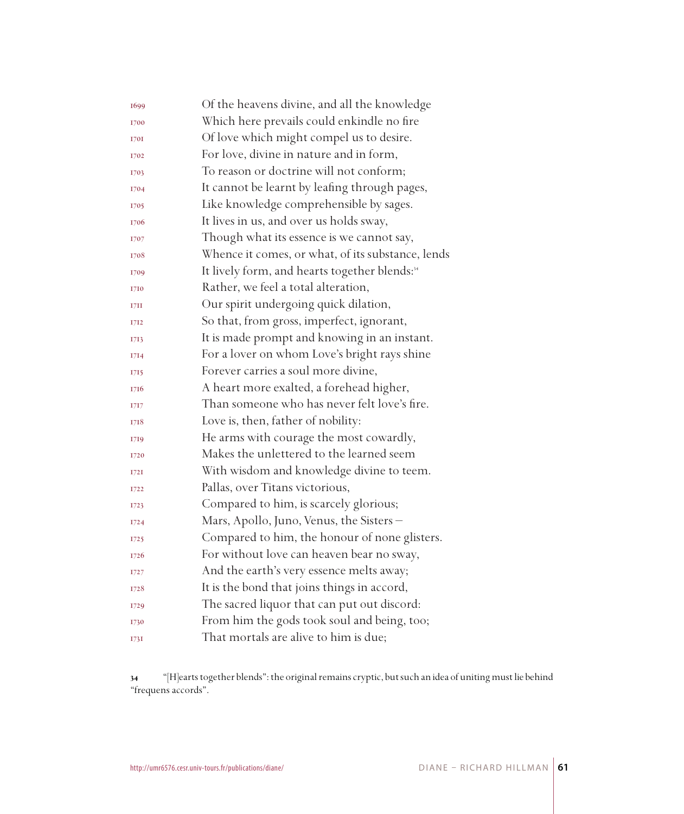| 1699 | Of the heavens divine, and all the knowledge              |
|------|-----------------------------------------------------------|
| 1700 | Which here prevails could enkindle no fire                |
| 1701 | Of love which might compel us to desire.                  |
| 1702 | For love, divine in nature and in form,                   |
| 1703 | To reason or doctrine will not conform;                   |
| 1704 | It cannot be learnt by leafing through pages,             |
| 1705 | Like knowledge comprehensible by sages.                   |
| 1706 | It lives in us, and over us holds sway,                   |
| 1707 | Though what its essence is we cannot say,                 |
| 1708 | Whence it comes, or what, of its substance, lends         |
| 1709 | It lively form, and hearts together blends: <sup>34</sup> |
| 1710 | Rather, we feel a total alteration,                       |
| 17H  | Our spirit undergoing quick dilation,                     |
| 1712 | So that, from gross, imperfect, ignorant,                 |
| 1713 | It is made prompt and knowing in an instant.              |
| 1714 | For a lover on whom Love's bright rays shine              |
| 1715 | Forever carries a soul more divine,                       |
| 1716 | A heart more exalted, a forehead higher,                  |
| 1717 | Than someone who has never felt love's fire.              |
| 1718 | Love is, then, father of nobility:                        |
| 1719 | He arms with courage the most cowardly,                   |
| 1720 | Makes the unlettered to the learned seem                  |
| I72I | With wisdom and knowledge divine to teem.                 |
| 1722 | Pallas, over Titans victorious,                           |
| 1723 | Compared to him, is scarcely glorious;                    |
| I724 | Mars, Apollo, Juno, Venus, the Sisters –                  |
| 1725 | Compared to him, the honour of none glisters.             |
| 1726 | For without love can heaven bear no sway,                 |
| 1727 | And the earth's very essence melts away;                  |
| 1728 | It is the bond that joins things in accord,               |
| 1729 | The sacred liquor that can put out discord:               |
| 1730 | From him the gods took soul and being, too;               |
| 1731 | That mortals are alive to him is due;                     |

 "[H]earts together blends": the original remains cryptic, but such an idea of uniting must lie behind "frequens accords".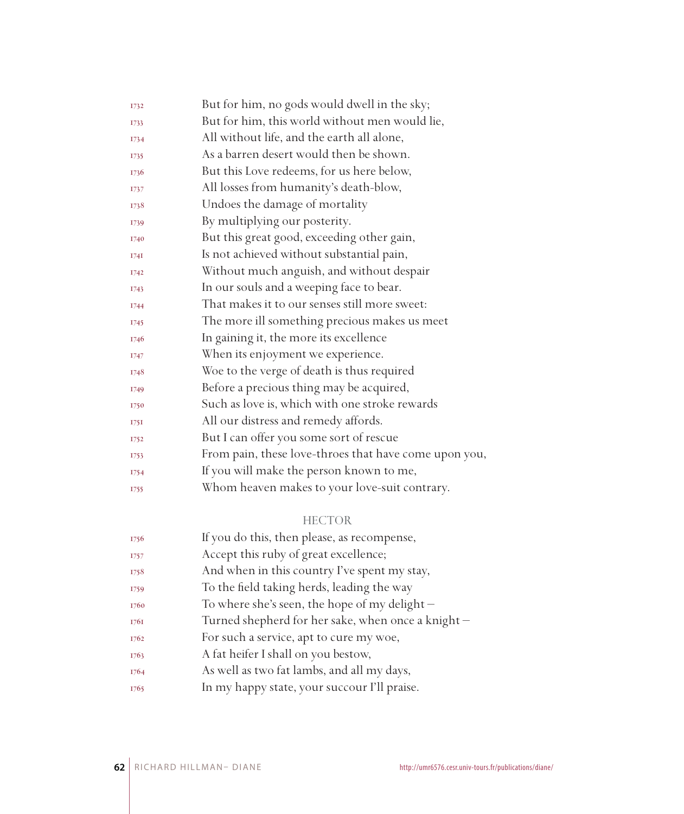| 1732        | But for him, no gods would dwell in the sky;          |
|-------------|-------------------------------------------------------|
| 1733        | But for him, this world without men would lie,        |
| 1734        | All without life, and the earth all alone,            |
| 1735        | As a barren desert would then be shown.               |
| 1736        | But this Love redeems, for us here below,             |
| 1737        | All losses from humanity's death-blow,                |
| 1738        | Undoes the damage of mortality                        |
| 1739        | By multiplying our posterity.                         |
| 1740        | But this great good, exceeding other gain,            |
| 174I        | Is not achieved without substantial pain,             |
| <b>I742</b> | Without much anguish, and without despair             |
| 1743        | In our souls and a weeping face to bear.              |
| <b>I744</b> | That makes it to our senses still more sweet:         |
| 1745        | The more ill something precious makes us meet         |
| 1746        | In gaining it, the more its excellence                |
| 1747        | When its enjoyment we experience.                     |
| 1748        | Woe to the verge of death is thus required            |
| <b>I749</b> | Before a precious thing may be acquired,              |
| 1750        | Such as love is, which with one stroke rewards        |
| 175I        | All our distress and remedy affords.                  |
| 1752        | But I can offer you some sort of rescue               |
| 1753        | From pain, these love-throes that have come upon you, |
| 1754        | If you will make the person known to me,              |
| 1755        | Whom heaven makes to your love-suit contrary.         |
|             |                                                       |

#### HECTOR

| 1756 | If you do this, then please, as recompense,       |
|------|---------------------------------------------------|
| 1757 | Accept this ruby of great excellence;             |
| 1758 | And when in this country I've spent my stay,      |
| 1759 | To the field taking herds, leading the way        |
| 1760 | To where she's seen, the hope of my delight $-$   |
| 1761 | Turned shepherd for her sake, when once a knight- |
| 1762 | For such a service, apt to cure my woe,           |
| 1763 | A fat heifer I shall on you bestow,               |
| 1764 | As well as two fat lambs, and all my days,        |
| 1765 | In my happy state, your succour I'll praise.      |
|      |                                                   |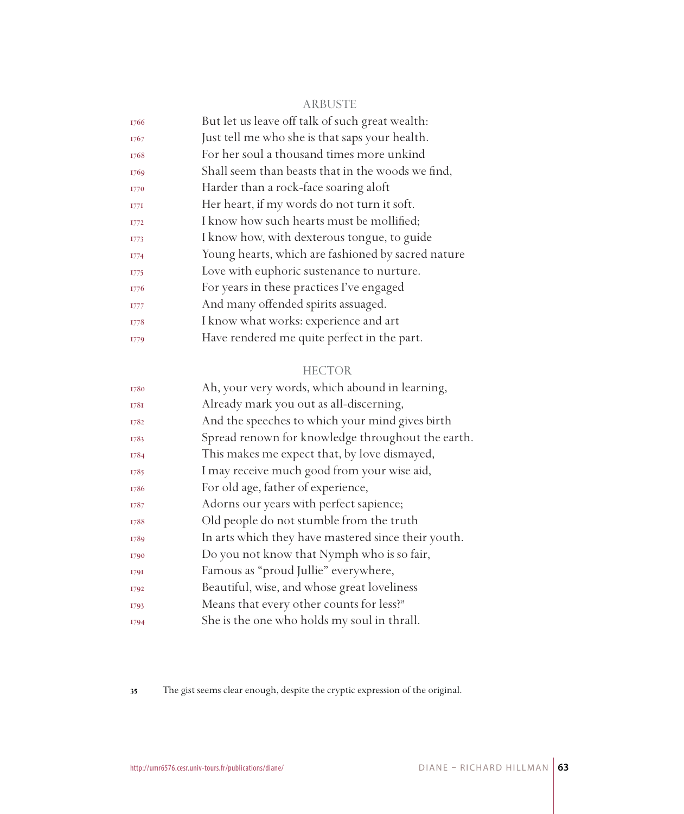#### ARBUSTE

| But let us leave off talk of such great wealth:    |
|----------------------------------------------------|
| Just tell me who she is that saps your health.     |
| For her soul a thousand times more unkind          |
| Shall seem than beasts that in the woods we find,  |
| Harder than a rock-face soaring aloft              |
| Her heart, if my words do not turn it soft.        |
| I know how such hearts must be mollified;          |
| I know how, with dexterous tongue, to guide        |
| Young hearts, which are fashioned by sacred nature |
| Love with euphoric sustenance to nurture.          |
| For years in these practices I've engaged          |
| And many offended spirits assuaged.                |
| I know what works: experience and art              |
| Have rendered me quite perfect in the part.        |
|                                                    |

#### HECTOR

| Ah, your very words, which abound in learning,        |
|-------------------------------------------------------|
| Already mark you out as all-discerning,               |
| And the speeches to which your mind gives birth       |
| Spread renown for knowledge throughout the earth.     |
| This makes me expect that, by love dismayed,          |
| I may receive much good from your wise aid,           |
| For old age, father of experience,                    |
| Adorns our years with perfect sapience;               |
| Old people do not stumble from the truth              |
| In arts which they have mastered since their youth.   |
| Do you not know that Nymph who is so fair,            |
| Famous as "proud Jullie" everywhere,                  |
| Beautiful, wise, and whose great loveliness           |
| Means that every other counts for less? <sup>35</sup> |
| She is the one who holds my soul in thrall.           |
|                                                       |

The gist seems clear enough, despite the cryptic expression of the original.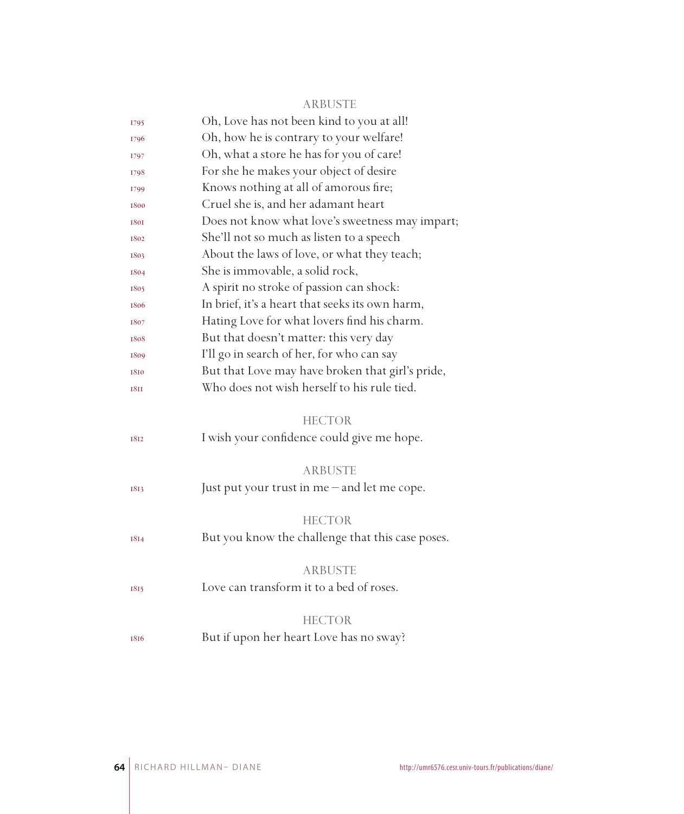#### ARBUSTE

| 1795        | Oh, Love has not been kind to you at all!        |
|-------------|--------------------------------------------------|
| 1796        | Oh, how he is contrary to your welfare!          |
| 1797        | Oh, what a store he has for you of care!         |
| 1798        | For she he makes your object of desire           |
| 1799        | Knows nothing at all of amorous fire;            |
| 1800        | Cruel she is, and her adamant heart              |
| 1801        | Does not know what love's sweetness may impart;  |
| 1802        | She'll not so much as listen to a speech         |
| 1803        | About the laws of love, or what they teach;      |
| 1804        | She is immovable, a solid rock,                  |
| 1805        | A spirit no stroke of passion can shock:         |
| 1806        | In brief, it's a heart that seeks its own harm,  |
| 1807        | Hating Love for what lovers find his charm.      |
| 1808        | But that doesn't matter: this very day           |
| 1809        | I'll go in search of her, for who can say        |
| 1810        | But that Love may have broken that girl's pride, |
| <b>1811</b> | Who does not wish herself to his rule tied.      |
|             |                                                  |
|             |                                                  |
|             | <b>HECTOR</b>                                    |
| 1812        | I wish your confidence could give me hope.       |
|             |                                                  |
|             | <b>ARBUSTE</b>                                   |
| 1813        | Just put your trust in me – and let me cope.     |
|             |                                                  |
|             | <b>HECTOR</b>                                    |
| 1814        | But you know the challenge that this case poses. |
|             |                                                  |
|             | <b>ARBUSTE</b>                                   |
| 1815        | Love can transform it to a bed of roses.         |
|             |                                                  |
|             | <b>HECTOR</b>                                    |
| 1816        | But if upon her heart Love has no sway?          |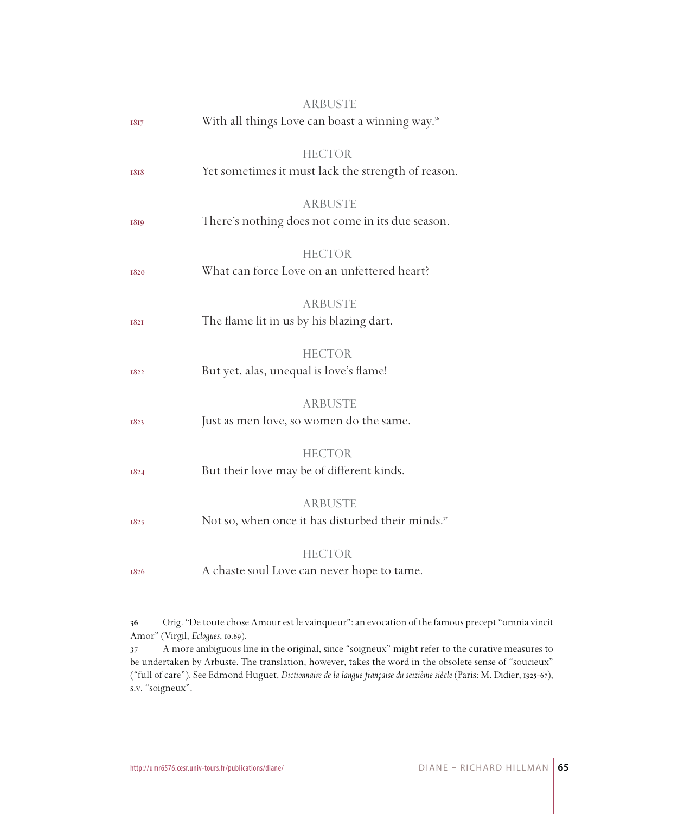| 1817        | <b>ARBUSTE</b><br>With all things Love can boast a winning way. <sup>36</sup>   |
|-------------|---------------------------------------------------------------------------------|
| 1818        | <b>HECTOR</b><br>Yet sometimes it must lack the strength of reason.             |
| 1819        | <b>ARBUSTE</b><br>There's nothing does not come in its due season.              |
| 1820        | <b>HECTOR</b><br>What can force Love on an unfettered heart?                    |
| <b>1821</b> | <b>ARBUSTE</b><br>The flame lit in us by his blazing dart.                      |
| 1822        | <b>HECTOR</b><br>But yet, alas, unequal is love's flame!                        |
| 1823        | <b>ARBUSTE</b><br>Just as men love, so women do the same.                       |
| 1824        | <b>HECTOR</b><br>But their love may be of different kinds.                      |
| 1825        | <b>ARBUSTE</b><br>Not so, when once it has disturbed their minds. <sup>37</sup> |
| 1826        | <b>HECTOR</b><br>A chaste soul Love can never hope to tame.                     |

 Orig. "De toute chose Amour est le vainqueur": an evocation of the famous precept "omnia vincit Amor" (Virgil, *Eclogues*, 10.69).

 A more ambiguous line in the original, since "soigneux" might refer to the curative measures to be undertaken by Arbuste. The translation, however, takes the word in the obsolete sense of "soucieux" ("full of care"). See Edmond Huguet, *Dictionnaire de la langue française du seizième siècle* (Paris: M. Didier, 1925-67), s.v. "soigneux".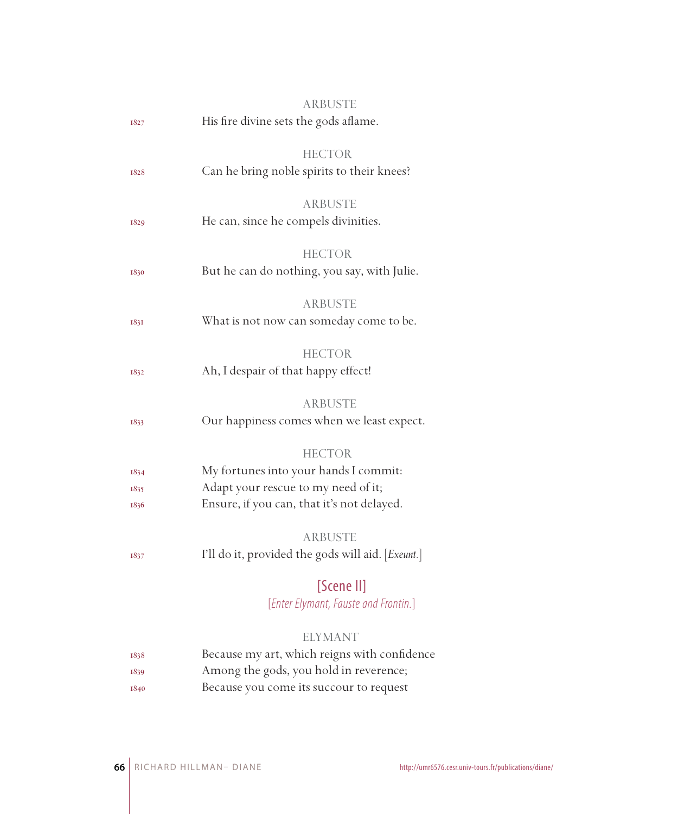|             | <b>ARBUSTE</b>                                    |
|-------------|---------------------------------------------------|
| 1827        | His fire divine sets the gods aflame.             |
|             |                                                   |
|             | HECTOR                                            |
| 1828        | Can he bring noble spirits to their knees?        |
|             |                                                   |
|             | <b>ARBUSTE</b>                                    |
| 1829        | He can, since he compels divinities.              |
|             |                                                   |
|             | <b>HECTOR</b>                                     |
| 1830        | But he can do nothing, you say, with Julie.       |
|             | ARBUSTE                                           |
|             | What is not now can someday come to be.           |
| <b>1831</b> |                                                   |
|             | <b>HECTOR</b>                                     |
| 1832        | Ah, I despair of that happy effect!               |
|             |                                                   |
|             | <b>ARBUSTE</b>                                    |
| 1833        | Our happiness comes when we least expect.         |
|             |                                                   |
|             | <b>HECTOR</b>                                     |
| 1834        | My fortunes into your hands I commit:             |
| 1835        | Adapt your rescue to my need of it;               |
| 1836        | Ensure, if you can, that it's not delayed.        |
|             |                                                   |
|             | <b>ARBUSTE</b>                                    |
| 1837        | I'll do it, provided the gods will aid. [Exeunt.] |
|             | [Scene II]                                        |
|             |                                                   |
|             | [Enter Elymant, Fauste and Frontin.]              |
|             | ELYMANT                                           |
| 1838        | Because my art, which reigns with confidence      |
| 1839        | Among the gods, you hold in reverence;            |
|             |                                                   |

1840 Because you come its succour to request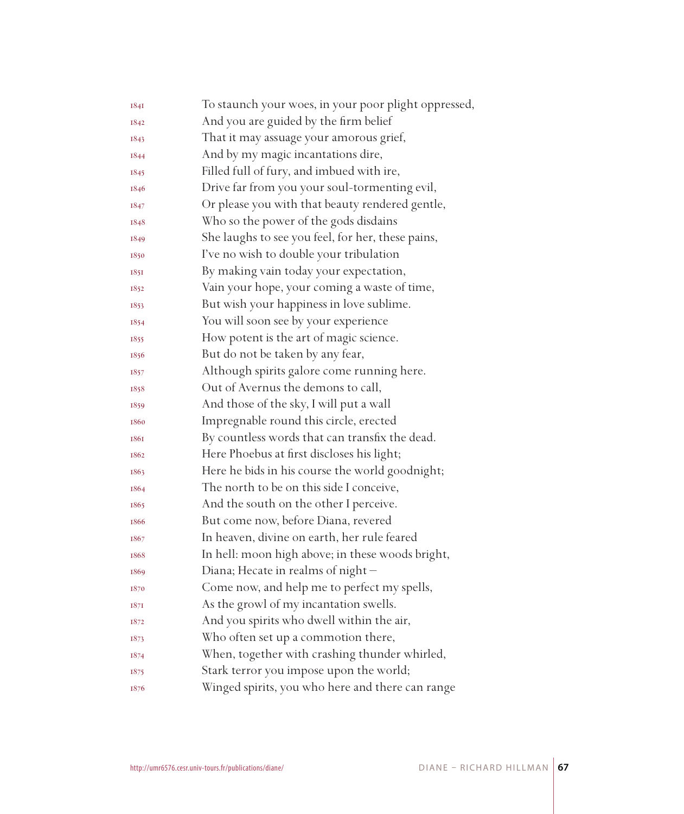| 1841 | To staunch your woes, in your poor plight oppressed, |
|------|------------------------------------------------------|
| 1842 | And you are guided by the firm belief                |
| 1843 | That it may assuage your amorous grief,              |
| 1844 | And by my magic incantations dire,                   |
| 1845 | Filled full of fury, and imbued with ire,            |
| 1846 | Drive far from you your soul-tormenting evil,        |
| 1847 | Or please you with that beauty rendered gentle,      |
| 1848 | Who so the power of the gods disdains                |
| 1849 | She laughs to see you feel, for her, these pains,    |
| 1850 | I've no wish to double your tribulation              |
| 1851 | By making vain today your expectation,               |
| 1852 | Vain your hope, your coming a waste of time,         |
| 1853 | But wish your happiness in love sublime.             |
| 1854 | You will soon see by your experience                 |
| 1855 | How potent is the art of magic science.              |
| 1856 | But do not be taken by any fear,                     |
| 1857 | Although spirits galore come running here.           |
| 1858 | Out of Avernus the demons to call,                   |
| 1859 | And those of the sky, I will put a wall              |
| 1860 | Impregnable round this circle, erected               |
| 1861 | By countless words that can transfix the dead.       |
| 1862 | Here Phoebus at first discloses his light;           |
| 1863 | Here he bids in his course the world goodnight;      |
| 1864 | The north to be on this side I conceive,             |
| 1865 | And the south on the other I perceive.               |
| 1866 | But come now, before Diana, revered                  |
| 1867 | In heaven, divine on earth, her rule feared          |
| 1868 | In hell: moon high above; in these woods bright,     |
| 1869 | Diana; Hecate in realms of night -                   |
| 1870 | Come now, and help me to perfect my spells,          |
| 187I | As the growl of my incantation swells.               |
| 1872 | And you spirits who dwell within the air,            |
| 1873 | Who often set up a commotion there,                  |
| 1874 | When, together with crashing thunder whirled,        |
| 1875 | Stark terror you impose upon the world;              |
| 1876 | Winged spirits, you who here and there can range     |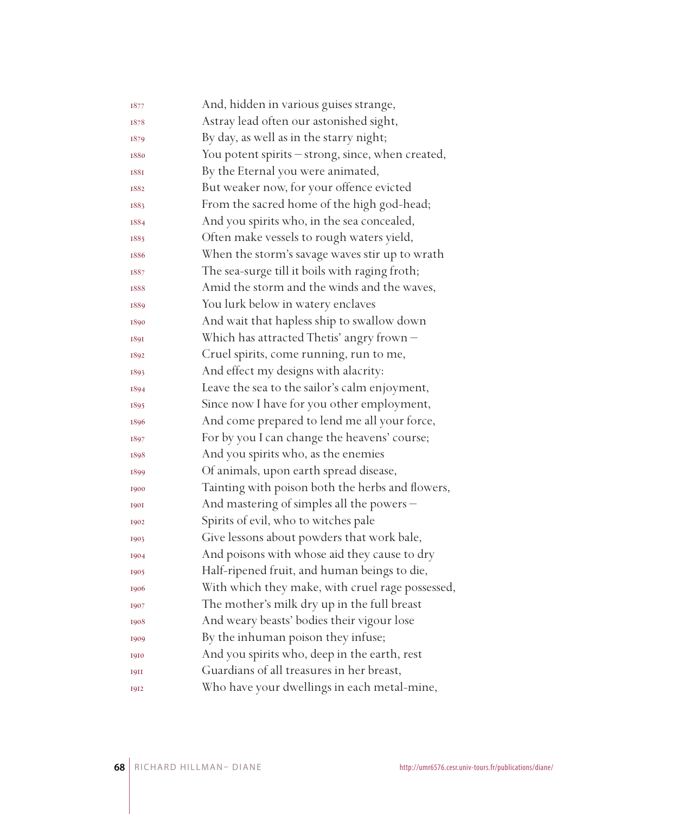| 1877        | And, hidden in various guises strange,            |
|-------------|---------------------------------------------------|
| 1878        | Astray lead often our astonished sight,           |
| 1879        | By day, as well as in the starry night;           |
| 1880        | You potent spirits - strong, since, when created, |
| <b>1881</b> | By the Eternal you were animated,                 |
| 1882        | But weaker now, for your offence evicted          |
| 1883        | From the sacred home of the high god-head;        |
| 1884        | And you spirits who, in the sea concealed,        |
| 1885        | Often make vessels to rough waters yield,         |
| 1886        | When the storm's savage waves stir up to wrath    |
| 1887        | The sea-surge till it boils with raging froth;    |
| 1888        | Amid the storm and the winds and the waves,       |
| 1889        | You lurk below in watery enclaves                 |
| 1890        | And wait that hapless ship to swallow down        |
| 1891        | Which has attracted Thetis' angry frown -         |
| 1892        | Cruel spirits, come running, run to me,           |
| 1893        | And effect my designs with alacrity:              |
| 1894        | Leave the sea to the sailor's calm enjoyment,     |
| 1895        | Since now I have for you other employment,        |
| 1896        | And come prepared to lend me all your force,      |
| 1897        | For by you I can change the heavens' course;      |
| 1898        | And you spirits who, as the enemies               |
| 1899        | Of animals, upon earth spread disease,            |
| 1900        | Tainting with poison both the herbs and flowers,  |
| <b>1901</b> | And mastering of simples all the powers -         |
| 1902        | Spirits of evil, who to witches pale              |
| 1903        | Give lessons about powders that work bale,        |
| 1904        | And poisons with whose aid they cause to dry      |
| 1905        | Half-ripened fruit, and human beings to die,      |
| 1906        | With which they make, with cruel rage possessed,  |
| 1907        | The mother's milk dry up in the full breast       |
| 1908        | And weary beasts' bodies their vigour lose        |
| 1909        | By the inhuman poison they infuse;                |
| 1910        | And you spirits who, deep in the earth, rest      |
| <b>1911</b> | Guardians of all treasures in her breast,         |
| 1912        | Who have your dwellings in each metal-mine,       |
|             |                                                   |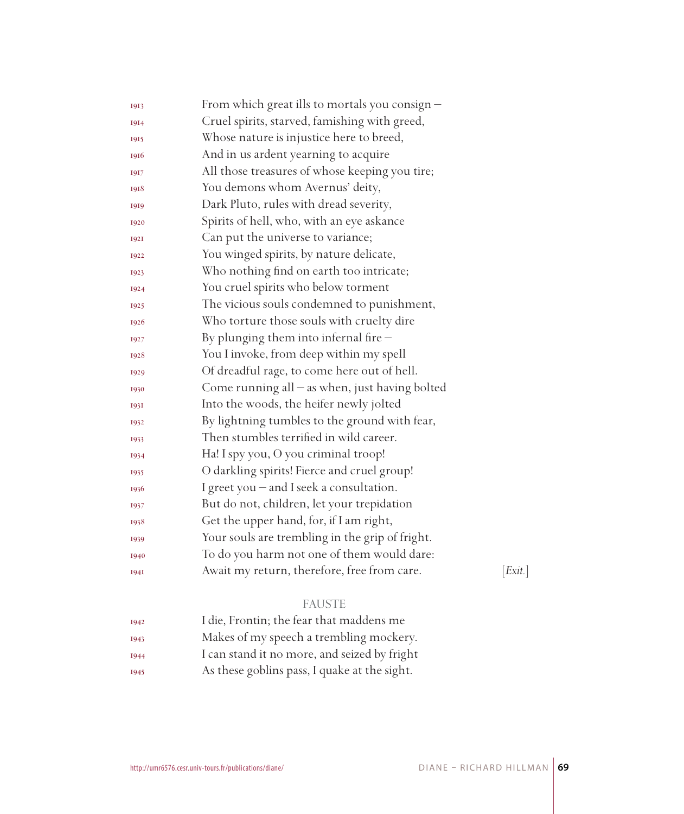| 1913        | From which great ills to mortals you consign $-$ |         |
|-------------|--------------------------------------------------|---------|
| 1914        | Cruel spirits, starved, famishing with greed,    |         |
| 1915        | Whose nature is injustice here to breed,         |         |
| 1916        | And in us ardent yearning to acquire             |         |
| 1917        | All those treasures of whose keeping you tire;   |         |
| 1918        | You demons whom Avernus' deity,                  |         |
| 1919        | Dark Pluto, rules with dread severity,           |         |
| 1920        | Spirits of hell, who, with an eye askance        |         |
| <b>1921</b> | Can put the universe to variance;                |         |
| 1922        | You winged spirits, by nature delicate,          |         |
| 1923        | Who nothing find on earth too intricate;         |         |
| 1924        | You cruel spirits who below torment              |         |
| 1925        | The vicious souls condemned to punishment,       |         |
| 1926        | Who torture those souls with cruelty dire        |         |
| 1927        | By plunging them into infernal fire $-$          |         |
| 1928        | You I invoke, from deep within my spell          |         |
| 1929        | Of dreadful rage, to come here out of hell.      |         |
| 1930        | Come running all $-$ as when, just having bolted |         |
| 1931        | Into the woods, the heifer newly jolted          |         |
| 1932        | By lightning tumbles to the ground with fear,    |         |
| 1933        | Then stumbles terrified in wild career.          |         |
| 1934        | Ha! I spy you, O you criminal troop!             |         |
| 1935        | O darkling spirits! Fierce and cruel group!      |         |
| 1936        | I greet you - and I seek a consultation.         |         |
| 1937        | But do not, children, let your trepidation       |         |
| 1938        | Get the upper hand, for, if I am right,          |         |
| 1939        | Your souls are trembling in the grip of fright.  |         |
| 1940        | To do you harm not one of them would dare:       |         |
| <b>1941</b> | Await my return, therefore, free from care.      | [Exit.] |
|             | <b>FAUSTE</b>                                    |         |
| 1942        | I die, Frontin; the fear that maddens me         |         |
|             |                                                  |         |

| 1943 | Makes of my speech a trembling mockery.      |
|------|----------------------------------------------|
| 1944 | I can stand it no more, and seized by fright |
| 1945 | As these goblins pass, I quake at the sight. |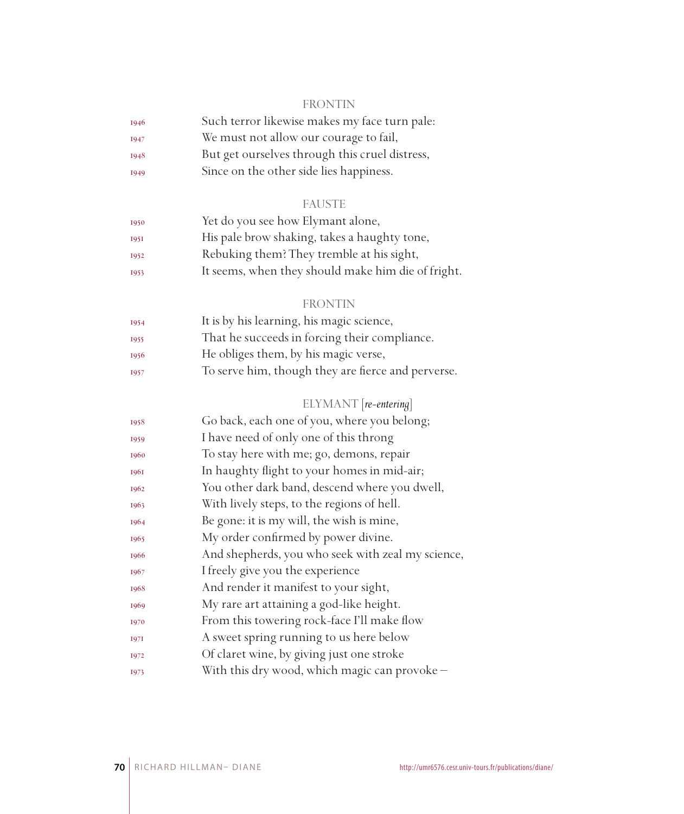#### FRONTIN

| 1946        | Such terror likewise makes my face turn pale:  |
|-------------|------------------------------------------------|
| <b>I947</b> | We must not allow our courage to fail,         |
| 1948        | But get ourselves through this cruel distress, |
| 1949        | Since on the other side lies happiness.        |

#### FAUSTE

| 1950 | Yet do you see how Elymant alone,                  |
|------|----------------------------------------------------|
| 1951 | His pale brow shaking, takes a haughty tone,       |
| 1952 | Rebuking them? They tremble at his sight,          |
| 1953 | It seems, when they should make him die of fright. |

#### FRONTIN

| 1954 | It is by his learning, his magic science,          |
|------|----------------------------------------------------|
| 1955 | That he succeeds in forcing their compliance.      |
| 1956 | He obliges them, by his magic verse,               |
| 1957 | To serve him, though they are fierce and perverse. |
|      |                                                    |

### ELYMANT [*re-entering*]

| 1958 | Go back, each one of you, where you belong;       |
|------|---------------------------------------------------|
| 1959 | I have need of only one of this throng            |
| 1960 | To stay here with me; go, demons, repair          |
| 1961 | In haughty flight to your homes in mid-air;       |
| 1962 | You other dark band, descend where you dwell,     |
| 1963 | With lively steps, to the regions of hell.        |
| 1964 | Be gone: it is my will, the wish is mine,         |
| 1965 | My order confirmed by power divine.               |
| 1966 | And shepherds, you who seek with zeal my science, |
| 1967 | I freely give you the experience                  |
| 1968 | And render it manifest to your sight,             |
| 1969 | My rare art attaining a god-like height.          |
| 1970 | From this towering rock-face I'll make flow       |
| 1971 | A sweet spring running to us here below           |
| 1972 | Of claret wine, by giving just one stroke         |
| 1973 | With this dry wood, which magic can provoke -     |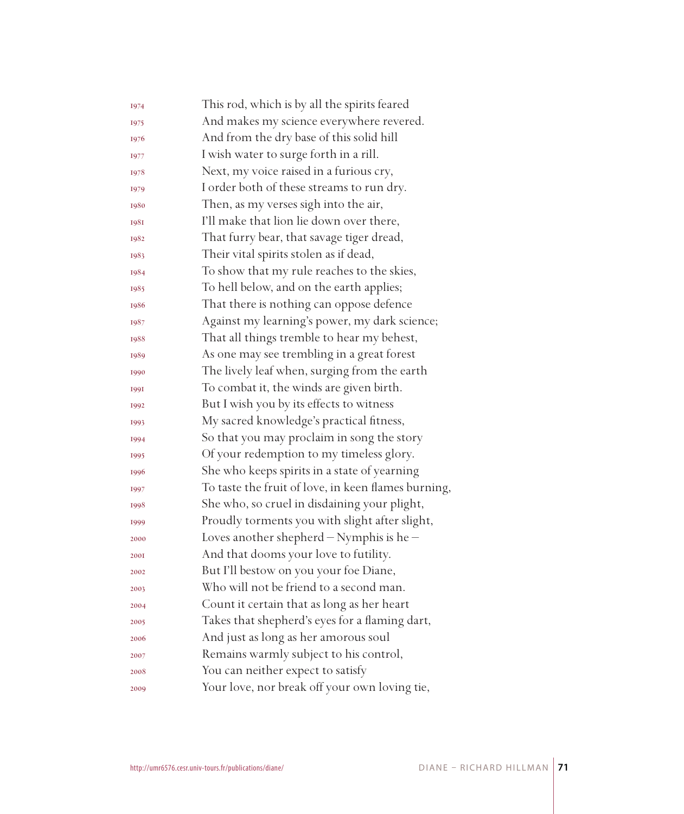| 1974        | This rod, which is by all the spirits feared        |
|-------------|-----------------------------------------------------|
| 1975        | And makes my science everywhere revered.            |
| 1976        | And from the dry base of this solid hill            |
| 1977        | I wish water to surge forth in a rill.              |
| 1978        | Next, my voice raised in a furious cry,             |
| 1979        | I order both of these streams to run dry.           |
| 1980        | Then, as my verses sigh into the air,               |
| <b>1981</b> | I'll make that lion lie down over there,            |
| 1982        | That furry bear, that savage tiger dread,           |
| 1983        | Their vital spirits stolen as if dead,              |
| 1984        | To show that my rule reaches to the skies,          |
| 1985        | To hell below, and on the earth applies;            |
| 1986        | That there is nothing can oppose defence            |
| 1987        | Against my learning's power, my dark science;       |
| 1988        | That all things tremble to hear my behest,          |
| 1989        | As one may see trembling in a great forest          |
| 1990        | The lively leaf when, surging from the earth        |
| 1991        | To combat it, the winds are given birth.            |
| 1992        | But I wish you by its effects to witness            |
| 1993        | My sacred knowledge's practical fitness,            |
| 1994        | So that you may proclaim in song the story          |
| 1995        | Of your redemption to my timeless glory.            |
| 1996        | She who keeps spirits in a state of yearning        |
| 1997        | To taste the fruit of love, in keen flames burning, |
| 1998        | She who, so cruel in disdaining your plight,        |
| 1999        | Proudly torments you with slight after slight,      |
| 2000        | Loves another shepherd - Nymphis is he -            |
| <b>2001</b> | And that dooms your love to futility.               |
| 2002        | But I'll bestow on you your foe Diane,              |
| 2003        | Who will not be friend to a second man.             |
| 2004        | Count it certain that as long as her heart          |
| 2005        | Takes that shepherd's eyes for a flaming dart,      |
| 2006        | And just as long as her amorous soul                |
| 2007        | Remains warmly subject to his control,              |
| 2008        | You can neither expect to satisfy                   |
| 2009        | Your love, nor break off your own loving tie,       |
|             |                                                     |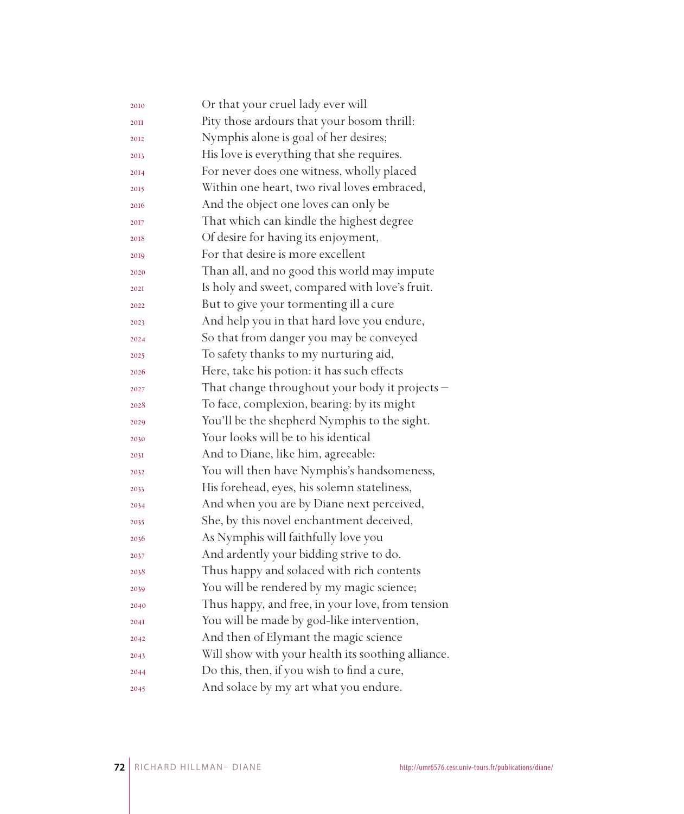| Or that your cruel lady ever will                 |
|---------------------------------------------------|
| Pity those ardours that your bosom thrill:        |
| Nymphis alone is goal of her desires;             |
| His love is everything that she requires.         |
| For never does one witness, wholly placed         |
| Within one heart, two rival loves embraced,       |
| And the object one loves can only be              |
| That which can kindle the highest degree          |
| Of desire for having its enjoyment,               |
| For that desire is more excellent                 |
| Than all, and no good this world may impute       |
| Is holy and sweet, compared with love's fruit.    |
| But to give your tormenting ill a cure            |
| And help you in that hard love you endure,        |
| So that from danger you may be conveyed           |
| To safety thanks to my nurturing aid,             |
| Here, take his potion: it has such effects        |
| That change throughout your body it projects -    |
| To face, complexion, bearing: by its might        |
| You'll be the shepherd Nymphis to the sight.      |
| Your looks will be to his identical               |
| And to Diane, like him, agreeable:                |
| You will then have Nymphis's handsomeness,        |
| His forehead, eyes, his solemn stateliness,       |
| And when you are by Diane next perceived,         |
| She, by this novel enchantment deceived,          |
| As Nymphis will faithfully love you               |
| And ardently your bidding strive to do.           |
| Thus happy and solaced with rich contents         |
| You will be rendered by my magic science;         |
| Thus happy, and free, in your love, from tension  |
| You will be made by god-like intervention,        |
| And then of Elymant the magic science             |
| Will show with your health its soothing alliance. |
| Do this, then, if you wish to find a cure,        |
| And solace by my art what you endure.             |
|                                                   |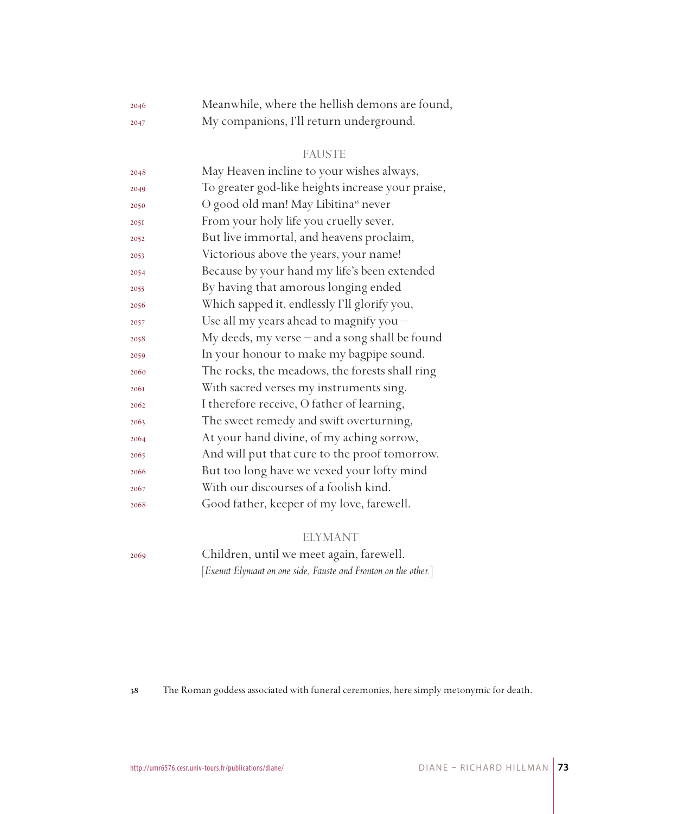| 2046 | Meanwhile, where the hellish demons are found, |
|------|------------------------------------------------|
| 2047 | My companions, I'll return underground.        |

#### FAUSTE

| 2048 | May Heaven incline to your wishes always,         |
|------|---------------------------------------------------|
| 2049 | To greater god-like heights increase your praise, |
| 2050 | O good old man! May Libitina <sup>38</sup> never  |
| 2051 | From your holy life you cruelly sever,            |
| 2052 | But live immortal, and heavens proclaim,          |
| 2053 | Victorious above the years, your name!            |
| 2054 | Because by your hand my life's been extended      |
| 2055 | By having that amorous longing ended              |
| 2056 | Which sapped it, endlessly I'll glorify you,      |
| 2057 | Use all my years ahead to magnify you -           |
| 2058 | My deeds, my verse - and a song shall be found    |
| 2059 | In your honour to make my bagpipe sound.          |
| 2060 | The rocks, the meadows, the forests shall ring    |
| 2061 | With sacred verses my instruments sing.           |
| 2062 | I therefore receive, O father of learning,        |
| 2063 | The sweet remedy and swift overturning,           |
| 2064 | At your hand divine, of my aching sorrow,         |
| 2065 | And will put that cure to the proof tomorrow.     |
| 2066 | But too long have we vexed your lofty mind        |
| 2067 | With our discourses of a foolish kind.            |
| 2068 | Good father, keeper of my love, farewell.         |

#### ELYMANT

Children, until we meet again, farewell.

[*Exeunt Elymant on one side, Fauste and Fronton on the other.*]

The Roman goddess associated with funeral ceremonies, here simply metonymic for death.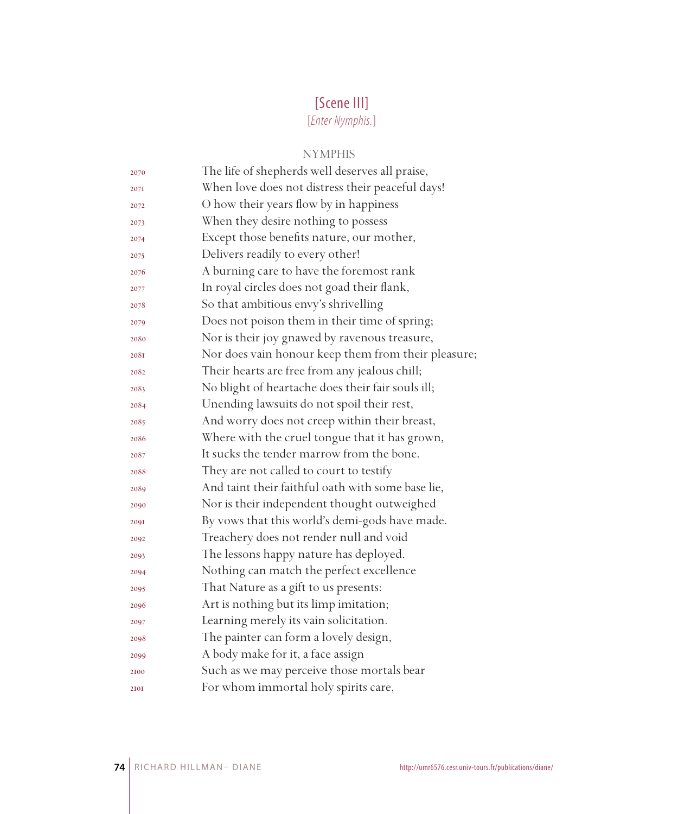# [Scene III]

[*Enter Nymphis.*]

#### NYMPHIS

| 2070 | The life of shepherds well deserves all praise,     |
|------|-----------------------------------------------------|
| 2071 | When love does not distress their peaceful days!    |
| 2072 | O how their years flow by in happiness              |
| 2073 | When they desire nothing to possess                 |
| 2074 | Except those benefits nature, our mother,           |
| 2075 | Delivers readily to every other!                    |
| 2076 | A burning care to have the foremost rank            |
| 2077 | In royal circles does not goad their flank,         |
| 2078 | So that ambitious envy's shrivelling                |
| 2079 | Does not poison them in their time of spring;       |
| 2080 | Nor is their joy gnawed by ravenous treasure,       |
| 208I | Nor does vain honour keep them from their pleasure; |
| 2082 | Their hearts are free from any jealous chill;       |
| 2083 | No blight of heartache does their fair souls ill;   |
| 2084 | Unending lawsuits do not spoil their rest,          |
| 2085 | And worry does not creep within their breast,       |
| 2086 | Where with the cruel tongue that it has grown,      |
| 2087 | It sucks the tender marrow from the bone.           |
| 2088 | They are not called to court to testify             |
| 2089 | And taint their faithful oath with some base lie,   |
| 2090 | Nor is their independent thought outweighed         |
| 209I | By vows that this world's demi-gods have made.      |
| 2092 | Treachery does not render null and void             |
| 2093 | The lessons happy nature has deployed.              |
| 2094 | Nothing can match the perfect excellence            |
| 2095 | That Nature as a gift to us presents:               |
| 2096 | Art is nothing but its limp imitation;              |
| 2097 | Learning merely its vain solicitation.              |
| 2098 | The painter can form a lovely design,               |
| 2099 | A body make for it, a face assign                   |
| 2100 | Such as we may perceive those mortals bear          |
| 2101 | For whom immortal holy spirits care,                |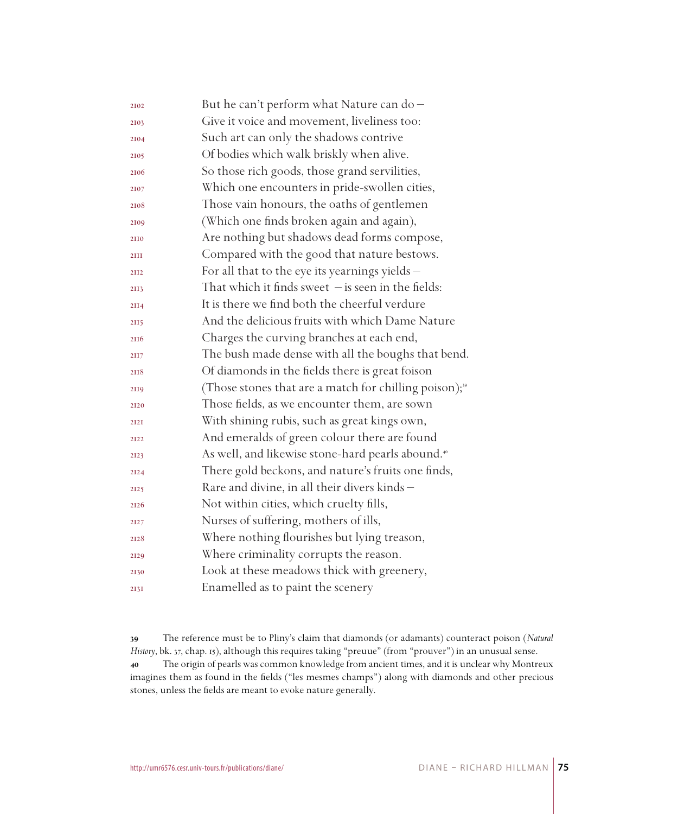| 2102 | But he can't perform what Nature can do-                           |
|------|--------------------------------------------------------------------|
| 2103 | Give it voice and movement, liveliness too:                        |
| 2104 | Such art can only the shadows contrive                             |
| 2105 | Of bodies which walk briskly when alive.                           |
| 2106 | So those rich goods, those grand servilities,                      |
| 2107 | Which one encounters in pride-swollen cities,                      |
| 2108 | Those vain honours, the oaths of gentlemen                         |
| 2109 | (Which one finds broken again and again),                          |
| 2110 | Are nothing but shadows dead forms compose,                        |
| 2III | Compared with the good that nature bestows.                        |
| 2112 | For all that to the eye its yearnings yields $-$                   |
| 2II3 | That which it finds sweet $-$ is seen in the fields:               |
| 2114 | It is there we find both the cheerful verdure                      |
| 2115 | And the delicious fruits with which Dame Nature                    |
| 2116 | Charges the curving branches at each end,                          |
| 2117 | The bush made dense with all the boughs that bend.                 |
| 2118 | Of diamonds in the fields there is great foison                    |
| 2119 | (Those stones that are a match for chilling poison); <sup>39</sup> |
| 2120 | Those fields, as we encounter them, are sown                       |
| 2121 | With shining rubis, such as great kings own,                       |
| 2122 | And emeralds of green colour there are found                       |
| 2123 | As well, and likewise stone-hard pearls abound. <sup>40</sup>      |
| 2124 | There gold beckons, and nature's fruits one finds,                 |
| 2125 | Rare and divine, in all their divers kinds -                       |
| 2126 | Not within cities, which cruelty fills,                            |
| 2127 | Nurses of suffering, mothers of ills,                              |
| 2128 | Where nothing flourishes but lying treason,                        |
| 2129 | Where criminality corrupts the reason.                             |
| 2130 | Look at these meadows thick with greenery,                         |
| 2I3I | Enamelled as to paint the scenery                                  |

 The reference must be to Pliny's claim that diamonds (or adamants) counteract poison (*Natural History*, bk. 37, chap. 15), although this requires taking "preuue" (from "prouver") in an unusual sense. The origin of pearls was common knowledge from ancient times, and it is unclear why Montreux imagines them as found in the fields ("les mesmes champs") along with diamonds and other precious stones, unless the fields are meant to evoke nature generally.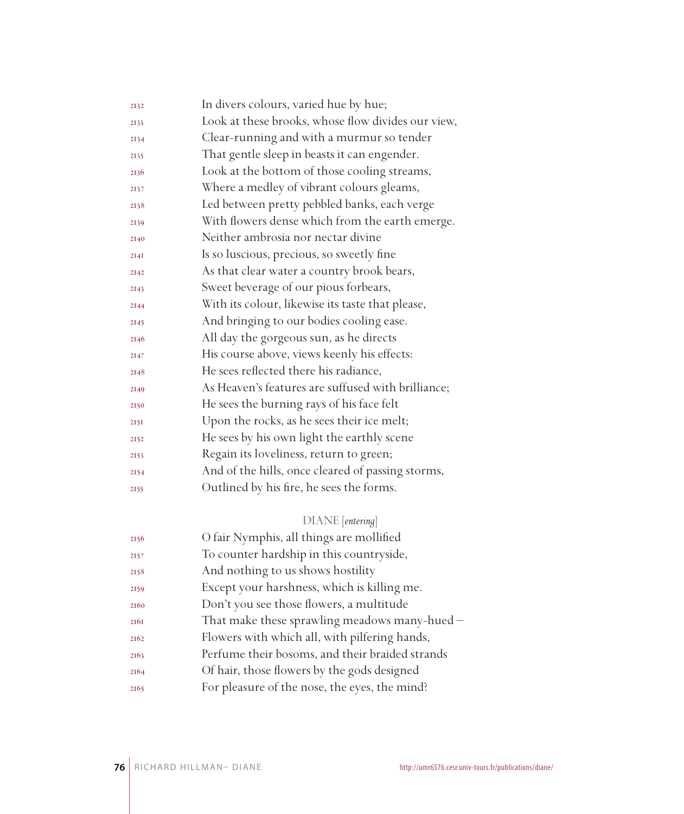| 2132 | In divers colours, varied hue by hue;              |
|------|----------------------------------------------------|
| 2133 | Look at these brooks, whose flow divides our view, |
| 2134 | Clear-running and with a murmur so tender          |
| 2135 | That gentle sleep in beasts it can engender.       |
| 2136 | Look at the bottom of those cooling streams,       |
| 2137 | Where a medley of vibrant colours gleams,          |
| 2138 | Led between pretty pebbled banks, each verge       |
| 2139 | With flowers dense which from the earth emerge.    |
| 2140 | Neither ambrosia nor nectar divine                 |
| 2I4I | Is so luscious, precious, so sweetly fine          |
| 2142 | As that clear water a country brook bears,         |
| 2143 | Sweet beverage of our pious forbears,              |
| 2144 | With its colour, likewise its taste that please,   |
| 2145 | And bringing to our bodies cooling ease.           |
| 2146 | All day the gorgeous sun, as he directs            |
| 2147 | His course above, views keenly his effects:        |
| 2148 | He sees reflected there his radiance,              |
| 2149 | As Heaven's features are suffused with brilliance; |
| 2150 | He sees the burning rays of his face felt          |
| 2151 | Upon the rocks, as he sees their ice melt;         |
| 2152 | He sees by his own light the earthly scene         |
| 2153 | Regain its loveliness, return to green;            |
| 2154 | And of the hills, once cleared of passing storms,  |
| 2155 | Outlined by his fire, he sees the forms.           |
|      |                                                    |

## DIANE [*entering*]

| 2156 | O fair Nymphis, all things are mollified        |
|------|-------------------------------------------------|
| 2157 | To counter hardship in this countryside,        |
| 2158 | And nothing to us shows hostility               |
| 2159 | Except your harshness, which is killing me.     |
| 2160 | Don't you see those flowers, a multitude        |
| 2161 | That make these sprawling meadows many-hued -   |
| 2162 | Flowers with which all, with pilfering hands,   |
| 2163 | Perfume their bosoms, and their braided strands |
| 2164 | Of hair, those flowers by the gods designed     |
| 2165 | For pleasure of the nose, the eyes, the mind?   |
|      |                                                 |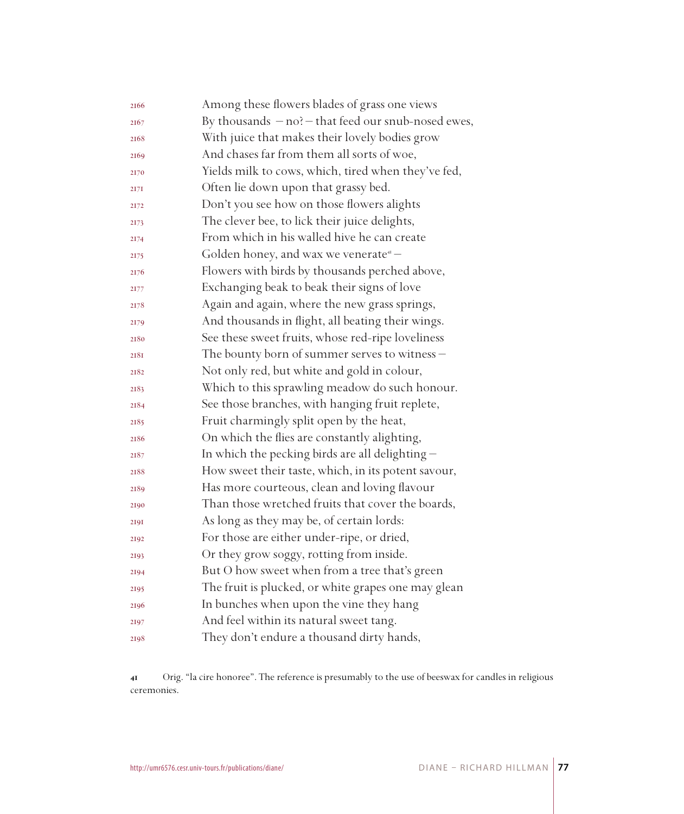| 2166 | Among these flowers blades of grass one views           |
|------|---------------------------------------------------------|
| 2167 | By thousands $-$ no? $-$ that feed our snub-nosed ewes, |
| 2168 | With juice that makes their lovely bodies grow          |
| 2169 | And chases far from them all sorts of woe,              |
| 2170 | Yields milk to cows, which, tired when they've fed,     |
| 2171 | Often lie down upon that grassy bed.                    |
| 2172 | Don't you see how on those flowers alights              |
| 2173 | The clever bee, to lick their juice delights,           |
| 2174 | From which in his walled hive he can create             |
| 2175 | Golden honey, and wax we venerate <sup>41</sup> –       |
| 2176 | Flowers with birds by thousands perched above,          |
| 2177 | Exchanging beak to beak their signs of love             |
| 2178 | Again and again, where the new grass springs,           |
| 2179 | And thousands in flight, all beating their wings.       |
| 2180 | See these sweet fruits, whose red-ripe loveliness       |
| 218I | The bounty born of summer serves to witness -           |
| 2182 | Not only red, but white and gold in colour,             |
| 2183 | Which to this sprawling meadow do such honour.          |
| 2184 | See those branches, with hanging fruit replete,         |
| 2185 | Fruit charmingly split open by the heat,                |
| 2186 | On which the flies are constantly alighting,            |
| 2187 | In which the pecking birds are all delighting -         |
| 2188 | How sweet their taste, which, in its potent savour,     |
| 2189 | Has more courteous, clean and loving flavour            |
| 2190 | Than those wretched fruits that cover the boards,       |
| 2191 | As long as they may be, of certain lords:               |
| 2192 | For those are either under-ripe, or dried,              |
| 2193 | Or they grow soggy, rotting from inside.                |
| 2194 | But O how sweet when from a tree that's green           |
| 2195 | The fruit is plucked, or white grapes one may glean     |
| 2196 | In bunches when upon the vine they hang                 |
| 2197 | And feel within its natural sweet tang.                 |
| 2198 | They don't endure a thousand dirty hands,               |

 Orig. "la cire honoree". The reference is presumably to the use of beeswax for candles in religious ceremonies.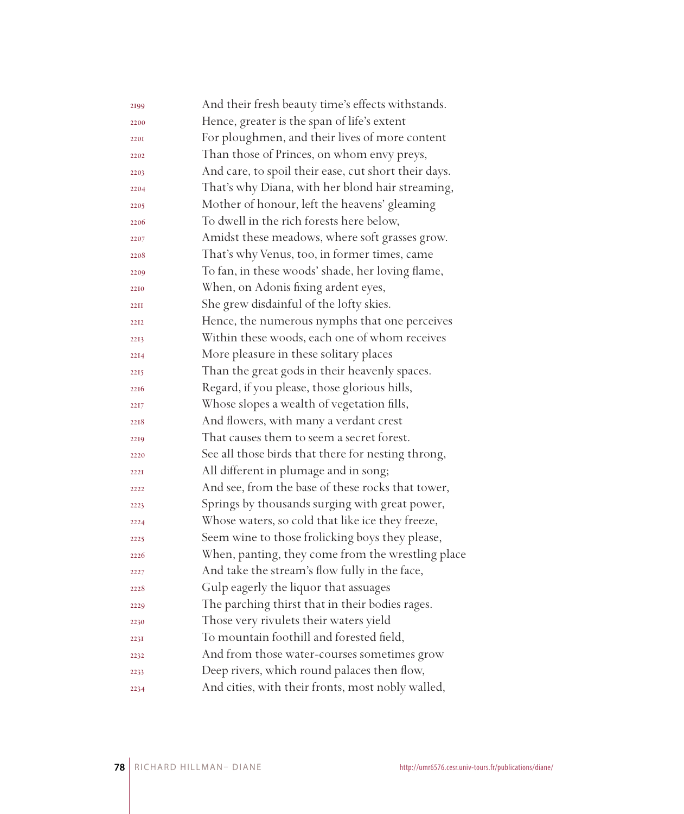| 2199        | And their fresh beauty time's effects withstands.    |
|-------------|------------------------------------------------------|
| 2200        | Hence, greater is the span of life's extent          |
| 2201        | For ploughmen, and their lives of more content       |
| 2202        | Than those of Princes, on whom envy preys,           |
| 2203        | And care, to spoil their ease, cut short their days. |
| 2204        | That's why Diana, with her blond hair streaming,     |
| 2205        | Mother of honour, left the heavens' gleaming         |
| 2206        | To dwell in the rich forests here below,             |
| 2207        | Amidst these meadows, where soft grasses grow.       |
| 2208        | That's why Venus, too, in former times, came         |
| 2209        | To fan, in these woods' shade, her loving flame,     |
| 2210        | When, on Adonis fixing ardent eyes,                  |
| <b>22II</b> | She grew disdainful of the lofty skies.              |
| 2212        | Hence, the numerous nymphs that one perceives        |
| 2213        | Within these woods, each one of whom receives        |
| 2214        | More pleasure in these solitary places               |
| 2215        | Than the great gods in their heavenly spaces.        |
| 2216        | Regard, if you please, those glorious hills,         |
| 2217        | Whose slopes a wealth of vegetation fills,           |
| 2218        | And flowers, with many a verdant crest               |
| 2219        | That causes them to seem a secret forest.            |
| 2220        | See all those birds that there for nesting throng,   |
| 222T        | All different in plumage and in song;                |
| 2222        | And see, from the base of these rocks that tower,    |
| 2223        | Springs by thousands surging with great power,       |
| 2224        | Whose waters, so cold that like ice they freeze,     |
| 2225        | Seem wine to those frolicking boys they please,      |
| 2226        | When, panting, they come from the wrestling place    |
| 2227        | And take the stream's flow fully in the face,        |
| 2228        | Gulp eagerly the liquor that assuages                |
| 2229        | The parching thirst that in their bodies rages.      |
| 2230        | Those very rivulets their waters yield               |
| 223I        | To mountain foothill and forested field,             |
| 2232        | And from those water-courses sometimes grow          |
| 2233        | Deep rivers, which round palaces then flow,          |
| 2234        | And cities, with their fronts, most nobly walled,    |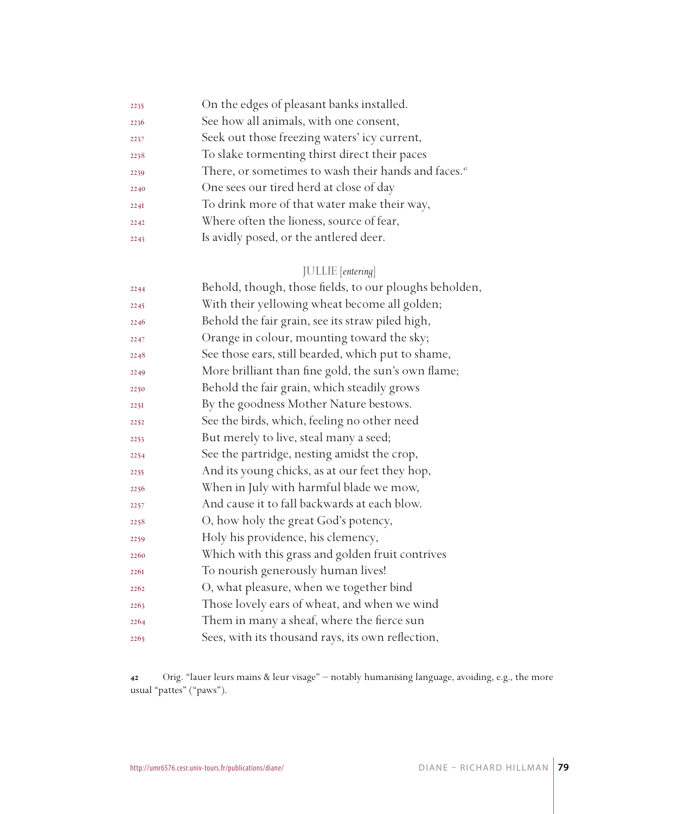| 2235 | On the edges of pleasant banks installed.                       |
|------|-----------------------------------------------------------------|
| 2236 | See how all animals, with one consent,                          |
| 2237 | Seek out those freezing waters' icy current,                    |
| 2238 | To slake tormenting thirst direct their paces                   |
| 2239 | There, or sometimes to wash their hands and faces. <sup>4</sup> |
| 2240 | One sees our tired herd at close of day                         |
| 2241 | To drink more of that water make their way,                     |
| 2242 | Where often the lioness, source of fear,                        |
| 2243 | Is avidly posed, or the antlered deer.                          |
|      |                                                                 |

## JULLIE [*entering*]

| 2244 | Behold, though, those fields, to our ploughs beholden, |
|------|--------------------------------------------------------|
| 2245 | With their yellowing wheat become all golden;          |
| 2246 | Behold the fair grain, see its straw piled high,       |
| 2247 | Orange in colour, mounting toward the sky;             |
| 2248 | See those ears, still bearded, which put to shame,     |
| 2249 | More brilliant than fine gold, the sun's own flame;    |
| 2250 | Behold the fair grain, which steadily grows            |
| 2251 | By the goodness Mother Nature bestows.                 |
| 2252 | See the birds, which, feeling no other need            |
| 2253 | But merely to live, steal many a seed;                 |
| 2254 | See the partridge, nesting amidst the crop,            |
| 2255 | And its young chicks, as at our feet they hop,         |
| 2256 | When in July with harmful blade we mow,                |
| 2257 | And cause it to fall backwards at each blow.           |
| 2258 | O, how holy the great God's potency,                   |
| 2259 | Holy his providence, his clemency,                     |
| 2260 | Which with this grass and golden fruit contrives       |
| 2261 | To nourish generously human lives!                     |
| 2262 | O, what pleasure, when we together bind                |
| 2263 | Those lovely ears of wheat, and when we wind           |
| 2264 | Them in many a sheaf, where the fierce sun             |
| 2265 | Sees, with its thousand rays, its own reflection,      |

 Orig. "lauer leurs mains & leur visage" – notably humanising language, avoiding, e.g., the more usual "pattes" ("paws").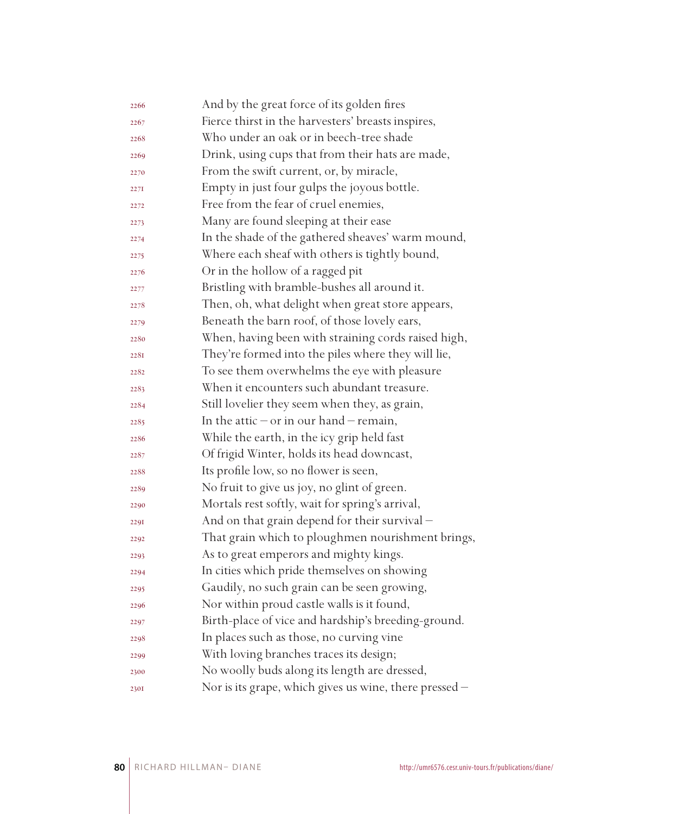| 2266 | And by the great force of its golden fires             |
|------|--------------------------------------------------------|
| 2267 | Fierce thirst in the harvesters' breasts inspires,     |
| 2268 | Who under an oak or in beech-tree shade                |
| 2269 | Drink, using cups that from their hats are made,       |
| 2270 | From the swift current, or, by miracle,                |
| 2271 | Empty in just four gulps the joyous bottle.            |
| 2272 | Free from the fear of cruel enemies,                   |
| 2273 | Many are found sleeping at their ease                  |
| 2274 | In the shade of the gathered sheaves' warm mound,      |
| 2275 | Where each sheaf with others is tightly bound,         |
| 2276 | Or in the hollow of a ragged pit                       |
| 2277 | Bristling with bramble-bushes all around it.           |
| 2278 | Then, oh, what delight when great store appears,       |
| 2279 | Beneath the barn roof, of those lovely ears,           |
| 2280 | When, having been with straining cords raised high,    |
| 2281 | They're formed into the piles where they will lie,     |
| 2282 | To see them overwhelms the eye with pleasure           |
| 2283 | When it encounters such abundant treasure.             |
| 2284 | Still lovelier they seem when they, as grain,          |
| 2285 | In the attic $-$ or in our hand $-$ remain,            |
| 2286 | While the earth, in the icy grip held fast             |
| 2287 | Of frigid Winter, holds its head downcast,             |
| 2288 | Its profile low, so no flower is seen,                 |
| 2289 | No fruit to give us joy, no glint of green.            |
| 2290 | Mortals rest softly, wait for spring's arrival,        |
| 2291 | And on that grain depend for their survival -          |
| 2292 | That grain which to ploughmen nourishment brings,      |
| 2293 | As to great emperors and mighty kings.                 |
| 2294 | In cities which pride themselves on showing            |
| 2295 | Gaudily, no such grain can be seen growing,            |
| 2296 | Nor within proud castle walls is it found,             |
| 2297 | Birth-place of vice and hardship's breeding-ground.    |
| 2298 | In places such as those, no curving vine               |
| 2299 | With loving branches traces its design;                |
| 2300 | No woolly buds along its length are dressed,           |
| 2301 | Nor is its grape, which gives us wine, there pressed - |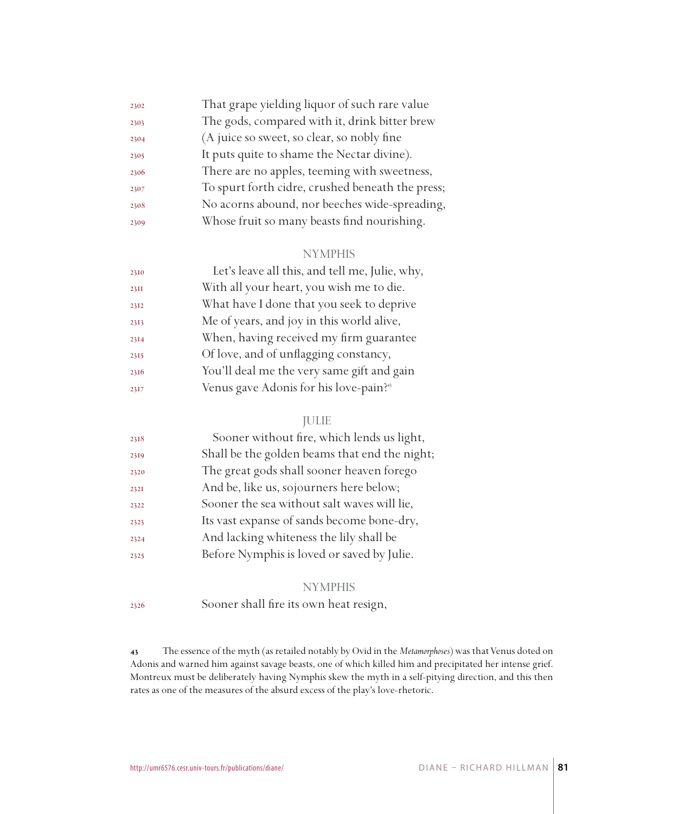| 2302 | That grape yielding liquor of such rare value    |
|------|--------------------------------------------------|
| 2303 | The gods, compared with it, drink bitter brew    |
| 2304 | (A juice so sweet, so clear, so nobly fine       |
| 2305 | It puts quite to shame the Nectar divine).       |
| 2306 | There are no apples, teeming with sweetness,     |
| 2307 | To spurt forth cidre, crushed beneath the press; |
| 2308 | No acorns abound, nor beeches wide-spreading,    |
| 2309 | Whose fruit so many beasts find nourishing.      |
|      |                                                  |

#### NYMPHIS

| With all your heart, you wish me to die.<br>23II           |  |
|------------------------------------------------------------|--|
|                                                            |  |
| What have I done that you seek to deprive<br>2312          |  |
| Me of years, and joy in this world alive,<br>2313          |  |
| When, having received my firm guarantee<br>2314            |  |
| Of love, and of unflagging constancy,<br>2315              |  |
| You'll deal me the very same gift and gain<br>2316         |  |
| Venus gave Adonis for his love-pain? <sup>45</sup><br>2317 |  |

### JULIE

| 2318 | Sooner without fire, which lends us light,    |
|------|-----------------------------------------------|
| 2319 | Shall be the golden beams that end the night; |
| 2320 | The great gods shall sooner heaven forego     |
| 2321 | And be, like us, sojourners here below;       |
| 2322 | Sooner the sea without salt waves will lie,   |
| 2323 | Its vast expanse of sands become bone-dry,    |
| 2324 | And lacking whiteness the lily shall be       |
| 2325 | Before Nymphis is loved or saved by Julie.    |
|      |                                               |

#### **NYMPHIS**

Sooner shall fire its own heat resign,

 The essence of the myth (as retailed notably by Ovid in the *Metamorphoses*) was that Venus doted on Adonis and warned him against savage beasts, one of which killed him and precipitated her intense grief. Montreux must be deliberately having Nymphis skew the myth in a self-pitying direction, and this then rates as one of the measures of the absurd excess of the play's love-rhetoric.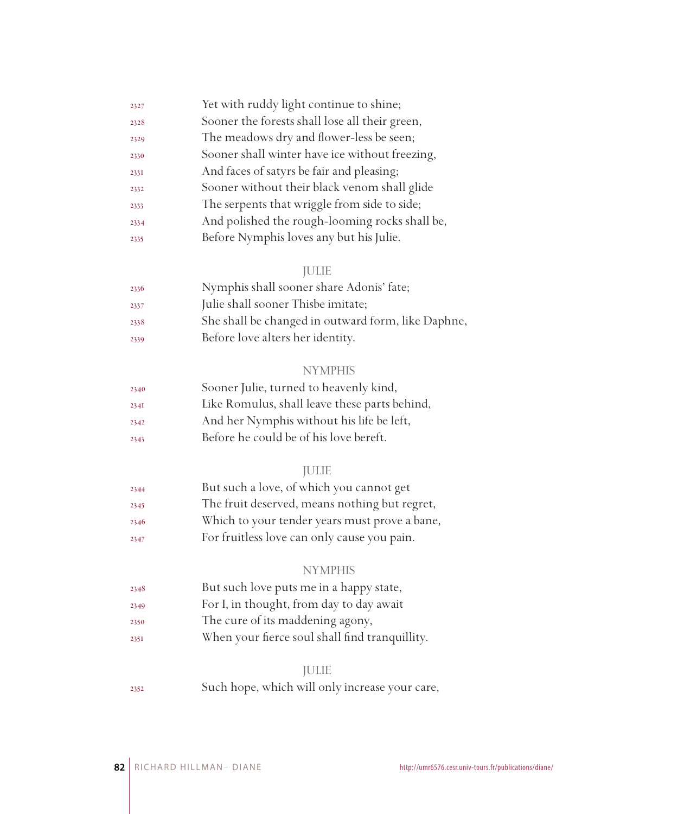| 2327 | Yet with ruddy light continue to shine;        |
|------|------------------------------------------------|
| 2328 | Sooner the forests shall lose all their green, |
| 2329 | The meadows dry and flower-less be seen;       |
| 2330 | Sooner shall winter have ice without freezing, |
| 2331 | And faces of satyrs be fair and pleasing;      |
| 2332 | Sooner without their black venom shall glide   |
| 2333 | The serpents that wriggle from side to side;   |
| 2334 | And polished the rough-looming rocks shall be, |
| 2335 | Before Nymphis loves any but his Julie.        |

### JULIE

| 2336 | Nymphis shall sooner share Adonis' fate;           |
|------|----------------------------------------------------|
| 2337 | Julie shall sooner Thisbe imitate;                 |
| 2338 | She shall be changed in outward form, like Daphne, |
| 2339 | Before love alters her identity.                   |

# NYMPHIS

| 2340 | Sooner Julie, turned to heavenly kind,        |
|------|-----------------------------------------------|
| 234I | Like Romulus, shall leave these parts behind, |
| 2342 | And her Nymphis without his life be left,     |
| 2343 | Before he could be of his love bereft.        |

#### JULIE

| 2344 | But such a love, of which you cannot get      |
|------|-----------------------------------------------|
| 2345 | The fruit deserved, means nothing but regret, |
| 2346 | Which to your tender years must prove a bane, |
| 2347 | For fruitless love can only cause you pain.   |

#### NYMPHIS

- But such love puts me in a happy state,
- For I, in thought, from day to day await
- The cure of its maddening agony,
- When your fierce soul shall find tranquillity.

#### JULIE

Such hope, which will only increase your care,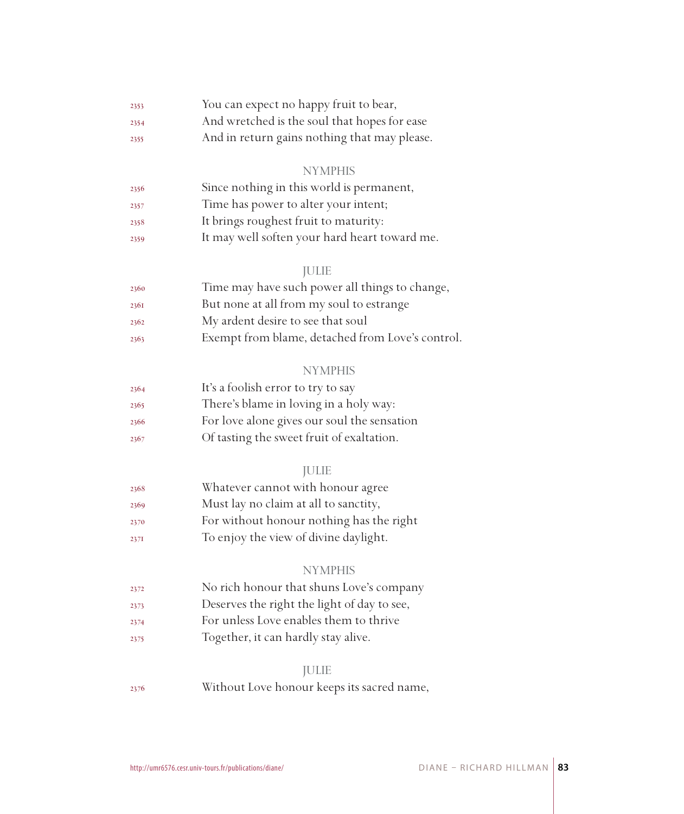| 2353 | You can expect no happy fruit to bear,       |  |  |
|------|----------------------------------------------|--|--|
| 2354 | And wretched is the soul that hopes for ease |  |  |
|      |                                              |  |  |

And in return gains nothing that may please.

#### **NYMPHIS**

| 2356 | Since nothing in this world is permanent,     |
|------|-----------------------------------------------|
| 2357 | Time has power to alter your intent;          |
| 2358 | It brings roughest fruit to maturity:         |
| 2359 | It may well soften your hard heart toward me. |

#### JULIE

| 2360 | Time may have such power all things to change,   |
|------|--------------------------------------------------|
| 2361 | But none at all from my soul to estrange         |
| 2362 | My ardent desire to see that soul                |
| 2363 | Exempt from blame, detached from Love's control. |

#### **NYMPHIS**

| 2364 | It's a foolish error to try to say          |
|------|---------------------------------------------|
| 2365 | There's blame in loving in a holy way:      |
| 2366 | For love alone gives our soul the sensation |
| 2367 | Of tasting the sweet fruit of exaltation.   |

### JULIE

| 2368 | Whatever cannot with honour agree        |
|------|------------------------------------------|
| 2369 | Must lay no claim at all to sanctity,    |
| 2370 | For without honour nothing has the right |
| 2371 | To enjoy the view of divine daylight.    |

#### **NYMPHIS**

- No rich honour that shuns Love's company
- Deserves the right the light of day to see,
- For unless Love enables them to thrive
- Together, it can hardly stay alive.

#### JULIE

Without Love honour keeps its sacred name,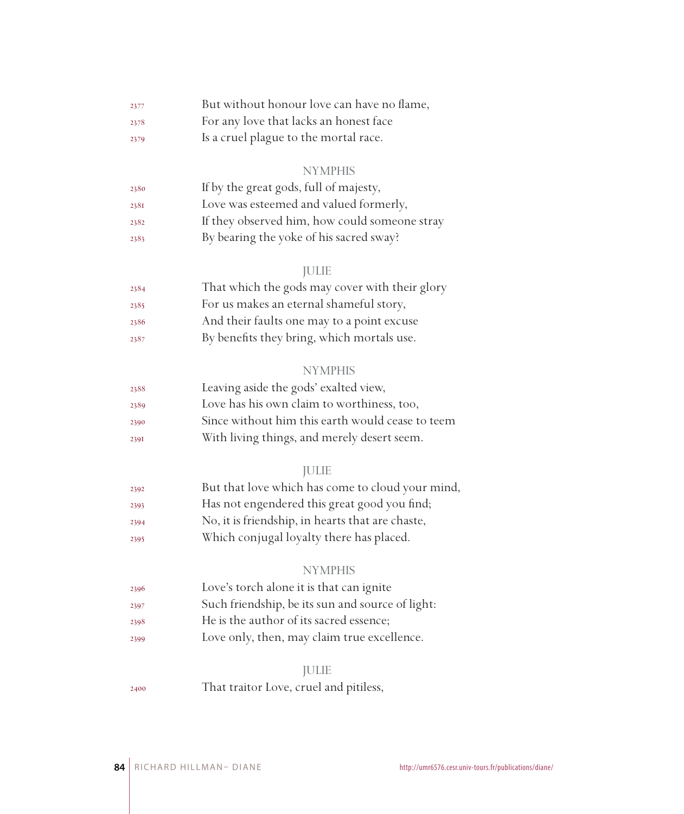| 2377 | But without honour love can have no flame, |
|------|--------------------------------------------|
| 2378 | For any love that lacks an honest face     |

Is a cruel plague to the mortal race.

#### NYMPHIS

| 2380 | If by the great gods, full of majesty,        |
|------|-----------------------------------------------|
| 2381 | Love was esteemed and valued formerly,        |
| 2382 | If they observed him, how could someone stray |
| 2383 | By bearing the yoke of his sacred sway?       |

### JULIE

| 2384 | That which the gods may cover with their glory |
|------|------------------------------------------------|
| 2385 | For us makes an eternal shameful story,        |
| 2386 | And their faults one may to a point excuse     |
| 2387 | By benefits they bring, which mortals use.     |

### NYMPHIS

| 2388 | Leaving aside the gods' exalted view,            |
|------|--------------------------------------------------|
| 2389 | Love has his own claim to worthiness, too,       |
| 2390 | Since without him this earth would cease to teem |
| 2391 | With living things, and merely desert seem.      |

## JULIE

| 2392 | But that love which has come to cloud your mind, |
|------|--------------------------------------------------|
| 2393 | Has not engendered this great good you find;     |
| 2394 | No, it is friendship, in hearts that are chaste, |
| 2395 | Which conjugal loyalty there has placed.         |

#### NYMPHIS

| 2396 | Love's torch alone it is that can ignite         |
|------|--------------------------------------------------|
| 2397 | Such friendship, be its sun and source of light: |
| 2398 | He is the author of its sacred essence;          |
| 2399 | Love only, then, may claim true excellence.      |

#### JULIE

That traitor Love, cruel and pitiless,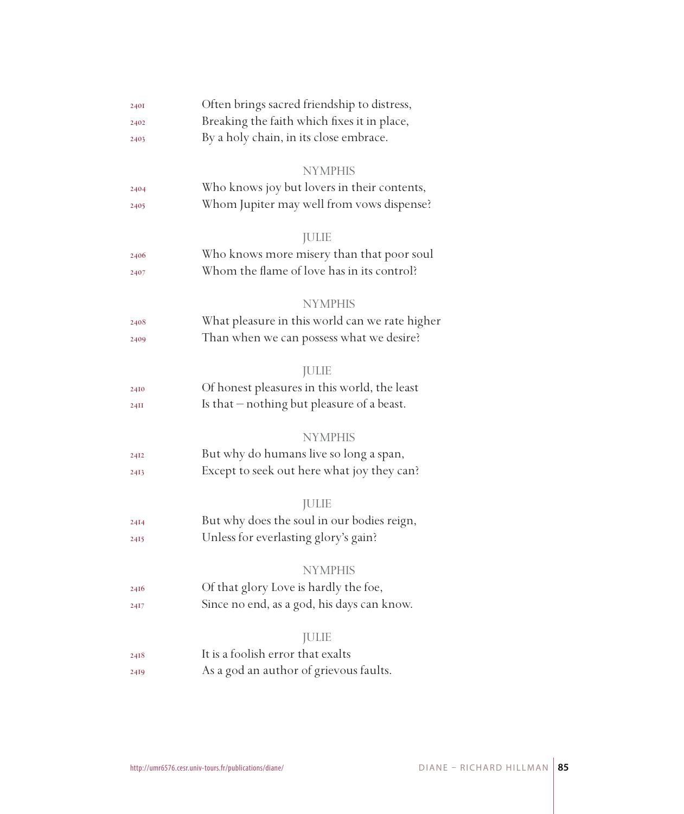| 2401 | Often brings sacred friendship to distress,    |
|------|------------------------------------------------|
| 2402 | Breaking the faith which fixes it in place,    |
| 2403 | By a holy chain, in its close embrace.         |
|      |                                                |
|      | <b>NYMPHIS</b>                                 |
| 2404 | Who knows joy but lovers in their contents,    |
| 2405 | Whom Jupiter may well from vows dispense?      |
|      | <b>JULIE</b>                                   |
| 2406 | Who knows more misery than that poor soul      |
| 2407 | Whom the flame of love has in its control?     |
|      |                                                |
|      | <b>NYMPHIS</b>                                 |
| 2408 | What pleasure in this world can we rate higher |
| 2409 | Than when we can possess what we desire?       |
|      |                                                |
|      | <b>JULIE</b>                                   |
| 24I0 | Of honest pleasures in this world, the least   |
| 24II | Is that – nothing but pleasure of a beast.     |
|      | <b>NYMPHIS</b>                                 |
|      | But why do humans live so long a span,         |
| 24I2 |                                                |
| 2413 | Except to seek out here what joy they can?     |
|      | <b>JULIE</b>                                   |
| 24I4 | But why does the soul in our bodies reign,     |
| 2415 | Unless for everlasting glory's gain?           |
|      |                                                |
|      | <b>NYMPHIS</b>                                 |
| 2416 | Of that glory Love is hardly the foe,          |
| 2417 | Since no end, as a god, his days can know.     |
|      |                                                |
|      | <b>JULIE</b>                                   |
| 2418 | It is a foolish error that exalts              |
| 2419 | As a god an author of grievous faults.         |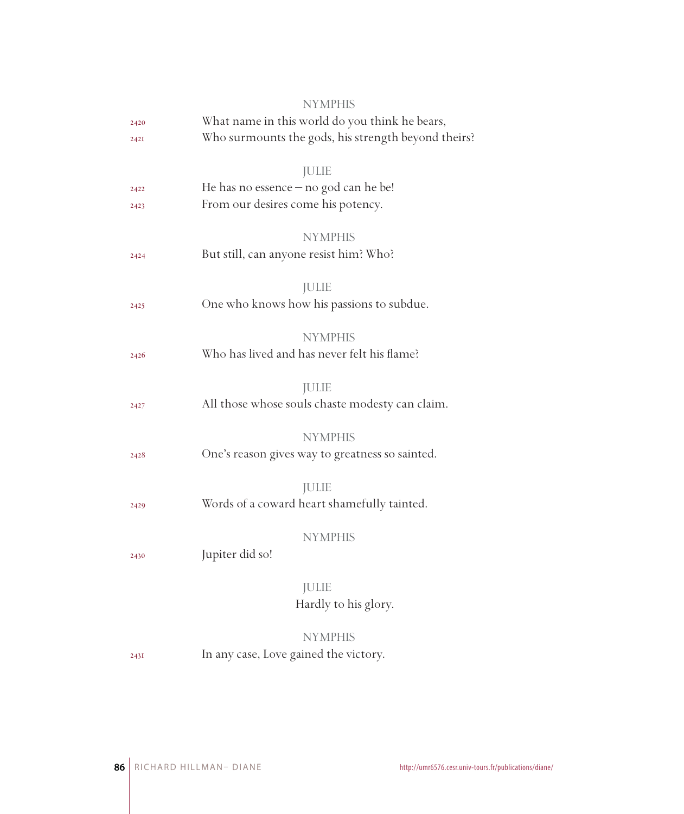|      | <b>NYMPHIS</b>                                      |
|------|-----------------------------------------------------|
| 2420 | What name in this world do you think he bears,      |
| 2421 | Who surmounts the gods, his strength beyond theirs? |
|      |                                                     |
|      | <b>JULIE</b>                                        |
| 2422 | He has no essence $-$ no god can he be!             |
| 2423 | From our desires come his potency.                  |
|      | <b>NYMPHIS</b>                                      |
| 2424 | But still, can anyone resist him? Who?              |
|      |                                                     |
|      | <b>JULIE</b>                                        |
| 2425 | One who knows how his passions to subdue.           |
|      |                                                     |
|      | <b>NYMPHIS</b>                                      |
| 2426 | Who has lived and has never felt his flame?         |
|      | <b>JULIE</b>                                        |
| 2427 | All those whose souls chaste modesty can claim.     |
|      |                                                     |
|      | <b>NYMPHIS</b>                                      |
| 2428 | One's reason gives way to greatness so sainted.     |
|      |                                                     |
|      | <b>JULIE</b>                                        |
| 2429 | Words of a coward heart shamefully tainted.         |
|      |                                                     |
|      | <b>NYMPHIS</b>                                      |
| 2430 | Jupiter did so!                                     |
|      | <b>JULIE</b>                                        |
|      | Hardly to his glory.                                |
|      |                                                     |
|      | <b>NYMPHIS</b>                                      |
| 243I | In any case, Love gained the victory.               |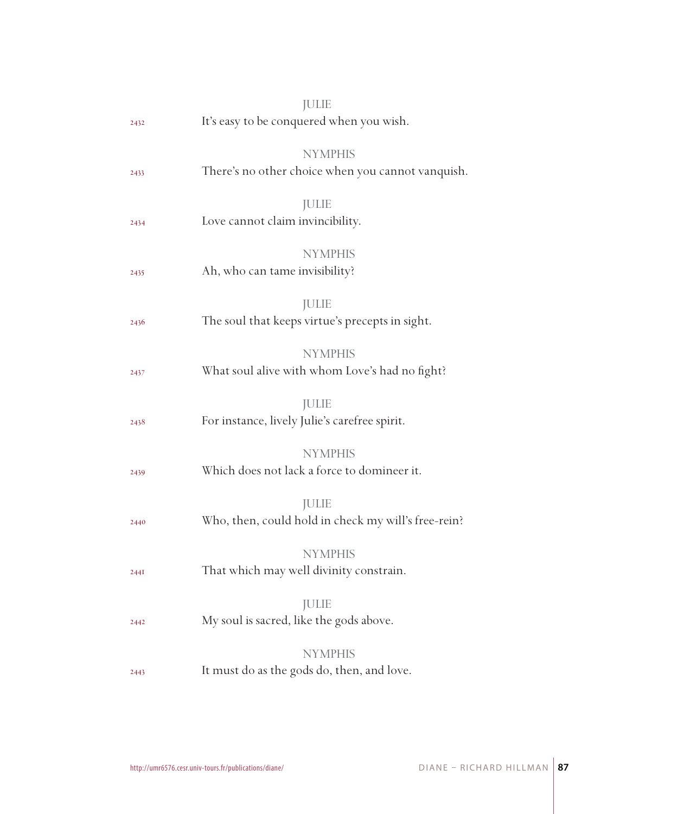|      | <b>JULIE</b>                                                        |
|------|---------------------------------------------------------------------|
| 2432 | It's easy to be conquered when you wish.                            |
|      | <b>NYMPHIS</b>                                                      |
| 2433 | There's no other choice when you cannot vanquish.                   |
| 2434 | <b>JULIE</b><br>Love cannot claim invincibility.                    |
| 2435 | <b>NYMPHIS</b><br>Ah, who can tame invisibility?                    |
| 2436 | JULIE<br>The soul that keeps virtue's precepts in sight.            |
| 2437 | <b>NYMPHIS</b><br>What soul alive with whom Love's had no fight?    |
| 2438 | JULIE<br>For instance, lively Julie's carefree spirit.              |
| 2439 | <b>NYMPHIS</b><br>Which does not lack a force to domineer it.       |
| 2440 | <b>JULIE</b><br>Who, then, could hold in check my will's free-rein? |
| 2441 | <b>NYMPHIS</b><br>That which may well divinity constrain.           |
| 2442 | <b>JULIE</b><br>My soul is sacred, like the gods above.             |
|      | <b>NYMPHIS</b>                                                      |
| 2443 | It must do as the gods do, then, and love.                          |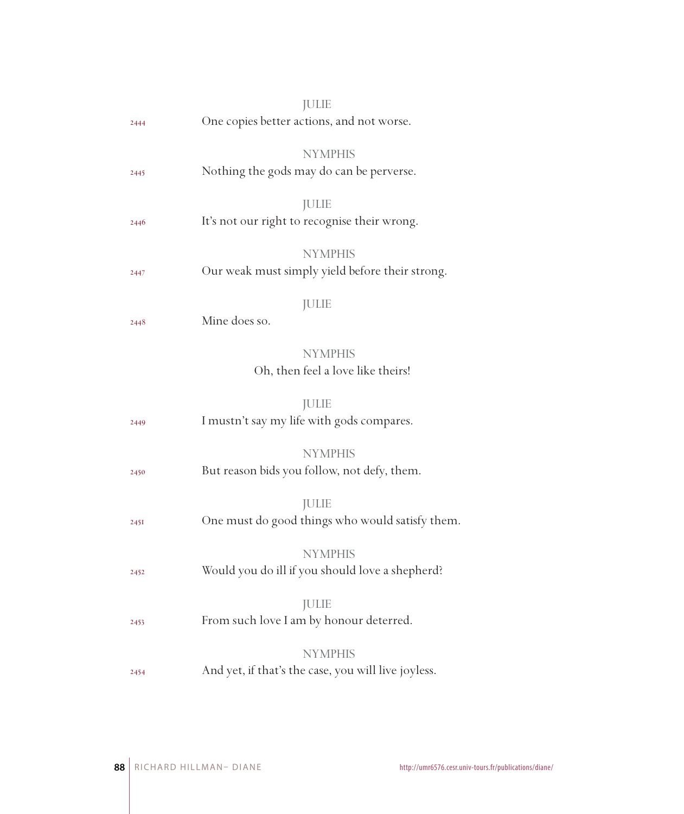|      | <b>JULIE</b>                                               |
|------|------------------------------------------------------------|
| 2444 | One copies better actions, and not worse.                  |
|      |                                                            |
|      | <b>NYMPHIS</b><br>Nothing the gods may do can be perverse. |
| 2445 |                                                            |
|      | <b>JULIE</b>                                               |
| 2446 | It's not our right to recognise their wrong.               |
|      | <b>NYMPHIS</b>                                             |
| 2447 | Our weak must simply yield before their strong.            |
|      |                                                            |
|      | <b>JULIE</b>                                               |
| 2448 | Mine does so.                                              |
|      | <b>NYMPHIS</b>                                             |
|      | Oh, then feel a love like theirs!                          |
|      |                                                            |
|      | <b>JULIE</b>                                               |
| 2449 | I mustn't say my life with gods compares.                  |
|      | <b>NYMPHIS</b>                                             |
| 2450 | But reason bids you follow, not defy, them.                |
|      |                                                            |
|      | <b>JULIE</b>                                               |
| 245I | One must do good things who would satisfy them.            |
|      | <b>NYMPHIS</b>                                             |
| 2452 | Would you do ill if you should love a shepherd?            |
|      |                                                            |
|      | <b>JULIE</b>                                               |
| 2453 | From such love I am by honour deterred.                    |
|      | <b>NYMPHIS</b>                                             |
| 2454 | And yet, if that's the case, you will live joyless.        |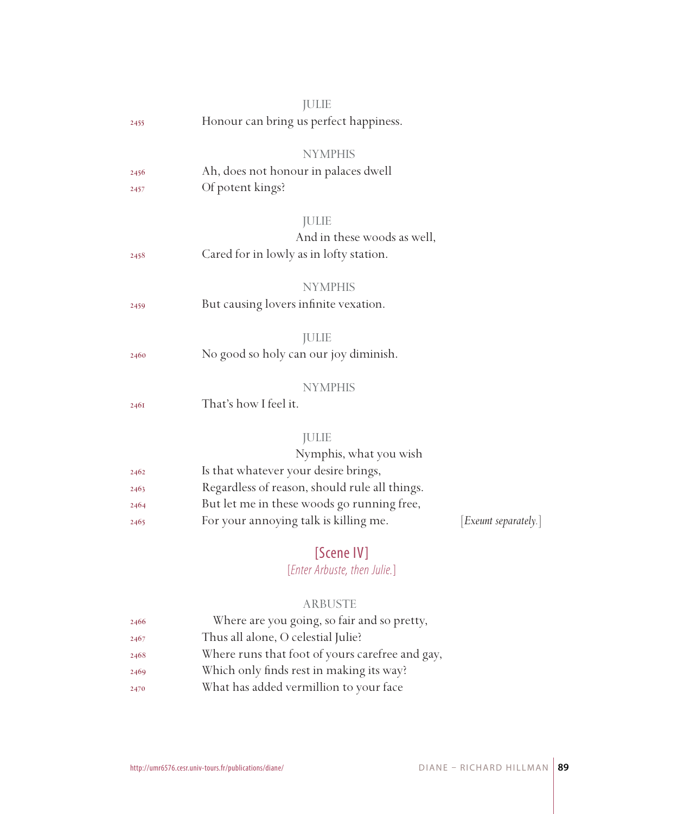|      | <b>JULIE</b>                                  |                      |
|------|-----------------------------------------------|----------------------|
| 2455 | Honour can bring us perfect happiness.        |                      |
|      | <b>NYMPHIS</b>                                |                      |
| 2456 | Ah, does not honour in palaces dwell          |                      |
| 2457 | Of potent kings?                              |                      |
|      | <b>JULIE</b>                                  |                      |
|      | And in these woods as well,                   |                      |
| 2458 | Cared for in lowly as in lofty station.       |                      |
|      | <b>NYMPHIS</b>                                |                      |
| 2459 | But causing lovers infinite vexation.         |                      |
|      | <b>JULIE</b>                                  |                      |
| 2460 | No good so holy can our joy diminish.         |                      |
|      | <b>NYMPHIS</b>                                |                      |
| 2461 | That's how I feel it.                         |                      |
|      | <b>JULIE</b>                                  |                      |
|      | Nymphis, what you wish                        |                      |
| 2462 | Is that whatever your desire brings,          |                      |
| 2463 | Regardless of reason, should rule all things. |                      |
| 2464 | But let me in these woods go running free,    |                      |
| 2465 | For your annoying talk is killing me.         | [Exeunt separately.] |
|      | $TC \rightarrow \cdots \rightarrow 1111$      |                      |

## [Scene IV]

## [*Enter Arbuste, then Julie.*]

### ARBUSTE

| 2466 | Where are you going, so fair and so pretty,     |
|------|-------------------------------------------------|
| 2467 | Thus all alone, O celestial Julie?              |
| 2468 | Where runs that foot of yours carefree and gay, |
| 2469 | Which only finds rest in making its way?        |
| 2470 | What has added vermillion to your face          |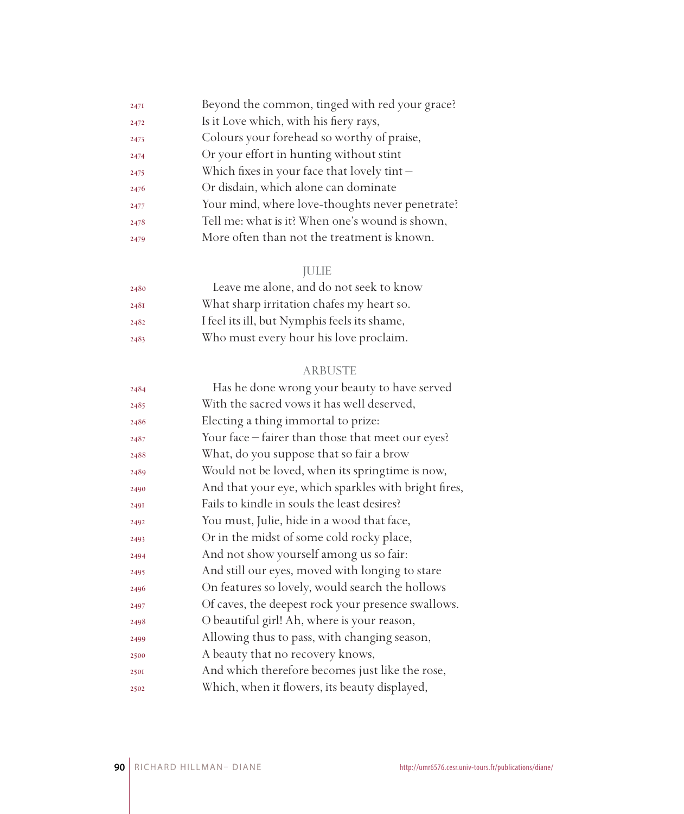| 247I | Beyond the common, tinged with red your grace?  |
|------|-------------------------------------------------|
| 2472 | Is it Love which, with his fiery rays,          |
| 2473 | Colours your forehead so worthy of praise,      |
| 2474 | Or your effort in hunting without stint         |
| 2475 | Which fixes in your face that lovely tint-      |
| 2476 | Or disdain, which alone can dominate            |
| 2477 | Your mind, where love-thoughts never penetrate? |
| 2478 | Tell me: what is it? When one's wound is shown, |
| 2479 | More often than not the treatment is known.     |

## JULIE

| 2480 | Leave me alone, and do not seek to know      |
|------|----------------------------------------------|
| 248I | What sharp irritation chafes my heart so.    |
| 2482 | I feel its ill, but Nymphis feels its shame, |
| 2483 | Who must every hour his love proclaim.       |

### ARBUSTE

| 2484 | Has he done wrong your beauty to have served         |
|------|------------------------------------------------------|
| 2485 | With the sacred vows it has well deserved,           |
| 2486 | Electing a thing immortal to prize:                  |
| 2487 | Your face – fairer than those that meet our eyes?    |
| 2488 | What, do you suppose that so fair a brow             |
| 2489 | Would not be loved, when its springtime is now,      |
| 2490 | And that your eye, which sparkles with bright fires, |
| 2491 | Fails to kindle in souls the least desires?          |
| 2492 | You must, Julie, hide in a wood that face,           |
| 2493 | Or in the midst of some cold rocky place,            |
| 2494 | And not show yourself among us so fair:              |
| 2495 | And still our eyes, moved with longing to stare      |
| 2496 | On features so lovely, would search the hollows      |
| 2497 | Of caves, the deepest rock your presence swallows.   |
| 2498 | O beautiful girl! Ah, where is your reason,          |
| 2499 | Allowing thus to pass, with changing season,         |
| 2500 | A beauty that no recovery knows,                     |
| 2501 | And which therefore becomes just like the rose,      |
| 2502 | Which, when it flowers, its beauty displayed,        |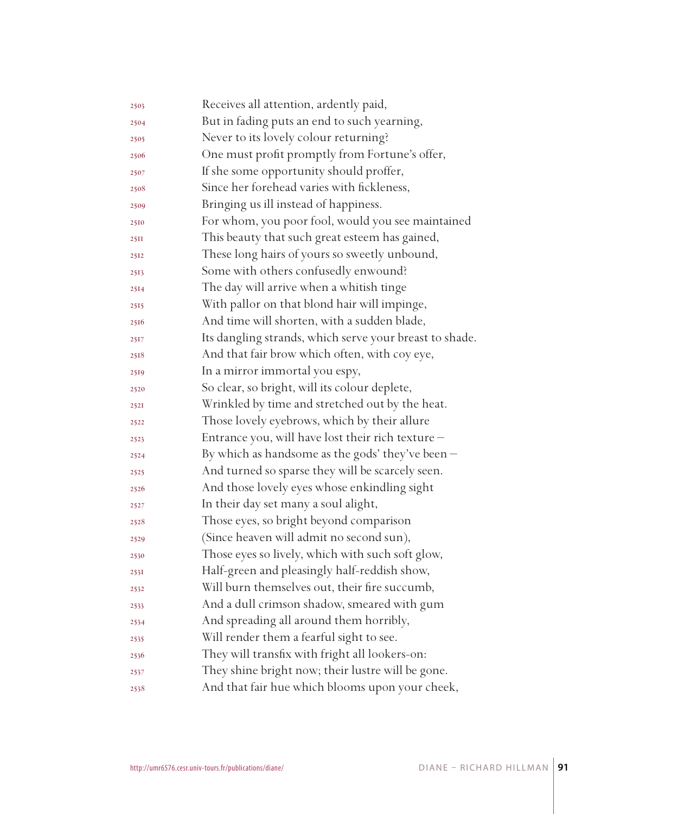| 2503 | Receives all attention, ardently paid,                  |
|------|---------------------------------------------------------|
| 2504 | But in fading puts an end to such yearning,             |
| 2505 | Never to its lovely colour returning?                   |
| 2506 | One must profit promptly from Fortune's offer,          |
| 2507 | If she some opportunity should proffer,                 |
| 2508 | Since her forehead varies with fickleness,              |
| 2509 | Bringing us ill instead of happiness.                   |
| 2510 | For whom, you poor fool, would you see maintained       |
| 25II | This beauty that such great esteem has gained,          |
| 2512 | These long hairs of yours so sweetly unbound,           |
| 2513 | Some with others confusedly enwound?                    |
| 2514 | The day will arrive when a whitish tinge                |
| 2515 | With pallor on that blond hair will impinge,            |
| 2516 | And time will shorten, with a sudden blade,             |
| 2517 | Its dangling strands, which serve your breast to shade. |
| 2518 | And that fair brow which often, with coy eye,           |
| 2519 | In a mirror immortal you espy,                          |
| 2520 | So clear, so bright, will its colour deplete,           |
| 2521 | Wrinkled by time and stretched out by the heat.         |
| 2522 | Those lovely eyebrows, which by their allure            |
| 2523 | Entrance you, will have lost their rich texture -       |
| 2524 | By which as handsome as the gods' they've been $-$      |
| 2525 | And turned so sparse they will be scarcely seen.        |
| 2526 | And those lovely eyes whose enkindling sight            |
| 2527 | In their day set many a soul alight,                    |
| 2528 | Those eyes, so bright beyond comparison                 |
| 2529 | (Since heaven will admit no second sun),                |
| 2530 | Those eyes so lively, which with such soft glow,        |
| 2531 | Half-green and pleasingly half-reddish show,            |
| 2532 | Will burn themselves out, their fire succumb,           |
| 2533 | And a dull crimson shadow, smeared with gum             |
| 2534 | And spreading all around them horribly,                 |
| 2535 | Will render them a fearful sight to see.                |
| 2536 | They will transfix with fright all lookers-on:          |
| 2537 | They shine bright now; their lustre will be gone.       |
| 2538 | And that fair hue which blooms upon your cheek,         |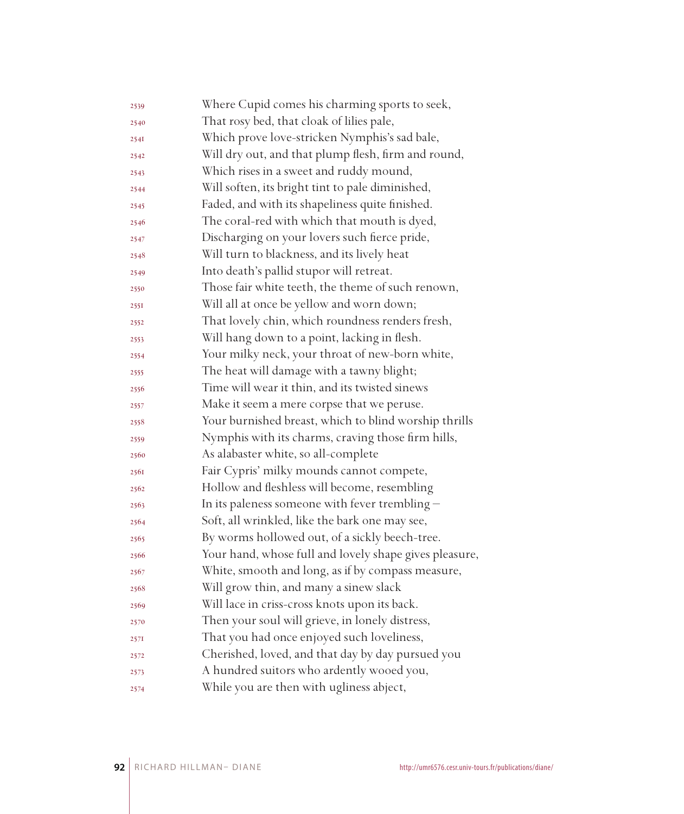| 2539 | Where Cupid comes his charming sports to seek,         |
|------|--------------------------------------------------------|
| 2540 | That rosy bed, that cloak of lilies pale,              |
| 2541 | Which prove love-stricken Nymphis's sad bale,          |
| 2542 | Will dry out, and that plump flesh, firm and round,    |
| 2543 | Which rises in a sweet and ruddy mound,                |
| 2544 | Will soften, its bright tint to pale diminished,       |
| 2545 | Faded, and with its shapeliness quite finished.        |
| 2546 | The coral-red with which that mouth is dyed,           |
| 2547 | Discharging on your lovers such fierce pride,          |
| 2548 | Will turn to blackness, and its lively heat            |
| 2549 | Into death's pallid stupor will retreat.               |
| 2550 | Those fair white teeth, the theme of such renown,      |
| 2551 | Will all at once be yellow and worn down;              |
| 2552 | That lovely chin, which roundness renders fresh,       |
| 2553 | Will hang down to a point, lacking in flesh.           |
| 2554 | Your milky neck, your throat of new-born white,        |
| 2555 | The heat will damage with a tawny blight;              |
| 2556 | Time will wear it thin, and its twisted sinews         |
| 2557 | Make it seem a mere corpse that we peruse.             |
| 2558 | Your burnished breast, which to blind worship thrills  |
| 2559 | Nymphis with its charms, craving those firm hills,     |
| 2560 | As alabaster white, so all-complete                    |
| 2561 | Fair Cypris' milky mounds cannot compete,              |
| 2562 | Hollow and fleshless will become, resembling           |
| 2563 | In its paleness someone with fever trembling $-$       |
| 2564 | Soft, all wrinkled, like the bark one may see,         |
| 2565 | By worms hollowed out, of a sickly beech-tree.         |
| 2566 | Your hand, whose full and lovely shape gives pleasure, |
| 2567 | White, smooth and long, as if by compass measure,      |
| 2568 | Will grow thin, and many a sinew slack                 |
| 2569 | Will lace in criss-cross knots upon its back.          |
| 2570 | Then your soul will grieve, in lonely distress,        |
| 257I | That you had once enjoyed such loveliness,             |
| 2572 | Cherished, loved, and that day by day pursued you      |
| 2573 | A hundred suitors who ardently wooed you,              |
| 2574 | While you are then with ugliness abject,               |
|      |                                                        |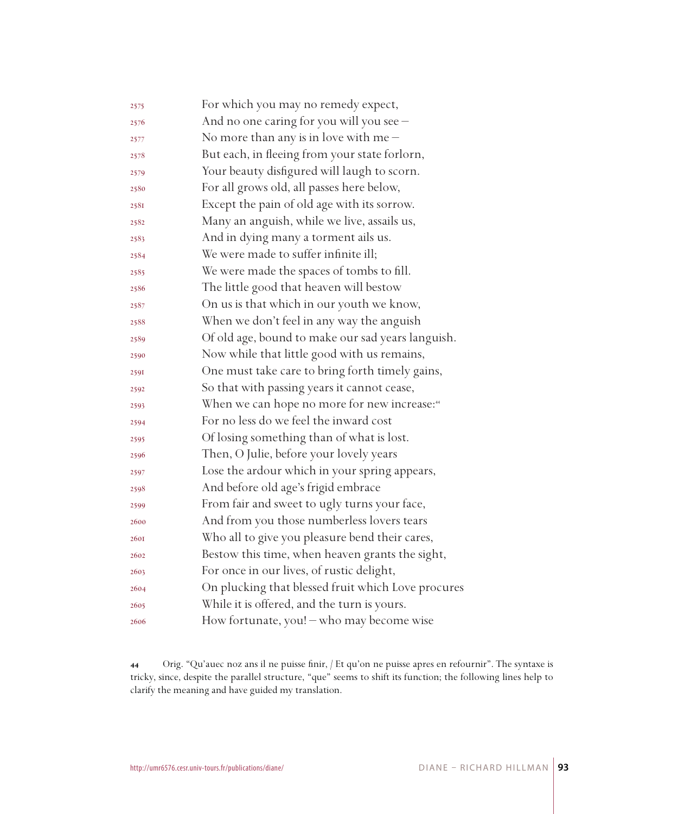| 2575 | For which you may no remedy expect,                      |
|------|----------------------------------------------------------|
| 2576 | And no one caring for you will you see -                 |
| 2577 | No more than any is in love with me $-$                  |
| 2578 | But each, in fleeing from your state forlorn,            |
| 2579 | Your beauty disfigured will laugh to scorn.              |
| 2580 | For all grows old, all passes here below,                |
| 2581 | Except the pain of old age with its sorrow.              |
| 2582 | Many an anguish, while we live, assails us,              |
| 2583 | And in dying many a torment ails us.                     |
| 2584 | We were made to suffer infinite ill;                     |
| 2585 | We were made the spaces of tombs to fill.                |
| 2586 | The little good that heaven will bestow                  |
| 2587 | On us is that which in our youth we know,                |
| 2588 | When we don't feel in any way the anguish                |
| 2589 | Of old age, bound to make our sad years languish.        |
| 2590 | Now while that little good with us remains,              |
| 2591 | One must take care to bring forth timely gains,          |
| 2592 | So that with passing years it cannot cease,              |
| 2593 | When we can hope no more for new increase: <sup>44</sup> |
| 2594 | For no less do we feel the inward cost                   |
| 2595 | Of losing something than of what is lost.                |
| 2596 | Then, O Julie, before your lovely years                  |
| 2597 | Lose the ardour which in your spring appears,            |
| 2598 | And before old age's frigid embrace                      |
| 2599 | From fair and sweet to ugly turns your face,             |
| 2600 | And from you those numberless lovers tears               |
| 2601 | Who all to give you pleasure bend their cares,           |
| 2602 | Bestow this time, when heaven grants the sight,          |
| 2603 | For once in our lives, of rustic delight,                |
| 2604 | On plucking that blessed fruit which Love procures       |
| 2605 | While it is offered, and the turn is yours.              |
| 2606 | How fortunate, you! - who may become wise                |

 Orig. "Qu'auec noz ans il ne puisse finir, / Et qu'on ne puisse apres en refournir". The syntaxe is tricky, since, despite the parallel structure, "que" seems to shift its function; the following lines help to clarify the meaning and have guided my translation.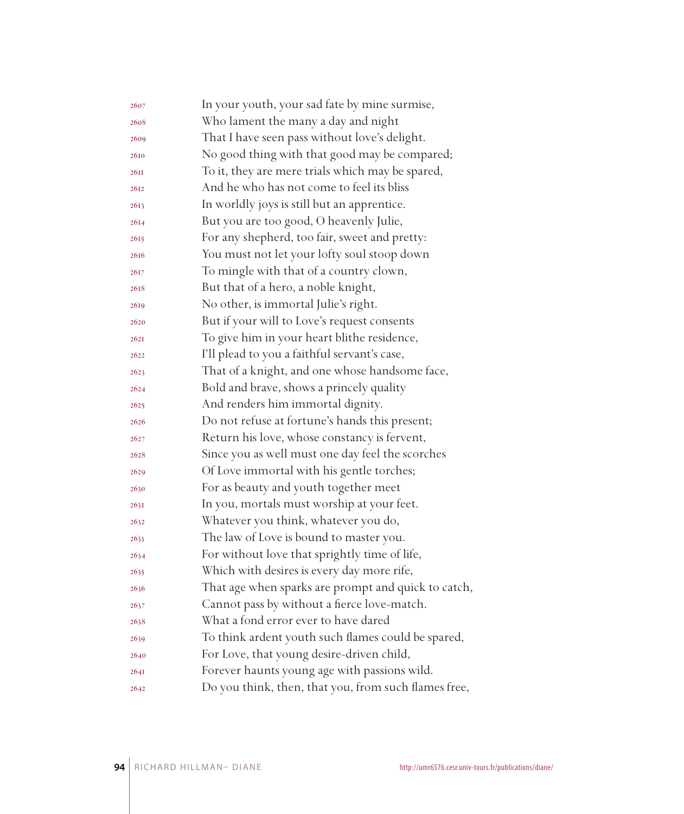| 2607 | In your youth, your sad fate by mine surmise,        |
|------|------------------------------------------------------|
| 2608 | Who lament the many a day and night                  |
| 2609 | That I have seen pass without love's delight.        |
| 2610 | No good thing with that good may be compared;        |
| 26II | To it, they are mere trials which may be spared,     |
| 2612 | And he who has not come to feel its bliss            |
| 2613 | In worldly joys is still but an apprentice.          |
| 2614 | But you are too good, O heavenly Julie,              |
| 2615 | For any shepherd, too fair, sweet and pretty:        |
| 2616 | You must not let your lofty soul stoop down          |
| 2617 | To mingle with that of a country clown,              |
| 2618 | But that of a hero, a noble knight,                  |
| 2619 | No other, is immortal Julie's right.                 |
| 2620 | But if your will to Love's request consents          |
| 262I | To give him in your heart blithe residence,          |
| 2622 | I'll plead to you a faithful servant's case,         |
| 2623 | That of a knight, and one whose handsome face,       |
| 2624 | Bold and brave, shows a princely quality             |
| 2625 | And renders him immortal dignity.                    |
| 2626 | Do not refuse at fortune's hands this present;       |
| 2627 | Return his love, whose constancy is fervent,         |
| 2628 | Since you as well must one day feel the scorches     |
| 2629 | Of Love immortal with his gentle torches;            |
| 2630 | For as beauty and youth together meet                |
| 263I | In you, mortals must worship at your feet.           |
| 2632 | Whatever you think, whatever you do,                 |
| 2633 | The law of Love is bound to master you.              |
| 2634 | For without love that sprightly time of life,        |
| 2635 | Which with desires is every day more rife,           |
| 2636 | That age when sparks are prompt and quick to catch,  |
| 2637 | Cannot pass by without a fierce love-match.          |
| 2638 | What a fond error ever to have dared                 |
| 2639 | To think ardent youth such flames could be spared,   |
| 2640 | For Love, that young desire-driven child,            |
| 264I | Forever haunts young age with passions wild.         |
| 2642 | Do you think, then, that you, from such flames free, |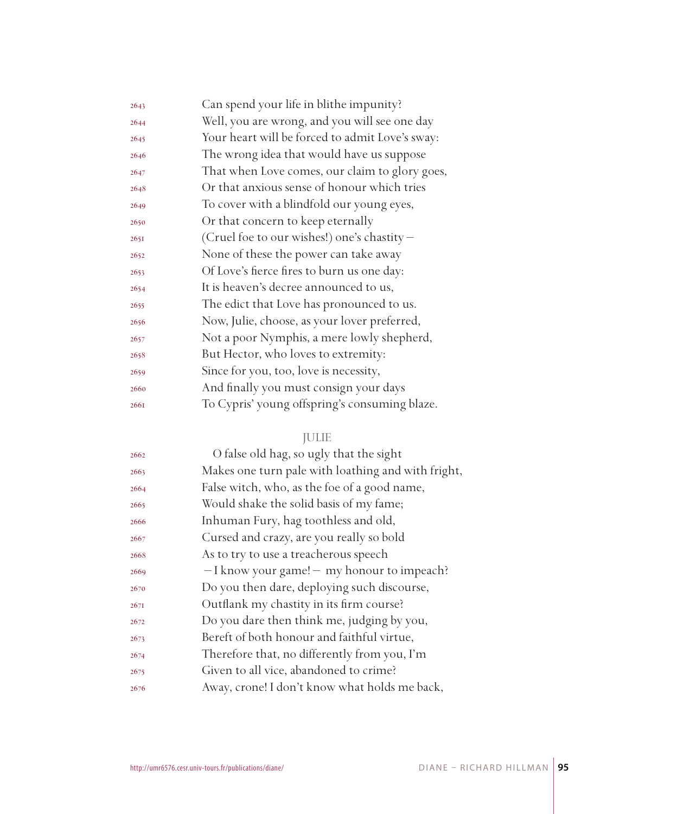| 2643 | Can spend your life in blithe impunity?         |
|------|-------------------------------------------------|
| 2644 | Well, you are wrong, and you will see one day   |
| 2645 | Your heart will be forced to admit Love's sway: |
| 2646 | The wrong idea that would have us suppose       |
| 2647 | That when Love comes, our claim to glory goes,  |
| 2648 | Or that anxious sense of honour which tries     |
| 2649 | To cover with a blindfold our young eyes,       |
| 2650 | Or that concern to keep eternally               |
| 2651 | (Cruel foe to our wishes!) one's chastity -     |
| 2652 | None of these the power can take away           |
| 2653 | Of Love's fierce fires to burn us one day:      |
| 2654 | It is heaven's decree announced to us,          |
| 2655 | The edict that Love has pronounced to us.       |
| 2656 | Now, Julie, choose, as your lover preferred,    |
| 2657 | Not a poor Nymphis, a mere lowly shepherd,      |
| 2658 | But Hector, who loves to extremity:             |
| 2659 | Since for you, too, love is necessity,          |
| 2660 | And finally you must consign your days          |
| 2661 | To Cypris' young offspring's consuming blaze.   |
|      |                                                 |

## JULIE

| 2662 | O false old hag, so ugly that the sight            |
|------|----------------------------------------------------|
| 2663 | Makes one turn pale with loathing and with fright, |
| 2664 | False witch, who, as the foe of a good name,       |
| 2665 | Would shake the solid basis of my fame;            |
| 2666 | Inhuman Fury, hag toothless and old,               |
| 2667 | Cursed and crazy, are you really so bold           |
| 2668 | As to try to use a treacherous speech              |
| 2669 | $-I$ know your game! $-$ my honour to impeach?     |
| 2670 | Do you then dare, deploying such discourse,        |
| 267I | Outflank my chastity in its firm course?           |
| 2672 | Do you dare then think me, judging by you,         |
| 2673 | Bereft of both honour and faithful virtue,         |
| 2674 | Therefore that, no differently from you, I'm       |
| 2675 | Given to all vice, abandoned to crime?             |
| 2676 | Away, crone! I don't know what holds me back,      |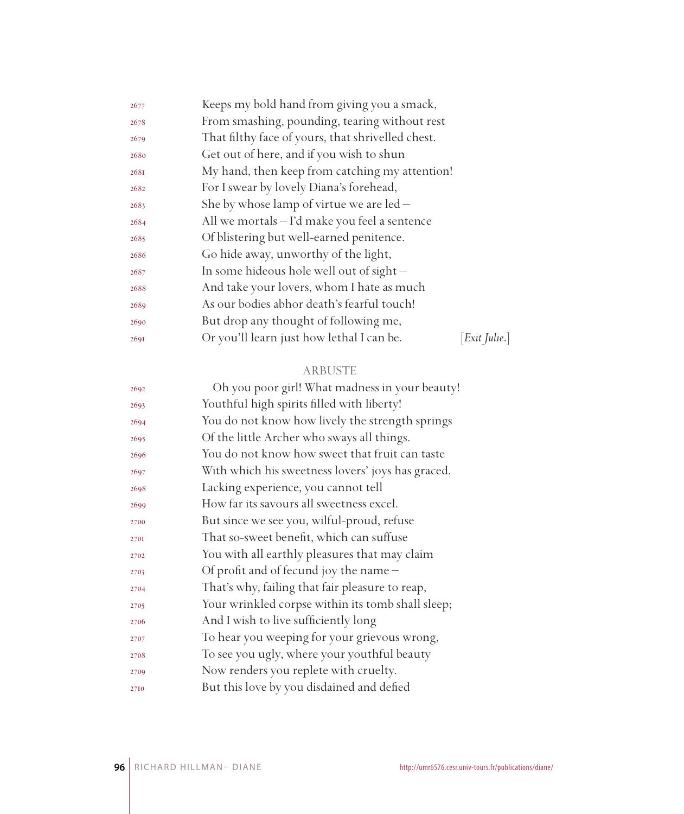| 2677 | Keeps my bold hand from giving you a smack,       |             |  |  |
|------|---------------------------------------------------|-------------|--|--|
| 2678 | From smashing, pounding, tearing without rest     |             |  |  |
| 2679 | That filthy face of yours, that shrivelled chest. |             |  |  |
| 2680 | Get out of here, and if you wish to shun          |             |  |  |
| 2681 | My hand, then keep from catching my attention!    |             |  |  |
| 2682 | For I swear by lovely Diana's forehead,           |             |  |  |
| 2683 | She by whose lamp of virtue we are $led -$        |             |  |  |
| 2684 | All we mortals – I'd make you feel a sentence     |             |  |  |
| 2685 | Of blistering but well-earned penitence.          |             |  |  |
| 2686 | Go hide away, unworthy of the light,              |             |  |  |
| 2687 | In some hideous hole well out of sight $-$        |             |  |  |
| 2688 | And take your lovers, whom I hate as much         |             |  |  |
| 2689 | As our bodies abhor death's fearful touch!        |             |  |  |
| 2690 | But drop any thought of following me,             |             |  |  |
| 2691 | Or you'll learn just how lethal I can be.         | Exit Julie. |  |  |

### ARBUSTE

| 2692 | Oh you poor girl! What madness in your beauty!    |
|------|---------------------------------------------------|
| 2693 | Youthful high spirits filled with liberty!        |
| 2694 | You do not know how lively the strength springs   |
| 2695 | Of the little Archer who sways all things.        |
| 2696 | You do not know how sweet that fruit can taste    |
| 2697 | With which his sweetness lovers' joys has graced. |
| 2698 | Lacking experience, you cannot tell               |
| 2699 | How far its savours all sweetness excel.          |
| 2700 | But since we see you, wilful-proud, refuse        |
| 2701 | That so-sweet benefit, which can suffuse          |
| 2702 | You with all earthly pleasures that may claim     |
| 2703 | Of profit and of fecund joy the name -            |
| 2704 | That's why, failing that fair pleasure to reap,   |
| 2705 | Your wrinkled corpse within its tomb shall sleep; |
| 2706 | And I wish to live sufficiently long              |
| 2707 | To hear you weeping for your grievous wrong,      |
| 2708 | To see you ugly, where your youthful beauty       |
| 2709 | Now renders you replete with cruelty.             |
| 2710 | But this love by you disdained and defied         |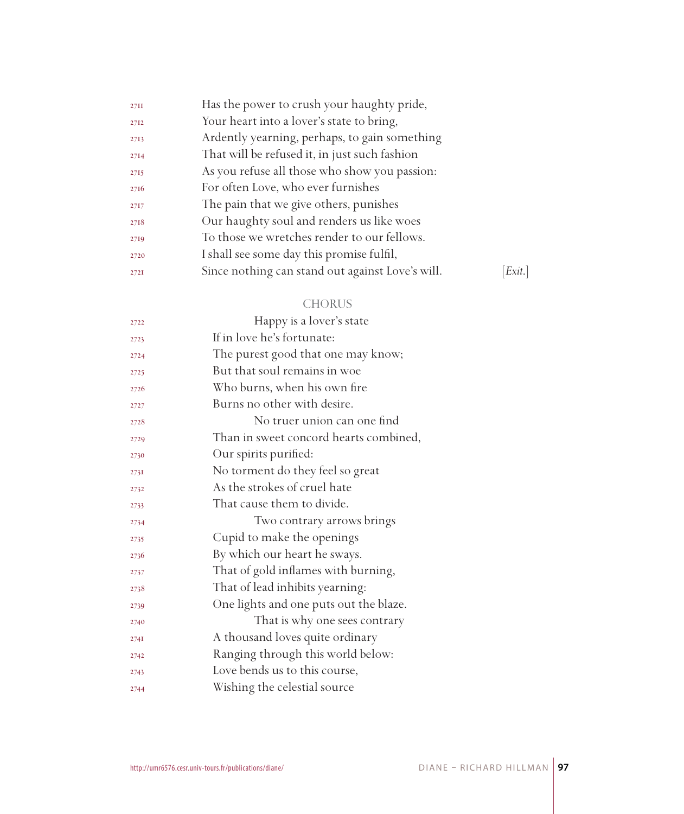| Exit. |
|-------|
|       |

## CHORUS

| 2722 | Happy is a lover's state               |
|------|----------------------------------------|
| 2723 | If in love he's fortunate:             |
| 2724 | The purest good that one may know;     |
| 2725 | But that soul remains in woe           |
| 2726 | Who burns, when his own fire           |
| 2727 | Burns no other with desire.            |
| 2728 | No truer union can one find            |
| 2729 | Than in sweet concord hearts combined, |
| 2730 | Our spirits purified:                  |
| 2731 | No torment do they feel so great       |
| 2732 | As the strokes of cruel hate           |
| 2733 | That cause them to divide.             |
| 2734 | Two contrary arrows brings             |
| 2735 | Cupid to make the openings             |
| 2736 | By which our heart he sways.           |
| 2737 | That of gold inflames with burning,    |
| 2738 | That of lead inhibits yearning:        |
| 2739 | One lights and one puts out the blaze. |
| 2740 | That is why one sees contrary          |
| 274I | A thousand loves quite ordinary        |
| 2742 | Ranging through this world below:      |
| 2743 | Love bends us to this course,          |
| 2744 | Wishing the celestial source           |
|      |                                        |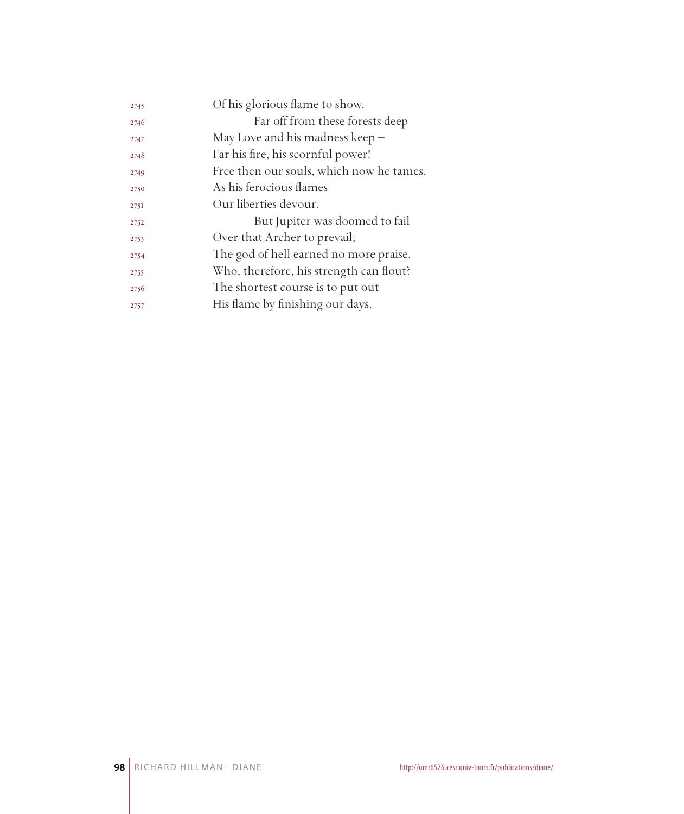| 2745 | Of his glorious flame to show.           |
|------|------------------------------------------|
| 2746 | Far off from these forests deep          |
| 2747 | May Love and his madness keep $-$        |
| 2748 | Far his fire, his scornful power!        |
| 2749 | Free then our souls, which now he tames, |
| 2750 | As his ferocious flames                  |
| 275I | Our liberties devour.                    |
| 2752 | But Jupiter was doomed to fail           |
| 2753 | Over that Archer to prevail;             |
| 2754 | The god of hell earned no more praise.   |
| 2755 | Who, therefore, his strength can flout?  |
| 2756 | The shortest course is to put out        |
| 2757 | His flame by finishing our days.         |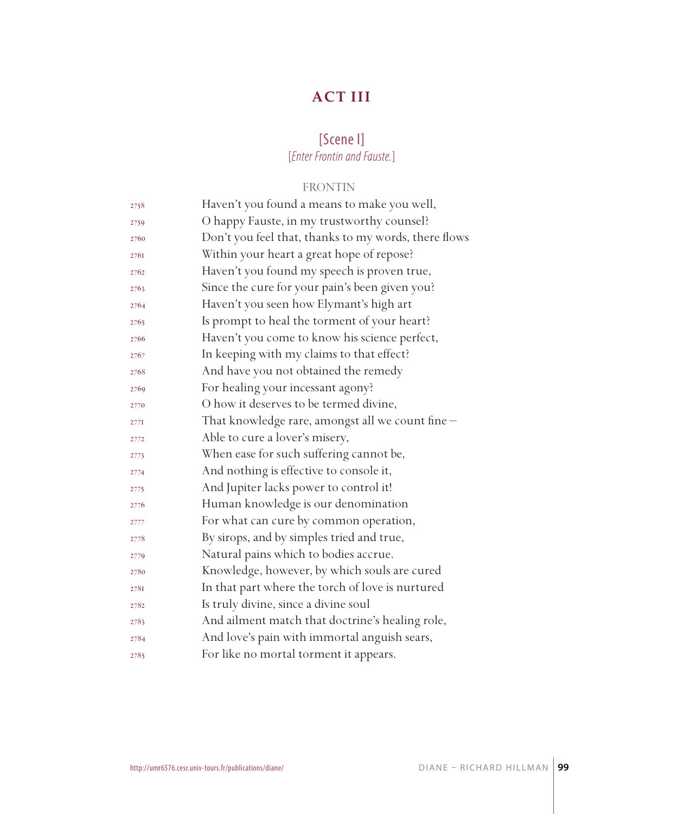# **ACT III**

## [Scene I] [*Enter Frontin and Fauste.*]

## FRONTIN

| 2758            | Haven't you found a means to make you well,          |
|-----------------|------------------------------------------------------|
| 2759            | O happy Fauste, in my trustworthy counsel?           |
| 2760            | Don't you feel that, thanks to my words, there flows |
| 2761            | Within your heart a great hope of repose?            |
| 2762            | Haven't you found my speech is proven true,          |
| 2763            | Since the cure for your pain's been given you?       |
| 2764            | Haven't you seen how Elymant's high art              |
| 2765            | Is prompt to heal the torment of your heart?         |
| 2766            | Haven't you come to know his science perfect,        |
| 2767            | In keeping with my claims to that effect?            |
| 2768            | And have you not obtained the remedy                 |
| 2769            | For healing your incessant agony?                    |
| 2770            | O how it deserves to be termed divine,               |
| $277\mathrm{I}$ | That knowledge rare, amongst all we count fine -     |
| 2772            | Able to cure a lover's misery,                       |
| 2773            | When ease for such suffering cannot be,              |
| 2774            | And nothing is effective to console it,              |
| 2775            | And Jupiter lacks power to control it!               |
| 2776            | Human knowledge is our denomination                  |
| 2777            | For what can cure by common operation,               |
| 2778            | By sirops, and by simples tried and true,            |
| 2779            | Natural pains which to bodies accrue.                |
| 2780            | Knowledge, however, by which souls are cured         |
| 2781            | In that part where the torch of love is nurtured     |
| 2782            | Is truly divine, since a divine soul                 |
| 2783            | And ailment match that doctrine's healing role,      |
| 2784            | And love's pain with immortal anguish sears,         |
| 2785            | For like no mortal torment it appears.               |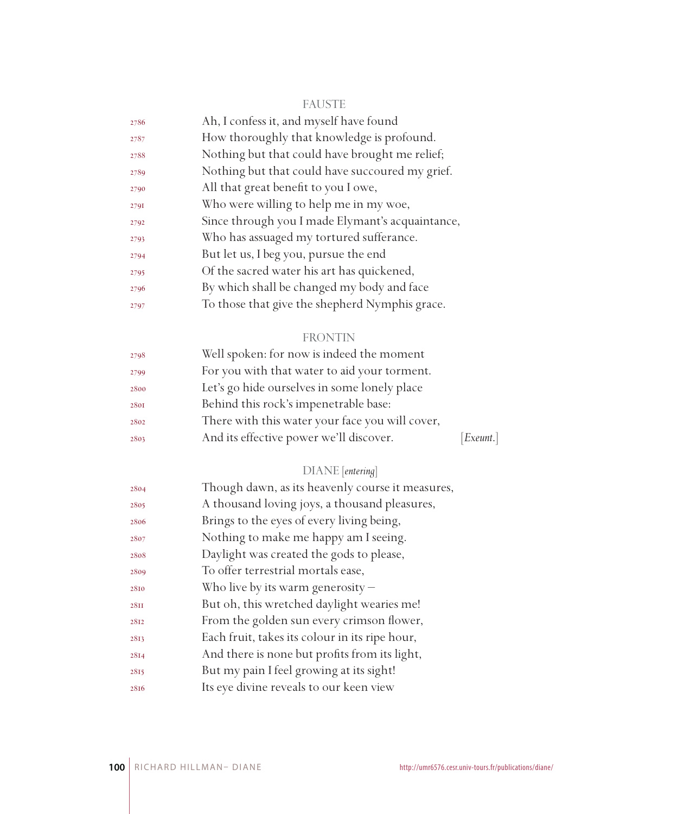| - - | . .<br>w<br> | --<br>e e |
|-----|--------------|-----------|
|     |              |           |

| 2786 | Ah, I confess it, and myself have found          |
|------|--------------------------------------------------|
| 2787 | How thoroughly that knowledge is profound.       |
| 2788 | Nothing but that could have brought me relief;   |
| 2789 | Nothing but that could have succoured my grief.  |
| 2790 | All that great benefit to you I owe,             |
| 2791 | Who were willing to help me in my woe,           |
| 2792 | Since through you I made Elymant's acquaintance, |
| 2793 | Who has assuaged my tortured sufferance.         |
| 2794 | But let us, I beg you, pursue the end            |
| 2795 | Of the sacred water his art has quickened,       |
| 2796 | By which shall be changed my body and face       |
| 2797 | To those that give the shepherd Nymphis grace.   |

# FRONTIN

| 2798 | Well spoken: for now is indeed the moment       |           |
|------|-------------------------------------------------|-----------|
| 2799 | For you with that water to aid your torment.    |           |
| 2800 | Let's go hide ourselves in some lonely place    |           |
| 2801 | Behind this rock's impenetrable base:           |           |
| 2802 | There with this water your face you will cover, |           |
| 2803 | And its effective power we'll discover.         | [Exeunt.] |
|      |                                                 |           |

## DIANE [*entering*]

| 2804        | Though dawn, as its heavenly course it measures, |
|-------------|--------------------------------------------------|
| 2805        | A thousand loving joys, a thousand pleasures,    |
| 2806        | Brings to the eyes of every living being,        |
| 2807        | Nothing to make me happy am I seeing.            |
| 2808        | Daylight was created the gods to please,         |
| 2809        | To offer terrestrial mortals ease,               |
| 2810        | Who live by its warm generosity $-$              |
| <b>28II</b> | But oh, this wretched daylight wearies me!       |
| 2812        | From the golden sun every crimson flower,        |
| 2813        | Each fruit, takes its colour in its ripe hour,   |
| 2814        | And there is none but profits from its light,    |
| 2815        | But my pain I feel growing at its sight!         |
| 2816        | Its eye divine reveals to our keen view          |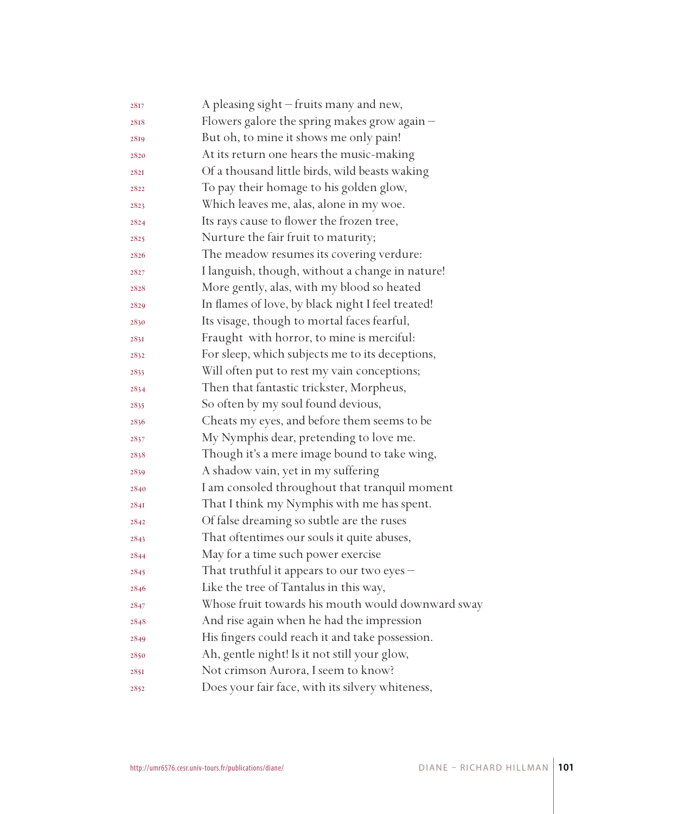| 2817        | A pleasing sight - fruits many and new,           |
|-------------|---------------------------------------------------|
| 2818        | Flowers galore the spring makes grow again -      |
| 2819        | But oh, to mine it shows me only pain!            |
| 2820        | At its return one hears the music-making          |
| <b>282I</b> | Of a thousand little birds, wild beasts waking    |
| 2822        | To pay their homage to his golden glow,           |
| 2823        | Which leaves me, alas, alone in my woe.           |
| 2824        | Its rays cause to flower the frozen tree,         |
| 2825        | Nurture the fair fruit to maturity;               |
| 2826        | The meadow resumes its covering verdure:          |
| 2827        | I languish, though, without a change in nature!   |
| 2828        | More gently, alas, with my blood so heated        |
| 2829        | In flames of love, by black night I feel treated! |
| 2830        | Its visage, though to mortal faces fearful,       |
| 2831        | Fraught with horror, to mine is merciful:         |
| 2832        | For sleep, which subjects me to its deceptions,   |
| 2833        | Will often put to rest my vain conceptions;       |
| 2834        | Then that fantastic trickster, Morpheus,          |
| 2835        | So often by my soul found devious,                |
| 2836        | Cheats my eyes, and before them seems to be       |
| 2837        | My Nymphis dear, pretending to love me.           |
| 2838        | Though it's a mere image bound to take wing,      |
| 2839        | A shadow vain, yet in my suffering                |
| 2840        | I am consoled throughout that tranquil moment     |
| 284I        | That I think my Nymphis with me has spent.        |
| 2842        | Of false dreaming so subtle are the ruses         |
| 2843        | That oftentimes our souls it quite abuses,        |
| 2844        | May for a time such power exercise                |
| 2845        | That truthful it appears to our two eyes -        |
| 2846        | Like the tree of Tantalus in this way,            |
| 2847        | Whose fruit towards his mouth would downward sway |
| 2848        | And rise again when he had the impression         |
| 2849        | His fingers could reach it and take possession.   |
| 2850        | Ah, gentle night! Is it not still your glow,      |
| 2851        | Not crimson Aurora, I seem to know?               |
| 2852        | Does your fair face, with its silvery whiteness,  |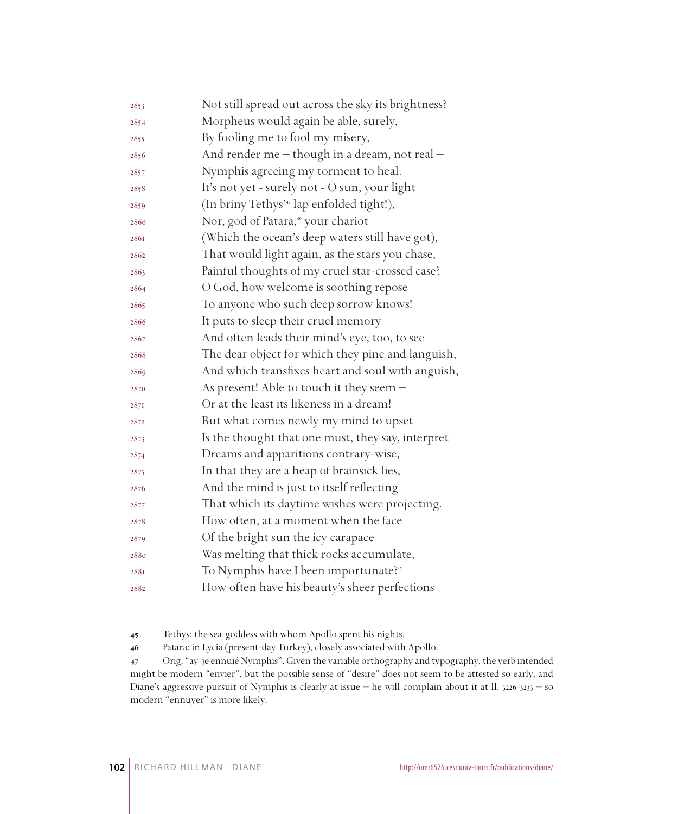| 2853 | Not still spread out across the sky its brightness?   |
|------|-------------------------------------------------------|
| 2854 | Morpheus would again be able, surely,                 |
| 2855 | By fooling me to fool my misery,                      |
| 2856 | And render me - though in a dream, not real -         |
| 2857 | Nymphis agreeing my torment to heal.                  |
| 2858 | It's not yet - surely not - O sun, your light         |
| 2859 | (In briny Tethys' <sup>45</sup> lap enfolded tight!), |
| 2860 | Nor, god of Patara, <sup>46</sup> your chariot        |
| 2861 | (Which the ocean's deep waters still have got),       |
| 2862 | That would light again, as the stars you chase,       |
| 2863 | Painful thoughts of my cruel star-crossed case?       |
| 2864 | O God, how welcome is soothing repose                 |
| 2865 | To anyone who such deep sorrow knows!                 |
| 2866 | It puts to sleep their cruel memory                   |
| 2867 | And often leads their mind's eye, too, to see         |
| 2868 | The dear object for which they pine and languish,     |
| 2869 | And which transfixes heart and soul with anguish,     |
| 2870 | As present! Able to touch it they seem -              |
| 287I | Or at the least its likeness in a dream!              |
| 2872 | But what comes newly my mind to upset                 |
| 2873 | Is the thought that one must, they say, interpret     |
| 2874 | Dreams and apparitions contrary-wise,                 |
| 2875 | In that they are a heap of brainsick lies,            |
| 2876 | And the mind is just to itself reflecting             |
| 2877 | That which its daytime wishes were projecting.        |
| 2878 | How often, at a moment when the face                  |
| 2879 | Of the bright sun the icy carapace                    |
| 2880 | Was melting that thick rocks accumulate,              |
| 2881 | To Nymphis have I been importunate? <sup>47</sup>     |
| 2882 | How often have his beauty's sheer perfections         |

Tethys: the sea-goddess with whom Apollo spent his nights.

Patara: in Lycia (present-day Turkey), closely associated with Apollo.

 Orig. "ay-je ennuié Nymphis". Given the variable orthography and typography, the verb intended might be modern "envier", but the possible sense of "desire" does not seem to be attested so early, and Diane's aggressive pursuit of Nymphis is clearly at issue – he will complain about it at ll. 3226-3233 – so modern "ennuyer" is more likely.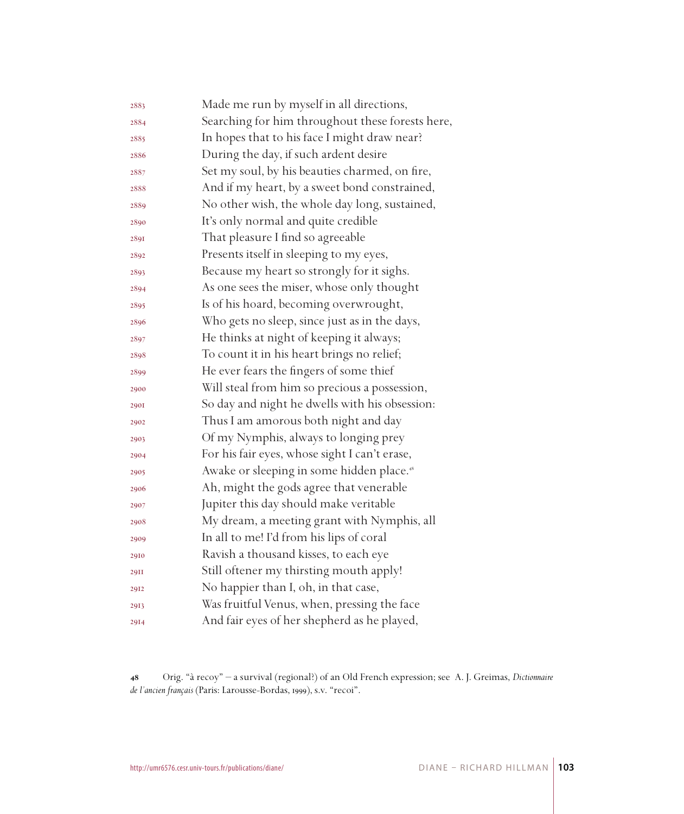| 2883        | Made me run by myself in all directions,              |
|-------------|-------------------------------------------------------|
| 2884        | Searching for him throughout these forests here,      |
| 2885        | In hopes that to his face I might draw near?          |
| 2886        | During the day, if such ardent desire                 |
| 2887        | Set my soul, by his beauties charmed, on fire,        |
| 2888        | And if my heart, by a sweet bond constrained,         |
| 2889        | No other wish, the whole day long, sustained,         |
| 2890        | It's only normal and quite credible                   |
| 2891        | That pleasure I find so agreeable                     |
| 2892        | Presents itself in sleeping to my eyes,               |
| 2893        | Because my heart so strongly for it sighs.            |
| 2894        | As one sees the miser, whose only thought             |
| 2895        | Is of his hoard, becoming overwrought,                |
| 2896        | Who gets no sleep, since just as in the days,         |
| 2897        | He thinks at night of keeping it always;              |
| 2898        | To count it in his heart brings no relief;            |
| 2899        | He ever fears the fingers of some thief               |
| 2900        | Will steal from him so precious a possession,         |
| <b>290I</b> | So day and night he dwells with his obsession:        |
| 2902        | Thus I am amorous both night and day                  |
| 2903        | Of my Nymphis, always to longing prey                 |
| 2904        | For his fair eyes, whose sight I can't erase,         |
| 2905        | Awake or sleeping in some hidden place. <sup>48</sup> |
| 2906        | Ah, might the gods agree that venerable               |
| 2907        | Jupiter this day should make veritable                |
| 2908        | My dream, a meeting grant with Nymphis, all           |
| 2909        | In all to me! I'd from his lips of coral              |
| 2910        | Ravish a thousand kisses, to each eye                 |
| <b>29II</b> | Still oftener my thirsting mouth apply!               |
| 2912        | No happier than I, oh, in that case,                  |
| 2913        | Was fruitful Venus, when, pressing the face           |
| 2914        | And fair eyes of her shepherd as he played,           |

 Orig. "à recoy" – a survival (regional?) of an Old French expression; see A. J. Greimas, *Dictionnaire de l'ancien français* (Paris: Larousse-Bordas, 1999), s.v. "recoi".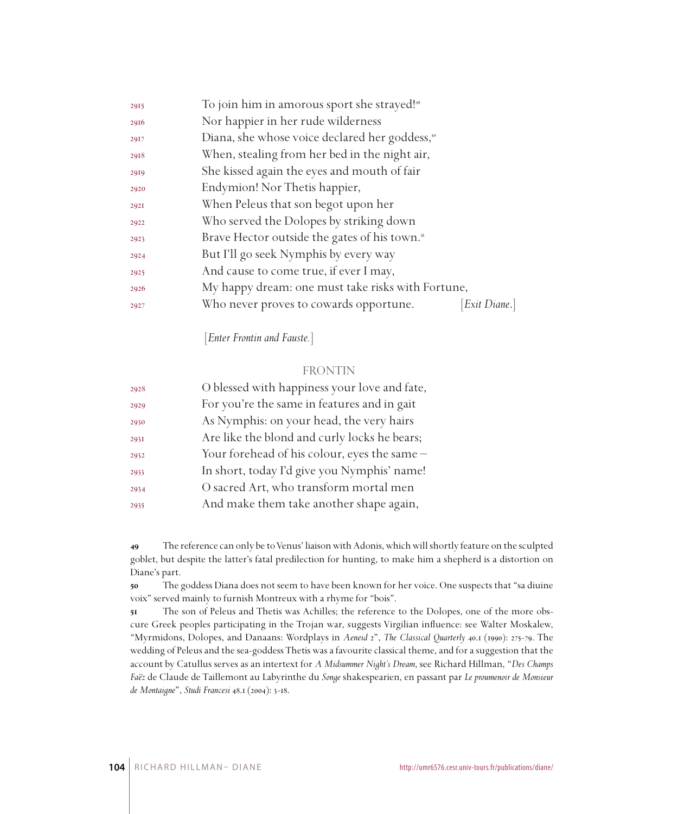| 2915 | To join him in amorous sport she strayed! <sup>49</sup>    |             |
|------|------------------------------------------------------------|-------------|
| 2916 | Nor happier in her rude wilderness                         |             |
| 2917 | Diana, she whose voice declared her goddess, <sup>50</sup> |             |
| 2918 | When, stealing from her bed in the night air,              |             |
| 2919 | She kissed again the eyes and mouth of fair                |             |
| 2920 | Endymion! Nor Thetis happier,                              |             |
| 292I | When Peleus that son begot upon her                        |             |
| 2922 | Who served the Dolopes by striking down                    |             |
| 2923 | Brave Hector outside the gates of his town. <sup>51</sup>  |             |
| 2924 | But I'll go seek Nymphis by every way                      |             |
| 2925 | And cause to come true, if ever I may,                     |             |
| 2926 | My happy dream: one must take risks with Fortune,          |             |
| 2927 | Who never proves to cowards opportune.                     | Exit Diane. |
|      |                                                            |             |

[*Enter Frontin and Fauste.*]

#### FRONTIN

| 2928 | O blessed with happiness your love and fate, |
|------|----------------------------------------------|
| 2929 | For you're the same in features and in gait  |
| 2930 | As Nymphis: on your head, the very hairs     |
| 2931 | Are like the blond and curly locks he bears; |
| 2932 | Your forehead of his colour, eyes the same - |
| 2933 | In short, today I'd give you Nymphis' name!  |
| 2934 | O sacred Art, who transform mortal men       |
| 2935 | And make them take another shape again,      |

 The reference can only be to Venus' liaison with Adonis, which will shortly feature on the sculpted goblet, but despite the latter's fatal predilection for hunting, to make him a shepherd is a distortion on Diane's part.

 The goddess Diana does not seem to have been known for her voice. One suspects that "sa diuine voix" served mainly to furnish Montreux with a rhyme for "bois".

 The son of Peleus and Thetis was Achilles; the reference to the Dolopes, one of the more obscure Greek peoples participating in the Trojan war, suggests Virgilian influence: see Walter Moskalew, "Myrmidons, Dolopes, and Danaans: Wordplays in *Aeneid* 2", *The Classical Quarterly* 40.1 (1990): 275-79. The wedding of Peleus and the sea-goddess Thetis was a favourite classical theme, and for a suggestion that the account by Catullus serves as an intertext for *A Midsummer Night's Dream*, see Richard Hillman, "*Des Champs Faëz* de Claude de Taillemont au Labyrinthe du *Songe* shakespearien, en passant par *Le proumenoir de Monsieur de Montaigne*", *Studi Francesi* 48.1 (2004): 3-18.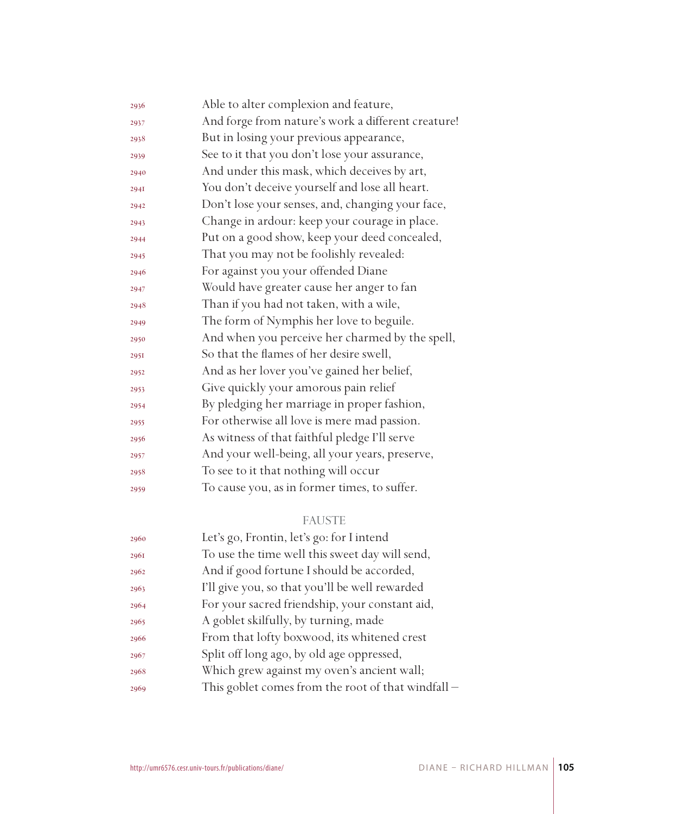| 2936 | Able to alter complexion and feature,              |
|------|----------------------------------------------------|
| 2937 | And forge from nature's work a different creature! |
| 2938 | But in losing your previous appearance,            |
| 2939 | See to it that you don't lose your assurance,      |
| 2940 | And under this mask, which deceives by art,        |
| 2941 | You don't deceive yourself and lose all heart.     |
| 2942 | Don't lose your senses, and, changing your face,   |
| 2943 | Change in ardour: keep your courage in place.      |
| 2944 | Put on a good show, keep your deed concealed,      |
| 2945 | That you may not be foolishly revealed:            |
| 2946 | For against you your offended Diane                |
| 2947 | Would have greater cause her anger to fan          |
| 2948 | Than if you had not taken, with a wile,            |
| 2949 | The form of Nymphis her love to beguile.           |
| 2950 | And when you perceive her charmed by the spell,    |
| 295I | So that the flames of her desire swell,            |
| 2952 | And as her lover you've gained her belief,         |
| 2953 | Give quickly your amorous pain relief              |
| 2954 | By pledging her marriage in proper fashion,        |
| 2955 | For otherwise all love is mere mad passion.        |
| 2956 | As witness of that faithful pledge I'll serve      |
| 2957 | And your well-being, all your years, preserve,     |
| 2958 | To see to it that nothing will occur               |
| 2959 | To cause you, as in former times, to suffer.       |
|      |                                                    |

## FAUSTE

| 2960 | Let's go, Frontin, let's go: for I intend          |
|------|----------------------------------------------------|
| 2961 | To use the time well this sweet day will send,     |
| 2962 | And if good fortune I should be accorded,          |
| 2963 | I'll give you, so that you'll be well rewarded     |
| 2964 | For your sacred friendship, your constant aid,     |
| 2965 | A goblet skilfully, by turning, made               |
| 2966 | From that lofty boxwood, its whitened crest        |
| 2967 | Split off long ago, by old age oppressed,          |
| 2968 | Which grew against my oven's ancient wall;         |
| 2969 | This goblet comes from the root of that windfall - |
|      |                                                    |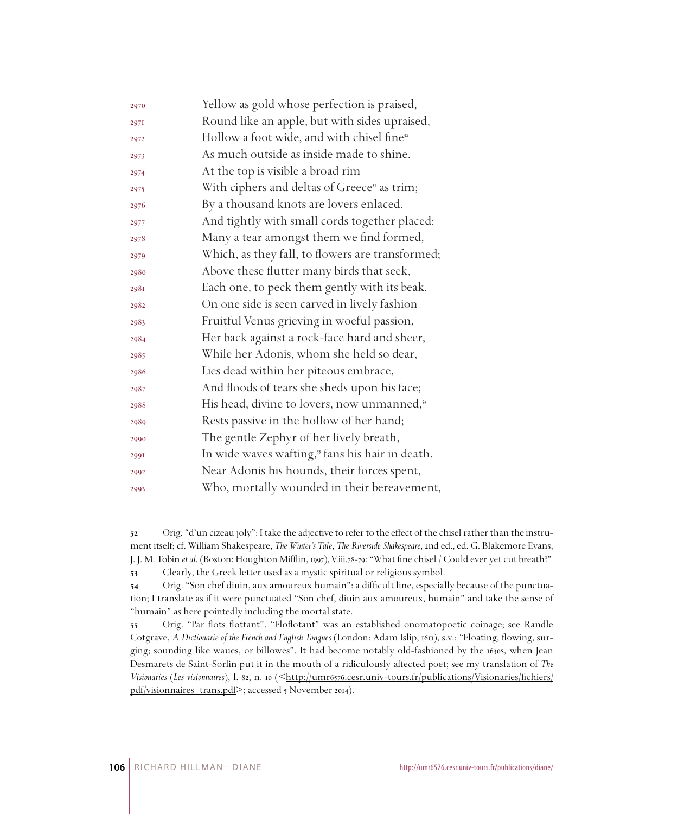| 2970 | Yellow as gold whose perfection is praised,              |
|------|----------------------------------------------------------|
| 2971 | Round like an apple, but with sides upraised,            |
| 2972 | Hollow a foot wide, and with chisel fine <sup>52</sup>   |
| 2973 | As much outside as inside made to shine.                 |
| 2974 | At the top is visible a broad rim                        |
| 2975 | With ciphers and deltas of Greece <sup>53</sup> as trim; |
| 2976 | By a thousand knots are lovers enlaced,                  |
| 2977 | And tightly with small cords together placed:            |
| 2978 | Many a tear amongst them we find formed,                 |
| 2979 | Which, as they fall, to flowers are transformed;         |
| 2980 | Above these flutter many birds that seek,                |
| 2981 | Each one, to peck them gently with its beak.             |
| 2982 | On one side is seen carved in lively fashion             |
| 2983 | Fruitful Venus grieving in woeful passion,               |
| 2984 | Her back against a rock-face hard and sheer,             |
| 2985 | While her Adonis, whom she held so dear,                 |
| 2986 | Lies dead within her piteous embrace,                    |
| 2987 | And floods of tears she sheds upon his face;             |
| 2988 | His head, divine to lovers, now unmanned, <sup>54</sup>  |
| 2989 | Rests passive in the hollow of her hand;                 |
| 2990 | The gentle Zephyr of her lively breath,                  |
| 2991 | In wide waves wafting," fans his hair in death.          |
| 2992 | Near Adonis his hounds, their forces spent,              |
| 2993 | Who, mortally wounded in their bereavement,              |

 Orig. "d'un cizeau joly": I take the adjective to refer to the effect of the chisel rather than the instrument itself; cf. William Shakespeare, *The Winter's Tale*, *The Riverside Shakespeare*, 2nd ed., ed. G. Blakemore Evans, J. J. M. Tobin *et al*. (Boston: Houghton Mifflin, 1997), V.iii.78-79: "What fine chisel / Could ever yet cut breath?" Clearly, the Greek letter used as a mystic spiritual or religious symbol.

 Orig. "Son chef diuin, aux amoureux humain": a difficult line, especially because of the punctuation; I translate as if it were punctuated "Son chef, diuin aux amoureux, humain" and take the sense of "humain" as here pointedly including the mortal state.

 Orig. "Par flots flottant". "Floflotant" was an established onomatopoetic coinage; see Randle Cotgrave, *A Dictionarie of the French and English Tongues* (London: Adam Islip, 1611), s.v.: "Floating, flowing, surging; sounding like waues, or billowes". It had become notably old-fashioned by the 1630s, when Jean Desmarets de Saint-Sorlin put it in the mouth of a ridiculously affected poet; see my translation of *The Visionaries* (*Les visionnaires*), l. 82, n. 10 (<http://umr6576.cesr.univ-tours.fr/publications/Visionaries/fichiers/ pdf/visionnaires\_trans.pdf>; accessed 5 November 2014).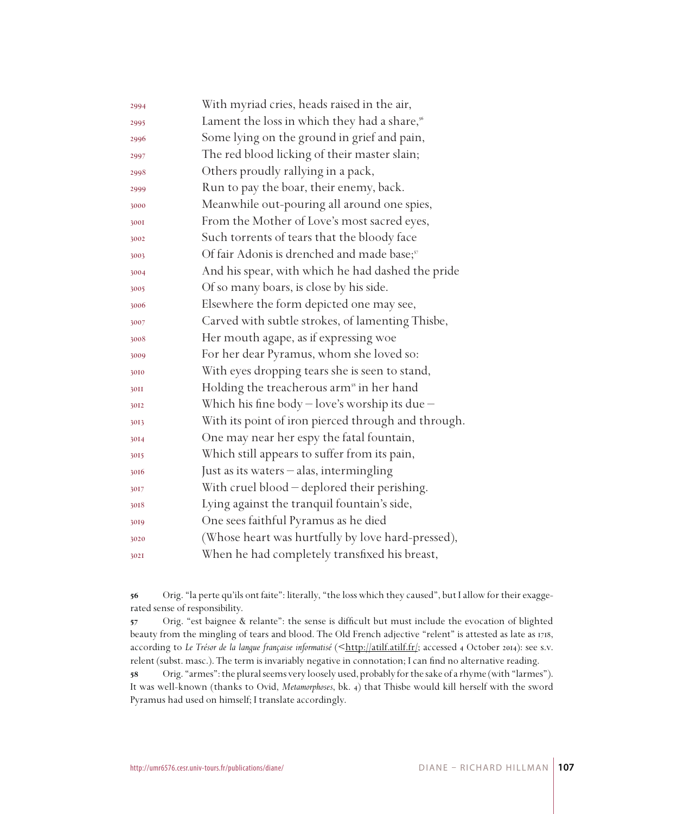| 2994 | With myriad cries, heads raised in the air,              |
|------|----------------------------------------------------------|
| 2995 | Lament the loss in which they had a share, <sup>56</sup> |
| 2996 | Some lying on the ground in grief and pain,              |
| 2997 | The red blood licking of their master slain;             |
| 2998 | Others proudly rallying in a pack,                       |
| 2999 | Run to pay the boar, their enemy, back.                  |
| 3000 | Meanwhile out-pouring all around one spies,              |
| 3001 | From the Mother of Love's most sacred eyes,              |
| 3002 | Such torrents of tears that the bloody face              |
| 3003 | Of fair Adonis is drenched and made base; <sup>57</sup>  |
| 3004 | And his spear, with which he had dashed the pride        |
| 3005 | Of so many boars, is close by his side.                  |
| 3006 | Elsewhere the form depicted one may see,                 |
| 3007 | Carved with subtle strokes, of lamenting Thisbe,         |
| 3008 | Her mouth agape, as if expressing woe                    |
| 3009 | For her dear Pyramus, whom she loved so:                 |
| 3010 | With eyes dropping tears she is seen to stand,           |
| 30II | Holding the treacherous arm <sup>38</sup> in her hand    |
| 3012 | Which his fine body $-$ love's worship its due $-$       |
| 3013 | With its point of iron pierced through and through.      |
| 3014 | One may near her espy the fatal fountain,                |
| 3015 | Which still appears to suffer from its pain,             |
| 3016 | Just as its waters - alas, intermingling                 |
| 3017 | With cruel blood - deplored their perishing.             |
| 3018 | Lying against the tranquil fountain's side,              |
| 3019 | One sees faithful Pyramus as he died                     |
| 3020 | (Whose heart was hurtfully by love hard-pressed),        |
| 302I | When he had completely transfixed his breast,            |
|      |                                                          |

 Orig. "la perte qu'ils ont faite": literally, "the loss which they caused", but I allow for their exaggerated sense of responsibility.

 Orig. "est baignee & relante": the sense is difficult but must include the evocation of blighted beauty from the mingling of tears and blood. The Old French adjective "relent" is attested as late as 1718, according to Le Trésor de la langue française informatisé (<http://atilf.atilf.fr/; accessed 4 October 2014): see s.v. relent (subst. masc.). The term is invariably negative in connotation; I can find no alternative reading.

 Orig. "armes": the plural seems very loosely used, probably for the sake of a rhyme (with "larmes"). It was well-known (thanks to Ovid, *Metamorphoses*, bk. 4) that Thisbe would kill herself with the sword Pyramus had used on himself; I translate accordingly.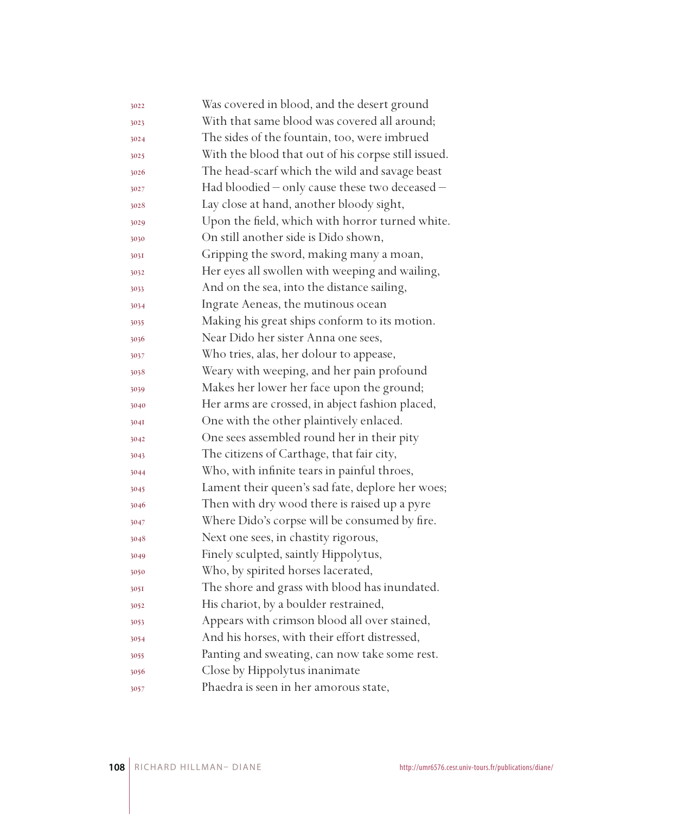| 3022 | Was covered in blood, and the desert ground         |
|------|-----------------------------------------------------|
| 3023 | With that same blood was covered all around;        |
| 3024 | The sides of the fountain, too, were imbrued        |
| 3025 | With the blood that out of his corpse still issued. |
| 3026 | The head-scarf which the wild and savage beast      |
| 3027 | Had bloodied - only cause these two deceased -      |
| 3028 | Lay close at hand, another bloody sight,            |
| 3029 | Upon the field, which with horror turned white.     |
| 3030 | On still another side is Dido shown,                |
| 303I | Gripping the sword, making many a moan,             |
| 3032 | Her eyes all swollen with weeping and wailing,      |
| 3033 | And on the sea, into the distance sailing,          |
| 3034 | Ingrate Aeneas, the mutinous ocean                  |
| 3035 | Making his great ships conform to its motion.       |
| 3036 | Near Dido her sister Anna one sees,                 |
| 3037 | Who tries, alas, her dolour to appease,             |
| 3038 | Weary with weeping, and her pain profound           |
| 3039 | Makes her lower her face upon the ground;           |
| 3040 | Her arms are crossed, in abject fashion placed,     |
| 304I | One with the other plaintively enlaced.             |
| 3042 | One sees assembled round her in their pity          |
| 3043 | The citizens of Carthage, that fair city,           |
| 3044 | Who, with infinite tears in painful throes,         |
| 3045 | Lament their queen's sad fate, deplore her woes;    |
| 3046 | Then with dry wood there is raised up a pyre        |
| 3047 | Where Dido's corpse will be consumed by fire.       |
| 3048 | Next one sees, in chastity rigorous,                |
| 3049 | Finely sculpted, saintly Hippolytus,                |
| 3050 | Who, by spirited horses lacerated,                  |
| 305I | The shore and grass with blood has inundated.       |
| 3052 | His chariot, by a boulder restrained,               |
| 3053 | Appears with crimson blood all over stained,        |
| 3054 | And his horses, with their effort distressed,       |
| 3055 | Panting and sweating, can now take some rest.       |
| 3056 | Close by Hippolytus inanimate                       |
| 3057 | Phaedra is seen in her amorous state,               |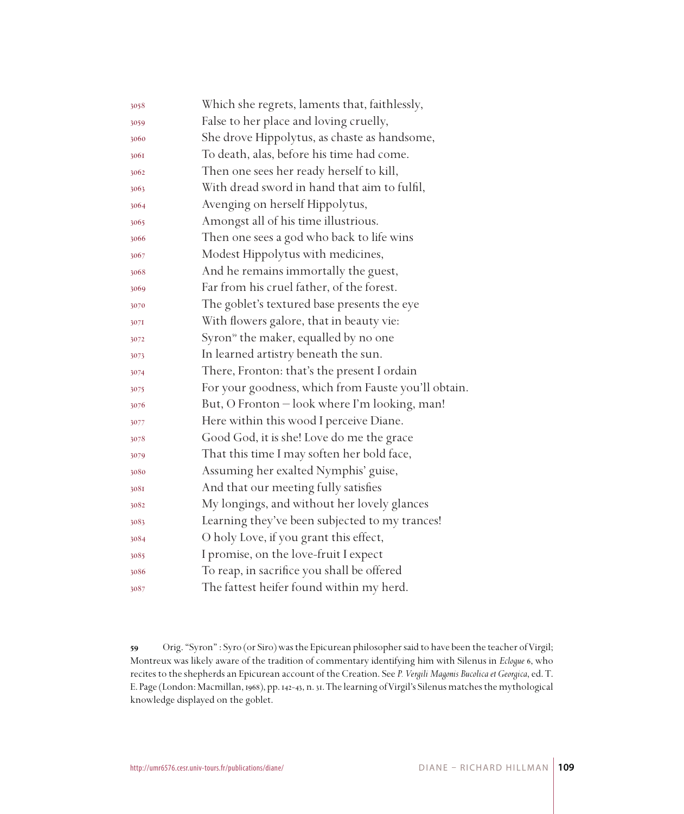| 3058 | Which she regrets, laments that, faithlessly,       |
|------|-----------------------------------------------------|
| 3059 | False to her place and loving cruelly,              |
| 3060 | She drove Hippolytus, as chaste as handsome,        |
| 3061 | To death, alas, before his time had come.           |
| 3062 | Then one sees her ready herself to kill,            |
| 3063 | With dread sword in hand that aim to fulfil,        |
| 3064 | Avenging on herself Hippolytus,                     |
| 3065 | Amongst all of his time illustrious.                |
| 3066 | Then one sees a god who back to life wins           |
| 3067 | Modest Hippolytus with medicines,                   |
| 3068 | And he remains immortally the guest,                |
| 3069 | Far from his cruel father, of the forest.           |
| 3070 | The goblet's textured base presents the eye         |
| 307I | With flowers galore, that in beauty vie:            |
| 3072 | Syron <sup>39</sup> the maker, equalled by no one   |
| 3073 | In learned artistry beneath the sun.                |
| 3074 | There, Fronton: that's the present I ordain         |
| 3075 | For your goodness, which from Fauste you'll obtain. |
| 3076 | But, O Fronton - look where I'm looking, man!       |
| 3077 | Here within this wood I perceive Diane.             |
| 3078 | Good God, it is she! Love do me the grace           |
| 3079 | That this time I may soften her bold face,          |
| 3080 | Assuming her exalted Nymphis' guise,                |
| 3081 | And that our meeting fully satisfies                |
| 3082 | My longings, and without her lovely glances         |
| 3083 | Learning they've been subjected to my trances!      |
| 3084 | O holy Love, if you grant this effect,              |
| 3085 | I promise, on the love-fruit I expect               |
| 3086 | To reap, in sacrifice you shall be offered          |
| 3087 | The fattest heifer found within my herd.            |

 Orig. "Syron" : Syro (or Siro) was the Epicurean philosopher said to have been the teacher of Virgil; Montreux was likely aware of the tradition of commentary identifying him with Silenus in *Eclogue* 6, who recites to the shepherds an Epicurean account of the Creation. See *P. Vergili Magonis Bucolica et Georgica*, ed. T. E. Page (London: Macmillan, 1968), pp. 142-43, n. 31. The learning of Virgil's Silenus matches the mythological knowledge displayed on the goblet.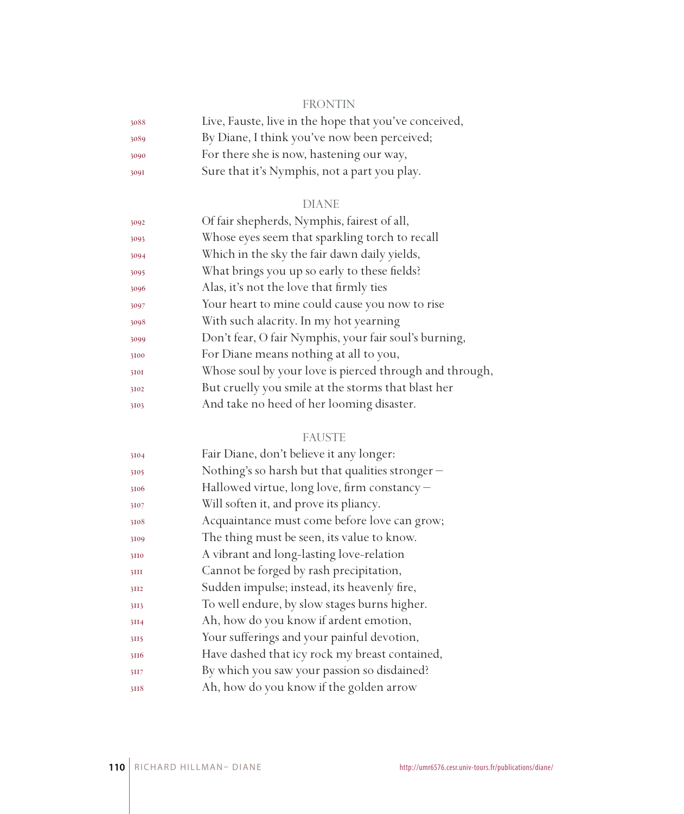## FRONTIN

| 3088 | Live, Fauste, live in the hope that you've conceived, |
|------|-------------------------------------------------------|
| 3089 | By Diane, I think you've now been perceived;          |
| 3090 | For there she is now, hastening our way,              |
| 3091 | Sure that it's Nymphis, not a part you play.          |

## DIANE

| 3092 | Of fair shepherds, Nymphis, fairest of all,             |
|------|---------------------------------------------------------|
| 3093 | Whose eyes seem that sparkling torch to recall          |
| 3094 | Which in the sky the fair dawn daily yields,            |
| 3095 | What brings you up so early to these fields?            |
| 3096 | Alas, it's not the love that firmly ties                |
| 3097 | Your heart to mine could cause you now to rise          |
| 3098 | With such alacrity. In my hot yearning                  |
| 3099 | Don't fear, O fair Nymphis, your fair soul's burning,   |
| 3100 | For Diane means nothing at all to you,                  |
| 3101 | Whose soul by your love is pierced through and through, |
| 3102 | But cruelly you smile at the storms that blast her      |
| 3103 | And take no heed of her looming disaster.               |
|      |                                                         |

## FAUSTE

| 3104 | Fair Diane, don't believe it any longer:         |
|------|--------------------------------------------------|
| 3105 | Nothing's so harsh but that qualities stronger – |
| 3106 | Hallowed virtue, long love, firm constancy -     |
| 3107 | Will soften it, and prove its pliancy.           |
| 3108 | Acquaintance must come before love can grow;     |
| 3109 | The thing must be seen, its value to know.       |
| 3110 | A vibrant and long-lasting love-relation         |
| 3III | Cannot be forged by rash precipitation,          |
| 3II2 | Sudden impulse; instead, its heavenly fire,      |
| 3II3 | To well endure, by slow stages burns higher.     |
| 3II4 | Ah, how do you know if ardent emotion,           |
| 3II5 | Your sufferings and your painful devotion,       |
| 3116 | Have dashed that icy rock my breast contained,   |
| 3II7 | By which you saw your passion so disdained?      |
| 3118 | Ah, how do you know if the golden arrow          |
|      |                                                  |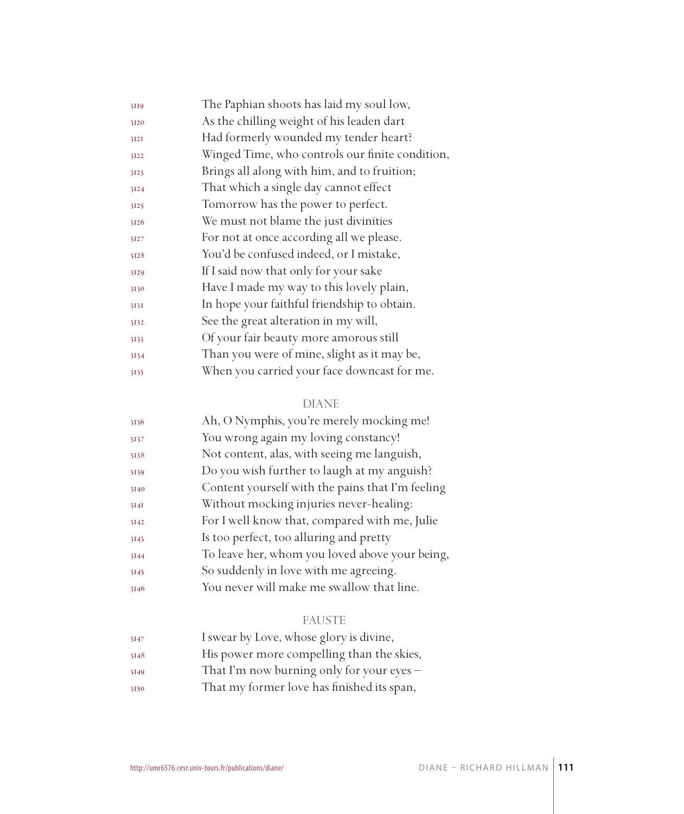| 3119 | The Paphian shoots has laid my soul low,        |  |
|------|-------------------------------------------------|--|
| 3120 | As the chilling weight of his leaden dart       |  |
| 3I2I | Had formerly wounded my tender heart?           |  |
| 3122 | Winged Time, who controls our finite condition, |  |
| 3123 | Brings all along with him, and to fruition;     |  |
| 3124 | That which a single day cannot effect           |  |
| 3125 | Tomorrow has the power to perfect.              |  |
| 3126 | We must not blame the just divinities           |  |
| 3127 | For not at once according all we please.        |  |
| 3128 | You'd be confused indeed, or I mistake,         |  |
| 3129 | If I said now that only for your sake           |  |
| 3130 | Have I made my way to this lovely plain,        |  |
| 3131 | In hope your faithful friendship to obtain.     |  |
| 3132 | See the great alteration in my will,            |  |
| 3133 | Of your fair beauty more amorous still          |  |
| 3134 | Than you were of mine, slight as it may be,     |  |
| 3135 | When you carried your face downcast for me.     |  |

| 3136 | Ah, O Nymphis, you're merely mocking me!         |
|------|--------------------------------------------------|
| 3137 | You wrong again my loving constancy!             |
| 3138 | Not content, alas, with seeing me languish,      |
| 3139 | Do you wish further to laugh at my anguish?      |
| 3140 | Content yourself with the pains that I'm feeling |
| 3I4I | Without mocking injuries never-healing:          |
| 3142 | For I well know that, compared with me, Julie    |
| 3143 | Is too perfect, too alluring and pretty          |
| 3144 | To leave her, whom you loved above your being,   |
| 3145 | So suddenly in love with me agreeing.            |
| 3146 | You never will make me swallow that line.        |

# FAUSTE

| 3147 | I swear by Love, whose glory is divine,     |
|------|---------------------------------------------|
| 3148 | His power more compelling than the skies,   |
| 3149 | That I'm now burning only for your eyes $-$ |

That my former love has finished its span,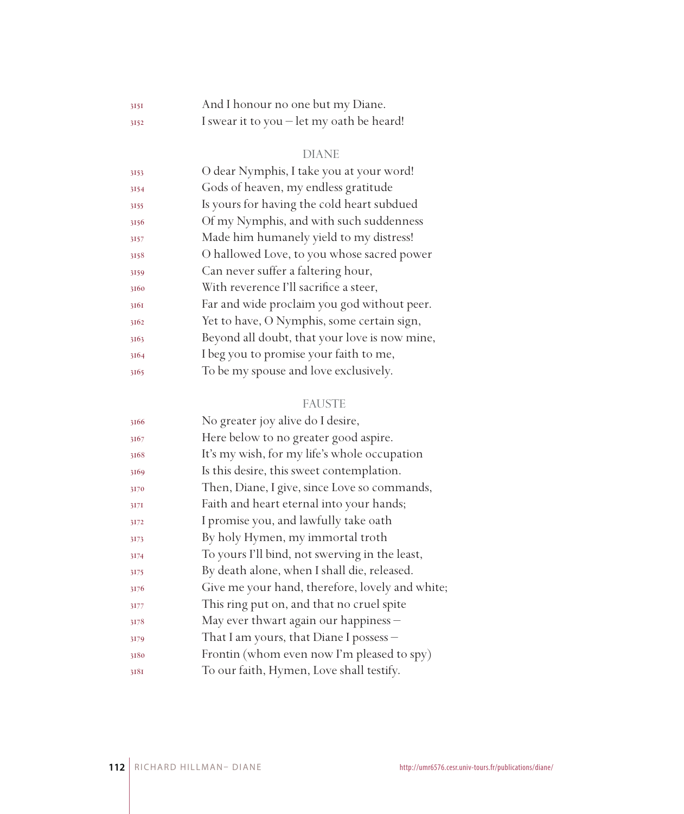| 3151 | And I honour no one but my Diane.                  |
|------|----------------------------------------------------|
| 3152 | I swear it to you $-\text{let }$ my oath be heard! |

| 3153 | O dear Nymphis, I take you at your word!      |
|------|-----------------------------------------------|
| 3154 | Gods of heaven, my endless gratitude          |
| 3155 | Is yours for having the cold heart subdued    |
| 3156 | Of my Nymphis, and with such suddenness       |
| 3157 | Made him humanely yield to my distress!       |
| 3158 | O hallowed Love, to you whose sacred power    |
| 3159 | Can never suffer a faltering hour,            |
| 3160 | With reverence I'll sacrifice a steer,        |
| 3161 | Far and wide proclaim you god without peer.   |
| 3162 | Yet to have, O Nymphis, some certain sign,    |
| 3163 | Beyond all doubt, that your love is now mine, |
| 3164 | I beg you to promise your faith to me,        |
| 3165 | To be my spouse and love exclusively.         |
|      |                                               |

# FAUSTE

| No greater joy alive do I desire,               |
|-------------------------------------------------|
| Here below to no greater good aspire.           |
| It's my wish, for my life's whole occupation    |
| Is this desire, this sweet contemplation.       |
| Then, Diane, I give, since Love so commands,    |
| Faith and heart eternal into your hands;        |
| I promise you, and lawfully take oath           |
| By holy Hymen, my immortal troth                |
| To yours I'll bind, not swerving in the least,  |
| By death alone, when I shall die, released.     |
| Give me your hand, therefore, lovely and white; |
| This ring put on, and that no cruel spite       |
| May ever thwart again our happiness -           |
| That I am yours, that Diane I possess -         |
| Frontin (whom even now I'm pleased to spy)      |
| To our faith, Hymen, Love shall testify.        |
|                                                 |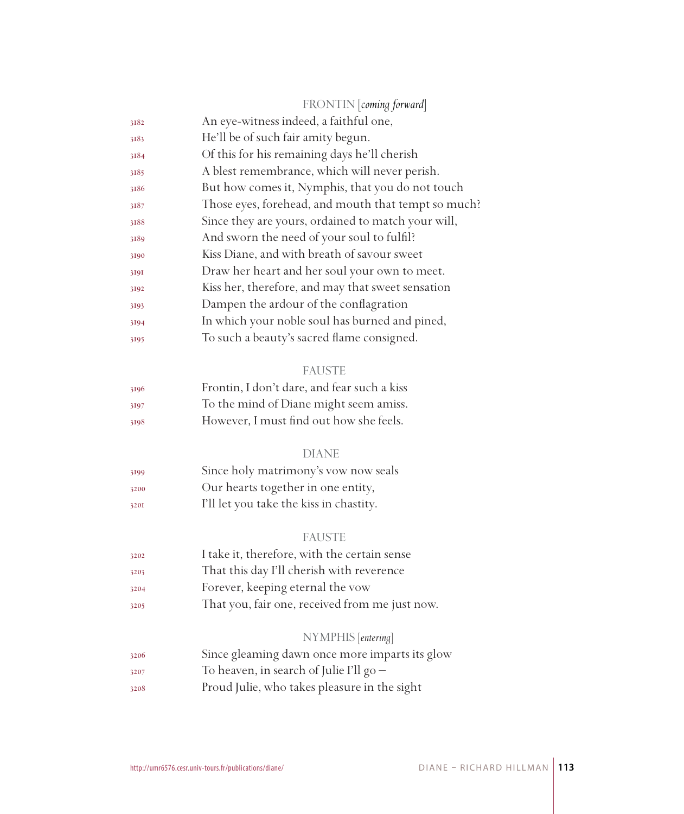|      | FRONTIN coming forward                              |  |
|------|-----------------------------------------------------|--|
| 3182 | An eye-witness indeed, a faithful one,              |  |
| 3183 | He'll be of such fair amity begun.                  |  |
| 3184 | Of this for his remaining days he'll cherish        |  |
| 3185 | A blest remembrance, which will never perish.       |  |
| 3186 | But how comes it, Nymphis, that you do not touch    |  |
| 3187 | Those eyes, forehead, and mouth that tempt so much? |  |
| 3188 | Since they are yours, ordained to match your will,  |  |
| 3189 | And sworn the need of your soul to fulfil?          |  |
| 3190 | Kiss Diane, and with breath of savour sweet         |  |
| 3191 | Draw her heart and her soul your own to meet.       |  |
| 3192 | Kiss her, therefore, and may that sweet sensation   |  |
| 3193 | Dampen the ardour of the conflagration              |  |
| 3194 | In which your noble soul has burned and pined,      |  |
| 3195 | To such a beauty's sacred flame consigned.          |  |
|      | <b>FAUSTE</b>                                       |  |
| 3196 | Frontin, I don't dare, and fear such a kiss         |  |
| 3197 | To the mind of Diane might seem amiss.              |  |
| 3198 | However, I must find out how she feels.             |  |
|      | <b>DIANE</b>                                        |  |
| 3199 | Since holy matrimony's vow now seals                |  |
| 3200 | Our hearts together in one entity,                  |  |
| 3201 | I'll let you take the kiss in chastity.             |  |
|      | <b>FAUSTE</b>                                       |  |
| 3202 | I take it, therefore, with the certain sense        |  |
| 3203 | That this day I'll cherish with reverence           |  |
| 3204 | Forever, keeping eternal the vow                    |  |
| 3205 | That you, fair one, received from me just now.      |  |
|      | NYMPHIS [entering]                                  |  |
| 3206 | Since gleaming dawn once more imparts its glow      |  |
| 3207 | To heaven, in search of Julie I'll $g_0$ –          |  |
| 3208 | Proud Julie, who takes pleasure in the sight        |  |
|      |                                                     |  |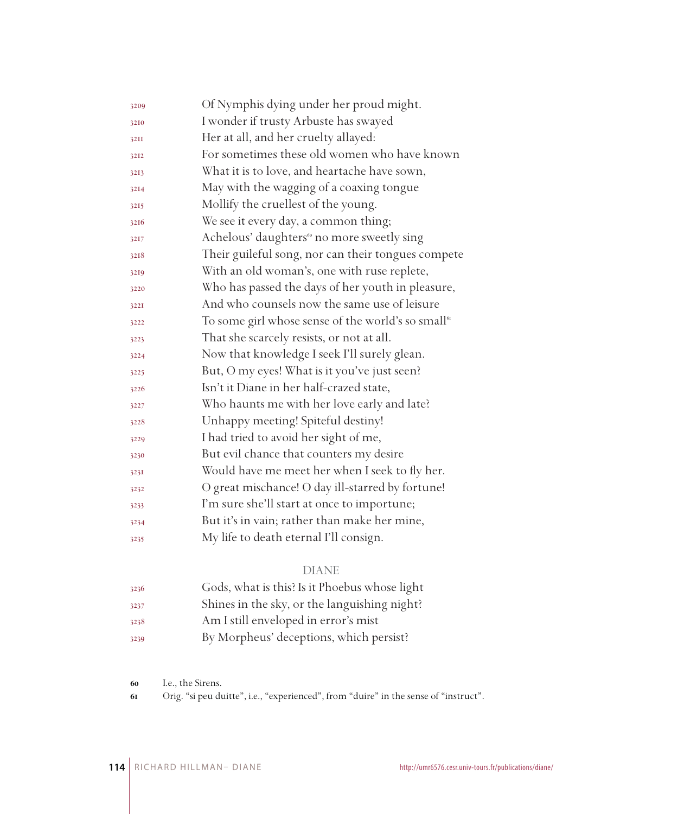| 3209 | Of Nymphis dying under her proud might.                        |  |
|------|----------------------------------------------------------------|--|
| 3210 | I wonder if trusty Arbuste has swayed                          |  |
| 32II | Her at all, and her cruelty allayed:                           |  |
| 3212 | For sometimes these old women who have known                   |  |
| 3213 | What it is to love, and heartache have sown,                   |  |
| 3214 | May with the wagging of a coaxing tongue                       |  |
| 3215 | Mollify the cruellest of the young.                            |  |
| 3216 | We see it every day, a common thing;                           |  |
| 3217 | Achelous' daughters <sup>60</sup> no more sweetly sing         |  |
| 3218 | Their guileful song, nor can their tongues compete             |  |
| 3219 | With an old woman's, one with ruse replete,                    |  |
| 3220 | Who has passed the days of her youth in pleasure,              |  |
| 3221 | And who counsels now the same use of leisure                   |  |
| 3222 | To some girl whose sense of the world's so small <sup>61</sup> |  |
| 3223 | That she scarcely resists, or not at all.                      |  |
| 3224 | Now that knowledge I seek I'll surely glean.                   |  |
| 3225 | But, O my eyes! What is it you've just seen?                   |  |
| 3226 | Isn't it Diane in her half-crazed state,                       |  |
| 3227 | Who haunts me with her love early and late?                    |  |
| 3228 | Unhappy meeting! Spiteful destiny!                             |  |
| 3229 | I had tried to avoid her sight of me,                          |  |
| 3230 | But evil chance that counters my desire                        |  |
| 3231 | Would have me meet her when I seek to fly her.                 |  |
| 3232 | O great mischance! O day ill-starred by fortune!               |  |
| 3233 | I'm sure she'll start at once to importune;                    |  |
| 3234 | But it's in vain; rather than make her mine,                   |  |
| 3235 | My life to death eternal I'll consign.                         |  |

| 3236 | Gods, what is this? Is it Phoebus whose light |
|------|-----------------------------------------------|
| 3237 | Shines in the sky, or the languishing night?  |
| 3238 | Am I still enveloped in error's mist          |
| 3239 | By Morpheus' deceptions, which persist?       |

I.e., the Sirens.

Orig. "si peu duitte", i.e., "experienced", from "duire" in the sense of "instruct".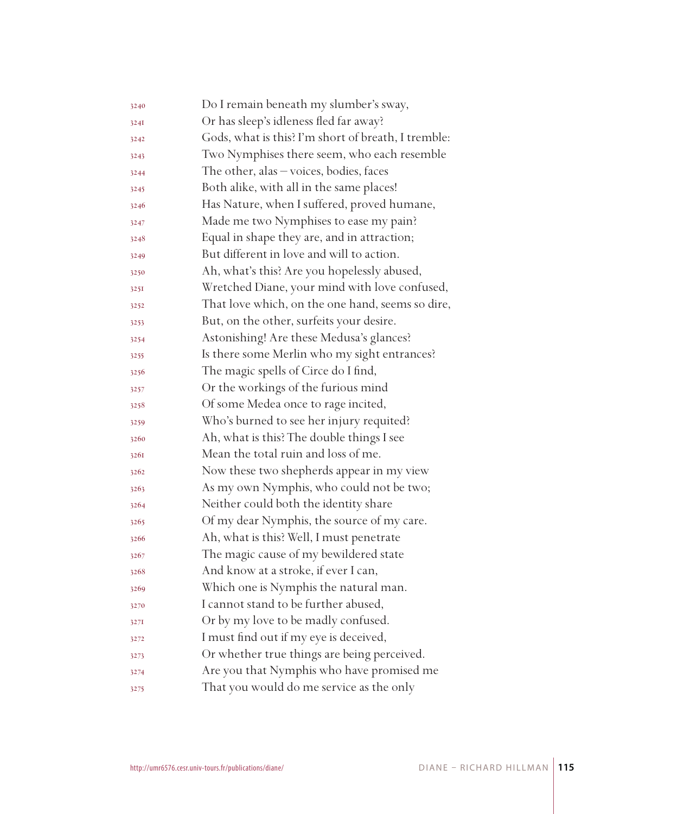| 3240 | Do I remain beneath my slumber's sway,              |  |
|------|-----------------------------------------------------|--|
| 3241 | Or has sleep's idleness fled far away?              |  |
| 3242 | Gods, what is this? I'm short of breath, I tremble: |  |
| 3243 | Two Nymphises there seem, who each resemble         |  |
| 3244 | The other, alas $-\nu$ oices, bodies, faces         |  |
| 3245 | Both alike, with all in the same places!            |  |
| 3246 | Has Nature, when I suffered, proved humane,         |  |
| 3247 | Made me two Nymphises to ease my pain?              |  |
| 3248 | Equal in shape they are, and in attraction;         |  |
| 3249 | But different in love and will to action.           |  |
| 3250 | Ah, what's this? Are you hopelessly abused,         |  |
| 3251 | Wretched Diane, your mind with love confused,       |  |
| 3252 | That love which, on the one hand, seems so dire,    |  |
| 3253 | But, on the other, surfeits your desire.            |  |
| 3254 | Astonishing! Are these Medusa's glances?            |  |
| 3255 | Is there some Merlin who my sight entrances?        |  |
| 3256 | The magic spells of Circe do I find,                |  |
| 3257 | Or the workings of the furious mind                 |  |
| 3258 | Of some Medea once to rage incited,                 |  |
| 3259 | Who's burned to see her injury requited?            |  |
| 3260 | Ah, what is this? The double things I see           |  |
| 3261 | Mean the total ruin and loss of me.                 |  |
| 3262 | Now these two shepherds appear in my view           |  |
| 3263 | As my own Nymphis, who could not be two;            |  |
| 3264 | Neither could both the identity share               |  |
| 3265 | Of my dear Nymphis, the source of my care.          |  |
| 3266 | Ah, what is this? Well, I must penetrate            |  |
| 3267 | The magic cause of my bewildered state              |  |
| 3268 | And know at a stroke, if ever I can,                |  |
| 3269 | Which one is Nymphis the natural man.               |  |
| 3270 | I cannot stand to be further abused,                |  |
| 3271 | Or by my love to be madly confused.                 |  |
| 3272 | I must find out if my eye is deceived,              |  |
| 3273 | Or whether true things are being perceived.         |  |
| 3274 | Are you that Nymphis who have promised me           |  |
| 3275 | That you would do me service as the only            |  |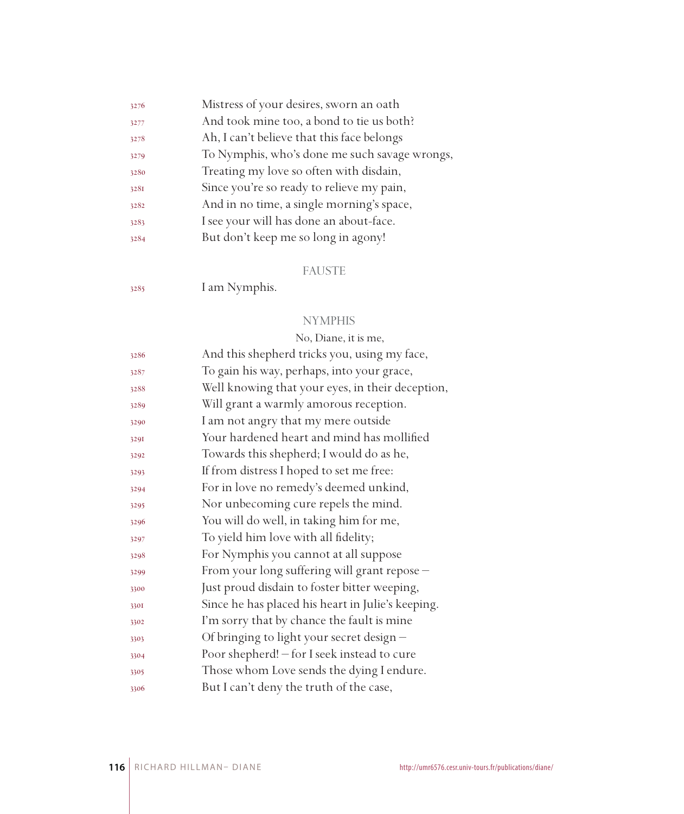| 3276 | Mistress of your desires, sworn an oath       |
|------|-----------------------------------------------|
| 3277 | And took mine too, a bond to tie us both?     |
| 3278 | Ah, I can't believe that this face belongs    |
| 3279 | To Nymphis, who's done me such savage wrongs, |
| 3280 | Treating my love so often with disdain,       |
| 3281 | Since you're so ready to relieve my pain,     |
| 3282 | And in no time, a single morning's space,     |
| 3283 | I see your will has done an about-face.       |
| 3284 | But don't keep me so long in agony!           |
|      |                                               |

#### FAUSTE

I am Nymphis.

#### **NYMPHIS**

# No, Diane, it is me, And this shepherd tricks you, using my face, To gain his way, perhaps, into your grace, Well knowing that your eyes, in their deception, Will grant a warmly amorous reception. I am not angry that my mere outside Your hardened heart and mind has mollified Towards this shepherd; I would do as he, If from distress I hoped to set me free: For in love no remedy's deemed unkind, Nor unbecoming cure repels the mind. You will do well, in taking him for me, To yield him love with all fidelity; For Nymphis you cannot at all suppose From your long suffering will grant repose – Just proud disdain to foster bitter weeping, Since he has placed his heart in Julie's keeping. I'm sorry that by chance the fault is mine Of bringing to light your secret design – Poor shepherd! – for I seek instead to cure Those whom Love sends the dying I endure. But I can't deny the truth of the case,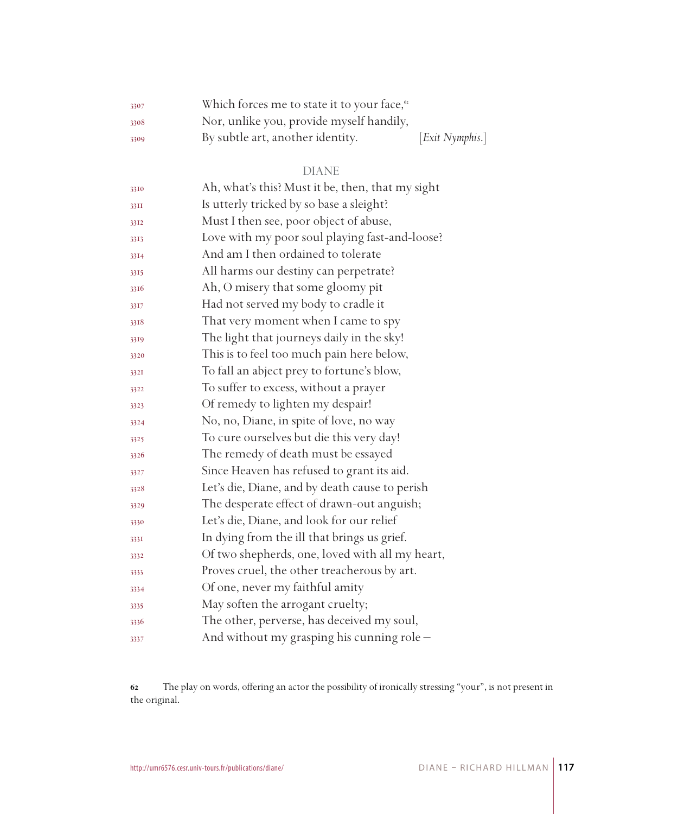| 3307 | Which forces me to state it to your face, <sup>62</sup> |                 |
|------|---------------------------------------------------------|-----------------|
| 3308 | Nor, unlike you, provide myself handily,                |                 |
| 3309 | By subtle art, another identity.                        | [Exit Nymphis.] |

| 3310 | Ah, what's this? Must it be, then, that my sight |
|------|--------------------------------------------------|
| 33II | Is utterly tricked by so base a sleight?         |
| 3312 | Must I then see, poor object of abuse,           |
| 3313 | Love with my poor soul playing fast-and-loose?   |
| 3314 | And am I then ordained to tolerate               |
| 3315 | All harms our destiny can perpetrate?            |
| 3316 | Ah, O misery that some gloomy pit                |
| 3317 | Had not served my body to cradle it              |
| 3318 | That very moment when I came to spy              |
| 3319 | The light that journeys daily in the sky!        |
| 3320 | This is to feel too much pain here below,        |
| 3321 | To fall an abject prey to fortune's blow,        |
| 3322 | To suffer to excess, without a prayer            |
| 3323 | Of remedy to lighten my despair!                 |
| 3324 | No, no, Diane, in spite of love, no way          |
| 3325 | To cure ourselves but die this very day!         |
| 3326 | The remedy of death must be essayed              |
| 3327 | Since Heaven has refused to grant its aid.       |
| 3328 | Let's die, Diane, and by death cause to perish   |
| 3329 | The desperate effect of drawn-out anguish;       |
| 3330 | Let's die, Diane, and look for our relief        |
| 3331 | In dying from the ill that brings us grief.      |
| 3332 | Of two shepherds, one, loved with all my heart,  |
| 3333 | Proves cruel, the other treacherous by art.      |
| 3334 | Of one, never my faithful amity                  |
| 3335 | May soften the arrogant cruelty;                 |
| 3336 | The other, perverse, has deceived my soul,       |
| 3337 | And without my grasping his cunning role -       |

 The play on words, offering an actor the possibility of ironically stressing "your", is not present in the original.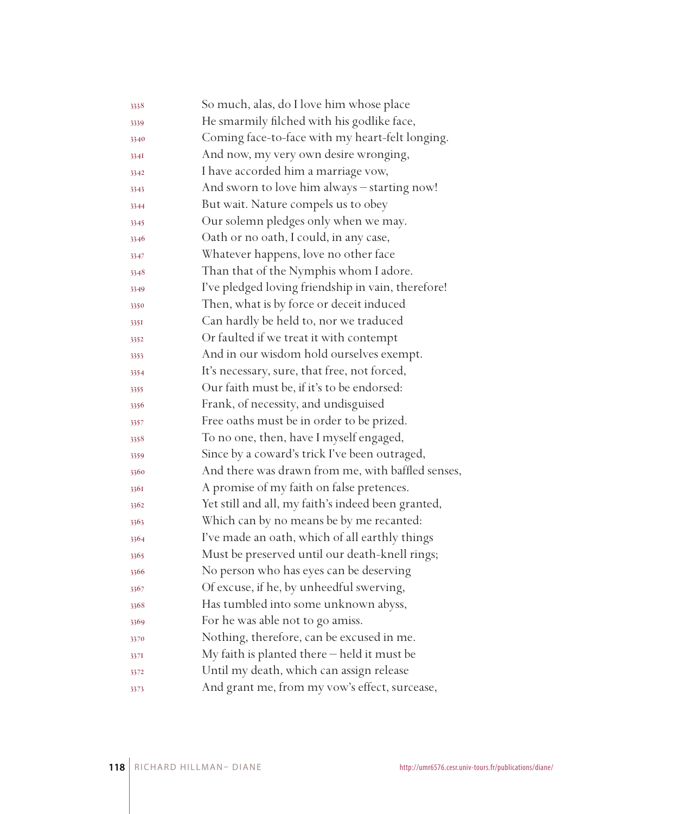| 3338 | So much, alas, do I love him whose place           |
|------|----------------------------------------------------|
| 3339 | He smarmily filched with his godlike face,         |
| 3340 | Coming face-to-face with my heart-felt longing.    |
| 334I | And now, my very own desire wronging,              |
| 3342 | I have accorded him a marriage vow,                |
| 3343 | And sworn to love him always - starting now!       |
| 3344 | But wait. Nature compels us to obey                |
| 3345 | Our solemn pledges only when we may.               |
| 3346 | Oath or no oath, I could, in any case,             |
| 3347 | Whatever happens, love no other face               |
| 3348 | Than that of the Nymphis whom I adore.             |
| 3349 | I've pledged loving friendship in vain, therefore! |
| 3350 | Then, what is by force or deceit induced           |
| 335I | Can hardly be held to, nor we traduced             |
| 3352 | Or faulted if we treat it with contempt            |
| 3353 | And in our wisdom hold ourselves exempt.           |
| 3354 | It's necessary, sure, that free, not forced,       |
| 3355 | Our faith must be, if it's to be endorsed:         |
| 3356 | Frank, of necessity, and undisguised               |
| 3357 | Free oaths must be in order to be prized.          |
| 3358 | To no one, then, have I myself engaged,            |
| 3359 | Since by a coward's trick I've been outraged,      |
| 3360 | And there was drawn from me, with baffled senses,  |
| 3361 | A promise of my faith on false pretences.          |
| 3362 | Yet still and all, my faith's indeed been granted, |
| 3363 | Which can by no means be by me recanted:           |
| 3364 | I've made an oath, which of all earthly things     |
| 3365 | Must be preserved until our death-knell rings;     |
| 3366 | No person who has eyes can be deserving            |
| 3367 | Of excuse, if he, by unheedful swerving,           |
| 3368 | Has tumbled into some unknown abyss,               |
| 3369 | For he was able not to go amiss.                   |
| 3370 | Nothing, therefore, can be excused in me.          |
| 3371 | My faith is planted there - held it must be        |
| 3372 | Until my death, which can assign release           |
| 3373 | And grant me, from my vow's effect, surcease,      |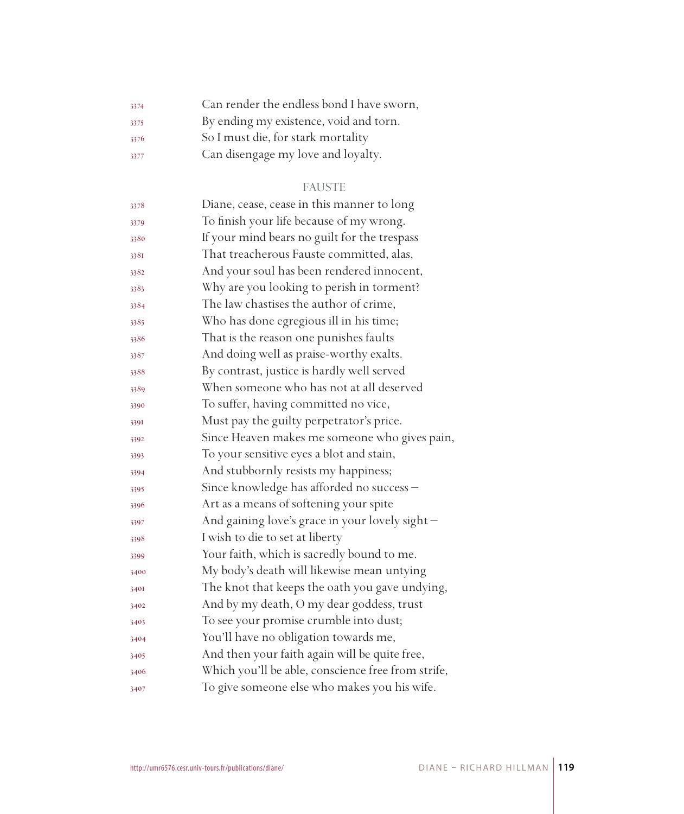| 3374 | Can render the endless bond I have sworn, |
|------|-------------------------------------------|
| 3375 | By ending my existence, void and torn.    |
| 3376 | So I must die, for stark mortality        |
| 3377 | Can disengage my love and loyalty.        |

# FAUSTE

| 3378 | Diane, cease, cease in this manner to long         |
|------|----------------------------------------------------|
| 3379 | To finish your life because of my wrong.           |
| 3380 | If your mind bears no guilt for the trespass       |
| 338I | That treacherous Fauste committed, alas,           |
| 3382 | And your soul has been rendered innocent,          |
| 3383 | Why are you looking to perish in torment?          |
| 3384 | The law chastises the author of crime,             |
| 3385 | Who has done egregious ill in his time;            |
| 3386 | That is the reason one punishes faults             |
| 3387 | And doing well as praise-worthy exalts.            |
| 3388 | By contrast, justice is hardly well served         |
| 3389 | When someone who has not at all deserved           |
| 3390 | To suffer, having committed no vice,               |
| 3391 | Must pay the guilty perpetrator's price.           |
| 3392 | Since Heaven makes me someone who gives pain,      |
| 3393 | To your sensitive eyes a blot and stain,           |
| 3394 | And stubbornly resists my happiness;               |
| 3395 | Since knowledge has afforded no success -          |
| 3396 | Art as a means of softening your spite             |
| 3397 | And gaining love's grace in your lovely sight -    |
| 3398 | I wish to die to set at liberty                    |
| 3399 | Your faith, which is sacredly bound to me.         |
| 3400 | My body's death will likewise mean untying         |
| 3401 | The knot that keeps the oath you gave undying,     |
| 3402 | And by my death, O my dear goddess, trust          |
| 3403 | To see your promise crumble into dust;             |
| 3404 | You'll have no obligation towards me,              |
| 3405 | And then your faith again will be quite free,      |
| 3406 | Which you'll be able, conscience free from strife, |
| 3407 | To give someone else who makes you his wife.       |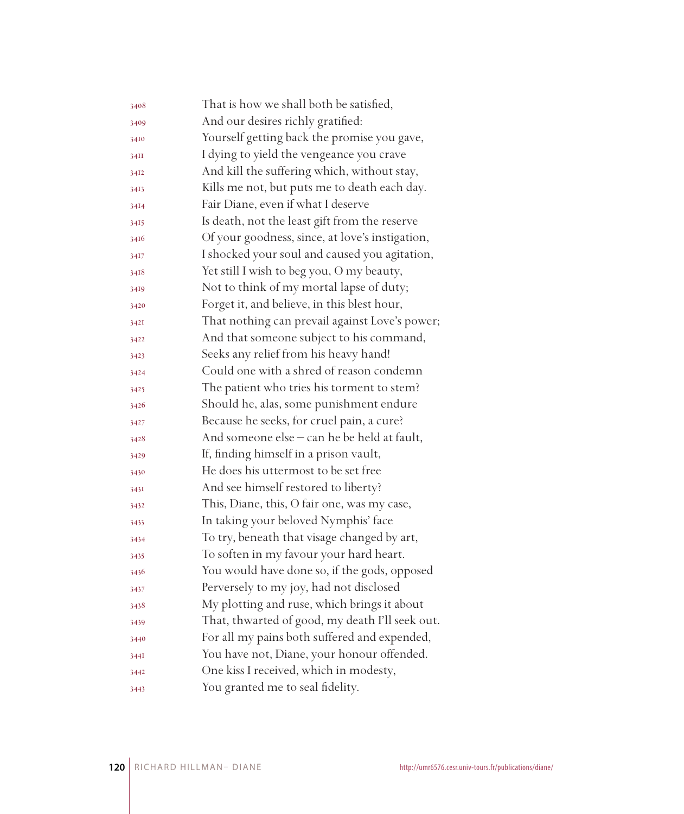| 3408 | That is how we shall both be satisfied,         |
|------|-------------------------------------------------|
| 3409 | And our desires richly gratified:               |
| 3410 | Yourself getting back the promise you gave,     |
| 34II | I dying to yield the vengeance you crave        |
| 3412 | And kill the suffering which, without stay,     |
| 3413 | Kills me not, but puts me to death each day.    |
| 3414 | Fair Diane, even if what I deserve              |
| 3415 | Is death, not the least gift from the reserve   |
| 3416 | Of your goodness, since, at love's instigation, |
| 3417 | I shocked your soul and caused you agitation,   |
| 3418 | Yet still I wish to beg you, O my beauty,       |
| 3419 | Not to think of my mortal lapse of duty;        |
| 3420 | Forget it, and believe, in this blest hour,     |
| 3421 | That nothing can prevail against Love's power;  |
| 3422 | And that someone subject to his command,        |
| 3423 | Seeks any relief from his heavy hand!           |
| 3424 | Could one with a shred of reason condemn        |
| 3425 | The patient who tries his torment to stem?      |
| 3426 | Should he, alas, some punishment endure         |
| 3427 | Because he seeks, for cruel pain, a cure?       |
| 3428 | And someone else – can he be held at fault,     |
| 3429 | If, finding himself in a prison vault,          |
| 3430 | He does his uttermost to be set free            |
| 3431 | And see himself restored to liberty?            |
| 3432 | This, Diane, this, O fair one, was my case,     |
| 3433 | In taking your beloved Nymphis' face            |
| 3434 | To try, beneath that visage changed by art,     |
| 3435 | To soften in my favour your hard heart.         |
| 3436 | You would have done so, if the gods, opposed    |
| 3437 | Perversely to my joy, had not disclosed         |
| 3438 | My plotting and ruse, which brings it about     |
| 3439 | That, thwarted of good, my death I'll seek out. |
| 3440 | For all my pains both suffered and expended,    |
| 344I | You have not, Diane, your honour offended.      |
| 3442 | One kiss I received, which in modesty,          |
| 3443 | You granted me to seal fidelity.                |
|      |                                                 |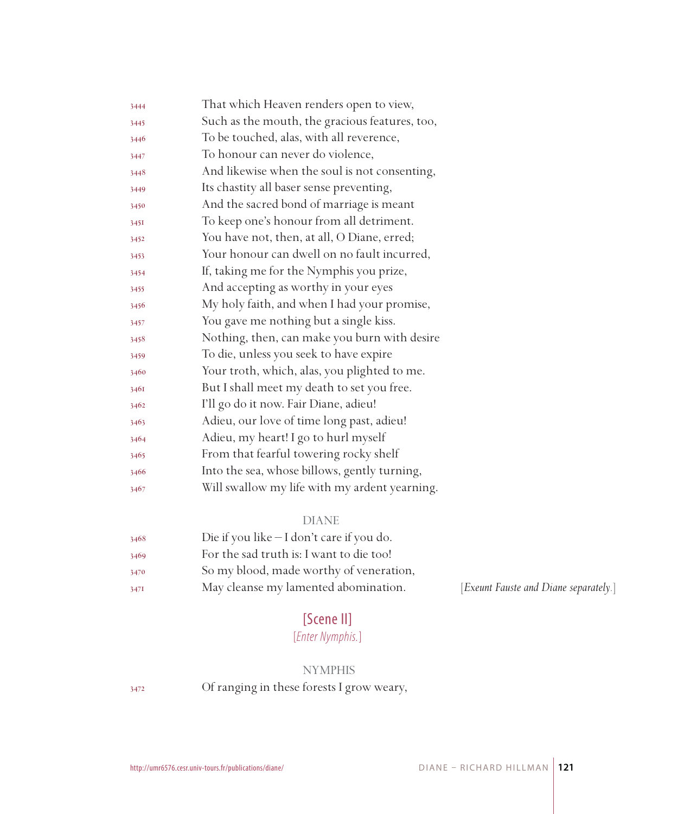| 3444 | That which Heaven renders open to view,        |
|------|------------------------------------------------|
| 3445 | Such as the mouth, the gracious features, too, |
| 3446 | To be touched, alas, with all reverence,       |
| 3447 | To honour can never do violence,               |
| 3448 | And likewise when the soul is not consenting,  |
| 3449 | Its chastity all baser sense preventing,       |
| 3450 | And the sacred bond of marriage is meant       |
| 3451 | To keep one's honour from all detriment.       |
| 3452 | You have not, then, at all, O Diane, erred;    |
| 3453 | Your honour can dwell on no fault incurred,    |
| 3454 | If, taking me for the Nymphis you prize,       |
| 3455 | And accepting as worthy in your eyes           |
| 3456 | My holy faith, and when I had your promise,    |
| 3457 | You gave me nothing but a single kiss.         |
| 3458 | Nothing, then, can make you burn with desire   |
| 3459 | To die, unless you seek to have expire         |
| 3460 | Your troth, which, alas, you plighted to me.   |
| 3461 | But I shall meet my death to set you free.     |
| 3462 | I'll go do it now. Fair Diane, adieu!          |
| 3463 | Adieu, our love of time long past, adieu!      |
| 3464 | Adieu, my heart! I go to hurl myself           |
| 3465 | From that fearful towering rocky shelf         |
| 3466 | Into the sea, whose billows, gently turning,   |
| 3467 | Will swallow my life with my ardent yearning.  |

| 3468 | Die if you like $-I$ don't care if you do. |
|------|--------------------------------------------|
| 3469 | For the sad truth is: I want to die too!   |
| 3470 | So my blood, made worthy of veneration,    |
| 347I | May cleanse my lamented abomination.       |

[Exeunt Fauste and Diane separately.]

# [Scene II]

# [*Enter Nymphis.*]

# NYMPHIS

Of ranging in these forests I grow weary,

DIANE – RICHARD HILLMAN **121**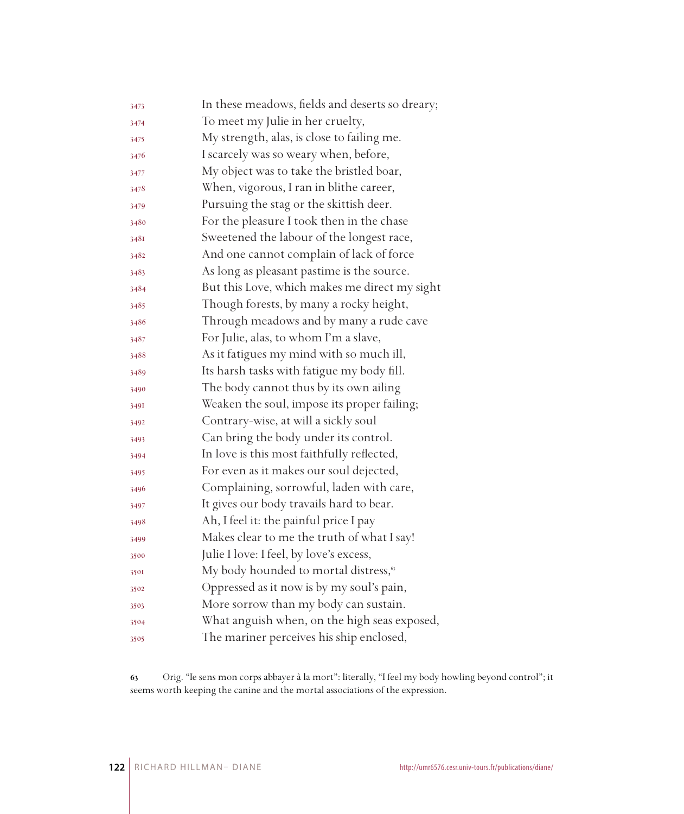| 3473 | In these meadows, fields and deserts so dreary;   |
|------|---------------------------------------------------|
| 3474 | To meet my Julie in her cruelty,                  |
| 3475 | My strength, alas, is close to failing me.        |
| 3476 | I scarcely was so weary when, before,             |
| 3477 | My object was to take the bristled boar,          |
| 3478 | When, vigorous, I ran in blithe career,           |
| 3479 | Pursuing the stag or the skittish deer.           |
| 3480 | For the pleasure I took then in the chase         |
| 3481 | Sweetened the labour of the longest race,         |
| 3482 | And one cannot complain of lack of force          |
| 3483 | As long as pleasant pastime is the source.        |
| 3484 | But this Love, which makes me direct my sight     |
| 3485 | Though forests, by many a rocky height,           |
| 3486 | Through meadows and by many a rude cave           |
| 3487 | For Julie, alas, to whom I'm a slave,             |
| 3488 | As it fatigues my mind with so much ill,          |
| 3489 | Its harsh tasks with fatigue my body fill.        |
| 3490 | The body cannot thus by its own ailing            |
| 349I | Weaken the soul, impose its proper failing;       |
| 3492 | Contrary-wise, at will a sickly soul              |
| 3493 | Can bring the body under its control.             |
| 3494 | In love is this most faithfully reflected,        |
| 3495 | For even as it makes our soul dejected,           |
| 3496 | Complaining, sorrowful, laden with care,          |
| 3497 | It gives our body travails hard to bear.          |
| 3498 | Ah, I feel it: the painful price I pay            |
| 3499 | Makes clear to me the truth of what I say!        |
| 3500 | Julie I love: I feel, by love's excess,           |
| 3501 | My body hounded to mortal distress, <sup>63</sup> |
| 3502 | Oppressed as it now is by my soul's pain,         |
| 3503 | More sorrow than my body can sustain.             |
| 3504 | What anguish when, on the high seas exposed,      |
| 3505 | The mariner perceives his ship enclosed,          |

 Orig. "Ie sens mon corps abbayer à la mort": literally, "I feel my body howling beyond control"; it seems worth keeping the canine and the mortal associations of the expression.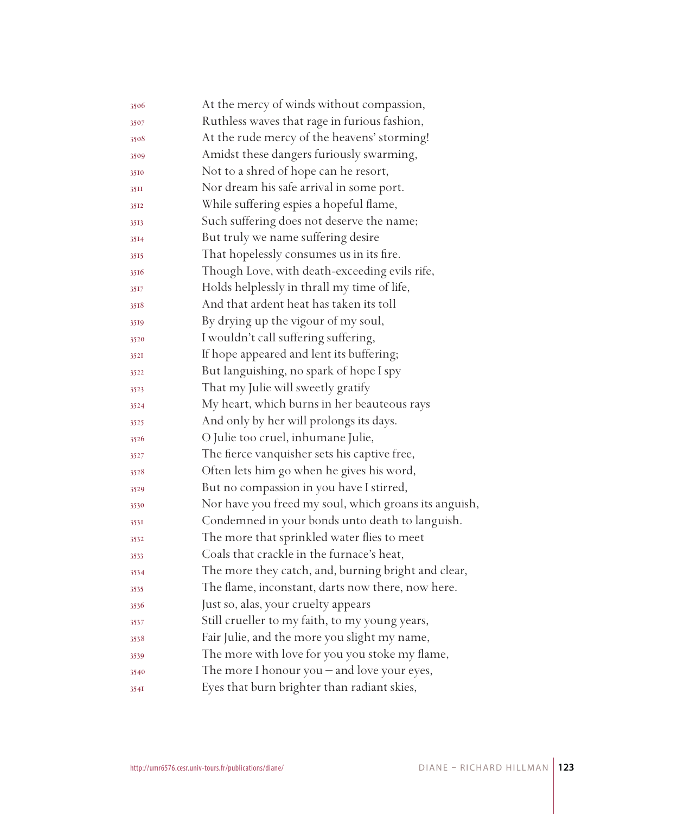| 3506 | At the mercy of winds without compassion,             |
|------|-------------------------------------------------------|
| 3507 | Ruthless waves that rage in furious fashion,          |
| 3508 | At the rude mercy of the heavens' storming!           |
| 3509 | Amidst these dangers furiously swarming,              |
| 3510 | Not to a shred of hope can he resort,                 |
| 35II | Nor dream his safe arrival in some port.              |
| 3512 | While suffering espies a hopeful flame,               |
| 3513 | Such suffering does not deserve the name;             |
| 3514 | But truly we name suffering desire                    |
| 3515 | That hopelessly consumes us in its fire.              |
| 3516 | Though Love, with death-exceeding evils rife,         |
| 3517 | Holds helplessly in thrall my time of life,           |
| 3518 | And that ardent heat has taken its toll               |
| 3519 | By drying up the vigour of my soul,                   |
| 3520 | I wouldn't call suffering suffering,                  |
| 3521 | If hope appeared and lent its buffering;              |
| 3522 | But languishing, no spark of hope I spy               |
| 3523 | That my Julie will sweetly gratify                    |
| 3524 | My heart, which burns in her beauteous rays           |
| 3525 | And only by her will prolongs its days.               |
| 3526 | O Julie too cruel, inhumane Julie,                    |
| 3527 | The fierce vanquisher sets his captive free,          |
| 3528 | Often lets him go when he gives his word,             |
| 3529 | But no compassion in you have I stirred,              |
| 3530 | Nor have you freed my soul, which groans its anguish, |
| 3531 | Condemned in your bonds unto death to languish.       |
| 3532 | The more that sprinkled water flies to meet           |
| 3533 | Coals that crackle in the furnace's heat,             |
| 3534 | The more they catch, and, burning bright and clear,   |
| 3535 | The flame, inconstant, darts now there, now here.     |
| 3536 | Just so, alas, your cruelty appears                   |
| 3537 | Still crueller to my faith, to my young years,        |
| 3538 | Fair Julie, and the more you slight my name,          |
| 3539 | The more with love for you you stoke my flame,        |
| 3540 | The more I honour you - and love your eyes,           |
| 3541 | Eyes that burn brighter than radiant skies,           |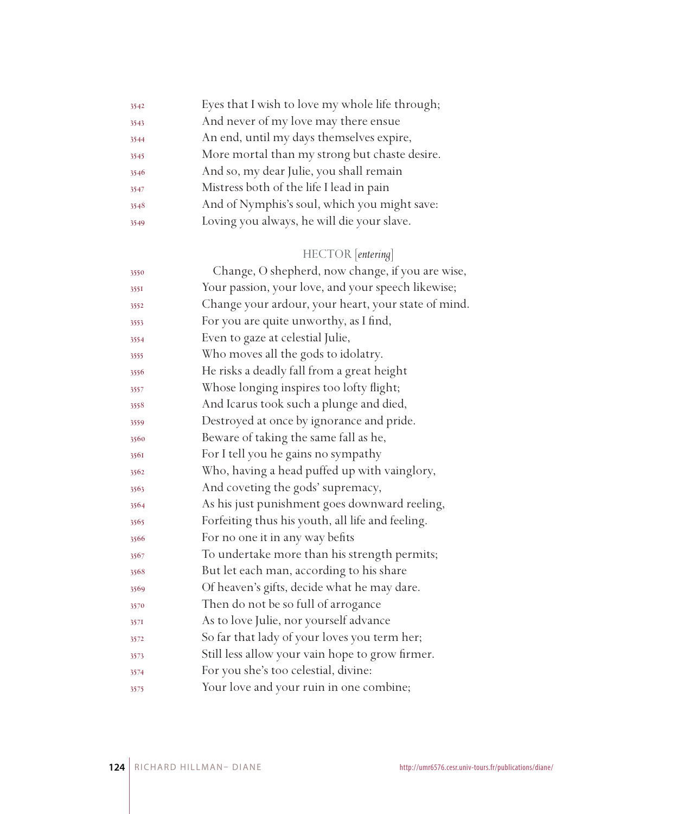| 3542 | Eyes that I wish to love my whole life through; |
|------|-------------------------------------------------|
| 3543 | And never of my love may there ensue            |
| 3544 | An end, until my days themselves expire,        |
| 3545 | More mortal than my strong but chaste desire.   |
| 3546 | And so, my dear Julie, you shall remain         |
| 3547 | Mistress both of the life I lead in pain        |
| 3548 | And of Nymphis's soul, which you might save:    |
| 3549 | Loving you always, he will die your slave.      |

# HECTOR [*entering*]

| 3550 | Change, O shepherd, now change, if you are wise,    |
|------|-----------------------------------------------------|
| 3551 | Your passion, your love, and your speech likewise;  |
| 3552 | Change your ardour, your heart, your state of mind. |
| 3553 | For you are quite unworthy, as I find,              |
| 3554 | Even to gaze at celestial Julie,                    |
| 3555 | Who moves all the gods to idolatry.                 |
| 3556 | He risks a deadly fall from a great height          |
| 3557 | Whose longing inspires too lofty flight;            |
| 3558 | And Icarus took such a plunge and died,             |
| 3559 | Destroyed at once by ignorance and pride.           |
| 3560 | Beware of taking the same fall as he,               |
| 3561 | For I tell you he gains no sympathy                 |
| 3562 | Who, having a head puffed up with vainglory,        |
| 3563 | And coveting the gods' supremacy,                   |
| 3564 | As his just punishment goes downward reeling,       |
| 3565 | Forfeiting thus his youth, all life and feeling.    |
| 3566 | For no one it in any way befits                     |
| 3567 | To undertake more than his strength permits;        |
| 3568 | But let each man, according to his share            |
| 3569 | Of heaven's gifts, decide what he may dare.         |
| 3570 | Then do not be so full of arrogance                 |
| 357I | As to love Julie, nor yourself advance              |
| 3572 | So far that lady of your loves you term her;        |
| 3573 | Still less allow your vain hope to grow firmer.     |
| 3574 | For you she's too celestial, divine:                |
| 3575 | Your love and your ruin in one combine;             |
|      |                                                     |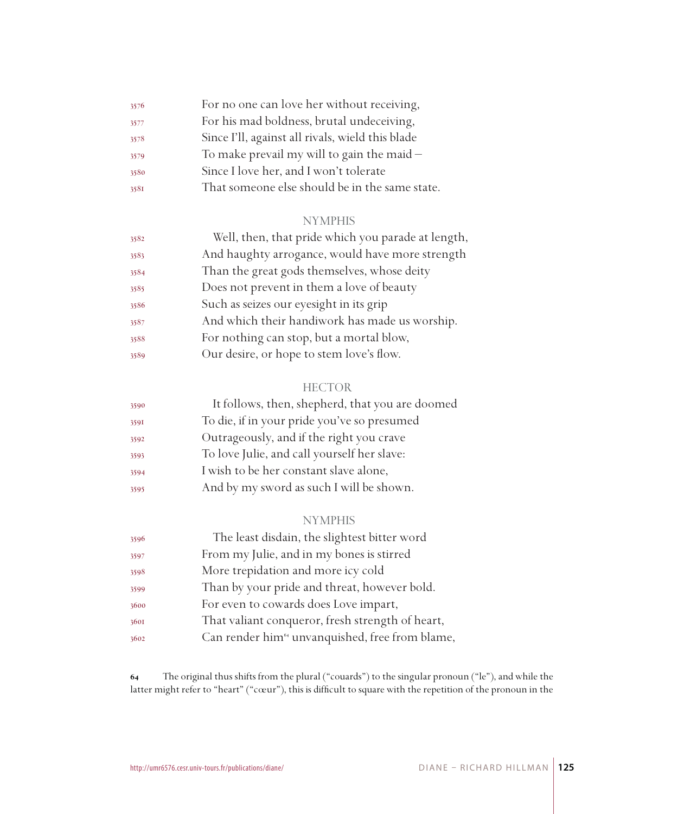| 3576 | For no one can love her without receiving,       |
|------|--------------------------------------------------|
| 3577 | For his mad boldness, brutal undeceiving,        |
| 3578 | Since I'll, against all rivals, wield this blade |
| 3579 | To make prevail my will to gain the maid $-$     |
| 3580 | Since I love her, and I won't tolerate           |
| 3581 | That someone else should be in the same state.   |

| 3582 | Well, then, that pride which you parade at length, |
|------|----------------------------------------------------|
| 3583 | And haughty arrogance, would have more strength    |
| 3584 | Than the great gods themselves, whose deity        |
| 3585 | Does not prevent in them a love of beauty          |
| 3586 | Such as seizes our eyesight in its grip            |
| 3587 | And which their handiwork has made us worship.     |
| 3588 | For nothing can stop, but a mortal blow,           |
| 3589 | Our desire, or hope to stem love's flow.           |

#### **HECTOR**

| 3590 | It follows, then, shepherd, that you are doomed |
|------|-------------------------------------------------|
| 3591 | To die, if in your pride you've so presumed     |
| 3592 | Outrageously, and if the right you crave        |
| 3593 | To love Julie, and call yourself her slave:     |
| 3594 | I wish to be her constant slave alone,          |
| 3595 | And by my sword as such I will be shown.        |

#### NYMPHIS

| 3596 | The least disdain, the slightest bitter word                |
|------|-------------------------------------------------------------|
| 3597 | From my Julie, and in my bones is stirred                   |
| 3598 | More trepidation and more icy cold                          |
| 3599 | Than by your pride and threat, however bold.                |
| 3600 | For even to cowards does Love impart,                       |
| 3601 | That valiant conqueror, fresh strength of heart,            |
| 3602 | Can render him <sup>64</sup> unvanquished, free from blame, |

 The original thus shifts from the plural ("couards") to the singular pronoun ("le"), and while the latter might refer to "heart" ("cœur"), this is difficult to square with the repetition of the pronoun in the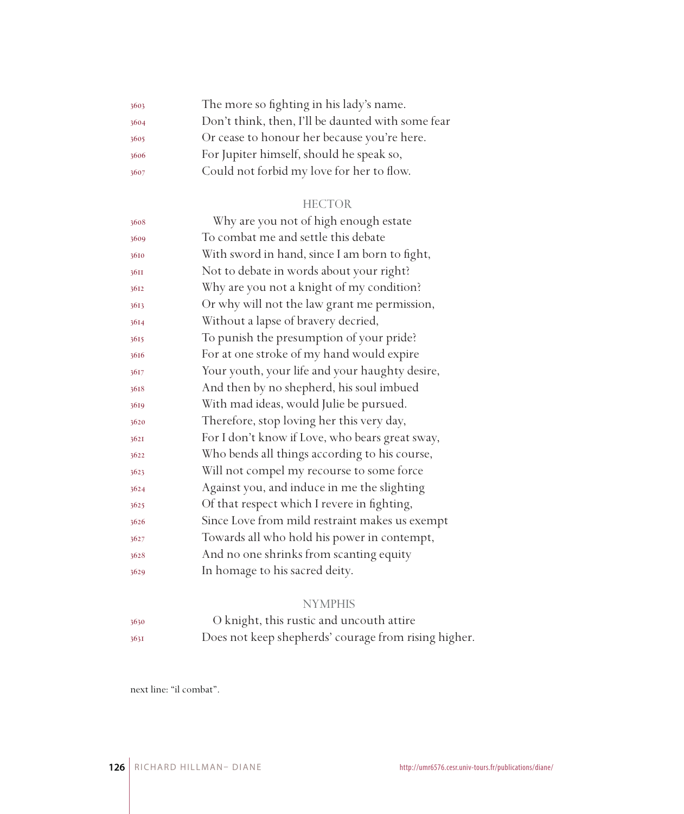| 3603 | The more so fighting in his lady's name.          |
|------|---------------------------------------------------|
| 3604 | Don't think, then, I'll be daunted with some fear |
| 3605 | Or cease to honour her because you're here.       |
| 3606 | For Jupiter himself, should he speak so,          |
| 3607 | Could not forbid my love for her to flow.         |

#### HECTOR

| 3608 | Why are you not of high enough estate           |
|------|-------------------------------------------------|
| 3609 | To combat me and settle this debate             |
| 3610 | With sword in hand, since I am born to fight,   |
| 36II | Not to debate in words about your right?        |
| 3612 | Why are you not a knight of my condition?       |
| 3613 | Or why will not the law grant me permission,    |
| 3614 | Without a lapse of bravery decried,             |
| 3615 | To punish the presumption of your pride?        |
| 3616 | For at one stroke of my hand would expire       |
| 3617 | Your youth, your life and your haughty desire,  |
| 3618 | And then by no shepherd, his soul imbued        |
| 3619 | With mad ideas, would Julie be pursued.         |
| 3620 | Therefore, stop loving her this very day,       |
| 3621 | For I don't know if Love, who bears great sway, |
| 3622 | Who bends all things according to his course,   |
| 3623 | Will not compel my recourse to some force       |
| 3624 | Against you, and induce in me the slighting     |
| 3625 | Of that respect which I revere in fighting,     |
| 3626 | Since Love from mild restraint makes us exempt  |
| 3627 | Towards all who hold his power in contempt,     |
| 3628 | And no one shrinks from scanting equity         |
| 3629 | In homage to his sacred deity.                  |
|      |                                                 |

# NYMPHIS

 O knight, this rustic and uncouth attire Does not keep shepherds' courage from rising higher.

next line: "il combat".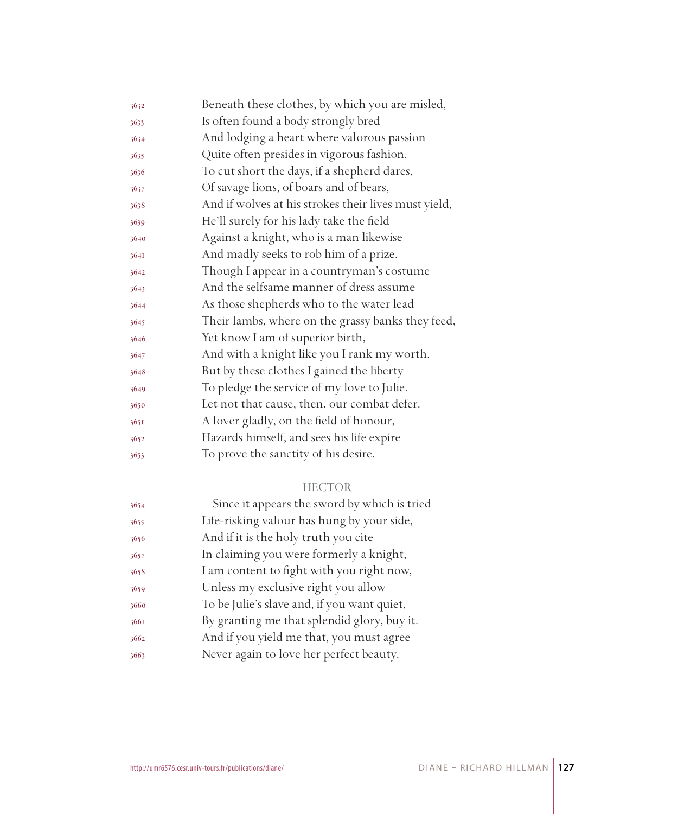| 3632 | Beneath these clothes, by which you are misled,      |
|------|------------------------------------------------------|
| 3633 | Is often found a body strongly bred                  |
| 3634 | And lodging a heart where valorous passion           |
| 3635 | Quite often presides in vigorous fashion.            |
| 3636 | To cut short the days, if a shepherd dares,          |
| 3637 | Of savage lions, of boars and of bears,              |
| 3638 | And if wolves at his strokes their lives must yield, |
| 3639 | He'll surely for his lady take the field             |
| 3640 | Against a knight, who is a man likewise              |
| 3641 | And madly seeks to rob him of a prize.               |
| 3642 | Though I appear in a countryman's costume            |
| 3643 | And the selfsame manner of dress assume              |
| 3644 | As those shepherds who to the water lead             |
| 3645 | Their lambs, where on the grassy banks they feed,    |
| 3646 | Yet know I am of superior birth,                     |
| 3647 | And with a knight like you I rank my worth.          |
| 3648 | But by these clothes I gained the liberty            |
| 3649 | To pledge the service of my love to Julie.           |
| 3650 | Let not that cause, then, our combat defer.          |
| 365I | A lover gladly, on the field of honour,              |
| 3652 | Hazards himself, and sees his life expire            |
| 3653 | To prove the sanctity of his desire.                 |
|      |                                                      |

## HECTOR

| 3654 | Since it appears the sword by which is tried |
|------|----------------------------------------------|
| 3655 | Life-risking valour has hung by your side,   |
| 3656 | And if it is the holy truth you cite         |
| 3657 | In claiming you were formerly a knight,      |
| 3658 | I am content to fight with you right now,    |
| 3659 | Unless my exclusive right you allow          |
| 3660 | To be Julie's slave and, if you want quiet,  |
| 3661 | By granting me that splendid glory, buy it.  |
| 3662 | And if you yield me that, you must agree     |
| 3663 | Never again to love her perfect beauty.      |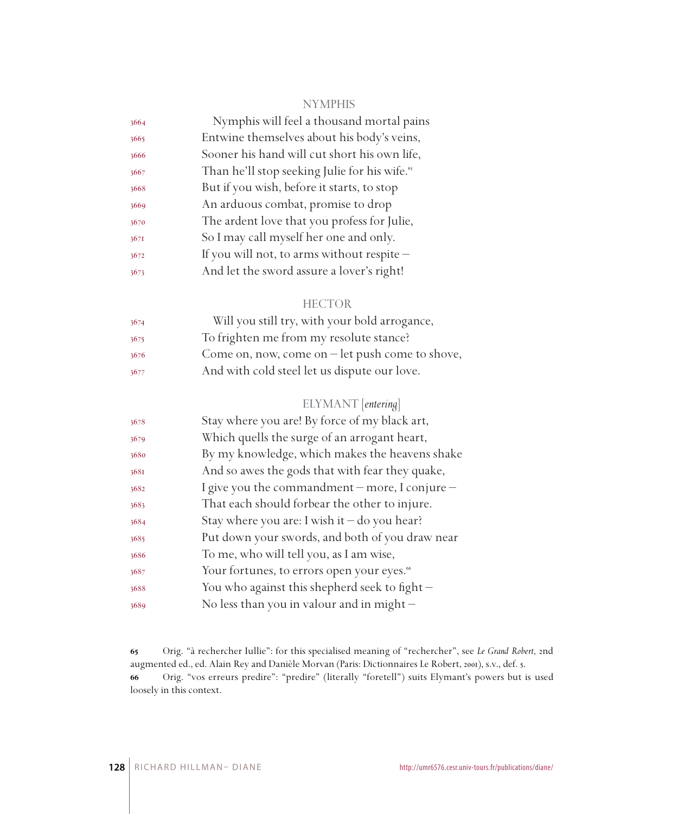| 3664 | Nymphis will feel a thousand mortal pains                 |
|------|-----------------------------------------------------------|
| 3665 | Entwine themselves about his body's veins,                |
| 3666 | Sooner his hand will cut short his own life,              |
| 3667 | Than he'll stop seeking Julie for his wife. <sup>65</sup> |
| 3668 | But if you wish, before it starts, to stop                |
| 3669 | An arduous combat, promise to drop                        |
| 3670 | The ardent love that you profess for Julie,               |
| 3671 | So I may call myself her one and only.                    |
| 3672 | If you will not, to arms without respite -                |
| 3673 | And let the sword assure a lover's right!                 |
|      |                                                           |

#### HECTOR

| 3674 | Will you still try, with your bold arrogance,           |
|------|---------------------------------------------------------|
| 3675 | To frighten me from my resolute stance?                 |
| 3676 | Come on, now, come on $-\text{let push come to show}$ , |
| 3677 | And with cold steel let us dispute our love.            |

### ELYMANT [*entering*]

| 3678 | Stay where you are! By force of my black art,          |
|------|--------------------------------------------------------|
| 3679 | Which quells the surge of an arrogant heart,           |
| 3680 | By my knowledge, which makes the heavens shake         |
| 3681 | And so awes the gods that with fear they quake,        |
| 3682 | I give you the commandment – more, I conjure –         |
| 3683 | That each should forbear the other to injure.          |
| 3684 | Stay where you are: I wish it $-$ do you hear?         |
| 3685 | Put down your swords, and both of you draw near        |
| 3686 | To me, who will tell you, as I am wise,                |
| 3687 | Your fortunes, to errors open your eyes. <sup>66</sup> |
| 3688 | You who against this shepherd seek to fight $-$        |
| 3689 | No less than you in valour and in might $-$            |
|      |                                                        |

 Orig. "à rechercher Iullie": for this specialised meaning of "rechercher", see *Le Grand Robert*, 2nd augmented ed., ed. Alain Rey and Danièle Morvan (Paris: Dictionnaires Le Robert, 2001), s.v., def. 5. Orig. "vos erreurs predire": "predire" (literally "foretell") suits Elymant's powers but is used loosely in this context.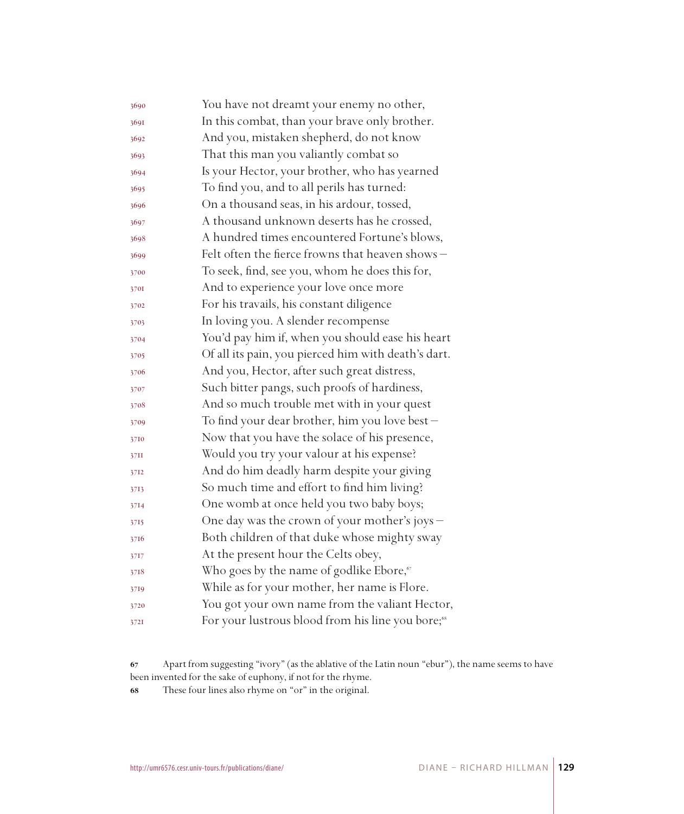| 3690 | You have not dreamt your enemy no other,                      |
|------|---------------------------------------------------------------|
| 3691 | In this combat, than your brave only brother.                 |
| 3692 | And you, mistaken shepherd, do not know                       |
| 3693 | That this man you valiantly combat so                         |
| 3694 | Is your Hector, your brother, who has yearned                 |
| 3695 | To find you, and to all perils has turned:                    |
| 3696 | On a thousand seas, in his ardour, tossed,                    |
| 3697 | A thousand unknown deserts has he crossed,                    |
| 3698 | A hundred times encountered Fortune's blows,                  |
| 3699 | Felt often the fierce frowns that heaven shows -              |
| 3700 | To seek, find, see you, whom he does this for,                |
| 3701 | And to experience your love once more                         |
| 3702 | For his travails, his constant diligence                      |
| 3703 | In loving you. A slender recompense                           |
| 3704 | You'd pay him if, when you should ease his heart              |
| 3705 | Of all its pain, you pierced him with death's dart.           |
| 3706 | And you, Hector, after such great distress,                   |
| 3707 | Such bitter pangs, such proofs of hardiness,                  |
| 3708 | And so much trouble met with in your quest                    |
| 3709 | To find your dear brother, him you love best -                |
| 3710 | Now that you have the solace of his presence,                 |
| 37II | Would you try your valour at his expense?                     |
| 3712 | And do him deadly harm despite your giving                    |
| 3713 | So much time and effort to find him living?                   |
| 3714 | One womb at once held you two baby boys;                      |
| 3715 | One day was the crown of your mother's joys -                 |
| 3716 | Both children of that duke whose mighty sway                  |
| 3717 | At the present hour the Celts obey,                           |
| 3718 | Who goes by the name of godlike Ebore, <sup>67</sup>          |
| 3719 | While as for your mother, her name is Flore.                  |
| 3720 | You got your own name from the valiant Hector,                |
| 3721 | For your lustrous blood from his line you bore; <sup>68</sup> |

Apart from suggesting "ivory" (as the ablative of the Latin noun "ebur"), the name seems to have been invented for the sake of euphony, if not for the rhyme.

These four lines also rhyme on "or" in the original.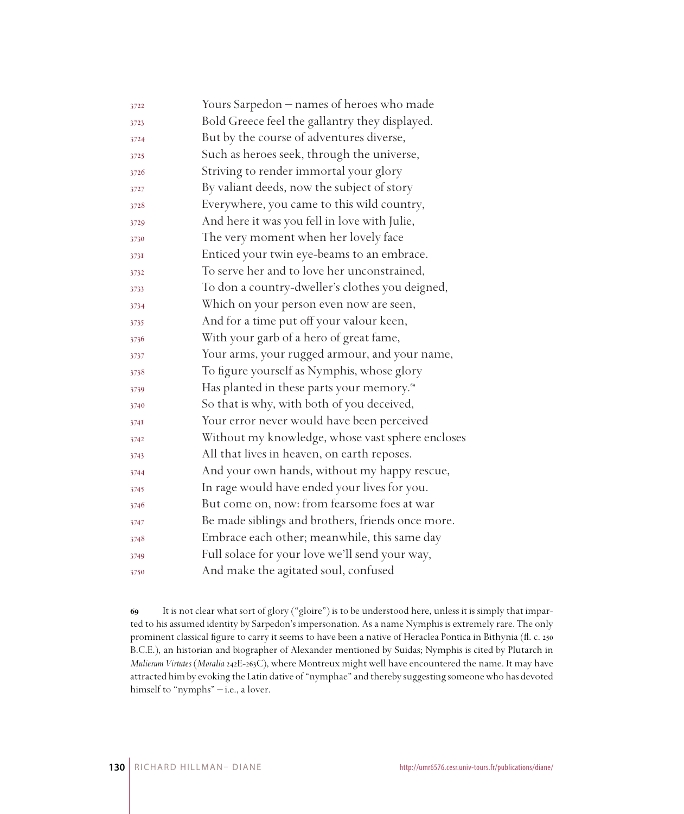| 3722 | Yours Sarpedon – names of heroes who made             |
|------|-------------------------------------------------------|
| 3723 | Bold Greece feel the gallantry they displayed.        |
| 3724 | But by the course of adventures diverse,              |
| 3725 | Such as heroes seek, through the universe,            |
| 3726 | Striving to render immortal your glory                |
| 3727 | By valiant deeds, now the subject of story            |
| 3728 | Everywhere, you came to this wild country,            |
| 3729 | And here it was you fell in love with Julie,          |
| 3730 | The very moment when her lovely face                  |
| 3731 | Enticed your twin eye-beams to an embrace.            |
| 3732 | To serve her and to love her unconstrained,           |
| 3733 | To don a country-dweller's clothes you deigned,       |
| 3734 | Which on your person even now are seen,               |
| 3735 | And for a time put off your valour keen,              |
| 3736 | With your garb of a hero of great fame,               |
| 3737 | Your arms, your rugged armour, and your name,         |
| 3738 | To figure yourself as Nymphis, whose glory            |
| 3739 | Has planted in these parts your memory. <sup>69</sup> |
| 3740 | So that is why, with both of you deceived,            |
| 3741 | Your error never would have been perceived            |
| 3742 | Without my knowledge, whose vast sphere encloses      |
| 3743 | All that lives in heaven, on earth reposes.           |
| 3744 | And your own hands, without my happy rescue,          |
| 3745 | In rage would have ended your lives for you.          |
| 3746 | But come on, now: from fearsome foes at war           |
| 3747 | Be made siblings and brothers, friends once more.     |
| 3748 | Embrace each other; meanwhile, this same day          |
| 3749 | Full solace for your love we'll send your way,        |
| 3750 | And make the agitated soul, confused                  |

 It is not clear what sort of glory ("gloire") is to be understood here, unless it is simply that imparted to his assumed identity by Sarpedon's impersonation. As a name Nymphis is extremely rare. The only prominent classical figure to carry it seems to have been a native of Heraclea Pontica in Bithynia (fl. c. 250 B.C.E.), an historian and biographer of Alexander mentioned by Suidas; Nymphis is cited by Plutarch in *Mulierum Virtutes* (*Moralia* 242E-263C), where Montreux might well have encountered the name. It may have attracted him by evoking the Latin dative of "nymphae" and thereby suggesting someone who has devoted himself to "nymphs" - i.e., a lover.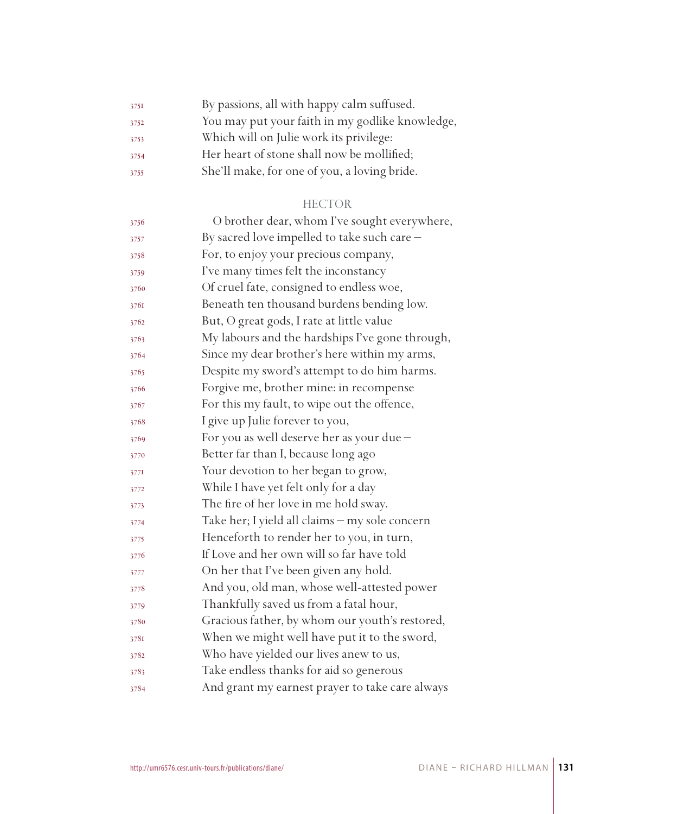| 3751 | By passions, all with happy calm suffused.      |
|------|-------------------------------------------------|
| 3752 | You may put your faith in my godlike knowledge, |
| 3753 | Which will on Julie work its privilege:         |
| 3754 | Her heart of stone shall now be mollified;      |
| 3755 | She'll make, for one of you, a loving bride.    |

#### HECTOR

| 3756 | O brother dear, whom I've sought everywhere,    |
|------|-------------------------------------------------|
| 3757 | By sacred love impelled to take such care -     |
| 3758 | For, to enjoy your precious company,            |
| 3759 | I've many times felt the inconstancy            |
| 3760 | Of cruel fate, consigned to endless woe,        |
| 3761 | Beneath ten thousand burdens bending low.       |
| 3762 | But, O great gods, I rate at little value       |
| 3763 | My labours and the hardships I've gone through, |
| 3764 | Since my dear brother's here within my arms,    |
| 3765 | Despite my sword's attempt to do him harms.     |
| 3766 | Forgive me, brother mine: in recompense         |
| 3767 | For this my fault, to wipe out the offence,     |
| 3768 | I give up Julie forever to you,                 |
| 3769 | For you as well deserve her as your due -       |
| 3770 | Better far than I, because long ago             |
| 3771 | Your devotion to her began to grow,             |
| 3772 | While I have yet felt only for a day            |
| 3773 | The fire of her love in me hold sway.           |
| 3774 | Take her; I yield all claims - my sole concern  |
| 3775 | Henceforth to render her to you, in turn,       |
| 3776 | If Love and her own will so far have told       |
| 3777 | On her that I've been given any hold.           |
| 3778 | And you, old man, whose well-attested power     |
| 3779 | Thankfully saved us from a fatal hour,          |
| 3780 | Gracious father, by whom our youth's restored,  |
| 3781 | When we might well have put it to the sword,    |
| 3782 | Who have yielded our lives anew to us,          |
| 3783 | Take endless thanks for aid so generous         |
| 3784 | And grant my earnest prayer to take care always |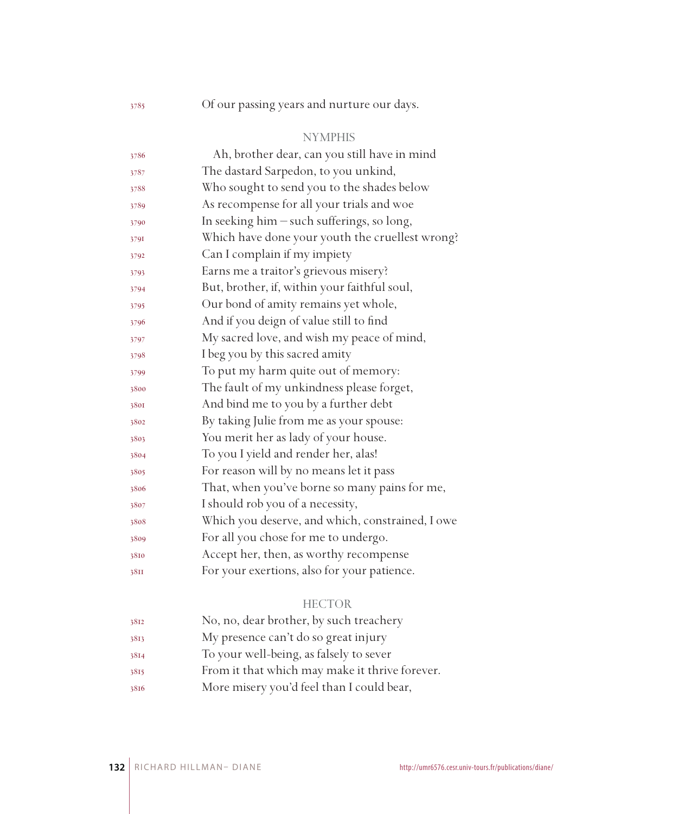Of our passing years and nurture our days.

### NYMPHIS

| 3786 | Ah, brother dear, can you still have in mind     |
|------|--------------------------------------------------|
| 3787 | The dastard Sarpedon, to you unkind,             |
| 3788 | Who sought to send you to the shades below       |
| 3789 | As recompense for all your trials and woe        |
| 3790 | In seeking him - such sufferings, so long,       |
| 3791 | Which have done your youth the cruellest wrong?  |
| 3792 | Can I complain if my impiety                     |
| 3793 | Earns me a traitor's grievous misery?            |
| 3794 | But, brother, if, within your faithful soul,     |
| 3795 | Our bond of amity remains yet whole,             |
| 3796 | And if you deign of value still to find          |
| 3797 | My sacred love, and wish my peace of mind,       |
| 3798 | I beg you by this sacred amity                   |
| 3799 | To put my harm quite out of memory:              |
| 3800 | The fault of my unkindness please forget,        |
| 3801 | And bind me to you by a further debt             |
| 3802 | By taking Julie from me as your spouse:          |
| 3803 | You merit her as lady of your house.             |
| 3804 | To you I yield and render her, alas!             |
| 3805 | For reason will by no means let it pass          |
| 3806 | That, when you've borne so many pains for me,    |
| 3807 | I should rob you of a necessity,                 |
| 3808 | Which you deserve, and which, constrained, I owe |
| 3809 | For all you chose for me to undergo.             |
| 3810 | Accept her, then, as worthy recompense           |
| 38II | For your exertions, also for your patience.      |
|      |                                                  |

# HECTOR

| 3812 | No, no, dear brother, by such treachery        |
|------|------------------------------------------------|
| 3813 | My presence can't do so great injury           |
| 3814 | To your well-being, as falsely to sever        |
| 3815 | From it that which may make it thrive forever. |
| 3816 | More misery you'd feel than I could bear,      |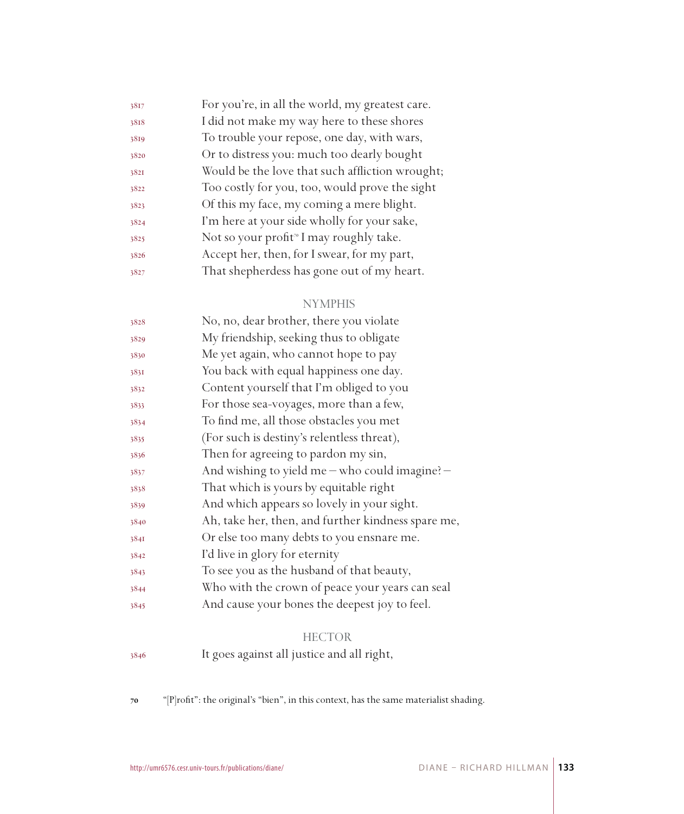| 3817 | For you're, in all the world, my greatest care.     |
|------|-----------------------------------------------------|
| 3818 | I did not make my way here to these shores          |
| 3819 | To trouble your repose, one day, with wars,         |
| 3820 | Or to distress you: much too dearly bought          |
| 3821 | Would be the love that such affliction wrought;     |
| 3822 | Too costly for you, too, would prove the sight      |
| 3823 | Of this my face, my coming a mere blight.           |
| 3824 | I'm here at your side wholly for your sake,         |
| 3825 | Not so your profit <sup>®</sup> I may roughly take. |
| 3826 | Accept her, then, for I swear, for my part,         |
| 3827 | That shepherdess has gone out of my heart.          |

| 3828 | No, no, dear brother, there you violate            |
|------|----------------------------------------------------|
| 3829 | My friendship, seeking thus to obligate            |
| 3830 | Me yet again, who cannot hope to pay               |
| 3831 | You back with equal happiness one day.             |
| 3832 | Content yourself that I'm obliged to you           |
| 3833 | For those sea-voyages, more than a few,            |
| 3834 | To find me, all those obstacles you met            |
| 3835 | (For such is destiny's relentless threat),         |
| 3836 | Then for agreeing to pardon my sin,                |
| 3837 | And wishing to yield me - who could imagine? -     |
| 3838 | That which is yours by equitable right             |
| 3839 | And which appears so lovely in your sight.         |
| 3840 | Ah, take her, then, and further kindness spare me, |
| 3841 | Or else too many debts to you ensnare me.          |
| 3842 | I'd live in glory for eternity                     |
| 3843 | To see you as the husband of that beauty,          |
| 3844 | Who with the crown of peace your years can seal    |
| 3845 | And cause your bones the deepest joy to feel.      |
|      |                                                    |

#### **HECTOR**

It goes against all justice and all right,

"[P]rofit": the original's "bien", in this context, has the same materialist shading.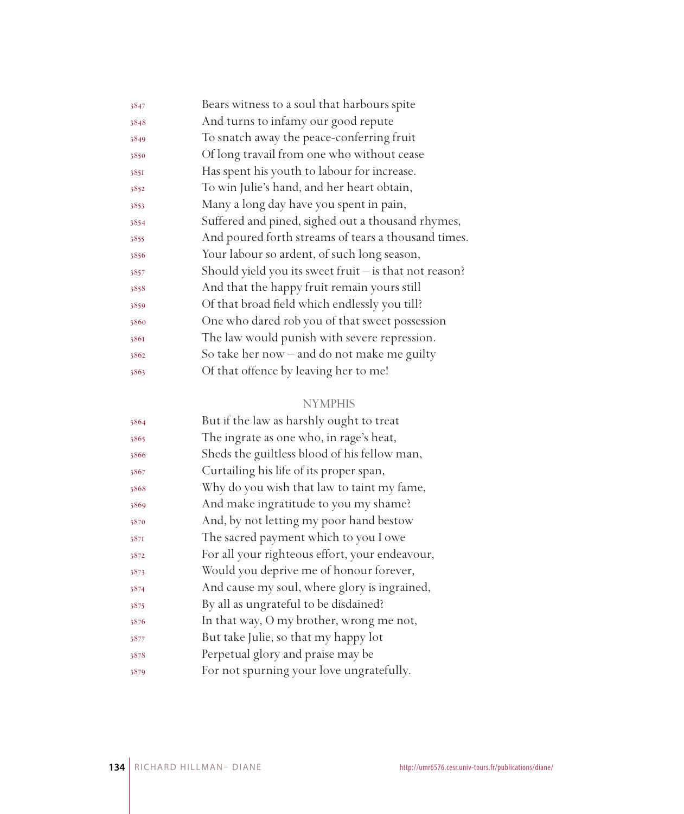| Bears witness to a soul that harbours spite              |
|----------------------------------------------------------|
| And turns to infamy our good repute                      |
| To snatch away the peace-conferring fruit                |
| Of long travail from one who without cease               |
| Has spent his youth to labour for increase.              |
| To win Julie's hand, and her heart obtain,               |
| Many a long day have you spent in pain,                  |
| Suffered and pined, sighed out a thousand rhymes,        |
| And poured forth streams of tears a thousand times.      |
| Your labour so ardent, of such long season,              |
| Should yield you its sweet fruit $-$ is that not reason? |
| And that the happy fruit remain yours still              |
| Of that broad field which endlessly you till?            |
| One who dared rob you of that sweet possession           |
| The law would punish with severe repression.             |
| So take her now $-$ and do not make me guilty            |
| Of that offence by leaving her to me!                    |
|                                                          |

| 3864 | But if the law as harshly ought to treat       |
|------|------------------------------------------------|
| 3865 | The ingrate as one who, in rage's heat,        |
| 3866 | Sheds the guiltless blood of his fellow man,   |
| 3867 | Curtailing his life of its proper span,        |
| 3868 | Why do you wish that law to taint my fame,     |
| 3869 | And make ingratitude to you my shame?          |
| 3870 | And, by not letting my poor hand bestow        |
| 387I | The sacred payment which to you I owe          |
| 3872 | For all your righteous effort, your endeavour, |
| 3873 | Would you deprive me of honour forever,        |
| 3874 | And cause my soul, where glory is ingrained,   |
| 3875 | By all as ungrateful to be disdained?          |
| 3876 | In that way, O my brother, wrong me not,       |
| 3877 | But take Julie, so that my happy lot           |
| 3878 | Perpetual glory and praise may be              |
| 3879 | For not spurning your love ungratefully.       |
|      |                                                |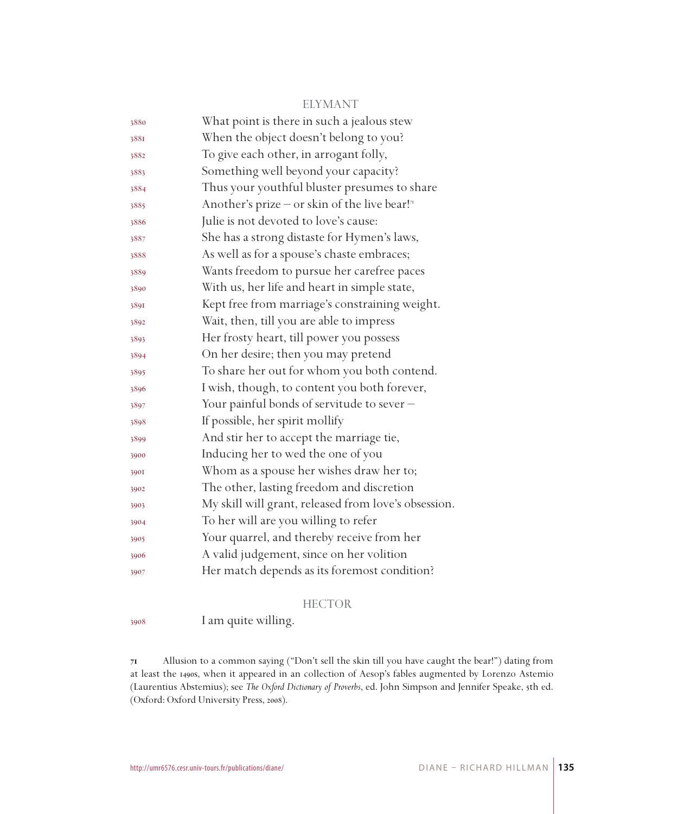#### ELYMANT

| 3880 | What point is there in such a jealous stew                |
|------|-----------------------------------------------------------|
| 3881 | When the object doesn't belong to you?                    |
| 3882 | To give each other, in arrogant folly,                    |
| 3883 | Something well beyond your capacity?                      |
| 3884 | Thus your youthful bluster presumes to share              |
| 3885 | Another's prize – or skin of the live bear! <sup>71</sup> |
| 3886 | Julie is not devoted to love's cause:                     |
| 3887 | She has a strong distaste for Hymen's laws,               |
| 3888 | As well as for a spouse's chaste embraces;                |
| 3889 | Wants freedom to pursue her carefree paces                |
| 3890 | With us, her life and heart in simple state,              |
| 3891 | Kept free from marriage's constraining weight.            |
| 3892 | Wait, then, till you are able to impress                  |
| 3893 | Her frosty heart, till power you possess                  |
| 3894 | On her desire; then you may pretend                       |
| 3895 | To share her out for whom you both contend.               |
| 3896 | I wish, though, to content you both forever,              |
| 3897 | Your painful bonds of servitude to sever -                |
| 3898 | If possible, her spirit mollify                           |
| 3899 | And stir her to accept the marriage tie,                  |
| 3900 | Inducing her to wed the one of you                        |
| 3901 | Whom as a spouse her wishes draw her to;                  |
| 3902 | The other, lasting freedom and discretion                 |
| 3903 | My skill will grant, released from love's obsession.      |
| 3904 | To her will are you willing to refer                      |
| 3905 | Your quarrel, and thereby receive from her                |
| 3906 | A valid judgement, since on her volition                  |
| 3907 | Her match depends as its foremost condition?              |

#### HECTOR

I am quite willing.

 Allusion to a common saying ("Don't sell the skin till you have caught the bear!") dating from at least the 1490s, when it appeared in an collection of Aesop's fables augmented by Lorenzo Astemio (Laurentius Abstemius); see *The Oxford Dictionary of Proverbs*, ed. John Simpson and Jennifer Speake, 5th ed. (Oxford: Oxford University Press, 2008).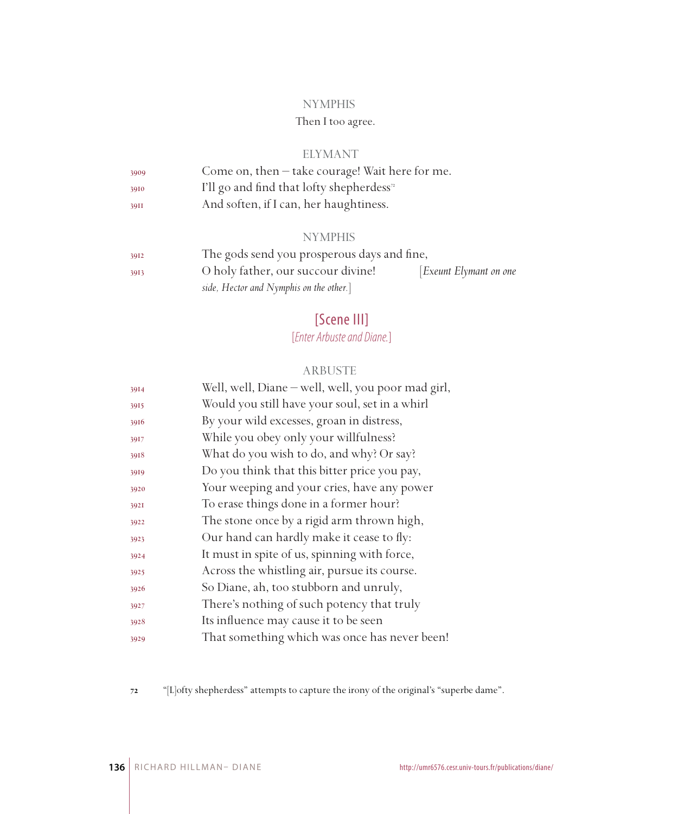# Then I too agree.

#### ELYMANT

| 3909 | Come on, then - take courage! Wait here for me.       |
|------|-------------------------------------------------------|
| 3910 | I'll go and find that lofty shepherdess <sup>72</sup> |
| 39II | And soften, if I can, her haughtiness.                |

#### **NYMPHIS**

| 3912 | The gods send you prosperous days and fine, |                       |
|------|---------------------------------------------|-----------------------|
| 3913 | O holy father, our succour divine!          | Exeunt Elymant on one |
|      | side, Hector and Nymphis on the other.]     |                       |

# [Scene III]

# [*Enter Arbuste and Diane.*]

#### ARBUSTE

| 3914 | Well, well, Diane - well, well, you poor mad girl, |
|------|----------------------------------------------------|
| 3915 | Would you still have your soul, set in a whirl     |
| 3916 | By your wild excesses, groan in distress,          |
| 3917 | While you obey only your willfulness?              |
| 3918 | What do you wish to do, and why? Or say?           |
| 3919 | Do you think that this bitter price you pay,       |
| 3920 | Your weeping and your cries, have any power        |
| 3921 | To erase things done in a former hour?             |
| 3922 | The stone once by a rigid arm thrown high,         |
| 3923 | Our hand can hardly make it cease to fly:          |
| 3924 | It must in spite of us, spinning with force,       |
| 3925 | Across the whistling air, pursue its course.       |
| 3926 | So Diane, ah, too stubborn and unruly,             |
| 3927 | There's nothing of such potency that truly         |
| 3928 | Its influence may cause it to be seen              |
| 3929 | That something which was once has never been!      |

"[L]ofty shepherdess" attempts to capture the irony of the original's "superbe dame".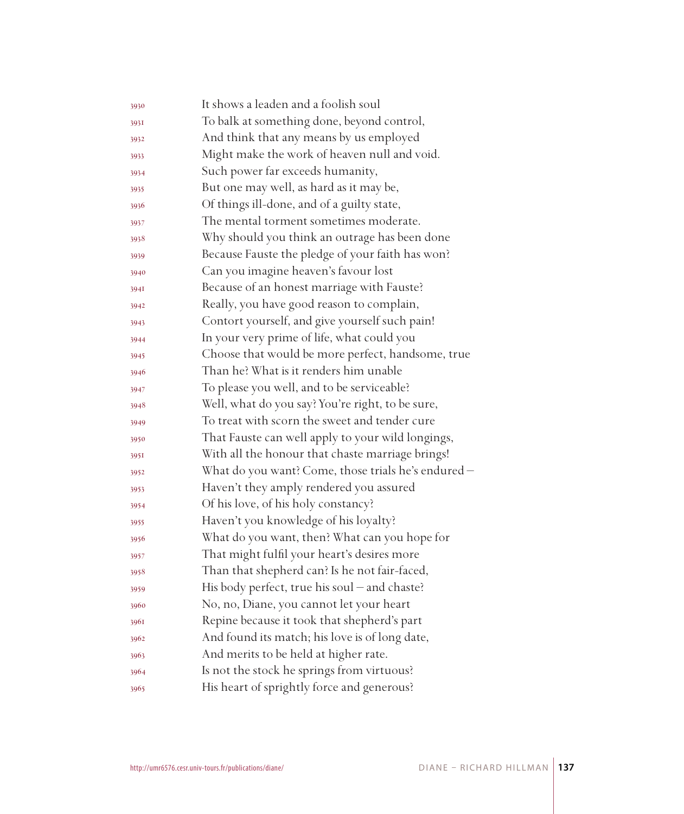| 3930 | It shows a leaden and a foolish soul                |
|------|-----------------------------------------------------|
| 393I | To balk at something done, beyond control,          |
| 3932 | And think that any means by us employed             |
| 3933 | Might make the work of heaven null and void.        |
| 3934 | Such power far exceeds humanity,                    |
| 3935 | But one may well, as hard as it may be,             |
| 3936 | Of things ill-done, and of a guilty state,          |
| 3937 | The mental torment sometimes moderate.              |
| 3938 | Why should you think an outrage has been done       |
| 3939 | Because Fauste the pledge of your faith has won?    |
| 3940 | Can you imagine heaven's favour lost                |
| 394I | Because of an honest marriage with Fauste?          |
| 3942 | Really, you have good reason to complain,           |
| 3943 | Contort yourself, and give yourself such pain!      |
| 3944 | In your very prime of life, what could you          |
| 3945 | Choose that would be more perfect, handsome, true   |
| 3946 | Than he? What is it renders him unable              |
| 3947 | To please you well, and to be serviceable?          |
| 3948 | Well, what do you say? You're right, to be sure,    |
| 3949 | To treat with scorn the sweet and tender cure       |
| 3950 | That Fauste can well apply to your wild longings,   |
| 3951 | With all the honour that chaste marriage brings!    |
| 3952 | What do you want? Come, those trials he's endured - |
| 3953 | Haven't they amply rendered you assured             |
| 3954 | Of his love, of his holy constancy?                 |
| 3955 | Haven't you knowledge of his loyalty?               |
| 3956 | What do you want, then? What can you hope for       |
| 3957 | That might fulfil your heart's desires more         |
| 3958 | Than that shepherd can? Is he not fair-faced,       |
| 3959 | His body perfect, true his soul – and chaste?       |
| 3960 | No, no, Diane, you cannot let your heart            |
| 3961 | Repine because it took that shepherd's part         |
| 3962 | And found its match; his love is of long date,      |
| 3963 | And merits to be held at higher rate.               |
| 3964 | Is not the stock he springs from virtuous?          |
| 3965 | His heart of sprightly force and generous?          |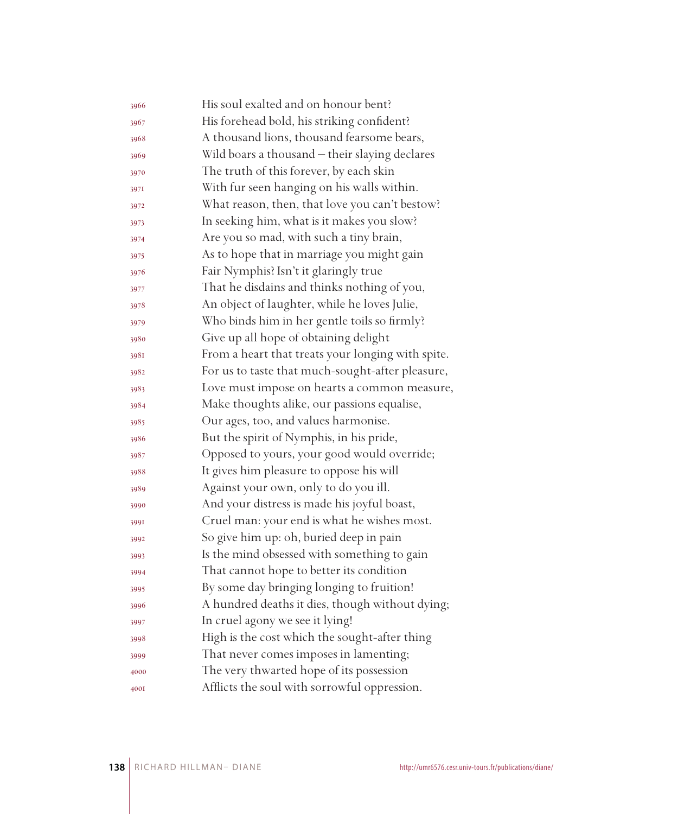| 3966 | His soul exalted and on honour bent?              |
|------|---------------------------------------------------|
| 3967 | His forehead bold, his striking confident?        |
| 3968 | A thousand lions, thousand fearsome bears,        |
| 3969 | Wild boars a thousand - their slaying declares    |
| 3970 | The truth of this forever, by each skin           |
| 3971 | With fur seen hanging on his walls within.        |
| 3972 | What reason, then, that love you can't bestow?    |
| 3973 | In seeking him, what is it makes you slow?        |
| 3974 | Are you so mad, with such a tiny brain,           |
| 3975 | As to hope that in marriage you might gain        |
| 3976 | Fair Nymphis? Isn't it glaringly true             |
| 3977 | That he disdains and thinks nothing of you,       |
| 3978 | An object of laughter, while he loves Julie,      |
| 3979 | Who binds him in her gentle toils so firmly?      |
| 3980 | Give up all hope of obtaining delight             |
| 3981 | From a heart that treats your longing with spite. |
| 3982 | For us to taste that much-sought-after pleasure,  |
| 3983 | Love must impose on hearts a common measure,      |
| 3984 | Make thoughts alike, our passions equalise,       |
| 3985 | Our ages, too, and values harmonise.              |
| 3986 | But the spirit of Nymphis, in his pride,          |
| 3987 | Opposed to yours, your good would override;       |
| 3988 | It gives him pleasure to oppose his will          |
| 3989 | Against your own, only to do you ill.             |
| 3990 | And your distress is made his joyful boast,       |
| 3991 | Cruel man: your end is what he wishes most.       |
| 3992 | So give him up: oh, buried deep in pain           |
| 3993 | Is the mind obsessed with something to gain       |
| 3994 | That cannot hope to better its condition          |
| 3995 | By some day bringing longing to fruition!         |
| 3996 | A hundred deaths it dies, though without dying;   |
| 3997 | In cruel agony we see it lying!                   |
| 3998 | High is the cost which the sought-after thing     |
| 3999 | That never comes imposes in lamenting;            |
| 4000 | The very thwarted hope of its possession          |
| 4001 | Afflicts the soul with sorrowful oppression.      |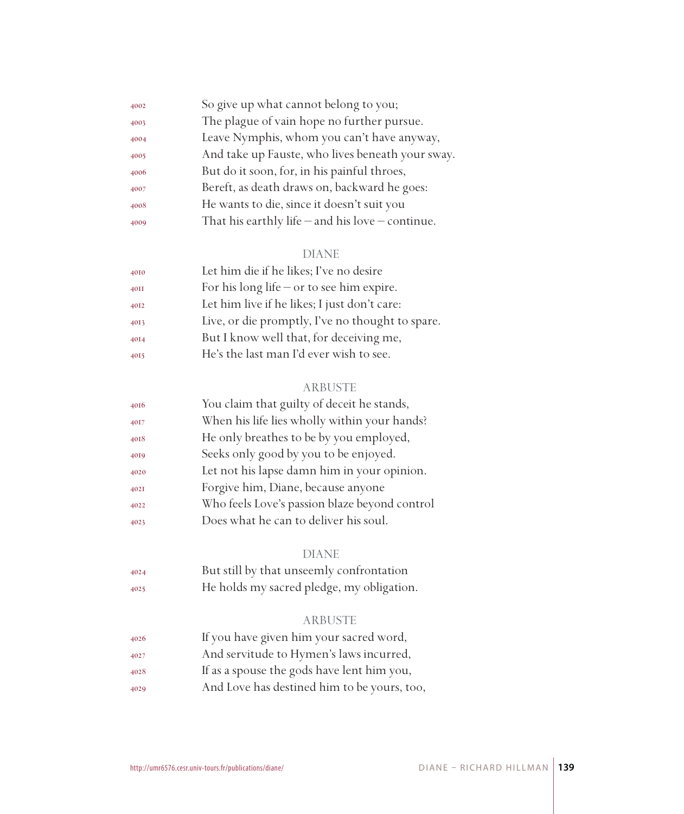| 4002 | So give up what cannot belong to you;                |
|------|------------------------------------------------------|
| 4003 | The plague of vain hope no further pursue.           |
| 4004 | Leave Nymphis, whom you can't have anyway,           |
| 4005 | And take up Fauste, who lives beneath your sway.     |
| 4006 | But do it soon, for, in his painful throes,          |
| 4007 | Bereft, as death draws on, backward he goes:         |
| 4008 | He wants to die, since it doesn't suit you           |
| 4009 | That his earthly life $-$ and his love $-$ continue. |
|      |                                                      |

| 4010 | Let him die if he likes; I've no desire          |
|------|--------------------------------------------------|
| 40II | For his long life $-$ or to see him expire.      |
| 4012 | Let him live if he likes; I just don't care:     |
| 4013 | Live, or die promptly, I've no thought to spare. |
| 4014 | But I know well that, for deceiving me,          |
| 4015 | He's the last man I'd ever wish to see.          |
|      |                                                  |

### ARBUSTE

| 4016 | You claim that guilty of deceit he stands,    |
|------|-----------------------------------------------|
| 4017 | When his life lies wholly within your hands?  |
| 4018 | He only breathes to be by you employed,       |
| 4019 | Seeks only good by you to be enjoyed.         |
| 4020 | Let not his lapse damn him in your opinion.   |
| 402I | Forgive him, Diane, because anyone            |
| 4022 | Who feels Love's passion blaze beyond control |
| 4023 | Does what he can to deliver his soul.         |
|      |                                               |

#### DIANE

| 4024 | But still by that unseemly confrontation  |
|------|-------------------------------------------|
| 4025 | He holds my sacred pledge, my obligation. |

# ARBUSTE

| 4026 | If you have given him your sacred word,     |
|------|---------------------------------------------|
| 4027 | And servitude to Hymen's laws incurred,     |
| 4028 | If as a spouse the gods have lent him you,  |
| 4029 | And Love has destined him to be yours, too, |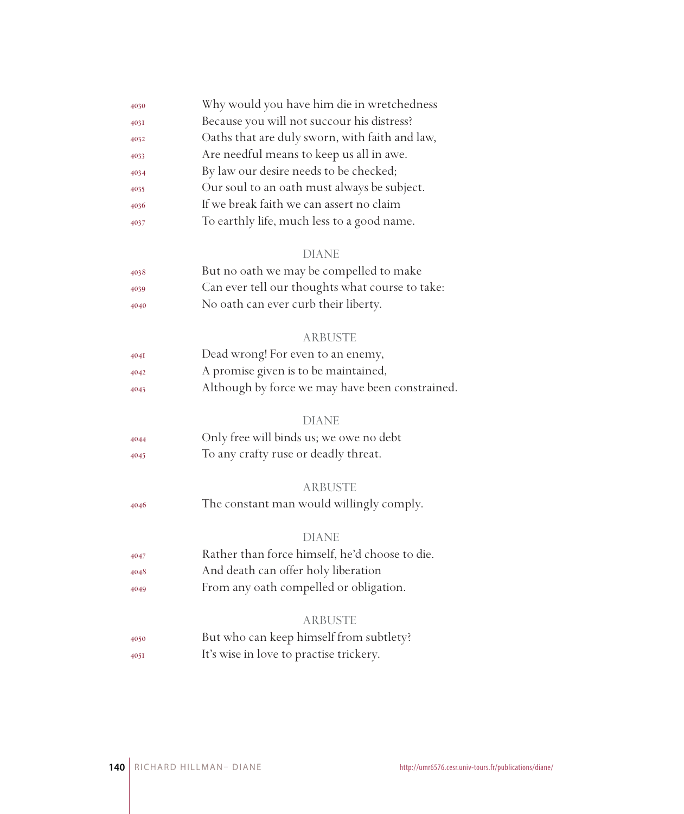| 4030 | Why would you have him die in wretchedness      |
|------|-------------------------------------------------|
| 4031 | Because you will not succour his distress?      |
| 4032 | Oaths that are duly sworn, with faith and law,  |
| 4033 | Are needful means to keep us all in awe.        |
| 4034 | By law our desire needs to be checked;          |
| 4035 | Our soul to an oath must always be subject.     |
| 4036 | If we break faith we can assert no claim        |
| 4037 | To earthly life, much less to a good name.      |
|      | <b>DIANE</b>                                    |
| 4038 | But no oath we may be compelled to make         |
| 4039 | Can ever tell our thoughts what course to take: |
| 4040 | No oath can ever curb their liberty.            |
|      | <b>ARBUSTE</b>                                  |
| 404I | Dead wrong! For even to an enemy,               |
| 4042 | A promise given is to be maintained,            |
| 4043 | Although by force we may have been constrained. |
|      | <b>DIANE</b>                                    |
| 4044 | Only free will binds us; we owe no debt         |
| 4045 | To any crafty ruse or deadly threat.            |
|      | <b>ARBUSTE</b>                                  |
| 4046 | The constant man would willingly comply.        |
|      | <b>DIANE</b>                                    |
| 4047 | Rather than force himself, he'd choose to die.  |
| 4048 | And death can offer holy liberation             |
| 4049 | From any oath compelled or obligation.          |
|      | <b>ARBUSTE</b>                                  |
| 4050 | But who can keep himself from subtlety?         |
| 4051 | It's wise in love to practise trickery.         |
|      |                                                 |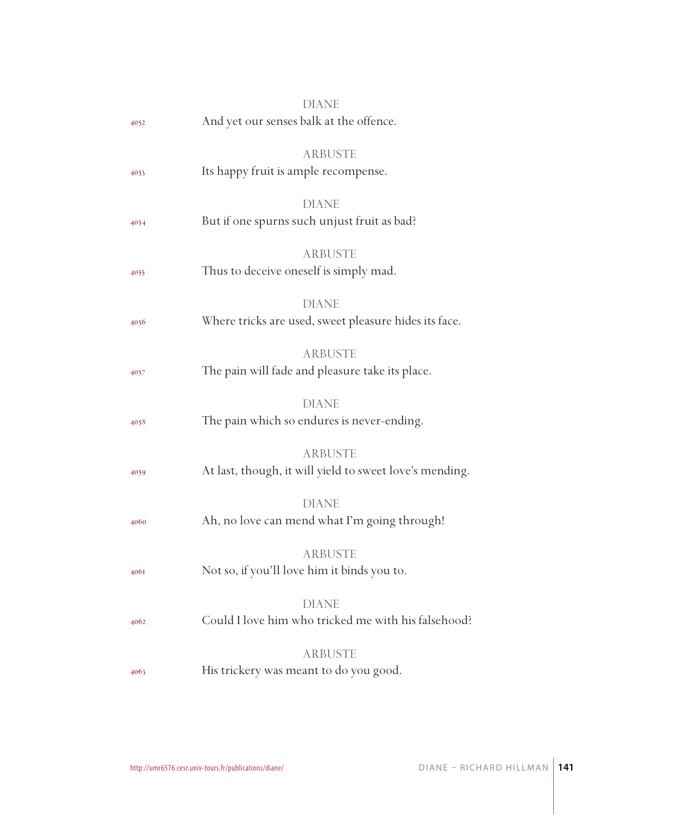|      | DIANE                                                      |
|------|------------------------------------------------------------|
| 4052 | And yet our senses balk at the offence.                    |
|      |                                                            |
|      | ARBUSTE                                                    |
| 4053 | Its happy fruit is ample recompense.                       |
|      | <b>DIANE</b>                                               |
| 4054 | But if one spurns such unjust fruit as bad?                |
|      |                                                            |
|      | <b>ARBUSTE</b>                                             |
| 4055 | Thus to deceive oneself is simply mad.                     |
|      | <b>DIANE</b>                                               |
| 4056 | Where tricks are used, sweet pleasure hides its face.      |
|      |                                                            |
|      | <b>ARBUSTE</b>                                             |
| 4057 | The pain will fade and pleasure take its place.            |
|      |                                                            |
|      | <b>DIANE</b><br>The pain which so endures is never-ending. |
| 4058 |                                                            |
|      | <b>ARBUSTE</b>                                             |
| 4059 | At last, though, it will yield to sweet love's mending.    |
|      |                                                            |
|      | <b>DIANE</b>                                               |
| 4060 | Ah, no love can mend what I'm going through!               |
|      | <b>ARBUSTE</b>                                             |
| 4061 | Not so, if you'll love him it binds you to.                |
|      |                                                            |
|      | <b>DIANE</b>                                               |
| 4062 | Could I love him who tricked me with his falsehood?        |
|      | <b>ARBUSTE</b>                                             |
| 4063 | His trickery was meant to do you good.                     |
|      |                                                            |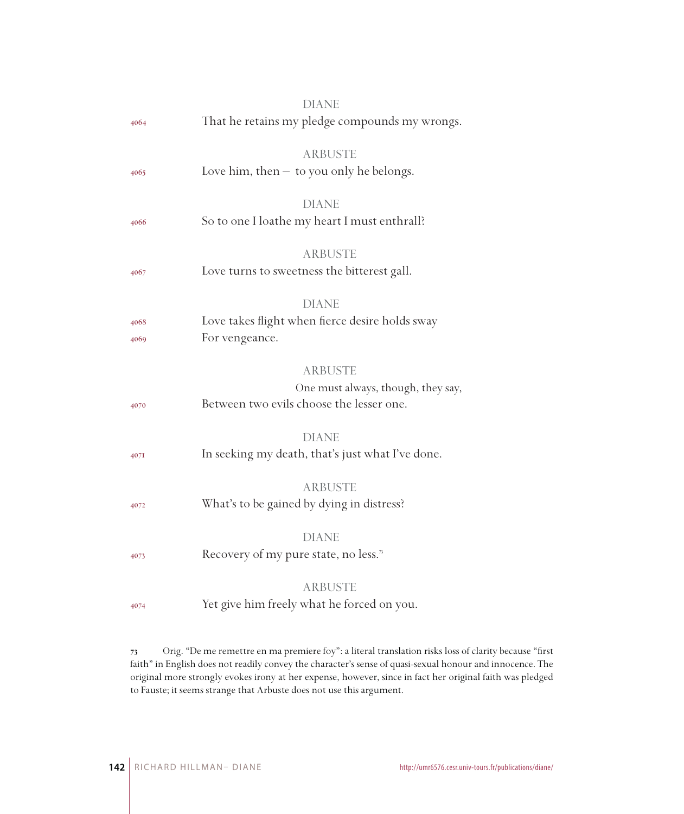|      | <b>DIANE</b>                                                 |
|------|--------------------------------------------------------------|
| 4064 | That he retains my pledge compounds my wrongs.               |
|      |                                                              |
|      | <b>ARBUSTE</b>                                               |
| 4065 | Love him, then $-$ to you only he belongs.                   |
|      |                                                              |
|      | <b>DIANE</b><br>So to one I loathe my heart I must enthrall? |
| 4066 |                                                              |
|      | <b>ARBUSTE</b>                                               |
| 4067 | Love turns to sweetness the bitterest gall.                  |
|      |                                                              |
|      | <b>DIANE</b>                                                 |
| 4068 | Love takes flight when fierce desire holds sway              |
| 4069 | For vengeance.                                               |
|      |                                                              |
|      | <b>ARBUSTE</b>                                               |
|      | One must always, though, they say,                           |
| 4070 | Between two evils choose the lesser one.                     |
|      | <b>DIANE</b>                                                 |
| 4071 | In seeking my death, that's just what I've done.             |
|      |                                                              |
|      | <b>ARBUSTE</b>                                               |
| 4072 | What's to be gained by dying in distress?                    |
|      |                                                              |
|      | <b>DIANE</b>                                                 |
| 4073 | Recovery of my pure state, no less. <sup>7</sup>             |
|      |                                                              |
|      | <b>ARBUSTE</b>                                               |
| 4074 | Yet give him freely what he forced on you.                   |
|      |                                                              |

 Orig. "De me remettre en ma premiere foy": a literal translation risks loss of clarity because "first faith" in English does not readily convey the character's sense of quasi-sexual honour and innocence. The original more strongly evokes irony at her expense, however, since in fact her original faith was pledged to Fauste; it seems strange that Arbuste does not use this argument.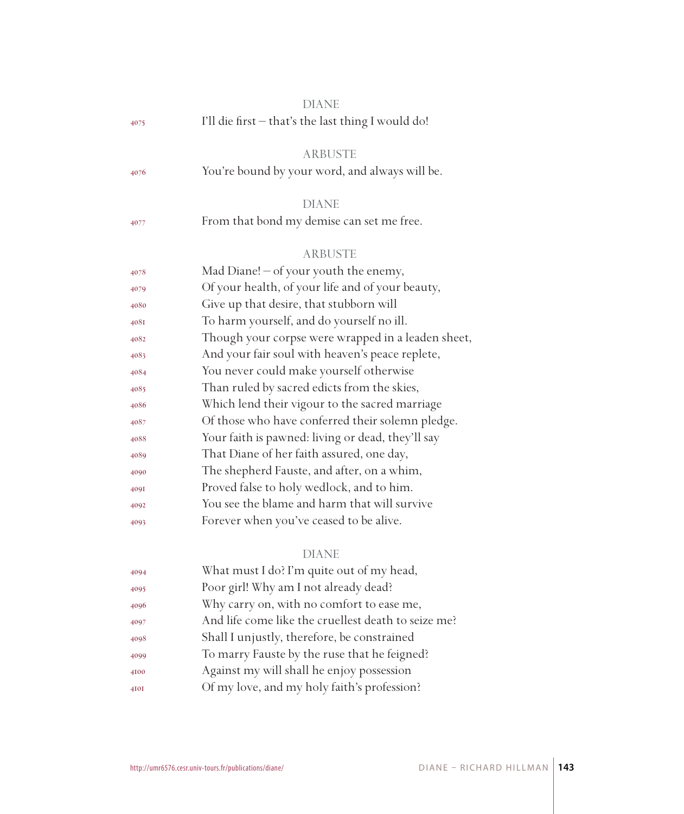|      | <b>DIANE</b>                                        |
|------|-----------------------------------------------------|
| 4075 | I'll die first - that's the last thing I would do!  |
|      | <b>ARBUSTE</b>                                      |
| 4076 | You're bound by your word, and always will be.      |
|      | <b>DIANE</b>                                        |
| 4077 | From that bond my demise can set me free.           |
|      | <b>ARBUSTE</b>                                      |
| 4078 | Mad Diane! $-$ of your youth the enemy,             |
| 4079 | Of your health, of your life and of your beauty,    |
| 4080 | Give up that desire, that stubborn will             |
| 408I | To harm yourself, and do yourself no ill.           |
| 4082 | Though your corpse were wrapped in a leaden sheet,  |
| 4083 | And your fair soul with heaven's peace replete,     |
| 4084 | You never could make yourself otherwise             |
| 4085 | Than ruled by sacred edicts from the skies,         |
| 4086 | Which lend their vigour to the sacred marriage      |
| 4087 | Of those who have conferred their solemn pledge.    |
| 4088 | Your faith is pawned: living or dead, they'll say   |
| 4089 | That Diane of her faith assured, one day,           |
| 4090 | The shepherd Fauste, and after, on a whim,          |
| 409I | Proved false to holy wedlock, and to him.           |
| 4092 | You see the blame and harm that will survive        |
| 4093 | Forever when you've ceased to be alive.             |
|      | <b>DIANE</b>                                        |
| 4094 | What must I do? I'm quite out of my head,           |
| 4095 | Poor girl! Why am I not already dead?               |
| 4096 | Why carry on, with no comfort to ease me,           |
| 4097 | And life come like the cruellest death to seize me? |
| 4098 | Shall I unjustly, therefore, be constrained         |
| 4099 | To marry Fauste by the ruse that he feigned?        |
| 4100 | Against my will shall he enjoy possession           |
| 4I0I | Of my love, and my holy faith's profession?         |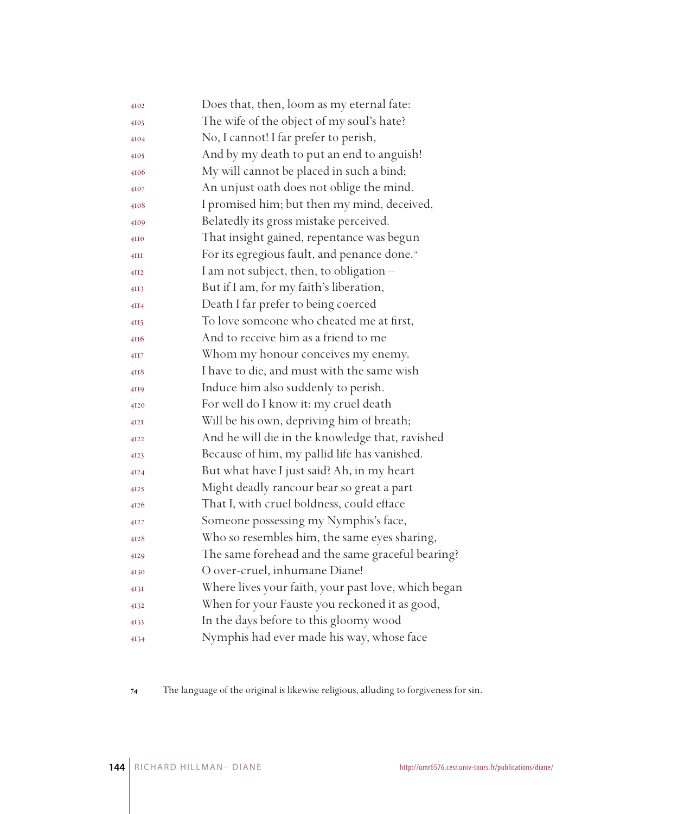| 4102 | Does that, then, loom as my eternal fate:                |
|------|----------------------------------------------------------|
| 4103 | The wife of the object of my soul's hate?                |
| 4104 | No, I cannot! I far prefer to perish,                    |
| 4105 | And by my death to put an end to anguish!                |
| 4106 | My will cannot be placed in such a bind;                 |
| 4107 | An unjust oath does not oblige the mind.                 |
| 4108 | I promised him; but then my mind, deceived,              |
| 4109 | Belatedly its gross mistake perceived.                   |
| 4110 | That insight gained, repentance was begun                |
| 4III | For its egregious fault, and penance done. <sup>74</sup> |
| 4II2 | I am not subject, then, to obligation -                  |
| 4II3 | But if I am, for my faith's liberation,                  |
| 4II4 | Death I far prefer to being coerced                      |
| 4II5 | To love someone who cheated me at first,                 |
| 4116 | And to receive him as a friend to me                     |
| 4II7 | Whom my honour conceives my enemy.                       |
| 4II8 | I have to die, and must with the same wish               |
| 4119 | Induce him also suddenly to perish.                      |
| 4120 | For well do I know it: my cruel death                    |
| 4I2I | Will be his own, depriving him of breath;                |
| 4122 | And he will die in the knowledge that, ravished          |
| 4123 | Because of him, my pallid life has vanished.             |
| 4124 | But what have I just said? Ah, in my heart               |
| 4125 | Might deadly rancour bear so great a part                |
| 4126 | That I, with cruel boldness, could efface                |
| 4127 | Someone possessing my Nymphis's face,                    |
| 4128 | Who so resembles him, the same eyes sharing,             |
| 4129 | The same forehead and the same graceful bearing?         |
| 4130 | O over-cruel, inhumane Diane!                            |
| 4I3I | Where lives your faith, your past love, which began      |
| 4132 | When for your Fauste you reckoned it as good,            |
| 4133 | In the days before to this gloomy wood                   |
| 4134 | Nymphis had ever made his way, whose face                |

The language of the original is likewise religious, alluding to forgiveness for sin.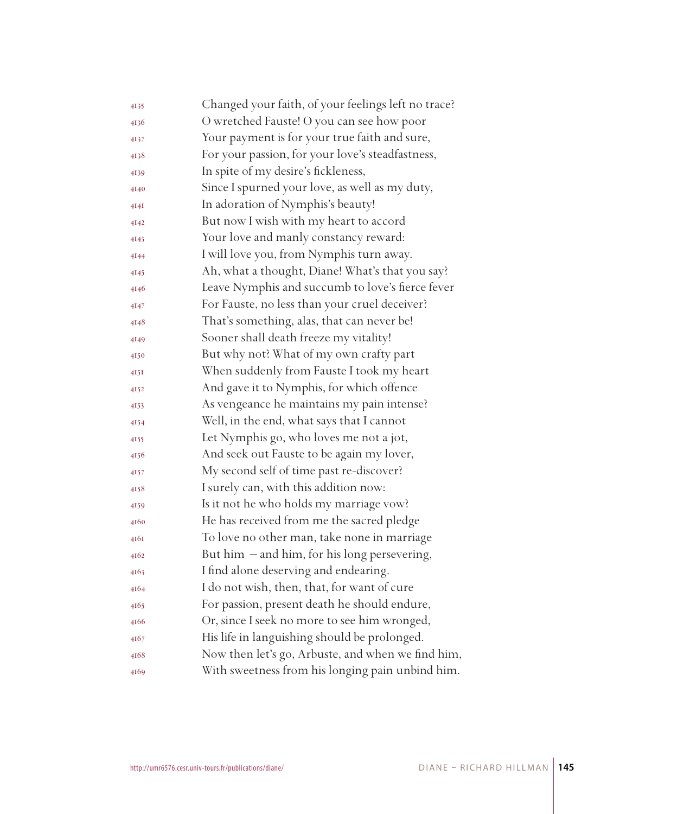| 4135 | Changed your faith, of your feelings left no trace? |
|------|-----------------------------------------------------|
| 4136 | O wretched Fauste! O you can see how poor           |
| 4137 | Your payment is for your true faith and sure,       |
| 4138 | For your passion, for your love's steadfastness,    |
| 4139 | In spite of my desire's fickleness,                 |
| 4140 | Since I spurned your love, as well as my duty,      |
| 4I4I | In adoration of Nymphis's beauty!                   |
| 4142 | But now I wish with my heart to accord              |
| 4143 | Your love and manly constancy reward:               |
| 4144 | I will love you, from Nymphis turn away.            |
| 4145 | Ah, what a thought, Diane! What's that you say?     |
| 4146 | Leave Nymphis and succumb to love's fierce fever    |
| 4147 | For Fauste, no less than your cruel deceiver?       |
| 4148 | That's something, alas, that can never be!          |
| 4149 | Sooner shall death freeze my vitality!              |
| 4150 | But why not? What of my own crafty part             |
| 4I5I | When suddenly from Fauste I took my heart           |
| 4152 | And gave it to Nymphis, for which offence           |
| 4153 | As vengeance he maintains my pain intense?          |
| 4154 | Well, in the end, what says that I cannot           |
| 4155 | Let Nymphis go, who loves me not a jot,             |
| 4156 | And seek out Fauste to be again my lover,           |
| 4157 | My second self of time past re-discover?            |
| 4158 | I surely can, with this addition now:               |
| 4159 | Is it not he who holds my marriage vow?             |
| 4160 | He has received from me the sacred pledge           |
| 4I6I | To love no other man, take none in marriage         |
| 4162 | But him - and him, for his long persevering,        |
| 4163 | I find alone deserving and endearing.               |
| 4164 | I do not wish, then, that, for want of cure         |
| 4165 | For passion, present death he should endure,        |
| 4166 | Or, since I seek no more to see him wronged,        |
| 4167 | His life in languishing should be prolonged.        |
| 4168 | Now then let's go, Arbuste, and when we find him,   |
| 4169 | With sweetness from his longing pain unbind him.    |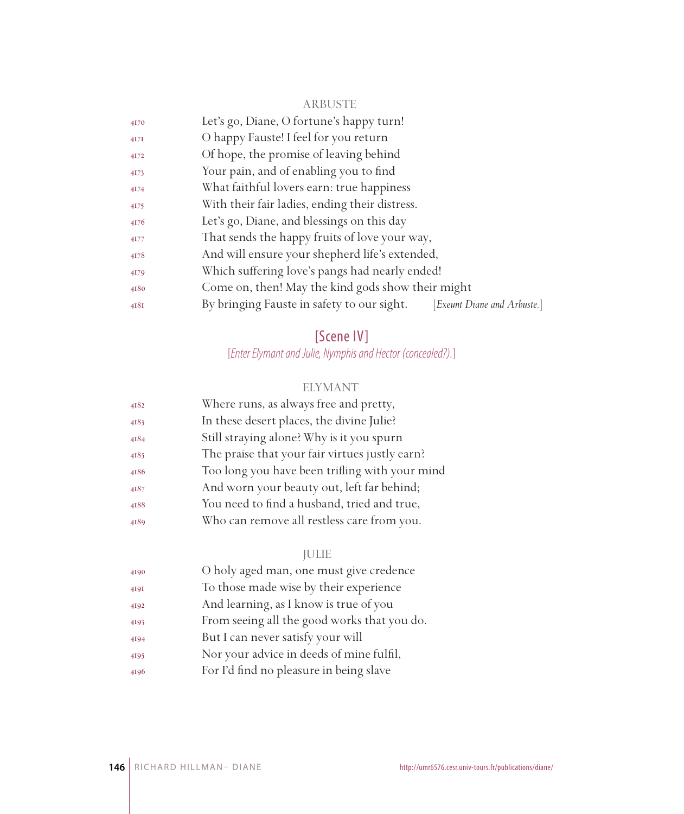#### ARBUSTE

| 4170                  | Let's go, Diane, O fortune's happy turn!                                       |
|-----------------------|--------------------------------------------------------------------------------|
| $4I$ <sup>7</sup> $I$ | O happy Fauste! I feel for you return                                          |
| 4172                  | Of hope, the promise of leaving behind                                         |
| 4173                  | Your pain, and of enabling you to find                                         |
| 4174                  | What faithful lovers earn: true happiness                                      |
| 4175                  | With their fair ladies, ending their distress.                                 |
| 4176                  | Let's go, Diane, and blessings on this day                                     |
| 4177                  | That sends the happy fruits of love your way,                                  |
| 4178                  | And will ensure your shepherd life's extended,                                 |
| 4179                  | Which suffering love's pangs had nearly ended!                                 |
| 4180                  | Come on, then! May the kind gods show their might                              |
| 4181                  | By bringing Fauste in safety to our sight.<br><i>Exeunt Diane and Arbuste.</i> |
|                       |                                                                                |

# [Scene IV]

[*Enter Elymant and Julie, Nymphis and Hector (concealed?).*]

# ELYMANT

| 4182 | Where runs, as always free and pretty,         |
|------|------------------------------------------------|
| 4183 | In these desert places, the divine Julie?      |
| 4184 | Still straying alone? Why is it you spurn      |
| 4185 | The praise that your fair virtues justly earn? |
| 4186 | Too long you have been trifling with your mind |
| 4187 | And worn your beauty out, left far behind;     |
| 4188 | You need to find a husband, tried and true,    |
| 4189 | Who can remove all restless care from you.     |
|      |                                                |

# JULIE

| 4190 | O holy aged man, one must give credence     |
|------|---------------------------------------------|
| 4191 | To those made wise by their experience      |
| 4192 | And learning, as I know is true of you      |
| 4193 | From seeing all the good works that you do. |
| 4194 | But I can never satisfy your will           |
| 4195 | Nor your advice in deeds of mine fulfil,    |
| 4196 | For I'd find no pleasure in being slave     |
|      |                                             |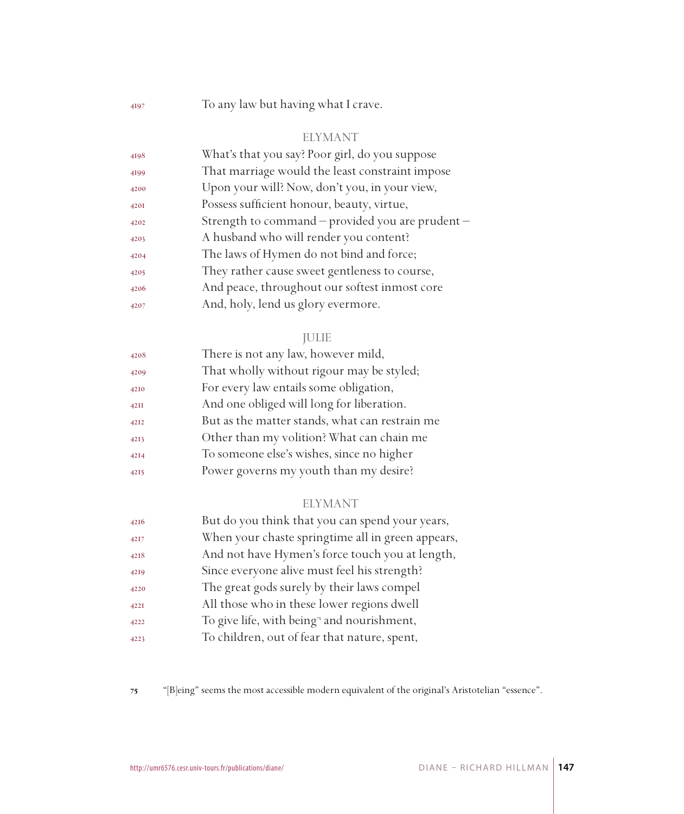To any law but having what I crave.

#### ELYMANT

| 4198 | What's that you say? Poor girl, do you suppose   |
|------|--------------------------------------------------|
| 4199 | That marriage would the least constraint impose  |
| 4200 | Upon your will? Now, don't you, in your view,    |
| 4201 | Possess sufficient honour, beauty, virtue,       |
| 4202 | Strength to command – provided you are prudent – |
| 4203 | A husband who will render you content?           |
| 4204 | The laws of Hymen do not bind and force;         |
| 4205 | They rather cause sweet gentleness to course,    |
| 4206 | And peace, throughout our softest inmost core    |
| 4207 | And, holy, lend us glory evermore.               |

#### JULIE

| 4208 | There is not any law, however mild,            |
|------|------------------------------------------------|
| 4209 | That wholly without rigour may be styled;      |
| 4210 | For every law entails some obligation,         |
| 42II | And one obliged will long for liberation.      |
| 4212 | But as the matter stands, what can restrain me |
| 4213 | Other than my volition? What can chain me      |
| 4214 | To someone else's wishes, since no higher      |
| 4215 | Power governs my youth than my desire?         |

#### ELYMANT

| 4216 | But do you think that you can spend your years,        |
|------|--------------------------------------------------------|
| 4217 | When your chaste springtime all in green appears,      |
| 4218 | And not have Hymen's force touch you at length,        |
| 4219 | Since everyone alive must feel his strength?           |
| 4220 | The great gods surely by their laws compel             |
| 422I | All those who in these lower regions dwell             |
| 4222 | To give life, with being <sup>3</sup> and nourishment, |
| 4223 | To children, out of fear that nature, spent,           |

"[B]eing" seems the most accessible modern equivalent of the original's Aristotelian "essence".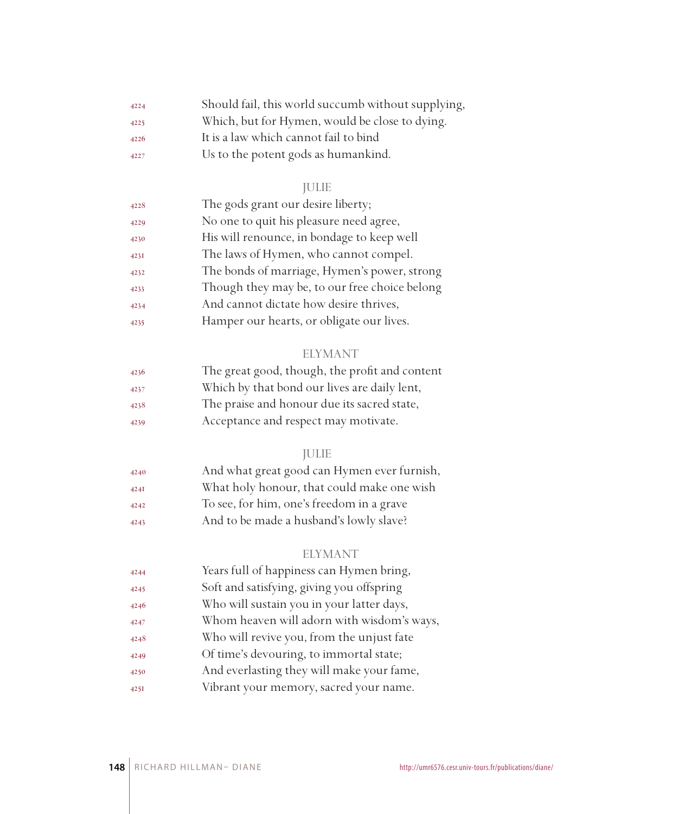| 4224 | Should fail, this world succumb without supplying, |
|------|----------------------------------------------------|
| 4225 | Which, but for Hymen, would be close to dying.     |
| 4226 | It is a law which cannot fail to bind              |
| 4227 | Us to the potent gods as humankind.                |

# JULIE

| 4228 | The gods grant our desire liberty;            |
|------|-----------------------------------------------|
| 4229 | No one to quit his pleasure need agree,       |
| 4230 | His will renounce, in bondage to keep well    |
| 4231 | The laws of Hymen, who cannot compel.         |
| 4232 | The bonds of marriage, Hymen's power, strong  |
| 4233 | Though they may be, to our free choice belong |
| 4234 | And cannot dictate how desire thrives,        |
| 4235 | Hamper our hearts, or obligate our lives.     |

## ELYMANT

| 4236 | The great good, though, the profit and content |
|------|------------------------------------------------|
| 4237 | Which by that bond our lives are daily lent,   |
| 4238 | The praise and honour due its sacred state,    |
| 4239 | Acceptance and respect may motivate.           |

## JULIE

| 4240 | And what great good can Hymen ever furnish, |
|------|---------------------------------------------|
| 424I | What holy honour, that could make one wish  |
| 4242 | To see, for him, one's freedom in a grave   |
| 4243 | And to be made a husband's lowly slave?     |
|      |                                             |

## ELYMANT

| 4244 | Years full of happiness can Hymen bring,   |
|------|--------------------------------------------|
| 4245 | Soft and satisfying, giving you offspring  |
| 4246 | Who will sustain you in your latter days,  |
| 4247 | Whom heaven will adorn with wisdom's ways, |
| 4248 | Who will revive you, from the unjust fate  |
| 4249 | Of time's devouring, to immortal state;    |
| 4250 | And everlasting they will make your fame,  |
| 425I | Vibrant your memory, sacred your name.     |
|      |                                            |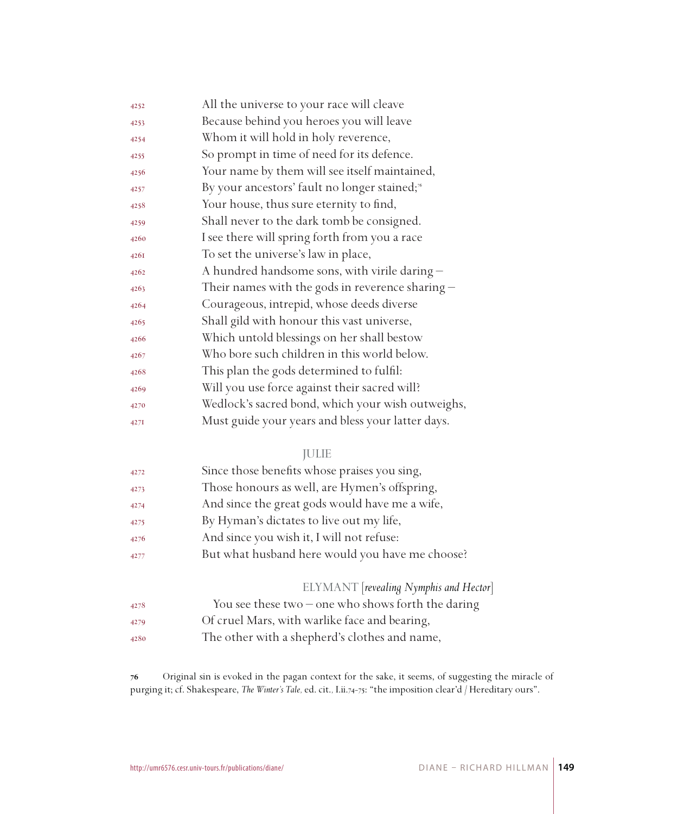| 4252 | All the universe to your race will cleave                 |
|------|-----------------------------------------------------------|
| 4253 | Because behind you heroes you will leave                  |
| 4254 | Whom it will hold in holy reverence,                      |
| 4255 | So prompt in time of need for its defence.                |
| 4256 | Your name by them will see itself maintained,             |
| 4257 | By your ancestors' fault no longer stained; <sup>56</sup> |
| 4258 | Your house, thus sure eternity to find,                   |
| 4259 | Shall never to the dark tomb be consigned.                |
| 4260 | I see there will spring forth from you a race             |
| 426I | To set the universe's law in place,                       |
| 4262 | A hundred handsome sons, with virile daring -             |
| 4263 | Their names with the gods in reverence sharing $-$        |
| 4264 | Courageous, intrepid, whose deeds diverse                 |
| 4265 | Shall gild with honour this vast universe,                |
| 4266 | Which untold blessings on her shall bestow                |
| 4267 | Who bore such children in this world below.               |
| 4268 | This plan the gods determined to fulfil:                  |
| 4269 | Will you use force against their sacred will?             |
| 4270 | Wedlock's sacred bond, which your wish outweighs,         |
| 427I | Must guide your years and bless your latter days.         |

#### JULIE

| 4272 | Since those benefits whose praises you sing,         |
|------|------------------------------------------------------|
| 4273 | Those honours as well, are Hymen's offspring,        |
| 4274 | And since the great gods would have me a wife,       |
| 4275 | By Hyman's dictates to live out my life,             |
| 4276 | And since you wish it, I will not refuse:            |
| 4277 | But what husband here would you have me choose?      |
|      | ELYMANT [revealing Nymphis and Hector]               |
| 4278 | You see these two $-$ one who shows forth the daring |
| 4279 | Of cruel Mars, with warlike face and bearing,        |

The other with a shepherd's clothes and name,

 Original sin is evoked in the pagan context for the sake, it seems, of suggesting the miracle of purging it; cf. Shakespeare, *The Winter's Tale,* ed. cit.*,* I.ii.74-75: "the imposition clear'd / Hereditary ours".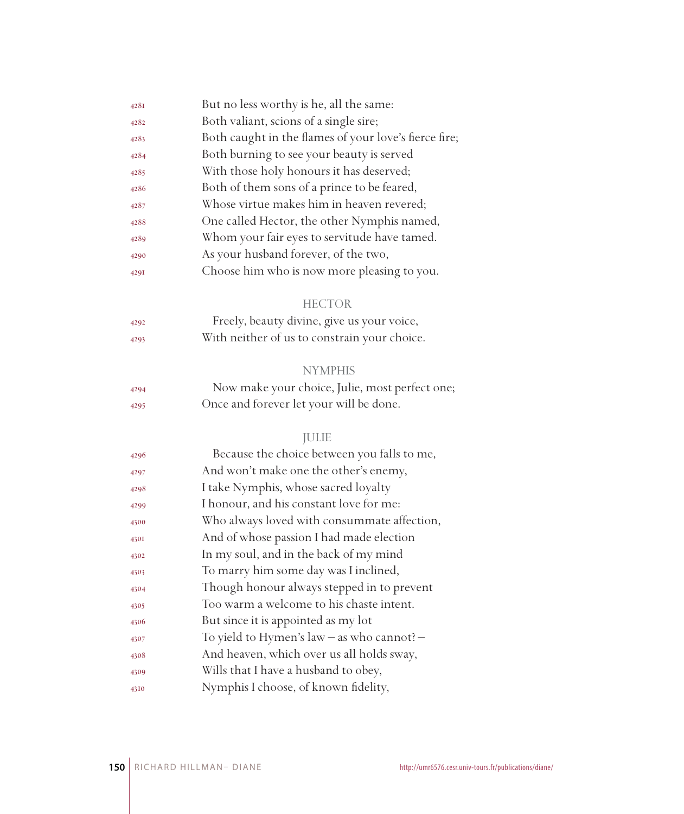| 428I | But no less worthy is he, all the same:               |
|------|-------------------------------------------------------|
| 4282 | Both valiant, scions of a single sire;                |
| 4283 | Both caught in the flames of your love's fierce fire; |
| 4284 | Both burning to see your beauty is served             |
| 4285 | With those holy honours it has deserved;              |
| 4286 | Both of them sons of a prince to be feared,           |
| 4287 | Whose virtue makes him in heaven revered;             |
| 4288 | One called Hector, the other Nymphis named,           |
| 4289 | Whom your fair eyes to servitude have tamed.          |
| 4290 | As your husband forever, of the two,                  |
| 429I | Choose him who is now more pleasing to you.           |
|      | <b>HECTOR</b>                                         |
| 4292 | Freely, beauty divine, give us your voice,            |
| 4293 | With neither of us to constrain your choice.          |
|      | <b>NYMPHIS</b>                                        |
| 4294 | Now make your choice, Julie, most perfect one;        |
| 4295 | Once and forever let your will be done.               |
|      | <b>JULIE</b>                                          |
| 4296 | Because the choice between you falls to me,           |
| 4297 | And won't make one the other's enemy,                 |
| 4298 | I take Nymphis, whose sacred loyalty                  |
| 4299 | I honour, and his constant love for me:               |
| 4300 | Who always loved with consummate affection,           |
| 4301 | And of whose passion I had made election              |
| 4302 | In my soul, and in the back of my mind                |
| 4303 | To marry him some day was I inclined,                 |
| 4304 | Though honour always stepped in to prevent            |
| 4305 | Too warm a welcome to his chaste intent.              |
| 4306 | But since it is appointed as my lot                   |
| 4307 | To yield to Hymen's law - as who cannot? -            |
| 4308 | And heaven, which over us all holds sway,             |
| 4309 | Wills that I have a husband to obey,                  |
| 4310 | Nymphis I choose, of known fidelity,                  |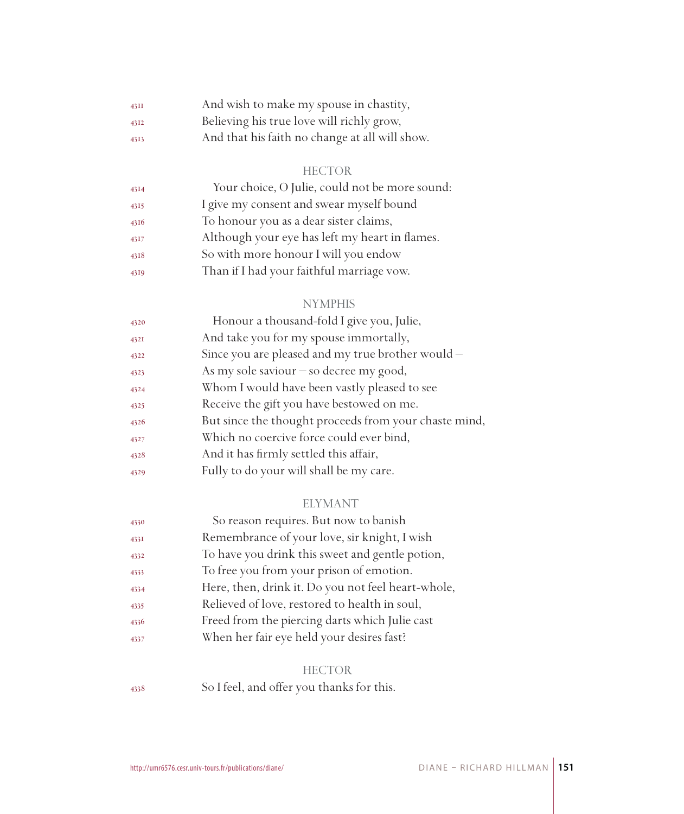| 43II | And wish to make my spouse in chastity,        |
|------|------------------------------------------------|
| 4312 | Believing his true love will richly grow,      |
| 4313 | And that his faith no change at all will show. |

#### HECTOR

| 4314 | Your choice, O Julie, could not be more sound: |
|------|------------------------------------------------|
| 4315 | I give my consent and swear myself bound       |
| 4316 | To honour you as a dear sister claims,         |
| 4317 | Although your eye has left my heart in flames. |
| 4318 | So with more honour I will you endow           |
| 4319 | Than if I had your faithful marriage vow.      |

## NYMPHIS

| 4320 | Honour a thousand-fold I give you, Julie,             |
|------|-------------------------------------------------------|
| 432I | And take you for my spouse immortally,                |
| 4322 | Since you are pleased and my true brother would -     |
| 4323 | As my sole saviour $-$ so decree my good,             |
| 4324 | Whom I would have been vastly pleased to see          |
| 4325 | Receive the gift you have bestowed on me.             |
| 4326 | But since the thought proceeds from your chaste mind, |
| 4327 | Which no coercive force could ever bind,              |
| 4328 | And it has firmly settled this affair,                |
| 4329 | Fully to do your will shall be my care.               |
|      |                                                       |

#### ELYMANT

| 4330 | So reason requires. But now to banish              |
|------|----------------------------------------------------|
| 433I | Remembrance of your love, sir knight, I wish       |
| 4332 | To have you drink this sweet and gentle potion,    |
| 4333 | To free you from your prison of emotion.           |
| 4334 | Here, then, drink it. Do you not feel heart-whole, |
| 4335 | Relieved of love, restored to health in soul,      |
| 4336 | Freed from the piercing darts which Julie cast     |
| 4337 | When her fair eye held your desires fast?          |
|      |                                                    |

## HECTOR

So I feel, and offer you thanks for this.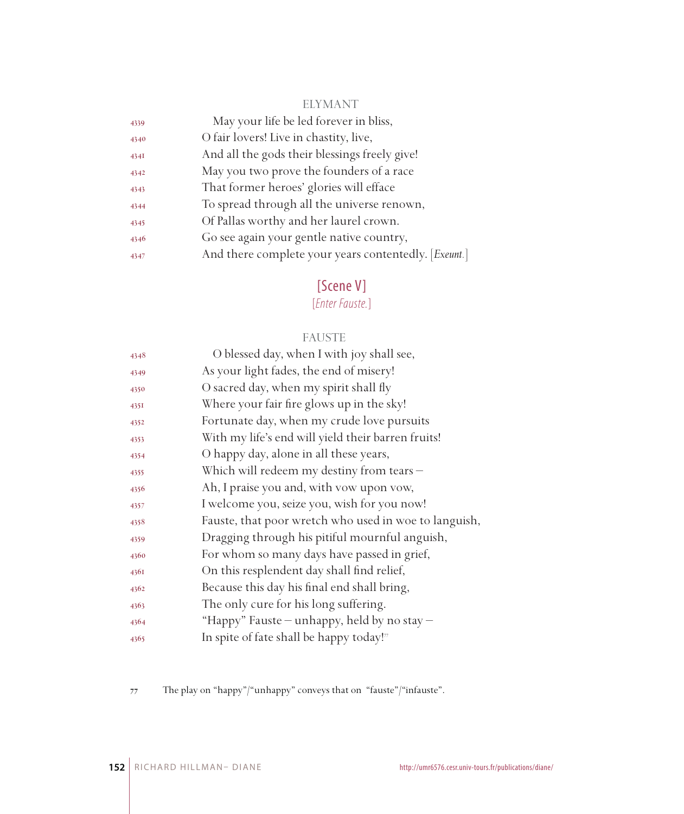## ELYMANT

| 4339 | May your life be led forever in bliss,               |
|------|------------------------------------------------------|
| 4340 | O fair lovers! Live in chastity, live,               |
| 434I | And all the gods their blessings freely give!        |
| 4342 | May you two prove the founders of a race             |
| 4343 | That former heroes' glories will efface              |
| 4344 | To spread through all the universe renown,           |
| 4345 | Of Pallas worthy and her laurel crown.               |
| 4346 | Go see again your gentle native country,             |
| 4347 | And there complete your years contentedly. [Exeunt.] |
|      |                                                      |

# [Scene V]

[*Enter Fauste.*]

## FAUSTE

| 4348 | O blessed day, when I with joy shall see,             |
|------|-------------------------------------------------------|
| 4349 | As your light fades, the end of misery!               |
| 4350 | O sacred day, when my spirit shall fly                |
| 435I | Where your fair fire glows up in the sky!             |
| 4352 | Fortunate day, when my crude love pursuits            |
| 4353 | With my life's end will yield their barren fruits!    |
| 4354 | O happy day, alone in all these years,                |
| 4355 | Which will redeem my destiny from tears -             |
| 4356 | Ah, I praise you and, with yow upon yow,              |
| 4357 | I welcome you, seize you, wish for you now!           |
| 4358 | Fauste, that poor wretch who used in woe to languish, |
| 4359 | Dragging through his pitiful mournful anguish,        |
| 4360 | For whom so many days have passed in grief,           |
| 4361 | On this resplendent day shall find relief,            |
| 4362 | Because this day his final end shall bring,           |
| 4363 | The only cure for his long suffering.                 |
| 4364 | "Happy" Fauste — unhappy, held by no stay —           |
| 4365 | In spite of fate shall be happy today!"               |

The play on "happy"/"unhappy" conveys that on "fauste"/"infauste".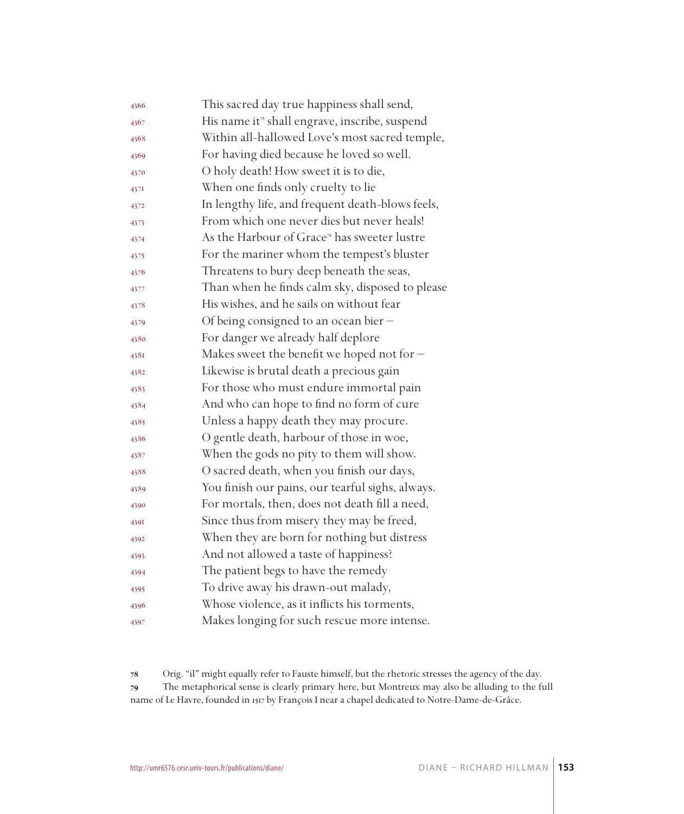| 4366 | This sacred day true happiness shall send,                |
|------|-----------------------------------------------------------|
| 4367 | His name it <sup>®</sup> shall engrave, inscribe, suspend |
| 4368 | Within all-hallowed Love's most sacred temple,            |
| 4369 | For having died because he loved so well.                 |
| 4370 | O holy death! How sweet it is to die,                     |
| 437I | When one finds only cruelty to lie                        |
| 4372 | In lengthy life, and frequent death-blows feels,          |
| 4373 | From which one never dies but never heals!                |
| 4374 | As the Harbour of Grace <sup>79</sup> has sweeter lustre  |
| 4375 | For the mariner whom the tempest's bluster                |
| 4376 | Threatens to bury deep beneath the seas,                  |
| 4377 | Than when he finds calm sky, disposed to please           |
| 4378 | His wishes, and he sails on without fear                  |
| 4379 | Of being consigned to an ocean bier -                     |
| 4380 | For danger we already half deplore                        |
| 4381 | Makes sweet the benefit we hoped not for $-$              |
| 4382 | Likewise is brutal death a precious gain                  |
| 4383 | For those who must endure immortal pain                   |
| 4384 | And who can hope to find no form of cure                  |
| 4385 | Unless a happy death they may procure.                    |
| 4386 | O gentle death, harbour of those in woe,                  |
| 4387 | When the gods no pity to them will show.                  |
| 4388 | O sacred death, when you finish our days,                 |
| 4389 | You finish our pains, our tearful sighs, always.          |
| 4390 | For mortals, then, does not death fill a need,            |
| 4391 | Since thus from misery they may be freed,                 |
| 4392 | When they are born for nothing but distress               |
| 4393 | And not allowed a taste of happiness?                     |
| 4394 | The patient begs to have the remedy                       |
| 4395 | To drive away his drawn-out malady,                       |
| 4396 | Whose violence, as it inflicts his torments,              |
| 4397 | Makes longing for such rescue more intense.               |

 Orig. "il" might equally refer to Fauste himself, but the rhetoric stresses the agency of the day. The metaphorical sense is clearly primary here, but Montreux may also be alluding to the full name of Le Havre, founded in 1517 by François I near a chapel dedicated to Notre-Dame-de-Grâce.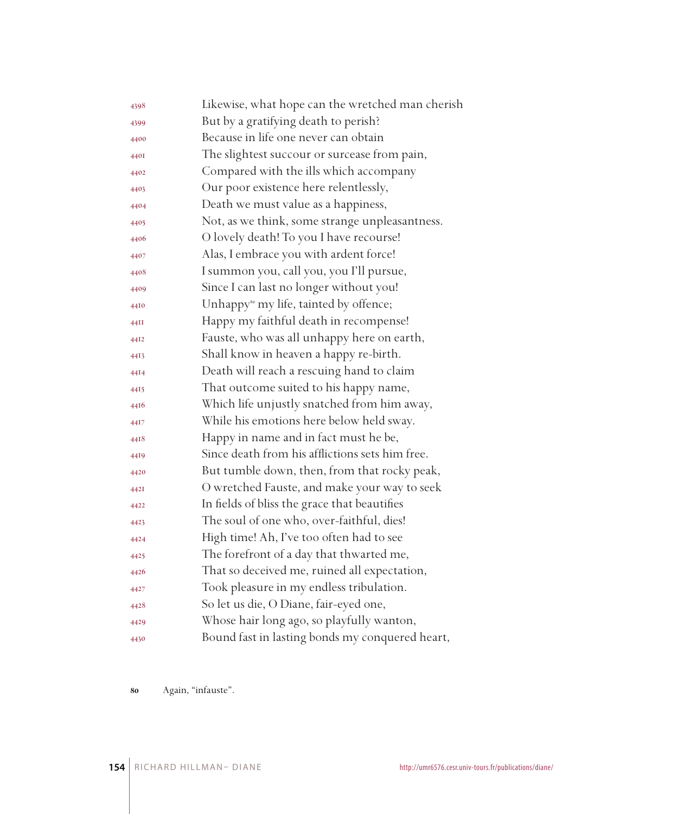| 4398 | Likewise, what hope can the wretched man cherish   |
|------|----------------------------------------------------|
| 4399 | But by a gratifying death to perish?               |
| 4400 | Because in life one never can obtain               |
| 440I | The slightest succour or surcease from pain,       |
| 4402 | Compared with the ills which accompany             |
| 4403 | Our poor existence here relentlessly,              |
| 4404 | Death we must value as a happiness,                |
| 4405 | Not, as we think, some strange unpleasantness.     |
| 4406 | O lovely death! To you I have recourse!            |
| 4407 | Alas, I embrace you with ardent force!             |
| 4408 | I summon you, call you, you I'll pursue,           |
| 4409 | Since I can last no longer without you!            |
| 4410 | Unhappy <sup>80</sup> my life, tainted by offence; |
| 44II | Happy my faithful death in recompense!             |
| 44I2 | Fauste, who was all unhappy here on earth,         |
| 4413 | Shall know in heaven a happy re-birth.             |
| 4414 | Death will reach a rescuing hand to claim          |
| 4415 | That outcome suited to his happy name,             |
| 4416 | Which life unjustly snatched from him away,        |
| 44I7 | While his emotions here below held sway.           |
| 4418 | Happy in name and in fact must he be,              |
| 4419 | Since death from his afflictions sets him free.    |
| 4420 | But tumble down, then, from that rocky peak,       |
| 442I | O wretched Fauste, and make your way to seek       |
| 4422 | In fields of bliss the grace that beautifies       |
| 4423 | The soul of one who, over-faithful, dies!          |
| 4424 | High time! Ah, I've too often had to see           |
| 4425 | The forefront of a day that thwarted me,           |
| 4426 | That so deceived me, ruined all expectation,       |
| 4427 | Took pleasure in my endless tribulation.           |
| 4428 | So let us die, O Diane, fair-eyed one,             |
| 4429 | Whose hair long ago, so playfully wanton,          |
| 4430 | Bound fast in lasting bonds my conquered heart,    |

Again, "infauste".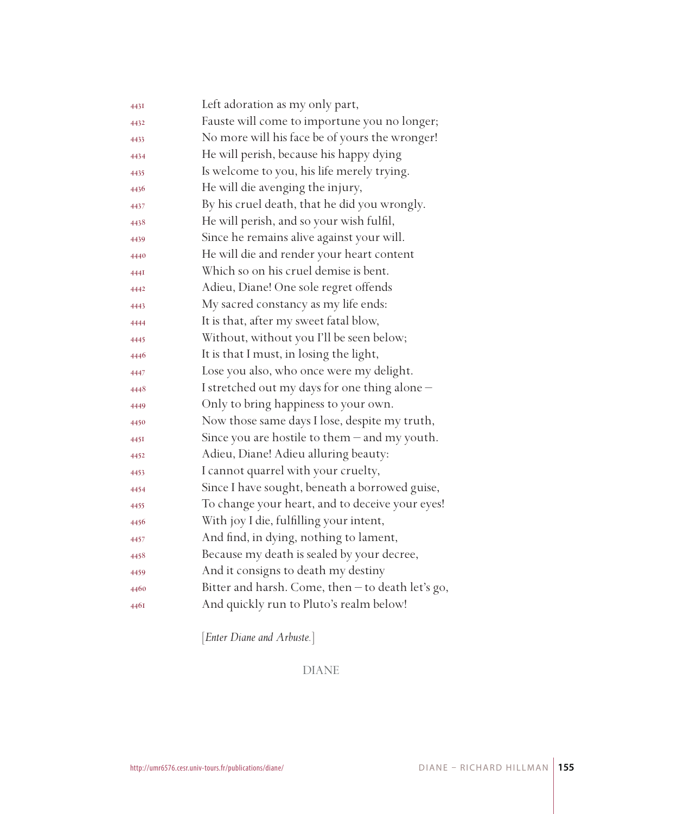| 443I | Left adoration as my only part,                   |
|------|---------------------------------------------------|
| 4432 | Fauste will come to importune you no longer;      |
| 4433 | No more will his face be of yours the wronger!    |
| 4434 | He will perish, because his happy dying           |
| 4435 | Is welcome to you, his life merely trying.        |
| 4436 | He will die avenging the injury,                  |
| 4437 | By his cruel death, that he did you wrongly.      |
| 4438 | He will perish, and so your wish fulfil,          |
| 4439 | Since he remains alive against your will.         |
| 4440 | He will die and render your heart content         |
| 444I | Which so on his cruel demise is bent.             |
| 4442 | Adieu, Diane! One sole regret offends             |
| 4443 | My sacred constancy as my life ends:              |
| 4444 | It is that, after my sweet fatal blow,            |
| 4445 | Without, without you I'll be seen below;          |
| 4446 | It is that I must, in losing the light,           |
| 4447 | Lose you also, who once were my delight.          |
| 4448 | I stretched out my days for one thing alone-      |
| 4449 | Only to bring happiness to your own.              |
| 4450 | Now those same days I lose, despite my truth,     |
| 445I | Since you are hostile to them - and my youth.     |
| 4452 | Adieu, Diane! Adieu alluring beauty:              |
| 4453 | I cannot quarrel with your cruelty,               |
| 4454 | Since I have sought, beneath a borrowed guise,    |
| 4455 | To change your heart, and to deceive your eyes!   |
| 4456 | With joy I die, fulfilling your intent,           |
| 4457 | And find, in dying, nothing to lament,            |
| 4458 | Because my death is sealed by your decree,        |
| 4459 | And it consigns to death my destiny               |
| 4460 | Bitter and harsh. Come, then - to death let's go, |
| 4461 | And quickly run to Pluto's realm below!           |

[*Enter Diane and Arbuste.*]

DIANE